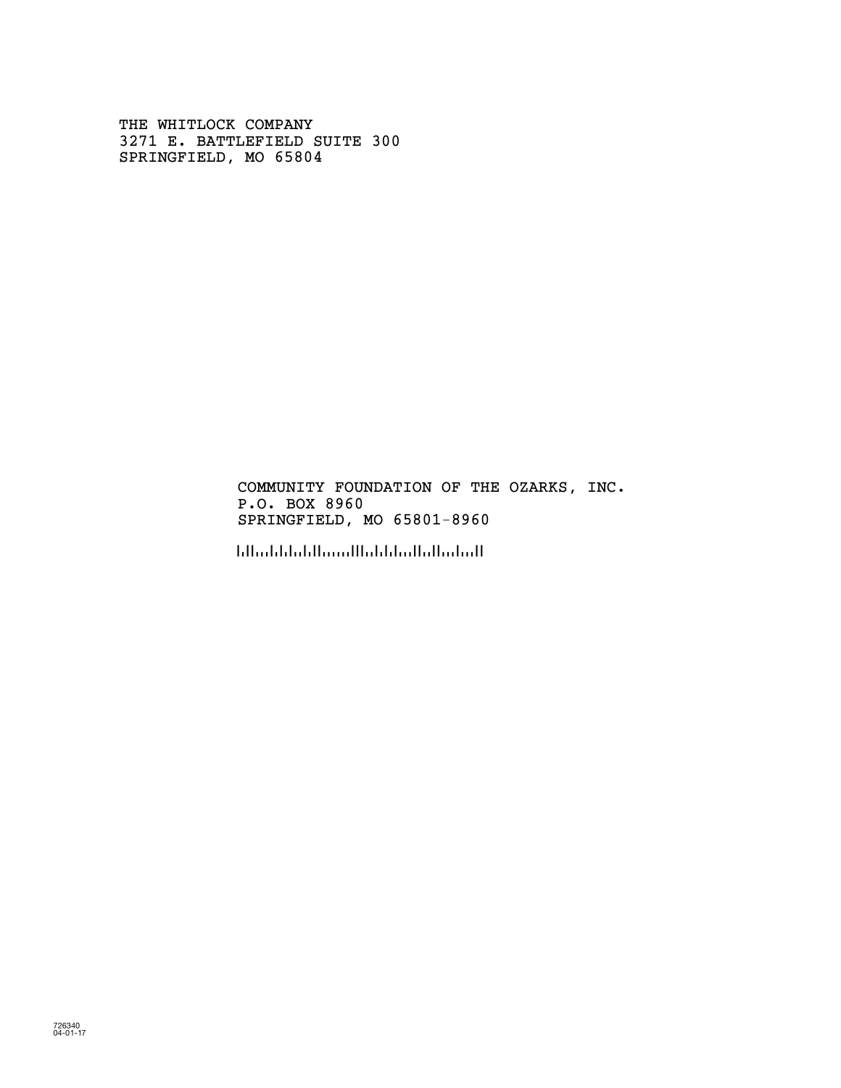THE WHITLOCK COMPANY 3271 E. BATTLEFIELD SUITE 300 SPRINGFIELD, MO 65804

> COMMUNITY FOUNDATION OF THE OZARKS, INC. P.O. BOX 8960 SPRINGFIELD, MO 65801-8960

!6580189607!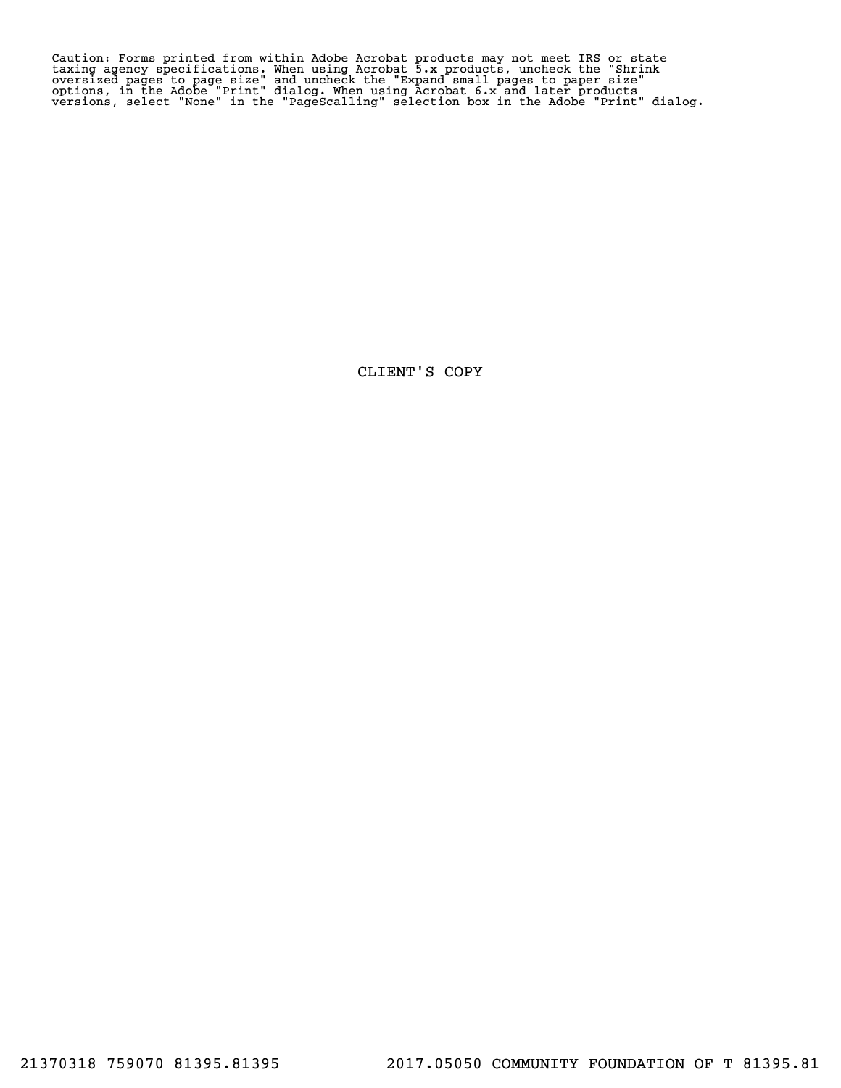Caution: Forms printed from within Adobe Acrobat products may not meet IRS or state<br>taxing agency specifications. When using Acrobat 5.x products, uncheck the "Shrink<br>oversized pages to page size" and uncheck the "Expand s

CLIENT'S COPY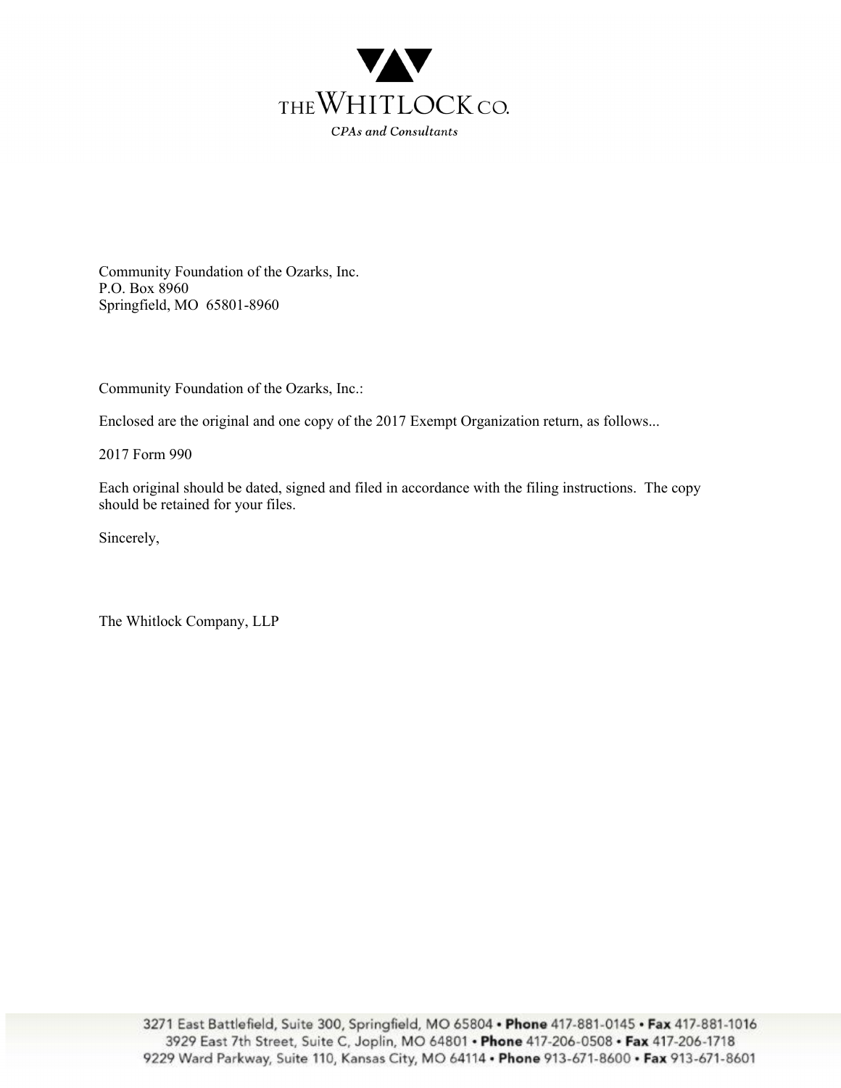

Community Foundation of the Ozarks, Inc. P.O. Box 8960 Springfield, MO 65801-8960

Community Foundation of the Ozarks, Inc.:

Enclosed are the original and one copy of the 2017 Exempt Organization return, as follows...

2017 Form 990

Each original should be dated, signed and filed in accordance with the filing instructions. The copy should be retained for your files.

Sincerely,

The Whitlock Company, LLP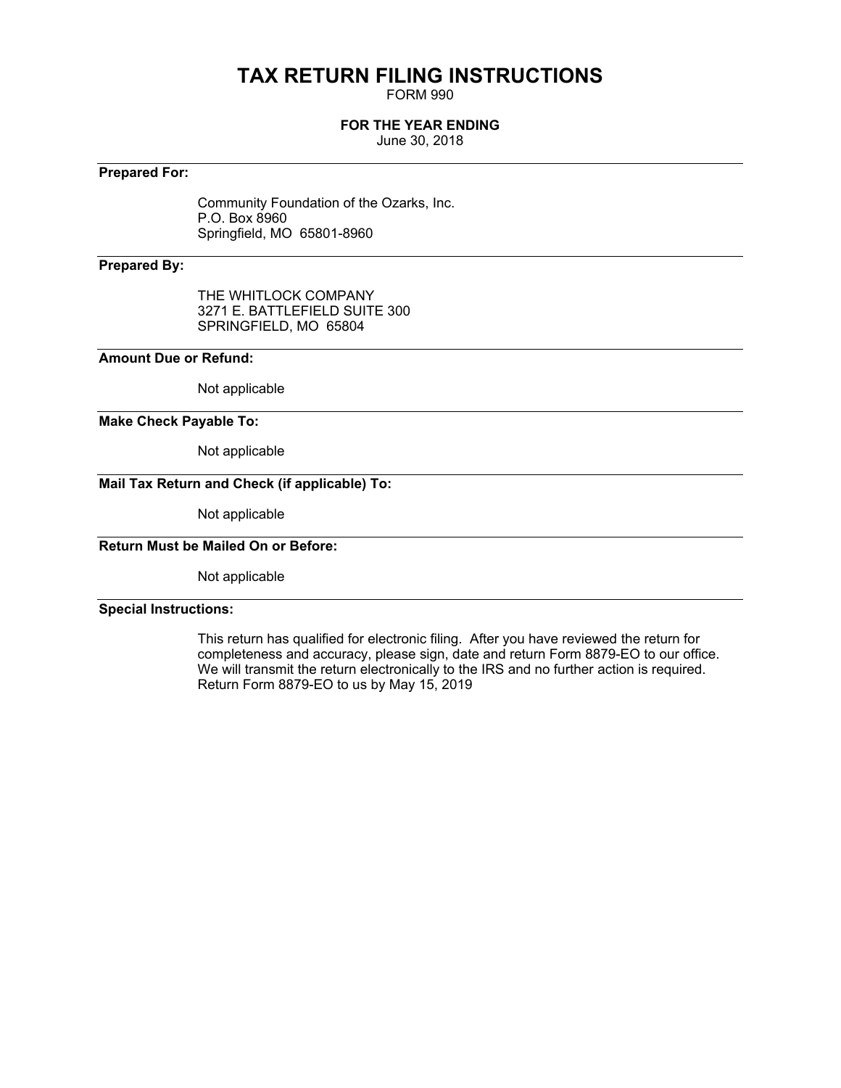# **TAX RETURN FILING INSTRUCTIONS**

FORM 990

# **FOR THE YEAR ENDING**

June 30, 2018

# **Prepared For:**

Community Foundation of the Ozarks, Inc. P.O. Box 8960 Springfield, MO 65801-8960

# **Prepared By:**

THE WHITLOCK COMPANY 3271 E. BATTLEFIELD SUITE 300 SPRINGFIELD, MO 65804

# **Amount Due or Refund:**

Not applicable

### **Make Check Payable To:**

Not applicable

# **Mail Tax Return and Check (if applicable) To:**

Not applicable

## **Return Must be Mailed On or Before:**

Not applicable

### **Special Instructions:**

This return has qualified for electronic filing. After you have reviewed the return for completeness and accuracy, please sign, date and return Form 8879-EO to our office. We will transmit the return electronically to the IRS and no further action is required. Return Form 8879-EO to us by May 15, 2019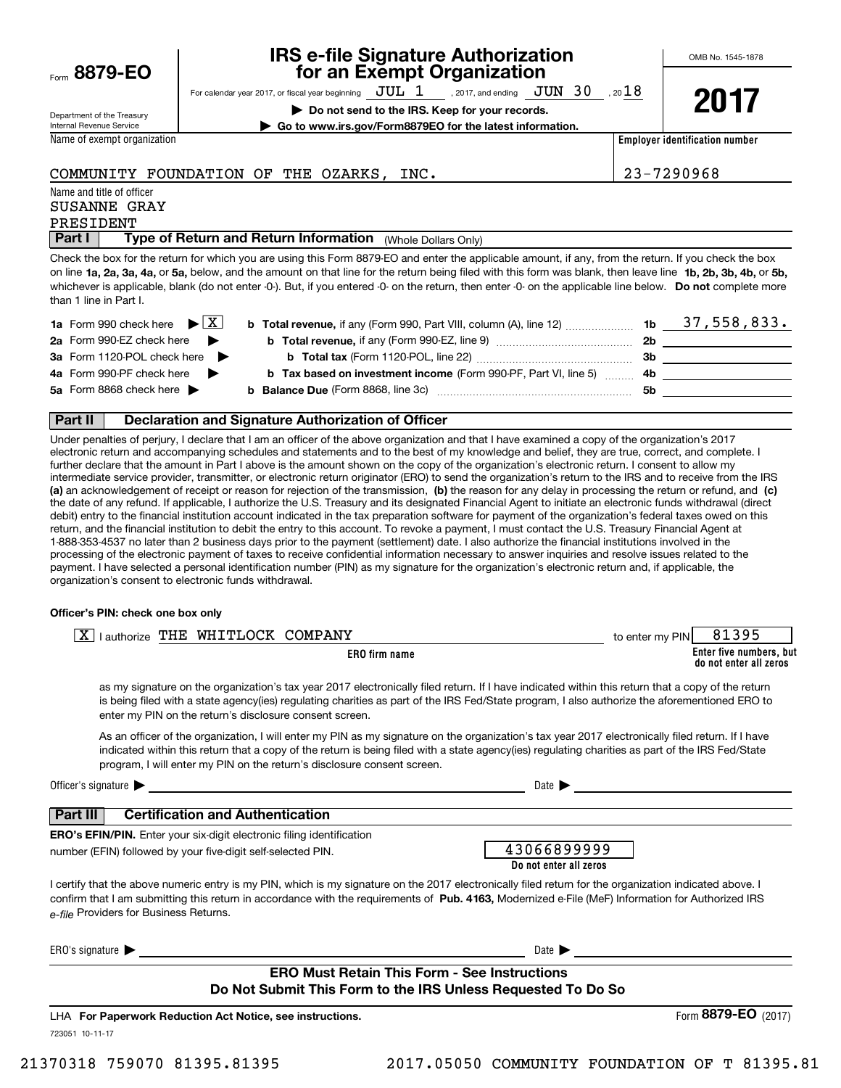| Form $8879 - EO$ |  |  |
|------------------|--|--|
|                  |  |  |

# **IRS e-file Signature Authorization for an Exempt Organization**

For calendar year 2017, or fiscal year beginning  $\frac{\text{JUL}}{\text{DQ K}}$  , 2017, and ending  $\frac{\text{JUN}}{\text{DQ K}}$  , 20 $\frac{18}{100}$ 

**| Do not send to the IRS. Keep for your records.**

**2017**

Department of the Treasury Internal Revenue Service

Name of exempt organization

**Employer identification number | Go to www.irs.gov/Form8879EO for the latest information.**

### COMMUNITY FOUNDATION OF THE OZARKS, INC. 23-7290968

Name and title of officer

## PRESIDENT SUSANNE GRAY

**Part I | Type of Return and Return Information** (Whole Dollars Only)<br>Check the box for the return for which you are using this Form 8879-FO and enter the an

on line **1a, 2a, 3a, 4a,** or **5a,** below, and the amount on that line for the return being filed with this form was blank, then leave line **1b, 2b, 3b, 4b,** or **5b,** whichever is applicable, blank (do not enter -0-). But, if you entered -0- on the return, then enter -0- on the applicable line below. **Do not** complete more Check the box for the return for which you are using this Form 8879-EO and enter the applicable amount, if any, from the return. If you check the box than 1 line in Part I.

| <b>1a</b> Form 990 check here $\blacktriangleright \boxed{X}$ | <b>b Total revenue,</b> if any (Form 990, Part VIII, column (A), line 12) |     | $1b$ 37,558,833. |
|---------------------------------------------------------------|---------------------------------------------------------------------------|-----|------------------|
| 2a Form 990-EZ check here $\blacktriangleright$               | <b>b</b> Total revenue, if any (Form 990-EZ, line 9)                      | 2b  |                  |
| <b>3a</b> Form 1120-POL check here ▶                          |                                                                           | -3b |                  |
| 4a Form 990-PF check here $\blacktriangleright$               | <b>b</b> Tax based on investment income (Form 990-PF, Part VI, line 5) 4b |     |                  |
| 5a Form 8868 check here $\blacktriangleright$                 |                                                                           | 5b  |                  |
|                                                               |                                                                           |     |                  |

### **Part II Declaration and Signature Authorization of Officer**

**(a)** an acknowledgement of receipt or reason for rejection of the transmission, (b) the reason for any delay in processing the return or refund, and (c) Under penalties of perjury, I declare that I am an officer of the above organization and that I have examined a copy of the organization's 2017 electronic return and accompanying schedules and statements and to the best of my knowledge and belief, they are true, correct, and complete. I further declare that the amount in Part I above is the amount shown on the copy of the organization's electronic return. I consent to allow my intermediate service provider, transmitter, or electronic return originator (ERO) to send the organization's return to the IRS and to receive from the IRS the date of any refund. If applicable, I authorize the U.S. Treasury and its designated Financial Agent to initiate an electronic funds withdrawal (direct debit) entry to the financial institution account indicated in the tax preparation software for payment of the organization's federal taxes owed on this return, and the financial institution to debit the entry to this account. To revoke a payment, I must contact the U.S. Treasury Financial Agent at 1-888-353-4537 no later than 2 business days prior to the payment (settlement) date. I also authorize the financial institutions involved in the processing of the electronic payment of taxes to receive confidential information necessary to answer inquiries and resolve issues related to the payment. I have selected a personal identification number (PIN) as my signature for the organization's electronic return and, if applicable, the organization's consent to electronic funds withdrawal.

### **Officer's PIN: check one box only**

| lauthorize THE WHITLOCK COMPANY                                                                                                                                                                                                                                                                                                                                                  | 81395<br>to enter my PIN                          |
|----------------------------------------------------------------------------------------------------------------------------------------------------------------------------------------------------------------------------------------------------------------------------------------------------------------------------------------------------------------------------------|---------------------------------------------------|
| <b>ERO</b> firm name                                                                                                                                                                                                                                                                                                                                                             | Enter five numbers, but<br>do not enter all zeros |
| as my signature on the organization's tax year 2017 electronically filed return. If I have indicated within this return that a copy of the return<br>is being filed with a state agency(ies) regulating charities as part of the IRS Fed/State program, I also authorize the aforementioned ERO to<br>enter my PIN on the return's disclosure consent screen.                    |                                                   |
| As an officer of the organization, I will enter my PIN as my signature on the organization's tax year 2017 electronically filed return. If I have<br>indicated within this return that a copy of the return is being filed with a state agency(ies) regulating charities as part of the IRS Fed/State<br>program, I will enter my PIN on the return's disclosure consent screen. |                                                   |
| Officer's signature $\blacktriangleright$<br><u> 1980 - Andrea Andrew Maria (h. 1980).</u>                                                                                                                                                                                                                                                                                       | Date $\blacktriangleright$                        |
| <b>Part III</b><br><b>Certification and Authentication</b>                                                                                                                                                                                                                                                                                                                       |                                                   |
| <b>ERO's EFIN/PIN.</b> Enter your six-digit electronic filing identification                                                                                                                                                                                                                                                                                                     |                                                   |
| number (EFIN) followed by your five-digit self-selected PIN.                                                                                                                                                                                                                                                                                                                     | 43066899999<br>Do not enter all zeros             |
| I certify that the above numeric entry is my PIN, which is my signature on the 2017 electronically filed return for the organization indicated above. I<br>confirm that I am submitting this return in accordance with the requirements of Pub. 4163, Modernized e-File (MeF) Information for Authorized IRS<br>e-file Providers for Business Returns.                           |                                                   |
| ERO's signature $\blacktriangleright$                                                                                                                                                                                                                                                                                                                                            | Date $\blacktriangleright$                        |
| <b>ERO Must Retain This Form - See Instructions</b>                                                                                                                                                                                                                                                                                                                              |                                                   |
| Do Not Submit This Form to the IRS Unless Requested To Do So                                                                                                                                                                                                                                                                                                                     |                                                   |
| LHA For Paperwork Reduction Act Notice, see instructions.                                                                                                                                                                                                                                                                                                                        | Form 8879-EO (2017)                               |
| 723051 10-11-17                                                                                                                                                                                                                                                                                                                                                                  |                                                   |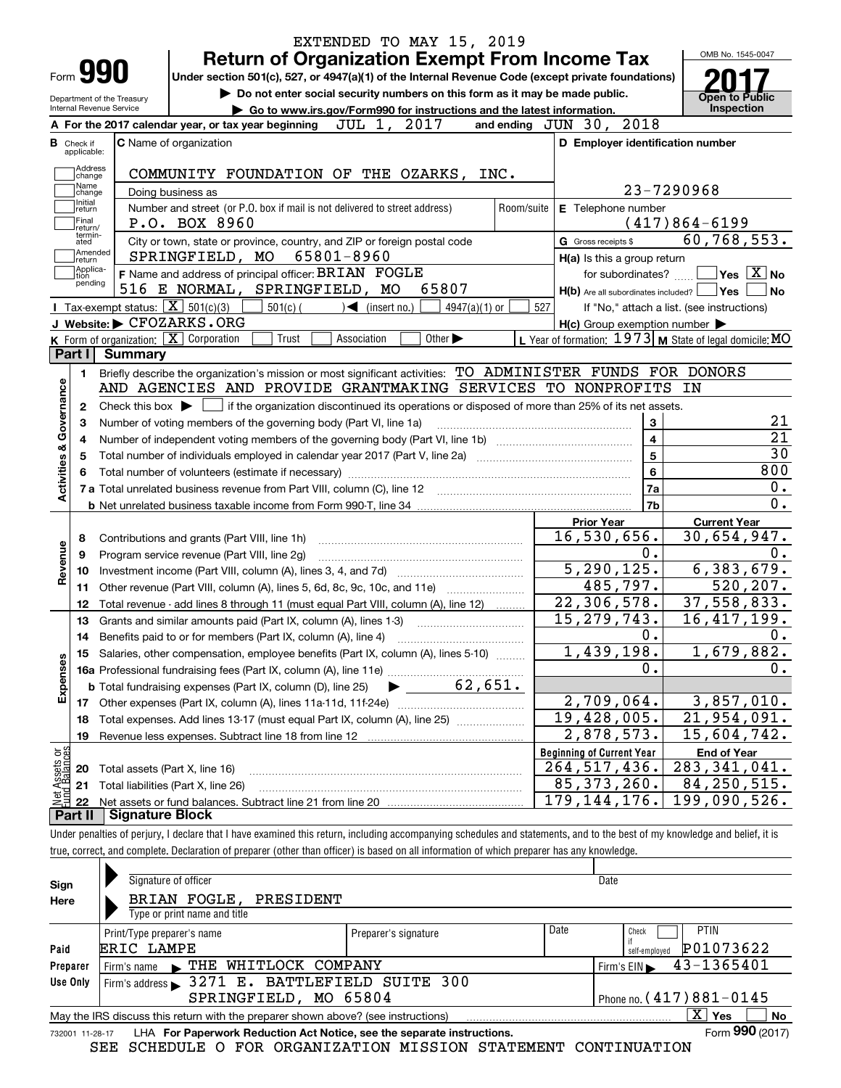| <b>Return of Organization Exempt From Income Tax</b><br>Form <b>990</b><br>Under section 501(c), 527, or 4947(a)(1) of the Internal Revenue Code (except private foundations)<br>Do not enter social security numbers on this form as it may be made public.<br><b>Open to Public</b><br>Department of the Treasury<br>Inspection<br>Internal Revenue Service<br>Go to www.irs.gov/Form990 for instructions and the latest information.<br>JUL 1, 2017<br>2018<br>A For the 2017 calendar year, or tax year beginning<br>and ending $JUN$ $30$ ,<br>D Employer identification number<br><b>C</b> Name of organization<br><b>B</b> Check if<br>applicable:<br>Address<br>COMMUNITY FOUNDATION OF THE OZARKS,<br>INC.<br>change<br>Name<br>23-7290968<br>Doing business as<br>change<br>  Initial<br>Number and street (or P.O. box if mail is not delivered to street address)<br>Room/suite<br>E Telephone number<br>return<br>Final<br>$(417)864-6199$<br>P.O. BOX 8960<br>return/<br>termin-<br>60,768,553.<br>City or town, state or province, country, and ZIP or foreign postal code<br>G Gross receipts \$<br>ated<br>Amended<br>SPRINGFIELD, MO 65801-8960<br>H(a) Is this a group return<br>return<br>Applica-<br>F Name and address of principal officer: BRIAN FOGLE<br>$\blacksquare$ Yes $\lceil$ $\overline{\mathrm{X}}\rceil$ No<br>for subordinates?<br>tion<br>pending<br>516 E NORMAL, SPRINGFIELD, MO<br>65807<br>$H(b)$ Are all subordinates included? $\Box$ Yes<br>No<br>Tax-exempt status: $\boxed{\mathbf{X}}$ 501(c)(3)<br>$501(c)$ $\left(\right)$ $\left(\right)$ (insert no.)<br>$4947(a)(1)$ or<br>527<br>If "No," attach a list. (see instructions)<br>J Website: CFOZARKS.ORG<br>$H(c)$ Group exemption number $\blacktriangleright$<br>K Form of organization: X Corporation<br>Other $\blacktriangleright$<br>L Year of formation: $1973$ M State of legal domicile: MO<br>Trust<br>Association<br>Part I<br><b>Summary</b><br>Briefly describe the organization's mission or most significant activities: TO ADMINISTER FUNDS FOR DONORS<br>1.<br>Governance<br>AND AGENCIES AND PROVIDE GRANTMAKING SERVICES TO NONPROFITS IN<br>Check this box $\blacktriangleright$<br>if the organization discontinued its operations or disposed of more than 25% of its net assets.<br>2<br>21<br>$\mathbf{3}$<br>Number of voting members of the governing body (Part VI, line 1a)<br>з<br>$\overline{21}$<br>4<br>4<br><b>Activities &amp;</b><br>$\overline{30}$<br>5<br>5<br>800<br>6<br>6<br>0.<br>7 a Total unrelated business revenue from Part VIII, column (C), line 12<br>7a<br>$\overline{0}$ .<br>7b<br><b>Prior Year</b><br><b>Current Year</b><br>30,654,947.<br>16,530,656.<br>Contributions and grants (Part VIII, line 1h)<br>8<br>Revenue<br>О.<br>0.<br>Program service revenue (Part VIII, line 2g)<br>9<br>5, 290, 125.<br>6,383,679.<br>10<br>$\overline{520}$ , 207.<br>485,797.<br>Other revenue (Part VIII, column (A), lines 5, 6d, 8c, 9c, 10c, and 11e)<br>11<br>22,306,578.<br>37,558,833.<br>Total revenue - add lines 8 through 11 (must equal Part VIII, column (A), line 12)<br>12<br>15, 279, 743.<br>16, 417, 199.<br>Grants and similar amounts paid (Part IX, column (A), lines 1-3)<br>13<br>0.<br>0.<br>Benefits paid to or for members (Part IX, column (A), line 4)<br>14<br>1,439,198.<br>1,679,882.<br>Salaries, other compensation, employee benefits (Part IX, column (A), lines 5-10)<br>15<br>Expenses<br>о.<br>0.<br>2,709,064.<br>3,857,010.<br>17<br>19,428,005.<br>21,954,091.<br>Total expenses. Add lines 13-17 (must equal Part IX, column (A), line 25)<br>18<br>15,604,742.<br>2,878,573.<br>19<br>: Assets or<br>d Balances<br><b>Beginning of Current Year</b><br><b>End of Year</b><br>283, 341, 041.<br>264, 517, 436.<br>Total assets (Part X, line 16)<br>20<br>85,373,260.<br>84,250,515.<br>Total liabilities (Part X, line 26)<br>21<br>199,090,526.<br>179, 144, 176.<br>22<br><b>Signature Block</b><br>Part II<br>Under penalties of perjury, I declare that I have examined this return, including accompanying schedules and statements, and to the best of my knowledge and belief, it is<br>true, correct, and complete. Declaration of preparer (other than officer) is based on all information of which preparer has any knowledge. |  | EXTENDED TO MAY 15, 2019 | OMB No. 1545-0047 |
|---------------------------------------------------------------------------------------------------------------------------------------------------------------------------------------------------------------------------------------------------------------------------------------------------------------------------------------------------------------------------------------------------------------------------------------------------------------------------------------------------------------------------------------------------------------------------------------------------------------------------------------------------------------------------------------------------------------------------------------------------------------------------------------------------------------------------------------------------------------------------------------------------------------------------------------------------------------------------------------------------------------------------------------------------------------------------------------------------------------------------------------------------------------------------------------------------------------------------------------------------------------------------------------------------------------------------------------------------------------------------------------------------------------------------------------------------------------------------------------------------------------------------------------------------------------------------------------------------------------------------------------------------------------------------------------------------------------------------------------------------------------------------------------------------------------------------------------------------------------------------------------------------------------------------------------------------------------------------------------------------------------------------------------------------------------------------------------------------------------------------------------------------------------------------------------------------------------------------------------------------------------------------------------------------------------------------------------------------------------------------------------------------------------------------------------------------------------------------------------------------------------------------------------------------------------------------------------------------------------------------------------------------------------------------------------------------------------------------------------------------------------------------------------------------------------------------------------------------------------------------------------------------------------------------------------------------------------------------------------------------------------------------------------------------------------------------------------------------------------------------------------------------------------------------------------------------------------------------------------------------------------------------------------------------------------------------------------------------------------------------------------------------------------------------------------------------------------------------------------------------------------------------------------------------------------------------------------------------------------------------------------------------------------------------------------------------------------------------------------------------------------------------------------------------------------------------------------------------------------------------------------------------------------------------------------------------------------------------------------------------------------------------------------------------------------------------------------------------------------------------------------------------------------------------------------------------------------------------------------------------------------------------------------------------------------------------------------|--|--------------------------|-------------------|
|                                                                                                                                                                                                                                                                                                                                                                                                                                                                                                                                                                                                                                                                                                                                                                                                                                                                                                                                                                                                                                                                                                                                                                                                                                                                                                                                                                                                                                                                                                                                                                                                                                                                                                                                                                                                                                                                                                                                                                                                                                                                                                                                                                                                                                                                                                                                                                                                                                                                                                                                                                                                                                                                                                                                                                                                                                                                                                                                                                                                                                                                                                                                                                                                                                                                                                                                                                                                                                                                                                                                                                                                                                                                                                                                                                                                                                                                                                                                                                                                                                                                                                                                                                                                                                                                                                                                       |  |                          |                   |
|                                                                                                                                                                                                                                                                                                                                                                                                                                                                                                                                                                                                                                                                                                                                                                                                                                                                                                                                                                                                                                                                                                                                                                                                                                                                                                                                                                                                                                                                                                                                                                                                                                                                                                                                                                                                                                                                                                                                                                                                                                                                                                                                                                                                                                                                                                                                                                                                                                                                                                                                                                                                                                                                                                                                                                                                                                                                                                                                                                                                                                                                                                                                                                                                                                                                                                                                                                                                                                                                                                                                                                                                                                                                                                                                                                                                                                                                                                                                                                                                                                                                                                                                                                                                                                                                                                                                       |  |                          |                   |
|                                                                                                                                                                                                                                                                                                                                                                                                                                                                                                                                                                                                                                                                                                                                                                                                                                                                                                                                                                                                                                                                                                                                                                                                                                                                                                                                                                                                                                                                                                                                                                                                                                                                                                                                                                                                                                                                                                                                                                                                                                                                                                                                                                                                                                                                                                                                                                                                                                                                                                                                                                                                                                                                                                                                                                                                                                                                                                                                                                                                                                                                                                                                                                                                                                                                                                                                                                                                                                                                                                                                                                                                                                                                                                                                                                                                                                                                                                                                                                                                                                                                                                                                                                                                                                                                                                                                       |  |                          |                   |
|                                                                                                                                                                                                                                                                                                                                                                                                                                                                                                                                                                                                                                                                                                                                                                                                                                                                                                                                                                                                                                                                                                                                                                                                                                                                                                                                                                                                                                                                                                                                                                                                                                                                                                                                                                                                                                                                                                                                                                                                                                                                                                                                                                                                                                                                                                                                                                                                                                                                                                                                                                                                                                                                                                                                                                                                                                                                                                                                                                                                                                                                                                                                                                                                                                                                                                                                                                                                                                                                                                                                                                                                                                                                                                                                                                                                                                                                                                                                                                                                                                                                                                                                                                                                                                                                                                                                       |  |                          |                   |
|                                                                                                                                                                                                                                                                                                                                                                                                                                                                                                                                                                                                                                                                                                                                                                                                                                                                                                                                                                                                                                                                                                                                                                                                                                                                                                                                                                                                                                                                                                                                                                                                                                                                                                                                                                                                                                                                                                                                                                                                                                                                                                                                                                                                                                                                                                                                                                                                                                                                                                                                                                                                                                                                                                                                                                                                                                                                                                                                                                                                                                                                                                                                                                                                                                                                                                                                                                                                                                                                                                                                                                                                                                                                                                                                                                                                                                                                                                                                                                                                                                                                                                                                                                                                                                                                                                                                       |  |                          |                   |
|                                                                                                                                                                                                                                                                                                                                                                                                                                                                                                                                                                                                                                                                                                                                                                                                                                                                                                                                                                                                                                                                                                                                                                                                                                                                                                                                                                                                                                                                                                                                                                                                                                                                                                                                                                                                                                                                                                                                                                                                                                                                                                                                                                                                                                                                                                                                                                                                                                                                                                                                                                                                                                                                                                                                                                                                                                                                                                                                                                                                                                                                                                                                                                                                                                                                                                                                                                                                                                                                                                                                                                                                                                                                                                                                                                                                                                                                                                                                                                                                                                                                                                                                                                                                                                                                                                                                       |  |                          |                   |
|                                                                                                                                                                                                                                                                                                                                                                                                                                                                                                                                                                                                                                                                                                                                                                                                                                                                                                                                                                                                                                                                                                                                                                                                                                                                                                                                                                                                                                                                                                                                                                                                                                                                                                                                                                                                                                                                                                                                                                                                                                                                                                                                                                                                                                                                                                                                                                                                                                                                                                                                                                                                                                                                                                                                                                                                                                                                                                                                                                                                                                                                                                                                                                                                                                                                                                                                                                                                                                                                                                                                                                                                                                                                                                                                                                                                                                                                                                                                                                                                                                                                                                                                                                                                                                                                                                                                       |  |                          |                   |
|                                                                                                                                                                                                                                                                                                                                                                                                                                                                                                                                                                                                                                                                                                                                                                                                                                                                                                                                                                                                                                                                                                                                                                                                                                                                                                                                                                                                                                                                                                                                                                                                                                                                                                                                                                                                                                                                                                                                                                                                                                                                                                                                                                                                                                                                                                                                                                                                                                                                                                                                                                                                                                                                                                                                                                                                                                                                                                                                                                                                                                                                                                                                                                                                                                                                                                                                                                                                                                                                                                                                                                                                                                                                                                                                                                                                                                                                                                                                                                                                                                                                                                                                                                                                                                                                                                                                       |  |                          |                   |
|                                                                                                                                                                                                                                                                                                                                                                                                                                                                                                                                                                                                                                                                                                                                                                                                                                                                                                                                                                                                                                                                                                                                                                                                                                                                                                                                                                                                                                                                                                                                                                                                                                                                                                                                                                                                                                                                                                                                                                                                                                                                                                                                                                                                                                                                                                                                                                                                                                                                                                                                                                                                                                                                                                                                                                                                                                                                                                                                                                                                                                                                                                                                                                                                                                                                                                                                                                                                                                                                                                                                                                                                                                                                                                                                                                                                                                                                                                                                                                                                                                                                                                                                                                                                                                                                                                                                       |  |                          |                   |
|                                                                                                                                                                                                                                                                                                                                                                                                                                                                                                                                                                                                                                                                                                                                                                                                                                                                                                                                                                                                                                                                                                                                                                                                                                                                                                                                                                                                                                                                                                                                                                                                                                                                                                                                                                                                                                                                                                                                                                                                                                                                                                                                                                                                                                                                                                                                                                                                                                                                                                                                                                                                                                                                                                                                                                                                                                                                                                                                                                                                                                                                                                                                                                                                                                                                                                                                                                                                                                                                                                                                                                                                                                                                                                                                                                                                                                                                                                                                                                                                                                                                                                                                                                                                                                                                                                                                       |  |                          |                   |
|                                                                                                                                                                                                                                                                                                                                                                                                                                                                                                                                                                                                                                                                                                                                                                                                                                                                                                                                                                                                                                                                                                                                                                                                                                                                                                                                                                                                                                                                                                                                                                                                                                                                                                                                                                                                                                                                                                                                                                                                                                                                                                                                                                                                                                                                                                                                                                                                                                                                                                                                                                                                                                                                                                                                                                                                                                                                                                                                                                                                                                                                                                                                                                                                                                                                                                                                                                                                                                                                                                                                                                                                                                                                                                                                                                                                                                                                                                                                                                                                                                                                                                                                                                                                                                                                                                                                       |  |                          |                   |
|                                                                                                                                                                                                                                                                                                                                                                                                                                                                                                                                                                                                                                                                                                                                                                                                                                                                                                                                                                                                                                                                                                                                                                                                                                                                                                                                                                                                                                                                                                                                                                                                                                                                                                                                                                                                                                                                                                                                                                                                                                                                                                                                                                                                                                                                                                                                                                                                                                                                                                                                                                                                                                                                                                                                                                                                                                                                                                                                                                                                                                                                                                                                                                                                                                                                                                                                                                                                                                                                                                                                                                                                                                                                                                                                                                                                                                                                                                                                                                                                                                                                                                                                                                                                                                                                                                                                       |  |                          |                   |
|                                                                                                                                                                                                                                                                                                                                                                                                                                                                                                                                                                                                                                                                                                                                                                                                                                                                                                                                                                                                                                                                                                                                                                                                                                                                                                                                                                                                                                                                                                                                                                                                                                                                                                                                                                                                                                                                                                                                                                                                                                                                                                                                                                                                                                                                                                                                                                                                                                                                                                                                                                                                                                                                                                                                                                                                                                                                                                                                                                                                                                                                                                                                                                                                                                                                                                                                                                                                                                                                                                                                                                                                                                                                                                                                                                                                                                                                                                                                                                                                                                                                                                                                                                                                                                                                                                                                       |  |                          |                   |
|                                                                                                                                                                                                                                                                                                                                                                                                                                                                                                                                                                                                                                                                                                                                                                                                                                                                                                                                                                                                                                                                                                                                                                                                                                                                                                                                                                                                                                                                                                                                                                                                                                                                                                                                                                                                                                                                                                                                                                                                                                                                                                                                                                                                                                                                                                                                                                                                                                                                                                                                                                                                                                                                                                                                                                                                                                                                                                                                                                                                                                                                                                                                                                                                                                                                                                                                                                                                                                                                                                                                                                                                                                                                                                                                                                                                                                                                                                                                                                                                                                                                                                                                                                                                                                                                                                                                       |  |                          |                   |
|                                                                                                                                                                                                                                                                                                                                                                                                                                                                                                                                                                                                                                                                                                                                                                                                                                                                                                                                                                                                                                                                                                                                                                                                                                                                                                                                                                                                                                                                                                                                                                                                                                                                                                                                                                                                                                                                                                                                                                                                                                                                                                                                                                                                                                                                                                                                                                                                                                                                                                                                                                                                                                                                                                                                                                                                                                                                                                                                                                                                                                                                                                                                                                                                                                                                                                                                                                                                                                                                                                                                                                                                                                                                                                                                                                                                                                                                                                                                                                                                                                                                                                                                                                                                                                                                                                                                       |  |                          |                   |
|                                                                                                                                                                                                                                                                                                                                                                                                                                                                                                                                                                                                                                                                                                                                                                                                                                                                                                                                                                                                                                                                                                                                                                                                                                                                                                                                                                                                                                                                                                                                                                                                                                                                                                                                                                                                                                                                                                                                                                                                                                                                                                                                                                                                                                                                                                                                                                                                                                                                                                                                                                                                                                                                                                                                                                                                                                                                                                                                                                                                                                                                                                                                                                                                                                                                                                                                                                                                                                                                                                                                                                                                                                                                                                                                                                                                                                                                                                                                                                                                                                                                                                                                                                                                                                                                                                                                       |  |                          |                   |
|                                                                                                                                                                                                                                                                                                                                                                                                                                                                                                                                                                                                                                                                                                                                                                                                                                                                                                                                                                                                                                                                                                                                                                                                                                                                                                                                                                                                                                                                                                                                                                                                                                                                                                                                                                                                                                                                                                                                                                                                                                                                                                                                                                                                                                                                                                                                                                                                                                                                                                                                                                                                                                                                                                                                                                                                                                                                                                                                                                                                                                                                                                                                                                                                                                                                                                                                                                                                                                                                                                                                                                                                                                                                                                                                                                                                                                                                                                                                                                                                                                                                                                                                                                                                                                                                                                                                       |  |                          |                   |
|                                                                                                                                                                                                                                                                                                                                                                                                                                                                                                                                                                                                                                                                                                                                                                                                                                                                                                                                                                                                                                                                                                                                                                                                                                                                                                                                                                                                                                                                                                                                                                                                                                                                                                                                                                                                                                                                                                                                                                                                                                                                                                                                                                                                                                                                                                                                                                                                                                                                                                                                                                                                                                                                                                                                                                                                                                                                                                                                                                                                                                                                                                                                                                                                                                                                                                                                                                                                                                                                                                                                                                                                                                                                                                                                                                                                                                                                                                                                                                                                                                                                                                                                                                                                                                                                                                                                       |  |                          |                   |
|                                                                                                                                                                                                                                                                                                                                                                                                                                                                                                                                                                                                                                                                                                                                                                                                                                                                                                                                                                                                                                                                                                                                                                                                                                                                                                                                                                                                                                                                                                                                                                                                                                                                                                                                                                                                                                                                                                                                                                                                                                                                                                                                                                                                                                                                                                                                                                                                                                                                                                                                                                                                                                                                                                                                                                                                                                                                                                                                                                                                                                                                                                                                                                                                                                                                                                                                                                                                                                                                                                                                                                                                                                                                                                                                                                                                                                                                                                                                                                                                                                                                                                                                                                                                                                                                                                                                       |  |                          |                   |
|                                                                                                                                                                                                                                                                                                                                                                                                                                                                                                                                                                                                                                                                                                                                                                                                                                                                                                                                                                                                                                                                                                                                                                                                                                                                                                                                                                                                                                                                                                                                                                                                                                                                                                                                                                                                                                                                                                                                                                                                                                                                                                                                                                                                                                                                                                                                                                                                                                                                                                                                                                                                                                                                                                                                                                                                                                                                                                                                                                                                                                                                                                                                                                                                                                                                                                                                                                                                                                                                                                                                                                                                                                                                                                                                                                                                                                                                                                                                                                                                                                                                                                                                                                                                                                                                                                                                       |  |                          |                   |
|                                                                                                                                                                                                                                                                                                                                                                                                                                                                                                                                                                                                                                                                                                                                                                                                                                                                                                                                                                                                                                                                                                                                                                                                                                                                                                                                                                                                                                                                                                                                                                                                                                                                                                                                                                                                                                                                                                                                                                                                                                                                                                                                                                                                                                                                                                                                                                                                                                                                                                                                                                                                                                                                                                                                                                                                                                                                                                                                                                                                                                                                                                                                                                                                                                                                                                                                                                                                                                                                                                                                                                                                                                                                                                                                                                                                                                                                                                                                                                                                                                                                                                                                                                                                                                                                                                                                       |  |                          |                   |
|                                                                                                                                                                                                                                                                                                                                                                                                                                                                                                                                                                                                                                                                                                                                                                                                                                                                                                                                                                                                                                                                                                                                                                                                                                                                                                                                                                                                                                                                                                                                                                                                                                                                                                                                                                                                                                                                                                                                                                                                                                                                                                                                                                                                                                                                                                                                                                                                                                                                                                                                                                                                                                                                                                                                                                                                                                                                                                                                                                                                                                                                                                                                                                                                                                                                                                                                                                                                                                                                                                                                                                                                                                                                                                                                                                                                                                                                                                                                                                                                                                                                                                                                                                                                                                                                                                                                       |  |                          |                   |
|                                                                                                                                                                                                                                                                                                                                                                                                                                                                                                                                                                                                                                                                                                                                                                                                                                                                                                                                                                                                                                                                                                                                                                                                                                                                                                                                                                                                                                                                                                                                                                                                                                                                                                                                                                                                                                                                                                                                                                                                                                                                                                                                                                                                                                                                                                                                                                                                                                                                                                                                                                                                                                                                                                                                                                                                                                                                                                                                                                                                                                                                                                                                                                                                                                                                                                                                                                                                                                                                                                                                                                                                                                                                                                                                                                                                                                                                                                                                                                                                                                                                                                                                                                                                                                                                                                                                       |  |                          |                   |
|                                                                                                                                                                                                                                                                                                                                                                                                                                                                                                                                                                                                                                                                                                                                                                                                                                                                                                                                                                                                                                                                                                                                                                                                                                                                                                                                                                                                                                                                                                                                                                                                                                                                                                                                                                                                                                                                                                                                                                                                                                                                                                                                                                                                                                                                                                                                                                                                                                                                                                                                                                                                                                                                                                                                                                                                                                                                                                                                                                                                                                                                                                                                                                                                                                                                                                                                                                                                                                                                                                                                                                                                                                                                                                                                                                                                                                                                                                                                                                                                                                                                                                                                                                                                                                                                                                                                       |  |                          |                   |
|                                                                                                                                                                                                                                                                                                                                                                                                                                                                                                                                                                                                                                                                                                                                                                                                                                                                                                                                                                                                                                                                                                                                                                                                                                                                                                                                                                                                                                                                                                                                                                                                                                                                                                                                                                                                                                                                                                                                                                                                                                                                                                                                                                                                                                                                                                                                                                                                                                                                                                                                                                                                                                                                                                                                                                                                                                                                                                                                                                                                                                                                                                                                                                                                                                                                                                                                                                                                                                                                                                                                                                                                                                                                                                                                                                                                                                                                                                                                                                                                                                                                                                                                                                                                                                                                                                                                       |  |                          |                   |
|                                                                                                                                                                                                                                                                                                                                                                                                                                                                                                                                                                                                                                                                                                                                                                                                                                                                                                                                                                                                                                                                                                                                                                                                                                                                                                                                                                                                                                                                                                                                                                                                                                                                                                                                                                                                                                                                                                                                                                                                                                                                                                                                                                                                                                                                                                                                                                                                                                                                                                                                                                                                                                                                                                                                                                                                                                                                                                                                                                                                                                                                                                                                                                                                                                                                                                                                                                                                                                                                                                                                                                                                                                                                                                                                                                                                                                                                                                                                                                                                                                                                                                                                                                                                                                                                                                                                       |  |                          |                   |
|                                                                                                                                                                                                                                                                                                                                                                                                                                                                                                                                                                                                                                                                                                                                                                                                                                                                                                                                                                                                                                                                                                                                                                                                                                                                                                                                                                                                                                                                                                                                                                                                                                                                                                                                                                                                                                                                                                                                                                                                                                                                                                                                                                                                                                                                                                                                                                                                                                                                                                                                                                                                                                                                                                                                                                                                                                                                                                                                                                                                                                                                                                                                                                                                                                                                                                                                                                                                                                                                                                                                                                                                                                                                                                                                                                                                                                                                                                                                                                                                                                                                                                                                                                                                                                                                                                                                       |  |                          |                   |
|                                                                                                                                                                                                                                                                                                                                                                                                                                                                                                                                                                                                                                                                                                                                                                                                                                                                                                                                                                                                                                                                                                                                                                                                                                                                                                                                                                                                                                                                                                                                                                                                                                                                                                                                                                                                                                                                                                                                                                                                                                                                                                                                                                                                                                                                                                                                                                                                                                                                                                                                                                                                                                                                                                                                                                                                                                                                                                                                                                                                                                                                                                                                                                                                                                                                                                                                                                                                                                                                                                                                                                                                                                                                                                                                                                                                                                                                                                                                                                                                                                                                                                                                                                                                                                                                                                                                       |  |                          |                   |
|                                                                                                                                                                                                                                                                                                                                                                                                                                                                                                                                                                                                                                                                                                                                                                                                                                                                                                                                                                                                                                                                                                                                                                                                                                                                                                                                                                                                                                                                                                                                                                                                                                                                                                                                                                                                                                                                                                                                                                                                                                                                                                                                                                                                                                                                                                                                                                                                                                                                                                                                                                                                                                                                                                                                                                                                                                                                                                                                                                                                                                                                                                                                                                                                                                                                                                                                                                                                                                                                                                                                                                                                                                                                                                                                                                                                                                                                                                                                                                                                                                                                                                                                                                                                                                                                                                                                       |  |                          |                   |
|                                                                                                                                                                                                                                                                                                                                                                                                                                                                                                                                                                                                                                                                                                                                                                                                                                                                                                                                                                                                                                                                                                                                                                                                                                                                                                                                                                                                                                                                                                                                                                                                                                                                                                                                                                                                                                                                                                                                                                                                                                                                                                                                                                                                                                                                                                                                                                                                                                                                                                                                                                                                                                                                                                                                                                                                                                                                                                                                                                                                                                                                                                                                                                                                                                                                                                                                                                                                                                                                                                                                                                                                                                                                                                                                                                                                                                                                                                                                                                                                                                                                                                                                                                                                                                                                                                                                       |  |                          |                   |
|                                                                                                                                                                                                                                                                                                                                                                                                                                                                                                                                                                                                                                                                                                                                                                                                                                                                                                                                                                                                                                                                                                                                                                                                                                                                                                                                                                                                                                                                                                                                                                                                                                                                                                                                                                                                                                                                                                                                                                                                                                                                                                                                                                                                                                                                                                                                                                                                                                                                                                                                                                                                                                                                                                                                                                                                                                                                                                                                                                                                                                                                                                                                                                                                                                                                                                                                                                                                                                                                                                                                                                                                                                                                                                                                                                                                                                                                                                                                                                                                                                                                                                                                                                                                                                                                                                                                       |  |                          |                   |
|                                                                                                                                                                                                                                                                                                                                                                                                                                                                                                                                                                                                                                                                                                                                                                                                                                                                                                                                                                                                                                                                                                                                                                                                                                                                                                                                                                                                                                                                                                                                                                                                                                                                                                                                                                                                                                                                                                                                                                                                                                                                                                                                                                                                                                                                                                                                                                                                                                                                                                                                                                                                                                                                                                                                                                                                                                                                                                                                                                                                                                                                                                                                                                                                                                                                                                                                                                                                                                                                                                                                                                                                                                                                                                                                                                                                                                                                                                                                                                                                                                                                                                                                                                                                                                                                                                                                       |  |                          |                   |
|                                                                                                                                                                                                                                                                                                                                                                                                                                                                                                                                                                                                                                                                                                                                                                                                                                                                                                                                                                                                                                                                                                                                                                                                                                                                                                                                                                                                                                                                                                                                                                                                                                                                                                                                                                                                                                                                                                                                                                                                                                                                                                                                                                                                                                                                                                                                                                                                                                                                                                                                                                                                                                                                                                                                                                                                                                                                                                                                                                                                                                                                                                                                                                                                                                                                                                                                                                                                                                                                                                                                                                                                                                                                                                                                                                                                                                                                                                                                                                                                                                                                                                                                                                                                                                                                                                                                       |  |                          |                   |
|                                                                                                                                                                                                                                                                                                                                                                                                                                                                                                                                                                                                                                                                                                                                                                                                                                                                                                                                                                                                                                                                                                                                                                                                                                                                                                                                                                                                                                                                                                                                                                                                                                                                                                                                                                                                                                                                                                                                                                                                                                                                                                                                                                                                                                                                                                                                                                                                                                                                                                                                                                                                                                                                                                                                                                                                                                                                                                                                                                                                                                                                                                                                                                                                                                                                                                                                                                                                                                                                                                                                                                                                                                                                                                                                                                                                                                                                                                                                                                                                                                                                                                                                                                                                                                                                                                                                       |  |                          |                   |
|                                                                                                                                                                                                                                                                                                                                                                                                                                                                                                                                                                                                                                                                                                                                                                                                                                                                                                                                                                                                                                                                                                                                                                                                                                                                                                                                                                                                                                                                                                                                                                                                                                                                                                                                                                                                                                                                                                                                                                                                                                                                                                                                                                                                                                                                                                                                                                                                                                                                                                                                                                                                                                                                                                                                                                                                                                                                                                                                                                                                                                                                                                                                                                                                                                                                                                                                                                                                                                                                                                                                                                                                                                                                                                                                                                                                                                                                                                                                                                                                                                                                                                                                                                                                                                                                                                                                       |  |                          |                   |
|                                                                                                                                                                                                                                                                                                                                                                                                                                                                                                                                                                                                                                                                                                                                                                                                                                                                                                                                                                                                                                                                                                                                                                                                                                                                                                                                                                                                                                                                                                                                                                                                                                                                                                                                                                                                                                                                                                                                                                                                                                                                                                                                                                                                                                                                                                                                                                                                                                                                                                                                                                                                                                                                                                                                                                                                                                                                                                                                                                                                                                                                                                                                                                                                                                                                                                                                                                                                                                                                                                                                                                                                                                                                                                                                                                                                                                                                                                                                                                                                                                                                                                                                                                                                                                                                                                                                       |  |                          |                   |
|                                                                                                                                                                                                                                                                                                                                                                                                                                                                                                                                                                                                                                                                                                                                                                                                                                                                                                                                                                                                                                                                                                                                                                                                                                                                                                                                                                                                                                                                                                                                                                                                                                                                                                                                                                                                                                                                                                                                                                                                                                                                                                                                                                                                                                                                                                                                                                                                                                                                                                                                                                                                                                                                                                                                                                                                                                                                                                                                                                                                                                                                                                                                                                                                                                                                                                                                                                                                                                                                                                                                                                                                                                                                                                                                                                                                                                                                                                                                                                                                                                                                                                                                                                                                                                                                                                                                       |  |                          |                   |
|                                                                                                                                                                                                                                                                                                                                                                                                                                                                                                                                                                                                                                                                                                                                                                                                                                                                                                                                                                                                                                                                                                                                                                                                                                                                                                                                                                                                                                                                                                                                                                                                                                                                                                                                                                                                                                                                                                                                                                                                                                                                                                                                                                                                                                                                                                                                                                                                                                                                                                                                                                                                                                                                                                                                                                                                                                                                                                                                                                                                                                                                                                                                                                                                                                                                                                                                                                                                                                                                                                                                                                                                                                                                                                                                                                                                                                                                                                                                                                                                                                                                                                                                                                                                                                                                                                                                       |  |                          |                   |
|                                                                                                                                                                                                                                                                                                                                                                                                                                                                                                                                                                                                                                                                                                                                                                                                                                                                                                                                                                                                                                                                                                                                                                                                                                                                                                                                                                                                                                                                                                                                                                                                                                                                                                                                                                                                                                                                                                                                                                                                                                                                                                                                                                                                                                                                                                                                                                                                                                                                                                                                                                                                                                                                                                                                                                                                                                                                                                                                                                                                                                                                                                                                                                                                                                                                                                                                                                                                                                                                                                                                                                                                                                                                                                                                                                                                                                                                                                                                                                                                                                                                                                                                                                                                                                                                                                                                       |  |                          |                   |
|                                                                                                                                                                                                                                                                                                                                                                                                                                                                                                                                                                                                                                                                                                                                                                                                                                                                                                                                                                                                                                                                                                                                                                                                                                                                                                                                                                                                                                                                                                                                                                                                                                                                                                                                                                                                                                                                                                                                                                                                                                                                                                                                                                                                                                                                                                                                                                                                                                                                                                                                                                                                                                                                                                                                                                                                                                                                                                                                                                                                                                                                                                                                                                                                                                                                                                                                                                                                                                                                                                                                                                                                                                                                                                                                                                                                                                                                                                                                                                                                                                                                                                                                                                                                                                                                                                                                       |  |                          |                   |
|                                                                                                                                                                                                                                                                                                                                                                                                                                                                                                                                                                                                                                                                                                                                                                                                                                                                                                                                                                                                                                                                                                                                                                                                                                                                                                                                                                                                                                                                                                                                                                                                                                                                                                                                                                                                                                                                                                                                                                                                                                                                                                                                                                                                                                                                                                                                                                                                                                                                                                                                                                                                                                                                                                                                                                                                                                                                                                                                                                                                                                                                                                                                                                                                                                                                                                                                                                                                                                                                                                                                                                                                                                                                                                                                                                                                                                                                                                                                                                                                                                                                                                                                                                                                                                                                                                                                       |  |                          |                   |
|                                                                                                                                                                                                                                                                                                                                                                                                                                                                                                                                                                                                                                                                                                                                                                                                                                                                                                                                                                                                                                                                                                                                                                                                                                                                                                                                                                                                                                                                                                                                                                                                                                                                                                                                                                                                                                                                                                                                                                                                                                                                                                                                                                                                                                                                                                                                                                                                                                                                                                                                                                                                                                                                                                                                                                                                                                                                                                                                                                                                                                                                                                                                                                                                                                                                                                                                                                                                                                                                                                                                                                                                                                                                                                                                                                                                                                                                                                                                                                                                                                                                                                                                                                                                                                                                                                                                       |  |                          |                   |
|                                                                                                                                                                                                                                                                                                                                                                                                                                                                                                                                                                                                                                                                                                                                                                                                                                                                                                                                                                                                                                                                                                                                                                                                                                                                                                                                                                                                                                                                                                                                                                                                                                                                                                                                                                                                                                                                                                                                                                                                                                                                                                                                                                                                                                                                                                                                                                                                                                                                                                                                                                                                                                                                                                                                                                                                                                                                                                                                                                                                                                                                                                                                                                                                                                                                                                                                                                                                                                                                                                                                                                                                                                                                                                                                                                                                                                                                                                                                                                                                                                                                                                                                                                                                                                                                                                                                       |  |                          |                   |
|                                                                                                                                                                                                                                                                                                                                                                                                                                                                                                                                                                                                                                                                                                                                                                                                                                                                                                                                                                                                                                                                                                                                                                                                                                                                                                                                                                                                                                                                                                                                                                                                                                                                                                                                                                                                                                                                                                                                                                                                                                                                                                                                                                                                                                                                                                                                                                                                                                                                                                                                                                                                                                                                                                                                                                                                                                                                                                                                                                                                                                                                                                                                                                                                                                                                                                                                                                                                                                                                                                                                                                                                                                                                                                                                                                                                                                                                                                                                                                                                                                                                                                                                                                                                                                                                                                                                       |  |                          |                   |
|                                                                                                                                                                                                                                                                                                                                                                                                                                                                                                                                                                                                                                                                                                                                                                                                                                                                                                                                                                                                                                                                                                                                                                                                                                                                                                                                                                                                                                                                                                                                                                                                                                                                                                                                                                                                                                                                                                                                                                                                                                                                                                                                                                                                                                                                                                                                                                                                                                                                                                                                                                                                                                                                                                                                                                                                                                                                                                                                                                                                                                                                                                                                                                                                                                                                                                                                                                                                                                                                                                                                                                                                                                                                                                                                                                                                                                                                                                                                                                                                                                                                                                                                                                                                                                                                                                                                       |  |                          |                   |
|                                                                                                                                                                                                                                                                                                                                                                                                                                                                                                                                                                                                                                                                                                                                                                                                                                                                                                                                                                                                                                                                                                                                                                                                                                                                                                                                                                                                                                                                                                                                                                                                                                                                                                                                                                                                                                                                                                                                                                                                                                                                                                                                                                                                                                                                                                                                                                                                                                                                                                                                                                                                                                                                                                                                                                                                                                                                                                                                                                                                                                                                                                                                                                                                                                                                                                                                                                                                                                                                                                                                                                                                                                                                                                                                                                                                                                                                                                                                                                                                                                                                                                                                                                                                                                                                                                                                       |  |                          |                   |
|                                                                                                                                                                                                                                                                                                                                                                                                                                                                                                                                                                                                                                                                                                                                                                                                                                                                                                                                                                                                                                                                                                                                                                                                                                                                                                                                                                                                                                                                                                                                                                                                                                                                                                                                                                                                                                                                                                                                                                                                                                                                                                                                                                                                                                                                                                                                                                                                                                                                                                                                                                                                                                                                                                                                                                                                                                                                                                                                                                                                                                                                                                                                                                                                                                                                                                                                                                                                                                                                                                                                                                                                                                                                                                                                                                                                                                                                                                                                                                                                                                                                                                                                                                                                                                                                                                                                       |  |                          |                   |
|                                                                                                                                                                                                                                                                                                                                                                                                                                                                                                                                                                                                                                                                                                                                                                                                                                                                                                                                                                                                                                                                                                                                                                                                                                                                                                                                                                                                                                                                                                                                                                                                                                                                                                                                                                                                                                                                                                                                                                                                                                                                                                                                                                                                                                                                                                                                                                                                                                                                                                                                                                                                                                                                                                                                                                                                                                                                                                                                                                                                                                                                                                                                                                                                                                                                                                                                                                                                                                                                                                                                                                                                                                                                                                                                                                                                                                                                                                                                                                                                                                                                                                                                                                                                                                                                                                                                       |  |                          |                   |

| Sign            | Signature of officer                                                              |                      |      | Date                       |
|-----------------|-----------------------------------------------------------------------------------|----------------------|------|----------------------------|
| Here            | BRIAN FOGLE,<br>PRESIDENT                                                         |                      |      |                            |
|                 | Type or print name and title                                                      |                      |      |                            |
|                 | Print/Type preparer's name                                                        | Preparer's signature | Date | <b>PTIN</b><br>Check       |
| Paid            | <b>ERIC LAMPE</b>                                                                 |                      |      | P01073622<br>self-emploved |
| Preparer        | THE WHITLOCK COMPANY<br>Firm's name                                               |                      |      | 43-1365401<br>Firm's EIN   |
| Use Only        | Firm's address 3271 E. BATTLEFIELD SUITE 300                                      |                      |      |                            |
|                 | SPRINGFIELD, MO 65804                                                             |                      |      | Phone no. (417) 881-0145   |
|                 | May the IRS discuss this return with the preparer shown above? (see instructions) |                      |      | x<br>No<br>Yes             |
| 732001 11-28-17 | LHA For Paperwork Reduction Act Notice, see the separate instructions.            |                      |      | Form 990 (2017)            |

SEE SCHEDULE O FOR ORGANIZATION MISSION STATEMENT CONTINUATION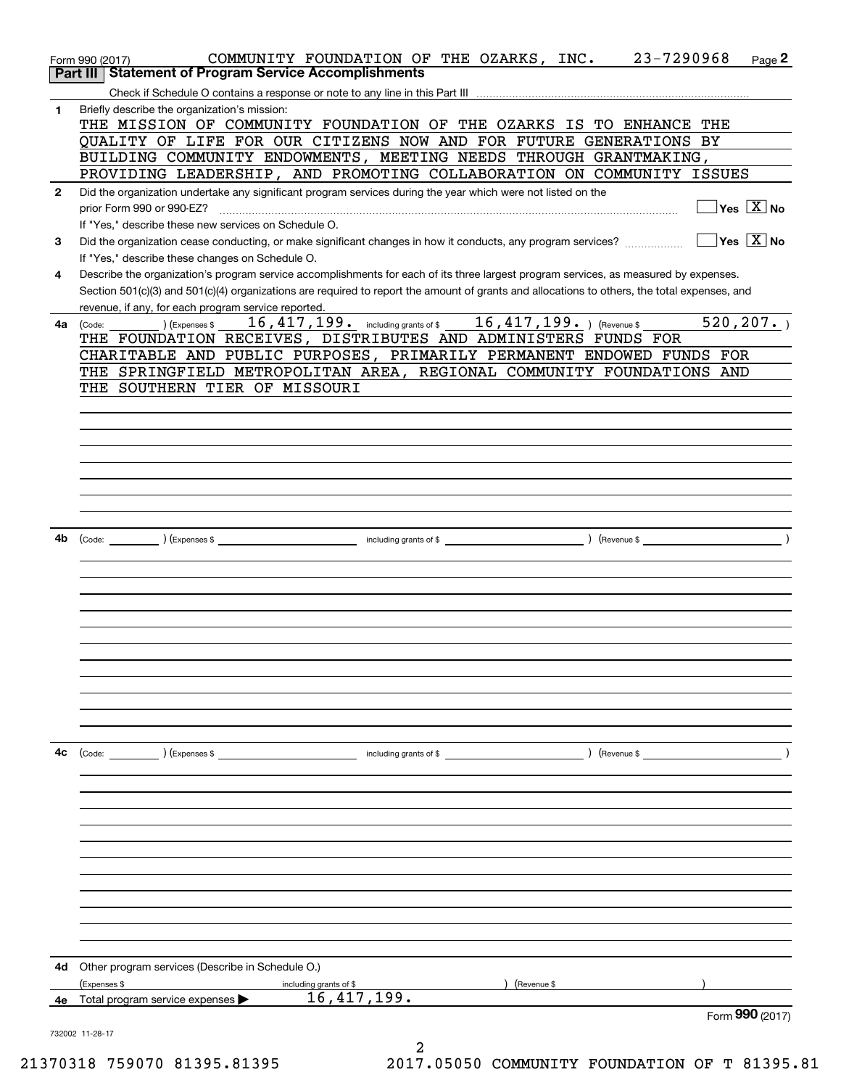|              | 23-7290968<br>COMMUNITY FOUNDATION OF THE OZARKS, INC.<br>Page <sup>2</sup><br>Form 990 (2017)                                                         |
|--------------|--------------------------------------------------------------------------------------------------------------------------------------------------------|
|              | <b>Statement of Program Service Accomplishments</b><br>Part III                                                                                        |
|              |                                                                                                                                                        |
| $\mathbf{1}$ | Briefly describe the organization's mission:<br>THE MISSION OF COMMUNITY FOUNDATION OF THE OZARKS IS TO ENHANCE THE                                    |
|              | QUALITY OF LIFE FOR OUR CITIZENS NOW AND FOR FUTURE GENERATIONS BY                                                                                     |
|              | BUILDING COMMUNITY ENDOWMENTS, MEETING NEEDS THROUGH GRANTMAKING,                                                                                      |
|              | PROVIDING LEADERSHIP, AND PROMOTING COLLABORATION ON COMMUNITY ISSUES                                                                                  |
| $\mathbf{2}$ | Did the organization undertake any significant program services during the year which were not listed on the                                           |
|              | $\overline{\mathsf{Yes} \ \mathbb{X}}$ No<br>prior Form 990 or 990-EZ?                                                                                 |
|              | If "Yes," describe these new services on Schedule O.                                                                                                   |
| 3            | $\sqrt{}$ Yes $\sqrt{}$ X $\sqrt{}$ No<br>Did the organization cease conducting, or make significant changes in how it conducts, any program services? |
|              | If "Yes," describe these changes on Schedule O.                                                                                                        |
| 4            | Describe the organization's program service accomplishments for each of its three largest program services, as measured by expenses.                   |
|              |                                                                                                                                                        |
|              | Section 501(c)(3) and 501(c)(4) organizations are required to report the amount of grants and allocations to others, the total expenses, and           |
|              | revenue, if any, for each program service reported.                                                                                                    |
| 4a           | 16, 417, 199. including grants of \$ 16, 417, 199. ) (Revenue \$<br>520, 207.<br>(Expenses \$<br>(Code:                                                |
|              | THE FOUNDATION RECEIVES, DISTRIBUTES AND ADMINISTERS FUNDS FOR                                                                                         |
|              | CHARITABLE AND PUBLIC PURPOSES, PRIMARILY PERMANENT ENDOWED FUNDS FOR                                                                                  |
|              | THE SPRINGFIELD METROPOLITAN AREA, REGIONAL COMMUNITY FOUNDATIONS AND                                                                                  |
|              | THE SOUTHERN TIER OF MISSOURI                                                                                                                          |
|              |                                                                                                                                                        |
|              |                                                                                                                                                        |
|              |                                                                                                                                                        |
|              |                                                                                                                                                        |
|              |                                                                                                                                                        |
|              |                                                                                                                                                        |
|              |                                                                                                                                                        |
|              |                                                                                                                                                        |
|              |                                                                                                                                                        |
| 4b           |                                                                                                                                                        |
|              |                                                                                                                                                        |
|              |                                                                                                                                                        |
|              |                                                                                                                                                        |
|              |                                                                                                                                                        |
|              |                                                                                                                                                        |
|              |                                                                                                                                                        |
|              |                                                                                                                                                        |
|              |                                                                                                                                                        |
|              |                                                                                                                                                        |
|              |                                                                                                                                                        |
|              |                                                                                                                                                        |
|              |                                                                                                                                                        |
| 4c           | (Code: ) (Expenses \$<br>) (Revenue \$<br>including grants of \$                                                                                       |
|              |                                                                                                                                                        |
|              |                                                                                                                                                        |
|              |                                                                                                                                                        |
|              |                                                                                                                                                        |
|              |                                                                                                                                                        |
|              |                                                                                                                                                        |
|              |                                                                                                                                                        |
|              |                                                                                                                                                        |
|              |                                                                                                                                                        |
|              |                                                                                                                                                        |
|              |                                                                                                                                                        |
|              |                                                                                                                                                        |
|              |                                                                                                                                                        |
| 4d           | Other program services (Describe in Schedule O.)                                                                                                       |
|              | (Expenses \$<br>(Revenue \$<br>including grants of \$                                                                                                  |
|              | 16, 417, 199.<br>4e Total program service expenses $\blacktriangleright$                                                                               |
|              | Form 990 (2017)                                                                                                                                        |
|              | 732002 11-28-17                                                                                                                                        |
|              |                                                                                                                                                        |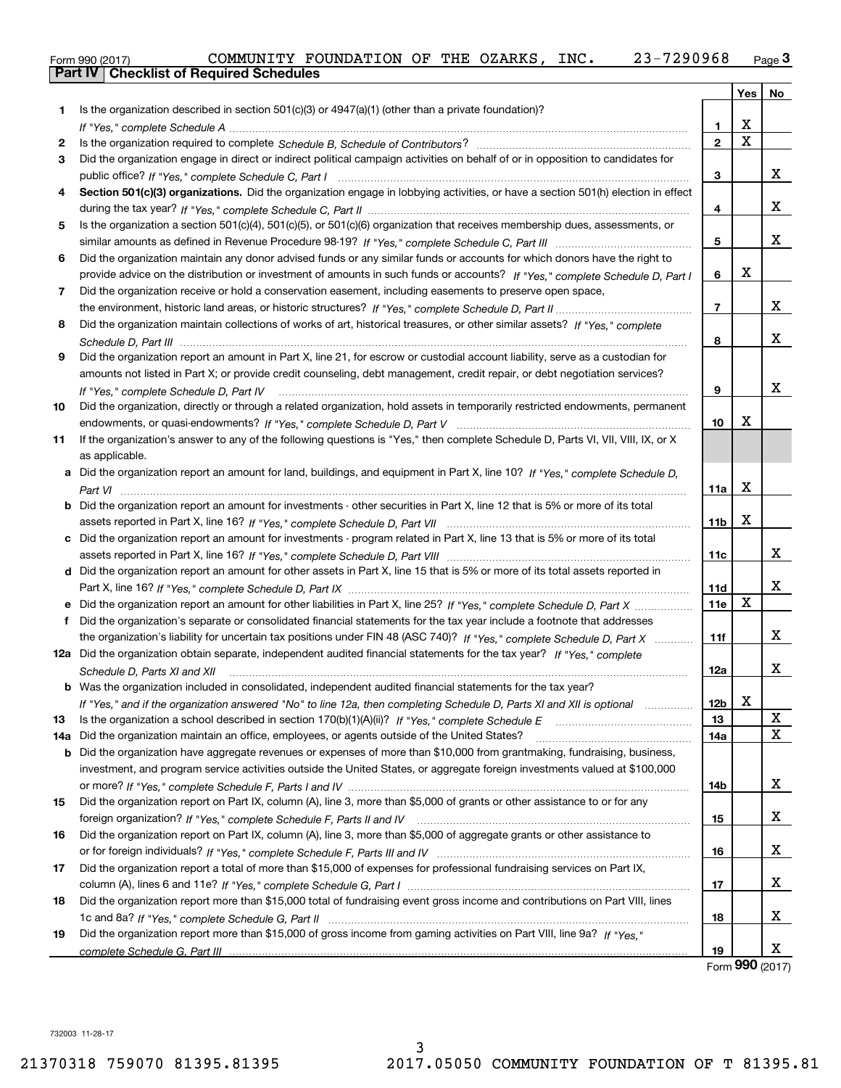| n 990 (2017) |  |
|--------------|--|
|              |  |

|     |                                                                                                                                   |                 | Yes                     | No          |
|-----|-----------------------------------------------------------------------------------------------------------------------------------|-----------------|-------------------------|-------------|
| 1.  | Is the organization described in section $501(c)(3)$ or $4947(a)(1)$ (other than a private foundation)?                           |                 |                         |             |
|     |                                                                                                                                   | 1.              | х                       |             |
| 2   |                                                                                                                                   | $\overline{2}$  | $\overline{\mathtt{x}}$ |             |
| 3   | Did the organization engage in direct or indirect political campaign activities on behalf of or in opposition to candidates for   |                 |                         |             |
|     |                                                                                                                                   | 3               |                         | x           |
| 4   | Section 501(c)(3) organizations. Did the organization engage in lobbying activities, or have a section 501(h) election in effect  |                 |                         |             |
|     |                                                                                                                                   | 4               |                         | x           |
| 5   | Is the organization a section 501(c)(4), 501(c)(5), or 501(c)(6) organization that receives membership dues, assessments, or      |                 |                         |             |
|     |                                                                                                                                   | 5               |                         | x           |
| 6   | Did the organization maintain any donor advised funds or any similar funds or accounts for which donors have the right to         |                 |                         |             |
|     | provide advice on the distribution or investment of amounts in such funds or accounts? If "Yes," complete Schedule D, Part I      | 6               | х                       |             |
| 7   | Did the organization receive or hold a conservation easement, including easements to preserve open space,                         |                 |                         |             |
|     |                                                                                                                                   | 7               |                         | x           |
| 8   | Did the organization maintain collections of works of art, historical treasures, or other similar assets? If "Yes," complete      |                 |                         |             |
|     |                                                                                                                                   | 8               |                         | x           |
| 9   | Did the organization report an amount in Part X, line 21, for escrow or custodial account liability, serve as a custodian for     |                 |                         |             |
|     | amounts not listed in Part X; or provide credit counseling, debt management, credit repair, or debt negotiation services?         |                 |                         |             |
|     | If "Yes," complete Schedule D, Part IV                                                                                            | 9               |                         | x           |
| 10  | Did the organization, directly or through a related organization, hold assets in temporarily restricted endowments, permanent     |                 |                         |             |
|     |                                                                                                                                   | 10              | х                       |             |
| 11  | If the organization's answer to any of the following questions is "Yes," then complete Schedule D, Parts VI, VIII, VIII, IX, or X |                 |                         |             |
|     | as applicable.                                                                                                                    |                 |                         |             |
|     | a Did the organization report an amount for land, buildings, and equipment in Part X, line 10? If "Yes," complete Schedule D,     |                 |                         |             |
|     |                                                                                                                                   | 11a             | х                       |             |
| b   | Did the organization report an amount for investments - other securities in Part X, line 12 that is 5% or more of its total       |                 |                         |             |
|     |                                                                                                                                   | 11 <sub>b</sub> | х                       |             |
|     | c Did the organization report an amount for investments - program related in Part X, line 13 that is 5% or more of its total      |                 |                         |             |
|     |                                                                                                                                   | 11c             |                         | x           |
|     | d Did the organization report an amount for other assets in Part X, line 15 that is 5% or more of its total assets reported in    |                 |                         |             |
|     |                                                                                                                                   | 11d             |                         | x           |
|     |                                                                                                                                   | 11e             | X                       |             |
| f   | Did the organization's separate or consolidated financial statements for the tax year include a footnote that addresses           |                 |                         |             |
|     | the organization's liability for uncertain tax positions under FIN 48 (ASC 740)? If "Yes," complete Schedule D, Part X            | 11f             |                         | x           |
|     | 12a Did the organization obtain separate, independent audited financial statements for the tax year? If "Yes," complete           |                 |                         |             |
|     | Schedule D, Parts XI and XII                                                                                                      | 12a             |                         | x           |
|     | <b>b</b> Was the organization included in consolidated, independent audited financial statements for the tax year?                |                 |                         |             |
|     | If "Yes," and if the organization answered "No" to line 12a, then completing Schedule D, Parts XI and XII is optional manuman     | 12b             | х                       |             |
| 13  |                                                                                                                                   | 13              |                         | X           |
| 14a | Did the organization maintain an office, employees, or agents outside of the United States?                                       | 14a             |                         | $\mathbf x$ |
| b   | Did the organization have aggregate revenues or expenses of more than \$10,000 from grantmaking, fundraising, business,           |                 |                         |             |
|     | investment, and program service activities outside the United States, or aggregate foreign investments valued at \$100,000        |                 |                         |             |
|     |                                                                                                                                   | 14b             |                         | X           |
| 15  | Did the organization report on Part IX, column (A), line 3, more than \$5,000 of grants or other assistance to or for any         |                 |                         |             |
|     |                                                                                                                                   | 15              |                         | x           |
| 16  | Did the organization report on Part IX, column (A), line 3, more than \$5,000 of aggregate grants or other assistance to          |                 |                         |             |
|     |                                                                                                                                   | 16              |                         | x           |
| 17  | Did the organization report a total of more than \$15,000 of expenses for professional fundraising services on Part IX,           |                 |                         |             |
|     |                                                                                                                                   | 17              |                         | x           |
| 18  | Did the organization report more than \$15,000 total of fundraising event gross income and contributions on Part VIII, lines      |                 |                         |             |
|     |                                                                                                                                   | 18              |                         | x           |
| 19  | Did the organization report more than \$15,000 of gross income from gaming activities on Part VIII, line 9a? If "Yes."            |                 |                         |             |
|     |                                                                                                                                   | 19              |                         | X           |

Form (2017) **990**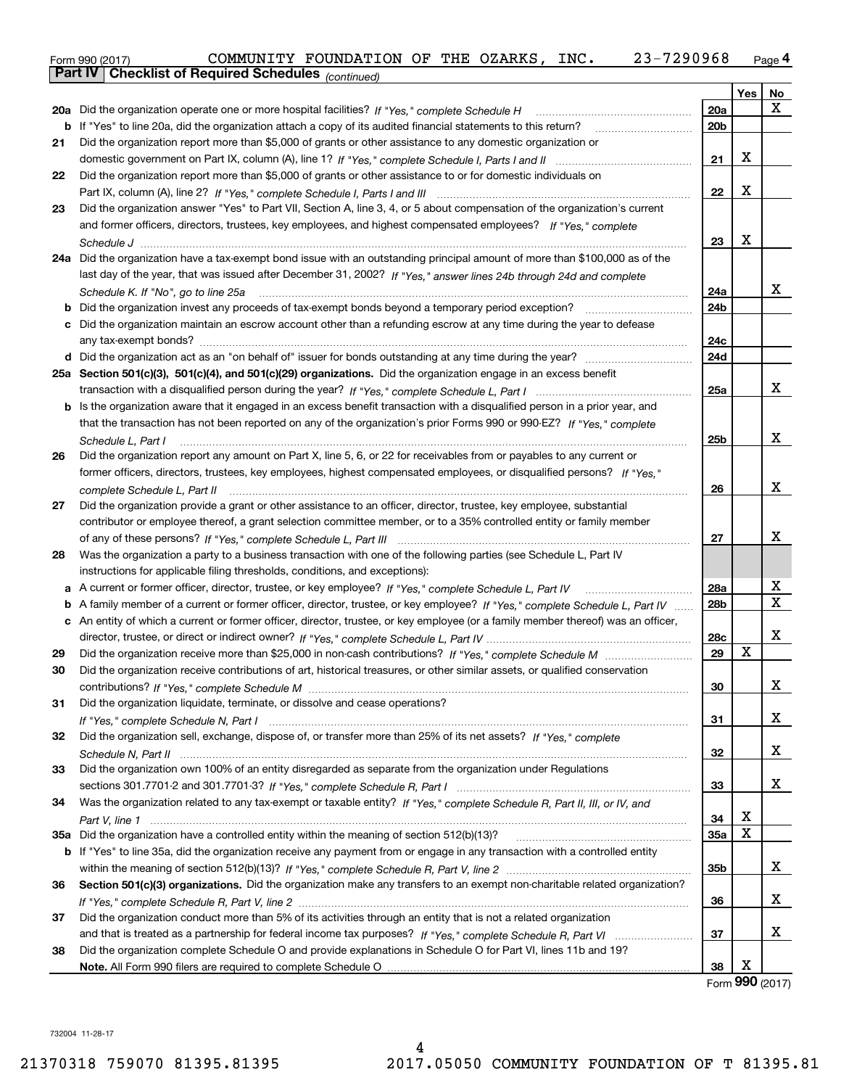| Part IV   Checklist of Required Schedules (continued)<br>Yes<br>No<br>x<br>20a<br>20 <sub>b</sub><br>b If "Yes" to line 20a, did the organization attach a copy of its audited financial statements to this return?<br>.<br>Did the organization report more than \$5,000 of grants or other assistance to any domestic organization or<br>21<br>X<br>21<br>Did the organization report more than \$5,000 of grants or other assistance to or for domestic individuals on<br>22<br>X<br>22<br>Did the organization answer "Yes" to Part VII, Section A, line 3, 4, or 5 about compensation of the organization's current<br>23<br>and former officers, directors, trustees, key employees, and highest compensated employees? If "Yes," complete<br>х<br>23<br>24a Did the organization have a tax-exempt bond issue with an outstanding principal amount of more than \$100,000 as of the<br>last day of the year, that was issued after December 31, 2002? If "Yes," answer lines 24b through 24d and complete<br>X<br>24a<br>Schedule K. If "No", go to line 25a<br><b>b</b> Did the organization invest any proceeds of tax-exempt bonds beyond a temporary period exception?<br>24 <sub>b</sub><br>c Did the organization maintain an escrow account other than a refunding escrow at any time during the year to defease<br>24c<br>24d<br>25a Section 501(c)(3), 501(c)(4), and 501(c)(29) organizations. Did the organization engage in an excess benefit<br>x<br>25a<br>b Is the organization aware that it engaged in an excess benefit transaction with a disqualified person in a prior year, and<br>that the transaction has not been reported on any of the organization's prior Forms 990 or 990-EZ? If "Yes." complete<br>x<br>25b<br>Schedule L. Part I<br>Did the organization report any amount on Part X, line 5, 6, or 22 for receivables from or payables to any current or<br>26<br>former officers, directors, trustees, key employees, highest compensated employees, or disqualified persons? If "Yes."<br>x<br>26<br>complete Schedule L. Part II manufacture compare to the complete Schedule L. Part II manufacture complete Schedule L. Part II<br>Did the organization provide a grant or other assistance to an officer, director, trustee, key employee, substantial<br>27<br>contributor or employee thereof, a grant selection committee member, or to a 35% controlled entity or family member<br>x<br>27<br>Was the organization a party to a business transaction with one of the following parties (see Schedule L, Part IV<br>28<br>instructions for applicable filing thresholds, conditions, and exceptions):<br>x<br>28a<br>X<br>28 <sub>b</sub><br>b A family member of a current or former officer, director, trustee, or key employee? If "Yes," complete Schedule L, Part IV<br>c An entity of which a current or former officer, director, trustee, or key employee (or a family member thereof) was an officer,<br>x<br>28c<br>X<br>29<br>29<br>30<br>Did the organization receive contributions of art, historical treasures, or other similar assets, or qualified conservation<br>х<br>30<br>Did the organization liquidate, terminate, or dissolve and cease operations?<br>31<br>х<br>31<br>Did the organization sell, exchange, dispose of, or transfer more than 25% of its net assets? If "Yes," complete<br>32<br>х<br>32<br>Schedule N. Part II www.communication.com/communications/communications/communications/communications/communic<br>Did the organization own 100% of an entity disregarded as separate from the organization under Regulations<br>33<br>х<br>33<br>Was the organization related to any tax-exempt or taxable entity? If "Yes," complete Schedule R, Part II, III, or IV, and<br>34<br>х<br>34<br>X<br><b>35a</b><br>b If "Yes" to line 35a, did the organization receive any payment from or engage in any transaction with a controlled entity<br>х<br>35b<br>Section 501(c)(3) organizations. Did the organization make any transfers to an exempt non-charitable related organization?<br>36<br>х<br>36<br>Did the organization conduct more than 5% of its activities through an entity that is not a related organization<br>37<br>х<br>37 |    | 23-7290968<br>COMMUNITY FOUNDATION OF THE OZARKS, INC.<br>Form 990 (2017)                                      |  | Page <sup>4</sup> |
|-------------------------------------------------------------------------------------------------------------------------------------------------------------------------------------------------------------------------------------------------------------------------------------------------------------------------------------------------------------------------------------------------------------------------------------------------------------------------------------------------------------------------------------------------------------------------------------------------------------------------------------------------------------------------------------------------------------------------------------------------------------------------------------------------------------------------------------------------------------------------------------------------------------------------------------------------------------------------------------------------------------------------------------------------------------------------------------------------------------------------------------------------------------------------------------------------------------------------------------------------------------------------------------------------------------------------------------------------------------------------------------------------------------------------------------------------------------------------------------------------------------------------------------------------------------------------------------------------------------------------------------------------------------------------------------------------------------------------------------------------------------------------------------------------------------------------------------------------------------------------------------------------------------------------------------------------------------------------------------------------------------------------------------------------------------------------------------------------------------------------------------------------------------------------------------------------------------------------------------------------------------------------------------------------------------------------------------------------------------------------------------------------------------------------------------------------------------------------------------------------------------------------------------------------------------------------------------------------------------------------------------------------------------------------------------------------------------------------------------------------------------------------------------------------------------------------------------------------------------------------------------------------------------------------------------------------------------------------------------------------------------------------------------------------------------------------------------------------------------------------------------------------------------------------------------------------------------------------------------------------------------------------------------------------------------------------------------------------------------------------------------------------------------------------------------------------------------------------------------------------------------------------------------------------------------------------------------------------------------------------------------------------------------------------------------------------------------------------------------------------------------------------------------------------------------------------------------------------------------------------------------------------------------------------------------------------------------------------------------------------------------------------------------------------------------------------------------------------------------------------------------------------------------------------------------------------------------------------------------|----|----------------------------------------------------------------------------------------------------------------|--|-------------------|
|                                                                                                                                                                                                                                                                                                                                                                                                                                                                                                                                                                                                                                                                                                                                                                                                                                                                                                                                                                                                                                                                                                                                                                                                                                                                                                                                                                                                                                                                                                                                                                                                                                                                                                                                                                                                                                                                                                                                                                                                                                                                                                                                                                                                                                                                                                                                                                                                                                                                                                                                                                                                                                                                                                                                                                                                                                                                                                                                                                                                                                                                                                                                                                                                                                                                                                                                                                                                                                                                                                                                                                                                                                                                                                                                                                                                                                                                                                                                                                                                                                                                                                                                                                                                                                     |    |                                                                                                                |  |                   |
|                                                                                                                                                                                                                                                                                                                                                                                                                                                                                                                                                                                                                                                                                                                                                                                                                                                                                                                                                                                                                                                                                                                                                                                                                                                                                                                                                                                                                                                                                                                                                                                                                                                                                                                                                                                                                                                                                                                                                                                                                                                                                                                                                                                                                                                                                                                                                                                                                                                                                                                                                                                                                                                                                                                                                                                                                                                                                                                                                                                                                                                                                                                                                                                                                                                                                                                                                                                                                                                                                                                                                                                                                                                                                                                                                                                                                                                                                                                                                                                                                                                                                                                                                                                                                                     |    |                                                                                                                |  |                   |
|                                                                                                                                                                                                                                                                                                                                                                                                                                                                                                                                                                                                                                                                                                                                                                                                                                                                                                                                                                                                                                                                                                                                                                                                                                                                                                                                                                                                                                                                                                                                                                                                                                                                                                                                                                                                                                                                                                                                                                                                                                                                                                                                                                                                                                                                                                                                                                                                                                                                                                                                                                                                                                                                                                                                                                                                                                                                                                                                                                                                                                                                                                                                                                                                                                                                                                                                                                                                                                                                                                                                                                                                                                                                                                                                                                                                                                                                                                                                                                                                                                                                                                                                                                                                                                     |    |                                                                                                                |  |                   |
|                                                                                                                                                                                                                                                                                                                                                                                                                                                                                                                                                                                                                                                                                                                                                                                                                                                                                                                                                                                                                                                                                                                                                                                                                                                                                                                                                                                                                                                                                                                                                                                                                                                                                                                                                                                                                                                                                                                                                                                                                                                                                                                                                                                                                                                                                                                                                                                                                                                                                                                                                                                                                                                                                                                                                                                                                                                                                                                                                                                                                                                                                                                                                                                                                                                                                                                                                                                                                                                                                                                                                                                                                                                                                                                                                                                                                                                                                                                                                                                                                                                                                                                                                                                                                                     |    |                                                                                                                |  |                   |
|                                                                                                                                                                                                                                                                                                                                                                                                                                                                                                                                                                                                                                                                                                                                                                                                                                                                                                                                                                                                                                                                                                                                                                                                                                                                                                                                                                                                                                                                                                                                                                                                                                                                                                                                                                                                                                                                                                                                                                                                                                                                                                                                                                                                                                                                                                                                                                                                                                                                                                                                                                                                                                                                                                                                                                                                                                                                                                                                                                                                                                                                                                                                                                                                                                                                                                                                                                                                                                                                                                                                                                                                                                                                                                                                                                                                                                                                                                                                                                                                                                                                                                                                                                                                                                     |    |                                                                                                                |  |                   |
|                                                                                                                                                                                                                                                                                                                                                                                                                                                                                                                                                                                                                                                                                                                                                                                                                                                                                                                                                                                                                                                                                                                                                                                                                                                                                                                                                                                                                                                                                                                                                                                                                                                                                                                                                                                                                                                                                                                                                                                                                                                                                                                                                                                                                                                                                                                                                                                                                                                                                                                                                                                                                                                                                                                                                                                                                                                                                                                                                                                                                                                                                                                                                                                                                                                                                                                                                                                                                                                                                                                                                                                                                                                                                                                                                                                                                                                                                                                                                                                                                                                                                                                                                                                                                                     |    |                                                                                                                |  |                   |
|                                                                                                                                                                                                                                                                                                                                                                                                                                                                                                                                                                                                                                                                                                                                                                                                                                                                                                                                                                                                                                                                                                                                                                                                                                                                                                                                                                                                                                                                                                                                                                                                                                                                                                                                                                                                                                                                                                                                                                                                                                                                                                                                                                                                                                                                                                                                                                                                                                                                                                                                                                                                                                                                                                                                                                                                                                                                                                                                                                                                                                                                                                                                                                                                                                                                                                                                                                                                                                                                                                                                                                                                                                                                                                                                                                                                                                                                                                                                                                                                                                                                                                                                                                                                                                     |    |                                                                                                                |  |                   |
|                                                                                                                                                                                                                                                                                                                                                                                                                                                                                                                                                                                                                                                                                                                                                                                                                                                                                                                                                                                                                                                                                                                                                                                                                                                                                                                                                                                                                                                                                                                                                                                                                                                                                                                                                                                                                                                                                                                                                                                                                                                                                                                                                                                                                                                                                                                                                                                                                                                                                                                                                                                                                                                                                                                                                                                                                                                                                                                                                                                                                                                                                                                                                                                                                                                                                                                                                                                                                                                                                                                                                                                                                                                                                                                                                                                                                                                                                                                                                                                                                                                                                                                                                                                                                                     |    |                                                                                                                |  |                   |
|                                                                                                                                                                                                                                                                                                                                                                                                                                                                                                                                                                                                                                                                                                                                                                                                                                                                                                                                                                                                                                                                                                                                                                                                                                                                                                                                                                                                                                                                                                                                                                                                                                                                                                                                                                                                                                                                                                                                                                                                                                                                                                                                                                                                                                                                                                                                                                                                                                                                                                                                                                                                                                                                                                                                                                                                                                                                                                                                                                                                                                                                                                                                                                                                                                                                                                                                                                                                                                                                                                                                                                                                                                                                                                                                                                                                                                                                                                                                                                                                                                                                                                                                                                                                                                     |    |                                                                                                                |  |                   |
|                                                                                                                                                                                                                                                                                                                                                                                                                                                                                                                                                                                                                                                                                                                                                                                                                                                                                                                                                                                                                                                                                                                                                                                                                                                                                                                                                                                                                                                                                                                                                                                                                                                                                                                                                                                                                                                                                                                                                                                                                                                                                                                                                                                                                                                                                                                                                                                                                                                                                                                                                                                                                                                                                                                                                                                                                                                                                                                                                                                                                                                                                                                                                                                                                                                                                                                                                                                                                                                                                                                                                                                                                                                                                                                                                                                                                                                                                                                                                                                                                                                                                                                                                                                                                                     |    |                                                                                                                |  |                   |
|                                                                                                                                                                                                                                                                                                                                                                                                                                                                                                                                                                                                                                                                                                                                                                                                                                                                                                                                                                                                                                                                                                                                                                                                                                                                                                                                                                                                                                                                                                                                                                                                                                                                                                                                                                                                                                                                                                                                                                                                                                                                                                                                                                                                                                                                                                                                                                                                                                                                                                                                                                                                                                                                                                                                                                                                                                                                                                                                                                                                                                                                                                                                                                                                                                                                                                                                                                                                                                                                                                                                                                                                                                                                                                                                                                                                                                                                                                                                                                                                                                                                                                                                                                                                                                     |    |                                                                                                                |  |                   |
|                                                                                                                                                                                                                                                                                                                                                                                                                                                                                                                                                                                                                                                                                                                                                                                                                                                                                                                                                                                                                                                                                                                                                                                                                                                                                                                                                                                                                                                                                                                                                                                                                                                                                                                                                                                                                                                                                                                                                                                                                                                                                                                                                                                                                                                                                                                                                                                                                                                                                                                                                                                                                                                                                                                                                                                                                                                                                                                                                                                                                                                                                                                                                                                                                                                                                                                                                                                                                                                                                                                                                                                                                                                                                                                                                                                                                                                                                                                                                                                                                                                                                                                                                                                                                                     |    |                                                                                                                |  |                   |
|                                                                                                                                                                                                                                                                                                                                                                                                                                                                                                                                                                                                                                                                                                                                                                                                                                                                                                                                                                                                                                                                                                                                                                                                                                                                                                                                                                                                                                                                                                                                                                                                                                                                                                                                                                                                                                                                                                                                                                                                                                                                                                                                                                                                                                                                                                                                                                                                                                                                                                                                                                                                                                                                                                                                                                                                                                                                                                                                                                                                                                                                                                                                                                                                                                                                                                                                                                                                                                                                                                                                                                                                                                                                                                                                                                                                                                                                                                                                                                                                                                                                                                                                                                                                                                     |    |                                                                                                                |  |                   |
|                                                                                                                                                                                                                                                                                                                                                                                                                                                                                                                                                                                                                                                                                                                                                                                                                                                                                                                                                                                                                                                                                                                                                                                                                                                                                                                                                                                                                                                                                                                                                                                                                                                                                                                                                                                                                                                                                                                                                                                                                                                                                                                                                                                                                                                                                                                                                                                                                                                                                                                                                                                                                                                                                                                                                                                                                                                                                                                                                                                                                                                                                                                                                                                                                                                                                                                                                                                                                                                                                                                                                                                                                                                                                                                                                                                                                                                                                                                                                                                                                                                                                                                                                                                                                                     |    |                                                                                                                |  |                   |
|                                                                                                                                                                                                                                                                                                                                                                                                                                                                                                                                                                                                                                                                                                                                                                                                                                                                                                                                                                                                                                                                                                                                                                                                                                                                                                                                                                                                                                                                                                                                                                                                                                                                                                                                                                                                                                                                                                                                                                                                                                                                                                                                                                                                                                                                                                                                                                                                                                                                                                                                                                                                                                                                                                                                                                                                                                                                                                                                                                                                                                                                                                                                                                                                                                                                                                                                                                                                                                                                                                                                                                                                                                                                                                                                                                                                                                                                                                                                                                                                                                                                                                                                                                                                                                     |    |                                                                                                                |  |                   |
|                                                                                                                                                                                                                                                                                                                                                                                                                                                                                                                                                                                                                                                                                                                                                                                                                                                                                                                                                                                                                                                                                                                                                                                                                                                                                                                                                                                                                                                                                                                                                                                                                                                                                                                                                                                                                                                                                                                                                                                                                                                                                                                                                                                                                                                                                                                                                                                                                                                                                                                                                                                                                                                                                                                                                                                                                                                                                                                                                                                                                                                                                                                                                                                                                                                                                                                                                                                                                                                                                                                                                                                                                                                                                                                                                                                                                                                                                                                                                                                                                                                                                                                                                                                                                                     |    |                                                                                                                |  |                   |
|                                                                                                                                                                                                                                                                                                                                                                                                                                                                                                                                                                                                                                                                                                                                                                                                                                                                                                                                                                                                                                                                                                                                                                                                                                                                                                                                                                                                                                                                                                                                                                                                                                                                                                                                                                                                                                                                                                                                                                                                                                                                                                                                                                                                                                                                                                                                                                                                                                                                                                                                                                                                                                                                                                                                                                                                                                                                                                                                                                                                                                                                                                                                                                                                                                                                                                                                                                                                                                                                                                                                                                                                                                                                                                                                                                                                                                                                                                                                                                                                                                                                                                                                                                                                                                     |    |                                                                                                                |  |                   |
|                                                                                                                                                                                                                                                                                                                                                                                                                                                                                                                                                                                                                                                                                                                                                                                                                                                                                                                                                                                                                                                                                                                                                                                                                                                                                                                                                                                                                                                                                                                                                                                                                                                                                                                                                                                                                                                                                                                                                                                                                                                                                                                                                                                                                                                                                                                                                                                                                                                                                                                                                                                                                                                                                                                                                                                                                                                                                                                                                                                                                                                                                                                                                                                                                                                                                                                                                                                                                                                                                                                                                                                                                                                                                                                                                                                                                                                                                                                                                                                                                                                                                                                                                                                                                                     |    |                                                                                                                |  |                   |
|                                                                                                                                                                                                                                                                                                                                                                                                                                                                                                                                                                                                                                                                                                                                                                                                                                                                                                                                                                                                                                                                                                                                                                                                                                                                                                                                                                                                                                                                                                                                                                                                                                                                                                                                                                                                                                                                                                                                                                                                                                                                                                                                                                                                                                                                                                                                                                                                                                                                                                                                                                                                                                                                                                                                                                                                                                                                                                                                                                                                                                                                                                                                                                                                                                                                                                                                                                                                                                                                                                                                                                                                                                                                                                                                                                                                                                                                                                                                                                                                                                                                                                                                                                                                                                     |    |                                                                                                                |  |                   |
|                                                                                                                                                                                                                                                                                                                                                                                                                                                                                                                                                                                                                                                                                                                                                                                                                                                                                                                                                                                                                                                                                                                                                                                                                                                                                                                                                                                                                                                                                                                                                                                                                                                                                                                                                                                                                                                                                                                                                                                                                                                                                                                                                                                                                                                                                                                                                                                                                                                                                                                                                                                                                                                                                                                                                                                                                                                                                                                                                                                                                                                                                                                                                                                                                                                                                                                                                                                                                                                                                                                                                                                                                                                                                                                                                                                                                                                                                                                                                                                                                                                                                                                                                                                                                                     |    |                                                                                                                |  |                   |
|                                                                                                                                                                                                                                                                                                                                                                                                                                                                                                                                                                                                                                                                                                                                                                                                                                                                                                                                                                                                                                                                                                                                                                                                                                                                                                                                                                                                                                                                                                                                                                                                                                                                                                                                                                                                                                                                                                                                                                                                                                                                                                                                                                                                                                                                                                                                                                                                                                                                                                                                                                                                                                                                                                                                                                                                                                                                                                                                                                                                                                                                                                                                                                                                                                                                                                                                                                                                                                                                                                                                                                                                                                                                                                                                                                                                                                                                                                                                                                                                                                                                                                                                                                                                                                     |    |                                                                                                                |  |                   |
|                                                                                                                                                                                                                                                                                                                                                                                                                                                                                                                                                                                                                                                                                                                                                                                                                                                                                                                                                                                                                                                                                                                                                                                                                                                                                                                                                                                                                                                                                                                                                                                                                                                                                                                                                                                                                                                                                                                                                                                                                                                                                                                                                                                                                                                                                                                                                                                                                                                                                                                                                                                                                                                                                                                                                                                                                                                                                                                                                                                                                                                                                                                                                                                                                                                                                                                                                                                                                                                                                                                                                                                                                                                                                                                                                                                                                                                                                                                                                                                                                                                                                                                                                                                                                                     |    |                                                                                                                |  |                   |
|                                                                                                                                                                                                                                                                                                                                                                                                                                                                                                                                                                                                                                                                                                                                                                                                                                                                                                                                                                                                                                                                                                                                                                                                                                                                                                                                                                                                                                                                                                                                                                                                                                                                                                                                                                                                                                                                                                                                                                                                                                                                                                                                                                                                                                                                                                                                                                                                                                                                                                                                                                                                                                                                                                                                                                                                                                                                                                                                                                                                                                                                                                                                                                                                                                                                                                                                                                                                                                                                                                                                                                                                                                                                                                                                                                                                                                                                                                                                                                                                                                                                                                                                                                                                                                     |    |                                                                                                                |  |                   |
|                                                                                                                                                                                                                                                                                                                                                                                                                                                                                                                                                                                                                                                                                                                                                                                                                                                                                                                                                                                                                                                                                                                                                                                                                                                                                                                                                                                                                                                                                                                                                                                                                                                                                                                                                                                                                                                                                                                                                                                                                                                                                                                                                                                                                                                                                                                                                                                                                                                                                                                                                                                                                                                                                                                                                                                                                                                                                                                                                                                                                                                                                                                                                                                                                                                                                                                                                                                                                                                                                                                                                                                                                                                                                                                                                                                                                                                                                                                                                                                                                                                                                                                                                                                                                                     |    |                                                                                                                |  |                   |
|                                                                                                                                                                                                                                                                                                                                                                                                                                                                                                                                                                                                                                                                                                                                                                                                                                                                                                                                                                                                                                                                                                                                                                                                                                                                                                                                                                                                                                                                                                                                                                                                                                                                                                                                                                                                                                                                                                                                                                                                                                                                                                                                                                                                                                                                                                                                                                                                                                                                                                                                                                                                                                                                                                                                                                                                                                                                                                                                                                                                                                                                                                                                                                                                                                                                                                                                                                                                                                                                                                                                                                                                                                                                                                                                                                                                                                                                                                                                                                                                                                                                                                                                                                                                                                     |    |                                                                                                                |  |                   |
|                                                                                                                                                                                                                                                                                                                                                                                                                                                                                                                                                                                                                                                                                                                                                                                                                                                                                                                                                                                                                                                                                                                                                                                                                                                                                                                                                                                                                                                                                                                                                                                                                                                                                                                                                                                                                                                                                                                                                                                                                                                                                                                                                                                                                                                                                                                                                                                                                                                                                                                                                                                                                                                                                                                                                                                                                                                                                                                                                                                                                                                                                                                                                                                                                                                                                                                                                                                                                                                                                                                                                                                                                                                                                                                                                                                                                                                                                                                                                                                                                                                                                                                                                                                                                                     |    |                                                                                                                |  |                   |
|                                                                                                                                                                                                                                                                                                                                                                                                                                                                                                                                                                                                                                                                                                                                                                                                                                                                                                                                                                                                                                                                                                                                                                                                                                                                                                                                                                                                                                                                                                                                                                                                                                                                                                                                                                                                                                                                                                                                                                                                                                                                                                                                                                                                                                                                                                                                                                                                                                                                                                                                                                                                                                                                                                                                                                                                                                                                                                                                                                                                                                                                                                                                                                                                                                                                                                                                                                                                                                                                                                                                                                                                                                                                                                                                                                                                                                                                                                                                                                                                                                                                                                                                                                                                                                     |    |                                                                                                                |  |                   |
|                                                                                                                                                                                                                                                                                                                                                                                                                                                                                                                                                                                                                                                                                                                                                                                                                                                                                                                                                                                                                                                                                                                                                                                                                                                                                                                                                                                                                                                                                                                                                                                                                                                                                                                                                                                                                                                                                                                                                                                                                                                                                                                                                                                                                                                                                                                                                                                                                                                                                                                                                                                                                                                                                                                                                                                                                                                                                                                                                                                                                                                                                                                                                                                                                                                                                                                                                                                                                                                                                                                                                                                                                                                                                                                                                                                                                                                                                                                                                                                                                                                                                                                                                                                                                                     |    |                                                                                                                |  |                   |
|                                                                                                                                                                                                                                                                                                                                                                                                                                                                                                                                                                                                                                                                                                                                                                                                                                                                                                                                                                                                                                                                                                                                                                                                                                                                                                                                                                                                                                                                                                                                                                                                                                                                                                                                                                                                                                                                                                                                                                                                                                                                                                                                                                                                                                                                                                                                                                                                                                                                                                                                                                                                                                                                                                                                                                                                                                                                                                                                                                                                                                                                                                                                                                                                                                                                                                                                                                                                                                                                                                                                                                                                                                                                                                                                                                                                                                                                                                                                                                                                                                                                                                                                                                                                                                     |    |                                                                                                                |  |                   |
|                                                                                                                                                                                                                                                                                                                                                                                                                                                                                                                                                                                                                                                                                                                                                                                                                                                                                                                                                                                                                                                                                                                                                                                                                                                                                                                                                                                                                                                                                                                                                                                                                                                                                                                                                                                                                                                                                                                                                                                                                                                                                                                                                                                                                                                                                                                                                                                                                                                                                                                                                                                                                                                                                                                                                                                                                                                                                                                                                                                                                                                                                                                                                                                                                                                                                                                                                                                                                                                                                                                                                                                                                                                                                                                                                                                                                                                                                                                                                                                                                                                                                                                                                                                                                                     |    |                                                                                                                |  |                   |
|                                                                                                                                                                                                                                                                                                                                                                                                                                                                                                                                                                                                                                                                                                                                                                                                                                                                                                                                                                                                                                                                                                                                                                                                                                                                                                                                                                                                                                                                                                                                                                                                                                                                                                                                                                                                                                                                                                                                                                                                                                                                                                                                                                                                                                                                                                                                                                                                                                                                                                                                                                                                                                                                                                                                                                                                                                                                                                                                                                                                                                                                                                                                                                                                                                                                                                                                                                                                                                                                                                                                                                                                                                                                                                                                                                                                                                                                                                                                                                                                                                                                                                                                                                                                                                     |    |                                                                                                                |  |                   |
|                                                                                                                                                                                                                                                                                                                                                                                                                                                                                                                                                                                                                                                                                                                                                                                                                                                                                                                                                                                                                                                                                                                                                                                                                                                                                                                                                                                                                                                                                                                                                                                                                                                                                                                                                                                                                                                                                                                                                                                                                                                                                                                                                                                                                                                                                                                                                                                                                                                                                                                                                                                                                                                                                                                                                                                                                                                                                                                                                                                                                                                                                                                                                                                                                                                                                                                                                                                                                                                                                                                                                                                                                                                                                                                                                                                                                                                                                                                                                                                                                                                                                                                                                                                                                                     |    |                                                                                                                |  |                   |
|                                                                                                                                                                                                                                                                                                                                                                                                                                                                                                                                                                                                                                                                                                                                                                                                                                                                                                                                                                                                                                                                                                                                                                                                                                                                                                                                                                                                                                                                                                                                                                                                                                                                                                                                                                                                                                                                                                                                                                                                                                                                                                                                                                                                                                                                                                                                                                                                                                                                                                                                                                                                                                                                                                                                                                                                                                                                                                                                                                                                                                                                                                                                                                                                                                                                                                                                                                                                                                                                                                                                                                                                                                                                                                                                                                                                                                                                                                                                                                                                                                                                                                                                                                                                                                     |    |                                                                                                                |  |                   |
|                                                                                                                                                                                                                                                                                                                                                                                                                                                                                                                                                                                                                                                                                                                                                                                                                                                                                                                                                                                                                                                                                                                                                                                                                                                                                                                                                                                                                                                                                                                                                                                                                                                                                                                                                                                                                                                                                                                                                                                                                                                                                                                                                                                                                                                                                                                                                                                                                                                                                                                                                                                                                                                                                                                                                                                                                                                                                                                                                                                                                                                                                                                                                                                                                                                                                                                                                                                                                                                                                                                                                                                                                                                                                                                                                                                                                                                                                                                                                                                                                                                                                                                                                                                                                                     |    |                                                                                                                |  |                   |
|                                                                                                                                                                                                                                                                                                                                                                                                                                                                                                                                                                                                                                                                                                                                                                                                                                                                                                                                                                                                                                                                                                                                                                                                                                                                                                                                                                                                                                                                                                                                                                                                                                                                                                                                                                                                                                                                                                                                                                                                                                                                                                                                                                                                                                                                                                                                                                                                                                                                                                                                                                                                                                                                                                                                                                                                                                                                                                                                                                                                                                                                                                                                                                                                                                                                                                                                                                                                                                                                                                                                                                                                                                                                                                                                                                                                                                                                                                                                                                                                                                                                                                                                                                                                                                     |    |                                                                                                                |  |                   |
|                                                                                                                                                                                                                                                                                                                                                                                                                                                                                                                                                                                                                                                                                                                                                                                                                                                                                                                                                                                                                                                                                                                                                                                                                                                                                                                                                                                                                                                                                                                                                                                                                                                                                                                                                                                                                                                                                                                                                                                                                                                                                                                                                                                                                                                                                                                                                                                                                                                                                                                                                                                                                                                                                                                                                                                                                                                                                                                                                                                                                                                                                                                                                                                                                                                                                                                                                                                                                                                                                                                                                                                                                                                                                                                                                                                                                                                                                                                                                                                                                                                                                                                                                                                                                                     |    |                                                                                                                |  |                   |
|                                                                                                                                                                                                                                                                                                                                                                                                                                                                                                                                                                                                                                                                                                                                                                                                                                                                                                                                                                                                                                                                                                                                                                                                                                                                                                                                                                                                                                                                                                                                                                                                                                                                                                                                                                                                                                                                                                                                                                                                                                                                                                                                                                                                                                                                                                                                                                                                                                                                                                                                                                                                                                                                                                                                                                                                                                                                                                                                                                                                                                                                                                                                                                                                                                                                                                                                                                                                                                                                                                                                                                                                                                                                                                                                                                                                                                                                                                                                                                                                                                                                                                                                                                                                                                     |    |                                                                                                                |  |                   |
|                                                                                                                                                                                                                                                                                                                                                                                                                                                                                                                                                                                                                                                                                                                                                                                                                                                                                                                                                                                                                                                                                                                                                                                                                                                                                                                                                                                                                                                                                                                                                                                                                                                                                                                                                                                                                                                                                                                                                                                                                                                                                                                                                                                                                                                                                                                                                                                                                                                                                                                                                                                                                                                                                                                                                                                                                                                                                                                                                                                                                                                                                                                                                                                                                                                                                                                                                                                                                                                                                                                                                                                                                                                                                                                                                                                                                                                                                                                                                                                                                                                                                                                                                                                                                                     |    |                                                                                                                |  |                   |
|                                                                                                                                                                                                                                                                                                                                                                                                                                                                                                                                                                                                                                                                                                                                                                                                                                                                                                                                                                                                                                                                                                                                                                                                                                                                                                                                                                                                                                                                                                                                                                                                                                                                                                                                                                                                                                                                                                                                                                                                                                                                                                                                                                                                                                                                                                                                                                                                                                                                                                                                                                                                                                                                                                                                                                                                                                                                                                                                                                                                                                                                                                                                                                                                                                                                                                                                                                                                                                                                                                                                                                                                                                                                                                                                                                                                                                                                                                                                                                                                                                                                                                                                                                                                                                     |    |                                                                                                                |  |                   |
|                                                                                                                                                                                                                                                                                                                                                                                                                                                                                                                                                                                                                                                                                                                                                                                                                                                                                                                                                                                                                                                                                                                                                                                                                                                                                                                                                                                                                                                                                                                                                                                                                                                                                                                                                                                                                                                                                                                                                                                                                                                                                                                                                                                                                                                                                                                                                                                                                                                                                                                                                                                                                                                                                                                                                                                                                                                                                                                                                                                                                                                                                                                                                                                                                                                                                                                                                                                                                                                                                                                                                                                                                                                                                                                                                                                                                                                                                                                                                                                                                                                                                                                                                                                                                                     |    |                                                                                                                |  |                   |
|                                                                                                                                                                                                                                                                                                                                                                                                                                                                                                                                                                                                                                                                                                                                                                                                                                                                                                                                                                                                                                                                                                                                                                                                                                                                                                                                                                                                                                                                                                                                                                                                                                                                                                                                                                                                                                                                                                                                                                                                                                                                                                                                                                                                                                                                                                                                                                                                                                                                                                                                                                                                                                                                                                                                                                                                                                                                                                                                                                                                                                                                                                                                                                                                                                                                                                                                                                                                                                                                                                                                                                                                                                                                                                                                                                                                                                                                                                                                                                                                                                                                                                                                                                                                                                     |    |                                                                                                                |  |                   |
|                                                                                                                                                                                                                                                                                                                                                                                                                                                                                                                                                                                                                                                                                                                                                                                                                                                                                                                                                                                                                                                                                                                                                                                                                                                                                                                                                                                                                                                                                                                                                                                                                                                                                                                                                                                                                                                                                                                                                                                                                                                                                                                                                                                                                                                                                                                                                                                                                                                                                                                                                                                                                                                                                                                                                                                                                                                                                                                                                                                                                                                                                                                                                                                                                                                                                                                                                                                                                                                                                                                                                                                                                                                                                                                                                                                                                                                                                                                                                                                                                                                                                                                                                                                                                                     |    |                                                                                                                |  |                   |
|                                                                                                                                                                                                                                                                                                                                                                                                                                                                                                                                                                                                                                                                                                                                                                                                                                                                                                                                                                                                                                                                                                                                                                                                                                                                                                                                                                                                                                                                                                                                                                                                                                                                                                                                                                                                                                                                                                                                                                                                                                                                                                                                                                                                                                                                                                                                                                                                                                                                                                                                                                                                                                                                                                                                                                                                                                                                                                                                                                                                                                                                                                                                                                                                                                                                                                                                                                                                                                                                                                                                                                                                                                                                                                                                                                                                                                                                                                                                                                                                                                                                                                                                                                                                                                     |    |                                                                                                                |  |                   |
|                                                                                                                                                                                                                                                                                                                                                                                                                                                                                                                                                                                                                                                                                                                                                                                                                                                                                                                                                                                                                                                                                                                                                                                                                                                                                                                                                                                                                                                                                                                                                                                                                                                                                                                                                                                                                                                                                                                                                                                                                                                                                                                                                                                                                                                                                                                                                                                                                                                                                                                                                                                                                                                                                                                                                                                                                                                                                                                                                                                                                                                                                                                                                                                                                                                                                                                                                                                                                                                                                                                                                                                                                                                                                                                                                                                                                                                                                                                                                                                                                                                                                                                                                                                                                                     |    |                                                                                                                |  |                   |
|                                                                                                                                                                                                                                                                                                                                                                                                                                                                                                                                                                                                                                                                                                                                                                                                                                                                                                                                                                                                                                                                                                                                                                                                                                                                                                                                                                                                                                                                                                                                                                                                                                                                                                                                                                                                                                                                                                                                                                                                                                                                                                                                                                                                                                                                                                                                                                                                                                                                                                                                                                                                                                                                                                                                                                                                                                                                                                                                                                                                                                                                                                                                                                                                                                                                                                                                                                                                                                                                                                                                                                                                                                                                                                                                                                                                                                                                                                                                                                                                                                                                                                                                                                                                                                     |    |                                                                                                                |  |                   |
|                                                                                                                                                                                                                                                                                                                                                                                                                                                                                                                                                                                                                                                                                                                                                                                                                                                                                                                                                                                                                                                                                                                                                                                                                                                                                                                                                                                                                                                                                                                                                                                                                                                                                                                                                                                                                                                                                                                                                                                                                                                                                                                                                                                                                                                                                                                                                                                                                                                                                                                                                                                                                                                                                                                                                                                                                                                                                                                                                                                                                                                                                                                                                                                                                                                                                                                                                                                                                                                                                                                                                                                                                                                                                                                                                                                                                                                                                                                                                                                                                                                                                                                                                                                                                                     |    |                                                                                                                |  |                   |
|                                                                                                                                                                                                                                                                                                                                                                                                                                                                                                                                                                                                                                                                                                                                                                                                                                                                                                                                                                                                                                                                                                                                                                                                                                                                                                                                                                                                                                                                                                                                                                                                                                                                                                                                                                                                                                                                                                                                                                                                                                                                                                                                                                                                                                                                                                                                                                                                                                                                                                                                                                                                                                                                                                                                                                                                                                                                                                                                                                                                                                                                                                                                                                                                                                                                                                                                                                                                                                                                                                                                                                                                                                                                                                                                                                                                                                                                                                                                                                                                                                                                                                                                                                                                                                     |    |                                                                                                                |  |                   |
|                                                                                                                                                                                                                                                                                                                                                                                                                                                                                                                                                                                                                                                                                                                                                                                                                                                                                                                                                                                                                                                                                                                                                                                                                                                                                                                                                                                                                                                                                                                                                                                                                                                                                                                                                                                                                                                                                                                                                                                                                                                                                                                                                                                                                                                                                                                                                                                                                                                                                                                                                                                                                                                                                                                                                                                                                                                                                                                                                                                                                                                                                                                                                                                                                                                                                                                                                                                                                                                                                                                                                                                                                                                                                                                                                                                                                                                                                                                                                                                                                                                                                                                                                                                                                                     |    |                                                                                                                |  |                   |
|                                                                                                                                                                                                                                                                                                                                                                                                                                                                                                                                                                                                                                                                                                                                                                                                                                                                                                                                                                                                                                                                                                                                                                                                                                                                                                                                                                                                                                                                                                                                                                                                                                                                                                                                                                                                                                                                                                                                                                                                                                                                                                                                                                                                                                                                                                                                                                                                                                                                                                                                                                                                                                                                                                                                                                                                                                                                                                                                                                                                                                                                                                                                                                                                                                                                                                                                                                                                                                                                                                                                                                                                                                                                                                                                                                                                                                                                                                                                                                                                                                                                                                                                                                                                                                     |    |                                                                                                                |  |                   |
|                                                                                                                                                                                                                                                                                                                                                                                                                                                                                                                                                                                                                                                                                                                                                                                                                                                                                                                                                                                                                                                                                                                                                                                                                                                                                                                                                                                                                                                                                                                                                                                                                                                                                                                                                                                                                                                                                                                                                                                                                                                                                                                                                                                                                                                                                                                                                                                                                                                                                                                                                                                                                                                                                                                                                                                                                                                                                                                                                                                                                                                                                                                                                                                                                                                                                                                                                                                                                                                                                                                                                                                                                                                                                                                                                                                                                                                                                                                                                                                                                                                                                                                                                                                                                                     |    |                                                                                                                |  |                   |
|                                                                                                                                                                                                                                                                                                                                                                                                                                                                                                                                                                                                                                                                                                                                                                                                                                                                                                                                                                                                                                                                                                                                                                                                                                                                                                                                                                                                                                                                                                                                                                                                                                                                                                                                                                                                                                                                                                                                                                                                                                                                                                                                                                                                                                                                                                                                                                                                                                                                                                                                                                                                                                                                                                                                                                                                                                                                                                                                                                                                                                                                                                                                                                                                                                                                                                                                                                                                                                                                                                                                                                                                                                                                                                                                                                                                                                                                                                                                                                                                                                                                                                                                                                                                                                     |    |                                                                                                                |  |                   |
|                                                                                                                                                                                                                                                                                                                                                                                                                                                                                                                                                                                                                                                                                                                                                                                                                                                                                                                                                                                                                                                                                                                                                                                                                                                                                                                                                                                                                                                                                                                                                                                                                                                                                                                                                                                                                                                                                                                                                                                                                                                                                                                                                                                                                                                                                                                                                                                                                                                                                                                                                                                                                                                                                                                                                                                                                                                                                                                                                                                                                                                                                                                                                                                                                                                                                                                                                                                                                                                                                                                                                                                                                                                                                                                                                                                                                                                                                                                                                                                                                                                                                                                                                                                                                                     |    |                                                                                                                |  |                   |
|                                                                                                                                                                                                                                                                                                                                                                                                                                                                                                                                                                                                                                                                                                                                                                                                                                                                                                                                                                                                                                                                                                                                                                                                                                                                                                                                                                                                                                                                                                                                                                                                                                                                                                                                                                                                                                                                                                                                                                                                                                                                                                                                                                                                                                                                                                                                                                                                                                                                                                                                                                                                                                                                                                                                                                                                                                                                                                                                                                                                                                                                                                                                                                                                                                                                                                                                                                                                                                                                                                                                                                                                                                                                                                                                                                                                                                                                                                                                                                                                                                                                                                                                                                                                                                     |    |                                                                                                                |  |                   |
| х<br>38                                                                                                                                                                                                                                                                                                                                                                                                                                                                                                                                                                                                                                                                                                                                                                                                                                                                                                                                                                                                                                                                                                                                                                                                                                                                                                                                                                                                                                                                                                                                                                                                                                                                                                                                                                                                                                                                                                                                                                                                                                                                                                                                                                                                                                                                                                                                                                                                                                                                                                                                                                                                                                                                                                                                                                                                                                                                                                                                                                                                                                                                                                                                                                                                                                                                                                                                                                                                                                                                                                                                                                                                                                                                                                                                                                                                                                                                                                                                                                                                                                                                                                                                                                                                                             | 38 | Did the organization complete Schedule O and provide explanations in Schedule O for Part VI, lines 11b and 19? |  |                   |

Form (2017) **990**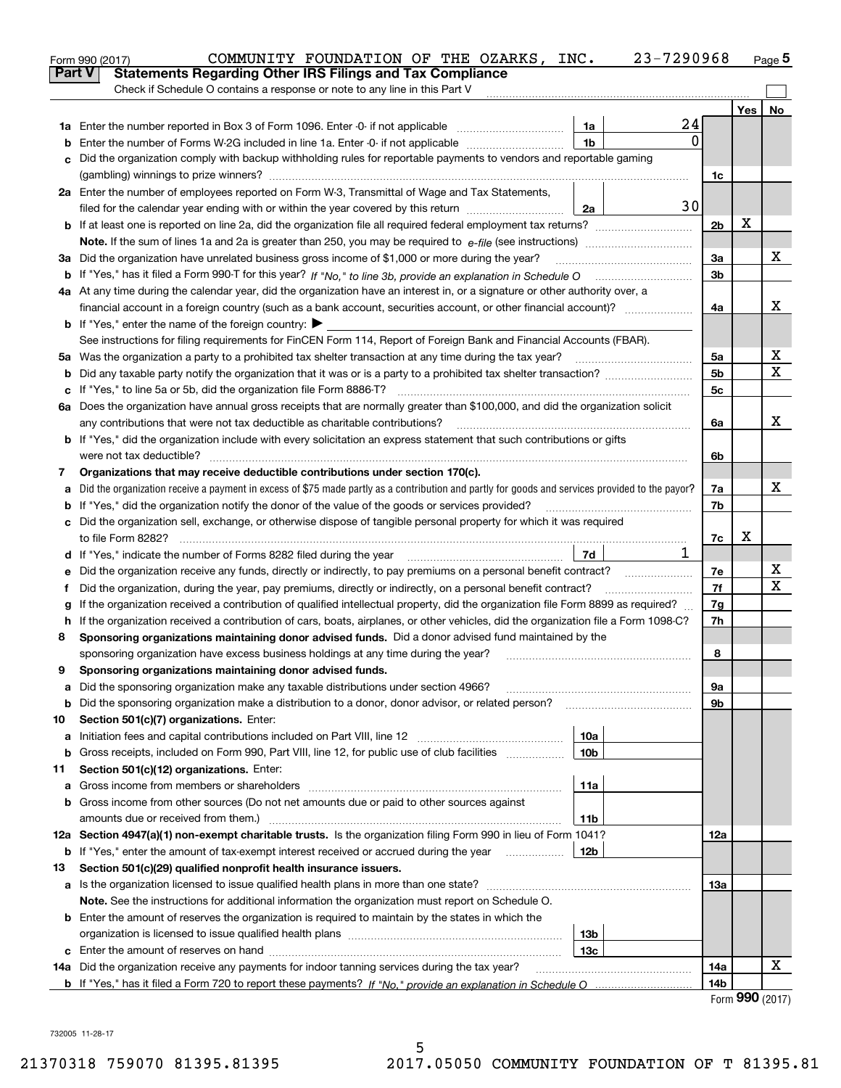|        | 23-7290968<br>COMMUNITY FOUNDATION OF THE OZARKS,<br>INC.<br>Form 990 (2017)                                                                    |                |                 | Page $5$ |
|--------|-------------------------------------------------------------------------------------------------------------------------------------------------|----------------|-----------------|----------|
| Part V | <b>Statements Regarding Other IRS Filings and Tax Compliance</b>                                                                                |                |                 |          |
|        | Check if Schedule O contains a response or note to any line in this Part V                                                                      |                |                 |          |
|        |                                                                                                                                                 |                | Yes             | No       |
|        | 24<br>1a                                                                                                                                        |                |                 |          |
| b      | 0<br>1 <sub>b</sub><br>Enter the number of Forms W-2G included in line 1a. Enter -0- if not applicable                                          |                |                 |          |
| с      | Did the organization comply with backup withholding rules for reportable payments to vendors and reportable gaming                              |                |                 |          |
|        |                                                                                                                                                 | 1c             |                 |          |
|        | 2a Enter the number of employees reported on Form W-3, Transmittal of Wage and Tax Statements,                                                  |                |                 |          |
|        | 30<br>filed for the calendar year ending with or within the year covered by this return<br>2a                                                   |                |                 |          |
|        |                                                                                                                                                 | 2 <sub>b</sub> | х               |          |
|        |                                                                                                                                                 |                |                 |          |
|        | 3a Did the organization have unrelated business gross income of \$1,000 or more during the year?                                                | 3a             |                 | х        |
|        |                                                                                                                                                 | 3 <sub>b</sub> |                 |          |
|        | 4a At any time during the calendar year, did the organization have an interest in, or a signature or other authority over, a                    |                |                 |          |
|        |                                                                                                                                                 | 4a             |                 | х        |
|        | <b>b</b> If "Yes," enter the name of the foreign country: $\blacktriangleright$                                                                 |                |                 |          |
|        | See instructions for filing requirements for FinCEN Form 114, Report of Foreign Bank and Financial Accounts (FBAR).                             |                |                 |          |
|        | 5a Was the organization a party to a prohibited tax shelter transaction at any time during the tax year?                                        | 5a             |                 | х        |
| b      |                                                                                                                                                 | 5 <sub>b</sub> |                 | х        |
| с      | If "Yes," to line 5a or 5b, did the organization file Form 8886-T?                                                                              | 5c             |                 |          |
|        | 6a Does the organization have annual gross receipts that are normally greater than \$100,000, and did the organization solicit                  |                |                 |          |
|        | any contributions that were not tax deductible as charitable contributions?                                                                     | 6a             |                 | x        |
|        | <b>b</b> If "Yes," did the organization include with every solicitation an express statement that such contributions or gifts                   |                |                 |          |
|        | were not tax deductible?                                                                                                                        | 6b             |                 |          |
| 7      | Organizations that may receive deductible contributions under section 170(c).                                                                   |                |                 |          |
| a      | Did the organization receive a payment in excess of \$75 made partly as a contribution and partly for goods and services provided to the payor? | 7a             |                 | х        |
|        | <b>b</b> If "Yes," did the organization notify the donor of the value of the goods or services provided?                                        | 7b             |                 |          |
|        | c Did the organization sell, exchange, or otherwise dispose of tangible personal property for which it was required                             |                |                 |          |
|        |                                                                                                                                                 | 7c             | х               |          |
|        | 1<br>7d<br>d If "Yes," indicate the number of Forms 8282 filed during the year [11,111] The Section of Holder and The Year                      |                |                 |          |
| е      |                                                                                                                                                 | 7е             |                 | х        |
| f      | Did the organization, during the year, pay premiums, directly or indirectly, on a personal benefit contract?                                    | 7f             |                 | x        |
| g      | If the organization received a contribution of qualified intellectual property, did the organization file Form 8899 as required?                | 7g             |                 |          |
|        | h If the organization received a contribution of cars, boats, airplanes, or other vehicles, did the organization file a Form 1098-C?            | 7h             |                 |          |
| 8      | Sponsoring organizations maintaining donor advised funds. Did a donor advised fund maintained by the                                            |                |                 |          |
|        | sponsoring organization have excess business holdings at any time during the year?                                                              | 8              |                 |          |
|        | Sponsoring organizations maintaining donor advised funds.                                                                                       |                |                 |          |
| a      | Did the sponsoring organization make any taxable distributions under section 4966?                                                              | 9а             |                 |          |
| b      | Did the sponsoring organization make a distribution to a donor, donor advisor, or related person?                                               | 9b             |                 |          |
| 10     | Section 501(c)(7) organizations. Enter:                                                                                                         |                |                 |          |
| а      | Initiation fees and capital contributions included on Part VIII, line 12 <i>manuarous controllers</i><br>10a                                    |                |                 |          |
| b      | Gross receipts, included on Form 990, Part VIII, line 12, for public use of club facilities manuscom<br>10 <sub>b</sub>                         |                |                 |          |
| 11     | Section 501(c)(12) organizations. Enter:                                                                                                        |                |                 |          |
| a      | Gross income from members or shareholders<br>11a                                                                                                |                |                 |          |
|        | b Gross income from other sources (Do not net amounts due or paid to other sources against                                                      |                |                 |          |
|        | amounts due or received from them.)<br>11b                                                                                                      |                |                 |          |
|        | 12a Section 4947(a)(1) non-exempt charitable trusts. Is the organization filing Form 990 in lieu of Form 1041?                                  | 12a            |                 |          |
|        | <b>b</b> If "Yes," enter the amount of tax-exempt interest received or accrued during the year <i>manument</i><br>12b                           |                |                 |          |
| 13     | Section 501(c)(29) qualified nonprofit health insurance issuers.                                                                                |                |                 |          |
|        | a Is the organization licensed to issue qualified health plans in more than one state?                                                          | 13а            |                 |          |
|        | Note. See the instructions for additional information the organization must report on Schedule O.                                               |                |                 |          |
|        | <b>b</b> Enter the amount of reserves the organization is required to maintain by the states in which the                                       |                |                 |          |
|        | 13b                                                                                                                                             |                |                 |          |
|        | 13c                                                                                                                                             |                |                 |          |
|        | 14a Did the organization receive any payments for indoor tanning services during the tax year?                                                  | 14a            |                 | x        |
|        |                                                                                                                                                 | 14b            |                 |          |
|        |                                                                                                                                                 |                | Form 990 (2017) |          |
|        |                                                                                                                                                 |                |                 |          |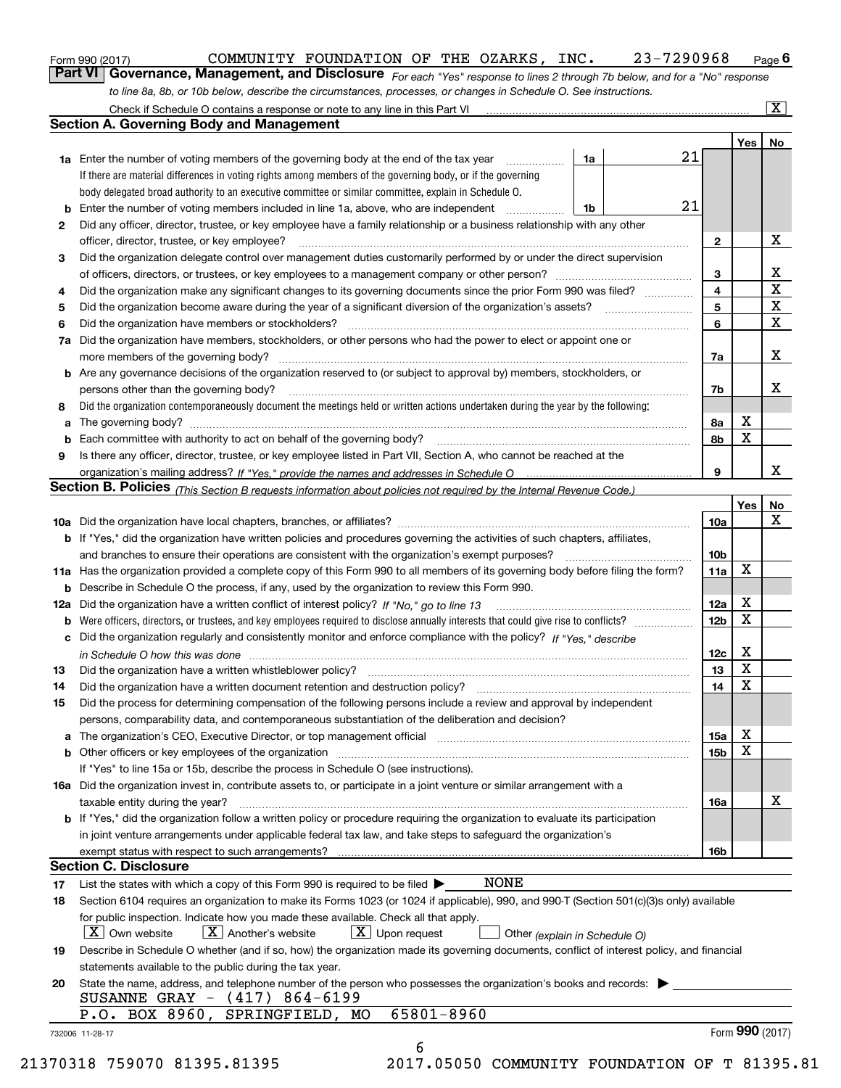|  | Form 990 (2017) |
|--|-----------------|
|  |                 |

*For each "Yes" response to lines 2 through 7b below, and for a "No" response to line 8a, 8b, or 10b below, describe the circumstances, processes, or changes in Schedule O. See instructions.* Form 990 (2017) Page **6Part VI Governance, Management, and Disclosure** 

|    |                                                                                                                                                                               |    |    |                 | Yes   No |             |
|----|-------------------------------------------------------------------------------------------------------------------------------------------------------------------------------|----|----|-----------------|----------|-------------|
|    | <b>1a</b> Enter the number of voting members of the governing body at the end of the tax year                                                                                 | 1a | 21 |                 |          |             |
|    | If there are material differences in voting rights among members of the governing body, or if the governing                                                                   |    |    |                 |          |             |
|    | body delegated broad authority to an executive committee or similar committee, explain in Schedule O.                                                                         |    |    |                 |          |             |
|    | <b>b</b> Enter the number of voting members included in line 1a, above, who are independent <i>manumum</i>                                                                    | 1b | 21 |                 |          |             |
| 2  | Did any officer, director, trustee, or key employee have a family relationship or a business relationship with any other                                                      |    |    |                 |          |             |
|    | officer, director, trustee, or key employee?                                                                                                                                  |    |    | $\mathbf{2}$    |          | X           |
| 3  | Did the organization delegate control over management duties customarily performed by or under the direct supervision                                                         |    |    |                 |          |             |
|    |                                                                                                                                                                               |    |    | 3               |          | X           |
| 4  | Did the organization make any significant changes to its governing documents since the prior Form 990 was filed?                                                              |    |    | $\overline{4}$  |          | $\mathbf X$ |
| 5  |                                                                                                                                                                               |    |    | 5               |          | $\mathbf X$ |
| 6  |                                                                                                                                                                               |    |    | 6               |          | $\mathbf X$ |
| 7a | Did the organization have members, stockholders, or other persons who had the power to elect or appoint one or                                                                |    |    |                 |          |             |
|    |                                                                                                                                                                               |    |    | 7a              |          | x           |
|    | <b>b</b> Are any governance decisions of the organization reserved to (or subject to approval by) members, stockholders, or                                                   |    |    |                 |          |             |
|    | persons other than the governing body?                                                                                                                                        |    |    | 7b              |          | х           |
| 8  | Did the organization contemporaneously document the meetings held or written actions undertaken during the year by the following:                                             |    |    |                 |          |             |
|    |                                                                                                                                                                               |    |    |                 | X        |             |
| a  |                                                                                                                                                                               |    |    | 8a<br>8b        | X        |             |
|    |                                                                                                                                                                               |    |    |                 |          |             |
| 9  | Is there any officer, director, trustee, or key employee listed in Part VII, Section A, who cannot be reached at the                                                          |    |    |                 |          | x           |
|    |                                                                                                                                                                               |    |    | 9               |          |             |
|    | Section B. Policies (This Section B requests information about policies not required by the Internal Revenue Code.)                                                           |    |    |                 |          |             |
|    |                                                                                                                                                                               |    |    |                 | Yes      | No<br>X     |
|    |                                                                                                                                                                               |    |    | 10a             |          |             |
|    | <b>b</b> If "Yes," did the organization have written policies and procedures governing the activities of such chapters, affiliates,                                           |    |    |                 |          |             |
|    |                                                                                                                                                                               |    |    | 10 <sub>b</sub> |          |             |
|    | 11a Has the organization provided a complete copy of this Form 990 to all members of its governing body before filing the form?                                               |    |    | 11a             | X        |             |
|    | <b>b</b> Describe in Schedule O the process, if any, used by the organization to review this Form 990.                                                                        |    |    |                 |          |             |
|    |                                                                                                                                                                               |    |    | 12a             | X        |             |
| b  |                                                                                                                                                                               |    |    | 12 <sub>b</sub> | X        |             |
|    | c Did the organization regularly and consistently monitor and enforce compliance with the policy? If "Yes." describe                                                          |    |    |                 |          |             |
|    | in Schedule O how this was done manufactured and continuum control of the Schedule O how this was done manufactured and continuum control of the Schedule O how this was done |    |    | 12c             | X        |             |
| 13 |                                                                                                                                                                               |    |    | 13              | X        |             |
| 14 | Did the organization have a written document retention and destruction policy? manufactured and the organization have a written document retention and destruction policy?    |    |    | 14              | X        |             |
| 15 | Did the process for determining compensation of the following persons include a review and approval by independent                                                            |    |    |                 |          |             |
|    | persons, comparability data, and contemporaneous substantiation of the deliberation and decision?                                                                             |    |    |                 |          |             |
|    |                                                                                                                                                                               |    |    | 15a             | X        |             |
|    |                                                                                                                                                                               |    |    | 15 <sub>b</sub> | X        |             |
|    | If "Yes" to line 15a or 15b, describe the process in Schedule O (see instructions).                                                                                           |    |    |                 |          |             |
|    | 16a Did the organization invest in, contribute assets to, or participate in a joint venture or similar arrangement with a                                                     |    |    |                 |          |             |
|    | taxable entity during the year?                                                                                                                                               |    |    | 16a             |          | X           |
|    | b If "Yes," did the organization follow a written policy or procedure requiring the organization to evaluate its participation                                                |    |    |                 |          |             |
|    | in joint venture arrangements under applicable federal tax law, and take steps to safequard the organization's                                                                |    |    |                 |          |             |
|    | exempt status with respect to such arrangements?                                                                                                                              |    |    | 16 <sub>b</sub> |          |             |
|    | <b>Section C. Disclosure</b>                                                                                                                                                  |    |    |                 |          |             |
| 17 | <b>NONE</b><br>List the states with which a copy of this Form 990 is required to be filed $\blacktriangleright$                                                               |    |    |                 |          |             |
| 18 | Section 6104 requires an organization to make its Forms 1023 (or 1024 if applicable), 990, and 990-T (Section 501(c)(3)s only) available                                      |    |    |                 |          |             |
|    | for public inspection. Indicate how you made these available. Check all that apply.                                                                                           |    |    |                 |          |             |
|    | $X$ Upon request<br>$ X $ Own website<br>$X$ Another's website<br>Other (explain in Schedule O)                                                                               |    |    |                 |          |             |
| 19 | Describe in Schedule O whether (and if so, how) the organization made its governing documents, conflict of interest policy, and financial                                     |    |    |                 |          |             |
|    | statements available to the public during the tax year.                                                                                                                       |    |    |                 |          |             |
| 20 | State the name, address, and telephone number of the person who possesses the organization's books and records:                                                               |    |    |                 |          |             |
|    | SUSANNE GRAY - (417) 864-6199                                                                                                                                                 |    |    |                 |          |             |
|    | 65801-8960<br>P.O. BOX 8960, SPRINGFIELD, MO                                                                                                                                  |    |    |                 |          |             |
|    |                                                                                                                                                                               |    |    |                 |          |             |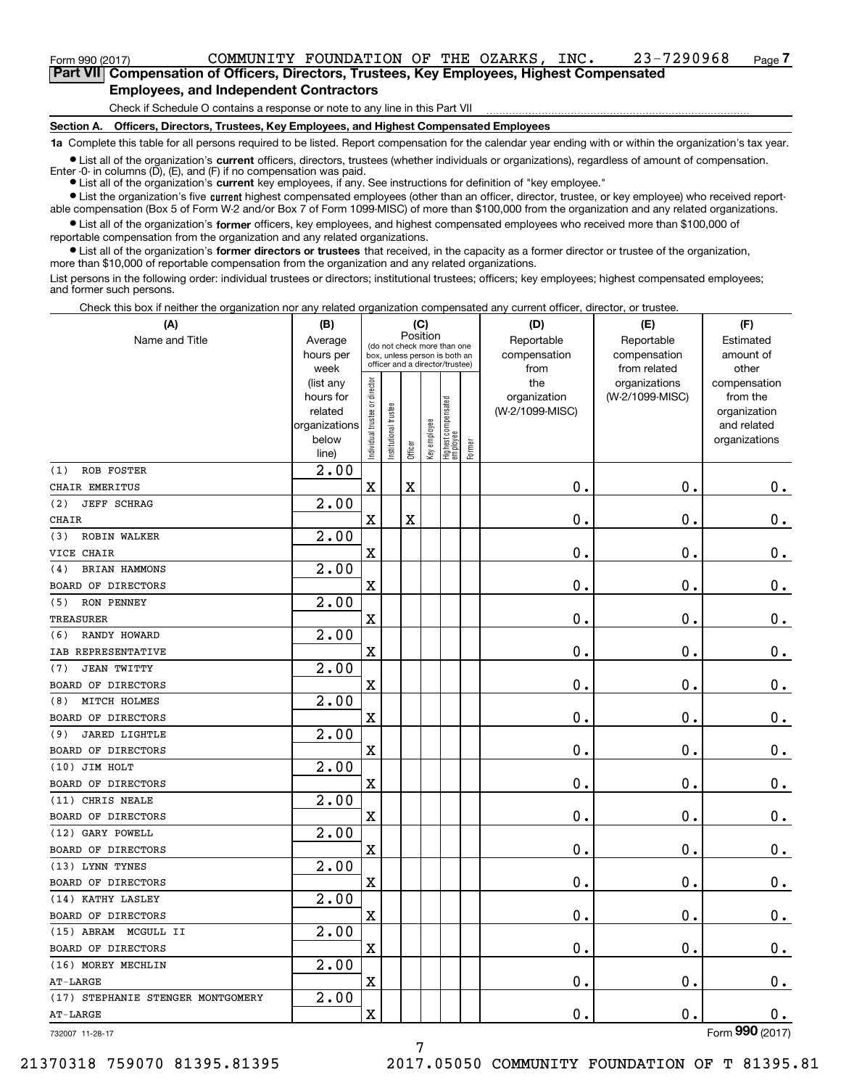Form 990 (2017) COMMUNITY FOUNDATION OF THE OZARKS,INC. 23-7290968 <sub>Page</sub><br>Part VIII Compensation of Officers. Directors. Trustees. Key Employees. Highest Compensated **7Part VII Compensation of Officers, Directors, Trustees, Key Employees, Highest Compensated Employees, and Independent Contractors**

Check if Schedule O contains a response or note to any line in this Part VII

**Section A. Officers, Directors, Trustees, Key Employees, and Highest Compensated Employees**

**1a**  Complete this table for all persons required to be listed. Report compensation for the calendar year ending with or within the organization's tax year.

**current**  ¥ List all of the organization's officers, directors, trustees (whether individuals or organizations), regardless of amount of compensation. Enter -0- in columns (D), (E), and (F) if no compensation was paid.

● List all of the organization's **current** key employees, if any. See instructions for definition of "key employee."

· List the organization's five current highest compensated employees (other than an officer, director, trustee, or key employee) who received report-■ List the organization's five current highest compensated employees (other than an officer, director, trustee, or key employee) who received report-<br>able compensation (Box 5 of Form W-2 and/or Box 7 of Form 1099-MISC) of

 $\bullet$  List all of the organization's **former** officers, key employees, and highest compensated employees who received more than \$100,000 of reportable compensation from the organization and any related organizations.

**•** List all of the organization's former directors or trustees that received, in the capacity as a former director or trustee of the organization, more than \$10,000 of reportable compensation from the organization and any related organizations.

List persons in the following order: individual trustees or directors; institutional trustees; officers; key employees; highest compensated employees; and former such persons.

Check this box if neither the organization nor any related organization compensated any current officer, director, or trustee.

| (A)                               | (B)                    |                                         |                                                                  | (C)         |              |                                  |           | (D)             | (E)             | (F)             |
|-----------------------------------|------------------------|-----------------------------------------|------------------------------------------------------------------|-------------|--------------|----------------------------------|-----------|-----------------|-----------------|-----------------|
| Name and Title                    | Average                | Position<br>(do not check more than one |                                                                  |             | Reportable   | Reportable                       | Estimated |                 |                 |                 |
|                                   | hours per              |                                         | box, unless person is both an<br>officer and a director/trustee) |             | compensation | compensation                     | amount of |                 |                 |                 |
|                                   | week                   |                                         |                                                                  |             |              |                                  |           | from            | from related    | other           |
|                                   | (list any              |                                         |                                                                  |             |              |                                  |           | the             | organizations   | compensation    |
|                                   | hours for              |                                         |                                                                  |             |              |                                  |           | organization    | (W-2/1099-MISC) | from the        |
|                                   | related                |                                         |                                                                  |             |              |                                  |           | (W-2/1099-MISC) |                 | organization    |
|                                   | organizations<br>below |                                         |                                                                  |             |              |                                  |           |                 |                 | and related     |
|                                   | line)                  | Individual trustee or director          | Institutional trustee                                            | Officer     | Key employee | Highest compensated<br> employee | Former    |                 |                 | organizations   |
| ROB FOSTER<br>(1)                 | $\overline{2.00}$      |                                         |                                                                  |             |              |                                  |           |                 |                 |                 |
| CHAIR EMERITUS                    |                        | X                                       |                                                                  | $\mathbf X$ |              |                                  |           | 0.              | $\mathbf 0$ .   | 0.              |
| (2)<br>JEFF SCHRAG                | $\overline{2.00}$      |                                         |                                                                  |             |              |                                  |           |                 |                 |                 |
| <b>CHAIR</b>                      |                        | X                                       |                                                                  | $\mathbf X$ |              |                                  |           | 0.              | $\mathbf 0$ .   | $\mathbf 0$ .   |
| (3)<br>ROBIN WALKER               | $\overline{2.00}$      |                                         |                                                                  |             |              |                                  |           |                 |                 |                 |
| VICE CHAIR                        |                        | X                                       |                                                                  |             |              |                                  |           | 0.              | $\mathbf 0$ .   | $\mathbf 0$ .   |
| BRIAN HAMMONS<br>(4)              | $\overline{2.00}$      |                                         |                                                                  |             |              |                                  |           |                 |                 |                 |
| BOARD OF DIRECTORS                |                        | X                                       |                                                                  |             |              |                                  |           | 0.              | $\mathbf 0$ .   | $\mathbf 0$ .   |
| RON PENNEY<br>(5)                 | $\overline{2.00}$      |                                         |                                                                  |             |              |                                  |           |                 |                 |                 |
| TREASURER                         |                        | X                                       |                                                                  |             |              |                                  |           | 0.              | $\mathbf 0$ .   | $\mathbf 0$ .   |
| RANDY HOWARD<br>(6)               | $\overline{2.00}$      |                                         |                                                                  |             |              |                                  |           |                 |                 |                 |
| IAB REPRESENTATIVE                |                        | X                                       |                                                                  |             |              |                                  |           | 0.              | $\mathbf 0$ .   | $\mathbf 0$ .   |
| <b>JEAN TWITTY</b><br>(7)         | $\overline{2.00}$      |                                         |                                                                  |             |              |                                  |           |                 |                 |                 |
| BOARD OF DIRECTORS                |                        | X                                       |                                                                  |             |              |                                  |           | 0.              | $\mathbf 0$ .   | $\mathbf 0$ .   |
| MITCH HOLMES<br>(8)               | $\overline{2.00}$      |                                         |                                                                  |             |              |                                  |           |                 |                 |                 |
| BOARD OF DIRECTORS                |                        | X                                       |                                                                  |             |              |                                  |           | 0.              | $\mathbf 0$ .   | $\mathbf 0$ .   |
| <b>JARED LIGHTLE</b><br>(9)       | $\overline{2.00}$      |                                         |                                                                  |             |              |                                  |           |                 |                 |                 |
| BOARD OF DIRECTORS                |                        | X                                       |                                                                  |             |              |                                  |           | 0.              | $\mathbf 0$ .   | $\mathbf 0$ .   |
| (10) JIM HOLT                     | $\overline{2.00}$      |                                         |                                                                  |             |              |                                  |           |                 |                 |                 |
| BOARD OF DIRECTORS                |                        | X                                       |                                                                  |             |              |                                  |           | 0.              | $\mathbf 0$ .   | $\mathbf 0$ .   |
| (11) CHRIS NEALE                  | $\overline{2.00}$      |                                         |                                                                  |             |              |                                  |           |                 |                 |                 |
| BOARD OF DIRECTORS                |                        | X                                       |                                                                  |             |              |                                  |           | 0.              | $\mathbf 0$ .   | $0_{.}$         |
| (12) GARY POWELL                  | $\overline{2.00}$      |                                         |                                                                  |             |              |                                  |           |                 |                 |                 |
| BOARD OF DIRECTORS                |                        | X                                       |                                                                  |             |              |                                  |           | 0.              | $\mathbf 0$ .   | $\mathbf 0$ .   |
| (13) LYNN TYNES                   | $\overline{2.00}$      |                                         |                                                                  |             |              |                                  |           |                 |                 |                 |
| BOARD OF DIRECTORS                |                        | X                                       |                                                                  |             |              |                                  |           | 0.              | $\mathbf 0$ .   | $\mathbf 0$ .   |
| (14) KATHY LASLEY                 | $\overline{2.00}$      |                                         |                                                                  |             |              |                                  |           |                 |                 |                 |
| BOARD OF DIRECTORS                |                        | X                                       |                                                                  |             |              |                                  |           | 0.              | $\mathbf 0$ .   | $\mathbf 0$ .   |
| (15) ABRAM MCGULL II              | $\overline{2.00}$      |                                         |                                                                  |             |              |                                  |           |                 |                 |                 |
| BOARD OF DIRECTORS                |                        | X                                       |                                                                  |             |              |                                  |           | $\mathbf 0$ .   | $\mathfrak o$ . | 0.              |
| (16) MOREY MECHLIN                | 2.00                   |                                         |                                                                  |             |              |                                  |           |                 |                 |                 |
| $AT-LARGE$                        |                        | X                                       |                                                                  |             |              |                                  |           | 0.              | $\mathbf 0$ .   | 0.              |
| (17) STEPHANIE STENGER MONTGOMERY | 2.00                   |                                         |                                                                  |             |              |                                  |           |                 |                 |                 |
| $AT-LARGE$                        |                        | $\mathbf X$                             |                                                                  |             |              |                                  |           | 0.              | $\mathbf 0$ .   | 0.              |
| 732007 11-28-17                   |                        |                                         |                                                                  | 7           |              |                                  |           |                 |                 | Form 990 (2017) |
|                                   |                        |                                         |                                                                  |             |              |                                  |           |                 |                 |                 |

21370318 759070 81395.81395 2017.05050 COMMUNITY FOUNDATION OF T 81395.81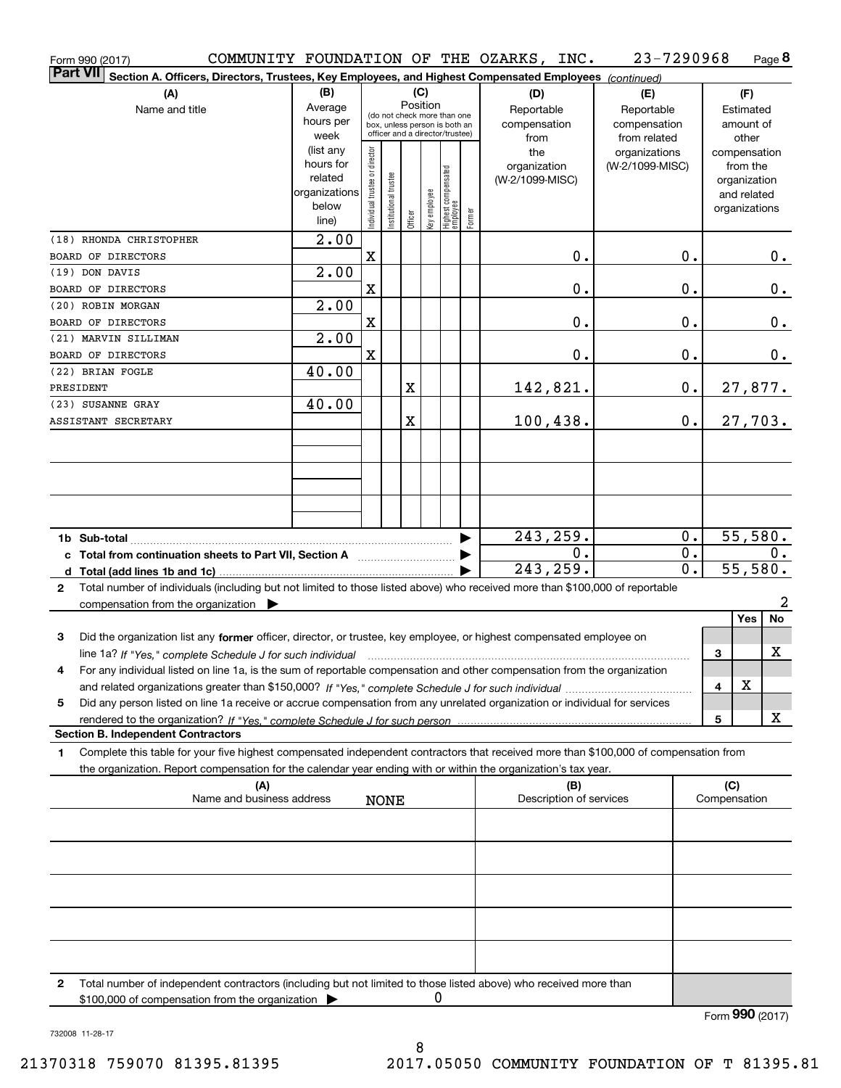| Form 990 (2017)                                                                                                                                                                                                                                                                  |                                                                      |                                |                                                                                                 |          |              |                                   |        | COMMUNITY FOUNDATION OF THE OZARKS, INC.  | 23-7290968                                        |                             |              | Page 8                                                                   |
|----------------------------------------------------------------------------------------------------------------------------------------------------------------------------------------------------------------------------------------------------------------------------------|----------------------------------------------------------------------|--------------------------------|-------------------------------------------------------------------------------------------------|----------|--------------|-----------------------------------|--------|-------------------------------------------|---------------------------------------------------|-----------------------------|--------------|--------------------------------------------------------------------------|
| <b>Part VII</b><br>Section A. Officers, Directors, Trustees, Key Employees, and Highest Compensated Employees (continued)                                                                                                                                                        |                                                                      |                                |                                                                                                 |          |              |                                   |        |                                           |                                                   |                             |              |                                                                          |
| (A)<br>Name and title                                                                                                                                                                                                                                                            | (B)<br>Average<br>hours per<br>week                                  |                                | (do not check more than one<br>box, unless person is both an<br>officer and a director/trustee) | Position | (C)          |                                   |        | (D)<br>Reportable<br>compensation<br>from | (E)<br>Reportable<br>compensation<br>from related |                             |              | (F)<br>Estimated<br>amount of<br>other                                   |
|                                                                                                                                                                                                                                                                                  | (list any<br>hours for<br>related<br>organizations<br>below<br>line) | Individual trustee or director | nstitutional trustee                                                                            | Officer  | key employee | Highest compensated<br>  employee | Former | the<br>organization<br>(W-2/1099-MISC)    | organizations<br>(W-2/1099-MISC)                  |                             |              | compensation<br>from the<br>organization<br>and related<br>organizations |
| (18) RHONDA CHRISTOPHER<br>BOARD OF DIRECTORS                                                                                                                                                                                                                                    | 2.00                                                                 | Χ                              |                                                                                                 |          |              |                                   |        | 0.                                        |                                                   | 0.                          |              | 0.                                                                       |
| (19) DON DAVIS                                                                                                                                                                                                                                                                   | 2.00                                                                 |                                |                                                                                                 |          |              |                                   |        |                                           |                                                   |                             |              |                                                                          |
| BOARD OF DIRECTORS                                                                                                                                                                                                                                                               |                                                                      | Χ                              |                                                                                                 |          |              |                                   |        | 0.                                        |                                                   | 0.                          |              | 0.                                                                       |
| (20) ROBIN MORGAN                                                                                                                                                                                                                                                                | 2.00                                                                 |                                |                                                                                                 |          |              |                                   |        |                                           |                                                   |                             |              |                                                                          |
| BOARD OF DIRECTORS                                                                                                                                                                                                                                                               |                                                                      | $\mathbf X$                    |                                                                                                 |          |              |                                   |        | 0.                                        |                                                   | 0.                          |              | 0.                                                                       |
| (21) MARVIN SILLIMAN<br>BOARD OF DIRECTORS                                                                                                                                                                                                                                       | 2.00                                                                 | $\mathbf X$                    |                                                                                                 |          |              |                                   |        | 0.                                        |                                                   | 0.                          |              | 0.                                                                       |
| (22) BRIAN FOGLE                                                                                                                                                                                                                                                                 | 40.00                                                                |                                |                                                                                                 |          |              |                                   |        |                                           |                                                   |                             |              |                                                                          |
| PRESIDENT                                                                                                                                                                                                                                                                        |                                                                      |                                |                                                                                                 | X        |              |                                   |        | 142,821.                                  |                                                   | 0.                          |              | 27,877.                                                                  |
| (23) SUSANNE GRAY                                                                                                                                                                                                                                                                | 40.00                                                                |                                |                                                                                                 |          |              |                                   |        |                                           |                                                   |                             |              |                                                                          |
| ASSISTANT SECRETARY                                                                                                                                                                                                                                                              |                                                                      |                                |                                                                                                 | X        |              |                                   |        | 100,438.                                  |                                                   | 0.                          |              | 27,703.                                                                  |
|                                                                                                                                                                                                                                                                                  |                                                                      |                                |                                                                                                 |          |              |                                   |        |                                           |                                                   |                             |              |                                                                          |
|                                                                                                                                                                                                                                                                                  |                                                                      |                                |                                                                                                 |          |              |                                   |        |                                           |                                                   |                             |              |                                                                          |
|                                                                                                                                                                                                                                                                                  |                                                                      |                                |                                                                                                 |          |              |                                   |        |                                           |                                                   |                             |              |                                                                          |
|                                                                                                                                                                                                                                                                                  |                                                                      |                                |                                                                                                 |          |              |                                   |        | 243,259.                                  |                                                   | 0.                          |              | 55,580.                                                                  |
|                                                                                                                                                                                                                                                                                  |                                                                      |                                |                                                                                                 |          |              |                                   |        | 0.                                        |                                                   | 0.                          |              | 0.                                                                       |
|                                                                                                                                                                                                                                                                                  |                                                                      |                                |                                                                                                 |          |              |                                   |        | 243,259.                                  |                                                   | $\overline{\mathfrak{o}}$ . |              | 55,580.                                                                  |
| Total number of individuals (including but not limited to those listed above) who received more than \$100,000 of reportable<br>$\mathbf{2}$<br>compensation from the organization $\blacktriangleright$                                                                         |                                                                      |                                |                                                                                                 |          |              |                                   |        |                                           |                                                   |                             |              | 2                                                                        |
|                                                                                                                                                                                                                                                                                  |                                                                      |                                |                                                                                                 |          |              |                                   |        |                                           |                                                   |                             |              | No<br>Yes                                                                |
| Did the organization list any former officer, director, or trustee, key employee, or highest compensated employee on<br>3                                                                                                                                                        |                                                                      |                                |                                                                                                 |          |              |                                   |        |                                           |                                                   |                             |              | X                                                                        |
| line 1a? If "Yes," complete Schedule J for such individual manufactured contained and the 1a? If "Yes," complete Schedule J for such individual<br>For any individual listed on line 1a, is the sum of reportable compensation and other compensation from the organization<br>4 |                                                                      |                                |                                                                                                 |          |              |                                   |        |                                           |                                                   |                             | 3            |                                                                          |
|                                                                                                                                                                                                                                                                                  |                                                                      |                                |                                                                                                 |          |              |                                   |        |                                           |                                                   |                             | 4            | X                                                                        |
| Did any person listed on line 1a receive or accrue compensation from any unrelated organization or individual for services<br>5                                                                                                                                                  |                                                                      |                                |                                                                                                 |          |              |                                   |        |                                           |                                                   |                             |              |                                                                          |
| <b>Section B. Independent Contractors</b>                                                                                                                                                                                                                                        |                                                                      |                                |                                                                                                 |          |              |                                   |        |                                           |                                                   |                             | 5            | X                                                                        |
| Complete this table for your five highest compensated independent contractors that received more than \$100,000 of compensation from<br>1                                                                                                                                        |                                                                      |                                |                                                                                                 |          |              |                                   |        |                                           |                                                   |                             |              |                                                                          |
| the organization. Report compensation for the calendar year ending with or within the organization's tax year.<br>(A)                                                                                                                                                            |                                                                      |                                |                                                                                                 |          |              |                                   |        | (B)                                       |                                                   |                             | (C)          |                                                                          |
| Name and business address                                                                                                                                                                                                                                                        |                                                                      |                                | <b>NONE</b>                                                                                     |          |              |                                   |        | Description of services                   |                                                   |                             | Compensation |                                                                          |
|                                                                                                                                                                                                                                                                                  |                                                                      |                                |                                                                                                 |          |              |                                   |        |                                           |                                                   |                             |              |                                                                          |
|                                                                                                                                                                                                                                                                                  |                                                                      |                                |                                                                                                 |          |              |                                   |        |                                           |                                                   |                             |              |                                                                          |
|                                                                                                                                                                                                                                                                                  |                                                                      |                                |                                                                                                 |          |              |                                   |        |                                           |                                                   |                             |              |                                                                          |
|                                                                                                                                                                                                                                                                                  |                                                                      |                                |                                                                                                 |          |              |                                   |        |                                           |                                                   |                             |              |                                                                          |
|                                                                                                                                                                                                                                                                                  |                                                                      |                                |                                                                                                 |          |              |                                   |        |                                           |                                                   |                             |              |                                                                          |
|                                                                                                                                                                                                                                                                                  |                                                                      |                                |                                                                                                 |          |              |                                   |        |                                           |                                                   |                             |              |                                                                          |
| Total number of independent contractors (including but not limited to those listed above) who received more than<br>2<br>\$100,000 of compensation from the organization                                                                                                         |                                                                      |                                |                                                                                                 |          | 0            |                                   |        |                                           |                                                   |                             |              |                                                                          |
|                                                                                                                                                                                                                                                                                  |                                                                      |                                |                                                                                                 |          |              |                                   |        |                                           |                                                   |                             |              | Form 990 (2017)                                                          |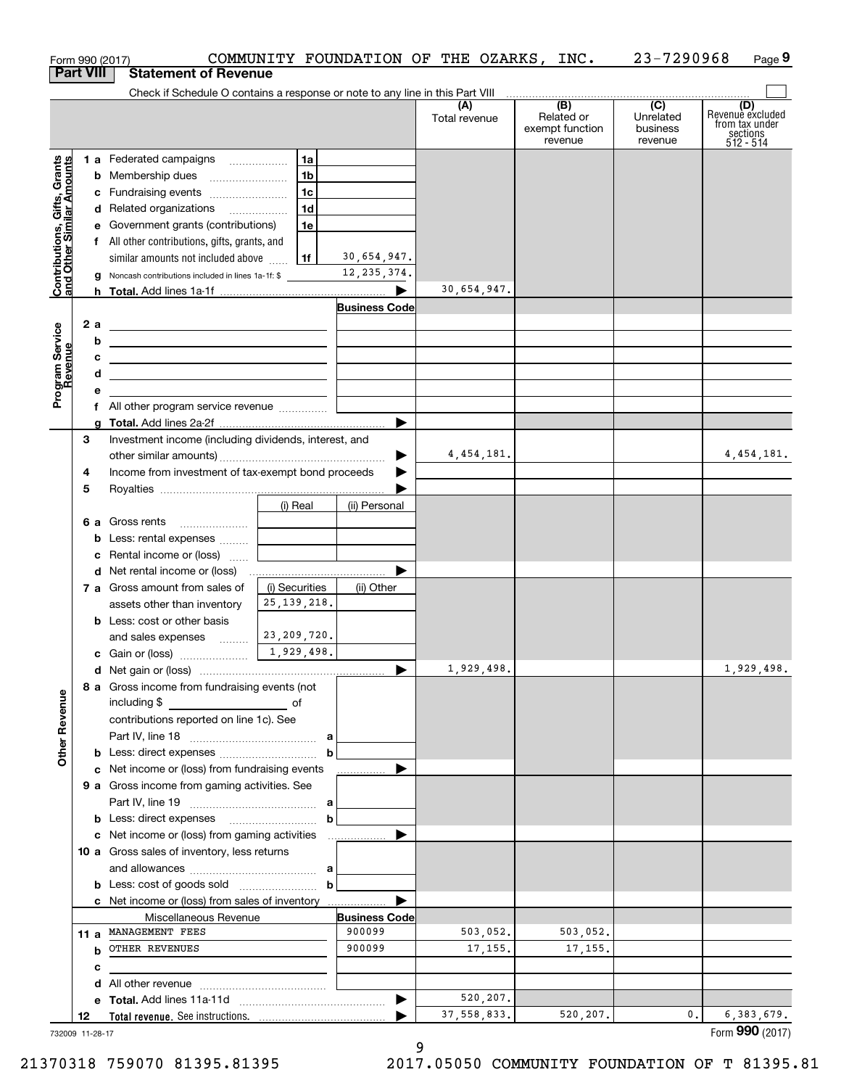|                                                           | Check if Schedule O contains a response or note to any line in this Part VIII                                              |                                              |                                | (A)           | (B)                                      | $\overline{C}$                   | (D)                                                         |
|-----------------------------------------------------------|----------------------------------------------------------------------------------------------------------------------------|----------------------------------------------|--------------------------------|---------------|------------------------------------------|----------------------------------|-------------------------------------------------------------|
|                                                           |                                                                                                                            |                                              |                                | Total revenue | Related or<br>exempt function<br>revenue | Unrelated<br>business<br>revenue | Revenue excluded<br>from tax under<br>sections<br>512 - 514 |
|                                                           | 1 a Federated campaigns                                                                                                    | 1a                                           |                                |               |                                          |                                  |                                                             |
| Contributions, Gifts, Grants<br>and Other Similar Amounts |                                                                                                                            | 1 <sub>b</sub>                               |                                |               |                                          |                                  |                                                             |
|                                                           | c Fundraising events                                                                                                       | 1c                                           |                                |               |                                          |                                  |                                                             |
|                                                           | d Related organizations                                                                                                    | 1d                                           |                                |               |                                          |                                  |                                                             |
|                                                           | e Government grants (contributions)                                                                                        | 1e                                           |                                |               |                                          |                                  |                                                             |
|                                                           | f All other contributions, gifts, grants, and                                                                              |                                              |                                |               |                                          |                                  |                                                             |
|                                                           | similar amounts not included above                                                                                         | 1f                                           | 30,654,947.                    |               |                                          |                                  |                                                             |
|                                                           | <b>g</b> Noncash contributions included in lines 1a-1f: \$                                                                 |                                              | 12, 235, 374.                  |               |                                          |                                  |                                                             |
|                                                           |                                                                                                                            |                                              | ▶                              | 30,654,947.   |                                          |                                  |                                                             |
|                                                           |                                                                                                                            |                                              | <b>Business Code</b>           |               |                                          |                                  |                                                             |
| 2a                                                        | <u> 1989 - Johann Stein, marwolaethau a bhann an t-Amhair ann an t-Amhair an t-Amhair an t-Amhair an t-Amhair an</u>       |                                              |                                |               |                                          |                                  |                                                             |
| b                                                         | <u> 1989 - Johann Harry Harry Harry Harry Harry Harry Harry Harry Harry Harry Harry Harry Harry Harry Harry Harry</u>      |                                              |                                |               |                                          |                                  |                                                             |
| с                                                         | <u> 2000 - Jan Samuel Barbara, martin da shekara 1992 - Shekara 1992 - Shekara 1992 - Shekara 1992 - Shekara 1992 - Sh</u> |                                              |                                |               |                                          |                                  |                                                             |
| d                                                         | <u> 1989 - Johann Stein, marwolaethau a bhann an t-Amhair an t-Amhair an t-Amhair an t-Amhair an t-Amhair an t-A</u>       |                                              |                                |               |                                          |                                  |                                                             |
| Program Service<br>Revenue<br>е                           |                                                                                                                            |                                              |                                |               |                                          |                                  |                                                             |
|                                                           | f All other program service revenue                                                                                        |                                              |                                |               |                                          |                                  |                                                             |
| a                                                         |                                                                                                                            |                                              |                                |               |                                          |                                  |                                                             |
| 3                                                         | Investment income (including dividends, interest, and                                                                      |                                              |                                |               |                                          |                                  |                                                             |
|                                                           |                                                                                                                            |                                              |                                | 4,454,181.    |                                          |                                  | 4, 454, 181.                                                |
| 4                                                         | Income from investment of tax-exempt bond proceeds                                                                         |                                              |                                |               |                                          |                                  |                                                             |
| 5                                                         |                                                                                                                            |                                              |                                |               |                                          |                                  |                                                             |
|                                                           |                                                                                                                            | (i) Real                                     | (ii) Personal                  |               |                                          |                                  |                                                             |
|                                                           | 6 a Gross rents                                                                                                            |                                              |                                |               |                                          |                                  |                                                             |
|                                                           | <b>b</b> Less: rental expenses                                                                                             | the control of the control of the control of |                                |               |                                          |                                  |                                                             |
|                                                           | c Rental income or (loss)                                                                                                  | and the control of the control of            |                                |               |                                          |                                  |                                                             |
|                                                           |                                                                                                                            |                                              |                                |               |                                          |                                  |                                                             |
|                                                           | 7 a Gross amount from sales of                                                                                             | (i) Securities                               | (ii) Other                     |               |                                          |                                  |                                                             |
|                                                           | assets other than inventory                                                                                                | 25, 139, 218.                                |                                |               |                                          |                                  |                                                             |
|                                                           | <b>b</b> Less: cost or other basis                                                                                         |                                              |                                |               |                                          |                                  |                                                             |
|                                                           | and sales expenses                                                                                                         | 23, 209, 720.                                |                                |               |                                          |                                  |                                                             |
|                                                           |                                                                                                                            | 1,929,498.                                   |                                |               |                                          |                                  |                                                             |
|                                                           |                                                                                                                            |                                              |                                | 1,929,498.    |                                          |                                  | 1,929,498.                                                  |
|                                                           | 8 a Gross income from fundraising events (not<br>including \$                                                              |                                              |                                |               |                                          |                                  |                                                             |
|                                                           | $\overline{\phantom{a}}$ of                                                                                                |                                              |                                |               |                                          |                                  |                                                             |
|                                                           | contributions reported on line 1c). See                                                                                    |                                              |                                |               |                                          |                                  |                                                             |
|                                                           |                                                                                                                            |                                              |                                |               |                                          |                                  |                                                             |
|                                                           |                                                                                                                            | $\mathbf b$                                  |                                |               |                                          |                                  |                                                             |
|                                                           | c Net income or (loss) from fundraising events                                                                             |                                              |                                |               |                                          |                                  |                                                             |
|                                                           | 9 a Gross income from gaming activities. See                                                                               |                                              |                                |               |                                          |                                  |                                                             |
|                                                           |                                                                                                                            |                                              |                                |               |                                          |                                  |                                                             |
|                                                           |                                                                                                                            | $\mathbf b$                                  |                                |               |                                          |                                  |                                                             |
|                                                           |                                                                                                                            |                                              |                                |               |                                          |                                  |                                                             |
|                                                           | 10 a Gross sales of inventory, less returns                                                                                |                                              |                                |               |                                          |                                  |                                                             |
|                                                           |                                                                                                                            |                                              |                                |               |                                          |                                  |                                                             |
|                                                           |                                                                                                                            | b                                            |                                |               |                                          |                                  |                                                             |
|                                                           | c Net income or (loss) from sales of inventory                                                                             |                                              |                                |               |                                          |                                  |                                                             |
|                                                           | Miscellaneous Revenue                                                                                                      |                                              | <b>Business Code</b><br>900099 |               |                                          |                                  |                                                             |
|                                                           | 11 a MANAGEMENT FEES                                                                                                       |                                              |                                | 503,052.      | 503,052.                                 |                                  |                                                             |
|                                                           | <b>b</b> OTHER REVENUES                                                                                                    |                                              | 900099                         | 17, 155.      | 17, 155.                                 |                                  |                                                             |
| с                                                         |                                                                                                                            |                                              |                                |               |                                          |                                  |                                                             |
|                                                           |                                                                                                                            |                                              |                                |               |                                          |                                  |                                                             |
|                                                           |                                                                                                                            |                                              |                                | 520,207.      |                                          |                                  |                                                             |
| 12                                                        |                                                                                                                            |                                              |                                | 37,558,833.   | 520, 207.                                | 0.                               | 6,383,679.                                                  |

732009 11-28-17

9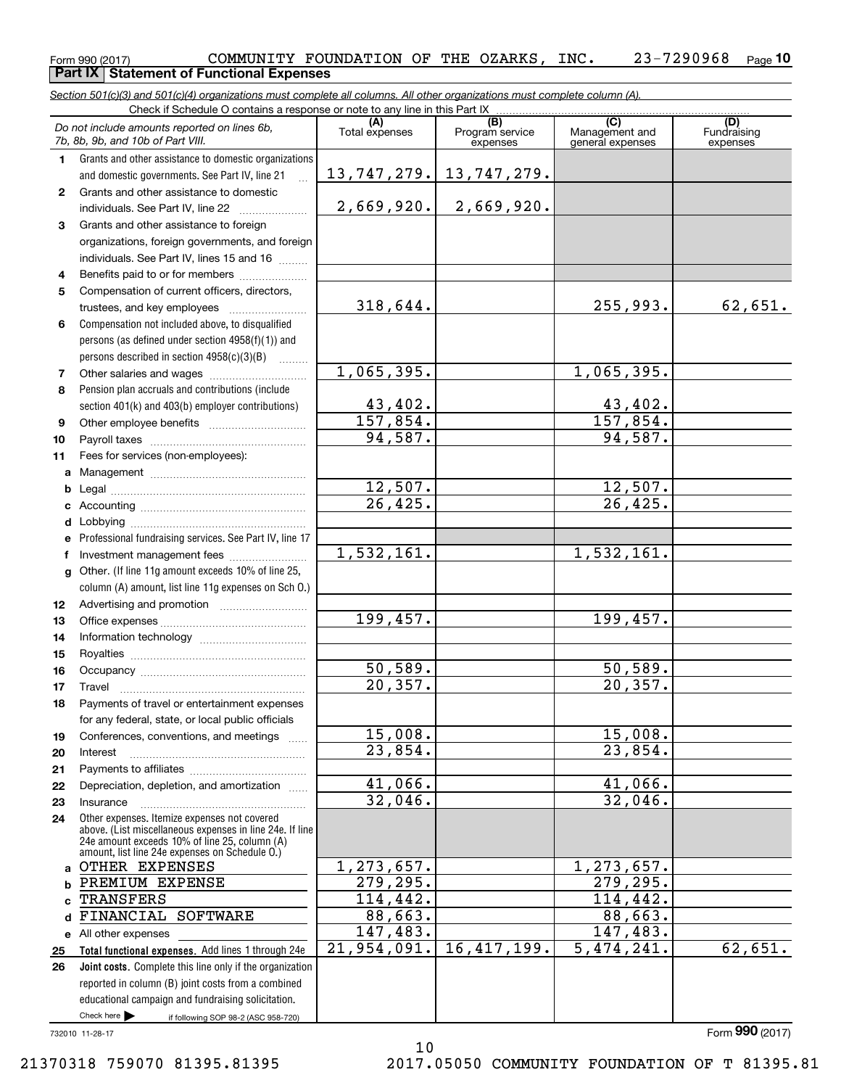#### Form 990 (2017) COMMUNITY FOUNDATION OF THE OZARKS,INC。 23-7290968 <sub>Page</sub><br>Part IX | Statement of Functional Expenses **10 Part IX | Statement of Functional Expenses**

*Section 501(c)(3) and 501(c)(4) organizations must complete all columns. All other organizations must complete column (A).* Check if Schedule O contains a response or note to any line in this Part IX

|              | Do not include amounts reported on lines 6b,<br>7b, 8b, 9b, and 10b of Part VIII.               | (A)<br>Total expenses  | (B)<br>Program service<br>expenses | $\overline{C}$<br>Management and<br>general expenses | (D)<br>Fundraising<br>expenses |
|--------------|-------------------------------------------------------------------------------------------------|------------------------|------------------------------------|------------------------------------------------------|--------------------------------|
| $\mathbf 1$  | Grants and other assistance to domestic organizations                                           |                        |                                    |                                                      |                                |
|              | and domestic governments. See Part IV, line 21                                                  | 13,747,279.            | <u>13,747,279.</u>                 |                                                      |                                |
| $\mathbf{2}$ | Grants and other assistance to domestic                                                         |                        |                                    |                                                      |                                |
|              | individuals. See Part IV, line 22                                                               | 2,669,920.             | 2,669,920.                         |                                                      |                                |
| 3            | Grants and other assistance to foreign                                                          |                        |                                    |                                                      |                                |
|              | organizations, foreign governments, and foreign                                                 |                        |                                    |                                                      |                                |
|              | individuals. See Part IV, lines 15 and 16                                                       |                        |                                    |                                                      |                                |
| 4            | Benefits paid to or for members                                                                 |                        |                                    |                                                      |                                |
| 5            | Compensation of current officers, directors,                                                    |                        |                                    |                                                      |                                |
|              | trustees, and key employees                                                                     | 318,644.               |                                    | 255,993.                                             | 62,651.                        |
| 6            | Compensation not included above, to disqualified                                                |                        |                                    |                                                      |                                |
|              | persons (as defined under section 4958(f)(1)) and                                               |                        |                                    |                                                      |                                |
|              | persons described in section 4958(c)(3)(B)                                                      |                        |                                    |                                                      |                                |
| 7            |                                                                                                 | 1,065,395.             |                                    | 1,065,395.                                           |                                |
| 8            | Pension plan accruals and contributions (include                                                |                        |                                    |                                                      |                                |
|              | section 401(k) and 403(b) employer contributions)                                               | 43, 402.               |                                    | 43,402.                                              |                                |
| 9            |                                                                                                 | 157,854.<br>94,587.    |                                    | 157,854.<br>94,587.                                  |                                |
| 10           |                                                                                                 |                        |                                    |                                                      |                                |
| 11           | Fees for services (non-employees):                                                              |                        |                                    |                                                      |                                |
| a<br>b       |                                                                                                 | 12,507.                |                                    | 12,507.                                              |                                |
| с            |                                                                                                 | 26,425.                |                                    | 26,425.                                              |                                |
| d            |                                                                                                 |                        |                                    |                                                      |                                |
| е            | Professional fundraising services. See Part IV, line 17                                         |                        |                                    |                                                      |                                |
| f            | Investment management fees                                                                      | 1,532,161.             |                                    | 1,532,161.                                           |                                |
| a            | Other. (If line 11g amount exceeds 10% of line 25,                                              |                        |                                    |                                                      |                                |
|              | column (A) amount, list line 11g expenses on Sch 0.)                                            |                        |                                    |                                                      |                                |
| 12           |                                                                                                 |                        |                                    |                                                      |                                |
| 13           |                                                                                                 | 199,457.               |                                    | 199,457.                                             |                                |
| 14           |                                                                                                 |                        |                                    |                                                      |                                |
| 15           |                                                                                                 |                        |                                    |                                                      |                                |
| 16           |                                                                                                 | 50,589.                |                                    | 50, 589.                                             |                                |
| 17           | Travel                                                                                          | $\overline{20, 357}$ . |                                    | 20, 357.                                             |                                |
| 18           | Payments of travel or entertainment expenses                                                    |                        |                                    |                                                      |                                |
|              | for any federal, state, or local public officials                                               |                        |                                    |                                                      |                                |
| 19           | Conferences, conventions, and meetings                                                          | 15,008.<br>23,854.     |                                    | 15,008.<br>23,854.                                   |                                |
| 20           | Interest                                                                                        |                        |                                    |                                                      |                                |
| 21<br>22     | Depreciation, depletion, and amortization                                                       | 41,066.                |                                    | 41,066.                                              |                                |
| 23           | Insurance                                                                                       | 32,046.                |                                    | 32,046.                                              |                                |
| 24           | Other expenses. Itemize expenses not covered                                                    |                        |                                    |                                                      |                                |
|              | above. (List miscellaneous expenses in line 24e. If line                                        |                        |                                    |                                                      |                                |
|              | 24e amount exceeds 10% of line 25, column (A)<br>amount, list line 24e expenses on Schedule O.) |                        |                                    |                                                      |                                |
| a            | OTHER EXPENSES                                                                                  | 1,273,657.             |                                    | 1,273,657.                                           |                                |
| b            | PREMIUM EXPENSE                                                                                 | 279,295.               |                                    | 279,295.                                             |                                |
| c            | <b>TRANSFERS</b>                                                                                | 114,442.               |                                    | 114,442.                                             |                                |
| d            | FINANCIAL SOFTWARE                                                                              | 88,663.                |                                    | 88,663.                                              |                                |
| е            | All other expenses                                                                              | 147,483.               |                                    | 147,483.                                             |                                |
| 25           | Total functional expenses. Add lines 1 through 24e                                              | 21,954,091.            | 16, 417, 199.                      | 5,474,241.                                           | 62,651.                        |
| 26           | Joint costs. Complete this line only if the organization                                        |                        |                                    |                                                      |                                |
|              | reported in column (B) joint costs from a combined                                              |                        |                                    |                                                      |                                |
|              | educational campaign and fundraising solicitation.                                              |                        |                                    |                                                      |                                |
|              | Check here $\blacktriangleright$<br>if following SOP 98-2 (ASC 958-720)                         |                        |                                    |                                                      |                                |

732010 11-28-17

Form (2017) **990**

10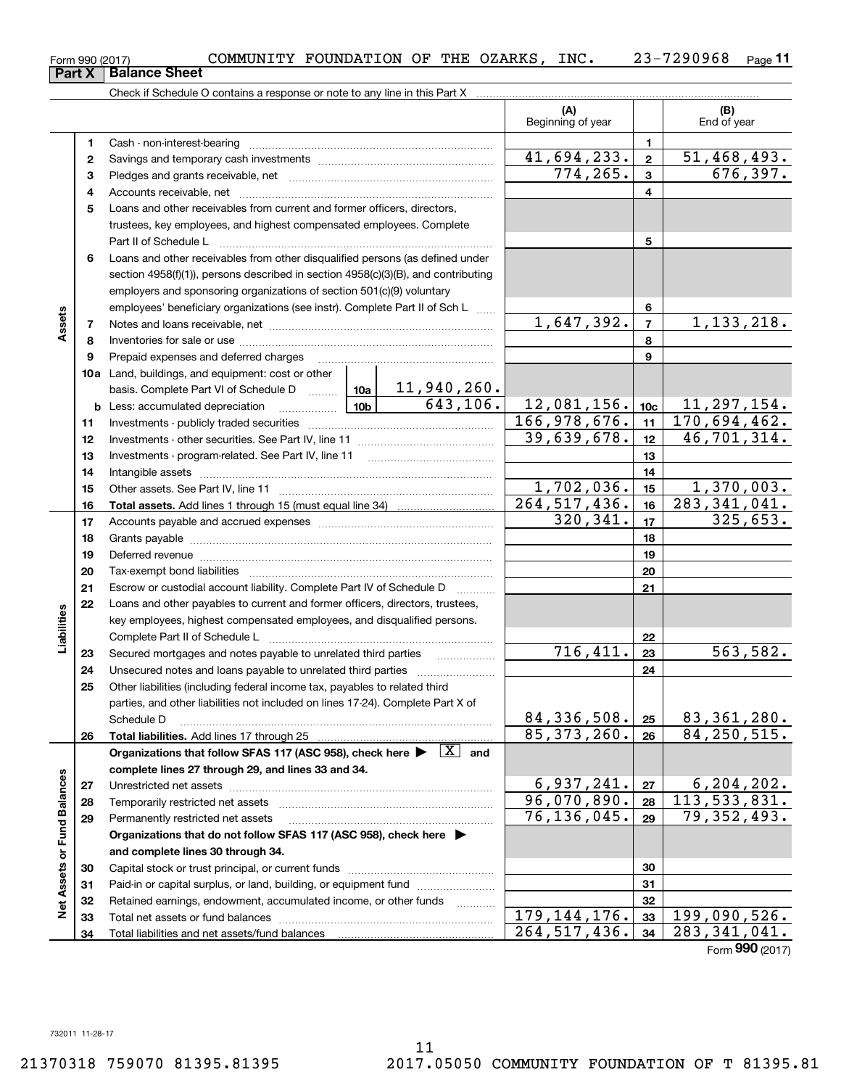| Form 990 (2017) | COMMUNITY T | <b>FOUNDATION OF</b> |  |  | THE OZARKS. | INC. | 7290968 | Page |
|-----------------|-------------|----------------------|--|--|-------------|------|---------|------|
|-----------------|-------------|----------------------|--|--|-------------|------|---------|------|

**11**

|                             |    | Check if Schedule O contains a response or note to any line in this Part X                                                |  |              |                              |                 |                             |
|-----------------------------|----|---------------------------------------------------------------------------------------------------------------------------|--|--------------|------------------------------|-----------------|-----------------------------|
|                             |    |                                                                                                                           |  |              | (A)<br>Beginning of year     |                 | (B)<br>End of year          |
|                             | 1  |                                                                                                                           |  |              |                              | 1.              |                             |
|                             | 2  |                                                                                                                           |  |              | 41,694,233.                  | $\mathbf{2}$    | 51,468,493.                 |
|                             | з  |                                                                                                                           |  | 774,265.     | 3                            | 676, 397.       |                             |
|                             | 4  |                                                                                                                           |  | 4            |                              |                 |                             |
|                             | 5  | Loans and other receivables from current and former officers, directors,                                                  |  |              |                              |                 |                             |
|                             |    | trustees, key employees, and highest compensated employees. Complete                                                      |  |              |                              |                 |                             |
|                             |    | Part II of Schedule L                                                                                                     |  | 5            |                              |                 |                             |
|                             | 6  | Loans and other receivables from other disqualified persons (as defined under                                             |  |              |                              |                 |                             |
|                             |    | section 4958(f)(1)), persons described in section 4958(c)(3)(B), and contributing                                         |  |              |                              |                 |                             |
|                             |    | employers and sponsoring organizations of section 501(c)(9) voluntary                                                     |  |              |                              |                 |                             |
|                             |    | employees' beneficiary organizations (see instr). Complete Part II of Sch L                                               |  |              |                              | 6               |                             |
| Assets                      | 7  |                                                                                                                           |  |              | 1,647,392.                   | $\overline{7}$  | 1, 133, 218.                |
|                             | 8  |                                                                                                                           |  |              |                              | 8               |                             |
|                             | 9  | Prepaid expenses and deferred charges [11] matter contracts and set of the contracts and deferred charges [11]            |  |              |                              | 9               |                             |
|                             |    | <b>10a</b> Land, buildings, and equipment: cost or other                                                                  |  |              |                              |                 |                             |
|                             |    | basis. Complete Part VI of Schedule D $\frac{10a}{10a}$ 11, 940, 260.                                                     |  |              |                              |                 |                             |
|                             |    |                                                                                                                           |  | 643, 106.    | 12,081,156.                  | 10 <sub>c</sub> | 11,297,154.                 |
|                             | 11 |                                                                                                                           |  | 166,978,676. | 11                           | 170,694,462.    |                             |
|                             | 12 |                                                                                                                           |  |              | 39,639,678.                  | 12              | $\overline{46}$ , 701, 314. |
|                             | 13 |                                                                                                                           |  |              | 13                           |                 |                             |
|                             | 14 |                                                                                                                           |  |              |                              | 14              |                             |
|                             | 15 |                                                                                                                           |  |              | 1,702,036.                   | 15              | 1,370,003.                  |
|                             | 16 |                                                                                                                           |  |              | $\overline{264, 517, 436}$ . | 16              | 283, 341, 041.              |
|                             | 17 |                                                                                                                           |  |              | 320,341.                     | 17              | 325,653.                    |
|                             | 18 |                                                                                                                           |  | 18           |                              |                 |                             |
|                             | 19 | Deferred revenue manufacture contracts and contracts are contracted revenue of the contract of the contract of            |  | 19           |                              |                 |                             |
|                             | 20 |                                                                                                                           |  |              | 20                           |                 |                             |
|                             | 21 | Escrow or custodial account liability. Complete Part IV of Schedule D                                                     |  |              |                              | 21              |                             |
|                             | 22 | Loans and other payables to current and former officers, directors, trustees,                                             |  |              |                              |                 |                             |
| Liabilities                 |    | key employees, highest compensated employees, and disqualified persons.                                                   |  |              |                              |                 |                             |
|                             |    |                                                                                                                           |  |              |                              | 22              |                             |
|                             | 23 | Secured mortgages and notes payable to unrelated third parties                                                            |  |              | $\overline{716}$ , 411.      | 23              | 563,582.                    |
|                             | 24 |                                                                                                                           |  |              |                              | 24              |                             |
|                             | 25 | Other liabilities (including federal income tax, payables to related third                                                |  |              |                              |                 |                             |
|                             |    | parties, and other liabilities not included on lines 17-24). Complete Part X of                                           |  |              |                              |                 |                             |
|                             |    | Schedule D                                                                                                                |  |              | 84, 336, 508.                | 25              | 83, 361, 280.               |
|                             | 26 | Total liabilities. Add lines 17 through 25                                                                                |  |              | 85, 373, 260.                | 26              | 84, 250, 515.               |
|                             |    | Organizations that follow SFAS 117 (ASC 958), check here $\blacktriangleright \begin{array}{c} \boxed{X} \end{array}$ and |  |              |                              |                 |                             |
|                             |    | complete lines 27 through 29, and lines 33 and 34.                                                                        |  |              |                              |                 |                             |
|                             | 27 |                                                                                                                           |  |              | 6,937,241.                   | 27              | 6, 204, 202.                |
|                             | 28 | Temporarily restricted net assets                                                                                         |  |              | 96,070,890.                  | 28              | 113, 533, 831.              |
|                             | 29 | Permanently restricted net assets                                                                                         |  |              | 76,136,045.                  | 29              | 79,352,493.                 |
|                             |    | Organizations that do not follow SFAS 117 (ASC 958), check here ▶                                                         |  |              |                              |                 |                             |
|                             |    | and complete lines 30 through 34.                                                                                         |  |              |                              |                 |                             |
|                             | 30 |                                                                                                                           |  |              | 30                           |                 |                             |
|                             | 31 |                                                                                                                           |  |              | 31                           |                 |                             |
| Net Assets or Fund Balances | 32 | Retained earnings, endowment, accumulated income, or other funds                                                          |  | $\cdots$     |                              | 32              |                             |
|                             | 33 |                                                                                                                           |  |              | 179, 144, 176.               | 33              | 199,090,526.                |
|                             | 34 |                                                                                                                           |  |              | 264, 517, 436.               | 34              | 283, 341, 041.              |
|                             |    |                                                                                                                           |  |              |                              |                 | Form 990 (2017)             |

**Part X Balance Sheet**

|  | orm 990 (2017) |  |
|--|----------------|--|
|--|----------------|--|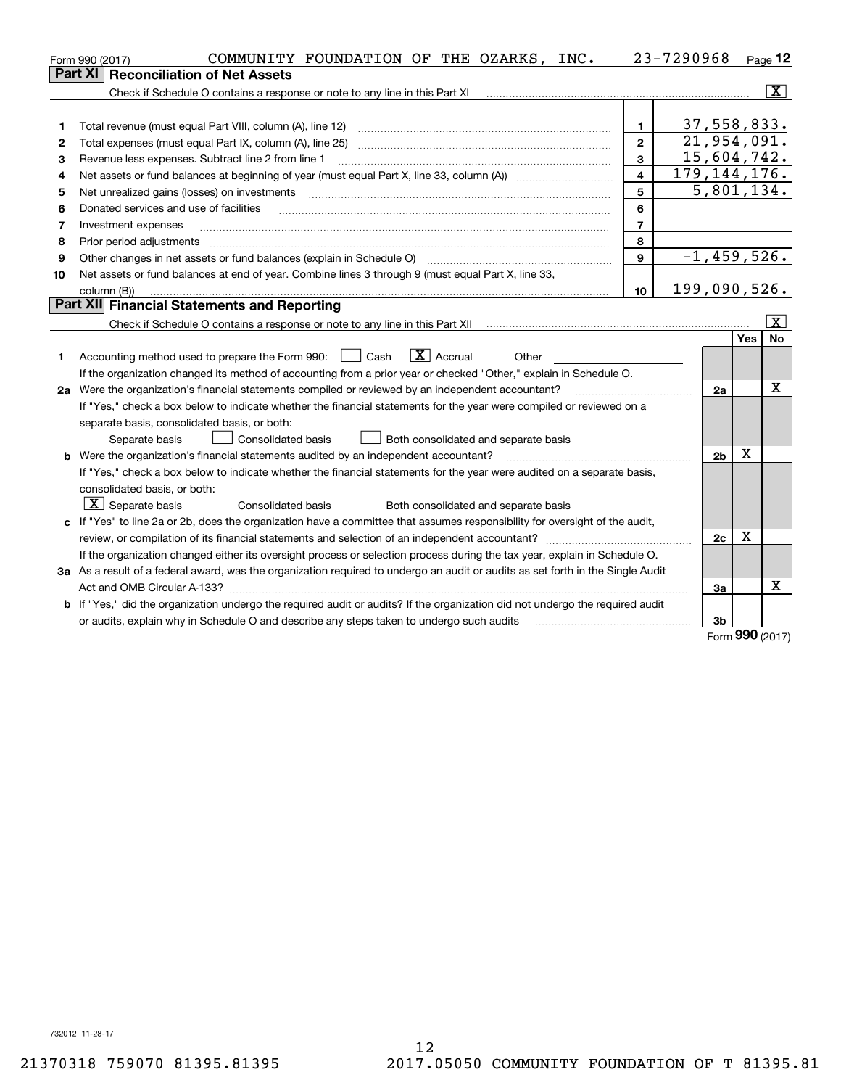|    | COMMUNITY FOUNDATION OF THE OZARKS, INC.<br>Form 990 (2017)                                                                                                                                                                    |                         | 23-7290968 |                             |     | Page $12$               |
|----|--------------------------------------------------------------------------------------------------------------------------------------------------------------------------------------------------------------------------------|-------------------------|------------|-----------------------------|-----|-------------------------|
|    | <b>Part XI   Reconciliation of Net Assets</b>                                                                                                                                                                                  |                         |            |                             |     |                         |
|    | Check if Schedule O contains a response or note to any line in this Part XI                                                                                                                                                    |                         |            |                             |     | $ \mathbf{X} $          |
|    |                                                                                                                                                                                                                                |                         |            |                             |     |                         |
| 1  | Total revenue (must equal Part VIII, column (A), line 12)                                                                                                                                                                      | 1.                      |            | 37,558,833.                 |     |                         |
| 2  | Total expenses (must equal Part IX, column (A), line 25)                                                                                                                                                                       | $\overline{2}$          |            | $\overline{21}$ , 954, 091. |     |                         |
| 3  | Revenue less expenses. Subtract line 2 from line 1                                                                                                                                                                             | 3                       |            | 15,604,742.                 |     |                         |
| 4  |                                                                                                                                                                                                                                | $\overline{\mathbf{4}}$ |            | 179, 144, 176.              |     |                         |
| 5  | Net unrealized gains (losses) on investments                                                                                                                                                                                   | 5                       |            | 5,801,134.                  |     |                         |
| 6  | Donated services and use of facilities                                                                                                                                                                                         | 6                       |            |                             |     |                         |
| 7  | Investment expenses                                                                                                                                                                                                            | $\overline{7}$          |            |                             |     |                         |
| 8  | Prior period adjustments                                                                                                                                                                                                       | 8                       |            |                             |     |                         |
| 9  | Other changes in net assets or fund balances (explain in Schedule O) [11] content changes in net assets or fund balances (explain in Schedule O) [11] content changes in net assets or fund balances (explain in Schedule O) [ | 9                       |            | $-1,459,526.$               |     |                         |
| 10 | Net assets or fund balances at end of year. Combine lines 3 through 9 (must equal Part X, line 33,                                                                                                                             |                         |            |                             |     |                         |
|    | column (B))                                                                                                                                                                                                                    | 10                      |            | 199,090,526.                |     |                         |
|    | Part XII Financial Statements and Reporting                                                                                                                                                                                    |                         |            |                             |     |                         |
|    |                                                                                                                                                                                                                                |                         |            |                             |     | $\overline{\mathtt{x}}$ |
|    |                                                                                                                                                                                                                                |                         |            |                             | Yes | No                      |
| 1. | $\boxed{\mathbf{X}}$ Accrual<br>Accounting method used to prepare the Form 990: <u>I</u> Cash<br>Other                                                                                                                         |                         |            |                             |     |                         |
|    | If the organization changed its method of accounting from a prior year or checked "Other," explain in Schedule O.                                                                                                              |                         |            |                             |     |                         |
|    | 2a Were the organization's financial statements compiled or reviewed by an independent accountant?                                                                                                                             |                         |            | 2a                          |     | х                       |
|    | If "Yes," check a box below to indicate whether the financial statements for the year were compiled or reviewed on a                                                                                                           |                         |            |                             |     |                         |
|    | separate basis, consolidated basis, or both:                                                                                                                                                                                   |                         |            |                             |     |                         |
|    | <b>Consolidated basis</b><br>Both consolidated and separate basis<br>Separate basis                                                                                                                                            |                         |            |                             |     |                         |
|    | <b>b</b> Were the organization's financial statements audited by an independent accountant?                                                                                                                                    |                         |            | 2 <sub>b</sub>              | X   |                         |
|    | If "Yes," check a box below to indicate whether the financial statements for the year were audited on a separate basis,                                                                                                        |                         |            |                             |     |                         |
|    | consolidated basis, or both:                                                                                                                                                                                                   |                         |            |                             |     |                         |
|    | $X$ Separate basis<br>Consolidated basis<br>Both consolidated and separate basis                                                                                                                                               |                         |            |                             |     |                         |
|    | c If "Yes" to line 2a or 2b, does the organization have a committee that assumes responsibility for oversight of the audit,                                                                                                    |                         |            |                             |     |                         |
|    |                                                                                                                                                                                                                                |                         |            | 2c                          | х   |                         |
|    | If the organization changed either its oversight process or selection process during the tax year, explain in Schedule O.                                                                                                      |                         |            |                             |     |                         |
|    | 3a As a result of a federal award, was the organization required to undergo an audit or audits as set forth in the Single Audit                                                                                                |                         |            |                             |     |                         |
|    |                                                                                                                                                                                                                                |                         |            | За                          |     | х                       |
|    | b If "Yes," did the organization undergo the required audit or audits? If the organization did not undergo the required audit                                                                                                  |                         |            |                             |     |                         |
|    | or audits, explain why in Schedule O and describe any steps taken to undergo such audits                                                                                                                                       |                         |            | 3b                          | מהה |                         |

Form (2017) **990**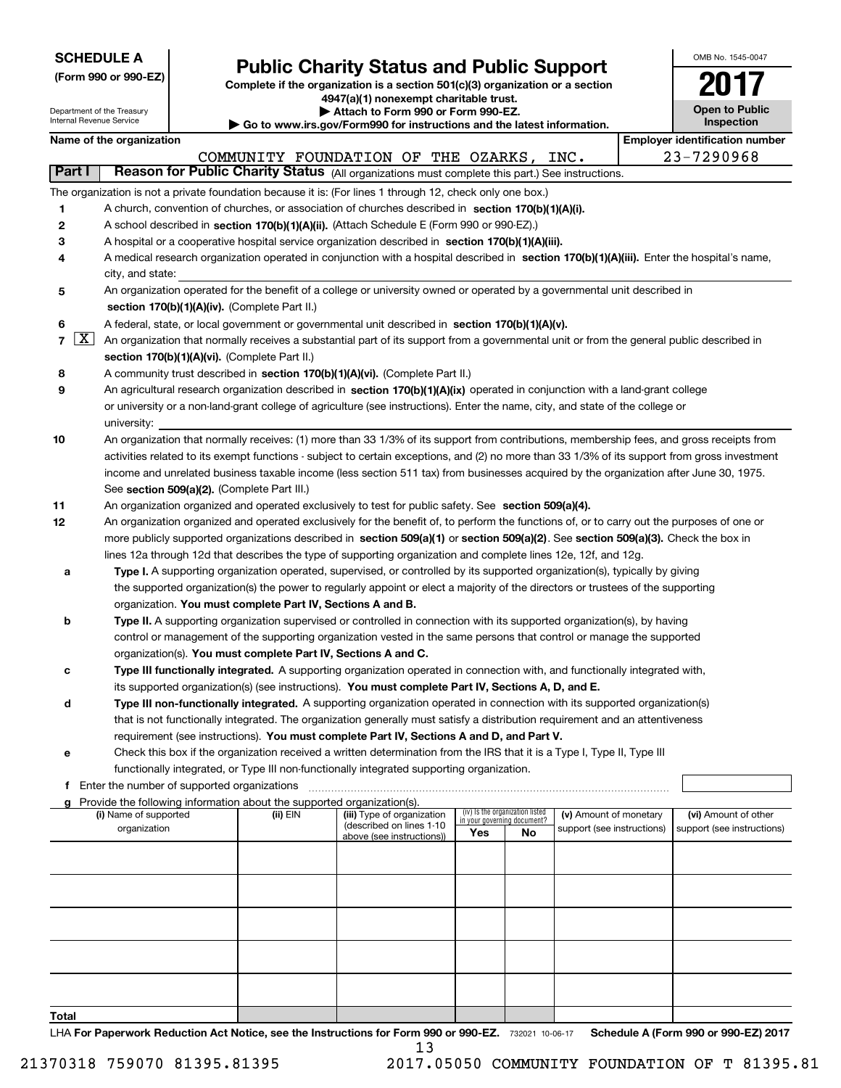| <b>SCHEDULE A</b> |
|-------------------|
|-------------------|

| (Form 990 or 990-EZ) |  |  |  |  |
|----------------------|--|--|--|--|
|----------------------|--|--|--|--|

# **Public Charity Status and Public Support**

**Complete if the organization is a section 501(c)(3) organization or a section 4947(a)(1) nonexempt charitable trust.**

| OMB No. 1545-0047     |
|-----------------------|
|                       |
| <b>Open to Public</b> |

| <b>4947 (a)(T) Honexempt Charitable trust.</b><br>Department of the Treasury<br>Attach to Form 990 or Form 990-EZ.<br>Internal Revenue Service<br>$\blacktriangleright$ Go to www.irs.gov/Form990 for instructions and the latest information. |                     |                                                                                                                                                                            |  |                                                                        |                                                                                                                                               | <b>Open to Public</b><br><b>Inspection</b> |                                                                |                            |  |                                       |
|------------------------------------------------------------------------------------------------------------------------------------------------------------------------------------------------------------------------------------------------|---------------------|----------------------------------------------------------------------------------------------------------------------------------------------------------------------------|--|------------------------------------------------------------------------|-----------------------------------------------------------------------------------------------------------------------------------------------|--------------------------------------------|----------------------------------------------------------------|----------------------------|--|---------------------------------------|
|                                                                                                                                                                                                                                                |                     | Name of the organization                                                                                                                                                   |  |                                                                        |                                                                                                                                               |                                            |                                                                |                            |  | <b>Employer identification number</b> |
|                                                                                                                                                                                                                                                |                     |                                                                                                                                                                            |  |                                                                        | COMMUNITY FOUNDATION OF THE OZARKS, INC.                                                                                                      |                                            |                                                                |                            |  | 23-7290968                            |
|                                                                                                                                                                                                                                                | Part I              |                                                                                                                                                                            |  |                                                                        | Reason for Public Charity Status (All organizations must complete this part.) See instructions.                                               |                                            |                                                                |                            |  |                                       |
|                                                                                                                                                                                                                                                |                     |                                                                                                                                                                            |  |                                                                        | The organization is not a private foundation because it is: (For lines 1 through 12, check only one box.)                                     |                                            |                                                                |                            |  |                                       |
| 1                                                                                                                                                                                                                                              |                     |                                                                                                                                                                            |  |                                                                        | A church, convention of churches, or association of churches described in section 170(b)(1)(A)(i).                                            |                                            |                                                                |                            |  |                                       |
| 2                                                                                                                                                                                                                                              |                     |                                                                                                                                                                            |  |                                                                        | A school described in section 170(b)(1)(A)(ii). (Attach Schedule E (Form 990 or 990-EZ).)                                                     |                                            |                                                                |                            |  |                                       |
| з                                                                                                                                                                                                                                              |                     |                                                                                                                                                                            |  |                                                                        | A hospital or a cooperative hospital service organization described in section 170(b)(1)(A)(iii).                                             |                                            |                                                                |                            |  |                                       |
| 4                                                                                                                                                                                                                                              |                     | A medical research organization operated in conjunction with a hospital described in section 170(b)(1)(A)(iii). Enter the hospital's name,<br>city, and state:             |  |                                                                        |                                                                                                                                               |                                            |                                                                |                            |  |                                       |
| 5                                                                                                                                                                                                                                              |                     | An organization operated for the benefit of a college or university owned or operated by a governmental unit described in<br>section 170(b)(1)(A)(iv). (Complete Part II.) |  |                                                                        |                                                                                                                                               |                                            |                                                                |                            |  |                                       |
| 6                                                                                                                                                                                                                                              |                     |                                                                                                                                                                            |  |                                                                        | A federal, state, or local government or governmental unit described in section 170(b)(1)(A)(v).                                              |                                            |                                                                |                            |  |                                       |
| 7                                                                                                                                                                                                                                              | $\lfloor x \rfloor$ |                                                                                                                                                                            |  |                                                                        | An organization that normally receives a substantial part of its support from a governmental unit or from the general public described in     |                                            |                                                                |                            |  |                                       |
|                                                                                                                                                                                                                                                |                     |                                                                                                                                                                            |  | section 170(b)(1)(A)(vi). (Complete Part II.)                          |                                                                                                                                               |                                            |                                                                |                            |  |                                       |
| 8                                                                                                                                                                                                                                              |                     |                                                                                                                                                                            |  |                                                                        | A community trust described in section 170(b)(1)(A)(vi). (Complete Part II.)                                                                  |                                            |                                                                |                            |  |                                       |
| 9                                                                                                                                                                                                                                              |                     |                                                                                                                                                                            |  |                                                                        | An agricultural research organization described in section 170(b)(1)(A)(ix) operated in conjunction with a land-grant college                 |                                            |                                                                |                            |  |                                       |
|                                                                                                                                                                                                                                                |                     |                                                                                                                                                                            |  |                                                                        | or university or a non-land-grant college of agriculture (see instructions). Enter the name, city, and state of the college or                |                                            |                                                                |                            |  |                                       |
|                                                                                                                                                                                                                                                |                     | university:                                                                                                                                                                |  |                                                                        |                                                                                                                                               |                                            |                                                                |                            |  |                                       |
| 10                                                                                                                                                                                                                                             |                     |                                                                                                                                                                            |  |                                                                        | An organization that normally receives: (1) more than 33 1/3% of its support from contributions, membership fees, and gross receipts from     |                                            |                                                                |                            |  |                                       |
|                                                                                                                                                                                                                                                |                     |                                                                                                                                                                            |  |                                                                        | activities related to its exempt functions - subject to certain exceptions, and (2) no more than 33 1/3% of its support from gross investment |                                            |                                                                |                            |  |                                       |
|                                                                                                                                                                                                                                                |                     |                                                                                                                                                                            |  |                                                                        | income and unrelated business taxable income (less section 511 tax) from businesses acquired by the organization after June 30, 1975.         |                                            |                                                                |                            |  |                                       |
|                                                                                                                                                                                                                                                |                     |                                                                                                                                                                            |  | See section 509(a)(2). (Complete Part III.)                            |                                                                                                                                               |                                            |                                                                |                            |  |                                       |
| 11                                                                                                                                                                                                                                             |                     |                                                                                                                                                                            |  |                                                                        | An organization organized and operated exclusively to test for public safety. See section 509(a)(4).                                          |                                            |                                                                |                            |  |                                       |
| 12                                                                                                                                                                                                                                             |                     |                                                                                                                                                                            |  |                                                                        | An organization organized and operated exclusively for the benefit of, to perform the functions of, or to carry out the purposes of one or    |                                            |                                                                |                            |  |                                       |
|                                                                                                                                                                                                                                                |                     |                                                                                                                                                                            |  |                                                                        | more publicly supported organizations described in section 509(a)(1) or section 509(a)(2). See section 509(a)(3). Check the box in            |                                            |                                                                |                            |  |                                       |
|                                                                                                                                                                                                                                                |                     |                                                                                                                                                                            |  |                                                                        | lines 12a through 12d that describes the type of supporting organization and complete lines 12e, 12f, and 12g.                                |                                            |                                                                |                            |  |                                       |
| а                                                                                                                                                                                                                                              |                     |                                                                                                                                                                            |  |                                                                        | Type I. A supporting organization operated, supervised, or controlled by its supported organization(s), typically by giving                   |                                            |                                                                |                            |  |                                       |
|                                                                                                                                                                                                                                                |                     |                                                                                                                                                                            |  |                                                                        | the supported organization(s) the power to regularly appoint or elect a majority of the directors or trustees of the supporting               |                                            |                                                                |                            |  |                                       |
|                                                                                                                                                                                                                                                |                     |                                                                                                                                                                            |  | organization. You must complete Part IV, Sections A and B.             |                                                                                                                                               |                                            |                                                                |                            |  |                                       |
| b                                                                                                                                                                                                                                              |                     |                                                                                                                                                                            |  |                                                                        | Type II. A supporting organization supervised or controlled in connection with its supported organization(s), by having                       |                                            |                                                                |                            |  |                                       |
|                                                                                                                                                                                                                                                |                     |                                                                                                                                                                            |  |                                                                        | control or management of the supporting organization vested in the same persons that control or manage the supported                          |                                            |                                                                |                            |  |                                       |
|                                                                                                                                                                                                                                                |                     |                                                                                                                                                                            |  | organization(s). You must complete Part IV, Sections A and C.          |                                                                                                                                               |                                            |                                                                |                            |  |                                       |
| с                                                                                                                                                                                                                                              |                     |                                                                                                                                                                            |  |                                                                        | Type III functionally integrated. A supporting organization operated in connection with, and functionally integrated with,                    |                                            |                                                                |                            |  |                                       |
|                                                                                                                                                                                                                                                |                     |                                                                                                                                                                            |  |                                                                        | its supported organization(s) (see instructions). You must complete Part IV, Sections A, D, and E.                                            |                                            |                                                                |                            |  |                                       |
| d                                                                                                                                                                                                                                              |                     |                                                                                                                                                                            |  |                                                                        | Type III non-functionally integrated. A supporting organization operated in connection with its supported organization(s)                     |                                            |                                                                |                            |  |                                       |
|                                                                                                                                                                                                                                                |                     |                                                                                                                                                                            |  |                                                                        | that is not functionally integrated. The organization generally must satisfy a distribution requirement and an attentiveness                  |                                            |                                                                |                            |  |                                       |
|                                                                                                                                                                                                                                                |                     |                                                                                                                                                                            |  |                                                                        | requirement (see instructions). You must complete Part IV, Sections A and D, and Part V.                                                      |                                            |                                                                |                            |  |                                       |
| е                                                                                                                                                                                                                                              |                     |                                                                                                                                                                            |  |                                                                        | Check this box if the organization received a written determination from the IRS that it is a Type I, Type II, Type III                       |                                            |                                                                |                            |  |                                       |
|                                                                                                                                                                                                                                                |                     |                                                                                                                                                                            |  |                                                                        | functionally integrated, or Type III non-functionally integrated supporting organization.                                                     |                                            |                                                                |                            |  |                                       |
| f.                                                                                                                                                                                                                                             |                     | Enter the number of supported organizations                                                                                                                                |  |                                                                        |                                                                                                                                               |                                            |                                                                |                            |  |                                       |
|                                                                                                                                                                                                                                                |                     |                                                                                                                                                                            |  | Provide the following information about the supported organization(s). |                                                                                                                                               |                                            |                                                                |                            |  |                                       |
|                                                                                                                                                                                                                                                |                     | (i) Name of supported                                                                                                                                                      |  | (ii) EIN                                                               | (iii) Type of organization                                                                                                                    |                                            | (iv) Is the organization listed<br>in your governing document? | (v) Amount of monetary     |  | (vi) Amount of other                  |
|                                                                                                                                                                                                                                                |                     | organization                                                                                                                                                               |  |                                                                        | (described on lines 1-10<br>above (see instructions))                                                                                         | Yes                                        | No                                                             | support (see instructions) |  | support (see instructions)            |
|                                                                                                                                                                                                                                                |                     |                                                                                                                                                                            |  |                                                                        |                                                                                                                                               |                                            |                                                                |                            |  |                                       |
|                                                                                                                                                                                                                                                |                     |                                                                                                                                                                            |  |                                                                        |                                                                                                                                               |                                            |                                                                |                            |  |                                       |
|                                                                                                                                                                                                                                                |                     |                                                                                                                                                                            |  |                                                                        |                                                                                                                                               |                                            |                                                                |                            |  |                                       |
|                                                                                                                                                                                                                                                |                     |                                                                                                                                                                            |  |                                                                        |                                                                                                                                               |                                            |                                                                |                            |  |                                       |
|                                                                                                                                                                                                                                                |                     |                                                                                                                                                                            |  |                                                                        |                                                                                                                                               |                                            |                                                                |                            |  |                                       |
|                                                                                                                                                                                                                                                |                     |                                                                                                                                                                            |  |                                                                        |                                                                                                                                               |                                            |                                                                |                            |  |                                       |
|                                                                                                                                                                                                                                                |                     |                                                                                                                                                                            |  |                                                                        |                                                                                                                                               |                                            |                                                                |                            |  |                                       |
|                                                                                                                                                                                                                                                |                     |                                                                                                                                                                            |  |                                                                        |                                                                                                                                               |                                            |                                                                |                            |  |                                       |
|                                                                                                                                                                                                                                                |                     |                                                                                                                                                                            |  |                                                                        |                                                                                                                                               |                                            |                                                                |                            |  |                                       |

**Total**

LHA For Paperwork Reduction Act Notice, see the Instructions for Form 990 or 990-EZ. 732021 10-06-17 Schedule A (Form 990 or 990-EZ) 2017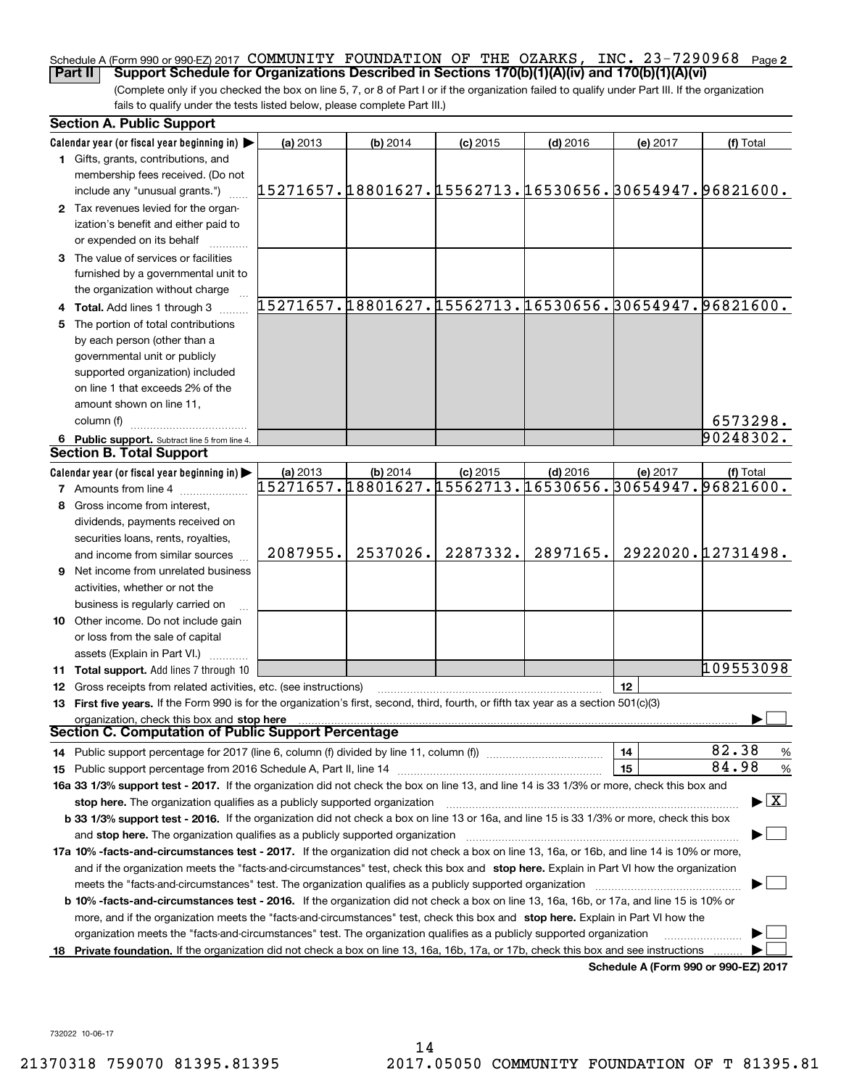### **2** Schedule A (Form 990 or 990-EZ) 2017 Page COMMUNITY FOUNDATION OF THE OZARKS, INC. 23-7290968 **Part II Support Schedule for Organizations Described in Sections 170(b)(1)(A)(iv) and 170(b)(1)(A)(vi)**

(Complete only if you checked the box on line 5, 7, or 8 of Part I or if the organization failed to qualify under Part III. If the organization fails to qualify under the tests listed below, please complete Part III.)

|    | <b>Section A. Public Support</b>                                                                                                                                                                                               |                                                        |          |            |            |          |                                                        |
|----|--------------------------------------------------------------------------------------------------------------------------------------------------------------------------------------------------------------------------------|--------------------------------------------------------|----------|------------|------------|----------|--------------------------------------------------------|
|    | Calendar year (or fiscal year beginning in) $\blacktriangleright$                                                                                                                                                              | (a) 2013                                               | (b) 2014 | $(c)$ 2015 | $(d)$ 2016 | (e) 2017 | (f) Total                                              |
|    | <b>1</b> Gifts, grants, contributions, and                                                                                                                                                                                     |                                                        |          |            |            |          |                                                        |
|    | membership fees received. (Do not                                                                                                                                                                                              |                                                        |          |            |            |          |                                                        |
|    | include any "unusual grants.")                                                                                                                                                                                                 | 15271657.18801627.15562713.16530656.30654947.96821600. |          |            |            |          |                                                        |
|    | 2 Tax revenues levied for the organ-                                                                                                                                                                                           |                                                        |          |            |            |          |                                                        |
|    | ization's benefit and either paid to                                                                                                                                                                                           |                                                        |          |            |            |          |                                                        |
|    | or expended on its behalf                                                                                                                                                                                                      |                                                        |          |            |            |          |                                                        |
|    | 3 The value of services or facilities                                                                                                                                                                                          |                                                        |          |            |            |          |                                                        |
|    | furnished by a governmental unit to                                                                                                                                                                                            |                                                        |          |            |            |          |                                                        |
|    | the organization without charge                                                                                                                                                                                                |                                                        |          |            |            |          |                                                        |
|    | 4 Total. Add lines 1 through 3                                                                                                                                                                                                 |                                                        |          |            |            |          | 15271657.18801627.15562713.16530656.30654947.96821600. |
| 5. | The portion of total contributions                                                                                                                                                                                             |                                                        |          |            |            |          |                                                        |
|    | by each person (other than a                                                                                                                                                                                                   |                                                        |          |            |            |          |                                                        |
|    | governmental unit or publicly                                                                                                                                                                                                  |                                                        |          |            |            |          |                                                        |
|    | supported organization) included                                                                                                                                                                                               |                                                        |          |            |            |          |                                                        |
|    | on line 1 that exceeds 2% of the                                                                                                                                                                                               |                                                        |          |            |            |          |                                                        |
|    | amount shown on line 11,                                                                                                                                                                                                       |                                                        |          |            |            |          |                                                        |
|    | column (f)                                                                                                                                                                                                                     |                                                        |          |            |            |          | 6573298.                                               |
|    | 6 Public support. Subtract line 5 from line 4.                                                                                                                                                                                 |                                                        |          |            |            |          | 90248302.                                              |
|    | <b>Section B. Total Support</b>                                                                                                                                                                                                |                                                        |          |            |            |          |                                                        |
|    | Calendar year (or fiscal year beginning in) $\blacktriangleright$                                                                                                                                                              | (a) 2013                                               | (b) 2014 | $(c)$ 2015 | $(d)$ 2016 | (e) 2017 | (f) Total                                              |
|    | <b>7</b> Amounts from line 4                                                                                                                                                                                                   |                                                        |          |            |            |          | 15271657.18801627.15562713.16530656.30654947.96821600. |
|    | 8 Gross income from interest,                                                                                                                                                                                                  |                                                        |          |            |            |          |                                                        |
|    | dividends, payments received on                                                                                                                                                                                                |                                                        |          |            |            |          |                                                        |
|    | securities loans, rents, royalties,                                                                                                                                                                                            |                                                        |          |            |            |          |                                                        |
|    | and income from similar sources                                                                                                                                                                                                | 2087955.                                               | 2537026. | 2287332.   | 2897165.   |          | 2922020.12731498.                                      |
|    | <b>9</b> Net income from unrelated business                                                                                                                                                                                    |                                                        |          |            |            |          |                                                        |
|    | activities, whether or not the                                                                                                                                                                                                 |                                                        |          |            |            |          |                                                        |
|    | business is regularly carried on                                                                                                                                                                                               |                                                        |          |            |            |          |                                                        |
|    | <b>10</b> Other income. Do not include gain                                                                                                                                                                                    |                                                        |          |            |            |          |                                                        |
|    | or loss from the sale of capital                                                                                                                                                                                               |                                                        |          |            |            |          |                                                        |
|    | assets (Explain in Part VI.)                                                                                                                                                                                                   |                                                        |          |            |            |          |                                                        |
|    | <b>11 Total support.</b> Add lines 7 through 10                                                                                                                                                                                |                                                        |          |            |            |          | 109553098                                              |
|    | <b>12</b> Gross receipts from related activities, etc. (see instructions)                                                                                                                                                      |                                                        |          |            |            | 12       |                                                        |
|    | 13 First five years. If the Form 990 is for the organization's first, second, third, fourth, or fifth tax year as a section 501(c)(3)                                                                                          |                                                        |          |            |            |          |                                                        |
|    | organization, check this box and stop here                                                                                                                                                                                     |                                                        |          |            |            |          |                                                        |
|    | Section C. Computation of Public Support Percentage                                                                                                                                                                            |                                                        |          |            |            |          |                                                        |
|    | 14 Public support percentage for 2017 (line 6, column (f) divided by line 11, column (f) <i>mummumumum</i>                                                                                                                     |                                                        |          |            |            | 14       | 82.38<br>%                                             |
|    | 15 Public support percentage from 2016 Schedule A, Part II, line 14 [11] [11] manument continuum manument of Public support percentage from 2016 Schedule A, Part II, line 14 [11] manument continuum manument of Public suppo |                                                        |          |            |            | 15       | 84.98<br>$\%$                                          |
|    | 16a 33 1/3% support test - 2017. If the organization did not check the box on line 13, and line 14 is 33 1/3% or more, check this box and                                                                                      |                                                        |          |            |            |          |                                                        |
|    | stop here. The organization qualifies as a publicly supported organization                                                                                                                                                     |                                                        |          |            |            |          | $\blacktriangleright$ $\boxed{\text{X}}$               |
|    | b 33 1/3% support test - 2016. If the organization did not check a box on line 13 or 16a, and line 15 is 33 1/3% or more, check this box                                                                                       |                                                        |          |            |            |          |                                                        |
|    | and stop here. The organization qualifies as a publicly supported organization                                                                                                                                                 |                                                        |          |            |            |          |                                                        |
|    | 17a 10% -facts-and-circumstances test - 2017. If the organization did not check a box on line 13, 16a, or 16b, and line 14 is 10% or more,                                                                                     |                                                        |          |            |            |          |                                                        |
|    | and if the organization meets the "facts-and-circumstances" test, check this box and stop here. Explain in Part VI how the organization                                                                                        |                                                        |          |            |            |          |                                                        |
|    | meets the "facts-and-circumstances" test. The organization qualifies as a publicly supported organization                                                                                                                      |                                                        |          |            |            |          |                                                        |
|    | <b>b 10% -facts-and-circumstances test - 2016.</b> If the organization did not check a box on line 13, 16a, 16b, or 17a, and line 15 is 10% or                                                                                 |                                                        |          |            |            |          |                                                        |
|    | more, and if the organization meets the "facts-and-circumstances" test, check this box and stop here. Explain in Part VI how the                                                                                               |                                                        |          |            |            |          |                                                        |
|    | organization meets the "facts-and-circumstances" test. The organization qualifies as a publicly supported organization                                                                                                         |                                                        |          |            |            |          |                                                        |
|    | 18 Private foundation. If the organization did not check a box on line 13, 16a, 16b, 17a, or 17b, check this box and see instructions                                                                                          |                                                        |          |            |            |          |                                                        |
|    |                                                                                                                                                                                                                                |                                                        |          |            |            |          | Schedule A (Form 990 or 990-F7) 2017                   |

**Schedule A (Form 990 or 990-EZ) 2017**

732022 10-06-17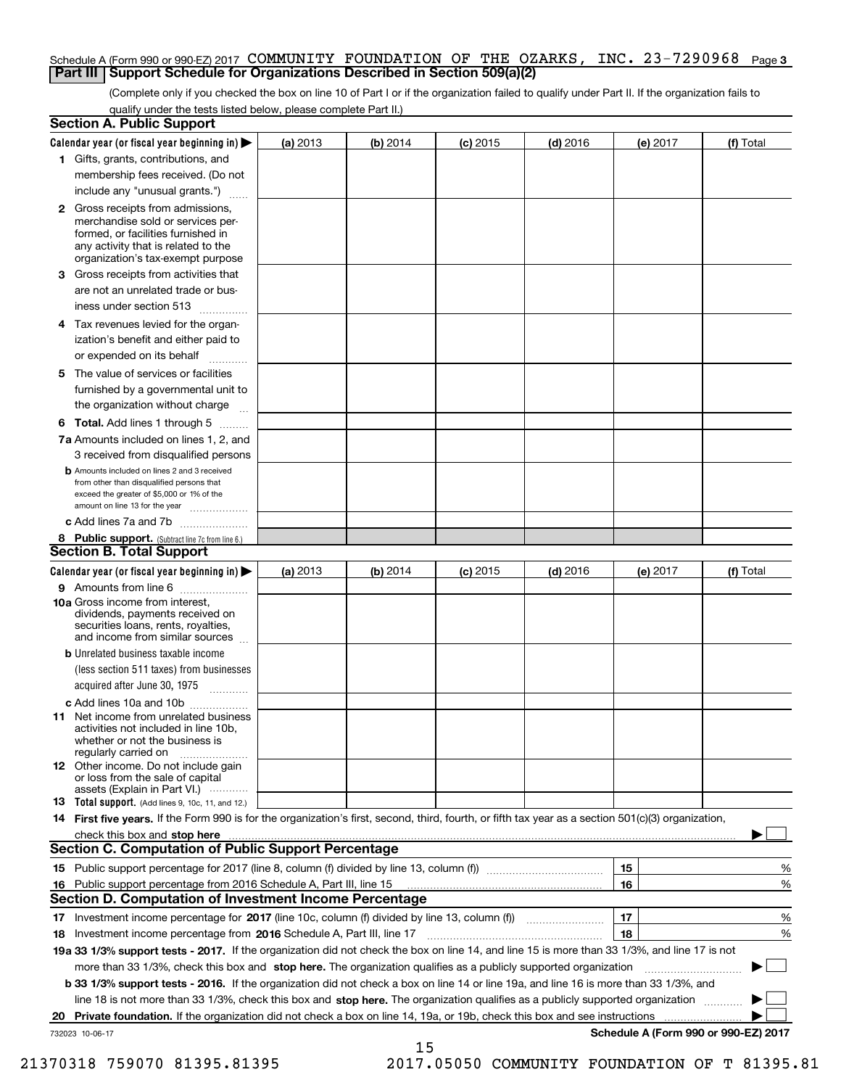### Schedule A (Form 990 or 990-EZ) 2017  $\,$  **COMMUNITY <code>FOUNDATION OF THE OZARKS</code> , <code>INC. 23–7290968</code> <code>Page 3</code> Part III Support Schedule for Organizations Described in Section 509(a)(2)**

(Complete only if you checked the box on line 10 of Part I or if the organization failed to qualify under Part II. If the organization fails to qualify under the tests listed below, please complete Part II.)

|    | <b>Section A. Public Support</b>                                                                                                                                                                                                          |          |          |            |            |          |                                      |
|----|-------------------------------------------------------------------------------------------------------------------------------------------------------------------------------------------------------------------------------------------|----------|----------|------------|------------|----------|--------------------------------------|
|    | Calendar year (or fiscal year beginning in) $\blacktriangleright$                                                                                                                                                                         | (a) 2013 | (b) 2014 | $(c)$ 2015 | $(d)$ 2016 | (e) 2017 | (f) Total                            |
|    | 1 Gifts, grants, contributions, and                                                                                                                                                                                                       |          |          |            |            |          |                                      |
|    | membership fees received. (Do not                                                                                                                                                                                                         |          |          |            |            |          |                                      |
|    | include any "unusual grants.")                                                                                                                                                                                                            |          |          |            |            |          |                                      |
|    | 2 Gross receipts from admissions,<br>merchandise sold or services per-<br>formed, or facilities furnished in<br>any activity that is related to the<br>organization's tax-exempt purpose                                                  |          |          |            |            |          |                                      |
|    | 3 Gross receipts from activities that                                                                                                                                                                                                     |          |          |            |            |          |                                      |
|    | are not an unrelated trade or bus-                                                                                                                                                                                                        |          |          |            |            |          |                                      |
|    | iness under section 513                                                                                                                                                                                                                   |          |          |            |            |          |                                      |
|    | 4 Tax revenues levied for the organ-                                                                                                                                                                                                      |          |          |            |            |          |                                      |
|    | ization's benefit and either paid to                                                                                                                                                                                                      |          |          |            |            |          |                                      |
|    | or expended on its behalf<br>.                                                                                                                                                                                                            |          |          |            |            |          |                                      |
|    | 5 The value of services or facilities                                                                                                                                                                                                     |          |          |            |            |          |                                      |
|    | furnished by a governmental unit to                                                                                                                                                                                                       |          |          |            |            |          |                                      |
|    | the organization without charge                                                                                                                                                                                                           |          |          |            |            |          |                                      |
|    | <b>6 Total.</b> Add lines 1 through 5                                                                                                                                                                                                     |          |          |            |            |          |                                      |
|    | 7a Amounts included on lines 1, 2, and                                                                                                                                                                                                    |          |          |            |            |          |                                      |
|    | 3 received from disqualified persons<br><b>b</b> Amounts included on lines 2 and 3 received                                                                                                                                               |          |          |            |            |          |                                      |
|    | from other than disqualified persons that<br>exceed the greater of \$5,000 or 1% of the<br>amount on line 13 for the year                                                                                                                 |          |          |            |            |          |                                      |
|    | c Add lines 7a and 7b                                                                                                                                                                                                                     |          |          |            |            |          |                                      |
|    | 8 Public support. (Subtract line 7c from line 6.)                                                                                                                                                                                         |          |          |            |            |          |                                      |
|    | <b>Section B. Total Support</b>                                                                                                                                                                                                           |          |          |            |            |          |                                      |
|    | Calendar year (or fiscal year beginning in) $\blacktriangleright$                                                                                                                                                                         | (a) 2013 | (b) 2014 | $(c)$ 2015 | $(d)$ 2016 | (e) 2017 | (f) Total                            |
|    | 9 Amounts from line 6                                                                                                                                                                                                                     |          |          |            |            |          |                                      |
|    | 10a Gross income from interest,<br>dividends, payments received on<br>securities loans, rents, royalties,<br>and income from similar sources                                                                                              |          |          |            |            |          |                                      |
|    | <b>b</b> Unrelated business taxable income                                                                                                                                                                                                |          |          |            |            |          |                                      |
|    | (less section 511 taxes) from businesses                                                                                                                                                                                                  |          |          |            |            |          |                                      |
|    | acquired after June 30, 1975                                                                                                                                                                                                              |          |          |            |            |          |                                      |
|    | c Add lines 10a and 10b                                                                                                                                                                                                                   |          |          |            |            |          |                                      |
|    | 11 Net income from unrelated business<br>activities not included in line 10b,<br>whether or not the business is<br>regularly carried on                                                                                                   |          |          |            |            |          |                                      |
|    | <b>12</b> Other income. Do not include gain<br>or loss from the sale of capital<br>assets (Explain in Part VI.)                                                                                                                           |          |          |            |            |          |                                      |
|    | <b>13</b> Total support. (Add lines 9, 10c, 11, and 12.)                                                                                                                                                                                  |          |          |            |            |          |                                      |
|    | 14 First five years. If the Form 990 is for the organization's first, second, third, fourth, or fifth tax year as a section 501(c)(3) organization,                                                                                       |          |          |            |            |          |                                      |
|    | check this box and <b>stop here</b> measurement contracts and <b>structure the state of the state of the state of the state of the state of the state of the state of the state of the state of the state of the state of the state o</b> |          |          |            |            |          |                                      |
|    | <b>Section C. Computation of Public Support Percentage</b>                                                                                                                                                                                |          |          |            |            |          |                                      |
|    |                                                                                                                                                                                                                                           |          |          |            |            | 15       | %                                    |
|    | 16 Public support percentage from 2016 Schedule A, Part III, line 15                                                                                                                                                                      |          |          |            |            | 16       | %                                    |
|    | <b>Section D. Computation of Investment Income Percentage</b>                                                                                                                                                                             |          |          |            |            |          |                                      |
|    | 17 Investment income percentage for 2017 (line 10c, column (f) divided by line 13, column (f))                                                                                                                                            |          |          |            |            | 17       | %                                    |
|    | 18 Investment income percentage from 2016 Schedule A, Part III, line 17                                                                                                                                                                   |          |          |            |            | 18       | %                                    |
|    | 19a 33 1/3% support tests - 2017. If the organization did not check the box on line 14, and line 15 is more than 33 1/3%, and line 17 is not                                                                                              |          |          |            |            |          |                                      |
|    | more than 33 1/3%, check this box and stop here. The organization qualifies as a publicly supported organization                                                                                                                          |          |          |            |            |          | ▶                                    |
|    | b 33 1/3% support tests - 2016. If the organization did not check a box on line 14 or line 19a, and line 16 is more than 33 1/3%, and                                                                                                     |          |          |            |            |          |                                      |
|    | line 18 is not more than 33 1/3%, check this box and stop here. The organization qualifies as a publicly supported organization                                                                                                           |          |          |            |            |          |                                      |
| 20 | <b>Private foundation.</b> If the organization did not check a box on line 14, 19a, or 19b, check this box and see instructions                                                                                                           |          |          |            |            |          |                                      |
|    | 732023 10-06-17                                                                                                                                                                                                                           |          | 15       |            |            |          | Schedule A (Form 990 or 990-EZ) 2017 |

21370318 759070 81395.81395 2017.05050 COMMUNITY FOUNDATION OF T 81395.81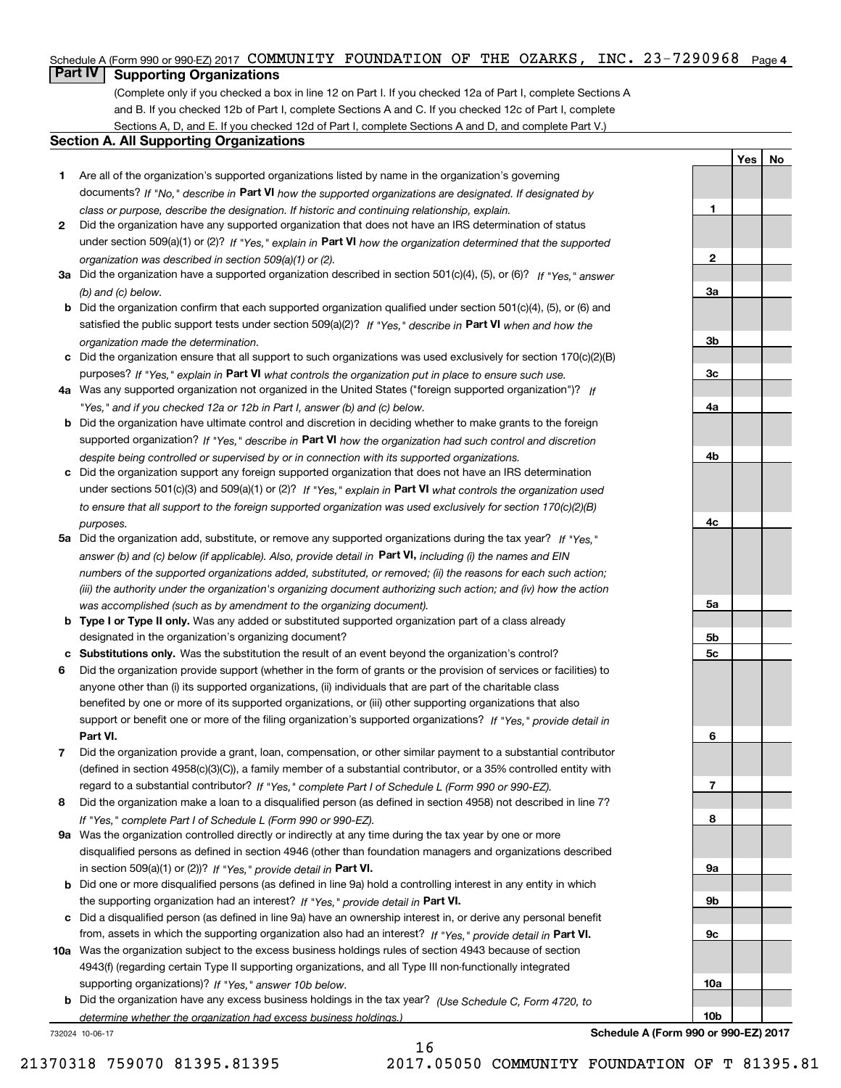### Schedule A (Form 990 or 990-EZ) 2017  $\,$  **COMMUNITY**  $\,$  **FOUNDATION OF THE OZARKS,**  $\,$  **INC**  $\,$  **23-7290968**  $\,$  **Page 4**  $\,$

# **Part IV Supporting Organizations**

(Complete only if you checked a box in line 12 on Part I. If you checked 12a of Part I, complete Sections A and B. If you checked 12b of Part I, complete Sections A and C. If you checked 12c of Part I, complete Sections A, D, and E. If you checked 12d of Part I, complete Sections A and D, and complete Part V.)

### **Section A. All Supporting Organizations**

- **1** Are all of the organization's supported organizations listed by name in the organization's governing documents? If "No," describe in **Part VI** how the supported organizations are designated. If designated by *class or purpose, describe the designation. If historic and continuing relationship, explain.*
- **2** Did the organization have any supported organization that does not have an IRS determination of status under section 509(a)(1) or (2)? If "Yes," explain in Part VI how the organization determined that the supported *organization was described in section 509(a)(1) or (2).*
- **3a** Did the organization have a supported organization described in section 501(c)(4), (5), or (6)? If "Yes," answer *(b) and (c) below.*
- **b** Did the organization confirm that each supported organization qualified under section 501(c)(4), (5), or (6) and satisfied the public support tests under section 509(a)(2)? If "Yes," describe in **Part VI** when and how the *organization made the determination.*
- **c**Did the organization ensure that all support to such organizations was used exclusively for section 170(c)(2)(B) purposes? If "Yes," explain in **Part VI** what controls the organization put in place to ensure such use.
- **4a***If* Was any supported organization not organized in the United States ("foreign supported organization")? *"Yes," and if you checked 12a or 12b in Part I, answer (b) and (c) below.*
- **b** Did the organization have ultimate control and discretion in deciding whether to make grants to the foreign supported organization? If "Yes," describe in **Part VI** how the organization had such control and discretion *despite being controlled or supervised by or in connection with its supported organizations.*
- **c** Did the organization support any foreign supported organization that does not have an IRS determination under sections 501(c)(3) and 509(a)(1) or (2)? If "Yes," explain in **Part VI** what controls the organization used *to ensure that all support to the foreign supported organization was used exclusively for section 170(c)(2)(B) purposes.*
- **5a** Did the organization add, substitute, or remove any supported organizations during the tax year? If "Yes," answer (b) and (c) below (if applicable). Also, provide detail in **Part VI,** including (i) the names and EIN *numbers of the supported organizations added, substituted, or removed; (ii) the reasons for each such action; (iii) the authority under the organization's organizing document authorizing such action; and (iv) how the action was accomplished (such as by amendment to the organizing document).*
- **b** Type I or Type II only. Was any added or substituted supported organization part of a class already designated in the organization's organizing document?
- **cSubstitutions only.**  Was the substitution the result of an event beyond the organization's control?
- **6** Did the organization provide support (whether in the form of grants or the provision of services or facilities) to **Part VI.** *If "Yes," provide detail in* support or benefit one or more of the filing organization's supported organizations? anyone other than (i) its supported organizations, (ii) individuals that are part of the charitable class benefited by one or more of its supported organizations, or (iii) other supporting organizations that also
- **7**Did the organization provide a grant, loan, compensation, or other similar payment to a substantial contributor *If "Yes," complete Part I of Schedule L (Form 990 or 990-EZ).* regard to a substantial contributor? (defined in section 4958(c)(3)(C)), a family member of a substantial contributor, or a 35% controlled entity with
- **8** Did the organization make a loan to a disqualified person (as defined in section 4958) not described in line 7? *If "Yes," complete Part I of Schedule L (Form 990 or 990-EZ).*
- **9a** Was the organization controlled directly or indirectly at any time during the tax year by one or more in section 509(a)(1) or (2))? If "Yes," *provide detail in* <code>Part VI.</code> disqualified persons as defined in section 4946 (other than foundation managers and organizations described
- **b** Did one or more disqualified persons (as defined in line 9a) hold a controlling interest in any entity in which the supporting organization had an interest? If "Yes," provide detail in P**art VI**.
- **c**Did a disqualified person (as defined in line 9a) have an ownership interest in, or derive any personal benefit from, assets in which the supporting organization also had an interest? If "Yes," provide detail in P**art VI.**
- **10a** Was the organization subject to the excess business holdings rules of section 4943 because of section supporting organizations)? If "Yes," answer 10b below. 4943(f) (regarding certain Type II supporting organizations, and all Type III non-functionally integrated
- **b** Did the organization have any excess business holdings in the tax year? (Use Schedule C, Form 4720, to *determine whether the organization had excess business holdings.)*

16

732024 10-06-17

**Schedule A (Form 990 or 990-EZ) 2017**

**YesNo**

**1**

**2**

**3a**

**3b**

**3c**

**4a**

**4b**

**4c**

**5a**

**5b5c**

**6**

**7**

**8**

**9a**

**9b**

**9c**

**10a**

**10b**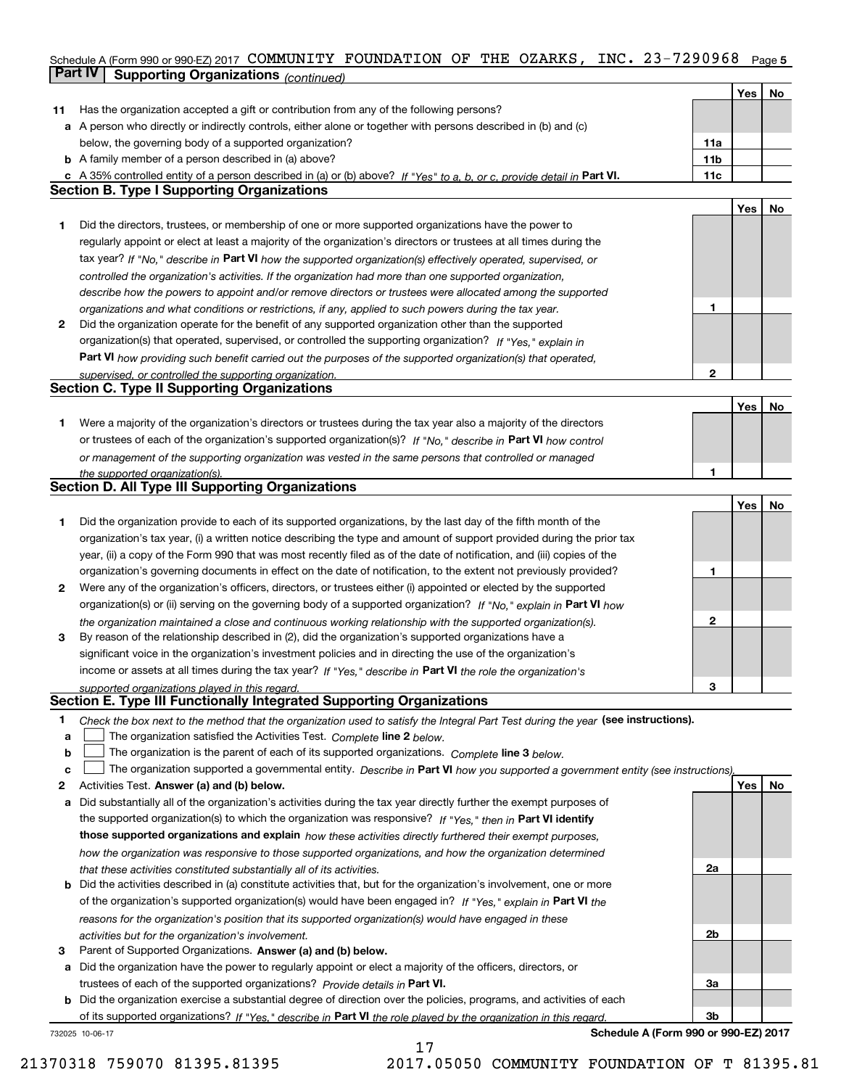### **5** Schedule A (Form 990 or 990-EZ) 2017 Page COMMUNITY FOUNDATION OF THE OZARKS, INC. 23-7290968 **Part IV Supporting Organizations** *(continued)*

|    |                                                                                                                                                                                                               |                 | Yes        | No |
|----|---------------------------------------------------------------------------------------------------------------------------------------------------------------------------------------------------------------|-----------------|------------|----|
| 11 | Has the organization accepted a gift or contribution from any of the following persons?                                                                                                                       |                 |            |    |
|    | a A person who directly or indirectly controls, either alone or together with persons described in (b) and (c)                                                                                                |                 |            |    |
|    | below, the governing body of a supported organization?                                                                                                                                                        | 11a             |            |    |
|    | <b>b</b> A family member of a person described in (a) above?                                                                                                                                                  | 11 <sub>b</sub> |            |    |
|    | c A 35% controlled entity of a person described in (a) or (b) above? If "Yes" to a, b, or c, provide detail in Part VI.                                                                                       | 11c             |            |    |
|    | <b>Section B. Type I Supporting Organizations</b>                                                                                                                                                             |                 |            |    |
|    |                                                                                                                                                                                                               |                 | Yes        | No |
| 1  | Did the directors, trustees, or membership of one or more supported organizations have the power to                                                                                                           |                 |            |    |
|    | regularly appoint or elect at least a majority of the organization's directors or trustees at all times during the                                                                                            |                 |            |    |
|    | tax year? If "No," describe in Part VI how the supported organization(s) effectively operated, supervised, or                                                                                                 |                 |            |    |
|    | controlled the organization's activities. If the organization had more than one supported organization,                                                                                                       |                 |            |    |
|    |                                                                                                                                                                                                               |                 |            |    |
|    | describe how the powers to appoint and/or remove directors or trustees were allocated among the supported                                                                                                     | 1               |            |    |
| 2  | organizations and what conditions or restrictions, if any, applied to such powers during the tax year.<br>Did the organization operate for the benefit of any supported organization other than the supported |                 |            |    |
|    |                                                                                                                                                                                                               |                 |            |    |
|    | organization(s) that operated, supervised, or controlled the supporting organization? If "Yes," explain in                                                                                                    |                 |            |    |
|    | Part VI how providing such benefit carried out the purposes of the supported organization(s) that operated,                                                                                                   |                 |            |    |
|    | supervised, or controlled the supporting organization.<br><b>Section C. Type II Supporting Organizations</b>                                                                                                  | $\mathbf{2}$    |            |    |
|    |                                                                                                                                                                                                               |                 | Yes        |    |
|    |                                                                                                                                                                                                               |                 |            | No |
| 1. | Were a majority of the organization's directors or trustees during the tax year also a majority of the directors                                                                                              |                 |            |    |
|    | or trustees of each of the organization's supported organization(s)? If "No," describe in Part VI how control                                                                                                 |                 |            |    |
|    | or management of the supporting organization was vested in the same persons that controlled or managed                                                                                                        |                 |            |    |
|    | the supported organization(s).<br><b>Section D. All Type III Supporting Organizations</b>                                                                                                                     | 1               |            |    |
|    |                                                                                                                                                                                                               |                 |            |    |
|    |                                                                                                                                                                                                               |                 | Yes        | No |
| 1  | Did the organization provide to each of its supported organizations, by the last day of the fifth month of the                                                                                                |                 |            |    |
|    | organization's tax year, (i) a written notice describing the type and amount of support provided during the prior tax                                                                                         |                 |            |    |
|    | year, (ii) a copy of the Form 990 that was most recently filed as of the date of notification, and (iii) copies of the                                                                                        |                 |            |    |
|    | organization's governing documents in effect on the date of notification, to the extent not previously provided?                                                                                              | 1               |            |    |
| 2  | Were any of the organization's officers, directors, or trustees either (i) appointed or elected by the supported                                                                                              |                 |            |    |
|    | organization(s) or (ii) serving on the governing body of a supported organization? If "No," explain in Part VI how                                                                                            |                 |            |    |
|    | the organization maintained a close and continuous working relationship with the supported organization(s).                                                                                                   | $\mathbf{2}$    |            |    |
| 3  | By reason of the relationship described in (2), did the organization's supported organizations have a                                                                                                         |                 |            |    |
|    | significant voice in the organization's investment policies and in directing the use of the organization's                                                                                                    |                 |            |    |
|    | income or assets at all times during the tax year? If "Yes," describe in Part VI the role the organization's                                                                                                  |                 |            |    |
|    | supported organizations played in this regard.                                                                                                                                                                | 3               |            |    |
|    | Section E. Type III Functionally Integrated Supporting Organizations                                                                                                                                          |                 |            |    |
| 1  | Check the box next to the method that the organization used to satisfy the Integral Part Test during the year (see instructions).                                                                             |                 |            |    |
| а  | The organization satisfied the Activities Test. Complete line 2 below.                                                                                                                                        |                 |            |    |
| b  | The organization is the parent of each of its supported organizations. Complete line 3 below.                                                                                                                 |                 |            |    |
| с  | The organization supported a governmental entity. Describe in Part VI how you supported a government entity (see instructions),                                                                               |                 |            |    |
| 2  | Activities Test. Answer (a) and (b) below.                                                                                                                                                                    |                 | <b>Yes</b> | No |
| а  | Did substantially all of the organization's activities during the tax year directly further the exempt purposes of                                                                                            |                 |            |    |
|    | the supported organization(s) to which the organization was responsive? If "Yes," then in Part VI identify                                                                                                    |                 |            |    |
|    | those supported organizations and explain how these activities directly furthered their exempt purposes,                                                                                                      |                 |            |    |
|    | how the organization was responsive to those supported organizations, and how the organization determined                                                                                                     |                 |            |    |
|    | that these activities constituted substantially all of its activities.                                                                                                                                        | 2a              |            |    |
|    | <b>b</b> Did the activities described in (a) constitute activities that, but for the organization's involvement, one or more                                                                                  |                 |            |    |
|    | of the organization's supported organization(s) would have been engaged in? If "Yes," explain in Part VI the                                                                                                  |                 |            |    |
|    | reasons for the organization's position that its supported organization(s) would have engaged in these                                                                                                        |                 |            |    |
|    | activities but for the organization's involvement.                                                                                                                                                            | 2b              |            |    |
| 3  | Parent of Supported Organizations. Answer (a) and (b) below.                                                                                                                                                  |                 |            |    |
|    | a Did the organization have the power to regularly appoint or elect a majority of the officers, directors, or                                                                                                 |                 |            |    |
|    | trustees of each of the supported organizations? Provide details in Part VI.                                                                                                                                  | За              |            |    |
|    | <b>b</b> Did the organization exercise a substantial degree of direction over the policies, programs, and activities of each                                                                                  |                 |            |    |
|    | of its supported organizations? If "Yes." describe in Part VI the role played by the organization in this regard.                                                                                             | 3b              |            |    |
|    | Schedule A (Form 990 or 990-EZ) 2017<br>732025 10-06-17                                                                                                                                                       |                 |            |    |

17

**Schedule A (Form 990 or 990-EZ) 2017**

21370318 759070 81395.81395 2017.05050 COMMUNITY FOUNDATION OF T 81395.81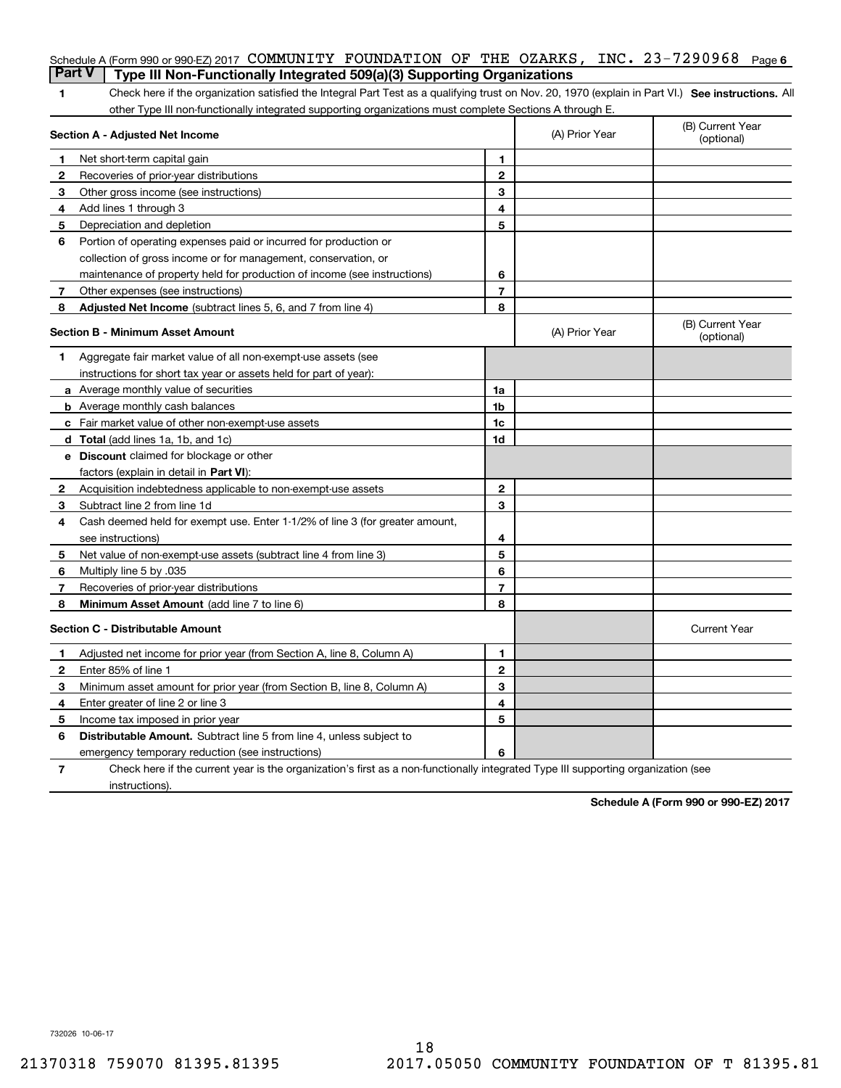| <b>Part V</b> | Schedule A (Form 990 or 990-EZ) 2017 COMMUNITY FOUNDATION OF THE OZARKS, INC. 23-7290968<br>Type III Non-Functionally Integrated 509(a)(3) Supporting Organizations |                |                | Page 6                         |
|---------------|---------------------------------------------------------------------------------------------------------------------------------------------------------------------|----------------|----------------|--------------------------------|
| 1             | Check here if the organization satisfied the Integral Part Test as a qualifying trust on Nov. 20, 1970 (explain in Part VI.) See instructions. All                  |                |                |                                |
|               | other Type III non-functionally integrated supporting organizations must complete Sections A through E.                                                             |                |                |                                |
|               | Section A - Adjusted Net Income                                                                                                                                     |                | (A) Prior Year | (B) Current Year<br>(optional) |
| 1             | Net short-term capital gain                                                                                                                                         | 1              |                |                                |
| 2             | Recoveries of prior-year distributions                                                                                                                              | $\mathbf{2}$   |                |                                |
| 3             | Other gross income (see instructions)                                                                                                                               | 3              |                |                                |
| 4             | Add lines 1 through 3                                                                                                                                               | 4              |                |                                |
| 5             | Depreciation and depletion                                                                                                                                          | 5              |                |                                |
| 6             | Portion of operating expenses paid or incurred for production or                                                                                                    |                |                |                                |
|               | collection of gross income or for management, conservation, or                                                                                                      |                |                |                                |
|               | maintenance of property held for production of income (see instructions)                                                                                            | 6              |                |                                |
| 7             | Other expenses (see instructions)                                                                                                                                   | $\overline{7}$ |                |                                |
| 8             | Adjusted Net Income (subtract lines 5, 6, and 7 from line 4)                                                                                                        | 8              |                |                                |
|               | <b>Section B - Minimum Asset Amount</b>                                                                                                                             |                | (A) Prior Year | (B) Current Year<br>(optional) |
| 1             | Aggregate fair market value of all non-exempt-use assets (see                                                                                                       |                |                |                                |
|               | instructions for short tax year or assets held for part of year):                                                                                                   |                |                |                                |
|               | a Average monthly value of securities                                                                                                                               | 1a             |                |                                |
|               | <b>b</b> Average monthly cash balances                                                                                                                              | 1b             |                |                                |
|               | c Fair market value of other non-exempt-use assets                                                                                                                  | 1 <sub>c</sub> |                |                                |
|               | d Total (add lines 1a, 1b, and 1c)                                                                                                                                  | 1d             |                |                                |
|               | <b>e</b> Discount claimed for blockage or other                                                                                                                     |                |                |                                |
|               | factors (explain in detail in <b>Part VI</b> ):                                                                                                                     |                |                |                                |
| 2             | Acquisition indebtedness applicable to non-exempt-use assets                                                                                                        | $\mathbf{2}$   |                |                                |
| 3             | Subtract line 2 from line 1d                                                                                                                                        | 3              |                |                                |
| 4             | Cash deemed held for exempt use. Enter 1-1/2% of line 3 (for greater amount,                                                                                        |                |                |                                |
|               | see instructions)                                                                                                                                                   | 4              |                |                                |
| 5             | Net value of non-exempt-use assets (subtract line 4 from line 3)                                                                                                    | 5              |                |                                |
| 6             | Multiply line 5 by .035                                                                                                                                             | 6              |                |                                |
| 7             | Recoveries of prior-year distributions                                                                                                                              | $\overline{7}$ |                |                                |
| 8             | Minimum Asset Amount (add line 7 to line 6)                                                                                                                         | 8              |                |                                |
|               | <b>Section C - Distributable Amount</b>                                                                                                                             |                |                | <b>Current Year</b>            |
|               | Adjusted net income for prior year (from Section A, line 8, Column A)                                                                                               | 1              |                |                                |
|               | Enter 85% of line 1                                                                                                                                                 | 2              |                |                                |
| 3             | Minimum asset amount for prior year (from Section B, line 8, Column A)                                                                                              | 3              |                |                                |
| 4             | Enter greater of line 2 or line 3                                                                                                                                   | 4              |                |                                |
| 5             | Income tax imposed in prior year                                                                                                                                    | 5              |                |                                |
| 6             | <b>Distributable Amount.</b> Subtract line 5 from line 4, unless subject to                                                                                         |                |                |                                |
|               | emergency temporary reduction (see instructions)                                                                                                                    | 6              |                |                                |
| $\mathbf{7}$  | Check here if the current year is the organization's first as a non-functionally integrated Type III supporting organization (see                                   |                |                |                                |

**Schedule A (Form 990 or 990-EZ) 2017**

732026 10-06-17

instructions).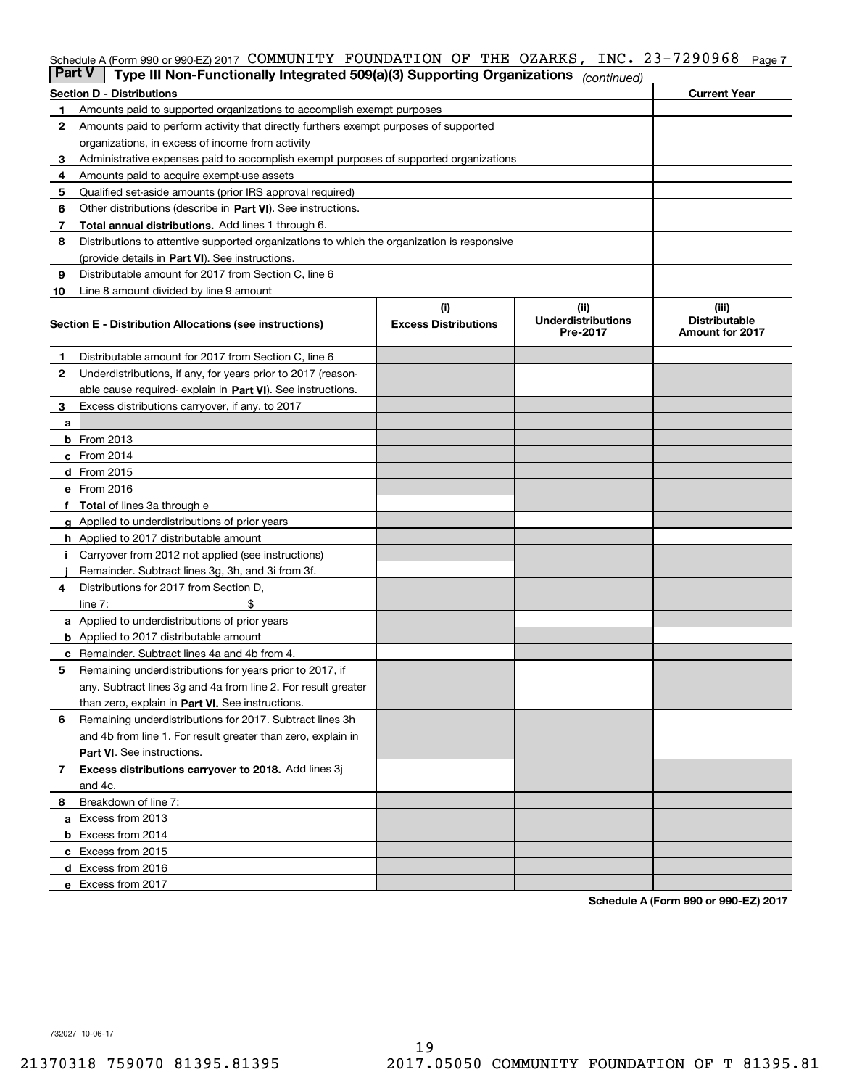# Schedule A (Form 990 or 990-EZ) 2017 COMMUNITY FOUNDATION OF THE OZARKS, INC. 23-7290968 <sub>Page 7</sub><br>L**Part V** L Type III Non Eunotionally Integrated 509(a)(3) Supporting Organizations

| <b>Part V</b> | Type III Non-Functionally Integrated 509(a)(3) Supporting Organizations                                                   |                                    | (continued)                                    |                                                         |
|---------------|---------------------------------------------------------------------------------------------------------------------------|------------------------------------|------------------------------------------------|---------------------------------------------------------|
|               | <b>Section D - Distributions</b>                                                                                          |                                    |                                                | <b>Current Year</b>                                     |
| 1             | Amounts paid to supported organizations to accomplish exempt purposes                                                     |                                    |                                                |                                                         |
| 2             | Amounts paid to perform activity that directly furthers exempt purposes of supported                                      |                                    |                                                |                                                         |
|               | organizations, in excess of income from activity                                                                          |                                    |                                                |                                                         |
| з             | Administrative expenses paid to accomplish exempt purposes of supported organizations                                     |                                    |                                                |                                                         |
| 4             | Amounts paid to acquire exempt-use assets                                                                                 |                                    |                                                |                                                         |
| 5             | Qualified set-aside amounts (prior IRS approval required)                                                                 |                                    |                                                |                                                         |
| 6             | Other distributions (describe in Part VI). See instructions.                                                              |                                    |                                                |                                                         |
| 7             | Total annual distributions. Add lines 1 through 6.                                                                        |                                    |                                                |                                                         |
| 8             | Distributions to attentive supported organizations to which the organization is responsive                                |                                    |                                                |                                                         |
|               | (provide details in Part VI). See instructions.                                                                           |                                    |                                                |                                                         |
| 9             | Distributable amount for 2017 from Section C, line 6                                                                      |                                    |                                                |                                                         |
| 10            | Line 8 amount divided by line 9 amount                                                                                    |                                    |                                                |                                                         |
|               | Section E - Distribution Allocations (see instructions)                                                                   | (i)<br><b>Excess Distributions</b> | (iii)<br><b>Underdistributions</b><br>Pre-2017 | (iii)<br><b>Distributable</b><br><b>Amount for 2017</b> |
| 1             | Distributable amount for 2017 from Section C, line 6                                                                      |                                    |                                                |                                                         |
| 2             | Underdistributions, if any, for years prior to 2017 (reason-                                                              |                                    |                                                |                                                         |
|               | able cause required- explain in <b>Part VI</b> ). See instructions.                                                       |                                    |                                                |                                                         |
| 3             | Excess distributions carryover, if any, to 2017                                                                           |                                    |                                                |                                                         |
| а             |                                                                                                                           |                                    |                                                |                                                         |
|               | <b>b</b> From 2013                                                                                                        |                                    |                                                |                                                         |
|               | $c$ From 2014                                                                                                             |                                    |                                                |                                                         |
|               | <b>d</b> From 2015                                                                                                        |                                    |                                                |                                                         |
|               | e From 2016                                                                                                               |                                    |                                                |                                                         |
|               | Total of lines 3a through e                                                                                               |                                    |                                                |                                                         |
|               | <b>g</b> Applied to underdistributions of prior years                                                                     |                                    |                                                |                                                         |
|               | <b>h</b> Applied to 2017 distributable amount                                                                             |                                    |                                                |                                                         |
|               | Carryover from 2012 not applied (see instructions)                                                                        |                                    |                                                |                                                         |
|               | Remainder. Subtract lines 3g, 3h, and 3i from 3f.                                                                         |                                    |                                                |                                                         |
| 4             | Distributions for 2017 from Section D,                                                                                    |                                    |                                                |                                                         |
|               | line $7:$                                                                                                                 |                                    |                                                |                                                         |
|               | <b>a</b> Applied to underdistributions of prior years                                                                     |                                    |                                                |                                                         |
|               | <b>b</b> Applied to 2017 distributable amount                                                                             |                                    |                                                |                                                         |
| с             | Remainder. Subtract lines 4a and 4b from 4.                                                                               |                                    |                                                |                                                         |
| 5             | Remaining underdistributions for years prior to 2017, if<br>any. Subtract lines 3g and 4a from line 2. For result greater |                                    |                                                |                                                         |
|               |                                                                                                                           |                                    |                                                |                                                         |
| 6             | than zero, explain in Part VI. See instructions.<br>Remaining underdistributions for 2017. Subtract lines 3h              |                                    |                                                |                                                         |
|               | and 4b from line 1. For result greater than zero, explain in                                                              |                                    |                                                |                                                         |
|               | Part VI. See instructions.                                                                                                |                                    |                                                |                                                         |
| 7             | Excess distributions carryover to 2018. Add lines 3j                                                                      |                                    |                                                |                                                         |
|               | and 4c.                                                                                                                   |                                    |                                                |                                                         |
| 8             | Breakdown of line 7:                                                                                                      |                                    |                                                |                                                         |
|               | <b>a</b> Excess from 2013                                                                                                 |                                    |                                                |                                                         |
|               | <b>b</b> Excess from 2014                                                                                                 |                                    |                                                |                                                         |
|               | c Excess from 2015                                                                                                        |                                    |                                                |                                                         |
|               | d Excess from 2016                                                                                                        |                                    |                                                |                                                         |
|               | e Excess from 2017                                                                                                        |                                    |                                                |                                                         |
|               |                                                                                                                           |                                    |                                                |                                                         |

**Schedule A (Form 990 or 990-EZ) 2017**

732027 10-06-17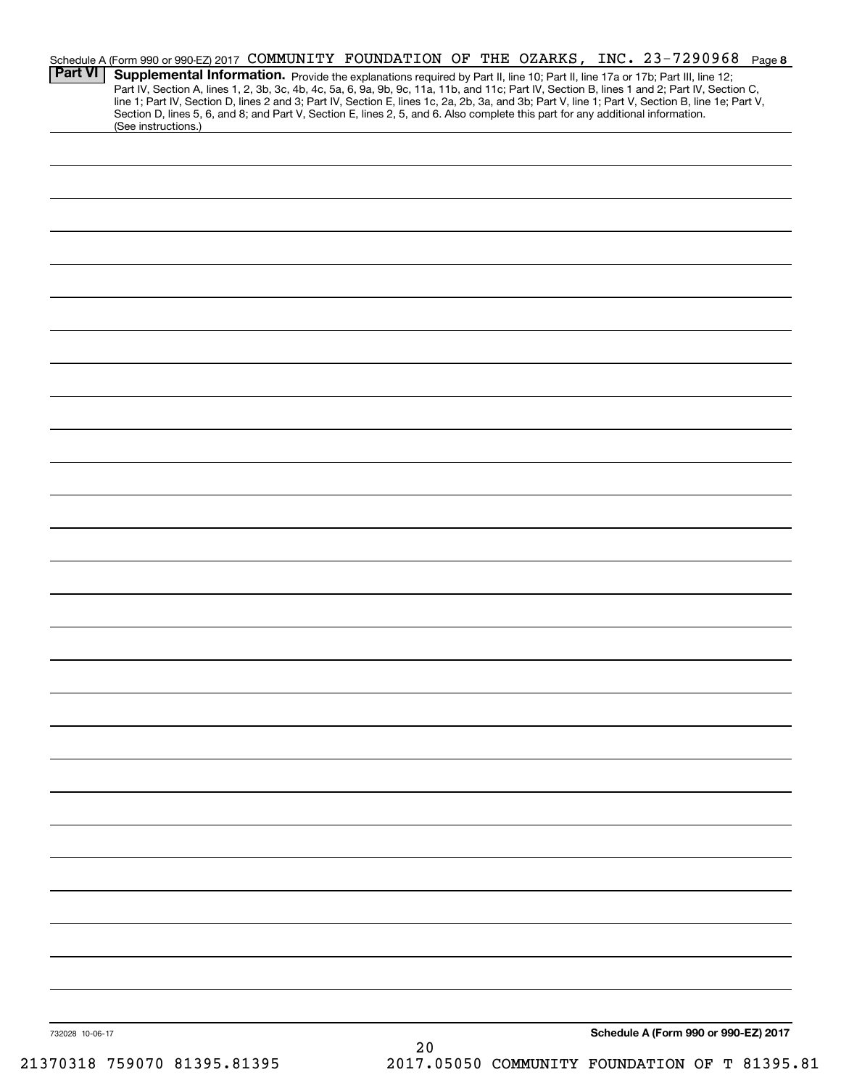| <b>Part VI</b>  |                                                                                                                                                        |    |  | Schedule A (Form 990 or 990-EZ) 2017 COMMUNITY FOUNDATION OF THE OZARKS, INC. 23-7290968 Page 8<br>Supplemental Information. Provide the explanations required by Part II, line 10; Part II, line 17a or 17b; Part III, line 12;<br>Part IV, Section A, lines 1, 2, 3b, 3c, 4b, 4c, 5a, 6, 9a, 9b, 9c, 11a, 11b, and 11c; Part IV, Section B, lines 1 and 2; Part IV, Section C,<br>line 1; Part IV, Section D, lines 2 and 3; Part IV, Section E, lines 1c, 2a, 2b, 3a, and 3b; Part V, line 1; Part V, Section B, line 1e; Part V, |
|-----------------|--------------------------------------------------------------------------------------------------------------------------------------------------------|----|--|--------------------------------------------------------------------------------------------------------------------------------------------------------------------------------------------------------------------------------------------------------------------------------------------------------------------------------------------------------------------------------------------------------------------------------------------------------------------------------------------------------------------------------------|
|                 | Section D, lines 5, 6, and 8; and Part V, Section E, lines 2, 5, and 6. Also complete this part for any additional information.<br>(See instructions.) |    |  |                                                                                                                                                                                                                                                                                                                                                                                                                                                                                                                                      |
|                 |                                                                                                                                                        |    |  |                                                                                                                                                                                                                                                                                                                                                                                                                                                                                                                                      |
|                 |                                                                                                                                                        |    |  |                                                                                                                                                                                                                                                                                                                                                                                                                                                                                                                                      |
|                 |                                                                                                                                                        |    |  |                                                                                                                                                                                                                                                                                                                                                                                                                                                                                                                                      |
|                 |                                                                                                                                                        |    |  |                                                                                                                                                                                                                                                                                                                                                                                                                                                                                                                                      |
|                 |                                                                                                                                                        |    |  |                                                                                                                                                                                                                                                                                                                                                                                                                                                                                                                                      |
|                 |                                                                                                                                                        |    |  |                                                                                                                                                                                                                                                                                                                                                                                                                                                                                                                                      |
|                 |                                                                                                                                                        |    |  |                                                                                                                                                                                                                                                                                                                                                                                                                                                                                                                                      |
|                 |                                                                                                                                                        |    |  |                                                                                                                                                                                                                                                                                                                                                                                                                                                                                                                                      |
|                 |                                                                                                                                                        |    |  |                                                                                                                                                                                                                                                                                                                                                                                                                                                                                                                                      |
|                 |                                                                                                                                                        |    |  |                                                                                                                                                                                                                                                                                                                                                                                                                                                                                                                                      |
|                 |                                                                                                                                                        |    |  |                                                                                                                                                                                                                                                                                                                                                                                                                                                                                                                                      |
|                 |                                                                                                                                                        |    |  |                                                                                                                                                                                                                                                                                                                                                                                                                                                                                                                                      |
|                 |                                                                                                                                                        |    |  |                                                                                                                                                                                                                                                                                                                                                                                                                                                                                                                                      |
|                 |                                                                                                                                                        |    |  |                                                                                                                                                                                                                                                                                                                                                                                                                                                                                                                                      |
|                 |                                                                                                                                                        |    |  |                                                                                                                                                                                                                                                                                                                                                                                                                                                                                                                                      |
|                 |                                                                                                                                                        |    |  |                                                                                                                                                                                                                                                                                                                                                                                                                                                                                                                                      |
|                 |                                                                                                                                                        |    |  |                                                                                                                                                                                                                                                                                                                                                                                                                                                                                                                                      |
|                 |                                                                                                                                                        |    |  |                                                                                                                                                                                                                                                                                                                                                                                                                                                                                                                                      |
|                 |                                                                                                                                                        |    |  |                                                                                                                                                                                                                                                                                                                                                                                                                                                                                                                                      |
|                 |                                                                                                                                                        |    |  |                                                                                                                                                                                                                                                                                                                                                                                                                                                                                                                                      |
|                 |                                                                                                                                                        |    |  |                                                                                                                                                                                                                                                                                                                                                                                                                                                                                                                                      |
|                 |                                                                                                                                                        |    |  |                                                                                                                                                                                                                                                                                                                                                                                                                                                                                                                                      |
|                 |                                                                                                                                                        |    |  |                                                                                                                                                                                                                                                                                                                                                                                                                                                                                                                                      |
|                 |                                                                                                                                                        |    |  |                                                                                                                                                                                                                                                                                                                                                                                                                                                                                                                                      |
|                 |                                                                                                                                                        |    |  |                                                                                                                                                                                                                                                                                                                                                                                                                                                                                                                                      |
|                 |                                                                                                                                                        |    |  |                                                                                                                                                                                                                                                                                                                                                                                                                                                                                                                                      |
|                 |                                                                                                                                                        |    |  |                                                                                                                                                                                                                                                                                                                                                                                                                                                                                                                                      |
|                 |                                                                                                                                                        |    |  |                                                                                                                                                                                                                                                                                                                                                                                                                                                                                                                                      |
|                 |                                                                                                                                                        |    |  |                                                                                                                                                                                                                                                                                                                                                                                                                                                                                                                                      |
|                 |                                                                                                                                                        |    |  |                                                                                                                                                                                                                                                                                                                                                                                                                                                                                                                                      |
|                 |                                                                                                                                                        |    |  |                                                                                                                                                                                                                                                                                                                                                                                                                                                                                                                                      |
|                 |                                                                                                                                                        |    |  | Schedule A (Form 990 or 990-EZ) 2017                                                                                                                                                                                                                                                                                                                                                                                                                                                                                                 |
| 732028 10-06-17 |                                                                                                                                                        | 20 |  |                                                                                                                                                                                                                                                                                                                                                                                                                                                                                                                                      |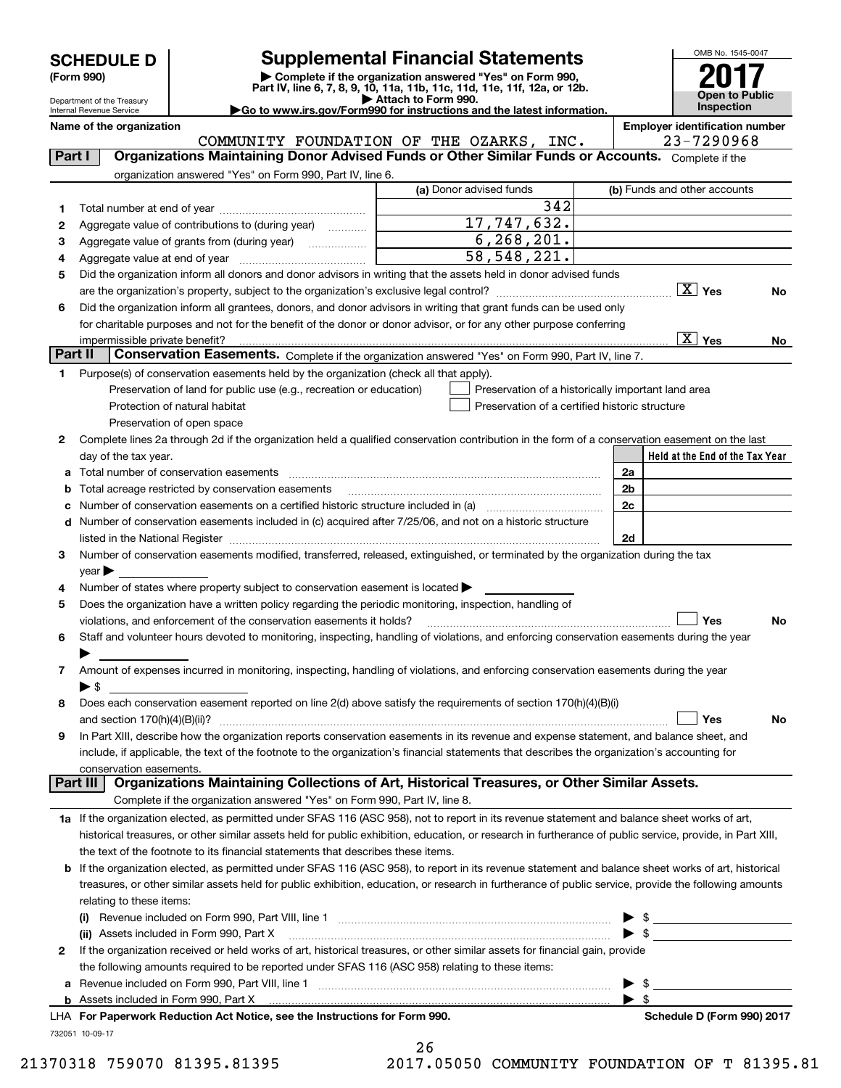| <b>SCHEDULE D</b> |  |
|-------------------|--|
|-------------------|--|

| (Form 990) |  |
|------------|--|
|------------|--|

# **SCHEDULE D Supplemental Financial Statements**

(Form 990)<br>
Pepartment of the Treasury<br>
Department of the Treasury<br>
Department of the Treasury<br>
Department of the Treasury<br> **Co to www.irs.gov/Form990 for instructions and the latest information.**<br> **Co to www.irs.gov/Form9** 



Department of the Treasury Internal Revenue Service

**Name of the organization**<br>COMMIINTTY FOIINDATION OF THE OZARKS TNC 23-7290968

|         |                                                                                                                                                                                                                               | COMMUNITY FOUNDATION OF THE OZARKS, INC.           | 23-7290968                      |
|---------|-------------------------------------------------------------------------------------------------------------------------------------------------------------------------------------------------------------------------------|----------------------------------------------------|---------------------------------|
| Part I  | Organizations Maintaining Donor Advised Funds or Other Similar Funds or Accounts. Complete if the                                                                                                                             |                                                    |                                 |
|         | organization answered "Yes" on Form 990, Part IV, line 6.                                                                                                                                                                     |                                                    |                                 |
|         |                                                                                                                                                                                                                               | (a) Donor advised funds                            | (b) Funds and other accounts    |
| 1.      |                                                                                                                                                                                                                               | 342                                                |                                 |
| 2       | Aggregate value of contributions to (during year)                                                                                                                                                                             | 17,747,632.                                        |                                 |
| 3       |                                                                                                                                                                                                                               | $\overline{6, 268, 201.}$                          |                                 |
| 4       |                                                                                                                                                                                                                               | $\overline{58,548,221}$ .                          |                                 |
| 5       | Did the organization inform all donors and donor advisors in writing that the assets held in donor advised funds                                                                                                              |                                                    |                                 |
|         |                                                                                                                                                                                                                               |                                                    | $\boxed{\text{X}}$ Yes<br>No    |
| 6       | Did the organization inform all grantees, donors, and donor advisors in writing that grant funds can be used only                                                                                                             |                                                    |                                 |
|         | for charitable purposes and not for the benefit of the donor or donor advisor, or for any other purpose conferring                                                                                                            |                                                    |                                 |
|         | impermissible private benefit?                                                                                                                                                                                                |                                                    | $\overline{X}$ Yes<br>No.       |
| Part II | <b>Conservation Easements.</b> Complete if the organization answered "Yes" on Form 990, Part IV, line 7.                                                                                                                      |                                                    |                                 |
| 1.      | Purpose(s) of conservation easements held by the organization (check all that apply).                                                                                                                                         |                                                    |                                 |
|         | Preservation of land for public use (e.g., recreation or education)                                                                                                                                                           | Preservation of a historically important land area |                                 |
|         | Protection of natural habitat                                                                                                                                                                                                 | Preservation of a certified historic structure     |                                 |
|         | Preservation of open space                                                                                                                                                                                                    |                                                    |                                 |
|         |                                                                                                                                                                                                                               |                                                    |                                 |
| 2       | Complete lines 2a through 2d if the organization held a qualified conservation contribution in the form of a conservation easement on the last                                                                                |                                                    | Held at the End of the Tax Year |
|         | day of the tax year.                                                                                                                                                                                                          |                                                    |                                 |
|         | a Total number of conservation easements                                                                                                                                                                                      |                                                    | 2a                              |
|         | <b>b</b> Total acreage restricted by conservation easements                                                                                                                                                                   |                                                    | 2b                              |
|         | c Number of conservation easements on a certified historic structure included in (a) manufacture included in (a)                                                                                                              |                                                    | 2c                              |
|         | d Number of conservation easements included in (c) acquired after 7/25/06, and not on a historic structure                                                                                                                    |                                                    |                                 |
|         | listed in the National Register [11, 1200] [12] The National Register [11, 1200] [12] The National Register [11, 1200] [12] The National Register [11, 1200] [12] The National Register [11, 1200] [12] The National Register |                                                    | 2d                              |
| 3       | Number of conservation easements modified, transferred, released, extinguished, or terminated by the organization during the tax                                                                                              |                                                    |                                 |
|         | $year \blacktriangleright$                                                                                                                                                                                                    |                                                    |                                 |
| 4       | Number of states where property subject to conservation easement is located >                                                                                                                                                 |                                                    |                                 |
| 5       | Does the organization have a written policy regarding the periodic monitoring, inspection, handling of                                                                                                                        |                                                    |                                 |
|         | violations, and enforcement of the conservation easements it holds?                                                                                                                                                           |                                                    | Yes<br>No                       |
| 6       | Staff and volunteer hours devoted to monitoring, inspecting, handling of violations, and enforcing conservation easements during the year                                                                                     |                                                    |                                 |
|         |                                                                                                                                                                                                                               |                                                    |                                 |
| 7       | Amount of expenses incurred in monitoring, inspecting, handling of violations, and enforcing conservation easements during the year                                                                                           |                                                    |                                 |
|         | ▶ \$                                                                                                                                                                                                                          |                                                    |                                 |
| 8       | Does each conservation easement reported on line 2(d) above satisfy the requirements of section 170(h)(4)(B)(i)                                                                                                               |                                                    |                                 |
|         |                                                                                                                                                                                                                               |                                                    | Yes<br>No                       |
| 9       | In Part XIII, describe how the organization reports conservation easements in its revenue and expense statement, and balance sheet, and                                                                                       |                                                    |                                 |
|         | include, if applicable, the text of the footnote to the organization's financial statements that describes the organization's accounting for                                                                                  |                                                    |                                 |
|         | conservation easements.                                                                                                                                                                                                       |                                                    |                                 |
|         | Organizations Maintaining Collections of Art, Historical Treasures, or Other Similar Assets.<br>Part III                                                                                                                      |                                                    |                                 |
|         | Complete if the organization answered "Yes" on Form 990, Part IV, line 8.                                                                                                                                                     |                                                    |                                 |
|         | 1a If the organization elected, as permitted under SFAS 116 (ASC 958), not to report in its revenue statement and balance sheet works of art,                                                                                 |                                                    |                                 |
|         | historical treasures, or other similar assets held for public exhibition, education, or research in furtherance of public service, provide, in Part XIII,                                                                     |                                                    |                                 |
|         | the text of the footnote to its financial statements that describes these items.                                                                                                                                              |                                                    |                                 |
|         | <b>b</b> If the organization elected, as permitted under SFAS 116 (ASC 958), to report in its revenue statement and balance sheet works of art, historical                                                                    |                                                    |                                 |
|         | treasures, or other similar assets held for public exhibition, education, or research in furtherance of public service, provide the following amounts                                                                         |                                                    |                                 |
|         | relating to these items:                                                                                                                                                                                                      |                                                    |                                 |
|         |                                                                                                                                                                                                                               |                                                    | - \$<br>▶                       |
|         | (ii) Assets included in Form 990, Part X                                                                                                                                                                                      |                                                    | $\blacktriangleright$ s         |
| 2       | If the organization received or held works of art, historical treasures, or other similar assets for financial gain, provide                                                                                                  |                                                    |                                 |
|         | the following amounts required to be reported under SFAS 116 (ASC 958) relating to these items:                                                                                                                               |                                                    |                                 |
|         |                                                                                                                                                                                                                               |                                                    | - \$                            |
|         |                                                                                                                                                                                                                               |                                                    | $\blacktriangleright$ \$        |
|         | LHA For Paperwork Reduction Act Notice, see the Instructions for Form 990.                                                                                                                                                    |                                                    | Schedule D (Form 990) 2017      |
|         | 732051 10-09-17                                                                                                                                                                                                               |                                                    |                                 |

26

21370318 759070 81395.81395 2017.05050 COMMUNITY FOUNDATION OF T 81395.81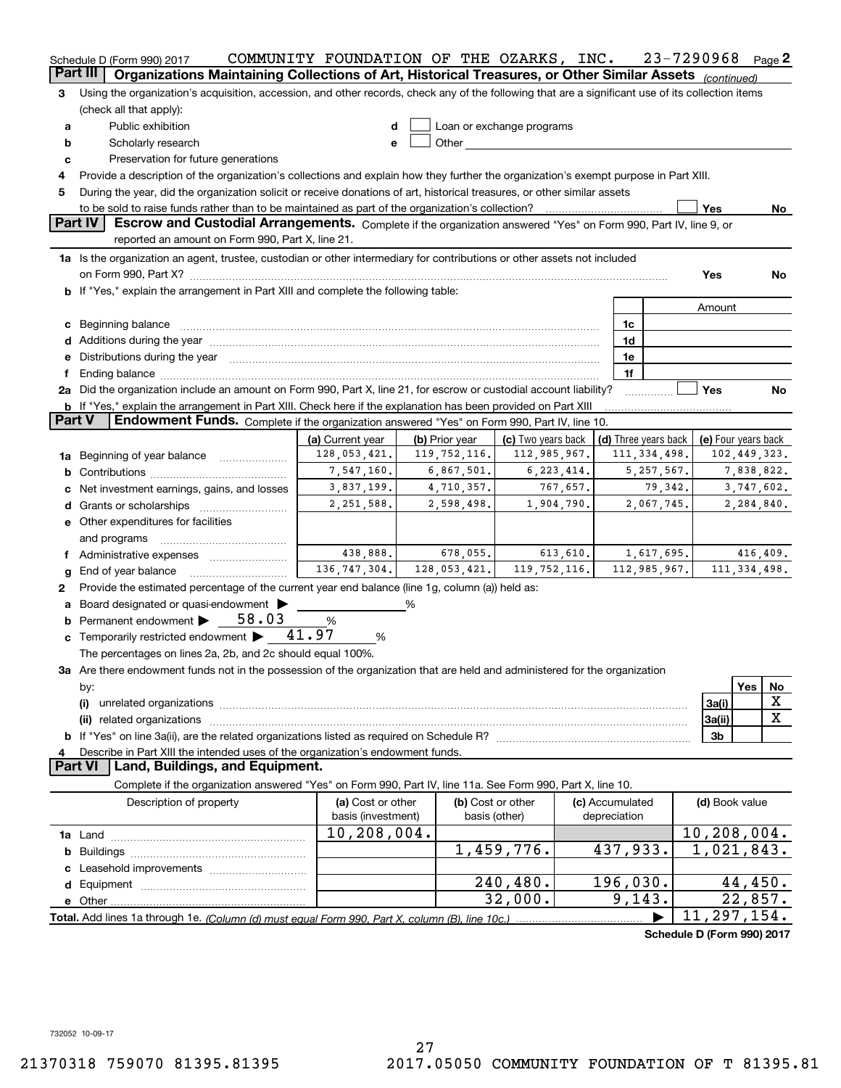|                | Schedule D (Form 990) 2017                                                                                                                                                                                                     | COMMUNITY FOUNDATION OF THE OZARKS, INC. |                |                                    |              |                                 |                | $23 - 7290968$ Page 2      |                |
|----------------|--------------------------------------------------------------------------------------------------------------------------------------------------------------------------------------------------------------------------------|------------------------------------------|----------------|------------------------------------|--------------|---------------------------------|----------------|----------------------------|----------------|
| Part III       | Organizations Maintaining Collections of Art, Historical Treasures, or Other Similar Assets (continued)                                                                                                                        |                                          |                |                                    |              |                                 |                |                            |                |
| 3              | Using the organization's acquisition, accession, and other records, check any of the following that are a significant use of its collection items                                                                              |                                          |                |                                    |              |                                 |                |                            |                |
|                | (check all that apply):                                                                                                                                                                                                        |                                          |                |                                    |              |                                 |                |                            |                |
| а              | Public exhibition                                                                                                                                                                                                              | d                                        |                | Loan or exchange programs          |              |                                 |                |                            |                |
| b              | Scholarly research                                                                                                                                                                                                             | e                                        |                |                                    |              |                                 |                |                            |                |
| c              | Preservation for future generations                                                                                                                                                                                            |                                          |                |                                    |              |                                 |                |                            |                |
|                | Provide a description of the organization's collections and explain how they further the organization's exempt purpose in Part XIII.                                                                                           |                                          |                |                                    |              |                                 |                |                            |                |
| 5              | During the year, did the organization solicit or receive donations of art, historical treasures, or other similar assets                                                                                                       |                                          |                |                                    |              |                                 |                |                            |                |
|                | to be sold to raise funds rather than to be maintained as part of the organization's collection?                                                                                                                               |                                          |                |                                    |              |                                 |                | Yes                        | No.            |
|                | <b>Part IV</b><br>Escrow and Custodial Arrangements. Complete if the organization answered "Yes" on Form 990, Part IV, line 9, or                                                                                              |                                          |                |                                    |              |                                 |                |                            |                |
|                | reported an amount on Form 990, Part X, line 21.                                                                                                                                                                               |                                          |                |                                    |              |                                 |                |                            |                |
|                | 1a Is the organization an agent, trustee, custodian or other intermediary for contributions or other assets not included                                                                                                       |                                          |                |                                    |              |                                 |                |                            |                |
|                | on Form 990, Part X? [11] matter contracts and contracts and contracts are contracted as a form 990, Part X?                                                                                                                   |                                          |                |                                    |              |                                 |                | Yes                        | No             |
|                | b If "Yes," explain the arrangement in Part XIII and complete the following table:                                                                                                                                             |                                          |                |                                    |              |                                 |                |                            |                |
|                |                                                                                                                                                                                                                                |                                          |                |                                    |              |                                 |                |                            |                |
|                |                                                                                                                                                                                                                                |                                          |                |                                    |              |                                 |                | Amount                     |                |
|                |                                                                                                                                                                                                                                |                                          |                |                                    |              | 1c                              |                |                            |                |
|                |                                                                                                                                                                                                                                |                                          |                |                                    |              | 1d                              |                |                            |                |
|                | e Distributions during the year manufactured and contain an account of the year manufactured and the year manufactured and the year manufactured and the year manufactured and the year manufactured and the year manufactured |                                          |                |                                    |              | 1e                              |                |                            |                |
|                |                                                                                                                                                                                                                                |                                          |                |                                    |              | 1f                              |                |                            |                |
|                | 2a Did the organization include an amount on Form 990, Part X, line 21, for escrow or custodial account liability?                                                                                                             |                                          |                |                                    |              |                                 |                | Yes                        | No             |
|                | b If "Yes," explain the arrangement in Part XIII. Check here if the explanation has been provided on Part XIII                                                                                                                 |                                          |                |                                    |              |                                 |                |                            |                |
| <b>Part V</b>  | Endowment Funds. Complete if the organization answered "Yes" on Form 990, Part IV, line 10.                                                                                                                                    |                                          |                |                                    |              |                                 |                |                            |                |
|                |                                                                                                                                                                                                                                | (a) Current year                         | (b) Prior year | (c) Two years back                 |              | (d) Three years back            |                | (e) Four years back        |                |
| 1a             | Beginning of year balance                                                                                                                                                                                                      | 128,053,421.                             | 119, 752, 116. | 112,985,967.                       |              |                                 | 111, 334, 498. |                            | 102,449,323.   |
| b              |                                                                                                                                                                                                                                | 7,547,160.                               | 6,867,501.     |                                    | 6, 223, 414. |                                 | 5, 257, 567.   |                            | 7,838,822.     |
|                | Net investment earnings, gains, and losses                                                                                                                                                                                     | 3,837,199.                               | 4,710,357.     |                                    | 767,657.     |                                 | 79,342.        |                            | 3,747,602.     |
| d              |                                                                                                                                                                                                                                | 2,251,588.                               | 2,598,498.     |                                    | 1,904,790.   |                                 | 2,067,745.     |                            | 2,284,840.     |
|                | e Other expenditures for facilities                                                                                                                                                                                            |                                          |                |                                    |              |                                 |                |                            |                |
|                | and programs                                                                                                                                                                                                                   |                                          |                |                                    |              |                                 |                |                            |                |
|                | f Administrative expenses <i></i>                                                                                                                                                                                              | 438,888.                                 | 678,055.       |                                    | 613,610.     |                                 | 1,617,695.     |                            | 416,409.       |
| g              | End of year balance                                                                                                                                                                                                            | 136, 747, 304.                           | 128,053,421.   | 119, 752, 116.                     |              |                                 | 112,985,967.   |                            | 111, 334, 498. |
| 2              | Provide the estimated percentage of the current year end balance (line 1g, column (a)) held as:                                                                                                                                |                                          |                |                                    |              |                                 |                |                            |                |
| а              | Board designated or quasi-endowment >                                                                                                                                                                                          |                                          |                |                                    |              |                                 |                |                            |                |
| b              | Permanent endowment > 58.03                                                                                                                                                                                                    | %                                        |                |                                    |              |                                 |                |                            |                |
|                | c Temporarily restricted endowment $\blacktriangleright$ __41.97                                                                                                                                                               | %                                        |                |                                    |              |                                 |                |                            |                |
|                | The percentages on lines 2a, 2b, and 2c should equal 100%.                                                                                                                                                                     |                                          |                |                                    |              |                                 |                |                            |                |
|                | 3a Are there endowment funds not in the possession of the organization that are held and administered for the organization                                                                                                     |                                          |                |                                    |              |                                 |                |                            |                |
|                | by:                                                                                                                                                                                                                            |                                          |                |                                    |              |                                 |                |                            | Yes<br>No      |
|                | (i)                                                                                                                                                                                                                            |                                          |                |                                    |              |                                 |                | 3a(i)                      | х              |
|                | (ii)<br>related organizations                                                                                                                                                                                                  |                                          |                |                                    |              |                                 |                | 3a(ii)                     | X              |
|                |                                                                                                                                                                                                                                |                                          |                |                                    |              |                                 |                | 3 <sub>b</sub>             |                |
| 4              | Describe in Part XIII the intended uses of the organization's endowment funds.                                                                                                                                                 |                                          |                |                                    |              |                                 |                |                            |                |
| <b>Part VI</b> | Land, Buildings, and Equipment.                                                                                                                                                                                                |                                          |                |                                    |              |                                 |                |                            |                |
|                | Complete if the organization answered "Yes" on Form 990, Part IV, line 11a. See Form 990, Part X, line 10.                                                                                                                     |                                          |                |                                    |              |                                 |                |                            |                |
|                |                                                                                                                                                                                                                                |                                          |                |                                    |              |                                 |                |                            |                |
|                | Description of property                                                                                                                                                                                                        | (a) Cost or other<br>basis (investment)  |                | (b) Cost or other<br>basis (other) |              | (c) Accumulated<br>depreciation |                | (d) Book value             |                |
|                |                                                                                                                                                                                                                                | 10,208,004.                              |                |                                    |              |                                 |                |                            |                |
|                |                                                                                                                                                                                                                                |                                          |                |                                    |              |                                 |                | 10, 208, 004.              |                |
|                |                                                                                                                                                                                                                                |                                          |                | 1,459,776.                         |              | 437,933.                        |                | 1,021,843.                 |                |
|                |                                                                                                                                                                                                                                |                                          |                |                                    |              |                                 |                |                            |                |
|                |                                                                                                                                                                                                                                |                                          |                | 240,480.                           |              | 196,030.                        |                |                            | 44, 450.       |
|                | e Other                                                                                                                                                                                                                        |                                          |                | 32,000.                            |              | 9,143.                          |                |                            | 22,857.        |
|                | Total. Add lines 1a through 1e. (Column (d) must equal Form 990. Part X, column (B), line 10c.)                                                                                                                                |                                          |                |                                    |              |                                 |                | 11,297,154.                |                |
|                |                                                                                                                                                                                                                                |                                          |                |                                    |              |                                 |                | Schedule D (Form 990) 2017 |                |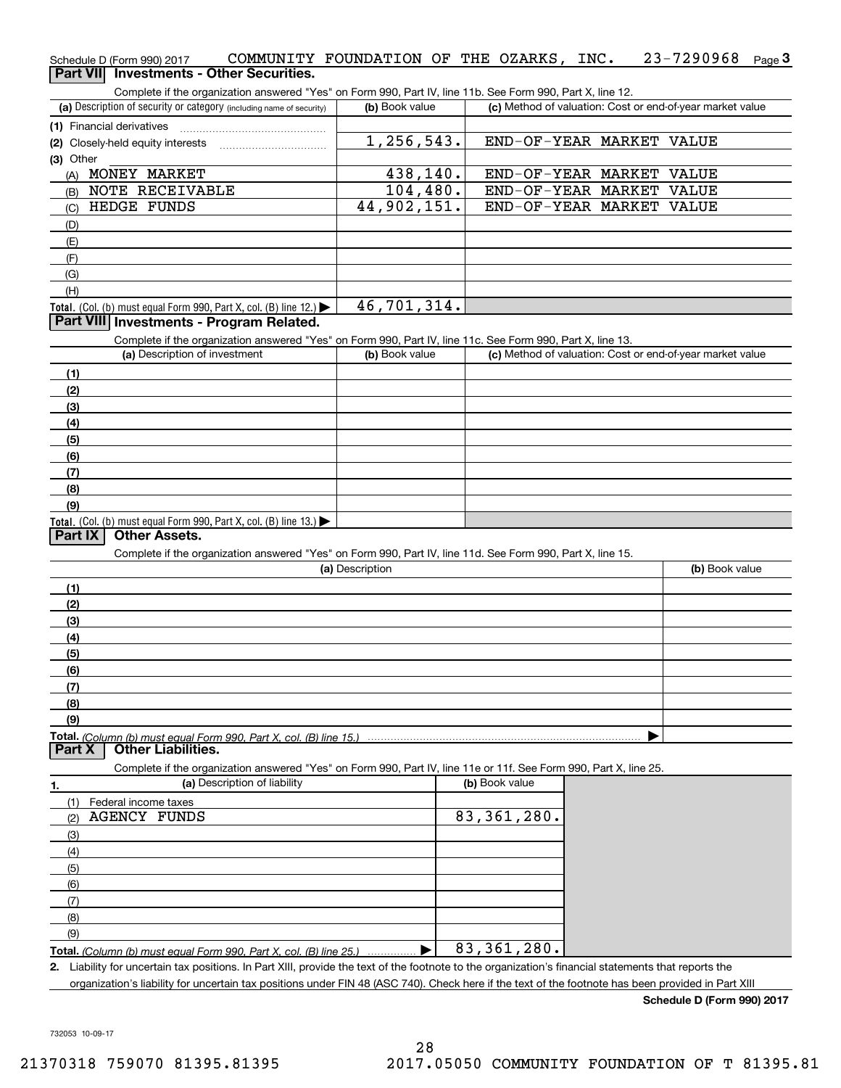| Complete if the organization answered "Yes" on Form 990, Part IV, line 11b. See Form 990, Part X, line 12.<br>(a) Description of security or category (including name of security)<br>(c) Method of valuation: Cost or end-of-year market value<br>(b) Book value<br>(1) Financial derivatives<br>1, 256, 543.<br>END-OF-YEAR MARKET VALUE<br>(2)<br>(3) Other<br>MONEY MARKET<br>438,140.<br>END-OF-YEAR MARKET VALUE<br>(A)<br>104,480.<br><b>NOTE RECEIVABLE</b><br>END-OF-YEAR MARKET VALUE<br>(B)<br>44,902,151.<br>END-OF-YEAR MARKET<br>HEDGE FUNDS<br>VALUE<br>(C)<br>(D)<br>(E)<br>(F)<br>(G)<br>(H)<br>46,701,314.<br>Total. (Col. (b) must equal Form 990, Part X, col. (B) line 12.)<br>Part VIII Investments - Program Related.<br>Complete if the organization answered "Yes" on Form 990, Part IV, line 11c. See Form 990, Part X, line 13.<br>(a) Description of investment<br>(b) Book value<br>(c) Method of valuation: Cost or end-of-year market value<br>(1)<br>(2)<br>(3)<br>(4)<br>(5)<br>(6)<br>(7)<br>(8)<br>(9)<br>Total. (Col. (b) must equal Form 990, Part X, col. (B) line 13.)<br><b>Other Assets.</b><br>Part IX<br>Complete if the organization answered "Yes" on Form 990, Part IV, line 11d. See Form 990, Part X, line 15.<br>(a) Description<br>(1)<br>(2)<br>(3)<br>(4)<br>(5)<br>(6)<br>(7)<br>(8)<br>(9)<br><b>Other Liabilities.</b><br>Part X<br>Complete if the organization answered "Yes" on Form 990, Part IV, line 11e or 11f. See Form 990, Part X, line 25.<br>(a) Description of liability<br>(b) Book value<br>1.<br>(1)<br>Federal income taxes<br>83, 361, 280.<br><b>AGENCY FUNDS</b><br>(2)<br>(3)<br>(4)<br>(5)<br>(6)<br>(7)<br>(8)<br>(9)<br>83, 361, 280.<br>Total. (Column (b) must equal Form 990, Part X, col. (B) line 25.)<br>2. Liability for uncertain tax positions. In Part XIII, provide the text of the footnote to the organization's financial statements that reports the | Schedule D (Form 990) 2017<br>Part VII Investments - Other Securities. | COMMUNITY FOUNDATION OF THE OZARKS, INC. | 23-7290968<br>Page $3$ |
|----------------------------------------------------------------------------------------------------------------------------------------------------------------------------------------------------------------------------------------------------------------------------------------------------------------------------------------------------------------------------------------------------------------------------------------------------------------------------------------------------------------------------------------------------------------------------------------------------------------------------------------------------------------------------------------------------------------------------------------------------------------------------------------------------------------------------------------------------------------------------------------------------------------------------------------------------------------------------------------------------------------------------------------------------------------------------------------------------------------------------------------------------------------------------------------------------------------------------------------------------------------------------------------------------------------------------------------------------------------------------------------------------------------------------------------------------------------------------------------------------------------------------------------------------------------------------------------------------------------------------------------------------------------------------------------------------------------------------------------------------------------------------------------------------------------------------------------------------------------------------------------------------------------------------------------------------|------------------------------------------------------------------------|------------------------------------------|------------------------|
|                                                                                                                                                                                                                                                                                                                                                                                                                                                                                                                                                                                                                                                                                                                                                                                                                                                                                                                                                                                                                                                                                                                                                                                                                                                                                                                                                                                                                                                                                                                                                                                                                                                                                                                                                                                                                                                                                                                                                    |                                                                        |                                          |                        |
|                                                                                                                                                                                                                                                                                                                                                                                                                                                                                                                                                                                                                                                                                                                                                                                                                                                                                                                                                                                                                                                                                                                                                                                                                                                                                                                                                                                                                                                                                                                                                                                                                                                                                                                                                                                                                                                                                                                                                    |                                                                        |                                          |                        |
|                                                                                                                                                                                                                                                                                                                                                                                                                                                                                                                                                                                                                                                                                                                                                                                                                                                                                                                                                                                                                                                                                                                                                                                                                                                                                                                                                                                                                                                                                                                                                                                                                                                                                                                                                                                                                                                                                                                                                    |                                                                        |                                          |                        |
|                                                                                                                                                                                                                                                                                                                                                                                                                                                                                                                                                                                                                                                                                                                                                                                                                                                                                                                                                                                                                                                                                                                                                                                                                                                                                                                                                                                                                                                                                                                                                                                                                                                                                                                                                                                                                                                                                                                                                    |                                                                        |                                          |                        |
|                                                                                                                                                                                                                                                                                                                                                                                                                                                                                                                                                                                                                                                                                                                                                                                                                                                                                                                                                                                                                                                                                                                                                                                                                                                                                                                                                                                                                                                                                                                                                                                                                                                                                                                                                                                                                                                                                                                                                    |                                                                        |                                          |                        |
|                                                                                                                                                                                                                                                                                                                                                                                                                                                                                                                                                                                                                                                                                                                                                                                                                                                                                                                                                                                                                                                                                                                                                                                                                                                                                                                                                                                                                                                                                                                                                                                                                                                                                                                                                                                                                                                                                                                                                    |                                                                        |                                          |                        |
|                                                                                                                                                                                                                                                                                                                                                                                                                                                                                                                                                                                                                                                                                                                                                                                                                                                                                                                                                                                                                                                                                                                                                                                                                                                                                                                                                                                                                                                                                                                                                                                                                                                                                                                                                                                                                                                                                                                                                    |                                                                        |                                          |                        |
|                                                                                                                                                                                                                                                                                                                                                                                                                                                                                                                                                                                                                                                                                                                                                                                                                                                                                                                                                                                                                                                                                                                                                                                                                                                                                                                                                                                                                                                                                                                                                                                                                                                                                                                                                                                                                                                                                                                                                    |                                                                        |                                          |                        |
|                                                                                                                                                                                                                                                                                                                                                                                                                                                                                                                                                                                                                                                                                                                                                                                                                                                                                                                                                                                                                                                                                                                                                                                                                                                                                                                                                                                                                                                                                                                                                                                                                                                                                                                                                                                                                                                                                                                                                    |                                                                        |                                          |                        |
|                                                                                                                                                                                                                                                                                                                                                                                                                                                                                                                                                                                                                                                                                                                                                                                                                                                                                                                                                                                                                                                                                                                                                                                                                                                                                                                                                                                                                                                                                                                                                                                                                                                                                                                                                                                                                                                                                                                                                    |                                                                        |                                          |                        |
|                                                                                                                                                                                                                                                                                                                                                                                                                                                                                                                                                                                                                                                                                                                                                                                                                                                                                                                                                                                                                                                                                                                                                                                                                                                                                                                                                                                                                                                                                                                                                                                                                                                                                                                                                                                                                                                                                                                                                    |                                                                        |                                          |                        |
|                                                                                                                                                                                                                                                                                                                                                                                                                                                                                                                                                                                                                                                                                                                                                                                                                                                                                                                                                                                                                                                                                                                                                                                                                                                                                                                                                                                                                                                                                                                                                                                                                                                                                                                                                                                                                                                                                                                                                    |                                                                        |                                          |                        |
|                                                                                                                                                                                                                                                                                                                                                                                                                                                                                                                                                                                                                                                                                                                                                                                                                                                                                                                                                                                                                                                                                                                                                                                                                                                                                                                                                                                                                                                                                                                                                                                                                                                                                                                                                                                                                                                                                                                                                    |                                                                        |                                          |                        |
|                                                                                                                                                                                                                                                                                                                                                                                                                                                                                                                                                                                                                                                                                                                                                                                                                                                                                                                                                                                                                                                                                                                                                                                                                                                                                                                                                                                                                                                                                                                                                                                                                                                                                                                                                                                                                                                                                                                                                    |                                                                        |                                          |                        |
|                                                                                                                                                                                                                                                                                                                                                                                                                                                                                                                                                                                                                                                                                                                                                                                                                                                                                                                                                                                                                                                                                                                                                                                                                                                                                                                                                                                                                                                                                                                                                                                                                                                                                                                                                                                                                                                                                                                                                    |                                                                        |                                          |                        |
|                                                                                                                                                                                                                                                                                                                                                                                                                                                                                                                                                                                                                                                                                                                                                                                                                                                                                                                                                                                                                                                                                                                                                                                                                                                                                                                                                                                                                                                                                                                                                                                                                                                                                                                                                                                                                                                                                                                                                    |                                                                        |                                          |                        |
|                                                                                                                                                                                                                                                                                                                                                                                                                                                                                                                                                                                                                                                                                                                                                                                                                                                                                                                                                                                                                                                                                                                                                                                                                                                                                                                                                                                                                                                                                                                                                                                                                                                                                                                                                                                                                                                                                                                                                    |                                                                        |                                          |                        |
|                                                                                                                                                                                                                                                                                                                                                                                                                                                                                                                                                                                                                                                                                                                                                                                                                                                                                                                                                                                                                                                                                                                                                                                                                                                                                                                                                                                                                                                                                                                                                                                                                                                                                                                                                                                                                                                                                                                                                    |                                                                        |                                          |                        |
|                                                                                                                                                                                                                                                                                                                                                                                                                                                                                                                                                                                                                                                                                                                                                                                                                                                                                                                                                                                                                                                                                                                                                                                                                                                                                                                                                                                                                                                                                                                                                                                                                                                                                                                                                                                                                                                                                                                                                    |                                                                        |                                          |                        |
|                                                                                                                                                                                                                                                                                                                                                                                                                                                                                                                                                                                                                                                                                                                                                                                                                                                                                                                                                                                                                                                                                                                                                                                                                                                                                                                                                                                                                                                                                                                                                                                                                                                                                                                                                                                                                                                                                                                                                    |                                                                        |                                          |                        |
|                                                                                                                                                                                                                                                                                                                                                                                                                                                                                                                                                                                                                                                                                                                                                                                                                                                                                                                                                                                                                                                                                                                                                                                                                                                                                                                                                                                                                                                                                                                                                                                                                                                                                                                                                                                                                                                                                                                                                    |                                                                        |                                          |                        |
|                                                                                                                                                                                                                                                                                                                                                                                                                                                                                                                                                                                                                                                                                                                                                                                                                                                                                                                                                                                                                                                                                                                                                                                                                                                                                                                                                                                                                                                                                                                                                                                                                                                                                                                                                                                                                                                                                                                                                    |                                                                        |                                          |                        |
|                                                                                                                                                                                                                                                                                                                                                                                                                                                                                                                                                                                                                                                                                                                                                                                                                                                                                                                                                                                                                                                                                                                                                                                                                                                                                                                                                                                                                                                                                                                                                                                                                                                                                                                                                                                                                                                                                                                                                    |                                                                        |                                          |                        |
|                                                                                                                                                                                                                                                                                                                                                                                                                                                                                                                                                                                                                                                                                                                                                                                                                                                                                                                                                                                                                                                                                                                                                                                                                                                                                                                                                                                                                                                                                                                                                                                                                                                                                                                                                                                                                                                                                                                                                    |                                                                        |                                          |                        |
|                                                                                                                                                                                                                                                                                                                                                                                                                                                                                                                                                                                                                                                                                                                                                                                                                                                                                                                                                                                                                                                                                                                                                                                                                                                                                                                                                                                                                                                                                                                                                                                                                                                                                                                                                                                                                                                                                                                                                    |                                                                        |                                          |                        |
|                                                                                                                                                                                                                                                                                                                                                                                                                                                                                                                                                                                                                                                                                                                                                                                                                                                                                                                                                                                                                                                                                                                                                                                                                                                                                                                                                                                                                                                                                                                                                                                                                                                                                                                                                                                                                                                                                                                                                    |                                                                        |                                          |                        |
|                                                                                                                                                                                                                                                                                                                                                                                                                                                                                                                                                                                                                                                                                                                                                                                                                                                                                                                                                                                                                                                                                                                                                                                                                                                                                                                                                                                                                                                                                                                                                                                                                                                                                                                                                                                                                                                                                                                                                    |                                                                        |                                          |                        |
|                                                                                                                                                                                                                                                                                                                                                                                                                                                                                                                                                                                                                                                                                                                                                                                                                                                                                                                                                                                                                                                                                                                                                                                                                                                                                                                                                                                                                                                                                                                                                                                                                                                                                                                                                                                                                                                                                                                                                    |                                                                        |                                          |                        |
|                                                                                                                                                                                                                                                                                                                                                                                                                                                                                                                                                                                                                                                                                                                                                                                                                                                                                                                                                                                                                                                                                                                                                                                                                                                                                                                                                                                                                                                                                                                                                                                                                                                                                                                                                                                                                                                                                                                                                    |                                                                        |                                          |                        |
|                                                                                                                                                                                                                                                                                                                                                                                                                                                                                                                                                                                                                                                                                                                                                                                                                                                                                                                                                                                                                                                                                                                                                                                                                                                                                                                                                                                                                                                                                                                                                                                                                                                                                                                                                                                                                                                                                                                                                    |                                                                        |                                          | (b) Book value         |
|                                                                                                                                                                                                                                                                                                                                                                                                                                                                                                                                                                                                                                                                                                                                                                                                                                                                                                                                                                                                                                                                                                                                                                                                                                                                                                                                                                                                                                                                                                                                                                                                                                                                                                                                                                                                                                                                                                                                                    |                                                                        |                                          |                        |
|                                                                                                                                                                                                                                                                                                                                                                                                                                                                                                                                                                                                                                                                                                                                                                                                                                                                                                                                                                                                                                                                                                                                                                                                                                                                                                                                                                                                                                                                                                                                                                                                                                                                                                                                                                                                                                                                                                                                                    |                                                                        |                                          |                        |
|                                                                                                                                                                                                                                                                                                                                                                                                                                                                                                                                                                                                                                                                                                                                                                                                                                                                                                                                                                                                                                                                                                                                                                                                                                                                                                                                                                                                                                                                                                                                                                                                                                                                                                                                                                                                                                                                                                                                                    |                                                                        |                                          |                        |
|                                                                                                                                                                                                                                                                                                                                                                                                                                                                                                                                                                                                                                                                                                                                                                                                                                                                                                                                                                                                                                                                                                                                                                                                                                                                                                                                                                                                                                                                                                                                                                                                                                                                                                                                                                                                                                                                                                                                                    |                                                                        |                                          |                        |
|                                                                                                                                                                                                                                                                                                                                                                                                                                                                                                                                                                                                                                                                                                                                                                                                                                                                                                                                                                                                                                                                                                                                                                                                                                                                                                                                                                                                                                                                                                                                                                                                                                                                                                                                                                                                                                                                                                                                                    |                                                                        |                                          |                        |
|                                                                                                                                                                                                                                                                                                                                                                                                                                                                                                                                                                                                                                                                                                                                                                                                                                                                                                                                                                                                                                                                                                                                                                                                                                                                                                                                                                                                                                                                                                                                                                                                                                                                                                                                                                                                                                                                                                                                                    |                                                                        |                                          |                        |
|                                                                                                                                                                                                                                                                                                                                                                                                                                                                                                                                                                                                                                                                                                                                                                                                                                                                                                                                                                                                                                                                                                                                                                                                                                                                                                                                                                                                                                                                                                                                                                                                                                                                                                                                                                                                                                                                                                                                                    |                                                                        |                                          |                        |
|                                                                                                                                                                                                                                                                                                                                                                                                                                                                                                                                                                                                                                                                                                                                                                                                                                                                                                                                                                                                                                                                                                                                                                                                                                                                                                                                                                                                                                                                                                                                                                                                                                                                                                                                                                                                                                                                                                                                                    |                                                                        |                                          |                        |
|                                                                                                                                                                                                                                                                                                                                                                                                                                                                                                                                                                                                                                                                                                                                                                                                                                                                                                                                                                                                                                                                                                                                                                                                                                                                                                                                                                                                                                                                                                                                                                                                                                                                                                                                                                                                                                                                                                                                                    |                                                                        |                                          |                        |
|                                                                                                                                                                                                                                                                                                                                                                                                                                                                                                                                                                                                                                                                                                                                                                                                                                                                                                                                                                                                                                                                                                                                                                                                                                                                                                                                                                                                                                                                                                                                                                                                                                                                                                                                                                                                                                                                                                                                                    |                                                                        |                                          |                        |
|                                                                                                                                                                                                                                                                                                                                                                                                                                                                                                                                                                                                                                                                                                                                                                                                                                                                                                                                                                                                                                                                                                                                                                                                                                                                                                                                                                                                                                                                                                                                                                                                                                                                                                                                                                                                                                                                                                                                                    |                                                                        |                                          |                        |
|                                                                                                                                                                                                                                                                                                                                                                                                                                                                                                                                                                                                                                                                                                                                                                                                                                                                                                                                                                                                                                                                                                                                                                                                                                                                                                                                                                                                                                                                                                                                                                                                                                                                                                                                                                                                                                                                                                                                                    |                                                                        |                                          |                        |
|                                                                                                                                                                                                                                                                                                                                                                                                                                                                                                                                                                                                                                                                                                                                                                                                                                                                                                                                                                                                                                                                                                                                                                                                                                                                                                                                                                                                                                                                                                                                                                                                                                                                                                                                                                                                                                                                                                                                                    |                                                                        |                                          |                        |
|                                                                                                                                                                                                                                                                                                                                                                                                                                                                                                                                                                                                                                                                                                                                                                                                                                                                                                                                                                                                                                                                                                                                                                                                                                                                                                                                                                                                                                                                                                                                                                                                                                                                                                                                                                                                                                                                                                                                                    |                                                                        |                                          |                        |
|                                                                                                                                                                                                                                                                                                                                                                                                                                                                                                                                                                                                                                                                                                                                                                                                                                                                                                                                                                                                                                                                                                                                                                                                                                                                                                                                                                                                                                                                                                                                                                                                                                                                                                                                                                                                                                                                                                                                                    |                                                                        |                                          |                        |
|                                                                                                                                                                                                                                                                                                                                                                                                                                                                                                                                                                                                                                                                                                                                                                                                                                                                                                                                                                                                                                                                                                                                                                                                                                                                                                                                                                                                                                                                                                                                                                                                                                                                                                                                                                                                                                                                                                                                                    |                                                                        |                                          |                        |
|                                                                                                                                                                                                                                                                                                                                                                                                                                                                                                                                                                                                                                                                                                                                                                                                                                                                                                                                                                                                                                                                                                                                                                                                                                                                                                                                                                                                                                                                                                                                                                                                                                                                                                                                                                                                                                                                                                                                                    |                                                                        |                                          |                        |
|                                                                                                                                                                                                                                                                                                                                                                                                                                                                                                                                                                                                                                                                                                                                                                                                                                                                                                                                                                                                                                                                                                                                                                                                                                                                                                                                                                                                                                                                                                                                                                                                                                                                                                                                                                                                                                                                                                                                                    |                                                                        |                                          |                        |
|                                                                                                                                                                                                                                                                                                                                                                                                                                                                                                                                                                                                                                                                                                                                                                                                                                                                                                                                                                                                                                                                                                                                                                                                                                                                                                                                                                                                                                                                                                                                                                                                                                                                                                                                                                                                                                                                                                                                                    |                                                                        |                                          |                        |
|                                                                                                                                                                                                                                                                                                                                                                                                                                                                                                                                                                                                                                                                                                                                                                                                                                                                                                                                                                                                                                                                                                                                                                                                                                                                                                                                                                                                                                                                                                                                                                                                                                                                                                                                                                                                                                                                                                                                                    |                                                                        |                                          |                        |
|                                                                                                                                                                                                                                                                                                                                                                                                                                                                                                                                                                                                                                                                                                                                                                                                                                                                                                                                                                                                                                                                                                                                                                                                                                                                                                                                                                                                                                                                                                                                                                                                                                                                                                                                                                                                                                                                                                                                                    |                                                                        |                                          |                        |
|                                                                                                                                                                                                                                                                                                                                                                                                                                                                                                                                                                                                                                                                                                                                                                                                                                                                                                                                                                                                                                                                                                                                                                                                                                                                                                                                                                                                                                                                                                                                                                                                                                                                                                                                                                                                                                                                                                                                                    |                                                                        |                                          |                        |
|                                                                                                                                                                                                                                                                                                                                                                                                                                                                                                                                                                                                                                                                                                                                                                                                                                                                                                                                                                                                                                                                                                                                                                                                                                                                                                                                                                                                                                                                                                                                                                                                                                                                                                                                                                                                                                                                                                                                                    |                                                                        |                                          |                        |
| organization's liability for uncertain tax positions under FIN 48 (ASC 740). Check here if the text of the footnote has been provided in Part XIII                                                                                                                                                                                                                                                                                                                                                                                                                                                                                                                                                                                                                                                                                                                                                                                                                                                                                                                                                                                                                                                                                                                                                                                                                                                                                                                                                                                                                                                                                                                                                                                                                                                                                                                                                                                                 |                                                                        |                                          |                        |

**Schedule D (Form 990) 2017**

23-7290968 Page 3

732053 10-09-17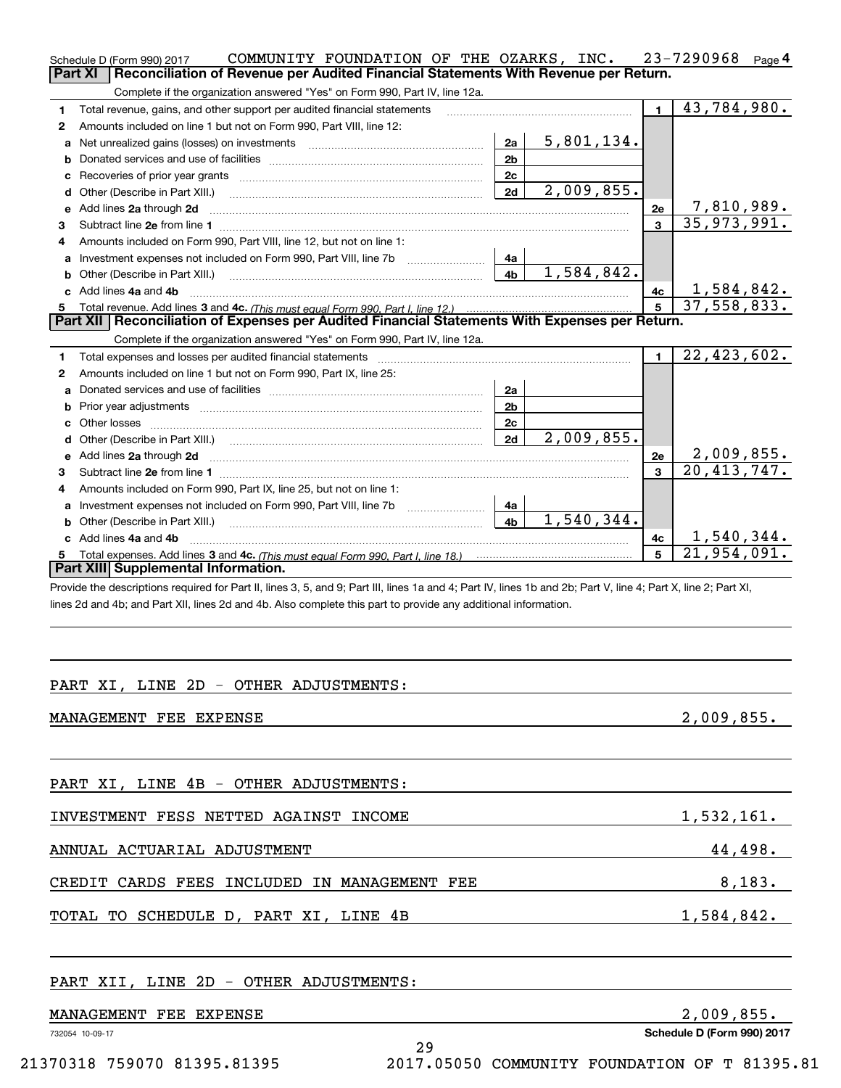| Reconciliation of Revenue per Audited Financial Statements With Revenue per Return.<br><b>Part XI</b><br>Complete if the organization answered "Yes" on Form 990, Part IV, line 12a.<br>43,784,980.<br>$\mathbf{1}$<br>Total revenue, gains, and other support per audited financial statements<br>1<br>Amounts included on line 1 but not on Form 990, Part VIII, line 12:<br>2<br>5,801,134.<br>2a<br>Net unrealized gains (losses) on investments [11] matter contracts and the unrealized gains (losses) on investments<br>a<br>2 <sub>b</sub><br>b<br>2c<br>с<br>2,009,855.<br>2d<br>Other (Describe in Part XIII.)<br>d<br>7,810,989.<br>35,973,991.<br>Add lines 2a through 2d<br>2e<br>е<br>3<br>3<br>Amounts included on Form 990, Part VIII, line 12, but not on line 1:<br>4<br>Investment expenses not included on Form 990, Part VIII, line 7b<br>4a<br>a<br>1,584,842.<br>4 <sub>b</sub><br>Other (Describe in Part XIII.) [100] [100] [100] [100] [100] [100] [100] [100] [100] [100] [100] [100] [100] [<br>b<br>$\frac{1,584,842.}{37,558,833.}$<br>Add lines 4a and 4b<br>4с<br>5<br>Part XII   Reconciliation of Expenses per Audited Financial Statements With Expenses per Return.<br>Complete if the organization answered "Yes" on Form 990, Part IV, line 12a.<br>22,423,602.<br>$\blacksquare$<br>Total expenses and losses per audited financial statements [111] [12] content and a superior and statements [11] $\frac{1}{2}$<br>1<br>Amounts included on line 1 but not on Form 990, Part IX, line 25:<br>2<br>2a<br>a<br>2 <sub>b</sub><br>b<br>2c<br>2,009,855.<br>2d<br>Other (Describe in Part XIII.) <b>Construction Construction</b> Chern Construction Chern Chern Chern Chern Chern Chern<br>d<br><u>2,009,855.</u><br>Add lines 2a through 2d<br>2e<br>е<br>20, 413, 747.<br>3<br>3<br>Amounts included on Form 990, Part IX, line 25, but not on line 1:<br>4<br>Investment expenses not included on Form 990, Part VIII, line 7b [11, 111, 111, 111]<br>4a<br>a<br>1,540,344.<br>4 <sub>h</sub><br>Other (Describe in Part XIII.) [100] [100] [100] [100] [100] [100] [100] [100] [100] [100] [100] [100] [100] [<br>b<br>1,540,344.<br>c Add lines 4a and 4b<br>4с<br>21,954,091.<br>5<br>5<br><b>Part XIII Supplemental Information.</b><br>Provide the descriptions required for Part II, lines 3, 5, and 9; Part III, lines 1a and 4; Part IV, lines 1b and 2b; Part V, line 4; Part X, line 2; Part XI,<br>lines 2d and 4b; and Part XII, lines 2d and 4b. Also complete this part to provide any additional information.<br>PART XI, LINE 2D - OTHER ADJUSTMENTS:<br>2,009,855.<br>MANAGEMENT FEE EXPENSE<br>PART XI, LINE 4B - OTHER ADJUSTMENTS:<br>1,532,161.<br>INVESTMENT FESS NETTED AGAINST INCOME<br>44,498.<br>ANNUAL ACTUARIAL ADJUSTMENT<br>8,183.<br>CREDIT CARDS FEES INCLUDED IN MANAGEMENT FEE<br>1,584,842.<br>TOTAL TO SCHEDULE D, PART XI, LINE 4B<br>PART XII, LINE 2D - OTHER ADJUSTMENTS:<br>2,009,855.<br>MANAGEMENT FEE EXPENSE | COMMUNITY FOUNDATION OF THE OZARKS, INC.<br>Schedule D (Form 990) 2017 |  |  | 23-7290968 | Page 4 |
|------------------------------------------------------------------------------------------------------------------------------------------------------------------------------------------------------------------------------------------------------------------------------------------------------------------------------------------------------------------------------------------------------------------------------------------------------------------------------------------------------------------------------------------------------------------------------------------------------------------------------------------------------------------------------------------------------------------------------------------------------------------------------------------------------------------------------------------------------------------------------------------------------------------------------------------------------------------------------------------------------------------------------------------------------------------------------------------------------------------------------------------------------------------------------------------------------------------------------------------------------------------------------------------------------------------------------------------------------------------------------------------------------------------------------------------------------------------------------------------------------------------------------------------------------------------------------------------------------------------------------------------------------------------------------------------------------------------------------------------------------------------------------------------------------------------------------------------------------------------------------------------------------------------------------------------------------------------------------------------------------------------------------------------------------------------------------------------------------------------------------------------------------------------------------------------------------------------------------------------------------------------------------------------------------------------------------------------------------------------------------------------------------------------------------------------------------------------------------------------------------------------------------------------------------------------------------------------------------------------------------------------------------------------------------------------------------------------------------------------------------------------------------------------------------------------------------------------------------------------------------------------------------------------------------------------------------------------------------------------------------|------------------------------------------------------------------------|--|--|------------|--------|
|                                                                                                                                                                                                                                                                                                                                                                                                                                                                                                                                                                                                                                                                                                                                                                                                                                                                                                                                                                                                                                                                                                                                                                                                                                                                                                                                                                                                                                                                                                                                                                                                                                                                                                                                                                                                                                                                                                                                                                                                                                                                                                                                                                                                                                                                                                                                                                                                                                                                                                                                                                                                                                                                                                                                                                                                                                                                                                                                                                                                      |                                                                        |  |  |            |        |
|                                                                                                                                                                                                                                                                                                                                                                                                                                                                                                                                                                                                                                                                                                                                                                                                                                                                                                                                                                                                                                                                                                                                                                                                                                                                                                                                                                                                                                                                                                                                                                                                                                                                                                                                                                                                                                                                                                                                                                                                                                                                                                                                                                                                                                                                                                                                                                                                                                                                                                                                                                                                                                                                                                                                                                                                                                                                                                                                                                                                      |                                                                        |  |  |            |        |
|                                                                                                                                                                                                                                                                                                                                                                                                                                                                                                                                                                                                                                                                                                                                                                                                                                                                                                                                                                                                                                                                                                                                                                                                                                                                                                                                                                                                                                                                                                                                                                                                                                                                                                                                                                                                                                                                                                                                                                                                                                                                                                                                                                                                                                                                                                                                                                                                                                                                                                                                                                                                                                                                                                                                                                                                                                                                                                                                                                                                      |                                                                        |  |  |            |        |
|                                                                                                                                                                                                                                                                                                                                                                                                                                                                                                                                                                                                                                                                                                                                                                                                                                                                                                                                                                                                                                                                                                                                                                                                                                                                                                                                                                                                                                                                                                                                                                                                                                                                                                                                                                                                                                                                                                                                                                                                                                                                                                                                                                                                                                                                                                                                                                                                                                                                                                                                                                                                                                                                                                                                                                                                                                                                                                                                                                                                      |                                                                        |  |  |            |        |
|                                                                                                                                                                                                                                                                                                                                                                                                                                                                                                                                                                                                                                                                                                                                                                                                                                                                                                                                                                                                                                                                                                                                                                                                                                                                                                                                                                                                                                                                                                                                                                                                                                                                                                                                                                                                                                                                                                                                                                                                                                                                                                                                                                                                                                                                                                                                                                                                                                                                                                                                                                                                                                                                                                                                                                                                                                                                                                                                                                                                      |                                                                        |  |  |            |        |
|                                                                                                                                                                                                                                                                                                                                                                                                                                                                                                                                                                                                                                                                                                                                                                                                                                                                                                                                                                                                                                                                                                                                                                                                                                                                                                                                                                                                                                                                                                                                                                                                                                                                                                                                                                                                                                                                                                                                                                                                                                                                                                                                                                                                                                                                                                                                                                                                                                                                                                                                                                                                                                                                                                                                                                                                                                                                                                                                                                                                      |                                                                        |  |  |            |        |
|                                                                                                                                                                                                                                                                                                                                                                                                                                                                                                                                                                                                                                                                                                                                                                                                                                                                                                                                                                                                                                                                                                                                                                                                                                                                                                                                                                                                                                                                                                                                                                                                                                                                                                                                                                                                                                                                                                                                                                                                                                                                                                                                                                                                                                                                                                                                                                                                                                                                                                                                                                                                                                                                                                                                                                                                                                                                                                                                                                                                      |                                                                        |  |  |            |        |
|                                                                                                                                                                                                                                                                                                                                                                                                                                                                                                                                                                                                                                                                                                                                                                                                                                                                                                                                                                                                                                                                                                                                                                                                                                                                                                                                                                                                                                                                                                                                                                                                                                                                                                                                                                                                                                                                                                                                                                                                                                                                                                                                                                                                                                                                                                                                                                                                                                                                                                                                                                                                                                                                                                                                                                                                                                                                                                                                                                                                      |                                                                        |  |  |            |        |
|                                                                                                                                                                                                                                                                                                                                                                                                                                                                                                                                                                                                                                                                                                                                                                                                                                                                                                                                                                                                                                                                                                                                                                                                                                                                                                                                                                                                                                                                                                                                                                                                                                                                                                                                                                                                                                                                                                                                                                                                                                                                                                                                                                                                                                                                                                                                                                                                                                                                                                                                                                                                                                                                                                                                                                                                                                                                                                                                                                                                      |                                                                        |  |  |            |        |
|                                                                                                                                                                                                                                                                                                                                                                                                                                                                                                                                                                                                                                                                                                                                                                                                                                                                                                                                                                                                                                                                                                                                                                                                                                                                                                                                                                                                                                                                                                                                                                                                                                                                                                                                                                                                                                                                                                                                                                                                                                                                                                                                                                                                                                                                                                                                                                                                                                                                                                                                                                                                                                                                                                                                                                                                                                                                                                                                                                                                      |                                                                        |  |  |            |        |
|                                                                                                                                                                                                                                                                                                                                                                                                                                                                                                                                                                                                                                                                                                                                                                                                                                                                                                                                                                                                                                                                                                                                                                                                                                                                                                                                                                                                                                                                                                                                                                                                                                                                                                                                                                                                                                                                                                                                                                                                                                                                                                                                                                                                                                                                                                                                                                                                                                                                                                                                                                                                                                                                                                                                                                                                                                                                                                                                                                                                      |                                                                        |  |  |            |        |
|                                                                                                                                                                                                                                                                                                                                                                                                                                                                                                                                                                                                                                                                                                                                                                                                                                                                                                                                                                                                                                                                                                                                                                                                                                                                                                                                                                                                                                                                                                                                                                                                                                                                                                                                                                                                                                                                                                                                                                                                                                                                                                                                                                                                                                                                                                                                                                                                                                                                                                                                                                                                                                                                                                                                                                                                                                                                                                                                                                                                      |                                                                        |  |  |            |        |
|                                                                                                                                                                                                                                                                                                                                                                                                                                                                                                                                                                                                                                                                                                                                                                                                                                                                                                                                                                                                                                                                                                                                                                                                                                                                                                                                                                                                                                                                                                                                                                                                                                                                                                                                                                                                                                                                                                                                                                                                                                                                                                                                                                                                                                                                                                                                                                                                                                                                                                                                                                                                                                                                                                                                                                                                                                                                                                                                                                                                      |                                                                        |  |  |            |        |
|                                                                                                                                                                                                                                                                                                                                                                                                                                                                                                                                                                                                                                                                                                                                                                                                                                                                                                                                                                                                                                                                                                                                                                                                                                                                                                                                                                                                                                                                                                                                                                                                                                                                                                                                                                                                                                                                                                                                                                                                                                                                                                                                                                                                                                                                                                                                                                                                                                                                                                                                                                                                                                                                                                                                                                                                                                                                                                                                                                                                      |                                                                        |  |  |            |        |
|                                                                                                                                                                                                                                                                                                                                                                                                                                                                                                                                                                                                                                                                                                                                                                                                                                                                                                                                                                                                                                                                                                                                                                                                                                                                                                                                                                                                                                                                                                                                                                                                                                                                                                                                                                                                                                                                                                                                                                                                                                                                                                                                                                                                                                                                                                                                                                                                                                                                                                                                                                                                                                                                                                                                                                                                                                                                                                                                                                                                      |                                                                        |  |  |            |        |
|                                                                                                                                                                                                                                                                                                                                                                                                                                                                                                                                                                                                                                                                                                                                                                                                                                                                                                                                                                                                                                                                                                                                                                                                                                                                                                                                                                                                                                                                                                                                                                                                                                                                                                                                                                                                                                                                                                                                                                                                                                                                                                                                                                                                                                                                                                                                                                                                                                                                                                                                                                                                                                                                                                                                                                                                                                                                                                                                                                                                      |                                                                        |  |  |            |        |
|                                                                                                                                                                                                                                                                                                                                                                                                                                                                                                                                                                                                                                                                                                                                                                                                                                                                                                                                                                                                                                                                                                                                                                                                                                                                                                                                                                                                                                                                                                                                                                                                                                                                                                                                                                                                                                                                                                                                                                                                                                                                                                                                                                                                                                                                                                                                                                                                                                                                                                                                                                                                                                                                                                                                                                                                                                                                                                                                                                                                      |                                                                        |  |  |            |        |
|                                                                                                                                                                                                                                                                                                                                                                                                                                                                                                                                                                                                                                                                                                                                                                                                                                                                                                                                                                                                                                                                                                                                                                                                                                                                                                                                                                                                                                                                                                                                                                                                                                                                                                                                                                                                                                                                                                                                                                                                                                                                                                                                                                                                                                                                                                                                                                                                                                                                                                                                                                                                                                                                                                                                                                                                                                                                                                                                                                                                      |                                                                        |  |  |            |        |
|                                                                                                                                                                                                                                                                                                                                                                                                                                                                                                                                                                                                                                                                                                                                                                                                                                                                                                                                                                                                                                                                                                                                                                                                                                                                                                                                                                                                                                                                                                                                                                                                                                                                                                                                                                                                                                                                                                                                                                                                                                                                                                                                                                                                                                                                                                                                                                                                                                                                                                                                                                                                                                                                                                                                                                                                                                                                                                                                                                                                      |                                                                        |  |  |            |        |
|                                                                                                                                                                                                                                                                                                                                                                                                                                                                                                                                                                                                                                                                                                                                                                                                                                                                                                                                                                                                                                                                                                                                                                                                                                                                                                                                                                                                                                                                                                                                                                                                                                                                                                                                                                                                                                                                                                                                                                                                                                                                                                                                                                                                                                                                                                                                                                                                                                                                                                                                                                                                                                                                                                                                                                                                                                                                                                                                                                                                      |                                                                        |  |  |            |        |
|                                                                                                                                                                                                                                                                                                                                                                                                                                                                                                                                                                                                                                                                                                                                                                                                                                                                                                                                                                                                                                                                                                                                                                                                                                                                                                                                                                                                                                                                                                                                                                                                                                                                                                                                                                                                                                                                                                                                                                                                                                                                                                                                                                                                                                                                                                                                                                                                                                                                                                                                                                                                                                                                                                                                                                                                                                                                                                                                                                                                      |                                                                        |  |  |            |        |
|                                                                                                                                                                                                                                                                                                                                                                                                                                                                                                                                                                                                                                                                                                                                                                                                                                                                                                                                                                                                                                                                                                                                                                                                                                                                                                                                                                                                                                                                                                                                                                                                                                                                                                                                                                                                                                                                                                                                                                                                                                                                                                                                                                                                                                                                                                                                                                                                                                                                                                                                                                                                                                                                                                                                                                                                                                                                                                                                                                                                      |                                                                        |  |  |            |        |
|                                                                                                                                                                                                                                                                                                                                                                                                                                                                                                                                                                                                                                                                                                                                                                                                                                                                                                                                                                                                                                                                                                                                                                                                                                                                                                                                                                                                                                                                                                                                                                                                                                                                                                                                                                                                                                                                                                                                                                                                                                                                                                                                                                                                                                                                                                                                                                                                                                                                                                                                                                                                                                                                                                                                                                                                                                                                                                                                                                                                      |                                                                        |  |  |            |        |
|                                                                                                                                                                                                                                                                                                                                                                                                                                                                                                                                                                                                                                                                                                                                                                                                                                                                                                                                                                                                                                                                                                                                                                                                                                                                                                                                                                                                                                                                                                                                                                                                                                                                                                                                                                                                                                                                                                                                                                                                                                                                                                                                                                                                                                                                                                                                                                                                                                                                                                                                                                                                                                                                                                                                                                                                                                                                                                                                                                                                      |                                                                        |  |  |            |        |
|                                                                                                                                                                                                                                                                                                                                                                                                                                                                                                                                                                                                                                                                                                                                                                                                                                                                                                                                                                                                                                                                                                                                                                                                                                                                                                                                                                                                                                                                                                                                                                                                                                                                                                                                                                                                                                                                                                                                                                                                                                                                                                                                                                                                                                                                                                                                                                                                                                                                                                                                                                                                                                                                                                                                                                                                                                                                                                                                                                                                      |                                                                        |  |  |            |        |
|                                                                                                                                                                                                                                                                                                                                                                                                                                                                                                                                                                                                                                                                                                                                                                                                                                                                                                                                                                                                                                                                                                                                                                                                                                                                                                                                                                                                                                                                                                                                                                                                                                                                                                                                                                                                                                                                                                                                                                                                                                                                                                                                                                                                                                                                                                                                                                                                                                                                                                                                                                                                                                                                                                                                                                                                                                                                                                                                                                                                      |                                                                        |  |  |            |        |
|                                                                                                                                                                                                                                                                                                                                                                                                                                                                                                                                                                                                                                                                                                                                                                                                                                                                                                                                                                                                                                                                                                                                                                                                                                                                                                                                                                                                                                                                                                                                                                                                                                                                                                                                                                                                                                                                                                                                                                                                                                                                                                                                                                                                                                                                                                                                                                                                                                                                                                                                                                                                                                                                                                                                                                                                                                                                                                                                                                                                      |                                                                        |  |  |            |        |
|                                                                                                                                                                                                                                                                                                                                                                                                                                                                                                                                                                                                                                                                                                                                                                                                                                                                                                                                                                                                                                                                                                                                                                                                                                                                                                                                                                                                                                                                                                                                                                                                                                                                                                                                                                                                                                                                                                                                                                                                                                                                                                                                                                                                                                                                                                                                                                                                                                                                                                                                                                                                                                                                                                                                                                                                                                                                                                                                                                                                      |                                                                        |  |  |            |        |
|                                                                                                                                                                                                                                                                                                                                                                                                                                                                                                                                                                                                                                                                                                                                                                                                                                                                                                                                                                                                                                                                                                                                                                                                                                                                                                                                                                                                                                                                                                                                                                                                                                                                                                                                                                                                                                                                                                                                                                                                                                                                                                                                                                                                                                                                                                                                                                                                                                                                                                                                                                                                                                                                                                                                                                                                                                                                                                                                                                                                      |                                                                        |  |  |            |        |
|                                                                                                                                                                                                                                                                                                                                                                                                                                                                                                                                                                                                                                                                                                                                                                                                                                                                                                                                                                                                                                                                                                                                                                                                                                                                                                                                                                                                                                                                                                                                                                                                                                                                                                                                                                                                                                                                                                                                                                                                                                                                                                                                                                                                                                                                                                                                                                                                                                                                                                                                                                                                                                                                                                                                                                                                                                                                                                                                                                                                      |                                                                        |  |  |            |        |
|                                                                                                                                                                                                                                                                                                                                                                                                                                                                                                                                                                                                                                                                                                                                                                                                                                                                                                                                                                                                                                                                                                                                                                                                                                                                                                                                                                                                                                                                                                                                                                                                                                                                                                                                                                                                                                                                                                                                                                                                                                                                                                                                                                                                                                                                                                                                                                                                                                                                                                                                                                                                                                                                                                                                                                                                                                                                                                                                                                                                      |                                                                        |  |  |            |        |
|                                                                                                                                                                                                                                                                                                                                                                                                                                                                                                                                                                                                                                                                                                                                                                                                                                                                                                                                                                                                                                                                                                                                                                                                                                                                                                                                                                                                                                                                                                                                                                                                                                                                                                                                                                                                                                                                                                                                                                                                                                                                                                                                                                                                                                                                                                                                                                                                                                                                                                                                                                                                                                                                                                                                                                                                                                                                                                                                                                                                      |                                                                        |  |  |            |        |
|                                                                                                                                                                                                                                                                                                                                                                                                                                                                                                                                                                                                                                                                                                                                                                                                                                                                                                                                                                                                                                                                                                                                                                                                                                                                                                                                                                                                                                                                                                                                                                                                                                                                                                                                                                                                                                                                                                                                                                                                                                                                                                                                                                                                                                                                                                                                                                                                                                                                                                                                                                                                                                                                                                                                                                                                                                                                                                                                                                                                      |                                                                        |  |  |            |        |
|                                                                                                                                                                                                                                                                                                                                                                                                                                                                                                                                                                                                                                                                                                                                                                                                                                                                                                                                                                                                                                                                                                                                                                                                                                                                                                                                                                                                                                                                                                                                                                                                                                                                                                                                                                                                                                                                                                                                                                                                                                                                                                                                                                                                                                                                                                                                                                                                                                                                                                                                                                                                                                                                                                                                                                                                                                                                                                                                                                                                      |                                                                        |  |  |            |        |
|                                                                                                                                                                                                                                                                                                                                                                                                                                                                                                                                                                                                                                                                                                                                                                                                                                                                                                                                                                                                                                                                                                                                                                                                                                                                                                                                                                                                                                                                                                                                                                                                                                                                                                                                                                                                                                                                                                                                                                                                                                                                                                                                                                                                                                                                                                                                                                                                                                                                                                                                                                                                                                                                                                                                                                                                                                                                                                                                                                                                      |                                                                        |  |  |            |        |
|                                                                                                                                                                                                                                                                                                                                                                                                                                                                                                                                                                                                                                                                                                                                                                                                                                                                                                                                                                                                                                                                                                                                                                                                                                                                                                                                                                                                                                                                                                                                                                                                                                                                                                                                                                                                                                                                                                                                                                                                                                                                                                                                                                                                                                                                                                                                                                                                                                                                                                                                                                                                                                                                                                                                                                                                                                                                                                                                                                                                      |                                                                        |  |  |            |        |
|                                                                                                                                                                                                                                                                                                                                                                                                                                                                                                                                                                                                                                                                                                                                                                                                                                                                                                                                                                                                                                                                                                                                                                                                                                                                                                                                                                                                                                                                                                                                                                                                                                                                                                                                                                                                                                                                                                                                                                                                                                                                                                                                                                                                                                                                                                                                                                                                                                                                                                                                                                                                                                                                                                                                                                                                                                                                                                                                                                                                      |                                                                        |  |  |            |        |
|                                                                                                                                                                                                                                                                                                                                                                                                                                                                                                                                                                                                                                                                                                                                                                                                                                                                                                                                                                                                                                                                                                                                                                                                                                                                                                                                                                                                                                                                                                                                                                                                                                                                                                                                                                                                                                                                                                                                                                                                                                                                                                                                                                                                                                                                                                                                                                                                                                                                                                                                                                                                                                                                                                                                                                                                                                                                                                                                                                                                      |                                                                        |  |  |            |        |
|                                                                                                                                                                                                                                                                                                                                                                                                                                                                                                                                                                                                                                                                                                                                                                                                                                                                                                                                                                                                                                                                                                                                                                                                                                                                                                                                                                                                                                                                                                                                                                                                                                                                                                                                                                                                                                                                                                                                                                                                                                                                                                                                                                                                                                                                                                                                                                                                                                                                                                                                                                                                                                                                                                                                                                                                                                                                                                                                                                                                      |                                                                        |  |  |            |        |
|                                                                                                                                                                                                                                                                                                                                                                                                                                                                                                                                                                                                                                                                                                                                                                                                                                                                                                                                                                                                                                                                                                                                                                                                                                                                                                                                                                                                                                                                                                                                                                                                                                                                                                                                                                                                                                                                                                                                                                                                                                                                                                                                                                                                                                                                                                                                                                                                                                                                                                                                                                                                                                                                                                                                                                                                                                                                                                                                                                                                      |                                                                        |  |  |            |        |
|                                                                                                                                                                                                                                                                                                                                                                                                                                                                                                                                                                                                                                                                                                                                                                                                                                                                                                                                                                                                                                                                                                                                                                                                                                                                                                                                                                                                                                                                                                                                                                                                                                                                                                                                                                                                                                                                                                                                                                                                                                                                                                                                                                                                                                                                                                                                                                                                                                                                                                                                                                                                                                                                                                                                                                                                                                                                                                                                                                                                      |                                                                        |  |  |            |        |
|                                                                                                                                                                                                                                                                                                                                                                                                                                                                                                                                                                                                                                                                                                                                                                                                                                                                                                                                                                                                                                                                                                                                                                                                                                                                                                                                                                                                                                                                                                                                                                                                                                                                                                                                                                                                                                                                                                                                                                                                                                                                                                                                                                                                                                                                                                                                                                                                                                                                                                                                                                                                                                                                                                                                                                                                                                                                                                                                                                                                      |                                                                        |  |  |            |        |
|                                                                                                                                                                                                                                                                                                                                                                                                                                                                                                                                                                                                                                                                                                                                                                                                                                                                                                                                                                                                                                                                                                                                                                                                                                                                                                                                                                                                                                                                                                                                                                                                                                                                                                                                                                                                                                                                                                                                                                                                                                                                                                                                                                                                                                                                                                                                                                                                                                                                                                                                                                                                                                                                                                                                                                                                                                                                                                                                                                                                      |                                                                        |  |  |            |        |
|                                                                                                                                                                                                                                                                                                                                                                                                                                                                                                                                                                                                                                                                                                                                                                                                                                                                                                                                                                                                                                                                                                                                                                                                                                                                                                                                                                                                                                                                                                                                                                                                                                                                                                                                                                                                                                                                                                                                                                                                                                                                                                                                                                                                                                                                                                                                                                                                                                                                                                                                                                                                                                                                                                                                                                                                                                                                                                                                                                                                      |                                                                        |  |  |            |        |
|                                                                                                                                                                                                                                                                                                                                                                                                                                                                                                                                                                                                                                                                                                                                                                                                                                                                                                                                                                                                                                                                                                                                                                                                                                                                                                                                                                                                                                                                                                                                                                                                                                                                                                                                                                                                                                                                                                                                                                                                                                                                                                                                                                                                                                                                                                                                                                                                                                                                                                                                                                                                                                                                                                                                                                                                                                                                                                                                                                                                      |                                                                        |  |  |            |        |
|                                                                                                                                                                                                                                                                                                                                                                                                                                                                                                                                                                                                                                                                                                                                                                                                                                                                                                                                                                                                                                                                                                                                                                                                                                                                                                                                                                                                                                                                                                                                                                                                                                                                                                                                                                                                                                                                                                                                                                                                                                                                                                                                                                                                                                                                                                                                                                                                                                                                                                                                                                                                                                                                                                                                                                                                                                                                                                                                                                                                      |                                                                        |  |  |            |        |
|                                                                                                                                                                                                                                                                                                                                                                                                                                                                                                                                                                                                                                                                                                                                                                                                                                                                                                                                                                                                                                                                                                                                                                                                                                                                                                                                                                                                                                                                                                                                                                                                                                                                                                                                                                                                                                                                                                                                                                                                                                                                                                                                                                                                                                                                                                                                                                                                                                                                                                                                                                                                                                                                                                                                                                                                                                                                                                                                                                                                      |                                                                        |  |  |            |        |
|                                                                                                                                                                                                                                                                                                                                                                                                                                                                                                                                                                                                                                                                                                                                                                                                                                                                                                                                                                                                                                                                                                                                                                                                                                                                                                                                                                                                                                                                                                                                                                                                                                                                                                                                                                                                                                                                                                                                                                                                                                                                                                                                                                                                                                                                                                                                                                                                                                                                                                                                                                                                                                                                                                                                                                                                                                                                                                                                                                                                      |                                                                        |  |  |            |        |
|                                                                                                                                                                                                                                                                                                                                                                                                                                                                                                                                                                                                                                                                                                                                                                                                                                                                                                                                                                                                                                                                                                                                                                                                                                                                                                                                                                                                                                                                                                                                                                                                                                                                                                                                                                                                                                                                                                                                                                                                                                                                                                                                                                                                                                                                                                                                                                                                                                                                                                                                                                                                                                                                                                                                                                                                                                                                                                                                                                                                      |                                                                        |  |  |            |        |
|                                                                                                                                                                                                                                                                                                                                                                                                                                                                                                                                                                                                                                                                                                                                                                                                                                                                                                                                                                                                                                                                                                                                                                                                                                                                                                                                                                                                                                                                                                                                                                                                                                                                                                                                                                                                                                                                                                                                                                                                                                                                                                                                                                                                                                                                                                                                                                                                                                                                                                                                                                                                                                                                                                                                                                                                                                                                                                                                                                                                      |                                                                        |  |  |            |        |
|                                                                                                                                                                                                                                                                                                                                                                                                                                                                                                                                                                                                                                                                                                                                                                                                                                                                                                                                                                                                                                                                                                                                                                                                                                                                                                                                                                                                                                                                                                                                                                                                                                                                                                                                                                                                                                                                                                                                                                                                                                                                                                                                                                                                                                                                                                                                                                                                                                                                                                                                                                                                                                                                                                                                                                                                                                                                                                                                                                                                      |                                                                        |  |  |            |        |
|                                                                                                                                                                                                                                                                                                                                                                                                                                                                                                                                                                                                                                                                                                                                                                                                                                                                                                                                                                                                                                                                                                                                                                                                                                                                                                                                                                                                                                                                                                                                                                                                                                                                                                                                                                                                                                                                                                                                                                                                                                                                                                                                                                                                                                                                                                                                                                                                                                                                                                                                                                                                                                                                                                                                                                                                                                                                                                                                                                                                      |                                                                        |  |  |            |        |

29

732054 10-09-17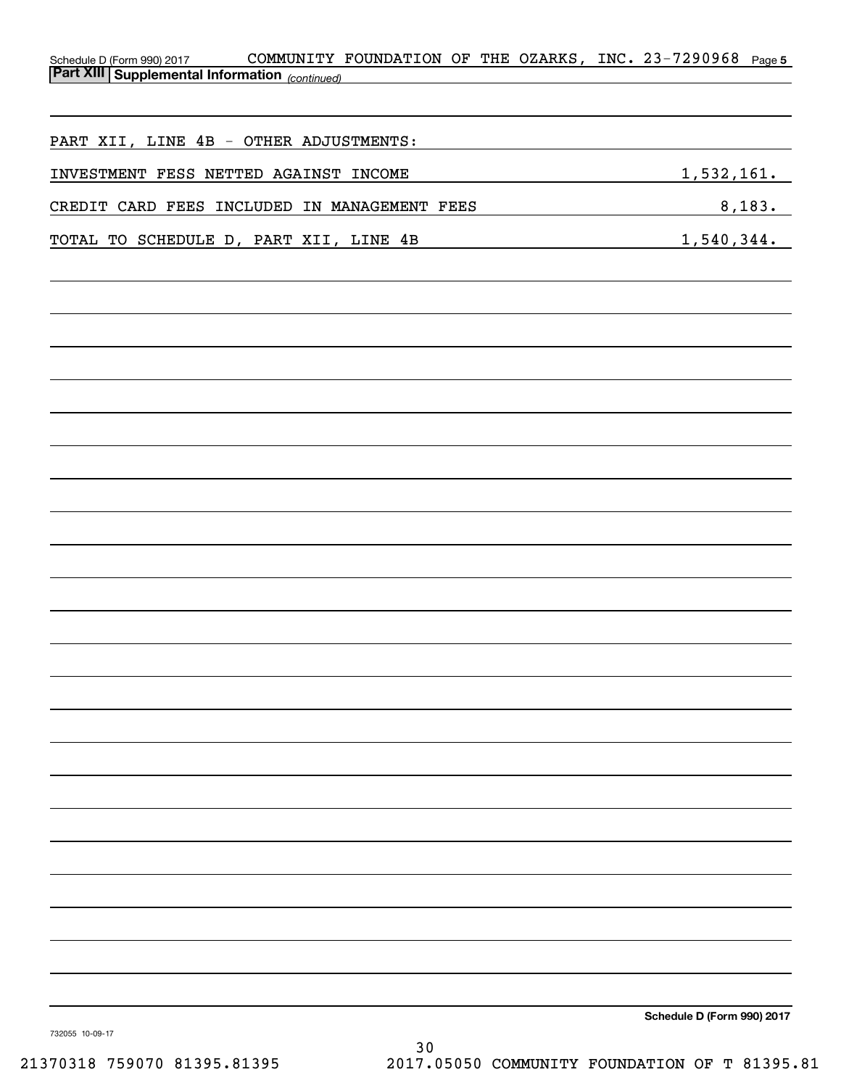| Schedule D (Form 990) 2017 COMMUNITY FOUNDATION OF THE OZARKS, INC. 23-7290968 Page 5<br>Part XIII Supplemental Information <sub>(continued)</sub> |                                                          |
|----------------------------------------------------------------------------------------------------------------------------------------------------|----------------------------------------------------------|
|                                                                                                                                                    |                                                          |
|                                                                                                                                                    |                                                          |
| PART XII, LINE 4B - OTHER ADJUSTMENTS:                                                                                                             | <u> 1989 - Johann John Stein, marwolaethau (b. 1989)</u> |
| INVESTMENT FESS NETTED AGAINST INCOME<br><u> 1989 - Johann Stoff, Amerikaansk politiker (</u>                                                      | 1,532,161.                                               |
| CREDIT CARD FEES INCLUDED IN MANAGEMENT FEES                                                                                                       | 8,183.                                                   |
| TOTAL TO SCHEDULE D, PART XII, LINE 4B<br><u> 1989 - Johann Stoff, Amerikaansk politiker (</u>                                                     | 1,540,344.                                               |
|                                                                                                                                                    |                                                          |
|                                                                                                                                                    |                                                          |
|                                                                                                                                                    |                                                          |
|                                                                                                                                                    |                                                          |
|                                                                                                                                                    |                                                          |
|                                                                                                                                                    |                                                          |
|                                                                                                                                                    |                                                          |
|                                                                                                                                                    |                                                          |
|                                                                                                                                                    |                                                          |
|                                                                                                                                                    |                                                          |
|                                                                                                                                                    |                                                          |
|                                                                                                                                                    |                                                          |
|                                                                                                                                                    |                                                          |
|                                                                                                                                                    |                                                          |
|                                                                                                                                                    |                                                          |
|                                                                                                                                                    |                                                          |
|                                                                                                                                                    |                                                          |
|                                                                                                                                                    |                                                          |
|                                                                                                                                                    |                                                          |
|                                                                                                                                                    |                                                          |
|                                                                                                                                                    |                                                          |
|                                                                                                                                                    |                                                          |
|                                                                                                                                                    |                                                          |
|                                                                                                                                                    |                                                          |
|                                                                                                                                                    | Schedule D (Form 990) 2017                               |
| 732055 10-09-17                                                                                                                                    |                                                          |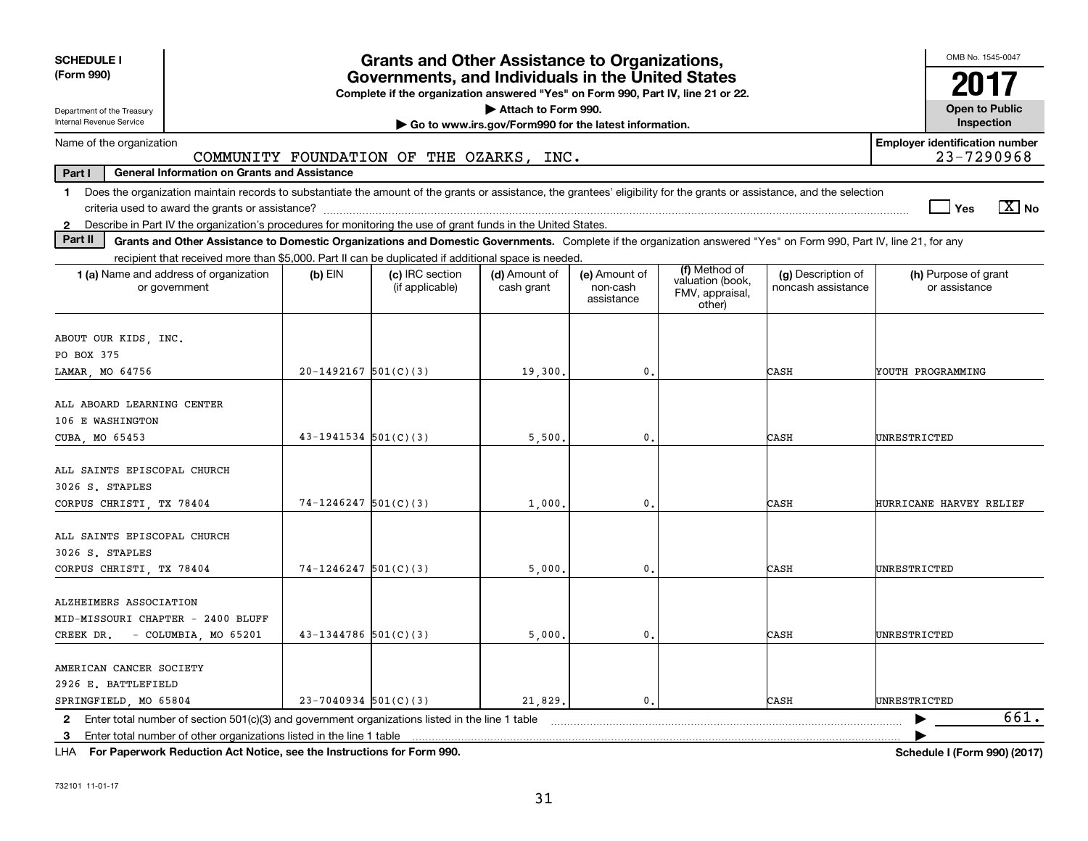| <b>SCHEDULE I</b><br>(Form 990)                                                                                                                                                                                                                                                                                | <b>Grants and Other Assistance to Organizations,</b>                                                |                                                                                                                                       |                                                                              |                |  |      |                                                     |  |  |  |  |  |
|----------------------------------------------------------------------------------------------------------------------------------------------------------------------------------------------------------------------------------------------------------------------------------------------------------------|-----------------------------------------------------------------------------------------------------|---------------------------------------------------------------------------------------------------------------------------------------|------------------------------------------------------------------------------|----------------|--|------|-----------------------------------------------------|--|--|--|--|--|
|                                                                                                                                                                                                                                                                                                                |                                                                                                     | Governments, and Individuals in the United States<br>Complete if the organization answered "Yes" on Form 990, Part IV, line 21 or 22. |                                                                              |                |  |      |                                                     |  |  |  |  |  |
| Department of the Treasury<br>Internal Revenue Service                                                                                                                                                                                                                                                         |                                                                                                     |                                                                                                                                       | Attach to Form 990.<br>Go to www.irs.gov/Form990 for the latest information. |                |  |      | <b>Open to Public</b><br>Inspection                 |  |  |  |  |  |
| Name of the organization                                                                                                                                                                                                                                                                                       | COMMUNITY FOUNDATION OF THE OZARKS, INC.                                                            |                                                                                                                                       |                                                                              |                |  |      | <b>Employer identification number</b><br>23-7290968 |  |  |  |  |  |
| Part I                                                                                                                                                                                                                                                                                                         | <b>General Information on Grants and Assistance</b>                                                 |                                                                                                                                       |                                                                              |                |  |      |                                                     |  |  |  |  |  |
| 1 Does the organization maintain records to substantiate the amount of the grants or assistance, the grantees' eligibility for the grants or assistance, and the selection<br>$X$ No<br>Yes                                                                                                                    |                                                                                                     |                                                                                                                                       |                                                                              |                |  |      |                                                     |  |  |  |  |  |
| Describe in Part IV the organization's procedures for monitoring the use of grant funds in the United States.<br>$\mathbf{2}$<br>Part II<br>Grants and Other Assistance to Domestic Organizations and Domestic Governments. Complete if the organization answered "Yes" on Form 990, Part IV, line 21, for any |                                                                                                     |                                                                                                                                       |                                                                              |                |  |      |                                                     |  |  |  |  |  |
|                                                                                                                                                                                                                                                                                                                | recipient that received more than \$5,000. Part II can be duplicated if additional space is needed. |                                                                                                                                       |                                                                              |                |  |      |                                                     |  |  |  |  |  |
| <b>1 (a)</b> Name and address of organization<br>or government                                                                                                                                                                                                                                                 | (h) Purpose of grant<br>or assistance                                                               |                                                                                                                                       |                                                                              |                |  |      |                                                     |  |  |  |  |  |
| ABOUT OUR KIDS, INC.                                                                                                                                                                                                                                                                                           |                                                                                                     |                                                                                                                                       |                                                                              |                |  |      |                                                     |  |  |  |  |  |
| PO BOX 375                                                                                                                                                                                                                                                                                                     |                                                                                                     |                                                                                                                                       |                                                                              |                |  |      |                                                     |  |  |  |  |  |
| LAMAR, MO 64756                                                                                                                                                                                                                                                                                                |                                                                                                     | $20-1492167$ 501(C)(3)                                                                                                                | 19,300.                                                                      | $\mathbf{0}$ . |  | CASH | YOUTH PROGRAMMING                                   |  |  |  |  |  |
| ALL ABOARD LEARNING CENTER<br>106 E WASHINGTON                                                                                                                                                                                                                                                                 |                                                                                                     |                                                                                                                                       |                                                                              |                |  |      |                                                     |  |  |  |  |  |
| CUBA, MO 65453                                                                                                                                                                                                                                                                                                 |                                                                                                     | $43-1941534$ $501(C)(3)$                                                                                                              | 5,500                                                                        | 0.             |  | CASH | UNRESTRICTED                                        |  |  |  |  |  |
| ALL SAINTS EPISCOPAL CHURCH<br>3026 S. STAPLES<br>CORPUS CHRISTI, TX 78404                                                                                                                                                                                                                                     |                                                                                                     | $74 - 1246247$ 501(C)(3)                                                                                                              | 1,000                                                                        | 0.             |  | CASH | HURRICANE HARVEY RELIEF                             |  |  |  |  |  |
| ALL SAINTS EPISCOPAL CHURCH<br>3026 S. STAPLES                                                                                                                                                                                                                                                                 |                                                                                                     |                                                                                                                                       |                                                                              |                |  |      |                                                     |  |  |  |  |  |
| CORPUS CHRISTI, TX 78404                                                                                                                                                                                                                                                                                       |                                                                                                     | $74-1246247$ 501(C)(3)                                                                                                                | 5,000                                                                        | 0.             |  | CASH | UNRESTRICTED                                        |  |  |  |  |  |
| ALZHEIMERS ASSOCIATION<br>MID-MISSOURI CHAPTER - 2400 BLUFF<br>CREEK DR.<br>- COLUMBIA, MO 65201                                                                                                                                                                                                               |                                                                                                     | $43 - 1344786$ 501(C)(3)                                                                                                              | 5,000                                                                        | $\mathbf{0}$ . |  | CASH | UNRESTRICTED                                        |  |  |  |  |  |
| AMERICAN CANCER SOCIETY<br>2926 E. BATTLEFIELD                                                                                                                                                                                                                                                                 |                                                                                                     |                                                                                                                                       |                                                                              |                |  |      |                                                     |  |  |  |  |  |
| SPRINGFIELD, MO 65804                                                                                                                                                                                                                                                                                          |                                                                                                     | $23 - 7040934$ 501(C)(3)                                                                                                              | 21,829.                                                                      | 0.             |  | CASH | <b>UNRESTRICTED</b>                                 |  |  |  |  |  |
| 2 Enter total number of section 501(c)(3) and government organizations listed in the line 1 table                                                                                                                                                                                                              |                                                                                                     |                                                                                                                                       |                                                                              |                |  |      | $\overline{661}$ .                                  |  |  |  |  |  |
| 3 Enter total number of other organizations listed in the line 1 table                                                                                                                                                                                                                                         |                                                                                                     |                                                                                                                                       |                                                                              |                |  |      |                                                     |  |  |  |  |  |

**For Paperwork Reduction Act Notice, see the Instructions for Form 990. Schedule I (Form 990) (2017)** LHA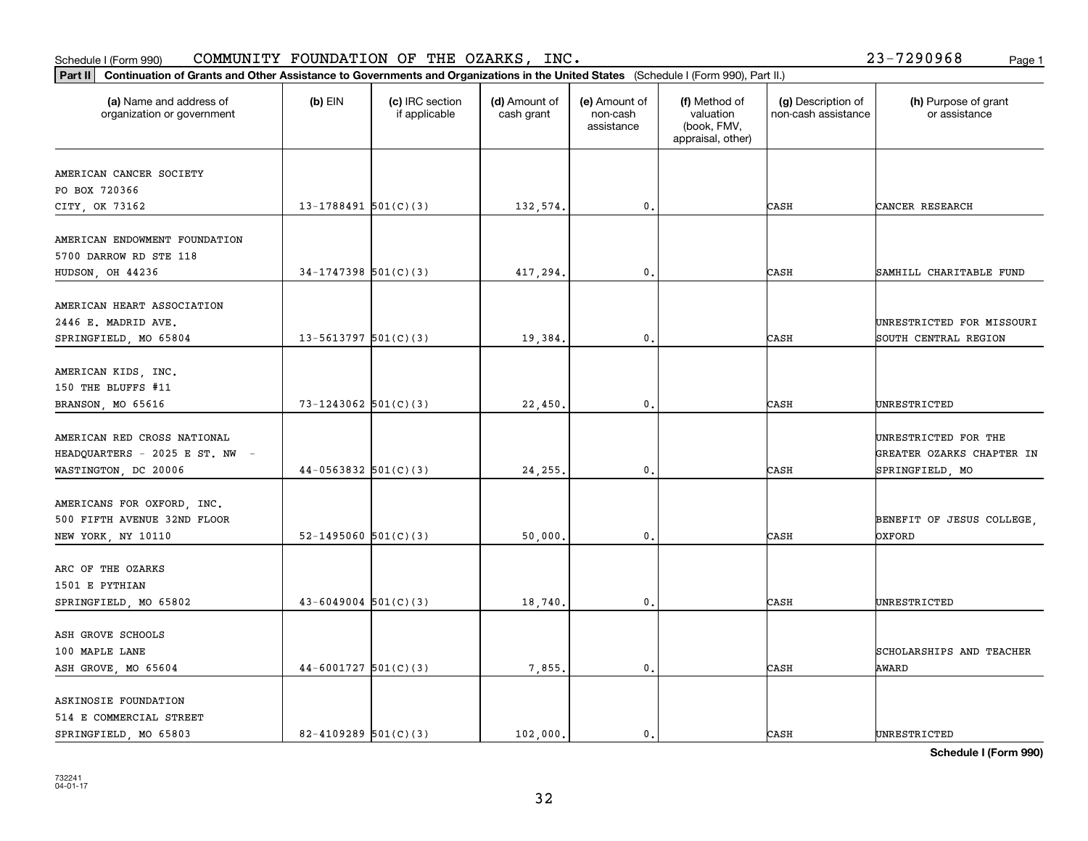#### 73224104-01-17

AMERICANS FOR OXFORD, INC.

ASKINOSIE FOUNDATION 514 E COMMERCIAL STREET

| $43 - 6049004$ 501(C)(3) | 18.740. | 0 |  |
|--------------------------|---------|---|--|
|                          |         |   |  |
|                          |         |   |  |
|                          |         |   |  |
| $44-6001727$ 501(C)(3)   | 7.855.  | 0 |  |
|                          |         |   |  |

SPRINGFIELD, MO 65803 82-4109289 501(C)(3) 102,000. 0. CASH CASH UNRESTRICTED

AMERICAN RED CROSS NATIONAL UNRESTRICTED FOR THE HEADQUARTERS - 2025 E ST. NW - GREATER IN CHAPTER IN CHAPTER OUNCES IN CHAPTER IN

500 FIFTH AVENUE 32ND FLOOR BENEFIT OF JESUS COLLEGE,

WASTINGTON, DC 20006 44-0563832 501(C)(3)  $\begin{vmatrix} 24.255 \end{vmatrix}$  0. CASH SPRINGFIELD, MO

| NEW YORK, NY 10110    | $52 - 1495060$ $501(C)(3)$ | 50,000. |  | CASH | OXFORD                   |
|-----------------------|----------------------------|---------|--|------|--------------------------|
|                       |                            |         |  |      |                          |
| ARC OF THE OZARKS     |                            |         |  |      |                          |
| 1501 E PYTHIAN        |                            |         |  |      |                          |
| SPRINGFIELD, MO 65802 | $43 - 6049004$ $501(C)(3)$ | 18,740. |  | CASH | UNRESTRICTED             |
|                       |                            |         |  |      |                          |
| ASH GROVE SCHOOLS     |                            |         |  |      |                          |
| 100 MAPLE LANE        |                            |         |  |      | SCHOLARSHIPS AND TEACHER |
| ASH GROVE, MO 65604   | $44-6001727$ 501(C)(3)     | .855.   |  | CASH | AWARD                    |
|                       |                            |         |  |      |                          |

| AMERICAN HEART ASSOCIATION |                            |         |  |      |                           |
|----------------------------|----------------------------|---------|--|------|---------------------------|
| 2446 E. MADRID AVE.        |                            |         |  |      | UNRESTRICTED FOR MISSOURI |
| SPRINGFIELD MO 65804       | $13 - 5613797$ $501(C)(3)$ | 19.384. |  | CASH | SOUTH CENTRAL REGION      |
|                            |                            |         |  |      |                           |
| AMERICAN KIDS, INC.        |                            |         |  |      |                           |
| 150 THE BLUFFS #11         |                            |         |  |      |                           |
| BRANSON, MO 65616          | $73 - 1243062$ $501(C)(3)$ | 22,450. |  | CASH | UNRESTRICTED              |

|                                                                             |                          |           | assistance | (book, FMV,<br>appraisal, other) |      |                         |
|-----------------------------------------------------------------------------|--------------------------|-----------|------------|----------------------------------|------|-------------------------|
| AMERICAN CANCER SOCIETY                                                     |                          |           |            |                                  |      |                         |
| PO BOX 720366                                                               |                          |           |            |                                  |      |                         |
| CITY, OK 73162                                                              | $13-1788491$ $501(C)(3)$ | 132,574.  | 0.         |                                  | CASH | CANCER RESEARCH         |
| AMERICAN ENDOWMENT FOUNDATION<br>5700 DARROW RD STE 118<br>HUDSON, OH 44236 | $34-1747398$ 501(C)(3)   | 417, 294. | 0.         |                                  | CASH | SAMHILL CHARITABLE FUND |
|                                                                             |                          |           |            |                                  |      |                         |

| Part II | Continuation of Grants and Other Assistance to Governments and Organizations in the United States (Schedule I (Form 990), Part II.) |           |                                  |                             |                                                          |                                                     |                                               |     |  |  |  |  |
|---------|-------------------------------------------------------------------------------------------------------------------------------------|-----------|----------------------------------|-----------------------------|----------------------------------------------------------|-----------------------------------------------------|-----------------------------------------------|-----|--|--|--|--|
|         | (a) Name and address of<br>organization or government                                                                               | $(b)$ EIN | (c) IRC section<br>if applicable | (d) Amount of<br>cash grant | (e) Amount of<br>non-cash<br>$\sim$ $\sim$ $\sim$ $\sim$ | (f) Method of<br>valuation<br>$(h$ aale $\Gamma$ MI | (g) Description of<br>I non-cash assistance I | (h) |  |  |  |  |

Schedule I (Form 990)  ${\tt COMMUNITY}$  <code>FOUNDATION OF THE OZARKS, INC</code> .  $23-7290968$  Page 1

**Schedule I (Form 990)**

(h) Purpose of grant or assistance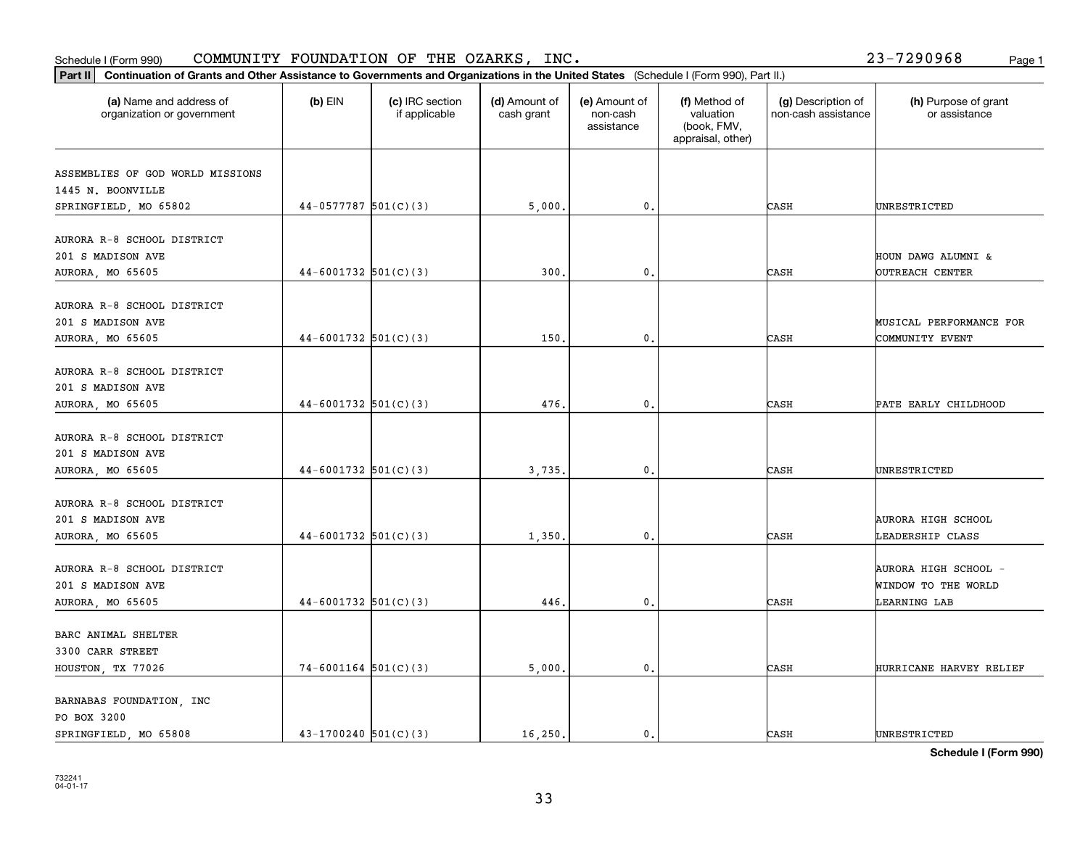#### Schedule I (Form 990) COMMUNITY FOUNDATION OF THE OZARKS, INC。 Page 1 COMMUNITY FOUNDATION OF THE OZARKS, INC. 23-7290968

| Part II   Continuation of Grants and Other Assistance to Governments and Organizations in the United States (Schedule I (Form 990), Part II.) |                          |                                  |                             |                                         |                                                                |                                           |                                       |
|-----------------------------------------------------------------------------------------------------------------------------------------------|--------------------------|----------------------------------|-----------------------------|-----------------------------------------|----------------------------------------------------------------|-------------------------------------------|---------------------------------------|
| (a) Name and address of<br>organization or government                                                                                         | $(b)$ EIN                | (c) IRC section<br>if applicable | (d) Amount of<br>cash grant | (e) Amount of<br>non-cash<br>assistance | (f) Method of<br>valuation<br>(book, FMV,<br>appraisal, other) | (g) Description of<br>non-cash assistance | (h) Purpose of grant<br>or assistance |
| ASSEMBLIES OF GOD WORLD MISSIONS                                                                                                              |                          |                                  |                             |                                         |                                                                |                                           |                                       |
| 1445 N. BOONVILLE                                                                                                                             |                          |                                  |                             |                                         |                                                                |                                           |                                       |
| SPRINGFIELD, MO 65802                                                                                                                         | $44-0577787$ 501(C)(3)   |                                  | 5,000                       | $^{\circ}$ .                            |                                                                | CASH                                      | UNRESTRICTED                          |
|                                                                                                                                               |                          |                                  |                             |                                         |                                                                |                                           |                                       |
| AURORA R-8 SCHOOL DISTRICT                                                                                                                    |                          |                                  |                             |                                         |                                                                |                                           |                                       |
| 201 S MADISON AVE                                                                                                                             |                          |                                  |                             |                                         |                                                                |                                           | <b>HOUN DAWG ALUMNI &amp;</b>         |
| AURORA, MO 65605                                                                                                                              | $44-6001732$ 501(C)(3)   |                                  | 300                         | 0.                                      |                                                                | CASH                                      | OUTREACH CENTER                       |
| AURORA R-8 SCHOOL DISTRICT                                                                                                                    |                          |                                  |                             |                                         |                                                                |                                           |                                       |
| 201 S MADISON AVE                                                                                                                             |                          |                                  |                             |                                         |                                                                |                                           | <b>MUSICAL PERFORMANCE FOR</b>        |
| AURORA, MO 65605                                                                                                                              | $44-6001732$ 501(C)(3)   |                                  | 150                         | $\mathfrak{o}$ .                        |                                                                | CASH                                      | COMMUNITY EVENT                       |
|                                                                                                                                               |                          |                                  |                             |                                         |                                                                |                                           |                                       |
| AURORA R-8 SCHOOL DISTRICT                                                                                                                    |                          |                                  |                             |                                         |                                                                |                                           |                                       |
| 201 S MADISON AVE                                                                                                                             |                          |                                  |                             |                                         |                                                                |                                           |                                       |
| AURORA, MO 65605                                                                                                                              | $44-6001732$ 501(C)(3)   |                                  | 476.                        | $\mathfrak{o}$ .                        |                                                                | CASH                                      | <b>PATE EARLY CHILDHOOD</b>           |
| AURORA R-8 SCHOOL DISTRICT                                                                                                                    |                          |                                  |                             |                                         |                                                                |                                           |                                       |
| 201 S MADISON AVE                                                                                                                             |                          |                                  |                             |                                         |                                                                |                                           |                                       |
| AURORA, MO 65605                                                                                                                              | $44-6001732$ 501(C)(3)   |                                  | 3,735.                      | 0.                                      |                                                                | CASH                                      | UNRESTRICTED                          |
|                                                                                                                                               |                          |                                  |                             |                                         |                                                                |                                           |                                       |
| AURORA R-8 SCHOOL DISTRICT                                                                                                                    |                          |                                  |                             |                                         |                                                                |                                           |                                       |
| 201 S MADISON AVE                                                                                                                             |                          |                                  |                             |                                         |                                                                |                                           | AURORA HIGH SCHOOL                    |
| AURORA, MO 65605                                                                                                                              | $44-6001732$ 501(C)(3)   |                                  | 1,350                       | $\mathfrak{o}$ .                        |                                                                | CASH                                      | LEADERSHIP CLASS                      |
|                                                                                                                                               |                          |                                  |                             |                                         |                                                                |                                           |                                       |
| AURORA R-8 SCHOOL DISTRICT                                                                                                                    |                          |                                  |                             |                                         |                                                                |                                           | AURORA HIGH SCHOOL -                  |
| 201 S MADISON AVE                                                                                                                             |                          |                                  |                             |                                         |                                                                |                                           | WINDOW TO THE WORLD                   |
| AURORA, MO 65605                                                                                                                              | $44-6001732$ 501(C)(3)   |                                  | 446.                        | $\mathfrak{o}$ .                        |                                                                | CASH                                      | LEARNING LAB                          |
| BARC ANIMAL SHELTER                                                                                                                           |                          |                                  |                             |                                         |                                                                |                                           |                                       |
| 3300 CARR STREET                                                                                                                              |                          |                                  |                             |                                         |                                                                |                                           |                                       |
| HOUSTON, TX 77026                                                                                                                             | $74 - 6001164$ 501(C)(3) |                                  | 5,000.                      | $\mathfrak o$ .                         |                                                                | CASH                                      | HURRICANE HARVEY RELIEF               |
|                                                                                                                                               |                          |                                  |                             |                                         |                                                                |                                           |                                       |
| BARNABAS FOUNDATION, INC                                                                                                                      |                          |                                  |                             |                                         |                                                                |                                           |                                       |
| PO BOX 3200                                                                                                                                   |                          |                                  |                             |                                         |                                                                |                                           |                                       |
| SPRINGFIELD, MO 65808                                                                                                                         | $43-1700240$ 501(C)(3)   |                                  | 16,250.                     | $\mathbf{0}$ .                          |                                                                | CASH                                      | <b>UNRESTRICTED</b>                   |

**Schedule I (Form 990)**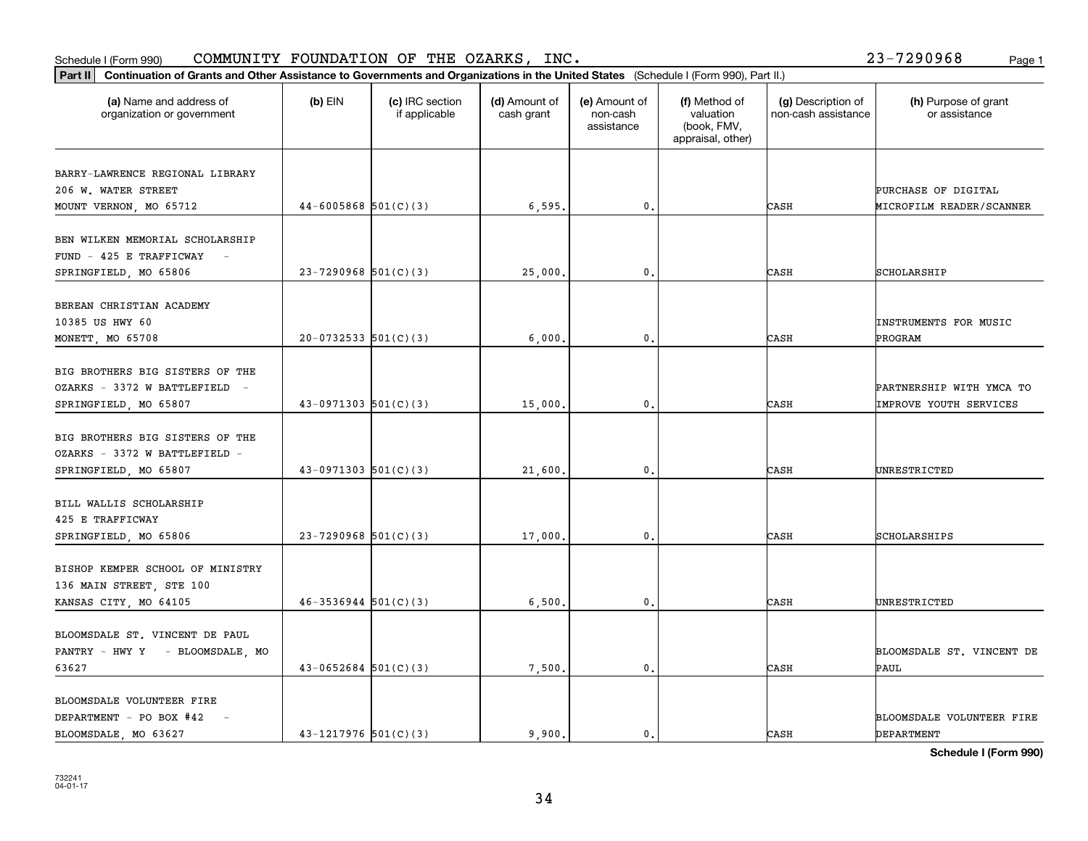#### 73224104-01-17

BIG BROTHERS BIG SISTERS OF THE OZARKS - 3372 W BATTLEFIELD -

BILL WALLIS SCHOLARSHIP

BLOOMSDALE VOLUNTEER FIRE

425 E TRAFFICWAY

| BISHOP KEMPER SCHOOL OF MINISTRY  |                            |        |  |      |                           |  |
|-----------------------------------|----------------------------|--------|--|------|---------------------------|--|
| 136 MAIN STREET, STE 100          |                            |        |  |      |                           |  |
| KANSAS CITY MO 64105              | $46 - 3536944$ $501(C)(3)$ | 6 500. |  | CASH | UNRESTRICTED              |  |
|                                   |                            |        |  |      |                           |  |
| BLOOMSDALE ST. VINCENT DE PAUL    |                            |        |  |      |                           |  |
| PANTRY - HWY Y<br>- BLOOMSDALE MO |                            |        |  |      | BLOOMSDALE ST. VINCENT DE |  |
| 63627                             | $43 - 0652684$ 501(C)(3)   | 7.500. |  | CASH | PAUL                      |  |

BLOOMSDALE, MO 63627 43-1217976 501(C)(3) 9,900. 0. CASH CASH DEPARTMENT

SPRINGFIELD, MO 65807 43-0971303 501(C)(3) 21,600. 0. CASH CASH UNRESTRICTED

SPRINGFIELD, MO 65806 23-7290968 501(C)(3) 17,000. 0. CASH SCHOLARSHIPS

| organization or government                          |                          | if applicable | cash grant | non-cash<br>assistance | valuation<br>(book, FMV,<br>appraisal, other) | non-cash assistance | or assistance                |
|-----------------------------------------------------|--------------------------|---------------|------------|------------------------|-----------------------------------------------|---------------------|------------------------------|
|                                                     |                          |               |            |                        |                                               |                     |                              |
| BARRY-LAWRENCE REGIONAL LIBRARY                     |                          |               |            |                        |                                               |                     |                              |
| 206 W. WATER STREET                                 |                          |               |            |                        |                                               |                     | PURCHASE OF DIGITAL          |
| MOUNT VERNON, MO 65712                              | $44-6005868$ $501(C)(3)$ |               | 6,595.     | 0.                     |                                               | CASH                | MICROFILM READER/SCANNER     |
|                                                     |                          |               |            |                        |                                               |                     |                              |
| BEN WILKEN MEMORIAL SCHOLARSHIP                     |                          |               |            |                        |                                               |                     |                              |
| FUND - 425 E TRAFFICWAY<br>$\overline{\phantom{m}}$ |                          |               |            |                        |                                               |                     |                              |
| SPRINGFIELD, MO 65806                               | $23 - 7290968$ 501(C)(3) |               | 25,000.    | $^{\circ}$ .           |                                               | CASH                | <b>SCHOLARSHIP</b>           |
| BEREAN CHRISTIAN ACADEMY                            |                          |               |            |                        |                                               |                     |                              |
| 10385 US HWY 60                                     |                          |               |            |                        |                                               |                     | <b>INSTRUMENTS FOR MUSIC</b> |
| MONETT, MO 65708                                    | $20-0732533$ $501(C)(3)$ |               | 6,000.     | $\mathfrak{o}$ .       |                                               | CASH                | PROGRAM                      |
|                                                     |                          |               |            |                        |                                               |                     |                              |
| BIG BROTHERS BIG SISTERS OF THE                     |                          |               |            |                        |                                               |                     |                              |
| OZARKS - 3372 W BATTLEFIELD -                       |                          |               |            |                        |                                               |                     | PARTNERSHIP WITH YMCA TO     |

SPRINGFIELD, MO 65807 43-0971303 501(C)(3) 15,000. 0. CASH IMPROVE YOUTH SERVICES

**(a) (b) (c) (d) (e) (f) (g) (h)** Name and address of

(d) Amount of

(e) Amount of

(f) Method of

(g) Description of

### Schedule I (Form 990)  ${\tt COMMUNITY}$  <code>FOUNDATION OF THE OZARKS, INC</code> .  $23-7290968$  Page 1

**Part II Continuation of Grants and Other Assistance to Governments and Organizations in the United States**  (Schedule I (Form 990), Part II.)

 $(b)$  EIN  $(c)$  IRC section

(h) Purpose of grant

**Schedule I (Form 990)**

DEPARTMENT - PO BOX #42 - BLOOMSDALE VOLUNTEER FIRE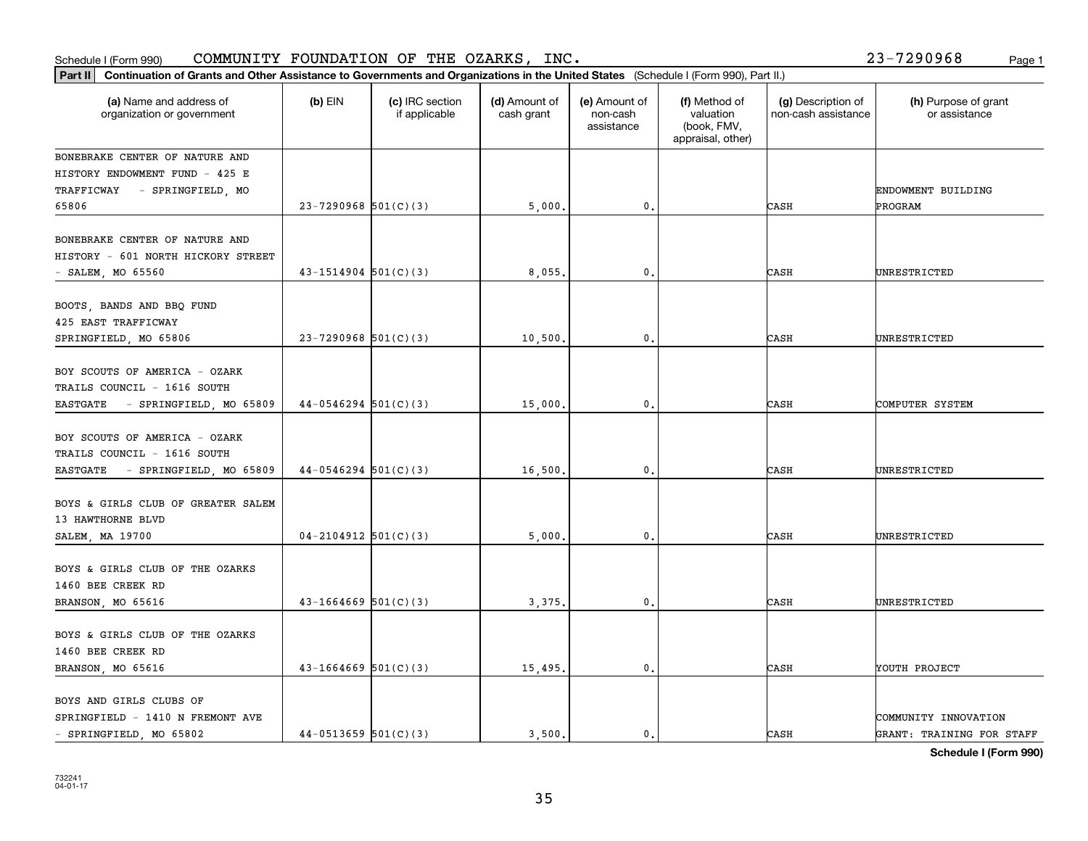|         | Schedule I (Form 990) | COMMUNITY | FOUNDATION OF THE OZARKS |  | INC. |                                                                                                                                                  | 7290968 | Page 1 |
|---------|-----------------------|-----------|--------------------------|--|------|--------------------------------------------------------------------------------------------------------------------------------------------------|---------|--------|
| Part II |                       |           |                          |  |      | <sup>q</sup> Continuation of Grants and Other Assistance to Governments and Organizations in the United States (Schedule I (Form 990), Part II.) |         |        |

23-7290968

| Part II   Continuation of Grants and Other Assistance to Governments and Organizations in the United States (Schedule I (Form 990), Part II.) |                          |                                  |                             |                                         |                                                                |                                           |                                       |  |  |  |
|-----------------------------------------------------------------------------------------------------------------------------------------------|--------------------------|----------------------------------|-----------------------------|-----------------------------------------|----------------------------------------------------------------|-------------------------------------------|---------------------------------------|--|--|--|
| (a) Name and address of<br>organization or government                                                                                         | $(b)$ EIN                | (c) IRC section<br>if applicable | (d) Amount of<br>cash grant | (e) Amount of<br>non-cash<br>assistance | (f) Method of<br>valuation<br>(book, FMV,<br>appraisal, other) | (g) Description of<br>non-cash assistance | (h) Purpose of grant<br>or assistance |  |  |  |
| BONEBRAKE CENTER OF NATURE AND                                                                                                                |                          |                                  |                             |                                         |                                                                |                                           |                                       |  |  |  |
| HISTORY ENDOWMENT FUND - 425 E                                                                                                                |                          |                                  |                             |                                         |                                                                |                                           |                                       |  |  |  |
| TRAFFICWAY<br>- SPRINGFIELD, MO                                                                                                               |                          |                                  |                             |                                         |                                                                |                                           | ENDOWMENT BUILDING                    |  |  |  |
| 65806                                                                                                                                         | $23 - 7290968$ 501(C)(3) |                                  | 5,000                       | 0.                                      |                                                                | CASH                                      | PROGRAM                               |  |  |  |
| BONEBRAKE CENTER OF NATURE AND<br>HISTORY - 601 NORTH HICKORY STREET                                                                          |                          |                                  |                             |                                         |                                                                |                                           |                                       |  |  |  |
| - SALEM, MO 65560                                                                                                                             | $43 - 1514904$ 501(C)(3) |                                  | 8,055                       | 0.                                      |                                                                | CASH                                      | UNRESTRICTED                          |  |  |  |
| BOOTS, BANDS AND BBQ FUND<br>425 EAST TRAFFICWAY<br>SPRINGFIELD, MO 65806                                                                     | $23 - 7290968$ 501(C)(3) |                                  | 10,500                      | 0.                                      |                                                                | CASH                                      | UNRESTRICTED                          |  |  |  |
|                                                                                                                                               |                          |                                  |                             |                                         |                                                                |                                           |                                       |  |  |  |
| BOY SCOUTS OF AMERICA - OZARK<br>TRAILS COUNCIL - 1616 SOUTH                                                                                  |                          |                                  |                             |                                         |                                                                |                                           |                                       |  |  |  |
| - SPRINGFIELD, MO 65809<br>EASTGATE                                                                                                           | $44-0546294$ 501(C)(3)   |                                  | 15,000                      | $\mathbf{0}$ .                          |                                                                | CASH                                      | COMPUTER SYSTEM                       |  |  |  |
| BOY SCOUTS OF AMERICA - OZARK<br>TRAILS COUNCIL - 1616 SOUTH<br><b>EASTGATE</b><br>- SPRINGFIELD, MO 65809                                    | $44-0546294$ 501(C)(3)   |                                  | 16,500                      | 0.                                      |                                                                | CASH                                      | UNRESTRICTED                          |  |  |  |
| BOYS & GIRLS CLUB OF GREATER SALEM<br>13 HAWTHORNE BLVD<br>SALEM, MA 19700                                                                    | $04 - 2104912$ 501(C)(3) |                                  | 5,000                       | 0.                                      |                                                                | CASH                                      | UNRESTRICTED                          |  |  |  |
|                                                                                                                                               |                          |                                  |                             |                                         |                                                                |                                           |                                       |  |  |  |
| BOYS & GIRLS CLUB OF THE OZARKS<br>1460 BEE CREEK RD                                                                                          |                          |                                  |                             |                                         |                                                                |                                           |                                       |  |  |  |
| BRANSON, MO 65616                                                                                                                             | $43 - 1664669$ 501(C)(3) |                                  | 3,375.                      | 0.                                      |                                                                | CASH                                      | UNRESTRICTED                          |  |  |  |
| BOYS & GIRLS CLUB OF THE OZARKS<br>1460 BEE CREEK RD                                                                                          |                          |                                  |                             |                                         |                                                                |                                           |                                       |  |  |  |
| BRANSON, MO 65616                                                                                                                             | $43 - 1664669$ 501(C)(3) |                                  | 15,495.                     | $\mathbf{0}$ .                          |                                                                | CASH                                      | YOUTH PROJECT                         |  |  |  |
| BOYS AND GIRLS CLUBS OF<br>SPRINGFIELD - 1410 N FREMONT AVE                                                                                   |                          |                                  |                             |                                         |                                                                |                                           | COMMUNITY INNOVATION                  |  |  |  |
| - SPRINGFIELD, MO 65802                                                                                                                       | $44-0513659$ 501(C)(3)   |                                  | 3,500.                      | $\mathbf{0}$ .                          |                                                                | CASH                                      | GRANT: TRAINING FOR STAFF             |  |  |  |

**Schedule I (Form 990)**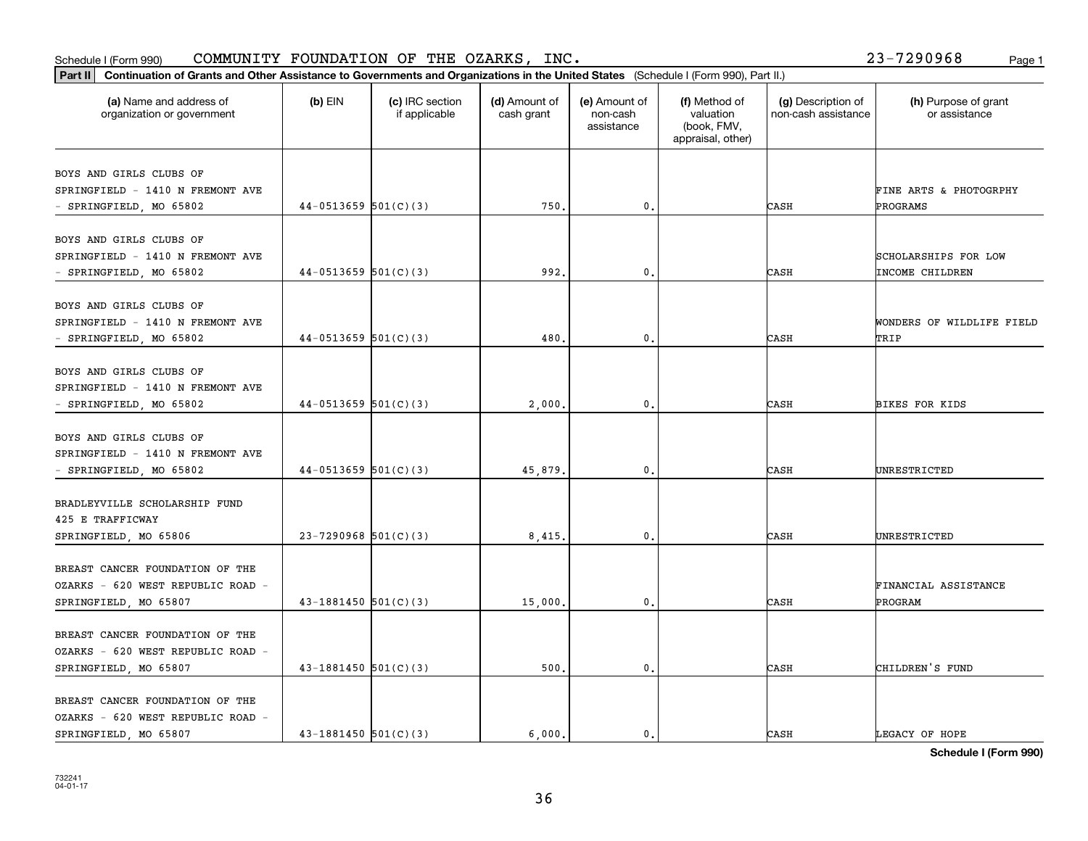### **Part III Continuation of Grants and Other Assistance to Governments and Organization of Grants and Organization of Grants and Organizations of Organizations and Organization of Grants and Organizations of Departments an** Schedule I (Form 990)  ${\tt COMMUNITY}$  <code>FOUNDATION OF THE OZARKS, INC</code> .  $23-7290968$  Page 1

| Continuation of Grants and Other Assistance to Governments and Organizations in the United States (Schedule I (Form 990), Part II.)<br>Part II |                            |                                  |                             |                                         |                                                                |                                           |                                         |
|------------------------------------------------------------------------------------------------------------------------------------------------|----------------------------|----------------------------------|-----------------------------|-----------------------------------------|----------------------------------------------------------------|-------------------------------------------|-----------------------------------------|
| (a) Name and address of<br>organization or government                                                                                          | $(b)$ EIN                  | (c) IRC section<br>if applicable | (d) Amount of<br>cash grant | (e) Amount of<br>non-cash<br>assistance | (f) Method of<br>valuation<br>(book, FMV,<br>appraisal, other) | (g) Description of<br>non-cash assistance | (h) Purpose of grant<br>or assistance   |
| BOYS AND GIRLS CLUBS OF<br>SPRINGFIELD - 1410 N FREMONT AVE<br>- SPRINGFIELD, MO 65802                                                         | $44-0513659$ $501(C)(3)$   |                                  | 750                         | $\mathbf{0}$ .                          |                                                                | CASH                                      | FINE ARTS & PHOTOGRPHY<br>PROGRAMS      |
| BOYS AND GIRLS CLUBS OF<br>SPRINGFIELD - 1410 N FREMONT AVE<br>- SPRINGFIELD, MO 65802                                                         | $44-0513659$ 501(C)(3)     |                                  | 992.                        | $\mathfrak{o}$ .                        |                                                                | CASH                                      | SCHOLARSHIPS FOR LOW<br>INCOME CHILDREN |
| BOYS AND GIRLS CLUBS OF<br>SPRINGFIELD - 1410 N FREMONT AVE<br>- SPRINGFIELD, MO 65802                                                         | $44-0513659$ $501(C)(3)$   |                                  | 480                         | 0.                                      |                                                                | CASH                                      | WONDERS OF WILDLIFE FIELD<br>TRIP       |
| BOYS AND GIRLS CLUBS OF<br>SPRINGFIELD - 1410 N FREMONT AVE<br>- SPRINGFIELD, MO 65802                                                         | $44-0513659$ $501(C)(3)$   |                                  | 2,000                       | $^{\circ}$ .                            |                                                                | CASH                                      | BIKES FOR KIDS                          |
| BOYS AND GIRLS CLUBS OF<br>SPRINGFIELD - 1410 N FREMONT AVE<br>- SPRINGFIELD, MO 65802                                                         | $44-0513659$ 501(C)(3)     |                                  | 45,879                      | $\mathfrak o$ .                         |                                                                | CASH                                      | UNRESTRICTED                            |
| BRADLEYVILLE SCHOLARSHIP FUND<br>425 E TRAFFICWAY<br>SPRINGFIELD, MO 65806                                                                     | $23-7290968$ $501(C)(3)$   |                                  | 8,415.                      | $\mathfrak{o}$ .                        |                                                                | CASH                                      | UNRESTRICTED                            |
| BREAST CANCER FOUNDATION OF THE<br>OZARKS - 620 WEST REPUBLIC ROAD -<br>SPRINGFIELD, MO 65807                                                  | $43 - 1881450$ $501(C)(3)$ |                                  | 15,000                      | $\mathbf{0}$ .                          |                                                                | CASH                                      | FINANCIAL ASSISTANCE<br>PROGRAM         |
| BREAST CANCER FOUNDATION OF THE<br>OZARKS - 620 WEST REPUBLIC ROAD -<br>SPRINGFIELD, MO 65807                                                  | $43 - 1881450$ 501(C)(3)   |                                  | 500                         | $\mathfrak o$ .                         |                                                                | CASH                                      | CHILDREN'S FUND                         |
| BREAST CANCER FOUNDATION OF THE<br>OZARKS - 620 WEST REPUBLIC ROAD -<br>SPRINGFIELD, MO 65807                                                  | $43 - 1881450$ $501(C)(3)$ |                                  | 6.000.                      | $\mathbf{0}$ .                          |                                                                | CASH                                      | LEGACY OF HOPE                          |

**Schedule I (Form 990)**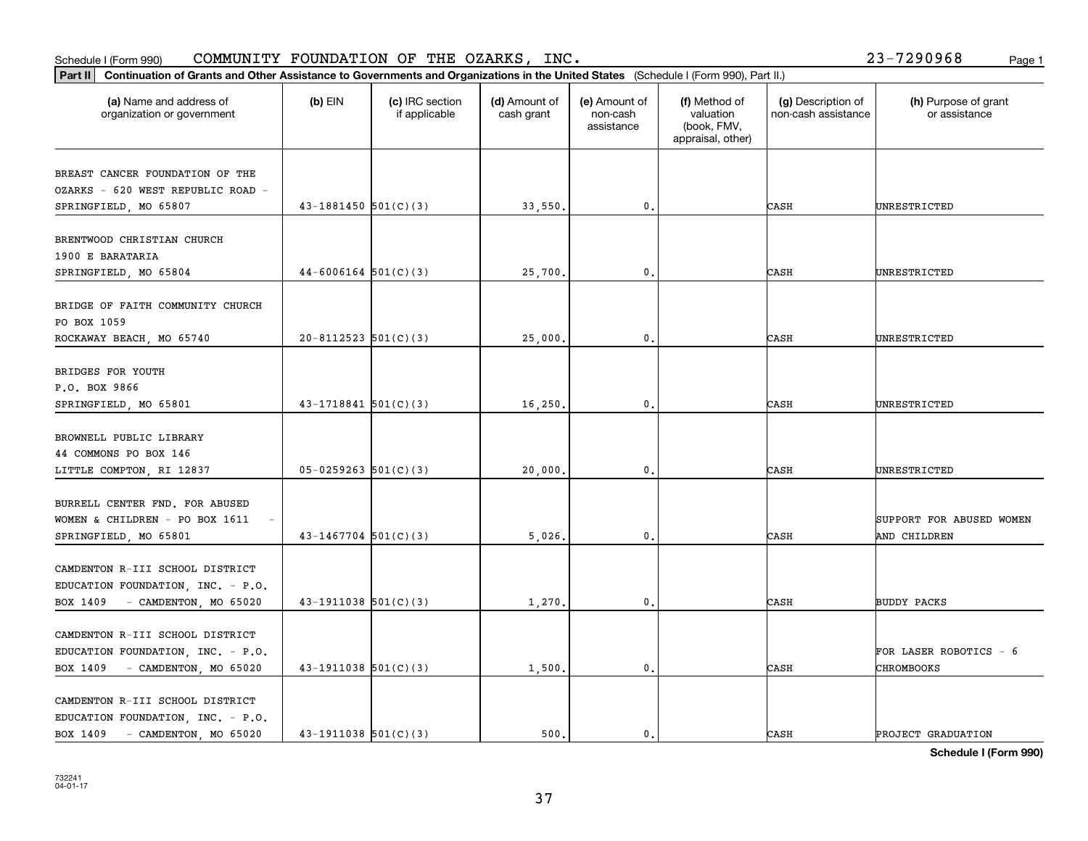#### Schedule I (Form 990) COMMUNITY FOUNDATION OF THE OZARKS, INC。 Page 1 COMMUNITY FOUNDATION OF THE OZARKS, INC. 23-7290968

| Part II   Continuation of Grants and Other Assistance to Governments and Organizations in the United States (Schedule I (Form 990), Part II.) |                            |                                  |                             |                                         |                                                                |                                           |                                          |
|-----------------------------------------------------------------------------------------------------------------------------------------------|----------------------------|----------------------------------|-----------------------------|-----------------------------------------|----------------------------------------------------------------|-------------------------------------------|------------------------------------------|
| (a) Name and address of<br>organization or government                                                                                         | $(b)$ EIN                  | (c) IRC section<br>if applicable | (d) Amount of<br>cash grant | (e) Amount of<br>non-cash<br>assistance | (f) Method of<br>valuation<br>(book, FMV,<br>appraisal, other) | (g) Description of<br>non-cash assistance | (h) Purpose of grant<br>or assistance    |
| BREAST CANCER FOUNDATION OF THE<br>OZARKS - 620 WEST REPUBLIC ROAD -                                                                          |                            |                                  |                             |                                         |                                                                |                                           |                                          |
| SPRINGFIELD, MO 65807                                                                                                                         | $43 - 1881450$ 501(C)(3)   |                                  | 33,550.                     | $\mathfrak{o}$ .                        |                                                                | CASH                                      | UNRESTRICTED                             |
| BRENTWOOD CHRISTIAN CHURCH<br>1900 E BARATARIA                                                                                                |                            |                                  |                             |                                         |                                                                |                                           |                                          |
| SPRINGFIELD, MO 65804                                                                                                                         | $44-6006164$ $501(C)(3)$   |                                  | 25,700                      | 0.                                      |                                                                | CASH                                      | UNRESTRICTED                             |
| BRIDGE OF FAITH COMMUNITY CHURCH<br>PO BOX 1059                                                                                               |                            |                                  |                             |                                         |                                                                |                                           |                                          |
| ROCKAWAY BEACH, MO 65740                                                                                                                      | $20 - 8112523$ 501(C)(3)   |                                  | 25,000                      | $\mathbf{0}$ .                          |                                                                | CASH                                      | UNRESTRICTED                             |
| BRIDGES FOR YOUTH<br>P.O. BOX 9866<br>SPRINGFIELD, MO 65801                                                                                   | $43 - 1718841$ $501(C)(3)$ |                                  | 16,250                      | 0.                                      |                                                                | CASH                                      | UNRESTRICTED                             |
| BROWNELL PUBLIC LIBRARY<br>44 COMMONS PO BOX 146                                                                                              |                            |                                  |                             |                                         |                                                                |                                           |                                          |
| LITTLE COMPTON, RI 12837                                                                                                                      | $05 - 0259263$ $501(C)(3)$ |                                  | 20,000                      | 0.                                      |                                                                | CASH                                      | UNRESTRICTED                             |
| BURRELL CENTER FND. FOR ABUSED<br>WOMEN & CHILDREN - PO BOX 1611<br>$\hspace{0.1mm}-\hspace{0.1mm}$<br>SPRINGFIELD, MO 65801                  | $43 - 1467704$ 501(C)(3)   |                                  | 5,026                       | 0.                                      |                                                                | CASH                                      | SUPPORT FOR ABUSED WOMEN<br>AND CHILDREN |
| CAMDENTON R-III SCHOOL DISTRICT<br>EDUCATION FOUNDATION, INC. - P.O.                                                                          |                            |                                  |                             |                                         |                                                                |                                           |                                          |
| BOX 1409<br>- CAMDENTON, MO 65020                                                                                                             | $43-1911038$ 501(C)(3)     |                                  | 1,270                       | $\mathbf{0}$ .                          |                                                                | CASH                                      | BUDDY PACKS                              |
| CAMDENTON R-III SCHOOL DISTRICT<br>EDUCATION FOUNDATION, INC. - P.O.<br>BOX 1409<br>- CAMDENTON, MO 65020                                     | $43-1911038$ 501(C)(3)     |                                  | 1,500.                      | $\mathfrak o$ .                         |                                                                | CASH                                      | FOR LASER ROBOTICS - 6<br>CHROMBOOKS     |
| CAMDENTON R-III SCHOOL DISTRICT<br>EDUCATION FOUNDATION, INC. - P.O.<br>- CAMDENTON, MO 65020<br>BOX 1409                                     | $43-1911038$ $501(C)(3)$   |                                  | 500                         | 0.                                      |                                                                | CASH                                      | PROJECT GRADUATION                       |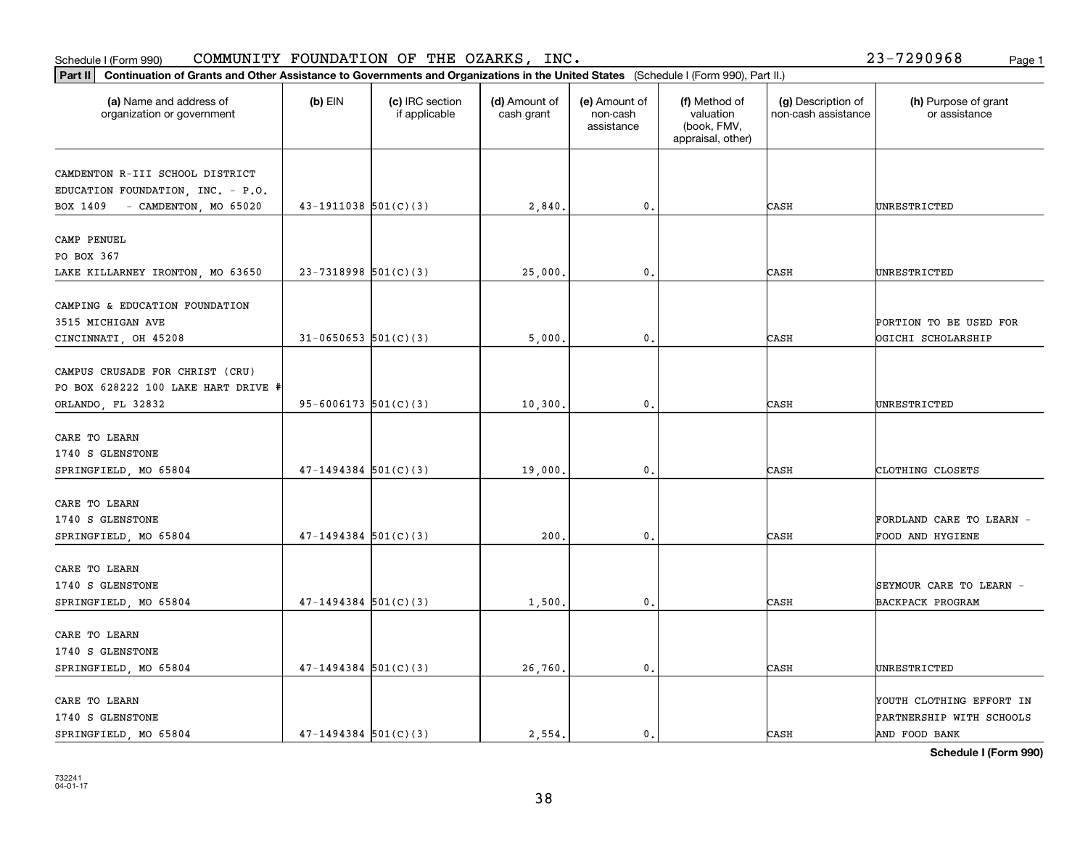Schedule I (Form 990) COMMUNITY FOUNDATION OF THE OZARKS, INC。 Page 1 COMMUNITY FOUNDATION OF THE OZARKS, INC. 23-7290968

| Part II   Continuation of Grants and Other Assistance to Governments and Organizations in the United States (Schedule I (Form 990), Part II.) |                            |                                  |                             |                                         |                                                                |                                           |                                       |
|-----------------------------------------------------------------------------------------------------------------------------------------------|----------------------------|----------------------------------|-----------------------------|-----------------------------------------|----------------------------------------------------------------|-------------------------------------------|---------------------------------------|
| (a) Name and address of<br>organization or government                                                                                         | $(b)$ EIN                  | (c) IRC section<br>if applicable | (d) Amount of<br>cash grant | (e) Amount of<br>non-cash<br>assistance | (f) Method of<br>valuation<br>(book, FMV,<br>appraisal, other) | (g) Description of<br>non-cash assistance | (h) Purpose of grant<br>or assistance |
|                                                                                                                                               |                            |                                  |                             |                                         |                                                                |                                           |                                       |
| CAMDENTON R-III SCHOOL DISTRICT<br>EDUCATION FOUNDATION, INC. - P.O.                                                                          |                            |                                  |                             |                                         |                                                                |                                           |                                       |
| BOX 1409<br>- CAMDENTON, MO 65020                                                                                                             | $43 - 1911038$ 501(C)(3)   |                                  | 2,840.                      | 0.                                      |                                                                | CASH                                      | UNRESTRICTED                          |
|                                                                                                                                               |                            |                                  |                             |                                         |                                                                |                                           |                                       |
| CAMP PENUEL                                                                                                                                   |                            |                                  |                             |                                         |                                                                |                                           |                                       |
| PO BOX 367                                                                                                                                    |                            |                                  |                             |                                         |                                                                |                                           |                                       |
| LAKE KILLARNEY IRONTON, MO 63650                                                                                                              | $23 - 7318998$ 501(C)(3)   |                                  | 25,000                      | 0.                                      |                                                                | CASH                                      | UNRESTRICTED                          |
|                                                                                                                                               |                            |                                  |                             |                                         |                                                                |                                           |                                       |
| CAMPING & EDUCATION FOUNDATION                                                                                                                |                            |                                  |                             |                                         |                                                                |                                           |                                       |
| 3515 MICHIGAN AVE                                                                                                                             |                            |                                  |                             |                                         |                                                                |                                           | PORTION TO BE USED FOR                |
| CINCINNATI, OH 45208                                                                                                                          | $31 - 0650653$ 501(C)(3)   |                                  | 5,000                       | $\mathbf{0}$ .                          |                                                                | CASH                                      | OGICHI SCHOLARSHIP                    |
| CAMPUS CRUSADE FOR CHRIST (CRU)                                                                                                               |                            |                                  |                             |                                         |                                                                |                                           |                                       |
|                                                                                                                                               |                            |                                  |                             |                                         |                                                                |                                           |                                       |
| PO BOX 628222 100 LAKE HART DRIVE #                                                                                                           | $95 - 6006173$ $501(C)(3)$ |                                  |                             | 0.                                      |                                                                | CASH                                      | UNRESTRICTED                          |
| ORLANDO, FL 32832                                                                                                                             |                            |                                  | 10,300                      |                                         |                                                                |                                           |                                       |
| CARE TO LEARN                                                                                                                                 |                            |                                  |                             |                                         |                                                                |                                           |                                       |
| 1740 S GLENSTONE                                                                                                                              |                            |                                  |                             |                                         |                                                                |                                           |                                       |
| SPRINGFIELD, MO 65804                                                                                                                         | $47 - 1494384$ 501(C)(3)   |                                  | 19,000                      | 0.                                      |                                                                | CASH                                      | CLOTHING CLOSETS                      |
|                                                                                                                                               |                            |                                  |                             |                                         |                                                                |                                           |                                       |
| CARE TO LEARN                                                                                                                                 |                            |                                  |                             |                                         |                                                                |                                           |                                       |
| 1740 S GLENSTONE                                                                                                                              |                            |                                  |                             |                                         |                                                                |                                           | FORDLAND CARE TO LEARN -              |
| SPRINGFIELD, MO 65804                                                                                                                         | $47 - 1494384$ 501(C)(3)   |                                  | 200                         | 0.                                      |                                                                | CASH                                      | FOOD AND HYGIENE                      |
|                                                                                                                                               |                            |                                  |                             |                                         |                                                                |                                           |                                       |
| CARE TO LEARN                                                                                                                                 |                            |                                  |                             |                                         |                                                                |                                           |                                       |
| 1740 S GLENSTONE                                                                                                                              |                            |                                  |                             |                                         |                                                                |                                           | SEYMOUR CARE TO LEARN -               |
| SPRINGFIELD, MO 65804                                                                                                                         | $47 - 1494384$ 501(C)(3)   |                                  | 1,500                       | $\mathfrak{o}$ .                        |                                                                | CASH                                      | BACKPACK PROGRAM                      |
| CARE TO LEARN                                                                                                                                 |                            |                                  |                             |                                         |                                                                |                                           |                                       |
| 1740 S GLENSTONE                                                                                                                              |                            |                                  |                             |                                         |                                                                |                                           |                                       |
|                                                                                                                                               | $47 - 1494384$ 501(C)(3)   |                                  | 26,760.                     | $\mathfrak o$ .                         |                                                                | CASH                                      | UNRESTRICTED                          |
| SPRINGFIELD, MO 65804                                                                                                                         |                            |                                  |                             |                                         |                                                                |                                           |                                       |
| CARE TO LEARN                                                                                                                                 |                            |                                  |                             |                                         |                                                                |                                           | YOUTH CLOTHING EFFORT IN              |
| 1740 S GLENSTONE                                                                                                                              |                            |                                  |                             |                                         |                                                                |                                           | PARTNERSHIP WITH SCHOOLS              |
| SPRINGFIELD, MO 65804                                                                                                                         | $47-1494384$ 501(C)(3)     |                                  | 2.554.                      | 0.                                      |                                                                | CASH                                      | AND FOOD BANK                         |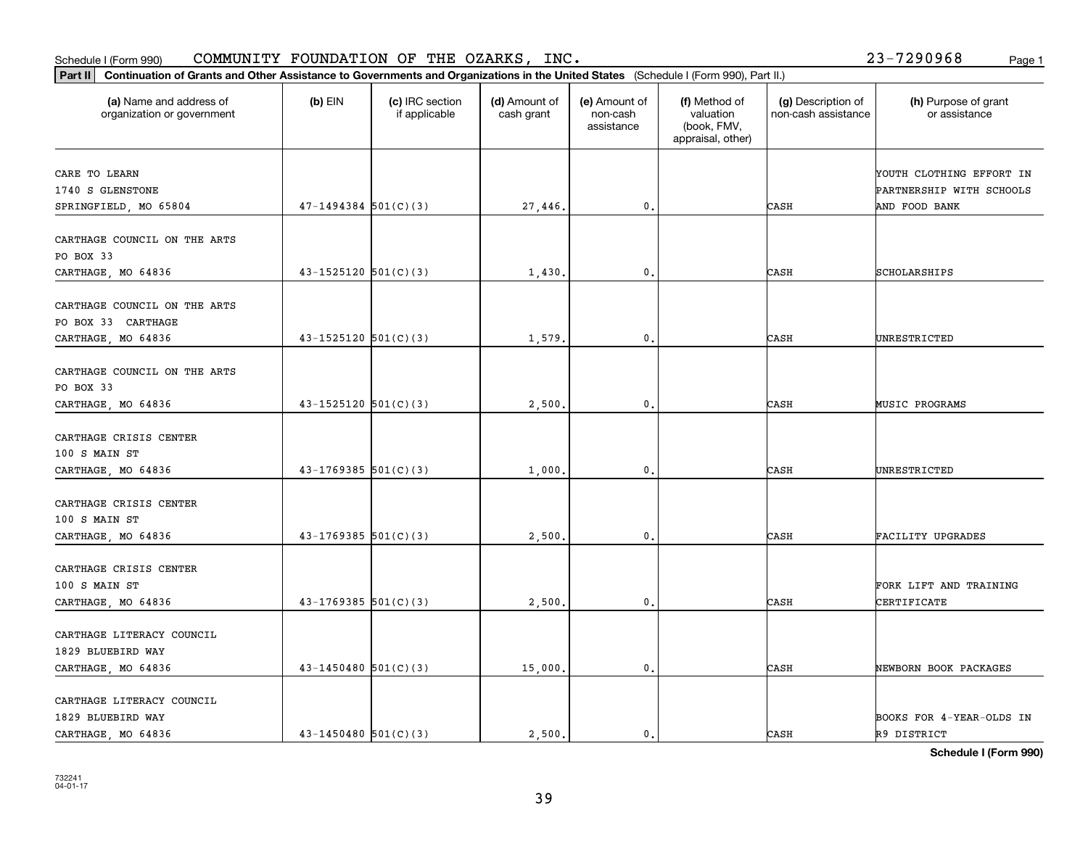| Schedule I (Form 990) | INC<br>COMMUNITY FOUNDATION OF THE OZARKS, | 7290968<br>$23 -$<br>Page 1 |
|-----------------------|--------------------------------------------|-----------------------------|
|                       |                                            |                             |

| Part II   Continuation of Grants and Other Assistance to Governments and Organizations in the United States (Schedule I (Form 990), Part II.)<br>(a) Name and address of | $(b)$ EIN                  | (c) IRC section | (d) Amount of | (e) Amount of          | (f) Method of                                 | (g) Description of  | (h) Purpose of grant     |
|--------------------------------------------------------------------------------------------------------------------------------------------------------------------------|----------------------------|-----------------|---------------|------------------------|-----------------------------------------------|---------------------|--------------------------|
| organization or government                                                                                                                                               |                            | if applicable   | cash grant    | non-cash<br>assistance | valuation<br>(book, FMV,<br>appraisal, other) | non-cash assistance | or assistance            |
| CARE TO LEARN                                                                                                                                                            |                            |                 |               |                        |                                               |                     | YOUTH CLOTHING EFFORT IN |
| 1740 S GLENSTONE                                                                                                                                                         |                            |                 |               |                        |                                               |                     | PARTNERSHIP WITH SCHOOLS |
| SPRINGFIELD, MO 65804                                                                                                                                                    | $47 - 1494384$ 501(C)(3)   |                 | 27,446.       | 0.                     |                                               | CASH                | AND FOOD BANK            |
| CARTHAGE COUNCIL ON THE ARTS<br>PO BOX 33                                                                                                                                |                            |                 |               |                        |                                               |                     |                          |
| CARTHAGE, MO 64836                                                                                                                                                       | $43 - 1525120$ $501(C)(3)$ |                 | 1,430         | $\mathbf{0}$ .         |                                               | CASH                | SCHOLARSHIPS             |
| CARTHAGE COUNCIL ON THE ARTS<br>PO BOX 33 CARTHAGE                                                                                                                       |                            |                 |               |                        |                                               |                     |                          |
| CARTHAGE, MO 64836                                                                                                                                                       | $43 - 1525120$ $501(C)(3)$ |                 | 1,579.        | $\mathbf{0}$ .         |                                               | CASH                | UNRESTRICTED             |
| CARTHAGE COUNCIL ON THE ARTS<br>PO BOX 33                                                                                                                                |                            |                 |               |                        |                                               |                     |                          |
| CARTHAGE, MO 64836                                                                                                                                                       | $43 - 1525120$ $501(C)(3)$ |                 | 2,500         | 0.                     |                                               | CASH                | <b>MUSIC PROGRAMS</b>    |
| CARTHAGE CRISIS CENTER<br>100 S MAIN ST                                                                                                                                  |                            |                 |               |                        |                                               |                     |                          |
| CARTHAGE, MO 64836                                                                                                                                                       | $43-1769385$ 501(C)(3)     |                 | 1,000,        | $\mathbf{0}$           |                                               | CASH                | UNRESTRICTED             |
| CARTHAGE CRISIS CENTER<br>100 S MAIN ST                                                                                                                                  |                            |                 |               |                        |                                               |                     |                          |
| CARTHAGE, MO 64836                                                                                                                                                       | $43 - 1769385$ 501(C)(3)   |                 | 2,500         | 0.                     |                                               | CASH                | FACILITY UPGRADES        |
| CARTHAGE CRISIS CENTER<br>100 S MAIN ST                                                                                                                                  |                            |                 |               |                        |                                               |                     | FORK LIFT AND TRAINING   |
| CARTHAGE, MO 64836                                                                                                                                                       | $43-1769385$ 501(C)(3)     |                 | 2,500         | $\mathbf{0}$ .         |                                               | CASH                | CERTIFICATE              |
| CARTHAGE LITERACY COUNCIL                                                                                                                                                |                            |                 |               |                        |                                               |                     |                          |
| 1829 BLUEBIRD WAY<br>CARTHAGE, MO 64836                                                                                                                                  | $43 - 1450480$ 501(C)(3)   |                 | 15,000.       | $\mathbf{0}$ .         |                                               | CASH                | NEWBORN BOOK PACKAGES    |
|                                                                                                                                                                          |                            |                 |               |                        |                                               |                     |                          |
| CARTHAGE LITERACY COUNCIL<br>1829 BLUEBIRD WAY                                                                                                                           |                            |                 |               |                        |                                               |                     | BOOKS FOR 4-YEAR-OLDS IN |
| CARTHAGE, MO 64836                                                                                                                                                       | $43 - 1450480$ 501(C)(3)   |                 | 2,500.        | 0.                     |                                               | CASH                | R9 DISTRICT              |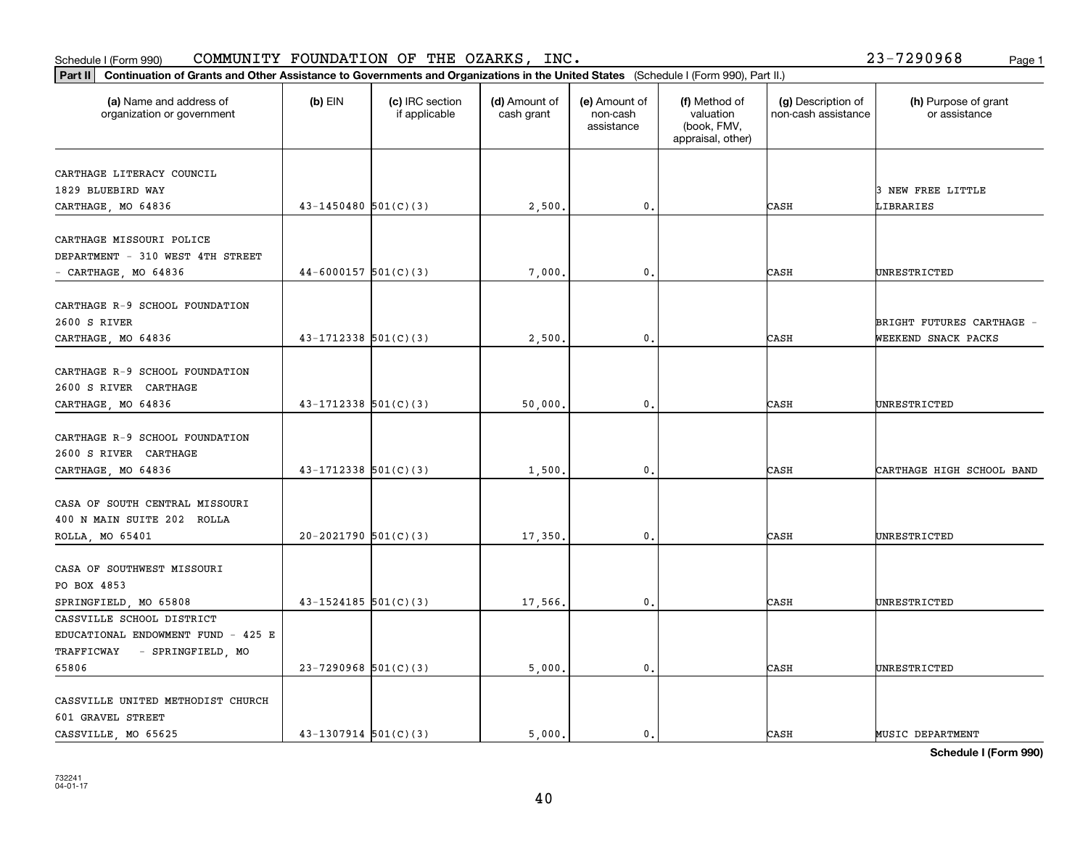| Part II   Continuation of Grants and Other Assistance to Governments and Organizations in the United States (Schedule I (Form 990), Part II.) |                          |                                  |                             |                                         |                                                                |                                           |                                                  |
|-----------------------------------------------------------------------------------------------------------------------------------------------|--------------------------|----------------------------------|-----------------------------|-----------------------------------------|----------------------------------------------------------------|-------------------------------------------|--------------------------------------------------|
| (a) Name and address of<br>organization or government                                                                                         | $(b)$ EIN                | (c) IRC section<br>if applicable | (d) Amount of<br>cash grant | (e) Amount of<br>non-cash<br>assistance | (f) Method of<br>valuation<br>(book, FMV,<br>appraisal, other) | (g) Description of<br>non-cash assistance | (h) Purpose of grant<br>or assistance            |
|                                                                                                                                               |                          |                                  |                             |                                         |                                                                |                                           |                                                  |
| CARTHAGE LITERACY COUNCIL<br>1829 BLUEBIRD WAY                                                                                                |                          |                                  |                             |                                         |                                                                |                                           | 3 NEW FREE LITTLE                                |
| CARTHAGE, MO 64836                                                                                                                            | $43 - 1450480$ 501(C)(3) |                                  | 2,500.                      | 0.                                      |                                                                | CASH                                      | LIBRARIES                                        |
|                                                                                                                                               |                          |                                  |                             |                                         |                                                                |                                           |                                                  |
| CARTHAGE MISSOURI POLICE<br>DEPARTMENT - 310 WEST 4TH STREET                                                                                  |                          |                                  |                             |                                         |                                                                |                                           |                                                  |
| $-$ CARTHAGE, MO 64836                                                                                                                        | $44-6000157$ 501(C)(3)   |                                  | 7,000                       | 0.                                      |                                                                | CASH                                      | UNRESTRICTED                                     |
| CARTHAGE R-9 SCHOOL FOUNDATION<br>2600 S RIVER<br>CARTHAGE, MO 64836                                                                          | $43 - 1712338$ 501(C)(3) |                                  | 2,500                       | $\mathbf{0}$ .                          |                                                                | CASH                                      | BRIGHT FUTURES CARTHAGE -<br>WEEKEND SNACK PACKS |
| CARTHAGE R-9 SCHOOL FOUNDATION<br>2600 S RIVER CARTHAGE<br>CARTHAGE, MO 64836                                                                 | $43-1712338$ 501(C)(3)   |                                  | 50,000.                     | 0.                                      |                                                                | CASH                                      | UNRESTRICTED                                     |
| CARTHAGE R-9 SCHOOL FOUNDATION<br>2600 S RIVER CARTHAGE                                                                                       |                          |                                  |                             |                                         |                                                                |                                           |                                                  |
| CARTHAGE, MO 64836                                                                                                                            | $43-1712338$ $501(C)(3)$ |                                  | 1,500.                      | 0.                                      |                                                                | CASH                                      | CARTHAGE HIGH SCHOOL BAND                        |
| CASA OF SOUTH CENTRAL MISSOURI<br>400 N MAIN SUITE 202 ROLLA<br>ROLLA, MO 65401                                                               | $20-2021790$ 501(C)(3)   |                                  | 17,350.                     | $\mathbf{0}$ .                          |                                                                | CASH                                      | UNRESTRICTED                                     |
| CASA OF SOUTHWEST MISSOURI<br>PO BOX 4853                                                                                                     |                          |                                  |                             |                                         |                                                                |                                           |                                                  |
| SPRINGFIELD, MO 65808                                                                                                                         | $43 - 1524185$ 501(C)(3) |                                  | 17,566.                     | $\mathfrak{o}$ .                        |                                                                | CASH                                      | UNRESTRICTED                                     |
| CASSVILLE SCHOOL DISTRICT<br>EDUCATIONAL ENDOWMENT FUND - 425 E<br>- SPRINGFIELD, MO<br>TRAFFICWAY                                            |                          |                                  |                             |                                         |                                                                |                                           |                                                  |
| 65806                                                                                                                                         | $23 - 7290968$ 501(C)(3) |                                  | 5,000.                      | $\mathfrak o$ .                         |                                                                | CASH                                      | UNRESTRICTED                                     |
| CASSVILLE UNITED METHODIST CHURCH<br>601 GRAVEL STREET<br>CASSVILLE, MO 65625                                                                 | $43-1307914$ 501(C)(3)   |                                  | 5.000.                      | $\mathbf{0}$ .                          |                                                                | CASH                                      | MUSIC DEPARTMENT                                 |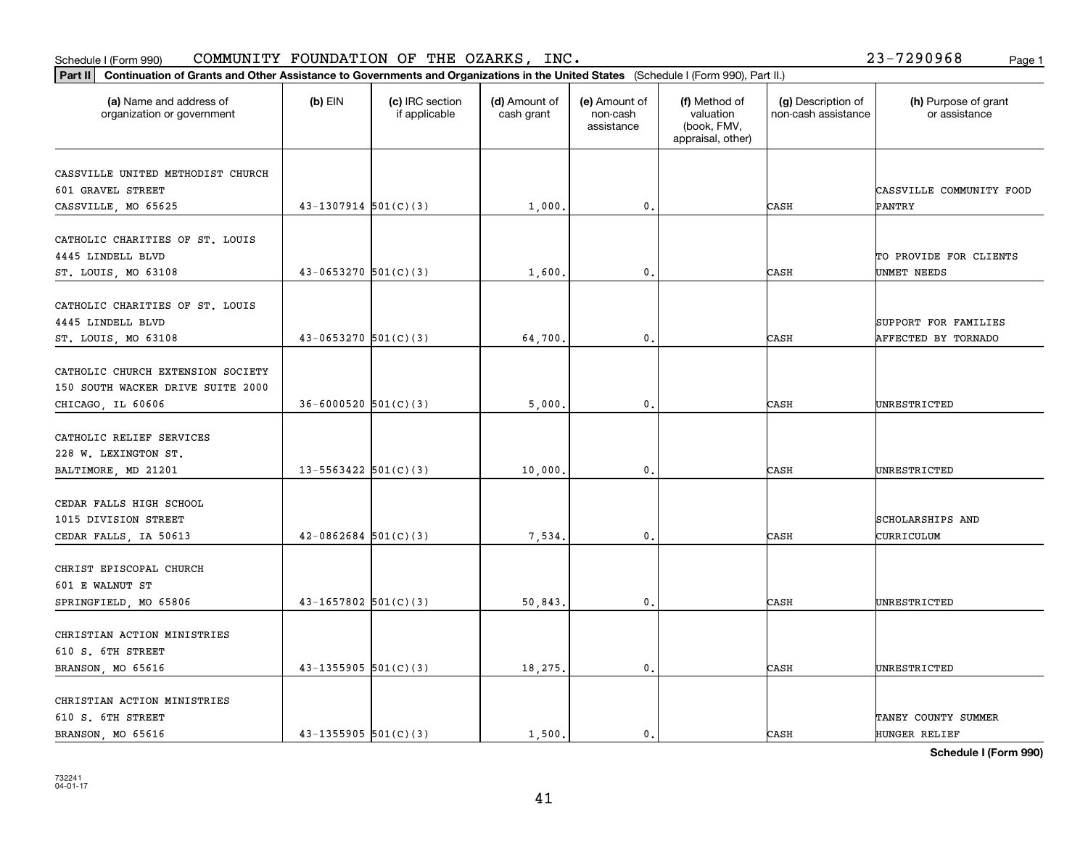#### **Part III Continuation of Grants and Other Assistance to Governments and Organization of Grants and Other Assistance to Governments and Organization of Grants and Other Assistance to Governments and Organization** Schedule I (Form 990)  ${\tt COMMUNITY}$  <code>FOUNDATION OF THE OZARKS, INC</code> .  $23-7290968$  Page 1

| Continuation of Grants and Other Assistance to Governments and Organizations in the United States (Schedule I (Form 990), Part II.)<br>Part II |                            |                                  |                             |                                         |                                                                |                                           |                                                    |
|------------------------------------------------------------------------------------------------------------------------------------------------|----------------------------|----------------------------------|-----------------------------|-----------------------------------------|----------------------------------------------------------------|-------------------------------------------|----------------------------------------------------|
| (a) Name and address of<br>organization or government                                                                                          | $(b)$ EIN                  | (c) IRC section<br>if applicable | (d) Amount of<br>cash grant | (e) Amount of<br>non-cash<br>assistance | (f) Method of<br>valuation<br>(book, FMV,<br>appraisal, other) | (g) Description of<br>non-cash assistance | (h) Purpose of grant<br>or assistance              |
| CASSVILLE UNITED METHODIST CHURCH<br>601 GRAVEL STREET<br>CASSVILLE, MO 65625                                                                  | $43-1307914$ 501(C)(3)     |                                  | 1,000                       | 0.                                      |                                                                | CASH                                      | CASSVILLE COMMUNITY FOOD<br>PANTRY                 |
| CATHOLIC CHARITIES OF ST. LOUIS<br>4445 LINDELL BLVD<br>ST. LOUIS, MO 63108                                                                    | $43 - 0653270$ 501(C)(3)   |                                  | 1,600                       | $\mathbf{0}$ .                          |                                                                | CASH                                      | TO PROVIDE FOR CLIENTS<br>UNMET NEEDS              |
| CATHOLIC CHARITIES OF ST. LOUIS<br>4445 LINDELL BLVD<br>ST. LOUIS, MO 63108                                                                    | $43-0653270$ $501(C)(3)$   |                                  | 64,700                      | $\mathbf{0}$                            |                                                                | CASH                                      | SUPPORT FOR FAMILIES<br><b>AFFECTED BY TORNADO</b> |
| CATHOLIC CHURCH EXTENSION SOCIETY<br>150 SOUTH WACKER DRIVE SUITE 2000<br>CHICAGO, IL 60606                                                    | $36 - 6000520$ 501(C)(3)   |                                  | 5,000                       | 0.                                      |                                                                | CASH                                      | UNRESTRICTED                                       |
| CATHOLIC RELIEF SERVICES<br>228 W. LEXINGTON ST.<br>BALTIMORE, MD 21201                                                                        | 13-5563422 $501(C)(3)$     |                                  | 10,000                      | $\mathbf{0}$ .                          |                                                                | CASH                                      | UNRESTRICTED                                       |
| CEDAR FALLS HIGH SCHOOL<br>1015 DIVISION STREET<br>CEDAR FALLS, IA 50613                                                                       | $42 - 0862684$ 501(C)(3)   |                                  | 7,534                       | $\mathbf{0}$                            |                                                                | CASH                                      | SCHOLARSHIPS AND<br>CURRICULUM                     |
| CHRIST EPISCOPAL CHURCH<br>601 E WALNUT ST<br>SPRINGFIELD, MO 65806                                                                            | $43 - 1657802$ 501(C)(3)   |                                  | 50,843                      | 0.                                      |                                                                | CASH                                      | UNRESTRICTED                                       |
| CHRISTIAN ACTION MINISTRIES<br>610 S. 6TH STREET<br>BRANSON, MO 65616                                                                          | $43 - 1355905$ 501(C)(3)   |                                  | 18,275.                     | $\mathsf{o}\,$ .                        |                                                                | CASH                                      | UNRESTRICTED                                       |
| CHRISTIAN ACTION MINISTRIES<br>610 S. 6TH STREET<br>BRANSON, MO 65616                                                                          | $43 - 1355905$ $501(C)(3)$ |                                  | 1,500.                      | $\mathbf{0}$ .                          |                                                                | CASH                                      | TANEY COUNTY SUMMER<br>HUNGER RELIEF               |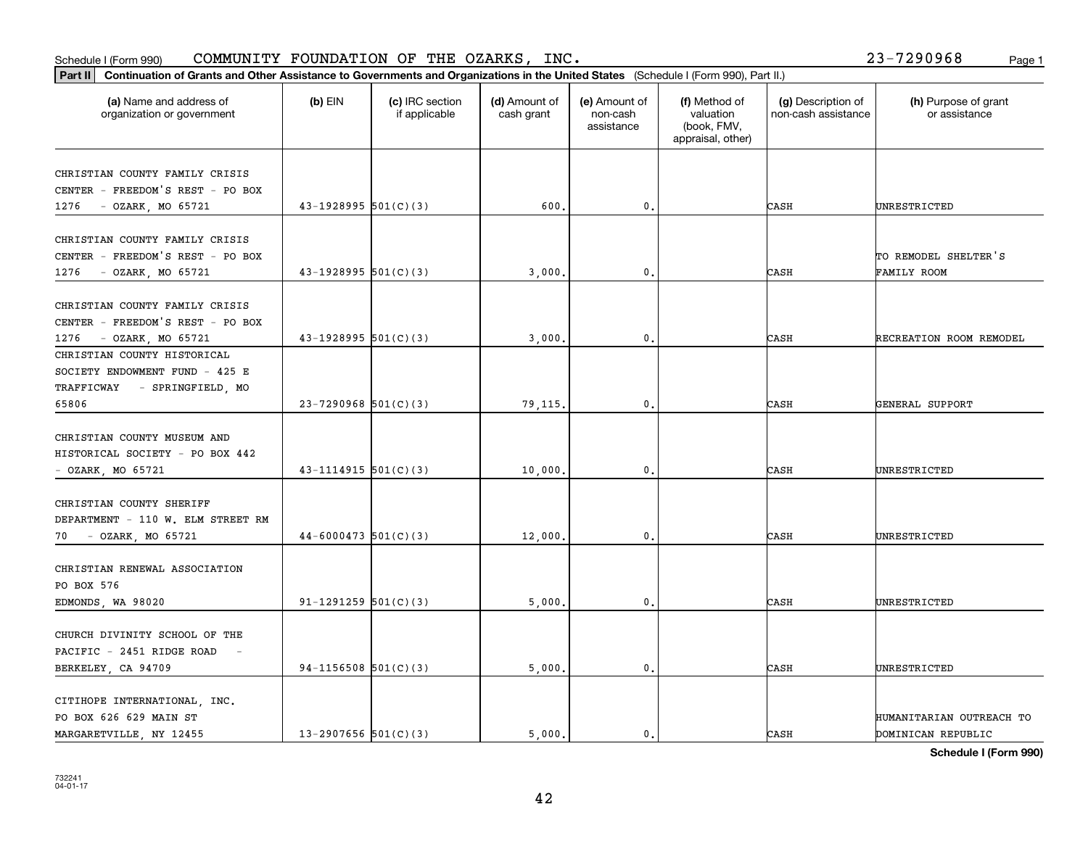# Schedule I (Form 990)  ${\tt COMMUNITY}$  <code>FOUNDATION OF THE OZARKS, INC</code> .  $23-7290968$  Page 1

**Part II Continuation of Grants and Other Assistance to Governments and Organizations in the United States**  (Schedule I (Form 990), Part II.)

| (a) Name and address of<br>organization or government                                                  | $(b)$ EIN                  | (c) IRC section<br>if applicable | (d) Amount of<br>cash grant | (e) Amount of<br>non-cash<br>assistance | (f) Method of<br>valuation<br>(book, FMV,<br>appraisal, other) | (g) Description of<br>non-cash assistance | (h) Purpose of grant<br>or assistance          |
|--------------------------------------------------------------------------------------------------------|----------------------------|----------------------------------|-----------------------------|-----------------------------------------|----------------------------------------------------------------|-------------------------------------------|------------------------------------------------|
| CHRISTIAN COUNTY FAMILY CRISIS<br>CENTER - FREEDOM'S REST - PO BOX<br>1276<br>- OZARK, MO 65721        | $43-1928995$ 501(C)(3)     |                                  | 600.                        | 0.                                      |                                                                | CASH                                      | UNRESTRICTED                                   |
| CHRISTIAN COUNTY FAMILY CRISIS<br>CENTER - FREEDOM'S REST - PO BOX<br>1276<br>- OZARK, MO 65721        | $43-1928995$ $501(C)(3)$   |                                  | 3,000.                      | 0.                                      |                                                                | CASH                                      | TO REMODEL SHELTER'S<br><b>FAMILY ROOM</b>     |
| CHRISTIAN COUNTY FAMILY CRISIS<br>CENTER - FREEDOM'S REST - PO BOX<br>1276<br>- OZARK, MO 65721        | $43-1928995$ 501(C)(3)     |                                  | 3,000.                      | 0.                                      |                                                                | CASH                                      | RECREATION ROOM REMODEL                        |
| CHRISTIAN COUNTY HISTORICAL<br>SOCIETY ENDOWMENT FUND - 425 E<br>TRAFFICWAY - SPRINGFIELD, MO<br>65806 | $23 - 7290968$ 501(C)(3)   |                                  | 79,115.                     | 0.                                      |                                                                | CASH                                      | GENERAL SUPPORT                                |
| CHRISTIAN COUNTY MUSEUM AND<br>HISTORICAL SOCIETY - PO BOX 442<br>- OZARK, MO 65721                    | $43 - 1114915$ $501(C)(3)$ |                                  | 10,000.                     | 0.                                      |                                                                | CASH                                      | UNRESTRICTED                                   |
| CHRISTIAN COUNTY SHERIFF<br>DEPARTMENT - 110 W. ELM STREET RM<br>- OZARK, MO 65721<br>70               | $44-6000473$ 501(C)(3)     |                                  | 12,000.                     | 0.                                      |                                                                | CASH                                      | UNRESTRICTED                                   |
| CHRISTIAN RENEWAL ASSOCIATION<br>PO BOX 576<br>EDMONDS, WA 98020                                       | $91 - 1291259$ $501(C)(3)$ |                                  | 5,000.                      | 0.                                      |                                                                | CASH                                      | UNRESTRICTED                                   |
| CHURCH DIVINITY SCHOOL OF THE<br>PACIFIC - 2451 RIDGE ROAD<br>BERKELEY, CA 94709                       | $94-1156508$ $501(C)(3)$   |                                  | 5,000.                      | 0.                                      |                                                                | CASH                                      | UNRESTRICTED                                   |
| CITIHOPE INTERNATIONAL, INC.<br>PO BOX 626 629 MAIN ST<br>MARGARETVILLE, NY 12455                      | 13-2907656 $501(C)(3)$     |                                  | 5.000.                      | 0.                                      |                                                                | CASH                                      | HUMANITARIAN OUTREACH TO<br>DOMINICAN REPUBLIC |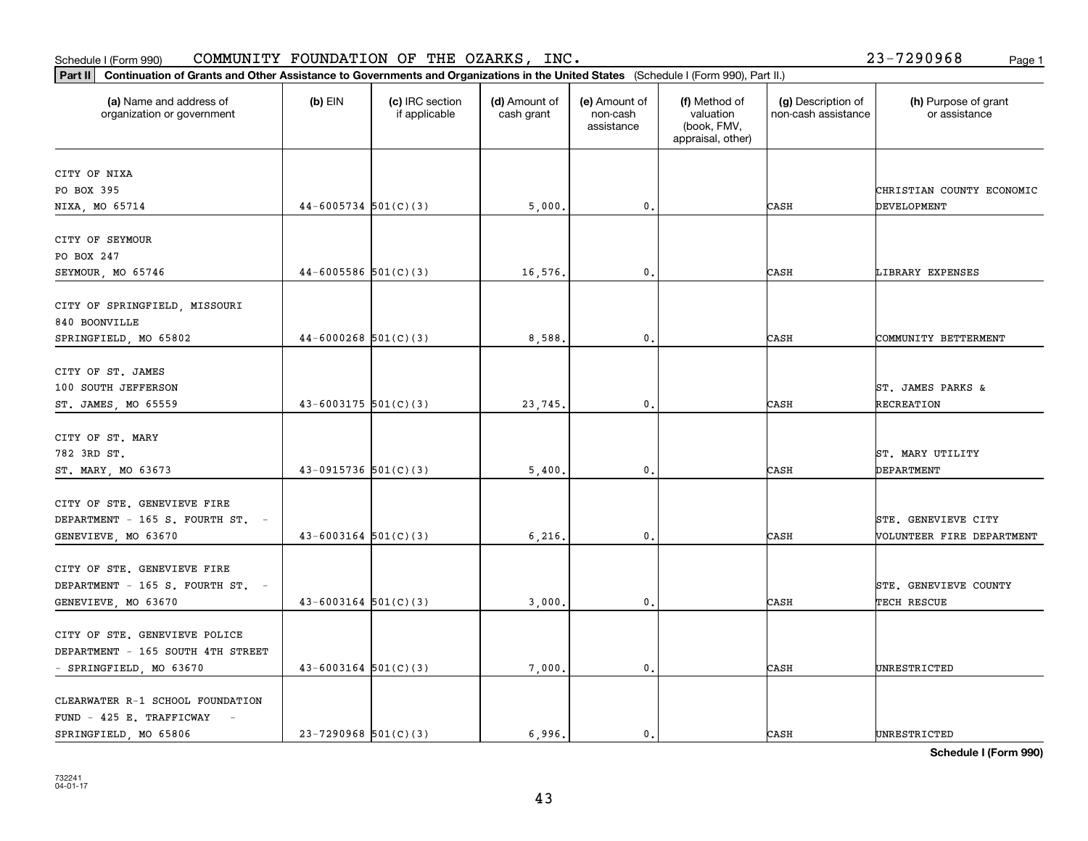organization or government

CITY OF SPRINGFIELD, MISSOURI

CITY OF STE. GENEVIEVE FIRE

CITY OF STE. GENEVIEVE FIRE

CLEARWATER R-1 SCHOOL FOUNDATION FUND - 425 E. TRAFFICWAY -

CITY OF NIXA

CITY OF SEYMOUR PO BOX 247

840 BOONVILLE

| 501(C)(3) | 7,000. | υ. |  |
|-----------|--------|----|--|
|           |        |    |  |
|           |        |    |  |

43

| DEPARTMENT - 165 S. FOURTH ST. -                                                             |                            |        |    |      | STE. GENEVIEVE COUNTY |
|----------------------------------------------------------------------------------------------|----------------------------|--------|----|------|-----------------------|
| GENEVIEVE MO 63670                                                                           | $43 - 6003164$ $501(C)(3)$ | 3.000. | 0. | CASH | TECH RESCUE           |
| CITY OF STE. GENEVIEVE POLICE<br>DEPARTMENT - 165 SOUTH 4TH STREET<br>- SPRINGFIELD MO 63670 | $43 - 6003164$ $501(C)(3)$ | 7 000  | 0  | CASH | UNRESTRICTED          |
|                                                                                              |                            |        |    |      |                       |

| SPRINGFIELD, MO 65802 | $44-6000268$ $501(C)(3)$   | 8.588.  | 0. | CASH | COMMUNITY BETTERMENT |
|-----------------------|----------------------------|---------|----|------|----------------------|
|                       |                            |         |    |      |                      |
| CITY OF ST. JAMES     |                            |         |    |      |                      |
| 100 SOUTH JEFFERSON   |                            |         |    |      | ST. JAMES PARKS &    |
| ST. JAMES MO 65559    | $43 - 6003175$ $501(C)(3)$ | 23.745. |    | CASH | <b>RECREATION</b>    |
|                       |                            |         |    |      |                      |
| CITY OF ST. MARY      |                            |         |    |      |                      |
| 782 3RD ST.           |                            |         |    |      | ST. MARY UTILITY     |

ST. MARY, MO 63673 43-0915736 501(C)(3) 5,400. 0. CASH CASH DEPARTMENT

SPRINGFIELD, MO 65806 23-7290968 501(C)(3) (6,996. 0. CASH CASH UNRESTRICTED

DEPARTMENT - 165 S. FOURTH ST. - STE. STEREVIEVE CITY GENEVIEVE, MO 63670  $\begin{vmatrix} 43-6003164 & 501(C)(3) \end{vmatrix}$  6,216. 0. CASH CASH WOLUNTEER FIRE DEPARTMENT

NIXA, MO 65714 44-6005734 501(C)(3) 5,000. 0. CASH DEVELOPMENT

SEYMOUR, MO 65746 65946 (2005586 501(C)(3) 16,576. 0. CASH CASH LIBRARY EXPENSES

(d) Amount of cash grant

PO BOX 395 CHRISTIAN COUNTY ECONOMIC

(e) Amount of non-cashassistance

(f) Method of valuation (book, FMV, appraisal, other)

(g) Description of non-cash assistance

|         | COMMUNITY<br>Schedule I (Form 990)                                                                                                  |           | FOUNDATION OF THE OZARKS | INC.                 |                      |               |                    | າາ<br>1290968-       | Page 1 |
|---------|-------------------------------------------------------------------------------------------------------------------------------------|-----------|--------------------------|----------------------|----------------------|---------------|--------------------|----------------------|--------|
| Part II | Continuation of Grants and Other Assistance to Governments and Organizations in the United States (Schedule I (Form 990), Part II.) |           |                          |                      |                      |               |                    |                      |        |
|         | (a) Name and address of                                                                                                             | $(b)$ EIN | (c) IRC section          | <b>(d)</b> Amount of | <b>(e)</b> Amount of | (f) Method of | (g) Description of | (h) Purpose of grant |        |

if applicable

| $3 - 7290968$ |  | Page |  |
|---------------|--|------|--|
|               |  |      |  |

(h) Purpose of grant or assistance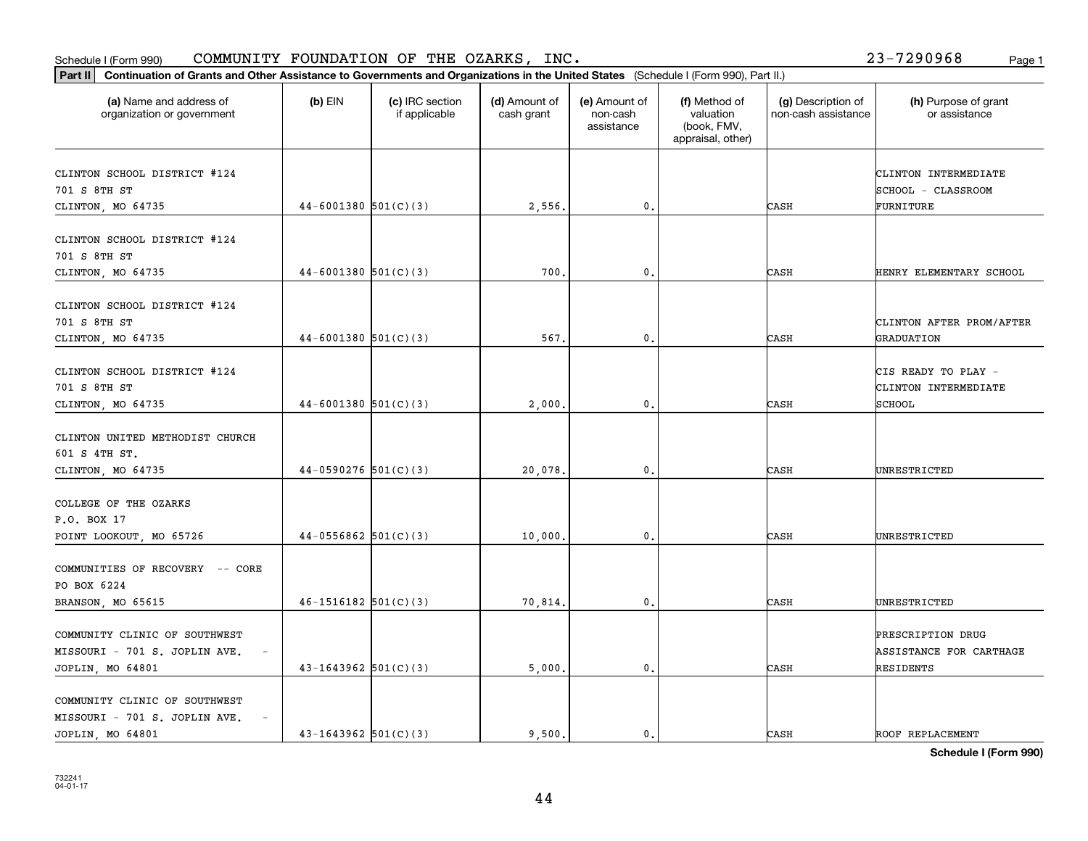| Part II   Continuation of Grants and Other Assistance to Governments and Organizations in the United States (Schedule I (Form 990), Part II.) |                            |                                  |                             |                                         |                                                                |                                           |                                       |
|-----------------------------------------------------------------------------------------------------------------------------------------------|----------------------------|----------------------------------|-----------------------------|-----------------------------------------|----------------------------------------------------------------|-------------------------------------------|---------------------------------------|
| (a) Name and address of<br>organization or government                                                                                         | $(b)$ EIN                  | (c) IRC section<br>if applicable | (d) Amount of<br>cash grant | (e) Amount of<br>non-cash<br>assistance | (f) Method of<br>valuation<br>(book, FMV,<br>appraisal, other) | (g) Description of<br>non-cash assistance | (h) Purpose of grant<br>or assistance |
| CLINTON SCHOOL DISTRICT #124                                                                                                                  |                            |                                  |                             |                                         |                                                                |                                           | CLINTON INTERMEDIATE                  |
| 701 S 8TH ST                                                                                                                                  |                            |                                  |                             |                                         |                                                                |                                           | SCHOOL - CLASSROOM                    |
| CLINTON, MO 64735                                                                                                                             | $44-6001380$ 501(C)(3)     |                                  | 2,556.                      | $\mathbf{0}$ .                          |                                                                | CASH                                      | FURNITURE                             |
| CLINTON SCHOOL DISTRICT #124                                                                                                                  |                            |                                  |                             |                                         |                                                                |                                           |                                       |
| 701 S 8TH ST                                                                                                                                  |                            |                                  |                             |                                         |                                                                |                                           |                                       |
| CLINTON, MO 64735                                                                                                                             | $44-6001380$ 501(C)(3)     |                                  | 700                         | 0.                                      |                                                                | CASH                                      | HENRY ELEMENTARY SCHOOL               |
| CLINTON SCHOOL DISTRICT #124                                                                                                                  |                            |                                  |                             |                                         |                                                                |                                           |                                       |
| 701 S 8TH ST                                                                                                                                  |                            |                                  |                             |                                         |                                                                |                                           | CLINTON AFTER PROM/AFTER              |
| CLINTON, MO 64735                                                                                                                             | $44-6001380$ 501(C)(3)     |                                  | 567                         | $\mathbf{0}$ .                          |                                                                | CASH                                      | GRADUATION                            |
| CLINTON SCHOOL DISTRICT #124                                                                                                                  |                            |                                  |                             |                                         |                                                                |                                           | CIS READY TO PLAY -                   |
| 701 S 8TH ST                                                                                                                                  |                            |                                  |                             |                                         |                                                                |                                           | CLINTON INTERMEDIATE                  |
| CLINTON, MO 64735                                                                                                                             | $44-6001380$ 501(C)(3)     |                                  | 2,000                       | 0.                                      |                                                                | CASH                                      | SCHOOL                                |
| CLINTON UNITED METHODIST CHURCH                                                                                                               |                            |                                  |                             |                                         |                                                                |                                           |                                       |
| 601 S 4TH ST.                                                                                                                                 |                            |                                  |                             |                                         |                                                                |                                           |                                       |
| CLINTON, MO 64735                                                                                                                             | $44-0590276$ 501(C)(3)     |                                  | 20,078.                     | 0.                                      |                                                                | CASH                                      | UNRESTRICTED                          |
|                                                                                                                                               |                            |                                  |                             |                                         |                                                                |                                           |                                       |
| COLLEGE OF THE OZARKS                                                                                                                         |                            |                                  |                             |                                         |                                                                |                                           |                                       |
| P.O. BOX 17<br>POINT LOOKOUT, MO 65726                                                                                                        | $44-0556862$ 501(C)(3)     |                                  | 10,000.                     | $\mathbf{0}$ .                          |                                                                | CASH                                      | UNRESTRICTED                          |
|                                                                                                                                               |                            |                                  |                             |                                         |                                                                |                                           |                                       |
| COMMUNITIES OF RECOVERY -- CORE                                                                                                               |                            |                                  |                             |                                         |                                                                |                                           |                                       |
| PO BOX 6224                                                                                                                                   |                            |                                  |                             |                                         |                                                                |                                           |                                       |
| BRANSON, MO 65615                                                                                                                             | $46 - 1516182$ $501(C)(3)$ |                                  | 70,814.                     | $\mathfrak o$ .                         |                                                                | CASH                                      | UNRESTRICTED                          |
| COMMUNITY CLINIC OF SOUTHWEST                                                                                                                 |                            |                                  |                             |                                         |                                                                |                                           | PRESCRIPTION DRUG                     |
| MISSOURI - 701 S. JOPLIN AVE.                                                                                                                 |                            |                                  |                             |                                         |                                                                |                                           | ASSISTANCE FOR CARTHAGE               |
| JOPLIN, MO 64801                                                                                                                              | $43 - 1643962$ 501(C)(3)   |                                  | 5,000.                      | $\mathfrak o$ .                         |                                                                | CASH                                      | RESIDENTS                             |
| COMMUNITY CLINIC OF SOUTHWEST                                                                                                                 |                            |                                  |                             |                                         |                                                                |                                           |                                       |
| MISSOURI - 701 S. JOPLIN AVE.<br>$\equiv$                                                                                                     |                            |                                  |                             |                                         |                                                                |                                           |                                       |
| JOPLIN, MO 64801                                                                                                                              | $43 - 1643962$ $501(C)(3)$ |                                  | 9.500.                      | $\mathbf{0}$ .                          |                                                                | CASH                                      | ROOF REPLACEMENT                      |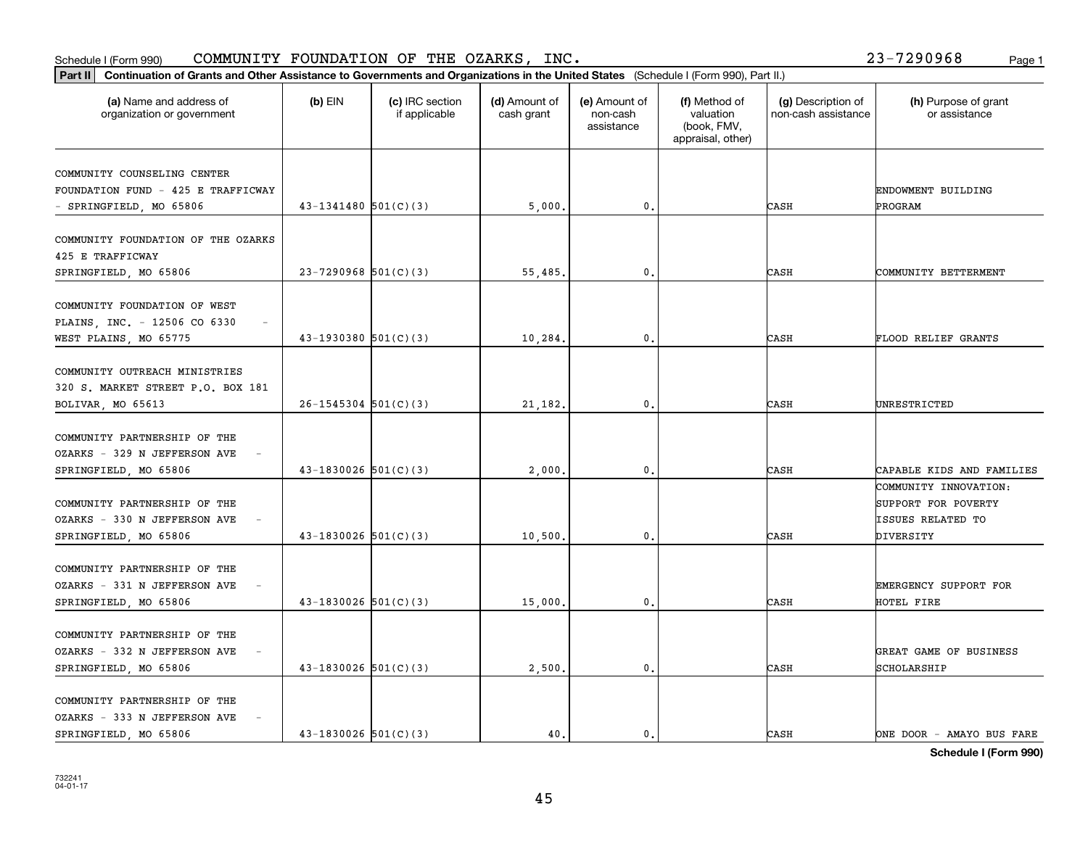| Part II   Continuation of Grants and Other Assistance to Governments and Organizations in the United States (Schedule I (Form 990), Part II.) |                            |                                  |                             |                                         |                                                                |                                           |                                                       |
|-----------------------------------------------------------------------------------------------------------------------------------------------|----------------------------|----------------------------------|-----------------------------|-----------------------------------------|----------------------------------------------------------------|-------------------------------------------|-------------------------------------------------------|
| (a) Name and address of<br>organization or government                                                                                         | $(b)$ EIN                  | (c) IRC section<br>if applicable | (d) Amount of<br>cash grant | (e) Amount of<br>non-cash<br>assistance | (f) Method of<br>valuation<br>(book, FMV,<br>appraisal, other) | (g) Description of<br>non-cash assistance | (h) Purpose of grant<br>or assistance                 |
| COMMUNITY COUNSELING CENTER<br>FOUNDATION FUND - 425 E TRAFFICWAY                                                                             | $43 - 1341480$ $501(C)(3)$ |                                  |                             | $\mathbf{0}$ .                          |                                                                | CASH                                      | ENDOWMENT BUILDING<br>PROGRAM                         |
| - SPRINGFIELD, MO 65806                                                                                                                       |                            |                                  | 5,000                       |                                         |                                                                |                                           |                                                       |
| COMMUNITY FOUNDATION OF THE OZARKS<br>425 E TRAFFICWAY<br>SPRINGFIELD, MO 65806                                                               | $23 - 7290968$ 501(C)(3)   |                                  | 55,485                      | 0.                                      |                                                                | CASH                                      | COMMUNITY BETTERMENT                                  |
|                                                                                                                                               |                            |                                  |                             |                                         |                                                                |                                           |                                                       |
| COMMUNITY FOUNDATION OF WEST<br>PLAINS, INC. - 12506 CO 6330<br>WEST PLAINS, MO 65775                                                         | $43-1930380$ $501(C)(3)$   |                                  | 10,284                      | $\mathfrak o$ .                         |                                                                | CASH                                      | FLOOD RELIEF GRANTS                                   |
|                                                                                                                                               |                            |                                  |                             |                                         |                                                                |                                           |                                                       |
| COMMUNITY OUTREACH MINISTRIES<br>320 S. MARKET STREET P.O. BOX 181<br>BOLIVAR, MO 65613                                                       | $26 - 1545304$ 501(C)(3)   |                                  | 21,182                      | 0.                                      |                                                                | CASH                                      | UNRESTRICTED                                          |
|                                                                                                                                               |                            |                                  |                             |                                         |                                                                |                                           |                                                       |
| COMMUNITY PARTNERSHIP OF THE<br>OZARKS - 329 N JEFFERSON AVE                                                                                  |                            |                                  |                             |                                         |                                                                |                                           |                                                       |
| SPRINGFIELD, MO 65806                                                                                                                         | $43 - 1830026$ 501(C)(3)   |                                  | 2,000                       | 0.                                      |                                                                | CASH                                      | CAPABLE KIDS AND FAMILIES<br>COMMUNITY INNOVATION:    |
| COMMUNITY PARTNERSHIP OF THE<br>OZARKS - 330 N JEFFERSON AVE<br>$\sim$<br>SPRINGFIELD, MO 65806                                               | $43-1830026$ 501(C)(3)     |                                  | 10,500                      | 0.                                      |                                                                | CASH                                      | SUPPORT FOR POVERTY<br>ISSUES RELATED TO<br>DIVERSITY |
|                                                                                                                                               |                            |                                  |                             |                                         |                                                                |                                           |                                                       |
| COMMUNITY PARTNERSHIP OF THE<br>OZARKS - 331 N JEFFERSON AVE<br>SPRINGFIELD, MO 65806                                                         | $43-1830026$ 501(C)(3)     |                                  | 15,000                      | $\mathfrak o$ .                         |                                                                | CASH                                      | EMERGENCY SUPPORT FOR<br>HOTEL FIRE                   |
| COMMUNITY PARTNERSHIP OF THE<br>OZARKS - 332 N JEFFERSON AVE                                                                                  |                            |                                  |                             |                                         |                                                                |                                           | GREAT GAME OF BUSINESS                                |
| SPRINGFIELD, MO 65806                                                                                                                         | $43-1830026$ 501(C)(3)     |                                  | 2,500                       | $\mathbf{0}$ .                          |                                                                | CASH                                      | SCHOLARSHIP                                           |
| COMMUNITY PARTNERSHIP OF THE<br>OZARKS - 333 N JEFFERSON AVE                                                                                  |                            |                                  |                             |                                         |                                                                |                                           |                                                       |
| SPRINGFIELD, MO 65806                                                                                                                         | $43-1830026$ $501(C)(3)$   |                                  | 40                          | 0.                                      |                                                                | CASH                                      | ONE DOOR - AMAYO BUS FARE                             |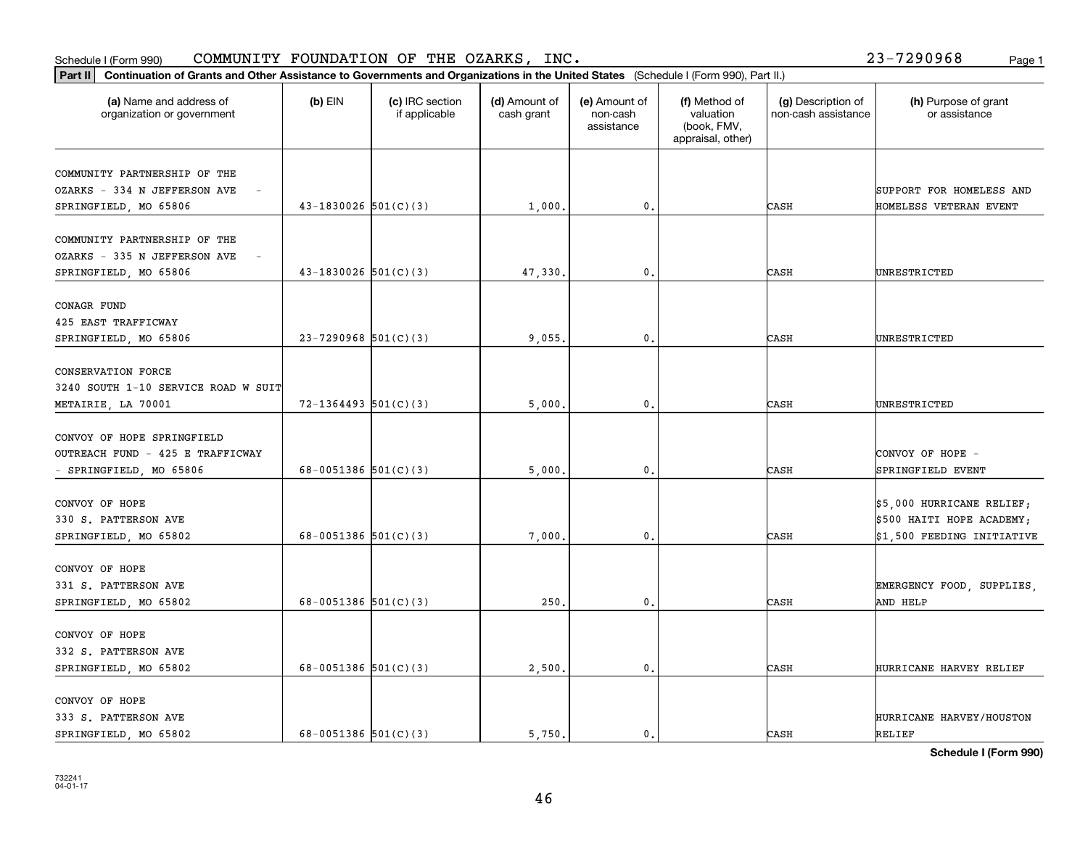#### Schedule I (Form 990) COMMUNITY FOUNDATION OF THE OZARKS, INC。 Page 1 COMMUNITY FOUNDATION OF THE OZARKS, INC. 23-7290968

| Part II   Continuation of Grants and Other Assistance to Governments and Organizations in the United States (Schedule I (Form 990), Part II.) |                          |                                  |                             |                                         |                                                                |                                           |                                       |
|-----------------------------------------------------------------------------------------------------------------------------------------------|--------------------------|----------------------------------|-----------------------------|-----------------------------------------|----------------------------------------------------------------|-------------------------------------------|---------------------------------------|
| (a) Name and address of<br>organization or government                                                                                         | $(b)$ EIN                | (c) IRC section<br>if applicable | (d) Amount of<br>cash grant | (e) Amount of<br>non-cash<br>assistance | (f) Method of<br>valuation<br>(book, FMV,<br>appraisal, other) | (g) Description of<br>non-cash assistance | (h) Purpose of grant<br>or assistance |
| COMMUNITY PARTNERSHIP OF THE                                                                                                                  |                          |                                  |                             |                                         |                                                                |                                           |                                       |
| OZARKS - 334 N JEFFERSON AVE                                                                                                                  |                          |                                  |                             |                                         |                                                                |                                           | SUPPORT FOR HOMELESS AND              |
| SPRINGFIELD, MO 65806                                                                                                                         | $43 - 1830026$ 501(C)(3) |                                  | 1,000.                      | 0.                                      |                                                                | CASH                                      | HOMELESS VETERAN EVENT                |
|                                                                                                                                               |                          |                                  |                             |                                         |                                                                |                                           |                                       |
| COMMUNITY PARTNERSHIP OF THE                                                                                                                  |                          |                                  |                             |                                         |                                                                |                                           |                                       |
| OZARKS - 335 N JEFFERSON AVE                                                                                                                  |                          |                                  |                             |                                         |                                                                |                                           |                                       |
| SPRINGFIELD, MO 65806                                                                                                                         | $43-1830026$ $501(C)(3)$ |                                  | 47,330.                     | $\mathbf{0}$ .                          |                                                                | CASH                                      | UNRESTRICTED                          |
|                                                                                                                                               |                          |                                  |                             |                                         |                                                                |                                           |                                       |
| CONAGR FUND                                                                                                                                   |                          |                                  |                             |                                         |                                                                |                                           |                                       |
| 425 EAST TRAFFICWAY                                                                                                                           |                          |                                  |                             |                                         |                                                                |                                           |                                       |
| SPRINGFIELD, MO 65806                                                                                                                         | $23 - 7290968$ 501(C)(3) |                                  | 9,055.                      | $\mathbf{0}$ .                          |                                                                | CASH                                      | UNRESTRICTED                          |
|                                                                                                                                               |                          |                                  |                             |                                         |                                                                |                                           |                                       |
| CONSERVATION FORCE                                                                                                                            |                          |                                  |                             |                                         |                                                                |                                           |                                       |
| 3240 SOUTH 1-10 SERVICE ROAD W SUIT                                                                                                           | $72 - 1364493$ 501(C)(3) |                                  |                             | 0.                                      |                                                                | CASH                                      | UNRESTRICTED                          |
| METAIRIE, LA 70001                                                                                                                            |                          |                                  | 5,000                       |                                         |                                                                |                                           |                                       |
| CONVOY OF HOPE SPRINGFIELD                                                                                                                    |                          |                                  |                             |                                         |                                                                |                                           |                                       |
| OUTREACH FUND - 425 E TRAFFICWAY                                                                                                              |                          |                                  |                             |                                         |                                                                |                                           | CONVOY OF HOPE -                      |
| - SPRINGFIELD, MO 65806                                                                                                                       | 68-0051386 $501(C)(3)$   |                                  | 5,000                       | $\mathbf{0}$                            |                                                                | CASH                                      | SPRINGFIELD EVENT                     |
|                                                                                                                                               |                          |                                  |                             |                                         |                                                                |                                           |                                       |
| CONVOY OF HOPE                                                                                                                                |                          |                                  |                             |                                         |                                                                |                                           | \$5,000 HURRICANE RELIEF;             |
| 330 S. PATTERSON AVE                                                                                                                          |                          |                                  |                             |                                         |                                                                |                                           | \$500 HAITI HOPE ACADEMY;             |
| SPRINGFIELD, MO 65802                                                                                                                         | 68-0051386 $501(C)(3)$   |                                  | 7,000                       | 0.                                      |                                                                | CASH                                      | \$1,500 FEEDING INITIATIVE            |
|                                                                                                                                               |                          |                                  |                             |                                         |                                                                |                                           |                                       |
| CONVOY OF HOPE                                                                                                                                |                          |                                  |                             |                                         |                                                                |                                           |                                       |
| 331 S. PATTERSON AVE                                                                                                                          |                          |                                  |                             |                                         |                                                                |                                           | EMERGENCY FOOD, SUPPLIES,             |
| SPRINGFIELD, MO 65802                                                                                                                         | 68-0051386 $501(C)(3)$   |                                  | 250                         | $\mathbf{0}$ .                          |                                                                | CASH                                      | AND HELP                              |
|                                                                                                                                               |                          |                                  |                             |                                         |                                                                |                                           |                                       |
| CONVOY OF HOPE                                                                                                                                |                          |                                  |                             |                                         |                                                                |                                           |                                       |
| 332 S. PATTERSON AVE                                                                                                                          |                          |                                  |                             |                                         |                                                                |                                           |                                       |
| SPRINGFIELD, MO 65802                                                                                                                         | $68-0051386$ 501(C)(3)   |                                  | 2,500.                      | $\mathbf{0}$ .                          |                                                                | CASH                                      | HURRICANE HARVEY RELIEF               |
| CONVOY OF HOPE                                                                                                                                |                          |                                  |                             |                                         |                                                                |                                           |                                       |
| 333 S. PATTERSON AVE                                                                                                                          |                          |                                  |                             |                                         |                                                                |                                           | HURRICANE HARVEY/HOUSTON              |
| SPRINGFIELD, MO 65802                                                                                                                         | 68-0051386 $501(C)(3)$   |                                  | 5.750.                      | 0.                                      |                                                                | CASH                                      | RELIEF                                |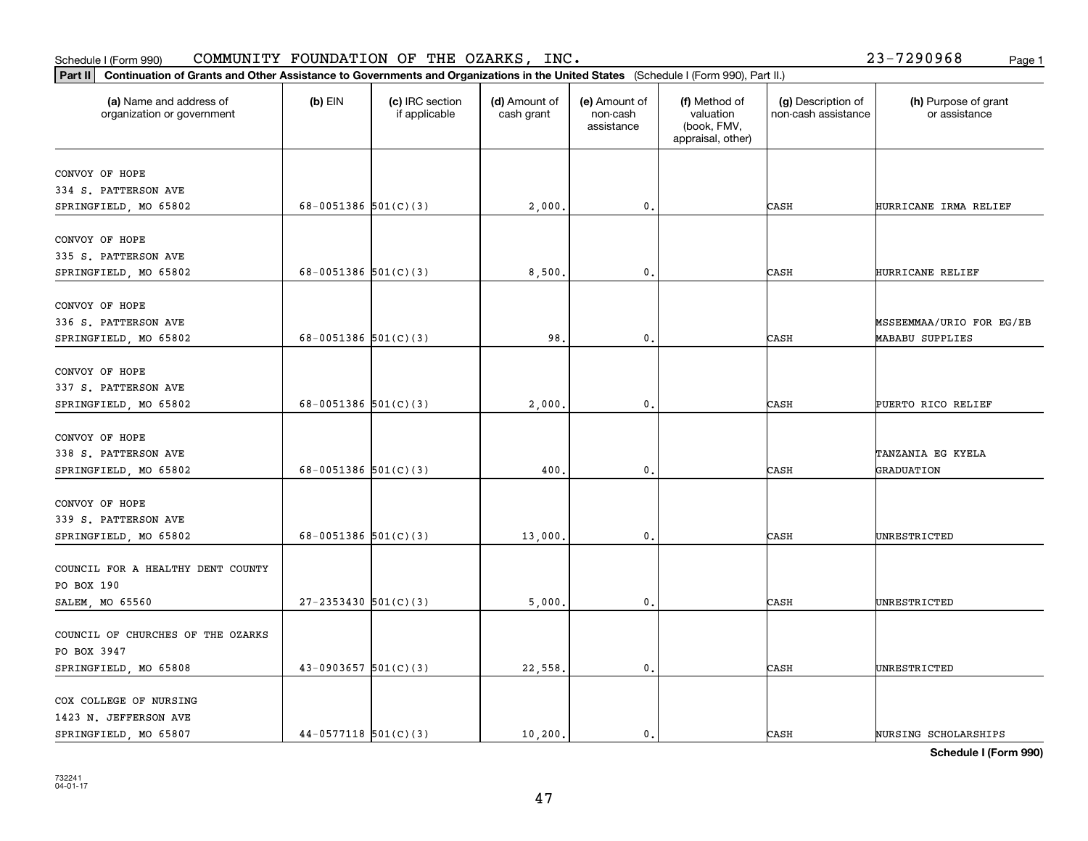COX COLLEGE OF NURSING 1423 N. JEFFERSON AVE

| CONVOY OF HOPE                    |                            |         |                |      |                          |
|-----------------------------------|----------------------------|---------|----------------|------|--------------------------|
| 335 S. PATTERSON AVE              |                            |         |                |      |                          |
| SPRINGFIELD, MO 65802             | 68-0051386 $501(C)(3)$     | 8,500.  | $\mathbf{0}$ . | CASH | HURRICANE RELIEF         |
|                                   |                            |         |                |      |                          |
| CONVOY OF HOPE                    |                            |         |                |      |                          |
| 336 S. PATTERSON AVE              |                            |         |                |      | MSSEEMMAA/URIO FOR EG/EB |
| SPRINGFIELD, MO 65802             | $68 - 0051386$ $501(C)(3)$ | 98.     | $\mathbf{0}$ . | CASH | MABABU SUPPLIES          |
|                                   |                            |         |                |      |                          |
| CONVOY OF HOPE                    |                            |         |                |      |                          |
| 337 S. PATTERSON AVE              |                            |         |                |      |                          |
| SPRINGFIELD, MO 65802             | $68 - 0051386$ $501(C)(3)$ | 2,000.  | $\mathbf{0}$ . | CASH | PUERTO RICO RELIEF       |
|                                   |                            |         |                |      |                          |
| CONVOY OF HOPE                    |                            |         |                |      |                          |
| 338 S. PATTERSON AVE              |                            |         |                |      | TANZANIA EG KYELA        |
| SPRINGFIELD, MO 65802             | $68 - 0051386$ $501(C)(3)$ | 400.    | $\mathbf{0}$ . | CASH | <b>GRADUATION</b>        |
|                                   |                            |         |                |      |                          |
| CONVOY OF HOPE                    |                            |         |                |      |                          |
| 339 S. PATTERSON AVE              |                            |         |                |      |                          |
| SPRINGFIELD, MO 65802             | $68 - 0051386$ $501(C)(3)$ | 13,000. | $\mathbf{0}$ . | CASH | UNRESTRICTED             |
|                                   |                            |         |                |      |                          |
| COUNCIL FOR A HEALTHY DENT COUNTY |                            |         |                |      |                          |
| PO BOX 190                        |                            |         |                |      |                          |
| SALEM, MO 65560                   | $27 - 2353430$ 501(C)(3)   | 5,000.  | $\mathbf{0}$ . | CASH | UNRESTRICTED             |
|                                   |                            |         |                |      |                          |
| COUNCIL OF CHURCHES OF THE OZARKS |                            |         |                |      |                          |
| PO BOX 3947                       |                            |         |                |      |                          |
| SPRINGFIELD, MO 65808             | $43-0903657$ 501(C)(3)     | 22,558. | $\mathbf{0}$ . | CASH | UNRESTRICTED             |
|                                   |                            |         |                |      |                          |

## Schedule I (Form 990)  ${\tt COMMUNITY}$  <code>FOUNDATION OF THE OZARKS, INC</code> .  $23-7290968$  Page 1

organization or government

CONVOY OF HOPE 334 S. PATTERSON AVE

**Part II Continuation of Grants and Other Assistance to Governments and Organizations in the United States**  (Schedule I (Form 990), Part II.)

if applicable

 $(b)$  EIN  $(c)$  IRC section

**(a) (b) (c) (d) (e) (f) (g) (h)** Name and address of

(d) Amount of cash grant

SPRINGFIELD, MO 65802 (68-0051386 501(C)(3) (2,000. 0. CASH CASH HURRICANE IRMA RELIEF

(e) Amount of non-cashassistance

(f) Method of valuation (book, FMV, appraisal, other)

(g) Description of non-cash assistance

(h) Purpose of grant or assistance

**Schedule I (Form 990)**

SPRINGFIELD, MO 65807  $\begin{array}{|c|c|c|c|c|}\n\hline\n44-0577118 & 501(c)(3) & 10,200.\n\hline\n\end{array}$  0. CASH NURSING SCHOLARSHIPS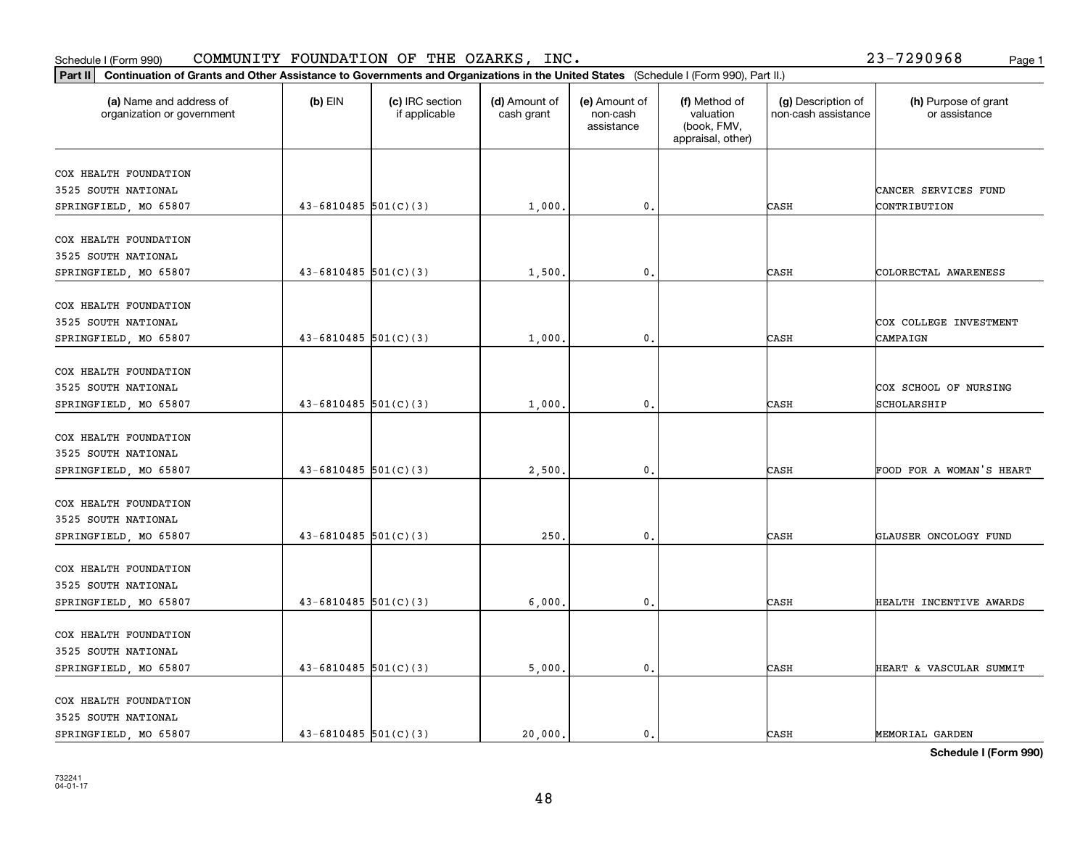| F01(01/3) | 20 UU |  |
|-----------|-------|--|

**Schedule I (Form 990)**

| (a) Name and address of<br>organization or government | $(b)$ EIN                | (c) IRC section<br>if applicable | (d) Amount of<br>cash grant | (e) Amount of<br>non-cash<br>assistance | (f) Method of<br>valuation<br>(book, FMV,<br>appraisal, other) | (g) Description of<br>non-cash assistance | (h) Purpose of grant<br>or assistance |
|-------------------------------------------------------|--------------------------|----------------------------------|-----------------------------|-----------------------------------------|----------------------------------------------------------------|-------------------------------------------|---------------------------------------|
| COX HEALTH FOUNDATION                                 |                          |                                  |                             |                                         |                                                                |                                           |                                       |
| 3525 SOUTH NATIONAL                                   |                          |                                  |                             |                                         |                                                                |                                           | CANCER SERVICES FUND                  |
| SPRINGFIELD, MO 65807                                 | $43 - 6810485$ 501(C)(3) |                                  | 1,000                       | 0.                                      |                                                                | CASH                                      | CONTRIBUTION                          |
| COX HEALTH FOUNDATION                                 |                          |                                  |                             |                                         |                                                                |                                           |                                       |
| 3525 SOUTH NATIONAL                                   |                          |                                  |                             |                                         |                                                                |                                           |                                       |
| SPRINGFIELD, MO 65807                                 | $43 - 6810485$ 501(C)(3) |                                  | 1,500.                      | $\mathfrak o$ .                         |                                                                | CASH                                      | COLORECTAL AWARENESS                  |
|                                                       |                          |                                  |                             |                                         |                                                                |                                           |                                       |
| COX HEALTH FOUNDATION                                 |                          |                                  |                             |                                         |                                                                |                                           |                                       |
| 3525 SOUTH NATIONAL                                   |                          |                                  |                             |                                         |                                                                | CASH                                      | COX COLLEGE INVESTMENT                |
| SPRINGFIELD, MO 65807                                 | $43 - 6810485$ 501(C)(3) |                                  | 1,000                       | 0.                                      |                                                                |                                           | CAMPAIGN                              |
| COX HEALTH FOUNDATION                                 |                          |                                  |                             |                                         |                                                                |                                           |                                       |
| 3525 SOUTH NATIONAL                                   |                          |                                  |                             |                                         |                                                                |                                           | COX SCHOOL OF NURSING                 |
| SPRINGFIELD, MO 65807                                 | $43 - 6810485$ 501(C)(3) |                                  | 1,000                       | $\mathfrak o$ .                         |                                                                | CASH                                      | SCHOLARSHIP                           |
|                                                       |                          |                                  |                             |                                         |                                                                |                                           |                                       |
| COX HEALTH FOUNDATION                                 |                          |                                  |                             |                                         |                                                                |                                           |                                       |
| 3525 SOUTH NATIONAL                                   | $43 - 6810485$ 501(C)(3) |                                  | 2,500                       | 0.                                      |                                                                | CASH                                      | FOOD FOR A WOMAN'S HEART              |
| SPRINGFIELD, MO 65807                                 |                          |                                  |                             |                                         |                                                                |                                           |                                       |
| COX HEALTH FOUNDATION                                 |                          |                                  |                             |                                         |                                                                |                                           |                                       |
| 3525 SOUTH NATIONAL                                   |                          |                                  |                             |                                         |                                                                |                                           |                                       |
| SPRINGFIELD, MO 65807                                 | $43 - 6810485$ 501(C)(3) |                                  | 250                         | 0.                                      |                                                                | CASH                                      | GLAUSER ONCOLOGY FUND                 |
| COX HEALTH FOUNDATION                                 |                          |                                  |                             |                                         |                                                                |                                           |                                       |
| 3525 SOUTH NATIONAL                                   |                          |                                  |                             |                                         |                                                                |                                           |                                       |
| SPRINGFIELD, MO 65807                                 | $43 - 6810485$ 501(C)(3) |                                  | 6,000                       | 0.                                      |                                                                | CASH                                      | HEALTH INCENTIVE AWARDS               |
|                                                       |                          |                                  |                             |                                         |                                                                |                                           |                                       |
| COX HEALTH FOUNDATION                                 |                          |                                  |                             |                                         |                                                                |                                           |                                       |
| 3525 SOUTH NATIONAL                                   |                          |                                  |                             |                                         |                                                                |                                           |                                       |
| SPRINGFIELD, MO 65807                                 | $43 - 6810485$ 501(C)(3) |                                  | 5,000                       | $\mathbf{0}$ .                          |                                                                | CASH                                      | HEART & VASCULAR SUMMIT               |
|                                                       |                          |                                  |                             |                                         |                                                                |                                           |                                       |
| COX HEALTH FOUNDATION                                 |                          |                                  |                             |                                         |                                                                |                                           |                                       |
| 3525 SOUTH NATIONAL<br>SPRINGFIELD, MO 65807          | $43 - 6810485$ 501(C)(3) |                                  | 20,000.                     | $\mathbf{0}$ .                          |                                                                | CASH                                      | MEMORIAL GARDEN                       |
|                                                       |                          |                                  |                             |                                         |                                                                |                                           |                                       |

## Schedule I (Form 990)  ${\tt COMMUNITY}$  <code>FOUNDATION OF THE OZARKS, INC</code> .  $23-7290968$  Page 1

**Part II Continuation of Grants and Other Assistance to Governments and Organizations in the United States**  (Schedule I (Form 990), Part II.)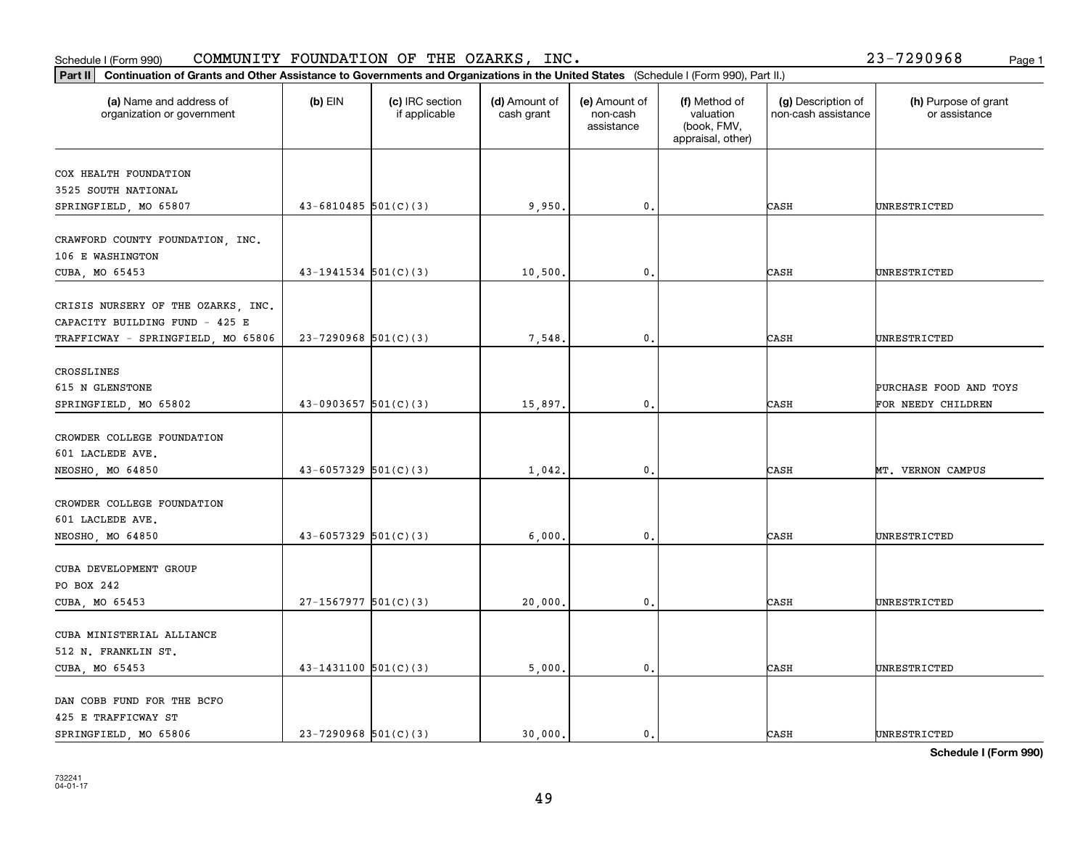#### **Part III Continuation of Grants and Other Assistance to Governments and Organization of Grants and Organization of Grants and Organizations of Organizations and Organization of Grants and Organizations of Departments an** Schedule I (Form 990)  ${\tt COMMUNITY}$  <code>FOUNDATION OF THE OZARKS, INC</code> .  $23-7290968$  Page 1

| Part II                                               | Continuation of Grants and Other Assistance to Governments and Organizations in the United States (Schedule I (Form 990), Part II.) |                                  |                             |                                         |                                                                |                                           |                                       |  |  |  |
|-------------------------------------------------------|-------------------------------------------------------------------------------------------------------------------------------------|----------------------------------|-----------------------------|-----------------------------------------|----------------------------------------------------------------|-------------------------------------------|---------------------------------------|--|--|--|
| (a) Name and address of<br>organization or government | $(b)$ EIN                                                                                                                           | (c) IRC section<br>if applicable | (d) Amount of<br>cash grant | (e) Amount of<br>non-cash<br>assistance | (f) Method of<br>valuation<br>(book, FMV,<br>appraisal, other) | (g) Description of<br>non-cash assistance | (h) Purpose of grant<br>or assistance |  |  |  |
| COX HEALTH FOUNDATION                                 |                                                                                                                                     |                                  |                             |                                         |                                                                |                                           |                                       |  |  |  |
| 3525 SOUTH NATIONAL                                   |                                                                                                                                     |                                  |                             |                                         |                                                                |                                           |                                       |  |  |  |
| SPRINGFIELD, MO 65807                                 | $43 - 6810485$ 501(C)(3)                                                                                                            |                                  | 9,950                       | 0.                                      |                                                                | CASH                                      | UNRESTRICTED                          |  |  |  |
|                                                       |                                                                                                                                     |                                  |                             |                                         |                                                                |                                           |                                       |  |  |  |
| CRAWFORD COUNTY FOUNDATION, INC.                      |                                                                                                                                     |                                  |                             |                                         |                                                                |                                           |                                       |  |  |  |
| 106 E WASHINGTON                                      |                                                                                                                                     |                                  |                             |                                         |                                                                |                                           |                                       |  |  |  |
| CUBA, MO 65453                                        | $43 - 1941534$ 501(C)(3)                                                                                                            |                                  | 10,500.                     | $\mathbf{0}$ .                          |                                                                | CASH                                      | UNRESTRICTED                          |  |  |  |
|                                                       |                                                                                                                                     |                                  |                             |                                         |                                                                |                                           |                                       |  |  |  |
| CRISIS NURSERY OF THE OZARKS, INC.                    |                                                                                                                                     |                                  |                             |                                         |                                                                |                                           |                                       |  |  |  |
| CAPACITY BUILDING FUND - 425 E                        |                                                                                                                                     |                                  |                             |                                         |                                                                |                                           |                                       |  |  |  |
| TRAFFICWAY - SPRINGFIELD, MO 65806                    | $23 - 7290968$ 501(C)(3)                                                                                                            |                                  | 7,548                       | 0.                                      |                                                                | CASH                                      | UNRESTRICTED                          |  |  |  |
|                                                       |                                                                                                                                     |                                  |                             |                                         |                                                                |                                           |                                       |  |  |  |
| CROSSLINES                                            |                                                                                                                                     |                                  |                             |                                         |                                                                |                                           |                                       |  |  |  |
| 615 N GLENSTONE                                       |                                                                                                                                     |                                  |                             |                                         |                                                                |                                           | PURCHASE FOOD AND TOYS                |  |  |  |
| SPRINGFIELD, MO 65802                                 | $43-0903657$ 501(C)(3)                                                                                                              |                                  | 15,897.                     | 0.                                      |                                                                | CASH                                      | FOR NEEDY CHILDREN                    |  |  |  |
|                                                       |                                                                                                                                     |                                  |                             |                                         |                                                                |                                           |                                       |  |  |  |
| CROWDER COLLEGE FOUNDATION                            |                                                                                                                                     |                                  |                             |                                         |                                                                |                                           |                                       |  |  |  |
| 601 LACLEDE AVE.                                      |                                                                                                                                     |                                  |                             |                                         |                                                                |                                           |                                       |  |  |  |
| NEOSHO, MO 64850                                      | $43 - 6057329$ 501(C)(3)                                                                                                            |                                  | 1,042.                      | $\mathbf{0}$ .                          |                                                                | CASH                                      | MT. VERNON CAMPUS                     |  |  |  |
| CROWDER COLLEGE FOUNDATION                            |                                                                                                                                     |                                  |                             |                                         |                                                                |                                           |                                       |  |  |  |
| 601 LACLEDE AVE.                                      |                                                                                                                                     |                                  |                             |                                         |                                                                |                                           |                                       |  |  |  |
| NEOSHO, MO 64850                                      | $43 - 6057329$ 501(C)(3)                                                                                                            |                                  | 6,000                       | 0.                                      |                                                                | CASH                                      | UNRESTRICTED                          |  |  |  |
|                                                       |                                                                                                                                     |                                  |                             |                                         |                                                                |                                           |                                       |  |  |  |
| CUBA DEVELOPMENT GROUP                                |                                                                                                                                     |                                  |                             |                                         |                                                                |                                           |                                       |  |  |  |
| PO BOX 242                                            |                                                                                                                                     |                                  |                             |                                         |                                                                |                                           |                                       |  |  |  |
| CUBA, MO 65453                                        | $27-1567977$ 501(C)(3)                                                                                                              |                                  | 20,000                      | 0.                                      |                                                                | CASH                                      | UNRESTRICTED                          |  |  |  |
|                                                       |                                                                                                                                     |                                  |                             |                                         |                                                                |                                           |                                       |  |  |  |
| CUBA MINISTERIAL ALLIANCE                             |                                                                                                                                     |                                  |                             |                                         |                                                                |                                           |                                       |  |  |  |
| 512 N. FRANKLIN ST.                                   |                                                                                                                                     |                                  |                             |                                         |                                                                |                                           |                                       |  |  |  |
| CUBA, MO 65453                                        | $43 - 1431100$ $501(C)(3)$                                                                                                          |                                  | 5,000.                      | $\mathfrak o$ .                         |                                                                | CASH                                      | UNRESTRICTED                          |  |  |  |
|                                                       |                                                                                                                                     |                                  |                             |                                         |                                                                |                                           |                                       |  |  |  |
| DAN COBB FUND FOR THE BCFO                            |                                                                                                                                     |                                  |                             |                                         |                                                                |                                           |                                       |  |  |  |
| 425 E TRAFFICWAY ST                                   |                                                                                                                                     |                                  |                             |                                         |                                                                |                                           |                                       |  |  |  |
| SPRINGFIELD, MO 65806                                 | $23 - 7290968$ 501(C)(3)                                                                                                            |                                  | 30.000.                     | 0.                                      |                                                                | CASH                                      | UNRESTRICTED                          |  |  |  |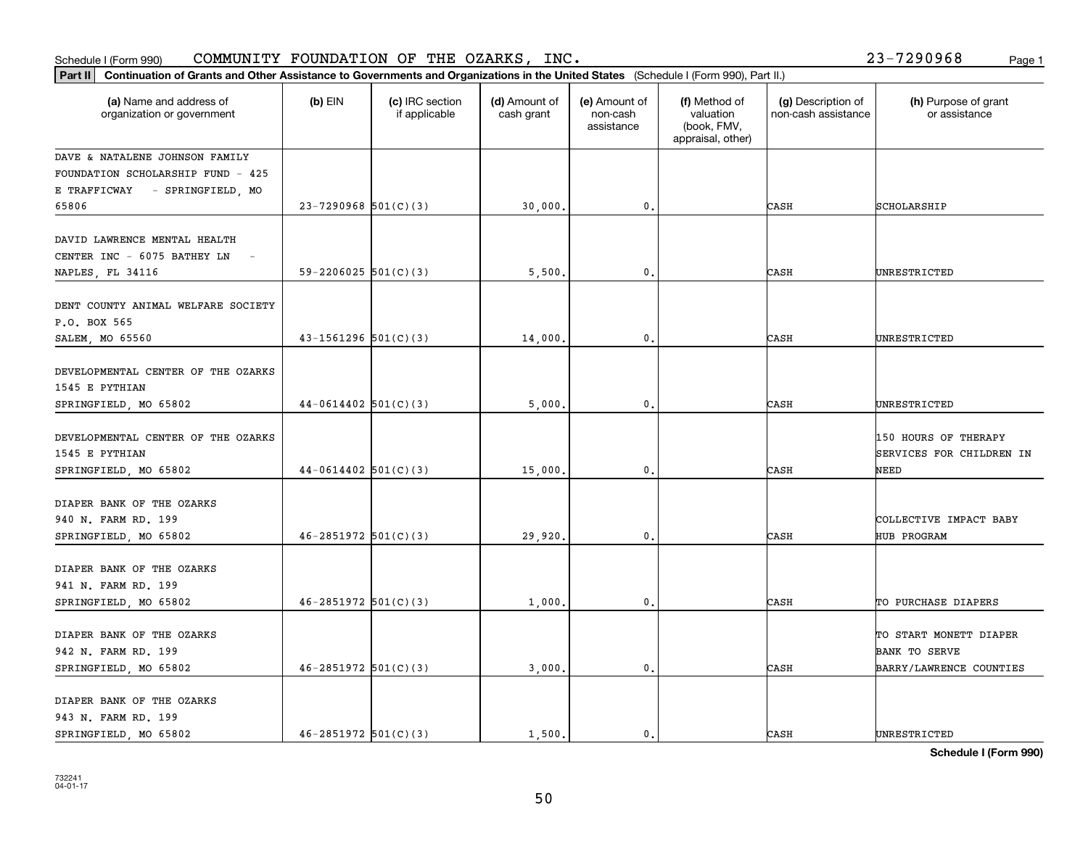|                                                                                 | Part II   Continuation of Grants and Other Assistance to Governments and Organizations in the United States (Schedule I (Form 990), Part II.) |                                  |                             |                                         |                                                                |                                           |                                                                           |  |  |  |
|---------------------------------------------------------------------------------|-----------------------------------------------------------------------------------------------------------------------------------------------|----------------------------------|-----------------------------|-----------------------------------------|----------------------------------------------------------------|-------------------------------------------|---------------------------------------------------------------------------|--|--|--|
| (a) Name and address of<br>organization or government                           | $(b)$ EIN                                                                                                                                     | (c) IRC section<br>if applicable | (d) Amount of<br>cash grant | (e) Amount of<br>non-cash<br>assistance | (f) Method of<br>valuation<br>(book, FMV,<br>appraisal, other) | (g) Description of<br>non-cash assistance | (h) Purpose of grant<br>or assistance                                     |  |  |  |
| DAVE & NATALENE JOHNSON FAMILY                                                  |                                                                                                                                               |                                  |                             |                                         |                                                                |                                           |                                                                           |  |  |  |
| <b>FOUNDATION SCHOLARSHIP FUND - 425</b>                                        |                                                                                                                                               |                                  |                             |                                         |                                                                |                                           |                                                                           |  |  |  |
| E TRAFFICWAY - SPRINGFIELD, MO                                                  |                                                                                                                                               |                                  |                             |                                         |                                                                |                                           |                                                                           |  |  |  |
| 65806                                                                           | $23 - 7290968$ 501(C)(3)                                                                                                                      |                                  | 30,000.                     | 0.                                      |                                                                | CASH                                      | SCHOLARSHIP                                                               |  |  |  |
| DAVID LAWRENCE MENTAL HEALTH<br>CENTER INC - 6075 BATHEY LN<br>NAPLES, FL 34116 | $59 - 2206025$ $501(C)(3)$                                                                                                                    |                                  | 5,500                       | 0.                                      |                                                                | CASH                                      | UNRESTRICTED                                                              |  |  |  |
|                                                                                 |                                                                                                                                               |                                  |                             |                                         |                                                                |                                           |                                                                           |  |  |  |
| DENT COUNTY ANIMAL WELFARE SOCIETY                                              |                                                                                                                                               |                                  |                             |                                         |                                                                |                                           |                                                                           |  |  |  |
| P.O. BOX 565                                                                    |                                                                                                                                               |                                  |                             |                                         |                                                                |                                           |                                                                           |  |  |  |
| SALEM, MO 65560                                                                 | $43 - 1561296$ 501(C)(3)                                                                                                                      |                                  | 14,000.                     | $\mathbf{0}$ .                          |                                                                | CASH                                      | UNRESTRICTED                                                              |  |  |  |
| DEVELOPMENTAL CENTER OF THE OZARKS<br>1545 E PYTHIAN                            |                                                                                                                                               |                                  |                             |                                         |                                                                |                                           |                                                                           |  |  |  |
| SPRINGFIELD, MO 65802                                                           | $44-0614402$ 501(C)(3)                                                                                                                        |                                  | 5,000                       | $\mathbf{0}$ .                          |                                                                | CASH                                      | UNRESTRICTED                                                              |  |  |  |
| DEVELOPMENTAL CENTER OF THE OZARKS<br>1545 E PYTHIAN                            |                                                                                                                                               |                                  |                             |                                         |                                                                |                                           | 150 HOURS OF THERAPY<br>SERVICES FOR CHILDREN IN                          |  |  |  |
| SPRINGFIELD, MO 65802                                                           | $44-0614402$ 501(C)(3)                                                                                                                        |                                  | 15,000.                     | $\mathbf{0}$                            |                                                                | CASH                                      | NEED                                                                      |  |  |  |
| DIAPER BANK OF THE OZARKS<br>940 N. FARM RD. 199<br>SPRINGFIELD, MO 65802       | $46 - 2851972$ $501(C)(3)$                                                                                                                    |                                  | 29,920.                     | $\mathbf{0}$ .                          |                                                                | CASH                                      | COLLECTIVE IMPACT BABY<br><b>HUB PROGRAM</b>                              |  |  |  |
| DIAPER BANK OF THE OZARKS<br>941 N. FARM RD. 199                                |                                                                                                                                               |                                  |                             |                                         |                                                                |                                           |                                                                           |  |  |  |
| SPRINGFIELD, MO 65802                                                           | $46 - 2851972$ 501(C)(3)                                                                                                                      |                                  | 1,000                       | $\mathfrak{o}$ .                        |                                                                | CASH                                      | TO PURCHASE DIAPERS                                                       |  |  |  |
| DIAPER BANK OF THE OZARKS<br>942 N. FARM RD. 199<br>SPRINGFIELD, MO 65802       | $46 - 2851972$ 501(C)(3)                                                                                                                      |                                  | 3,000.                      | $\mathfrak o$ .                         |                                                                | CASH                                      | TO START MONETT DIAPER<br><b>BANK TO SERVE</b><br>BARRY/LAWRENCE COUNTIES |  |  |  |
| DIAPER BANK OF THE OZARKS<br>943 N. FARM RD. 199<br>SPRINGFIELD, MO 65802       | $46 - 2851972$ 501(C)(3)                                                                                                                      |                                  | 1,500.                      | $\mathbf{0}$ .                          |                                                                | CASH                                      | <b>UNRESTRICTED</b>                                                       |  |  |  |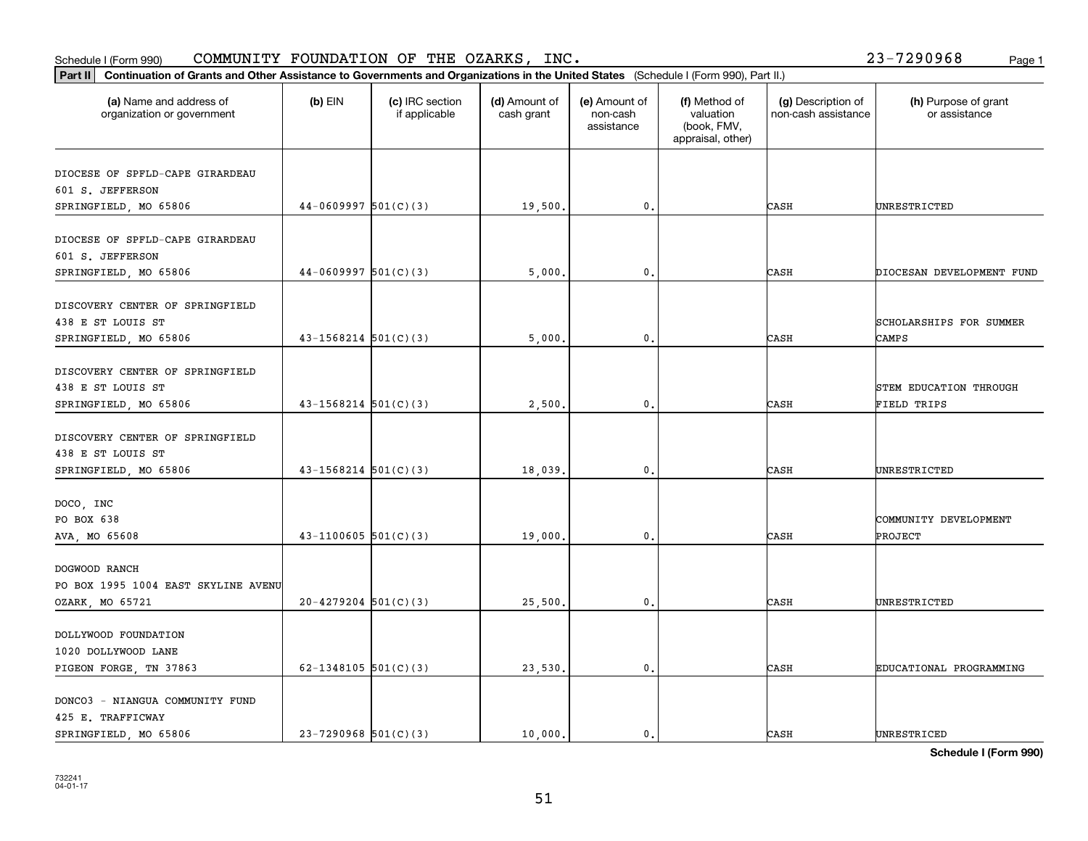| Part II   Continuation of Grants and Other Assistance to Governments and Organizations in the United States (Schedule I (Form 990), Part II.) |                            |                                  |                             |                                         |                                                                |                                           |                                       |
|-----------------------------------------------------------------------------------------------------------------------------------------------|----------------------------|----------------------------------|-----------------------------|-----------------------------------------|----------------------------------------------------------------|-------------------------------------------|---------------------------------------|
| (a) Name and address of<br>organization or government                                                                                         | $(b)$ EIN                  | (c) IRC section<br>if applicable | (d) Amount of<br>cash grant | (e) Amount of<br>non-cash<br>assistance | (f) Method of<br>valuation<br>(book, FMV,<br>appraisal, other) | (g) Description of<br>non-cash assistance | (h) Purpose of grant<br>or assistance |
|                                                                                                                                               |                            |                                  |                             |                                         |                                                                |                                           |                                       |
| DIOCESE OF SPFLD-CAPE GIRARDEAU<br>601 S. JEFFERSON                                                                                           |                            |                                  |                             |                                         |                                                                |                                           |                                       |
| SPRINGFIELD, MO 65806                                                                                                                         | $44-0609997$ 501(C)(3)     |                                  | 19,500.                     | 0.                                      |                                                                | CASH                                      | UNRESTRICTED                          |
|                                                                                                                                               |                            |                                  |                             |                                         |                                                                |                                           |                                       |
| DIOCESE OF SPFLD-CAPE GIRARDEAU                                                                                                               |                            |                                  |                             |                                         |                                                                |                                           |                                       |
| 601 S. JEFFERSON                                                                                                                              |                            |                                  |                             |                                         |                                                                |                                           |                                       |
| SPRINGFIELD, MO 65806                                                                                                                         | $44-0609997$ 501(C)(3)     |                                  | 5,000                       | 0.                                      |                                                                | CASH                                      | DIOCESAN DEVELOPMENT FUND             |
| DISCOVERY CENTER OF SPRINGFIELD                                                                                                               |                            |                                  |                             |                                         |                                                                |                                           |                                       |
| 438 E ST LOUIS ST                                                                                                                             |                            |                                  |                             |                                         |                                                                |                                           | SCHOLARSHIPS FOR SUMMER               |
| SPRINGFIELD, MO 65806                                                                                                                         | $43 - 1568214$ $501(C)(3)$ |                                  | 5,000                       | $\mathbf{0}$ .                          |                                                                | CASH                                      | CAMPS                                 |
|                                                                                                                                               |                            |                                  |                             |                                         |                                                                |                                           |                                       |
| DISCOVERY CENTER OF SPRINGFIELD                                                                                                               |                            |                                  |                             |                                         |                                                                |                                           |                                       |
| 438 E ST LOUIS ST                                                                                                                             |                            |                                  |                             |                                         |                                                                |                                           | STEM EDUCATION THROUGH                |
| SPRINGFIELD, MO 65806                                                                                                                         | $43 - 1568214$ $501(C)(3)$ |                                  | 2,500                       | 0.                                      |                                                                | CASH                                      | FIELD TRIPS                           |
| DISCOVERY CENTER OF SPRINGFIELD                                                                                                               |                            |                                  |                             |                                         |                                                                |                                           |                                       |
| 438 E ST LOUIS ST                                                                                                                             |                            |                                  |                             |                                         |                                                                |                                           |                                       |
| SPRINGFIELD, MO 65806                                                                                                                         | $43 - 1568214$ $501(C)(3)$ |                                  | 18,039.                     | $\mathbf{0}$                            |                                                                | CASH                                      | UNRESTRICTED                          |
|                                                                                                                                               |                            |                                  |                             |                                         |                                                                |                                           |                                       |
| DOCO, INC                                                                                                                                     |                            |                                  |                             |                                         |                                                                |                                           |                                       |
| PO BOX 638                                                                                                                                    |                            |                                  |                             |                                         |                                                                |                                           | COMMUNITY DEVELOPMENT                 |
| AVA, MO 65608                                                                                                                                 | $43 - 1100605$ 501(C)(3)   |                                  | 19,000.                     | $\mathbf{0}$ .                          |                                                                | CASH                                      | PROJECT                               |
|                                                                                                                                               |                            |                                  |                             |                                         |                                                                |                                           |                                       |
| DOGWOOD RANCH                                                                                                                                 |                            |                                  |                             |                                         |                                                                |                                           |                                       |
| PO BOX 1995 1004 EAST SKYLINE AVENU                                                                                                           |                            |                                  |                             |                                         |                                                                |                                           |                                       |
| OZARK, MO 65721                                                                                                                               | $20 - 4279204$ 501(C)(3)   |                                  | 25,500.                     | $\mathbf{0}$ .                          |                                                                | CASH                                      | UNRESTRICTED                          |
| DOLLYWOOD FOUNDATION                                                                                                                          |                            |                                  |                             |                                         |                                                                |                                           |                                       |
| 1020 DOLLYWOOD LANE                                                                                                                           |                            |                                  |                             |                                         |                                                                |                                           |                                       |
| PIGEON FORGE, TN 37863                                                                                                                        | 62-1348105 $501(C)(3)$     |                                  | 23,530.                     | $\mathfrak o$ .                         |                                                                | CASH                                      | EDUCATIONAL PROGRAMMING               |
|                                                                                                                                               |                            |                                  |                             |                                         |                                                                |                                           |                                       |
| DONCO3 - NIANGUA COMMUNITY FUND                                                                                                               |                            |                                  |                             |                                         |                                                                |                                           |                                       |
| 425 E. TRAFFICWAY                                                                                                                             |                            |                                  |                             |                                         |                                                                |                                           |                                       |
| SPRINGFIELD, MO 65806                                                                                                                         | $23 - 7290968$ 501(C)(3)   |                                  | 10,000.                     | $\mathbf{0}$ .                          |                                                                | CASH                                      | UNRESTRICED                           |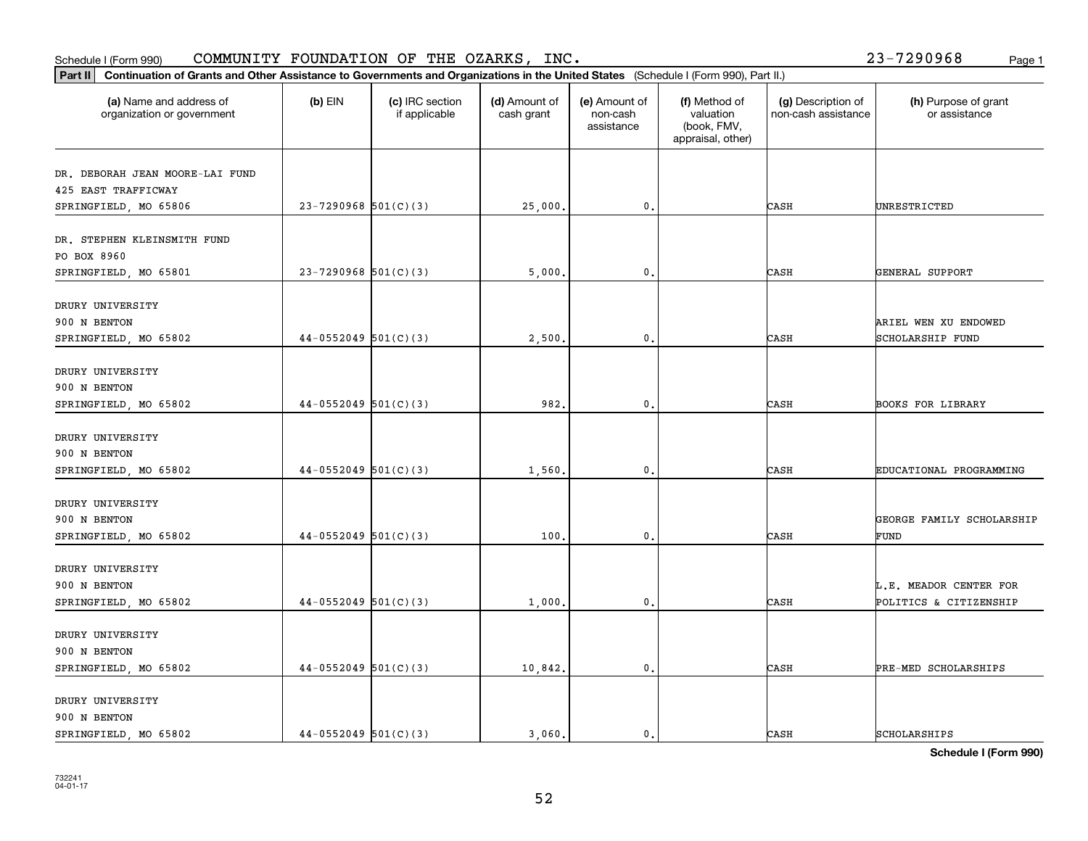#### Schedule I (Form 990) COMMUNITY FOUNDATION OF THE OZARKS, INC。 Page 1 COMMUNITY FOUNDATION OF THE OZARKS, INC. 23-7290968

| Part II   Continuation of Grants and Other Assistance to Governments and Organizations in the United States (Schedule I (Form 990), Part II.) |                          |                                  |                             |                                         |                                                                |                                           |                                       |
|-----------------------------------------------------------------------------------------------------------------------------------------------|--------------------------|----------------------------------|-----------------------------|-----------------------------------------|----------------------------------------------------------------|-------------------------------------------|---------------------------------------|
| (a) Name and address of<br>organization or government                                                                                         | $(b)$ EIN                | (c) IRC section<br>if applicable | (d) Amount of<br>cash grant | (e) Amount of<br>non-cash<br>assistance | (f) Method of<br>valuation<br>(book, FMV,<br>appraisal, other) | (g) Description of<br>non-cash assistance | (h) Purpose of grant<br>or assistance |
| DR. DEBORAH JEAN MOORE-LAI FUND                                                                                                               |                          |                                  |                             |                                         |                                                                |                                           |                                       |
| 425 EAST TRAFFICWAY                                                                                                                           |                          |                                  |                             |                                         |                                                                |                                           |                                       |
| SPRINGFIELD, MO 65806                                                                                                                         | $23 - 7290968$ 501(C)(3) |                                  | 25,000.                     | $\mathbf{0}$ .                          |                                                                | CASH                                      | UNRESTRICTED                          |
|                                                                                                                                               |                          |                                  |                             |                                         |                                                                |                                           |                                       |
| DR. STEPHEN KLEINSMITH FUND                                                                                                                   |                          |                                  |                             |                                         |                                                                |                                           |                                       |
| PO BOX 8960                                                                                                                                   |                          |                                  |                             |                                         |                                                                |                                           |                                       |
| SPRINGFIELD, MO 65801                                                                                                                         | $23 - 7290968$ 501(C)(3) |                                  | 5,000                       | 0.                                      |                                                                | CASH                                      | GENERAL SUPPORT                       |
| DRURY UNIVERSITY                                                                                                                              |                          |                                  |                             |                                         |                                                                |                                           |                                       |
| 900 N BENTON                                                                                                                                  |                          |                                  |                             |                                         |                                                                |                                           | ARIEL WEN XU ENDOWED                  |
| SPRINGFIELD, MO 65802                                                                                                                         | $44-0552049$ 501(C)(3)   |                                  | 2,500                       | $\mathfrak{o}$ .                        |                                                                | CASH                                      | SCHOLARSHIP FUND                      |
|                                                                                                                                               |                          |                                  |                             |                                         |                                                                |                                           |                                       |
| DRURY UNIVERSITY                                                                                                                              |                          |                                  |                             |                                         |                                                                |                                           |                                       |
| 900 N BENTON                                                                                                                                  |                          |                                  |                             |                                         |                                                                |                                           |                                       |
| SPRINGFIELD, MO 65802                                                                                                                         | $44-0552049$ 501(C)(3)   |                                  | 982                         | $\mathbf{0}$                            |                                                                | CASH                                      | <b>BOOKS FOR LIBRARY</b>              |
|                                                                                                                                               |                          |                                  |                             |                                         |                                                                |                                           |                                       |
| DRURY UNIVERSITY<br>900 N BENTON                                                                                                              |                          |                                  |                             |                                         |                                                                |                                           |                                       |
| SPRINGFIELD, MO 65802                                                                                                                         | $44-0552049$ 501(C)(3)   |                                  | 1,560                       | $\mathbf 0$ .                           |                                                                | CASH                                      | EDUCATIONAL PROGRAMMING               |
|                                                                                                                                               |                          |                                  |                             |                                         |                                                                |                                           |                                       |
| DRURY UNIVERSITY                                                                                                                              |                          |                                  |                             |                                         |                                                                |                                           |                                       |
| 900 N BENTON                                                                                                                                  |                          |                                  |                             |                                         |                                                                |                                           | GEORGE FAMILY SCHOLARSHIP             |
| SPRINGFIELD, MO 65802                                                                                                                         | $44-0552049$ 501(C)(3)   |                                  | 100                         | 0.                                      |                                                                | CASH                                      | FUND                                  |
|                                                                                                                                               |                          |                                  |                             |                                         |                                                                |                                           |                                       |
| DRURY UNIVERSITY                                                                                                                              |                          |                                  |                             |                                         |                                                                |                                           |                                       |
| 900 N BENTON                                                                                                                                  |                          |                                  |                             |                                         |                                                                |                                           | L.E. MEADOR CENTER FOR                |
| SPRINGFIELD, MO 65802                                                                                                                         | $44-0552049$ 501(C)(3)   |                                  | 1,000                       | $^{\rm 0}$ .                            |                                                                | CASH                                      | POLITICS & CITIZENSHIP                |
| DRURY UNIVERSITY                                                                                                                              |                          |                                  |                             |                                         |                                                                |                                           |                                       |
| 900 N BENTON                                                                                                                                  |                          |                                  |                             |                                         |                                                                |                                           |                                       |
| SPRINGFIELD, MO 65802                                                                                                                         | $44-0552049$ 501(C)(3)   |                                  | 10,842.                     | $\mathfrak{o}$ .                        |                                                                | CASH                                      | PRE-MED SCHOLARSHIPS                  |
|                                                                                                                                               |                          |                                  |                             |                                         |                                                                |                                           |                                       |
| DRURY UNIVERSITY                                                                                                                              |                          |                                  |                             |                                         |                                                                |                                           |                                       |
| 900 N BENTON                                                                                                                                  |                          |                                  |                             |                                         |                                                                |                                           |                                       |
| SPRINGFIELD, MO 65802                                                                                                                         | $44-0552049$ 501(C)(3)   |                                  | 3.060.                      | $\mathfrak{o}$ .                        |                                                                | CASH                                      | SCHOLARSHIPS                          |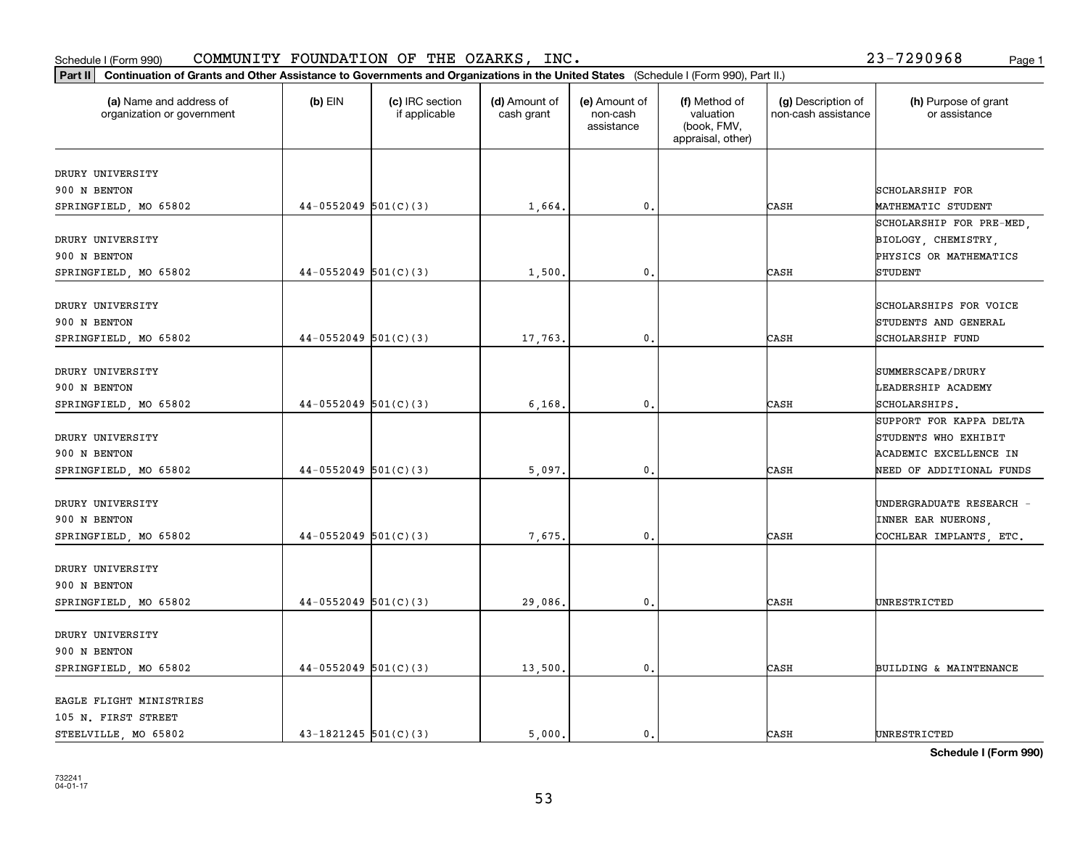| (a) Name and address of<br>organization or government | $(b)$ EIN                | (c) IRC section<br>if applicable | (d) Amount of<br>cash grant | (e) Amount of<br>non-cash<br>assistance | (f) Method of<br>valuation<br>(book, FMV,<br>appraisal, other) | (g) Description of<br>non-cash assistance | (h) Purpose of grant<br>or assistance |
|-------------------------------------------------------|--------------------------|----------------------------------|-----------------------------|-----------------------------------------|----------------------------------------------------------------|-------------------------------------------|---------------------------------------|
| DRURY UNIVERSITY                                      |                          |                                  |                             |                                         |                                                                |                                           |                                       |
| 900 N BENTON                                          |                          |                                  |                             |                                         |                                                                |                                           | SCHOLARSHIP FOR                       |
| SPRINGFIELD, MO 65802                                 | $44-0552049$ 501(C)(3)   |                                  | 1,664                       | 0.                                      |                                                                | CASH                                      | MATHEMATIC STUDENT                    |
|                                                       |                          |                                  |                             |                                         |                                                                |                                           | SCHOLARSHIP FOR PRE-MED.              |
| DRURY UNIVERSITY                                      |                          |                                  |                             |                                         |                                                                |                                           | BIOLOGY, CHEMISTRY,                   |
| 900 N BENTON                                          |                          |                                  |                             |                                         |                                                                |                                           | PHYSICS OR MATHEMATICS                |
|                                                       |                          |                                  |                             |                                         |                                                                |                                           |                                       |
| SPRINGFIELD, MO 65802                                 | $44-0552049$ 501(C)(3)   |                                  | 1,500                       | 0.                                      |                                                                | CASH                                      | STUDENT                               |
|                                                       |                          |                                  |                             |                                         |                                                                |                                           |                                       |
| DRURY UNIVERSITY                                      |                          |                                  |                             |                                         |                                                                |                                           | SCHOLARSHIPS FOR VOICE                |
| 900 N BENTON                                          |                          |                                  |                             |                                         |                                                                |                                           | STUDENTS AND GENERAL                  |
| SPRINGFIELD, MO 65802                                 | $44-0552049$ 501(C)(3)   |                                  | 17,763                      | $\mathbf{0}$ .                          |                                                                | CASH                                      | SCHOLARSHIP FUND                      |
|                                                       |                          |                                  |                             |                                         |                                                                |                                           |                                       |
| DRURY UNIVERSITY                                      |                          |                                  |                             |                                         |                                                                |                                           | SUMMERSCAPE/DRURY                     |
| 900 N BENTON                                          |                          |                                  |                             |                                         |                                                                |                                           | LEADERSHIP ACADEMY                    |
| SPRINGFIELD, MO 65802                                 | $44-0552049$ 501(C)(3)   |                                  | 6,168                       | $\mathbf{0}$ .                          |                                                                | CASH                                      | SCHOLARSHIPS.                         |
|                                                       |                          |                                  |                             |                                         |                                                                |                                           | SUPPORT FOR KAPPA DELTA               |
| DRURY UNIVERSITY                                      |                          |                                  |                             |                                         |                                                                |                                           | STUDENTS WHO EXHIBIT                  |
| 900 N BENTON                                          |                          |                                  |                             |                                         |                                                                |                                           | ACADEMIC EXCELLENCE IN                |
| SPRINGFIELD, MO 65802                                 | $44-0552049$ 501(C)(3)   |                                  | 5,097                       | 0.                                      |                                                                | CASH                                      | NEED OF ADDITIONAL FUNDS              |
|                                                       |                          |                                  |                             |                                         |                                                                |                                           |                                       |
| DRURY UNIVERSITY                                      |                          |                                  |                             |                                         |                                                                |                                           | UNDERGRADUATE RESEARCH -              |
| 900 N BENTON                                          |                          |                                  |                             |                                         |                                                                |                                           | INNER EAR NUERONS,                    |
| SPRINGFIELD, MO 65802                                 | $44-0552049$ 501(C)(3)   |                                  | 7,675                       | 0.                                      |                                                                | CASH                                      | COCHLEAR IMPLANTS, ETC.               |
| DRURY UNIVERSITY                                      |                          |                                  |                             |                                         |                                                                |                                           |                                       |
|                                                       |                          |                                  |                             |                                         |                                                                |                                           |                                       |
| 900 N BENTON                                          |                          |                                  |                             |                                         |                                                                |                                           |                                       |
| SPRINGFIELD, MO 65802                                 | $44-0552049$ 501(C)(3)   |                                  | 29,086                      | $\mathbf{0}$ .                          |                                                                | CASH                                      | UNRESTRICTED                          |
| DRURY UNIVERSITY                                      |                          |                                  |                             |                                         |                                                                |                                           |                                       |
| 900 N BENTON                                          |                          |                                  |                             |                                         |                                                                |                                           |                                       |
|                                                       |                          |                                  |                             |                                         |                                                                |                                           |                                       |
| SPRINGFIELD, MO 65802                                 | $44-0552049$ 501(C)(3)   |                                  | 13,500.                     | $\mathbf{0}$ .                          |                                                                | CASH                                      | <b>BUILDING &amp; MAINTENANCE</b>     |
| EAGLE FLIGHT MINISTRIES                               |                          |                                  |                             |                                         |                                                                |                                           |                                       |
| 105 N. FIRST STREET                                   |                          |                                  |                             |                                         |                                                                |                                           |                                       |
|                                                       |                          |                                  | 5.000.                      |                                         |                                                                |                                           |                                       |
| STEELVILLE, MO 65802                                  | $43 - 1821245$ 501(C)(3) |                                  |                             | $\mathbf{0}$ .                          |                                                                | CASH                                      | <b>UNRESTRICTED</b>                   |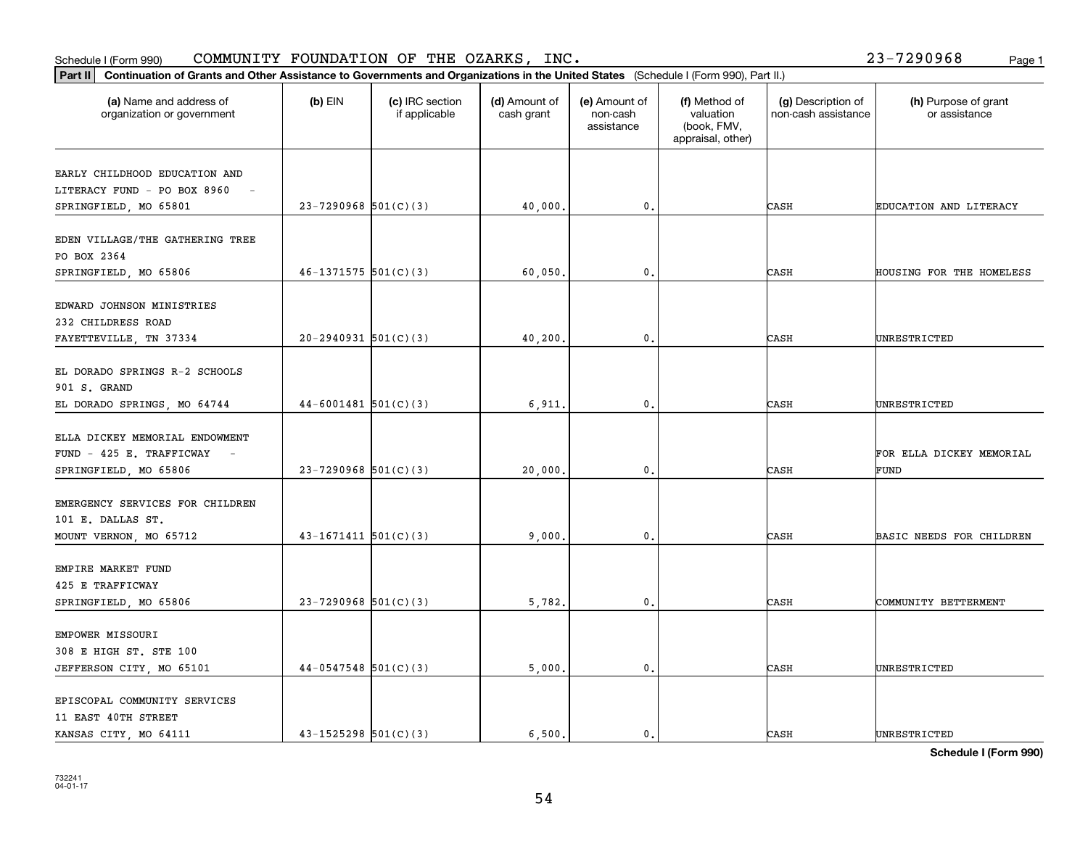EMPOWER MISSOURI 308 E HIGH ST. STE 100

11 EAST 40TH STREET

EPISCOPAL COMMUNITY SERVICES

| EDEN VILLAGE/THE GATHERING TREE                                                                         |                            |          |                |      |                                  |
|---------------------------------------------------------------------------------------------------------|----------------------------|----------|----------------|------|----------------------------------|
| PO BOX 2364                                                                                             |                            |          |                |      |                                  |
| SPRINGFIELD, MO 65806                                                                                   | $46 - 1371575$ $501(C)(3)$ | 60,050.  | $\mathbf{0}$ . | CASH | HOUSING FOR THE HOMELESS         |
| EDWARD JOHNSON MINISTRIES                                                                               |                            |          |                |      |                                  |
| 232 CHILDRESS ROAD                                                                                      |                            |          |                |      |                                  |
| FAYETTEVILLE, TN 37334                                                                                  | $20-2940931$ $501(C)(3)$   | 40, 200. | 0.             | CASH | UNRESTRICTED                     |
| EL DORADO SPRINGS R-2 SCHOOLS<br>901 S. GRAND                                                           |                            |          |                |      |                                  |
| EL DORADO SPRINGS, MO 64744                                                                             | $44-6001481$ 501(C)(3)     | 6,911.   | 0.             | CASH | <b>UNRESTRICTED</b>              |
| ELLA DICKEY MEMORIAL ENDOWMENT<br>FUND - 425 E. TRAFFICWAY<br>$\sim$ 100 $\pm$<br>SPRINGFIELD, MO 65806 | $23 - 7290968$ 501(C)(3)   | 20,000.  | 0.             | CASH | FOR ELLA DICKEY MEMORIAL<br>FUND |
| EMERGENCY SERVICES FOR CHILDREN<br>101 E. DALLAS ST.<br>MOUNT VERNON, MO 65712                          | $43 - 1671411$ $501(C)(3)$ | 9,000.   | 0.             | CASH | BASIC NEEDS FOR CHILDREN         |
| EMPIRE MARKET FUND<br>425 E TRAFFICWAY                                                                  | $23 - 7290968$ 501(C)(3)   |          |                |      | COMMUNITY BETTERMENT             |
| SPRINGFIELD, MO 65806                                                                                   |                            | 5,782.   | 0.             | CASH |                                  |

**(a) (b) (c) (d) (e) (f) (g) (h)** Name and address of

(d) Amount of cash grant

SPRINGFIELD, MO 65801 23-7290968 501(C)(3)  $\begin{vmatrix} 23 & -7290968 & -1000 \\ 0 & 40 & 000 \\ 0 & 0 & 0 \end{vmatrix}$  0.

(e) Amount of non-cashassistance

(f) Method of valuation (book, FMV, appraisal, other)

(g) Description of non-cash assistance

## Schedule I (Form 990)  ${\tt COMMUNITY}$  <code>FOUNDATION OF THE OZARKS, INC</code> .  $23-7290968$  Page 1

organization or government

EARLY CHILDHOOD EDUCATION AND LITERACY FUND - PO BOX 8960 -

**Part II Continuation of Grants and Other Assistance to Governments and Organizations in the United States**  (Schedule I (Form 990), Part II.)

if applicable

 $(b)$  EIN  $(c)$  IRC section

(h) Purpose of grant or assistance

**Schedule I (Form 990)**

JEFFERSON CITY, MO 65101  $\begin{vmatrix} 44-0547548 & 501(C)(3) \end{vmatrix}$  5,000. 0. CASH CASH UNRESTRICTED

KANSAS CITY, MO 64111  $\begin{vmatrix} 43-1525298 & 501(C)(3) \end{vmatrix}$  6,500. 0. CASH CASH UNRESTRICTED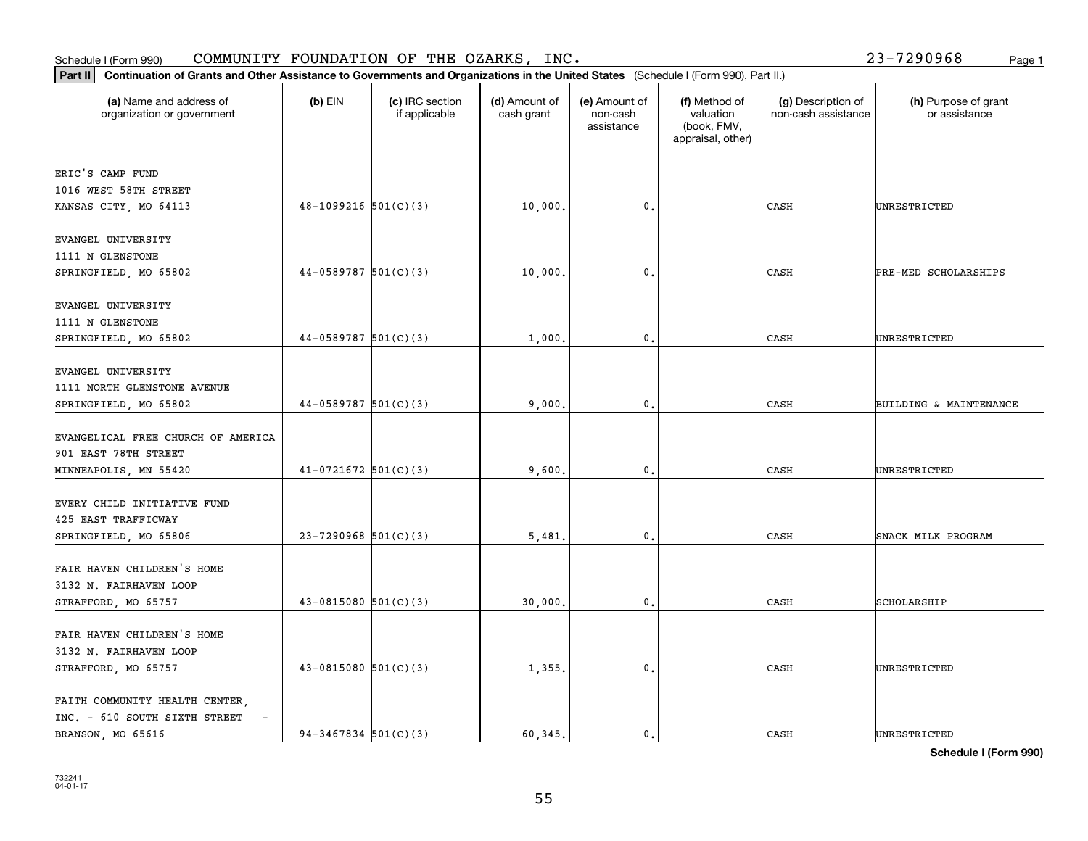**Schedule I (Form 990)**

| (a) Name and address of<br>organization or government | (b) EIN                  | (c) IRC section<br>if applicable | (d) Amount of<br>cash grant | (e) Amount of<br>non-cash<br>assistance | (f) Method of<br>valuation<br>(book, FMV,<br>appraisal, other) | (g) Description of<br>non-cash assistance | (h) Purpose of grant<br>or assistance |
|-------------------------------------------------------|--------------------------|----------------------------------|-----------------------------|-----------------------------------------|----------------------------------------------------------------|-------------------------------------------|---------------------------------------|
| ERIC'S CAMP FUND                                      |                          |                                  |                             |                                         |                                                                |                                           |                                       |
| 1016 WEST 58TH STREET                                 |                          |                                  |                             |                                         |                                                                |                                           |                                       |
| KANSAS CITY, MO 64113                                 | $48-1099216$ 501(C)(3)   |                                  | 10,000.                     | 0.                                      |                                                                | CASH                                      | UNRESTRICTED                          |
| EVANGEL UNIVERSITY                                    |                          |                                  |                             |                                         |                                                                |                                           |                                       |
| 1111 N GLENSTONE                                      |                          |                                  |                             |                                         |                                                                |                                           |                                       |
| SPRINGFIELD, MO 65802                                 | $44-0589787$ 501(C)(3)   |                                  | 10,000.                     | $\mathbf{0}$ .                          |                                                                | CASH                                      | PRE-MED SCHOLARSHIPS                  |
| EVANGEL UNIVERSITY                                    |                          |                                  |                             |                                         |                                                                |                                           |                                       |
| 1111 N GLENSTONE                                      |                          |                                  |                             |                                         |                                                                |                                           |                                       |
| SPRINGFIELD, MO 65802                                 | $44-0589787$ 501(C)(3)   |                                  | 1,000                       | 0.                                      |                                                                | CASH                                      | UNRESTRICTED                          |
| EVANGEL UNIVERSITY                                    |                          |                                  |                             |                                         |                                                                |                                           |                                       |
| 1111 NORTH GLENSTONE AVENUE                           |                          |                                  |                             |                                         |                                                                |                                           |                                       |
| SPRINGFIELD, MO 65802                                 | $44-0589787$ 501(C)(3)   |                                  | 9,000,                      | 0.                                      |                                                                | CASH                                      | BUILDING & MAINTENANCE                |
| EVANGELICAL FREE CHURCH OF AMERICA                    |                          |                                  |                             |                                         |                                                                |                                           |                                       |
| 901 EAST 78TH STREET                                  |                          |                                  |                             |                                         |                                                                |                                           |                                       |
| MINNEAPOLIS, MN 55420                                 | $41-0721672$ 501(C)(3)   |                                  | 9,600.                      | 0.                                      |                                                                | CASH                                      | UNRESTRICTED                          |
| EVERY CHILD INITIATIVE FUND                           |                          |                                  |                             |                                         |                                                                |                                           |                                       |
| 425 EAST TRAFFICWAY                                   |                          |                                  |                             |                                         |                                                                |                                           |                                       |
| SPRINGFIELD, MO 65806                                 | $23 - 7290968$ 501(C)(3) |                                  | 5,481.                      | $\mathsf{o}\,$ .                        |                                                                | CASH                                      | SNACK MILK PROGRAM                    |
| FAIR HAVEN CHILDREN'S HOME                            |                          |                                  |                             |                                         |                                                                |                                           |                                       |
| 3132 N. FAIRHAVEN LOOP                                |                          |                                  |                             |                                         |                                                                |                                           |                                       |
| STRAFFORD, MO 65757                                   | $43-0815080$ 501(C)(3)   |                                  | 30,000                      | $\mathbf{0}$ .                          |                                                                | CASH                                      | SCHOLARSHIP                           |
| FAIR HAVEN CHILDREN'S HOME                            |                          |                                  |                             |                                         |                                                                |                                           |                                       |
| 3132 N. FAIRHAVEN LOOP                                |                          |                                  |                             |                                         |                                                                |                                           |                                       |
| STRAFFORD, MO 65757                                   | $43-0815080$ $501(C)(3)$ |                                  | 1,355.                      | $\mathbf{0}$ .                          |                                                                | CASH                                      | UNRESTRICTED                          |
| FAITH COMMUNITY HEALTH CENTER                         |                          |                                  |                             |                                         |                                                                |                                           |                                       |
| INC. - 610 SOUTH SIXTH STREET                         |                          |                                  |                             |                                         |                                                                |                                           |                                       |
| BRANSON, MO 65616                                     | $94-3467834$ 501(C)(3)   |                                  | 60.345.                     | $\mathbf{0}$ .                          |                                                                | CASH                                      | UNRESTRICTED                          |

55

### Schedule I (Form 990)  ${\tt COMMUNITY}$  <code>FOUNDATION OF THE OZARKS, INC</code> .  $23-7290968$  Page 1

**Part II Continuation of Grants and Other Assistance to Governments and Organizations in the United States**  (Schedule I (Form 990), Part II.)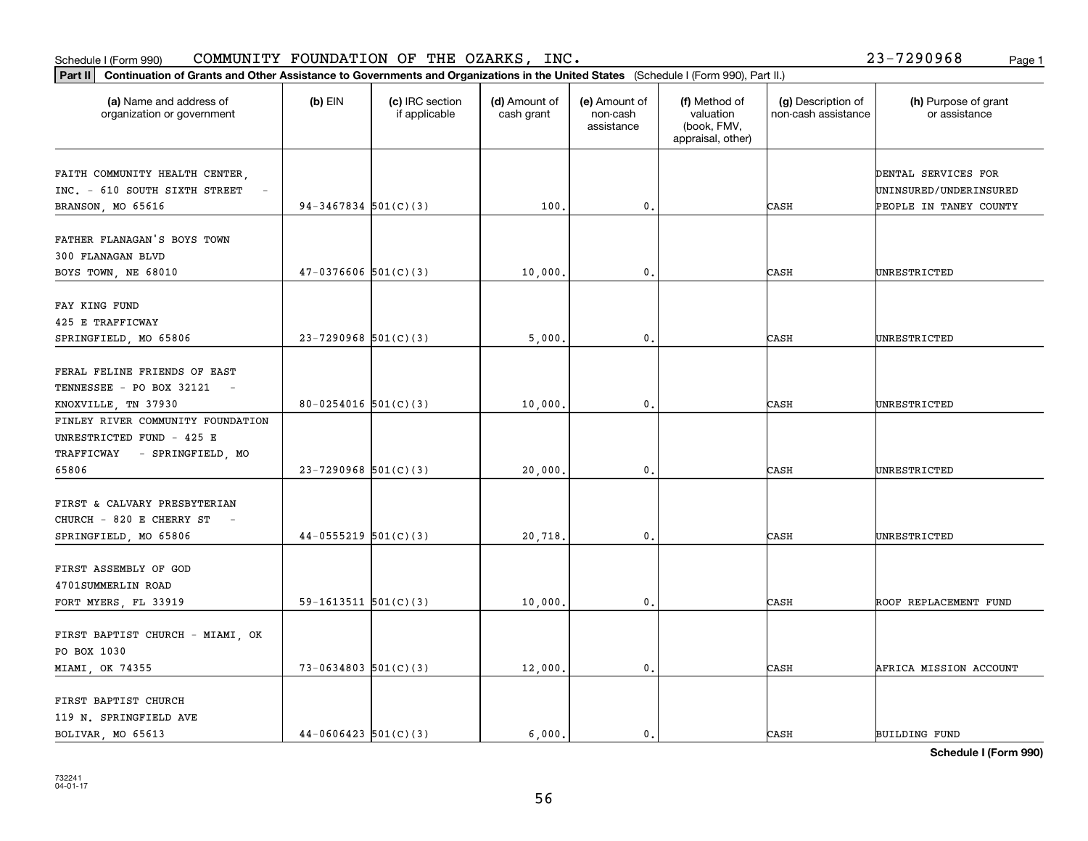#### **Part II Continuation of Grants and Other Assistance to Governments and Organizations in the United States**  (Schedule I (Form 990), Part II.) Schedule I (Form 990)  ${\tt COMMUNITY}$  <code>FOUNDATION OF THE OZARKS, INC</code> .  $23-7290968$  Page 1

| <b>Fail Trade Optimization of Grants and Other Assistance to Governments and Organizations in the Onlied States</b> (Conculted Fig. 0111 330), Fail in J |                          |                                  |                             |                                         |                                                                |                                           |                                       |
|----------------------------------------------------------------------------------------------------------------------------------------------------------|--------------------------|----------------------------------|-----------------------------|-----------------------------------------|----------------------------------------------------------------|-------------------------------------------|---------------------------------------|
| (a) Name and address of<br>organization or government                                                                                                    | (b) EIN                  | (c) IRC section<br>if applicable | (d) Amount of<br>cash grant | (e) Amount of<br>non-cash<br>assistance | (f) Method of<br>valuation<br>(book, FMV,<br>appraisal, other) | (g) Description of<br>non-cash assistance | (h) Purpose of grant<br>or assistance |
|                                                                                                                                                          |                          |                                  |                             |                                         |                                                                |                                           |                                       |
| FAITH COMMUNITY HEALTH CENTER,                                                                                                                           |                          |                                  |                             |                                         |                                                                |                                           | DENTAL SERVICES FOR                   |
| INC. - 610 SOUTH SIXTH STREET                                                                                                                            |                          |                                  |                             |                                         |                                                                |                                           | UNINSURED/UNDERINSURED                |
| BRANSON, MO 65616                                                                                                                                        | $94-3467834$ 501(C)(3)   |                                  | 100                         | 0.                                      |                                                                | CASH                                      | PEOPLE IN TANEY COUNTY                |
| FATHER FLANAGAN'S BOYS TOWN                                                                                                                              |                          |                                  |                             |                                         |                                                                |                                           |                                       |
| 300 FLANAGAN BLVD                                                                                                                                        |                          |                                  |                             |                                         |                                                                |                                           |                                       |
| BOYS TOWN, NE 68010                                                                                                                                      | $47-0376606$ 501(C)(3)   |                                  | 10,000.                     | 0.                                      |                                                                | CASH                                      | UNRESTRICTED                          |
|                                                                                                                                                          |                          |                                  |                             |                                         |                                                                |                                           |                                       |
| FAY KING FUND                                                                                                                                            |                          |                                  |                             |                                         |                                                                |                                           |                                       |
| 425 E TRAFFICWAY                                                                                                                                         |                          |                                  |                             |                                         |                                                                |                                           |                                       |
| SPRINGFIELD, MO 65806                                                                                                                                    | $23 - 7290968$ 501(C)(3) |                                  | 5,000                       | $^{\circ}$ .                            |                                                                | CASH                                      | UNRESTRICTED                          |
|                                                                                                                                                          |                          |                                  |                             |                                         |                                                                |                                           |                                       |
| FERAL FELINE FRIENDS OF EAST                                                                                                                             |                          |                                  |                             |                                         |                                                                |                                           |                                       |
| TENNESSEE - PO BOX 32121                                                                                                                                 |                          |                                  |                             |                                         |                                                                |                                           |                                       |
| KNOXVILLE, TN 37930                                                                                                                                      | $80 - 0254016$ 501(C)(3) |                                  | 10,000.                     | $\mathbf{0}$ .                          |                                                                | CASH                                      | UNRESTRICTED                          |
| FINLEY RIVER COMMUNITY FOUNDATION                                                                                                                        |                          |                                  |                             |                                         |                                                                |                                           |                                       |
| UNRESTRICTED FUND - 425 E                                                                                                                                |                          |                                  |                             |                                         |                                                                |                                           |                                       |
| TRAFFICWAY - SPRINGFIELD, MO                                                                                                                             |                          |                                  |                             |                                         |                                                                |                                           |                                       |
| 65806                                                                                                                                                    | $23 - 7290968$ 501(C)(3) |                                  | 20,000                      | $\mathfrak{o}$ .                        |                                                                | CASH                                      | UNRESTRICTED                          |
|                                                                                                                                                          |                          |                                  |                             |                                         |                                                                |                                           |                                       |
| FIRST & CALVARY PRESBYTERIAN<br>CHURCH - 820 E CHERRY ST                                                                                                 |                          |                                  |                             |                                         |                                                                |                                           |                                       |
| SPRINGFIELD, MO 65806                                                                                                                                    | $44-0555219$ 501(C)(3)   |                                  | 20,718.                     | $\mathbf{0}$ .                          |                                                                | CASH                                      | UNRESTRICTED                          |
|                                                                                                                                                          |                          |                                  |                             |                                         |                                                                |                                           |                                       |
| FIRST ASSEMBLY OF GOD                                                                                                                                    |                          |                                  |                             |                                         |                                                                |                                           |                                       |
| 4701SUMMERLIN ROAD                                                                                                                                       |                          |                                  |                             |                                         |                                                                |                                           |                                       |
| FORT MYERS, FL 33919                                                                                                                                     | 59-1613511 $501(C)(3)$   |                                  | 10,000.                     | $\mathbf{0}$ .                          |                                                                | CASH                                      | ROOF REPLACEMENT FUND                 |
|                                                                                                                                                          |                          |                                  |                             |                                         |                                                                |                                           |                                       |
| FIRST BAPTIST CHURCH - MIAMI, OK                                                                                                                         |                          |                                  |                             |                                         |                                                                |                                           |                                       |
| PO BOX 1030                                                                                                                                              |                          |                                  |                             |                                         |                                                                |                                           |                                       |
| MIAMI, OK 74355                                                                                                                                          | $73 - 0634803$ 501(C)(3) |                                  | 12,000.                     | 0.                                      |                                                                | CASH                                      | <b>AFRICA MISSION ACCOUNT</b>         |
|                                                                                                                                                          |                          |                                  |                             |                                         |                                                                |                                           |                                       |
| FIRST BAPTIST CHURCH                                                                                                                                     |                          |                                  |                             |                                         |                                                                |                                           |                                       |
| 119 N. SPRINGFIELD AVE                                                                                                                                   | $44-0606423$ 501(C)(3)   |                                  | 6.000.                      |                                         |                                                                |                                           |                                       |
| BOLIVAR, MO 65613                                                                                                                                        |                          |                                  |                             | 0.                                      |                                                                | CASH                                      | <b>BUILDING FUND</b>                  |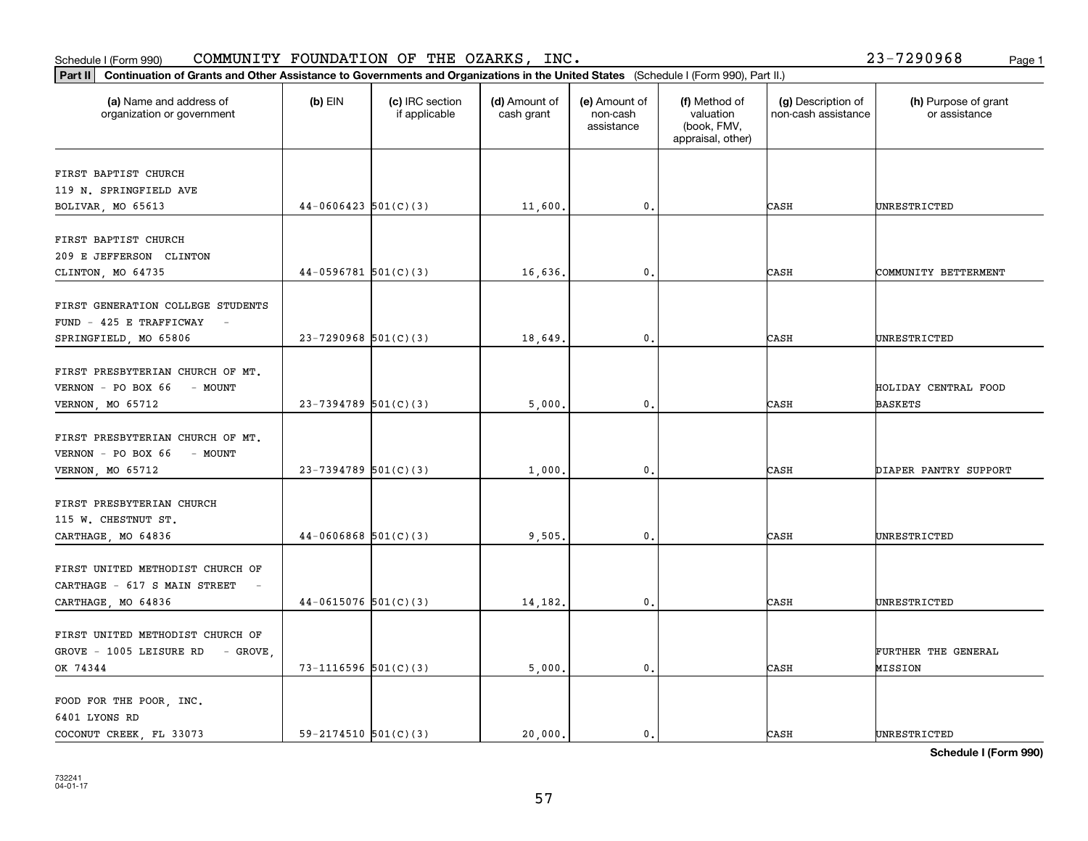FOOD FOR THE POOR, INC.

6401 LYONS RD

| FIRST BAPTIST CHURCH                                   |                            |         |                |      |                       |
|--------------------------------------------------------|----------------------------|---------|----------------|------|-----------------------|
| 209 E JEFFERSON CLINTON                                |                            |         |                |      |                       |
| CLINTON, MO 64735                                      | $44 - 0596781$ 501(C)(3)   | 16,636. | $\mathbf{0}$ . | CASH | COMMUNITY BETTERMENT  |
|                                                        |                            |         |                |      |                       |
| FIRST GENERATION COLLEGE STUDENTS                      |                            |         |                |      |                       |
| FUND - 425 E TRAFFICWAY -                              |                            |         |                |      |                       |
| SPRINGFIELD, MO 65806                                  | $23 - 7290968$ 501(C)(3)   | 18,649. | $\mathbf{0}$ . | CASH | UNRESTRICTED          |
|                                                        |                            |         |                |      |                       |
| FIRST PRESBYTERIAN CHURCH OF MT.                       |                            |         |                |      |                       |
| VERNON - PO BOX 66 - MOUNT                             |                            |         |                |      | HOLIDAY CENTRAL FOOD  |
| VERNON, MO 65712                                       | $23 - 7394789$ 501(C)(3)   | 5,000.  | $\mathbf{0}$ . | CASH | <b>BASKETS</b>        |
|                                                        |                            |         |                |      |                       |
| FIRST PRESBYTERIAN CHURCH OF MT.<br>VERNON - PO BOX 66 |                            |         |                |      |                       |
| - MOUNT                                                | $23 - 7394789$ 501(C)(3)   |         |                | CASH | DIAPER PANTRY SUPPORT |
| VERNON, MO 65712                                       |                            | 1,000.  | $\mathbf{0}$ . |      |                       |
| FIRST PRESBYTERIAN CHURCH                              |                            |         |                |      |                       |
| 115 W. CHESTNUT ST.                                    |                            |         |                |      |                       |
| CARTHAGE, MO 64836                                     | $44-0606868$ 501(C)(3)     | 9,505.  | $\mathbf{0}$ . | CASH | UNRESTRICTED          |
|                                                        |                            |         |                |      |                       |
| FIRST UNITED METHODIST CHURCH OF                       |                            |         |                |      |                       |
| CARTHAGE - 617 S MAIN STREET -                         |                            |         |                |      |                       |
| CARTHAGE, MO 64836                                     | $44-0615076$ 501(C)(3)     | 14,182. | $\mathbf{0}$ . | CASH | UNRESTRICTED          |
|                                                        |                            |         |                |      |                       |
| FIRST UNITED METHODIST CHURCH OF                       |                            |         |                |      |                       |
| GROVE - 1005 LEISURE RD - GROVE,                       |                            |         |                |      | FURTHER THE GENERAL   |
| OK 74344                                               | $73 - 1116596$ $501(C)(3)$ | 5,000.  | $\mathbf{0}$ . | CASH | MISSION               |
|                                                        |                            |         |                |      |                       |
|                                                        |                            |         |                |      |                       |

## Schedule I (Form 990)  ${\tt COMMUNITY}$  <code>FOUNDATION OF THE OZARKS, INC</code> .  $23-7290968$  Page 1

organization or government

FIRST BAPTIST CHURCH 119 N. SPRINGFIELD AVE

**Part II Continuation of Grants and Other Assistance to Governments and Organizations in the United States**  (Schedule I (Form 990), Part II.)

if applicable

 $(b)$  EIN  $(c)$  IRC section

**(a) (b) (c) (d) (e) (f) (g) (h)** Name and address of

BOLIVAR, MO 65613 **600.** 44-0606423 501(C)(3) 11,600. 0. CASH CASH UNRESTRICTED

(d) Amount of cash grant

(e) Amount of non-cashassistance

(f) Method of valuation (book, FMV, appraisal, other)

(g) Description of non-cash assistance

(h) Purpose of grant or assistance

COCONUT CREEK, FL 33073 SAULT AND SOLOROM SERVICES OF LAND SOLOROM SERVICES OF LAND SOLOROMOTRICTED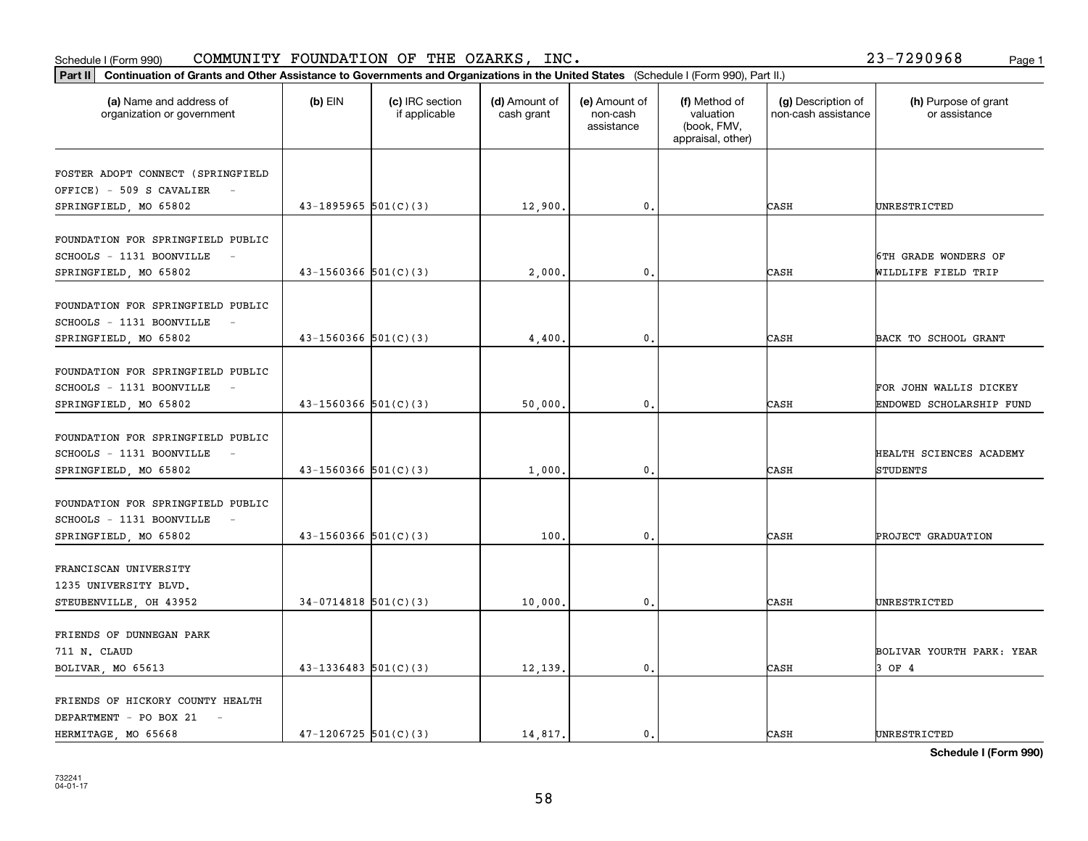| Part II   Continuation of Grants and Other Assistance to Governments and Organizations in the United States (Schedule I (Form 990), Part II.) |                            |                                  |                             |                                         |                                                                |                                           |                                       |  |  |  |  |
|-----------------------------------------------------------------------------------------------------------------------------------------------|----------------------------|----------------------------------|-----------------------------|-----------------------------------------|----------------------------------------------------------------|-------------------------------------------|---------------------------------------|--|--|--|--|
| (a) Name and address of<br>organization or government                                                                                         | $(b)$ EIN                  | (c) IRC section<br>if applicable | (d) Amount of<br>cash grant | (e) Amount of<br>non-cash<br>assistance | (f) Method of<br>valuation<br>(book, FMV,<br>appraisal, other) | (g) Description of<br>non-cash assistance | (h) Purpose of grant<br>or assistance |  |  |  |  |
| FOSTER ADOPT CONNECT (SPRINGFIELD                                                                                                             |                            |                                  |                             |                                         |                                                                |                                           |                                       |  |  |  |  |
| OFFICE) - 509 S CAVALIER                                                                                                                      |                            |                                  |                             |                                         |                                                                |                                           |                                       |  |  |  |  |
| SPRINGFIELD, MO 65802                                                                                                                         | $43 - 1895965$ $501(C)(3)$ |                                  | 12,900.                     | 0.                                      |                                                                | CASH                                      | UNRESTRICTED                          |  |  |  |  |
|                                                                                                                                               |                            |                                  |                             |                                         |                                                                |                                           |                                       |  |  |  |  |
| FOUNDATION FOR SPRINGFIELD PUBLIC                                                                                                             |                            |                                  |                             |                                         |                                                                |                                           |                                       |  |  |  |  |
| SCHOOLS - 1131 BOONVILLE                                                                                                                      |                            |                                  |                             |                                         |                                                                |                                           | 6TH GRADE WONDERS OF                  |  |  |  |  |
| SPRINGFIELD, MO 65802                                                                                                                         | $43 - 1560366$ $501(C)(3)$ |                                  | 2,000                       | 0.                                      |                                                                | CASH                                      | WILDLIFE FIELD TRIP                   |  |  |  |  |
|                                                                                                                                               |                            |                                  |                             |                                         |                                                                |                                           |                                       |  |  |  |  |
| FOUNDATION FOR SPRINGFIELD PUBLIC                                                                                                             |                            |                                  |                             |                                         |                                                                |                                           |                                       |  |  |  |  |
| SCHOOLS - 1131 BOONVILLE                                                                                                                      |                            |                                  |                             |                                         |                                                                |                                           |                                       |  |  |  |  |
| SPRINGFIELD, MO 65802                                                                                                                         | $43 - 1560366$ $501(C)(3)$ |                                  | 4,400                       | $\mathbf{0}$ .                          |                                                                | CASH                                      | BACK TO SCHOOL GRANT                  |  |  |  |  |
| FOUNDATION FOR SPRINGFIELD PUBLIC                                                                                                             |                            |                                  |                             |                                         |                                                                |                                           |                                       |  |  |  |  |
| SCHOOLS - 1131 BOONVILLE<br>$\sim$ $-$                                                                                                        |                            |                                  |                             |                                         |                                                                |                                           | FOR JOHN WALLIS DICKEY                |  |  |  |  |
| SPRINGFIELD, MO 65802                                                                                                                         | $43 - 1560366$ $501(C)(3)$ |                                  | 50,000                      | $\mathbf{0}$                            |                                                                | CASH                                      | ENDOWED SCHOLARSHIP FUND              |  |  |  |  |
|                                                                                                                                               |                            |                                  |                             |                                         |                                                                |                                           |                                       |  |  |  |  |
| FOUNDATION FOR SPRINGFIELD PUBLIC                                                                                                             |                            |                                  |                             |                                         |                                                                |                                           |                                       |  |  |  |  |
| SCHOOLS - 1131 BOONVILLE                                                                                                                      |                            |                                  |                             |                                         |                                                                |                                           | HEALTH SCIENCES ACADEMY               |  |  |  |  |
| SPRINGFIELD, MO 65802                                                                                                                         | $43 - 1560366$ $501(C)(3)$ |                                  | 1,000                       | $\mathbf{0}$                            |                                                                | CASH                                      | <b>STUDENTS</b>                       |  |  |  |  |
|                                                                                                                                               |                            |                                  |                             |                                         |                                                                |                                           |                                       |  |  |  |  |
| FOUNDATION FOR SPRINGFIELD PUBLIC                                                                                                             |                            |                                  |                             |                                         |                                                                |                                           |                                       |  |  |  |  |
| SCHOOLS - 1131 BOONVILLE                                                                                                                      |                            |                                  |                             |                                         |                                                                |                                           |                                       |  |  |  |  |
| SPRINGFIELD, MO 65802                                                                                                                         | $43 - 1560366$ $501(C)(3)$ |                                  | 100                         | 0.                                      |                                                                | CASH                                      | PROJECT GRADUATION                    |  |  |  |  |
| FRANCISCAN UNIVERSITY                                                                                                                         |                            |                                  |                             |                                         |                                                                |                                           |                                       |  |  |  |  |
| 1235 UNIVERSITY BLVD.                                                                                                                         |                            |                                  |                             |                                         |                                                                |                                           |                                       |  |  |  |  |
| STEUBENVILLE, OH 43952                                                                                                                        | $34-0714818$ $501(C)(3)$   |                                  | 10,000                      | $^{\rm 0}$ .                            |                                                                | CASH                                      | UNRESTRICTED                          |  |  |  |  |
|                                                                                                                                               |                            |                                  |                             |                                         |                                                                |                                           |                                       |  |  |  |  |
| FRIENDS OF DUNNEGAN PARK                                                                                                                      |                            |                                  |                             |                                         |                                                                |                                           |                                       |  |  |  |  |
| 711 N. CLAUD                                                                                                                                  |                            |                                  |                             |                                         |                                                                |                                           | BOLIVAR YOURTH PARK: YEAR             |  |  |  |  |
| BOLIVAR, MO 65613                                                                                                                             | $43 - 1336483$ 501(C)(3)   |                                  | 12,139.                     | $\mathfrak{o}$ .                        |                                                                | CASH                                      | 3 OF 4                                |  |  |  |  |
|                                                                                                                                               |                            |                                  |                             |                                         |                                                                |                                           |                                       |  |  |  |  |
| FRIENDS OF HICKORY COUNTY HEALTH                                                                                                              |                            |                                  |                             |                                         |                                                                |                                           |                                       |  |  |  |  |
| DEPARTMENT - PO BOX 21<br>$\sim$ $-$<br>HERMITAGE, MO 65668                                                                                   | $47-1206725$ 501(C)(3)     |                                  | 14,817.                     | $\mathbf{0}$ .                          |                                                                | CASH                                      | <b>UNRESTRICTED</b>                   |  |  |  |  |
|                                                                                                                                               |                            |                                  |                             |                                         |                                                                |                                           |                                       |  |  |  |  |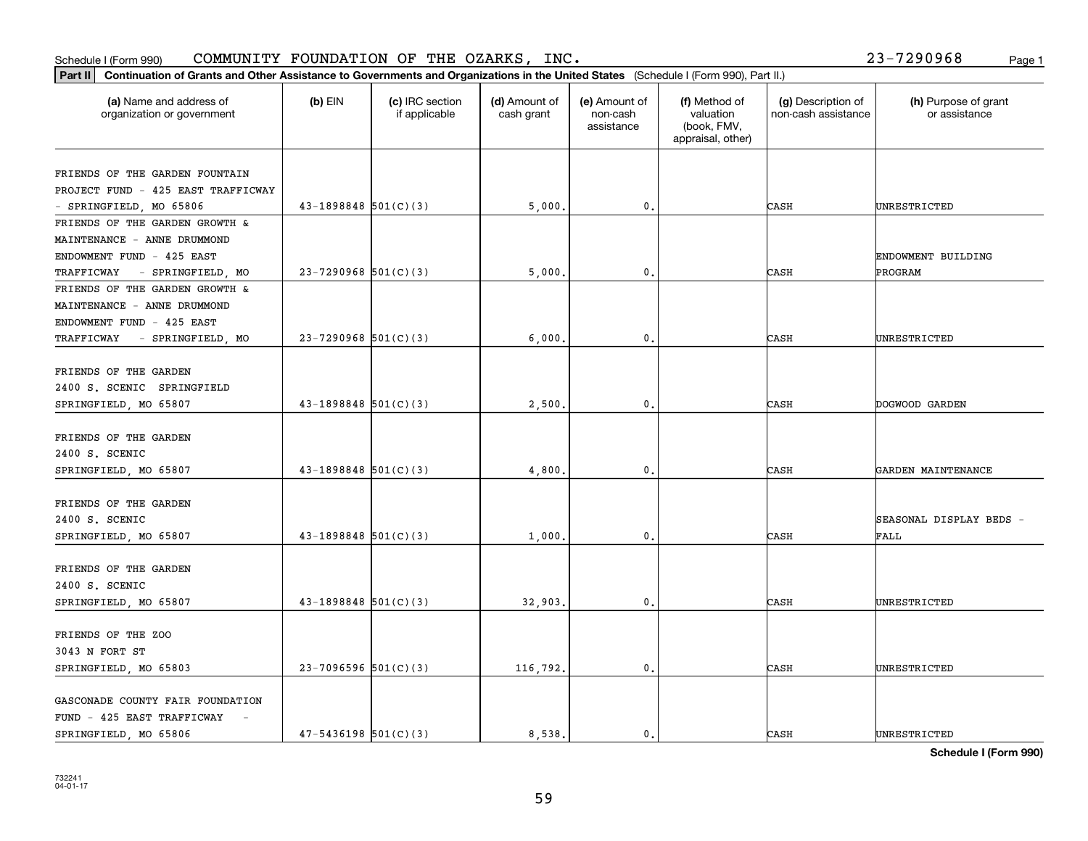#### **Part III Continuation of Grants and Other Assistance to Governments and Organization of Grants and Other Assistance to Governments and Organization of Grants and Other Assistance to Governments and Organization** Schedule I (Form 990)  ${\tt COMMUNITY}$  <code>FOUNDATION OF THE OZARKS, INC</code> .  $23-7290968$  Page 1

| Continuation of Grants and Other Assistance to Governments and Organizations in the United States (Schedule I (Form 990), Part II.)<br>Part II |                            |                                  |                             |                                         |                                                                |                                           |                                       |  |  |  |
|------------------------------------------------------------------------------------------------------------------------------------------------|----------------------------|----------------------------------|-----------------------------|-----------------------------------------|----------------------------------------------------------------|-------------------------------------------|---------------------------------------|--|--|--|
| (a) Name and address of<br>organization or government                                                                                          | $(b)$ EIN                  | (c) IRC section<br>if applicable | (d) Amount of<br>cash grant | (e) Amount of<br>non-cash<br>assistance | (f) Method of<br>valuation<br>(book, FMV,<br>appraisal, other) | (g) Description of<br>non-cash assistance | (h) Purpose of grant<br>or assistance |  |  |  |
|                                                                                                                                                |                            |                                  |                             |                                         |                                                                |                                           |                                       |  |  |  |
| FRIENDS OF THE GARDEN FOUNTAIN                                                                                                                 |                            |                                  |                             |                                         |                                                                |                                           |                                       |  |  |  |
| PROJECT FUND - 425 EAST TRAFFICWAY                                                                                                             | $43-1898848$ $501(C)(3)$   |                                  | 5,000                       | 0.                                      |                                                                | CASH                                      | UNRESTRICTED                          |  |  |  |
| - SPRINGFIELD, MO 65806<br>FRIENDS OF THE GARDEN GROWTH &                                                                                      |                            |                                  |                             |                                         |                                                                |                                           |                                       |  |  |  |
|                                                                                                                                                |                            |                                  |                             |                                         |                                                                |                                           |                                       |  |  |  |
| MAINTENANCE - ANNE DRUMMOND<br>ENDOWMENT FUND - 425 EAST                                                                                       |                            |                                  |                             |                                         |                                                                |                                           | ENDOWMENT BUILDING                    |  |  |  |
|                                                                                                                                                | $23 - 7290968$ 501(C)(3)   |                                  |                             | $\mathbf{0}$ .                          |                                                                | CASH                                      | PROGRAM                               |  |  |  |
| TRAFFICWAY<br>- SPRINGFIELD, MO<br>FRIENDS OF THE GARDEN GROWTH &                                                                              |                            |                                  | 5,000                       |                                         |                                                                |                                           |                                       |  |  |  |
| MAINTENANCE - ANNE DRUMMOND                                                                                                                    |                            |                                  |                             |                                         |                                                                |                                           |                                       |  |  |  |
| ENDOWMENT FUND - 425 EAST                                                                                                                      |                            |                                  |                             |                                         |                                                                |                                           |                                       |  |  |  |
|                                                                                                                                                | $23 - 7290968$ 501(C)(3)   |                                  | 6,000                       | $\mathbf{0}$                            |                                                                | CASH                                      | UNRESTRICTED                          |  |  |  |
| TRAFFICWAY<br>- SPRINGFIELD, MO                                                                                                                |                            |                                  |                             |                                         |                                                                |                                           |                                       |  |  |  |
| FRIENDS OF THE GARDEN                                                                                                                          |                            |                                  |                             |                                         |                                                                |                                           |                                       |  |  |  |
| 2400 S. SCENIC SPRINGFIELD                                                                                                                     |                            |                                  |                             |                                         |                                                                |                                           |                                       |  |  |  |
| SPRINGFIELD, MO 65807                                                                                                                          | $43-1898848$ $501(C)(3)$   |                                  | 2,500                       | 0.                                      |                                                                | CASH                                      | DOGWOOD GARDEN                        |  |  |  |
|                                                                                                                                                |                            |                                  |                             |                                         |                                                                |                                           |                                       |  |  |  |
| FRIENDS OF THE GARDEN                                                                                                                          |                            |                                  |                             |                                         |                                                                |                                           |                                       |  |  |  |
| 2400 S. SCENIC                                                                                                                                 |                            |                                  |                             |                                         |                                                                |                                           |                                       |  |  |  |
| SPRINGFIELD, MO 65807                                                                                                                          | $43 - 1898848$ 501(C)(3)   |                                  | 4,800                       | $\mathbf{0}$ .                          |                                                                | CASH                                      | GARDEN MAINTENANCE                    |  |  |  |
|                                                                                                                                                |                            |                                  |                             |                                         |                                                                |                                           |                                       |  |  |  |
| FRIENDS OF THE GARDEN                                                                                                                          |                            |                                  |                             |                                         |                                                                |                                           |                                       |  |  |  |
| 2400 S. SCENIC                                                                                                                                 |                            |                                  |                             |                                         |                                                                |                                           | SEASONAL DISPLAY BEDS -               |  |  |  |
| SPRINGFIELD, MO 65807                                                                                                                          | $43-1898848$ $501(C)(3)$   |                                  | 1,000                       | $\mathbf{0}$                            |                                                                | CASH                                      | FALL                                  |  |  |  |
|                                                                                                                                                |                            |                                  |                             |                                         |                                                                |                                           |                                       |  |  |  |
| FRIENDS OF THE GARDEN                                                                                                                          |                            |                                  |                             |                                         |                                                                |                                           |                                       |  |  |  |
| 2400 S. SCENIC                                                                                                                                 |                            |                                  |                             |                                         |                                                                |                                           |                                       |  |  |  |
| SPRINGFIELD, MO 65807                                                                                                                          | $43-1898848$ $501(C)(3)$   |                                  | 32,903                      | 0.                                      |                                                                | CASH                                      | UNRESTRICTED                          |  |  |  |
|                                                                                                                                                |                            |                                  |                             |                                         |                                                                |                                           |                                       |  |  |  |
| FRIENDS OF THE ZOO                                                                                                                             |                            |                                  |                             |                                         |                                                                |                                           |                                       |  |  |  |
| 3043 N FORT ST                                                                                                                                 |                            |                                  |                             |                                         |                                                                |                                           |                                       |  |  |  |
| SPRINGFIELD, MO 65803                                                                                                                          | $23-7096596$ 501(C)(3)     |                                  | 116,792.                    | $\mathbf{0}$ .                          |                                                                | CASH                                      | UNRESTRICTED                          |  |  |  |
|                                                                                                                                                |                            |                                  |                             |                                         |                                                                |                                           |                                       |  |  |  |
| GASCONADE COUNTY FAIR FOUNDATION                                                                                                               |                            |                                  |                             |                                         |                                                                |                                           |                                       |  |  |  |
| FUND - 425 EAST TRAFFICWAY<br>$\sim$ $-$                                                                                                       |                            |                                  |                             |                                         |                                                                |                                           |                                       |  |  |  |
| SPRINGFIELD MO 65806                                                                                                                           | $47 - 5436198$ $501(C)(3)$ |                                  | 8.538.                      | $\mathbf{0}$ .                          |                                                                | CASH                                      | <b>UNRESTRICTED</b>                   |  |  |  |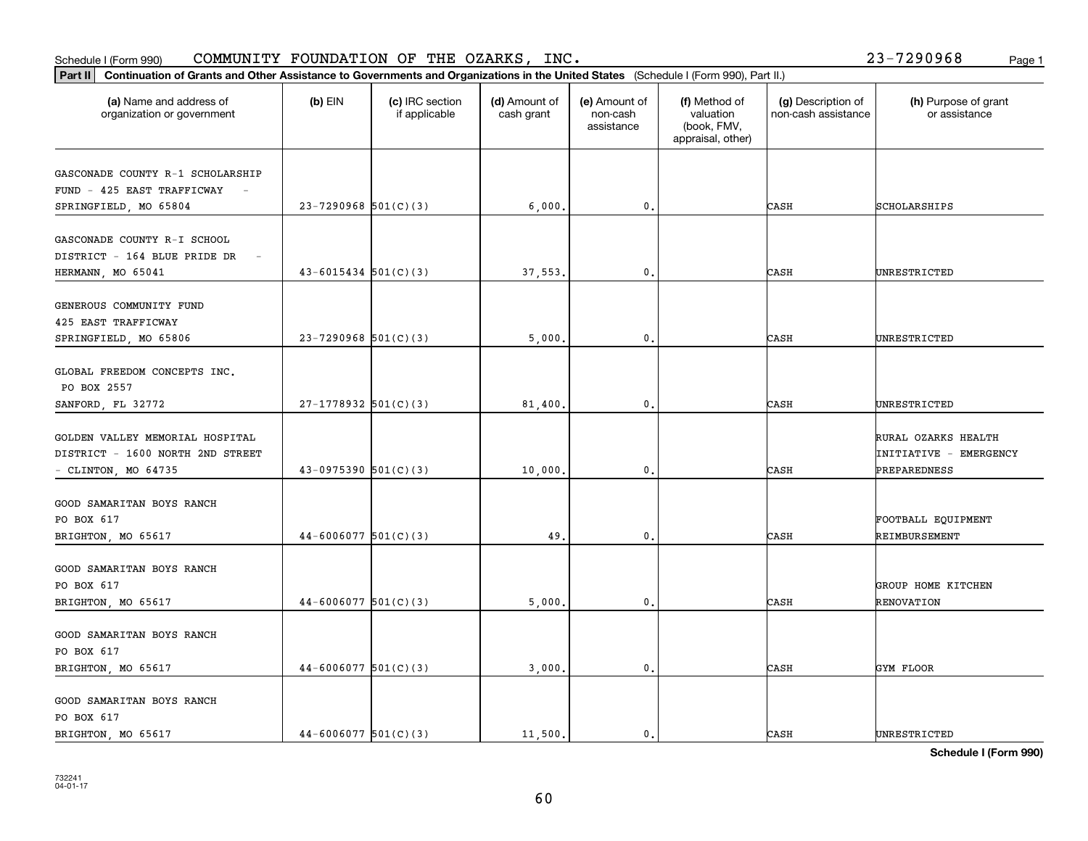#### Schedule I (Form 990) COMMUNITY FOUNDATION OF THE OZARKS, INC。 Page 1 COMMUNITY FOUNDATION OF THE OZARKS, INC. 23-7290968

| Part II   Continuation of Grants and Other Assistance to Governments and Organizations in the United States (Schedule I (Form 990), Part II.) |                            |                                  |                             |                                         |                                                                |                                           |                                       |
|-----------------------------------------------------------------------------------------------------------------------------------------------|----------------------------|----------------------------------|-----------------------------|-----------------------------------------|----------------------------------------------------------------|-------------------------------------------|---------------------------------------|
| (a) Name and address of<br>organization or government                                                                                         | $(b)$ EIN                  | (c) IRC section<br>if applicable | (d) Amount of<br>cash grant | (e) Amount of<br>non-cash<br>assistance | (f) Method of<br>valuation<br>(book, FMV,<br>appraisal, other) | (g) Description of<br>non-cash assistance | (h) Purpose of grant<br>or assistance |
| GASCONADE COUNTY R-1 SCHOLARSHIP                                                                                                              |                            |                                  |                             |                                         |                                                                |                                           |                                       |
| FUND - 425 EAST TRAFFICWAY                                                                                                                    |                            |                                  |                             |                                         |                                                                |                                           |                                       |
| SPRINGFIELD, MO 65804                                                                                                                         | $23 - 7290968$ 501(C)(3)   |                                  | 6,000.                      | 0.                                      |                                                                | CASH                                      | SCHOLARSHIPS                          |
|                                                                                                                                               |                            |                                  |                             |                                         |                                                                |                                           |                                       |
| GASCONADE COUNTY R-I SCHOOL                                                                                                                   |                            |                                  |                             |                                         |                                                                |                                           |                                       |
| DISTRICT - 164 BLUE PRIDE DR                                                                                                                  |                            |                                  |                             |                                         |                                                                |                                           |                                       |
| HERMANN, MO 65041                                                                                                                             | $43 - 6015434$ $501(C)(3)$ |                                  | 37,553.                     | 0.                                      |                                                                | CASH                                      | UNRESTRICTED                          |
|                                                                                                                                               |                            |                                  |                             |                                         |                                                                |                                           |                                       |
| GENEROUS COMMUNITY FUND                                                                                                                       |                            |                                  |                             |                                         |                                                                |                                           |                                       |
| 425 EAST TRAFFICWAY                                                                                                                           |                            |                                  |                             |                                         |                                                                |                                           |                                       |
| SPRINGFIELD, MO 65806                                                                                                                         | $23 - 7290968$ 501(C)(3)   |                                  | 5,000                       | $\mathbf{0}$ .                          |                                                                | CASH                                      | UNRESTRICTED                          |
| GLOBAL FREEDOM CONCEPTS INC.                                                                                                                  |                            |                                  |                             |                                         |                                                                |                                           |                                       |
| PO BOX 2557                                                                                                                                   |                            |                                  |                             |                                         |                                                                |                                           |                                       |
| SANFORD, FL 32772                                                                                                                             | $27-1778932$ 501(C)(3)     |                                  | 81,400.                     | 0.                                      |                                                                | CASH                                      | UNRESTRICTED                          |
|                                                                                                                                               |                            |                                  |                             |                                         |                                                                |                                           |                                       |
| GOLDEN VALLEY MEMORIAL HOSPITAL                                                                                                               |                            |                                  |                             |                                         |                                                                |                                           | RURAL OZARKS HEALTH                   |
| DISTRICT - 1600 NORTH 2ND STREET                                                                                                              |                            |                                  |                             |                                         |                                                                |                                           | INITIATIVE - EMERGENCY                |
| $-$ CLINTON, MO 64735                                                                                                                         | $43-0975390$ $501(C)(3)$   |                                  | 10,000.                     | 0.                                      |                                                                | CASH                                      | PREPAREDNESS                          |
|                                                                                                                                               |                            |                                  |                             |                                         |                                                                |                                           |                                       |
| GOOD SAMARITAN BOYS RANCH                                                                                                                     |                            |                                  |                             |                                         |                                                                |                                           |                                       |
| PO BOX 617                                                                                                                                    |                            |                                  |                             |                                         |                                                                |                                           | FOOTBALL EQUIPMENT                    |
| BRIGHTON, MO 65617                                                                                                                            | $44-6006077$ 501(C)(3)     |                                  | 49                          | 0.                                      |                                                                | CASH                                      | REIMBURSEMENT                         |
|                                                                                                                                               |                            |                                  |                             |                                         |                                                                |                                           |                                       |
| GOOD SAMARITAN BOYS RANCH                                                                                                                     |                            |                                  |                             |                                         |                                                                |                                           |                                       |
| PO BOX 617                                                                                                                                    |                            |                                  |                             |                                         |                                                                |                                           | GROUP HOME KITCHEN                    |
| BRIGHTON, MO 65617                                                                                                                            | $44-6006077$ 501(C)(3)     |                                  | 5,000                       | $\mathbf{0}$ .                          |                                                                | CASH                                      | <b>RENOVATION</b>                     |
|                                                                                                                                               |                            |                                  |                             |                                         |                                                                |                                           |                                       |
| GOOD SAMARITAN BOYS RANCH                                                                                                                     |                            |                                  |                             |                                         |                                                                |                                           |                                       |
| PO BOX 617                                                                                                                                    | $44-6006077$ 501(C)(3)     |                                  | 3,000.                      | $\mathfrak o$ .                         |                                                                | CASH                                      | GYM FLOOR                             |
| BRIGHTON, MO 65617                                                                                                                            |                            |                                  |                             |                                         |                                                                |                                           |                                       |
| GOOD SAMARITAN BOYS RANCH                                                                                                                     |                            |                                  |                             |                                         |                                                                |                                           |                                       |
| PO BOX 617                                                                                                                                    |                            |                                  |                             |                                         |                                                                |                                           |                                       |
| BRIGHTON, MO 65617                                                                                                                            | $44-6006077$ 501(C)(3)     |                                  | 11,500.                     | $\mathbf{0}$ .                          |                                                                | CASH                                      | <b>UNRESTRICTED</b>                   |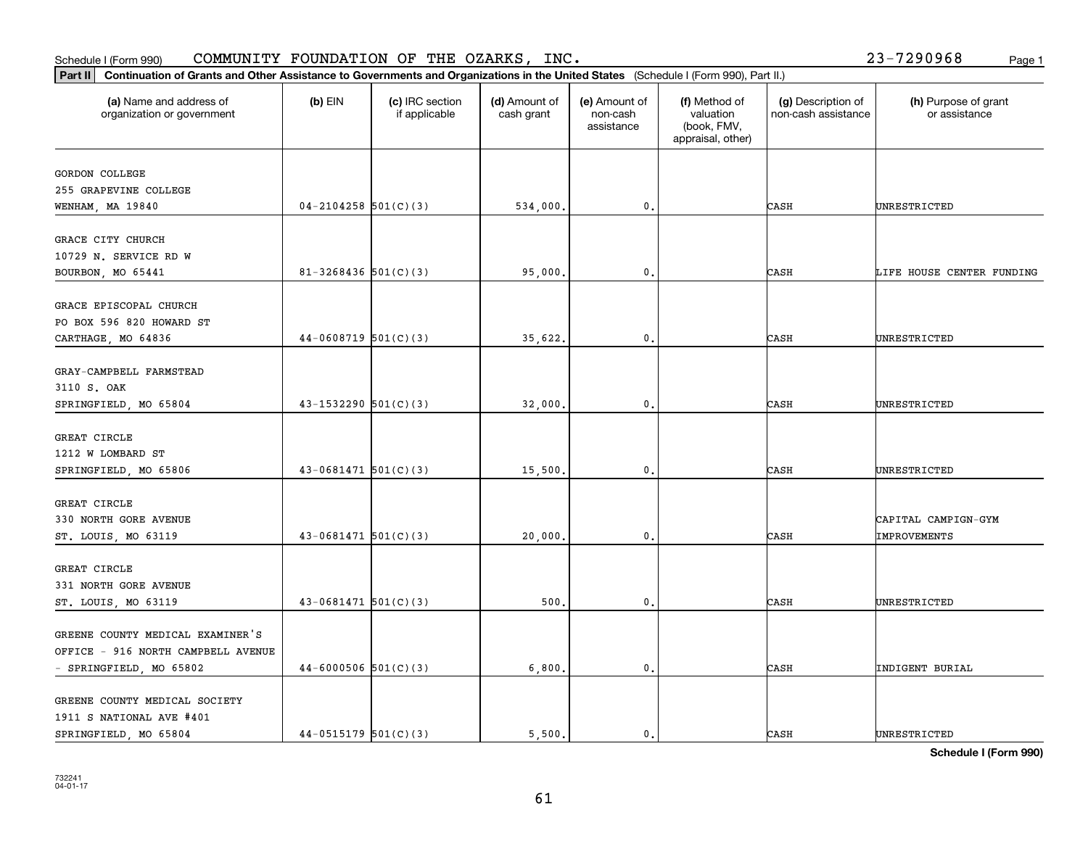GREAT CIRCLE

GREAT CIRCLE

331 NORTH GORE AVENUE

GREENE COUNTY MEDICAL EXAMINER'S OFFICE - 916 NORTH CAMPBELL AVENUE

GREENE COUNTY MEDICAL SOCIETY 1911 S NATIONAL AVE #401

| (a) Name and address of<br>organization or government | (b) EIN                    | (c) IRC section<br>if applicable | (d) Amount of<br>cash grant | (e) Amount of<br>non-cash<br>assistance | (f) Method of<br>valuation<br>(book, FMV,<br>appraisal, other) | (g) Description of<br>non-cash assistance | (h) Purpose of grant<br>or assistance |
|-------------------------------------------------------|----------------------------|----------------------------------|-----------------------------|-----------------------------------------|----------------------------------------------------------------|-------------------------------------------|---------------------------------------|
|                                                       |                            |                                  |                             |                                         |                                                                |                                           |                                       |
| <b>GORDON COLLEGE</b>                                 |                            |                                  |                             |                                         |                                                                |                                           |                                       |
| 255 GRAPEVINE COLLEGE                                 |                            |                                  |                             |                                         |                                                                |                                           |                                       |
| WENHAM, MA 19840                                      | $04 - 2104258$ 501(C)(3)   |                                  | 534,000.                    | $\mathbf{0}$ .                          |                                                                | CASH                                      | UNRESTRICTED                          |
| GRACE CITY CHURCH                                     |                            |                                  |                             |                                         |                                                                |                                           |                                       |
| 10729 N. SERVICE RD W                                 |                            |                                  |                             |                                         |                                                                |                                           |                                       |
| BOURBON, MO 65441                                     | $81 - 3268436$ $501(C)(3)$ |                                  | 95,000.                     | 0.                                      |                                                                | CASH                                      | LIFE HOUSE CENTER FUNDING             |
|                                                       |                            |                                  |                             |                                         |                                                                |                                           |                                       |
| GRACE EPISCOPAL CHURCH                                |                            |                                  |                             |                                         |                                                                |                                           |                                       |
| PO BOX 596 820 HOWARD ST                              |                            |                                  |                             |                                         |                                                                |                                           |                                       |
| CARTHAGE, MO 64836                                    | $44-0608719$ 501(C)(3)     |                                  | 35,622.                     | $0$ .                                   |                                                                | CASH                                      | UNRESTRICTED                          |
| GRAY-CAMPBELL FARMSTEAD                               |                            |                                  |                             |                                         |                                                                |                                           |                                       |
|                                                       |                            |                                  |                             |                                         |                                                                |                                           |                                       |
| 3110 S. OAK                                           |                            |                                  |                             |                                         |                                                                |                                           |                                       |
| SPRINGFIELD, MO 65804                                 | $43 - 1532290$ $501(C)(3)$ |                                  | 32,000.                     | $\mathbf{0}$ .                          |                                                                | CASH                                      | <b>UNRESTRICTED</b>                   |
| GREAT CIRCLE                                          |                            |                                  |                             |                                         |                                                                |                                           |                                       |
| 1212 W LOMBARD ST                                     |                            |                                  |                             |                                         |                                                                |                                           |                                       |
|                                                       | $43-0681471$ 501(C)(3)     |                                  |                             | $\mathbf{0}$ .                          |                                                                | CASH                                      | <b>UNRESTRICTED</b>                   |
| SPRINGFIELD, MO 65806                                 |                            |                                  | 15,500.                     |                                         |                                                                |                                           |                                       |

#### Schedule I (Form 990)  ${\tt COMMUNITY}$  <code>FOUNDATION OF THE OZARKS, INC</code> .  $23-7290968$  Page 1

**Part II Continuation of Grants and Other Assistance to Governments and Organizations in the United States**  (Schedule I (Form 990), Part II.)

**Schedule I (Form 990)**

330 NORTH GORE AVENUE CAPITAL CAMPIGN-GYM

ST. LOUIS, MO 63119 43-0681471 501(C)(3) 20,000. 0. CASH IMPROVEMENTS

ST. LOUIS, MO 63119 43-0681471 501(C)(3) 500. 0. CASH UNRESTRICTED

- SPRINGFIELD, MO 65802 44-6000506 501(C)(3) 6,800. 0. CASH INDIGENT BURIAL

SPRINGFIELD, MO 65804 44-0515179 501(C)(3) 5,500. 0. CASH UNRESTRICTED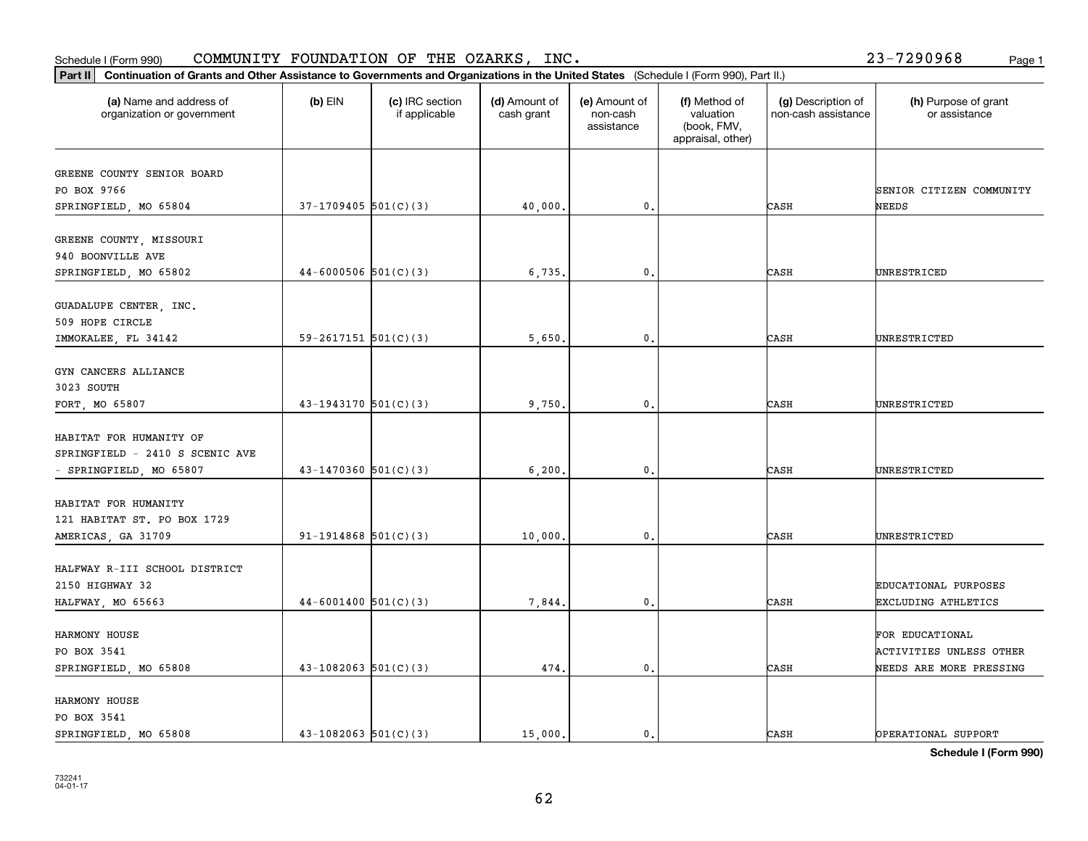| Part II   Continuation of Grants and Other Assistance to Governments and Organizations in the United States (Schedule I (Form 990), Part II.) |                            |                                  |                             |                                         |                                                                |                                           |                                                    |  |  |  |  |
|-----------------------------------------------------------------------------------------------------------------------------------------------|----------------------------|----------------------------------|-----------------------------|-----------------------------------------|----------------------------------------------------------------|-------------------------------------------|----------------------------------------------------|--|--|--|--|
| (a) Name and address of<br>organization or government                                                                                         | $(b)$ EIN                  | (c) IRC section<br>if applicable | (d) Amount of<br>cash grant | (e) Amount of<br>non-cash<br>assistance | (f) Method of<br>valuation<br>(book, FMV,<br>appraisal, other) | (g) Description of<br>non-cash assistance | (h) Purpose of grant<br>or assistance              |  |  |  |  |
| GREENE COUNTY SENIOR BOARD                                                                                                                    |                            |                                  |                             |                                         |                                                                |                                           |                                                    |  |  |  |  |
| PO BOX 9766                                                                                                                                   |                            |                                  |                             |                                         |                                                                |                                           | SENIOR CITIZEN COMMUNITY                           |  |  |  |  |
| SPRINGFIELD, MO 65804                                                                                                                         | $37-1709405$ 501(C)(3)     |                                  | 40,000.                     | $\mathbf{0}$ .                          |                                                                | CASH                                      | NEEDS                                              |  |  |  |  |
|                                                                                                                                               |                            |                                  |                             |                                         |                                                                |                                           |                                                    |  |  |  |  |
| GREENE COUNTY, MISSOURI<br>940 BOONVILLE AVE                                                                                                  |                            |                                  |                             |                                         |                                                                |                                           |                                                    |  |  |  |  |
| SPRINGFIELD, MO 65802                                                                                                                         | $44-6000506$ 501(C)(3)     |                                  | 6,735.                      | 0.                                      |                                                                | CASH                                      | UNRESTRICED                                        |  |  |  |  |
| GUADALUPE CENTER, INC.<br>509 HOPE CIRCLE<br>IMMOKALEE, FL 34142                                                                              | $59 - 2617151$ $501(C)(3)$ |                                  | 5,650                       | $\mathbf{0}$ .                          |                                                                | CASH                                      | UNRESTRICTED                                       |  |  |  |  |
|                                                                                                                                               |                            |                                  |                             |                                         |                                                                |                                           |                                                    |  |  |  |  |
| GYN CANCERS ALLIANCE                                                                                                                          |                            |                                  |                             |                                         |                                                                |                                           |                                                    |  |  |  |  |
| 3023 SOUTH                                                                                                                                    |                            |                                  |                             |                                         |                                                                |                                           |                                                    |  |  |  |  |
| FORT, MO 65807                                                                                                                                | $43-1943170$ 501(C)(3)     |                                  | 9,750.                      | $\mathfrak{o}$ .                        |                                                                | CASH                                      | UNRESTRICTED                                       |  |  |  |  |
| HABITAT FOR HUMANITY OF<br>SPRINGFIELD - 2410 S SCENIC AVE<br>- SPRINGFIELD, MO 65807                                                         | $43 - 1470360$ 501(C)(3)   |                                  | 6, 200                      | 0.                                      |                                                                | CASH                                      | UNRESTRICTED                                       |  |  |  |  |
|                                                                                                                                               |                            |                                  |                             |                                         |                                                                |                                           |                                                    |  |  |  |  |
| HABITAT FOR HUMANITY<br>121 HABITAT ST. PO BOX 1729<br>AMERICAS, GA 31709                                                                     | 91-1914868 $501(C)(3)$     |                                  | 10,000                      | $\mathfrak{o}$ .                        |                                                                | CASH                                      | UNRESTRICTED                                       |  |  |  |  |
|                                                                                                                                               |                            |                                  |                             |                                         |                                                                |                                           |                                                    |  |  |  |  |
| HALFWAY R-III SCHOOL DISTRICT<br>2150 HIGHWAY 32<br>HALFWAY, MO 65663                                                                         | $44-6001400$ 501(C)(3)     |                                  | 7,844                       | $\mathbf{0}$ .                          |                                                                | CASH                                      | <b>EDUCATIONAL PURPOSES</b><br>EXCLUDING ATHLETICS |  |  |  |  |
|                                                                                                                                               |                            |                                  |                             |                                         |                                                                |                                           |                                                    |  |  |  |  |
| HARMONY HOUSE                                                                                                                                 |                            |                                  |                             |                                         |                                                                |                                           | FOR EDUCATIONAL                                    |  |  |  |  |
| PO BOX 3541                                                                                                                                   |                            |                                  |                             |                                         |                                                                |                                           | <b>ACTIVITIES UNLESS OTHER</b>                     |  |  |  |  |
| SPRINGFIELD, MO 65808                                                                                                                         | $43-1082063$ 501(C)(3)     |                                  | 474.                        | $\mathbf{0}$ .                          |                                                                | CASH                                      | NEEDS ARE MORE PRESSING                            |  |  |  |  |
| HARMONY HOUSE<br>PO BOX 3541                                                                                                                  |                            |                                  |                             |                                         |                                                                |                                           |                                                    |  |  |  |  |
| SPRINGFIELD, MO 65808                                                                                                                         | $43-1082063$ 501(C)(3)     |                                  | 15,000.                     | $\mathbf{0}$ .                          |                                                                | CASH                                      | OPERATIONAL SUPPORT                                |  |  |  |  |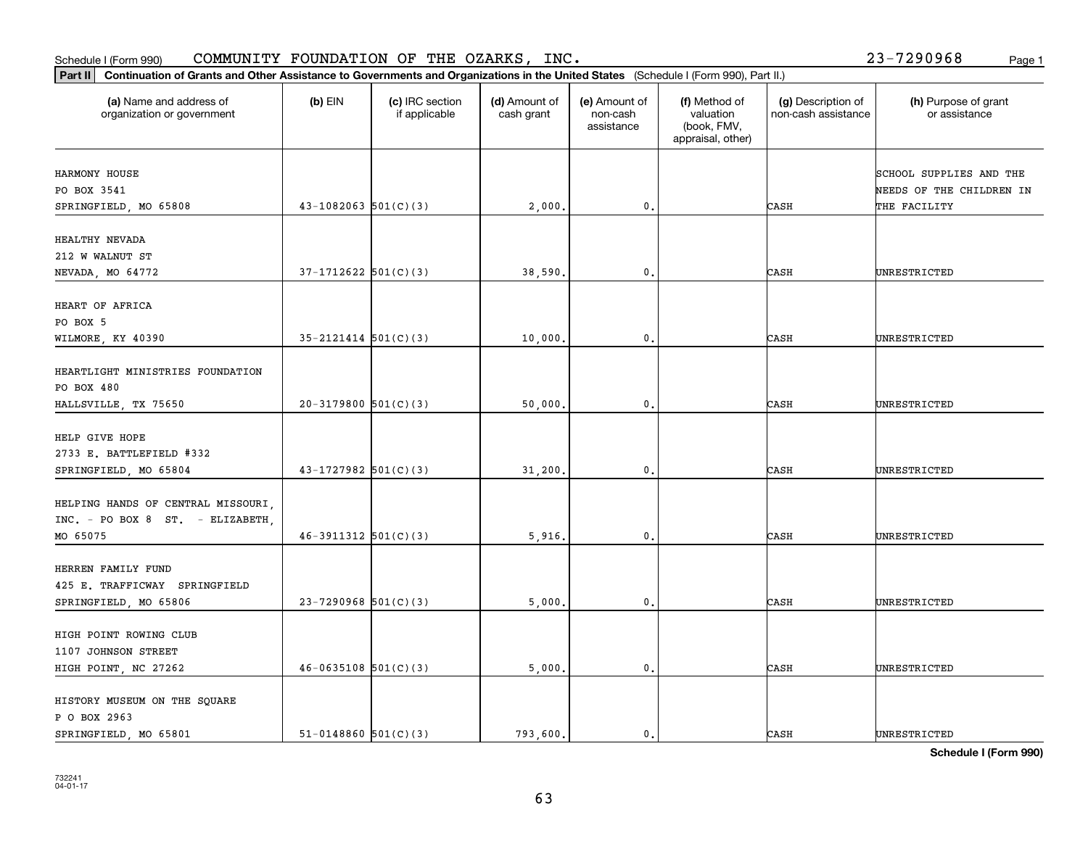organization or government

|                                                                                   |                            |          |                | appraisal, other) |      |                                                                     |
|-----------------------------------------------------------------------------------|----------------------------|----------|----------------|-------------------|------|---------------------------------------------------------------------|
| HARMONY HOUSE<br>PO BOX 3541<br>SPRINGFIELD, MO 65808                             | $43 - 1082063$ 501(C)(3)   | 2,000.   | $\mathbf{0}$ . |                   | CASH | SCHOOL SUPPLIES AND THE<br>NEEDS OF THE CHILDREN IN<br>THE FACILITY |
| HEALTHY NEVADA<br>212 W WALNUT ST                                                 |                            |          |                |                   |      |                                                                     |
| NEVADA, MO 64772                                                                  | $37-1712622$ 501(C)(3)     | 38,590.  | 0.             |                   | CASH | UNRESTRICTED                                                        |
| HEART OF AFRICA<br>PO BOX 5                                                       | $35 - 2121414$ $501(C)(3)$ |          | 0.             |                   | CASH | <b>UNRESTRICTED</b>                                                 |
| WILMORE, KY 40390                                                                 |                            | 10,000.  |                |                   |      |                                                                     |
| HEARTLIGHT MINISTRIES FOUNDATION<br>PO BOX 480                                    |                            |          |                |                   |      |                                                                     |
| HALLSVILLE, TX 75650                                                              | $20-3179800$ 501(C)(3)     | 50,000.  | 0.             |                   | CASH | UNRESTRICTED                                                        |
| HELP GIVE HOPE<br>2733 E. BATTLEFIELD #332<br>SPRINGFIELD, MO 65804               | $43 - 1727982$ 501(C)(3)   | 31,200.  | 0.             |                   | CASH | UNRESTRICTED                                                        |
| HELPING HANDS OF CENTRAL MISSOURI,<br>INC. - PO BOX 8 ST. - ELIZABETH<br>MO 65075 | $46 - 3911312$ $501(C)(3)$ | 5,916.   | 0.             |                   | CASH | UNRESTRICTED                                                        |
| HERREN FAMILY FUND<br>425 E. TRAFFICWAY SPRINGFIELD<br>SPRINGFIELD, MO 65806      | $23 - 7290968$ 501(C)(3)   | 5,000.   | 0.             |                   | CASH | UNRESTRICTED                                                        |
| HIGH POINT ROWING CLUB<br>1107 JOHNSON STREET<br>HIGH POINT, NC 27262             | $46 - 0635108$ 501(C)(3)   | 5,000.   | 0.             |                   | CASH | UNRESTRICTED                                                        |
| HISTORY MUSEUM ON THE SQUARE<br>P O BOX 2963<br>SPRINGFIELD, MO 65801             | $51-0148860$ $501(C)(3)$   | 793,600. | 0.             |                   | CASH | UNRESTRICTED                                                        |
|                                                                                   |                            |          |                |                   |      |                                                                     |

**Schedule I (Form 990)**

(h) Purpose of grant or assistance

#### Schedule I (Form 990)  ${\tt COMMUNITY}$  <code>FOUNDATION OF THE OZARKS, INC</code> .  $23-7290968$  Page 1

**Part II Continuation of Grants and Other Assistance to Governments and Organizations in the United States**  (Schedule I (Form 990), Part II.)

if applicable

 $(b)$  EIN  $(c)$  IRC section

**(a) (b) (c) (d) (e) (f) (g) (h)** Name and address of

(d) Amount of cash grant

(e) Amount of non-cashassistance

(f) Method of valuation (book, FMV,

(g) Description of non-cash assistance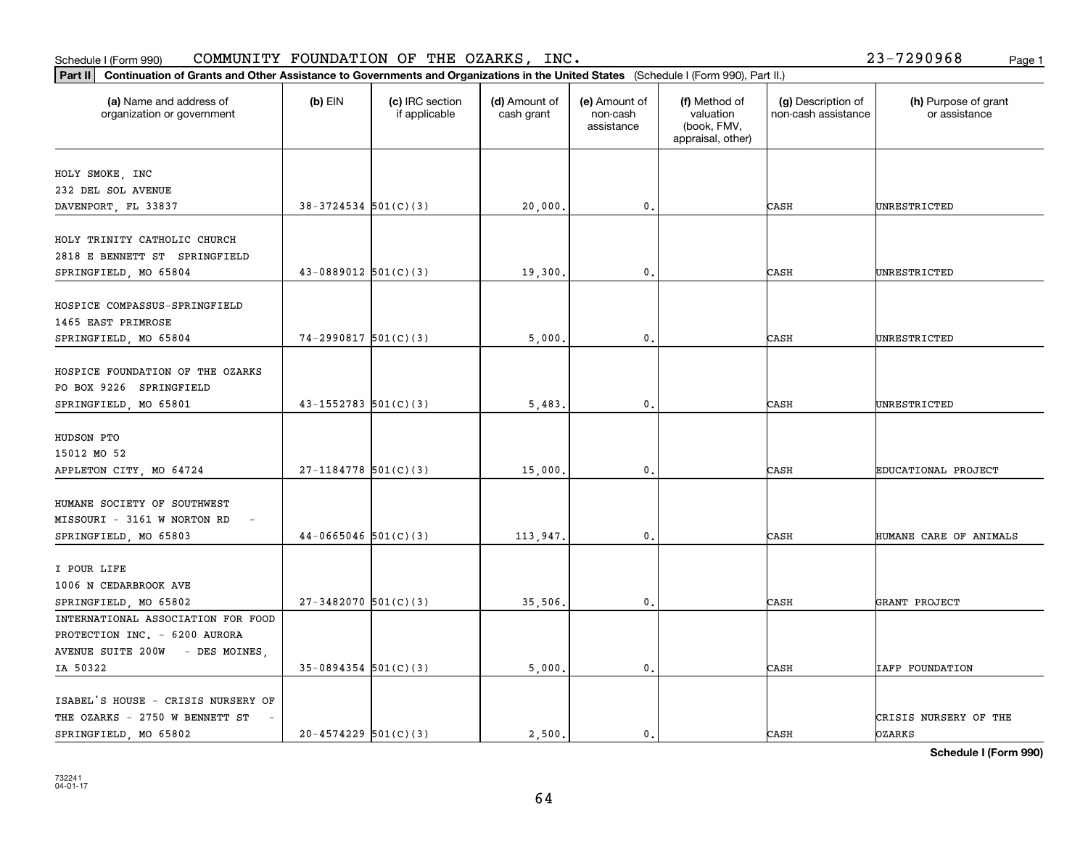| HOSPICE FOUNDATION OF THE OZARKS         |                            |          |    |      |                        |
|------------------------------------------|----------------------------|----------|----|------|------------------------|
| PO BOX 9226 SPRINGFIELD                  |                            |          |    |      |                        |
| SPRINGFIELD, MO 65801                    | $43 - 1552783$ $501(C)(3)$ | 5,483.   | 0. | CASH | UNRESTRICTED           |
|                                          |                            |          |    |      |                        |
| HUDSON PTO                               |                            |          |    |      |                        |
| 15012 MO 52                              |                            |          |    |      |                        |
| APPLETON CITY, MO 64724                  | $27-1184778$ 501(C)(3)     | 15,000.  | 0. | CASH | EDUCATIONAL PROJECT    |
| HUMANE SOCIETY OF SOUTHWEST              |                            |          |    |      |                        |
| MISSOURI - 3161 W NORTON RD<br>$\sim$    |                            |          |    |      |                        |
| SPRINGFIELD, MO 65803                    | $44-0665046$ 501(C)(3)     | 113,947. | 0. | CASH | HUMANE CARE OF ANIMALS |
| I POUR LIFE                              |                            |          |    |      |                        |
| 1006 N CEDARBROOK AVE                    |                            |          |    |      |                        |
| SPRINGFIELD, MO 65802                    | $27 - 3482070$ 501(C)(3)   | 35,506.  | 0. | CASH | GRANT PROJECT          |
| INTERNATIONAL ASSOCIATION FOR FOOD       |                            |          |    |      |                        |
| PROTECTION INC. - 6200 AURORA            |                            |          |    |      |                        |
| <b>AVENUE SUITE 200W</b><br>- DES MOINES |                            |          |    |      |                        |

**(a) (b) (c) (d) (e) (f) (g) (h)** Name and address of

DAVENPORT, FL 33837 38-3724534 501(C)(3) | 20,000. 0. CASH CASH UNRESTRICTED

SPRINGFIELD, MO 65804  $\begin{vmatrix} 43-0889012 & 501(C)(3) \end{vmatrix}$  19,300. 0. CASH CASH UNRESTRICTED

SPRINGFIELD, MO 65804  $\begin{vmatrix} 74-2990817 & 501(C)(3) \end{vmatrix}$  5,000. 0. CASH CASH UNRESTRICTED

(d) Amount of cash grant

(e) Amount of non-cashassistance

(f) Method of valuation (book, FMV, appraisal, other)

(g) Description of non-cash assistance

## **Part II Continuation of Grants and Other Assistance to Governments and Organizations in the United States**  (Schedule I (Form 990), Part II.) Schedule I (Form 990)  ${\tt COMMUNITY}$  <code>FOUNDATION OF THE OZARKS, INC</code> .  $23-7290968$  Page 1

 $(b)$  EIN  $(c)$  IRC section

if applicable

organization or government

HOLY TRINITY CATHOLIC CHURCH 2818 E BENNETT ST SPRINGFIELD

HOSPICE COMPASSUS-SPRINGFIELD

ISABEL'S HOUSE - CRISIS NURSERY OF

1465 EAST PRIMROSE

HOLY SMOKE, INC 232 DEL SOL AVENUE

(h) Purpose of grant or assistance

THE OZARKS - 2750 W BENNETT ST - CRISIS NURSERY OF THE

IA 50322 2001 10 35-0894354 501(C)(3)  $\begin{vmatrix} 35-0.0001 & 5000 & 0 \end{vmatrix}$  6. CASH 2010 12 CASH

SPRINGFIELD, MO 65802 20-4574229 501(C)(3) 2,500. 0. 0. CASH CASH OZARKS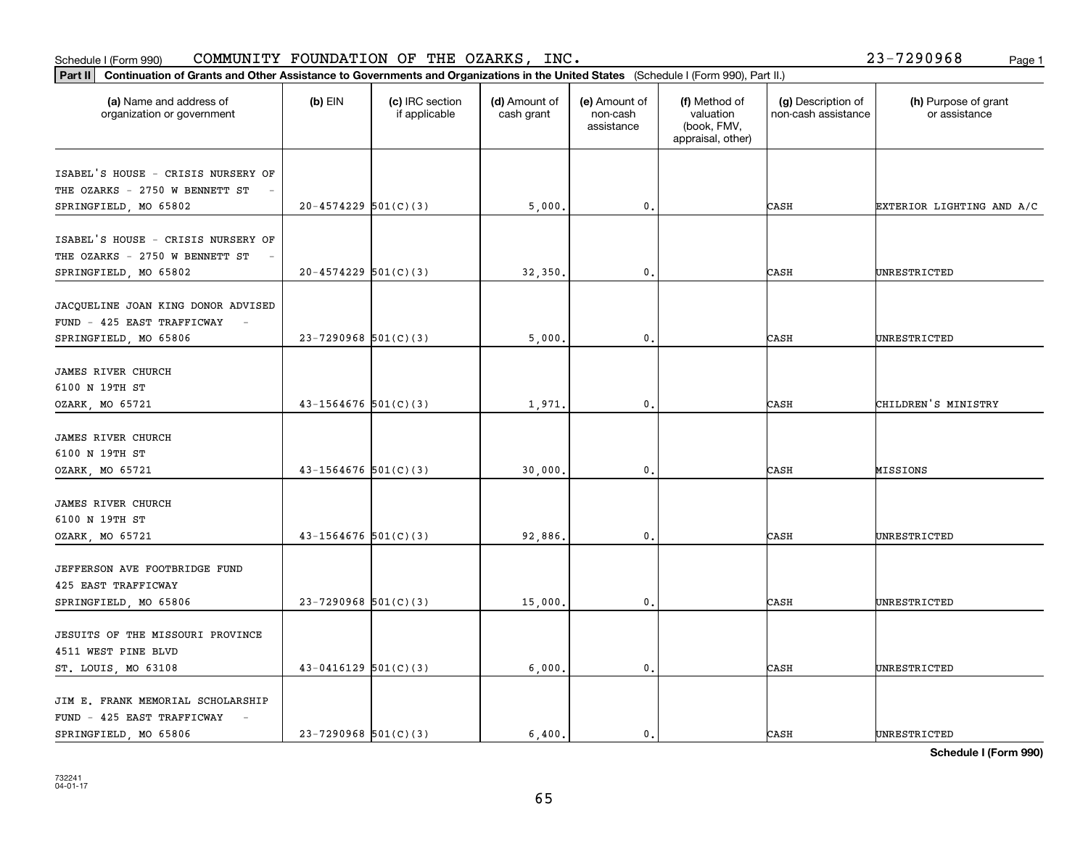#### **Part III Continuation of Grants and Other Assistance to Governments and Organization of Grants and Other Assistance to Governments and Organization of Grants and Other Assistance to Governments and Organization** Schedule I (Form 990)  ${\tt COMMUNITY}$  <code>FOUNDATION OF THE OZARKS, INC</code> .  $23-7290968$  Page 1

| Part II<br>Continuation of Grants and Other Assistance to Governments and Organizations in the United States (Schedule I (Form 990), Part II.) |                            |                                  |                             |                                         |                                                                |                                           |                                       |  |  |  |
|------------------------------------------------------------------------------------------------------------------------------------------------|----------------------------|----------------------------------|-----------------------------|-----------------------------------------|----------------------------------------------------------------|-------------------------------------------|---------------------------------------|--|--|--|
| (a) Name and address of<br>organization or government                                                                                          | $(b)$ EIN                  | (c) IRC section<br>if applicable | (d) Amount of<br>cash grant | (e) Amount of<br>non-cash<br>assistance | (f) Method of<br>valuation<br>(book, FMV,<br>appraisal, other) | (g) Description of<br>non-cash assistance | (h) Purpose of grant<br>or assistance |  |  |  |
| ISABEL'S HOUSE - CRISIS NURSERY OF<br>THE OZARKS - 2750 W BENNETT ST<br>SPRINGFIELD, MO 65802                                                  | $20-4574229$ 501(C)(3)     |                                  | 5,000.                      | 0.                                      |                                                                | CASH                                      | EXTERIOR LIGHTING AND A/C             |  |  |  |
| ISABEL'S HOUSE - CRISIS NURSERY OF<br>THE OZARKS - 2750 W BENNETT ST<br>SPRINGFIELD, MO 65802                                                  | $20 - 4574229$ 501(C)(3)   |                                  | 32,350.                     | $\mathbf{0}$ .                          |                                                                | CASH                                      | UNRESTRICTED                          |  |  |  |
| JACQUELINE JOAN KING DONOR ADVISED<br>FUND - 425 EAST TRAFFICWAY<br>SPRINGFIELD, MO 65806                                                      | $23 - 7290968$ 501(C)(3)   |                                  | 5,000                       | 0.                                      |                                                                | CASH                                      | UNRESTRICTED                          |  |  |  |
| JAMES RIVER CHURCH<br>6100 N 19TH ST<br>OZARK, MO 65721                                                                                        | $43 - 1564676$ 501(C)(3)   |                                  | 1,971.                      | 0.                                      |                                                                | CASH                                      | CHILDREN'S MINISTRY                   |  |  |  |
| <b>JAMES RIVER CHURCH</b><br>6100 N 19TH ST<br>OZARK, MO 65721                                                                                 | $43 - 1564676$ 501(C)(3)   |                                  | 30,000.                     | $\mathbf{0}$ .                          |                                                                | CASH                                      | MISSIONS                              |  |  |  |
| <b>JAMES RIVER CHURCH</b><br>6100 N 19TH ST<br>OZARK, MO 65721                                                                                 | $43 - 1564676$ $501(C)(3)$ |                                  | 92,886.                     | 0.                                      |                                                                | CASH                                      | UNRESTRICTED                          |  |  |  |
| JEFFERSON AVE FOOTBRIDGE FUND<br>425 EAST TRAFFICWAY<br>SPRINGFIELD, MO 65806                                                                  | $23 - 7290968$ 501(C)(3)   |                                  | 15,000                      | 0.                                      |                                                                | CASH                                      | UNRESTRICTED                          |  |  |  |
| JESUITS OF THE MISSOURI PROVINCE<br>4511 WEST PINE BLVD<br>ST. LOUIS, MO 63108                                                                 | $43 - 0416129$ 501(C)(3)   |                                  | 6,000.                      | 0.                                      |                                                                | CASH                                      | UNRESTRICTED                          |  |  |  |
| JIM E. FRANK MEMORIAL SCHOLARSHIP<br>FUND - 425 EAST TRAFFICWAY<br>$\sim$ $-$<br>SPRINGFIELD, MO 65806                                         | $23 - 7290968$ 501(C)(3)   |                                  | 6.400.                      | $\mathbf{0}$ .                          |                                                                | CASH                                      | UNRESTRICTED                          |  |  |  |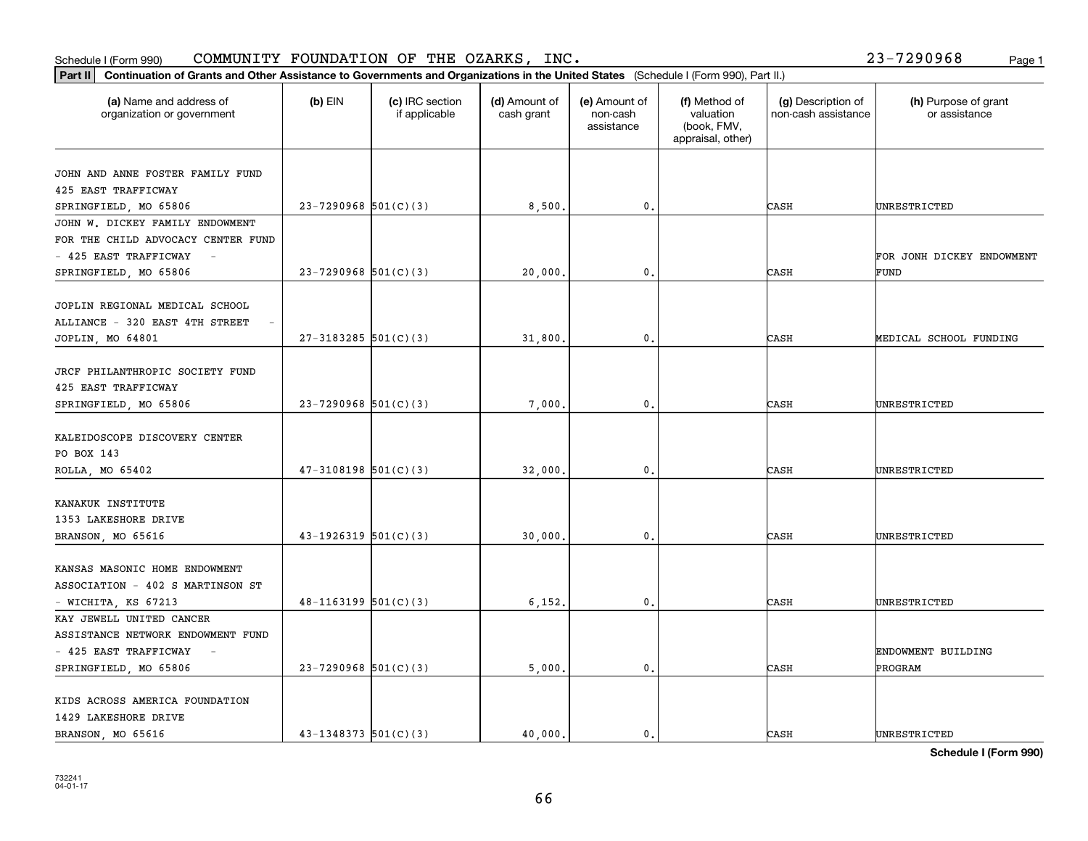#### **Part III Continuation of Grants and Other Assistance to Governments and Organization of Grants and Other Assistance to Governments and Organization of Grants and Other Assistance to Governments and Organization** Schedule I (Form 990)  ${\tt COMMUNITY}$  <code>FOUNDATION OF THE OZARKS, INC</code> .  $23-7290968$  Page 1

| Continuation of Grants and Other Assistance to Governments and Organizations in the United States (Schedule I (Form 990), Part II.)<br>Part II |                            |                                  |                             |                                         |                                                                |                                           |                                       |  |  |  |
|------------------------------------------------------------------------------------------------------------------------------------------------|----------------------------|----------------------------------|-----------------------------|-----------------------------------------|----------------------------------------------------------------|-------------------------------------------|---------------------------------------|--|--|--|
| (a) Name and address of<br>organization or government                                                                                          | $(b)$ EIN                  | (c) IRC section<br>if applicable | (d) Amount of<br>cash grant | (e) Amount of<br>non-cash<br>assistance | (f) Method of<br>valuation<br>(book, FMV,<br>appraisal, other) | (g) Description of<br>non-cash assistance | (h) Purpose of grant<br>or assistance |  |  |  |
| JOHN AND ANNE FOSTER FAMILY FUND                                                                                                               |                            |                                  |                             |                                         |                                                                |                                           |                                       |  |  |  |
| 425 EAST TRAFFICWAY                                                                                                                            |                            |                                  |                             |                                         |                                                                |                                           |                                       |  |  |  |
| SPRINGFIELD, MO 65806                                                                                                                          | $23 - 7290968$ 501(C)(3)   |                                  | 8,500.                      | 0.                                      |                                                                | CASH                                      | UNRESTRICTED                          |  |  |  |
| JOHN W. DICKEY FAMILY ENDOWMENT                                                                                                                |                            |                                  |                             |                                         |                                                                |                                           |                                       |  |  |  |
| FOR THE CHILD ADVOCACY CENTER FUND                                                                                                             |                            |                                  |                             |                                         |                                                                |                                           |                                       |  |  |  |
| - 425 EAST TRAFFICWAY<br>$\overline{\phantom{a}}$                                                                                              |                            |                                  |                             |                                         |                                                                |                                           | FOR JONH DICKEY ENDOWMENT             |  |  |  |
| SPRINGFIELD, MO 65806                                                                                                                          | $23 - 7290968$ 501(C)(3)   |                                  | 20,000.                     | $\mathfrak{o}$ .                        |                                                                | CASH                                      | FUND                                  |  |  |  |
|                                                                                                                                                |                            |                                  |                             |                                         |                                                                |                                           |                                       |  |  |  |
| JOPLIN REGIONAL MEDICAL SCHOOL                                                                                                                 |                            |                                  |                             |                                         |                                                                |                                           |                                       |  |  |  |
| ALLIANCE - 320 EAST 4TH STREET<br>$\sim$                                                                                                       |                            |                                  |                             |                                         |                                                                |                                           |                                       |  |  |  |
| JOPLIN, MO 64801                                                                                                                               | $27 - 3183285$ 501(C)(3)   |                                  | 31,800.                     | 0.                                      |                                                                | CASH                                      | MEDICAL SCHOOL FUNDING                |  |  |  |
|                                                                                                                                                |                            |                                  |                             |                                         |                                                                |                                           |                                       |  |  |  |
| JRCF PHILANTHROPIC SOCIETY FUND                                                                                                                |                            |                                  |                             |                                         |                                                                |                                           |                                       |  |  |  |
| 425 EAST TRAFFICWAY                                                                                                                            |                            |                                  |                             |                                         |                                                                |                                           |                                       |  |  |  |
| SPRINGFIELD, MO 65806                                                                                                                          | $23 - 7290968$ 501(C)(3)   |                                  | 7,000                       | 0.                                      |                                                                | CASH                                      | UNRESTRICTED                          |  |  |  |
|                                                                                                                                                |                            |                                  |                             |                                         |                                                                |                                           |                                       |  |  |  |
| KALEIDOSCOPE DISCOVERY CENTER                                                                                                                  |                            |                                  |                             |                                         |                                                                |                                           |                                       |  |  |  |
| PO BOX 143                                                                                                                                     |                            |                                  |                             |                                         |                                                                |                                           |                                       |  |  |  |
| ROLLA, MO 65402                                                                                                                                | $47-3108198$ 501(C)(3)     |                                  | 32,000.                     | 0.                                      |                                                                | CASH                                      | UNRESTRICTED                          |  |  |  |
| KANAKUK INSTITUTE                                                                                                                              |                            |                                  |                             |                                         |                                                                |                                           |                                       |  |  |  |
| 1353 LAKESHORE DRIVE                                                                                                                           |                            |                                  |                             |                                         |                                                                |                                           |                                       |  |  |  |
|                                                                                                                                                | $43-1926319$ $501(C)(3)$   |                                  | 30,000                      | 0.                                      |                                                                | CASH                                      | UNRESTRICTED                          |  |  |  |
| BRANSON, MO 65616                                                                                                                              |                            |                                  |                             |                                         |                                                                |                                           |                                       |  |  |  |
| KANSAS MASONIC HOME ENDOWMENT                                                                                                                  |                            |                                  |                             |                                         |                                                                |                                           |                                       |  |  |  |
| ASSOCIATION - 402 S MARTINSON ST                                                                                                               |                            |                                  |                             |                                         |                                                                |                                           |                                       |  |  |  |
| $-$ WICHITA, KS 67213                                                                                                                          | $48-1163199$ $501(C)(3)$   |                                  | 6,152.                      | 0.                                      |                                                                | CASH                                      | UNRESTRICTED                          |  |  |  |
| KAY JEWELL UNITED CANCER                                                                                                                       |                            |                                  |                             |                                         |                                                                |                                           |                                       |  |  |  |
| ASSISTANCE NETWORK ENDOWMENT FUND                                                                                                              |                            |                                  |                             |                                         |                                                                |                                           |                                       |  |  |  |
| - 425 EAST TRAFFICWAY<br>$\hspace{0.1mm}-\hspace{0.1mm}$                                                                                       |                            |                                  |                             |                                         |                                                                |                                           | ENDOWMENT BUILDING                    |  |  |  |
| SPRINGFIELD, MO 65806                                                                                                                          | $23 - 7290968$ 501(C)(3)   |                                  | 5,000.                      | $\mathbf{0}$ .                          |                                                                | CASH                                      | PROGRAM                               |  |  |  |
|                                                                                                                                                |                            |                                  |                             |                                         |                                                                |                                           |                                       |  |  |  |
| KIDS ACROSS AMERICA FOUNDATION                                                                                                                 |                            |                                  |                             |                                         |                                                                |                                           |                                       |  |  |  |
| 1429 LAKESHORE DRIVE                                                                                                                           |                            |                                  |                             |                                         |                                                                |                                           |                                       |  |  |  |
| BRANSON, MO 65616                                                                                                                              | $43 - 1348373$ $501(C)(3)$ |                                  | 40.000.                     | $\mathbf{0}$ .                          |                                                                | CASH                                      | <b>UNRESTRICTED</b>                   |  |  |  |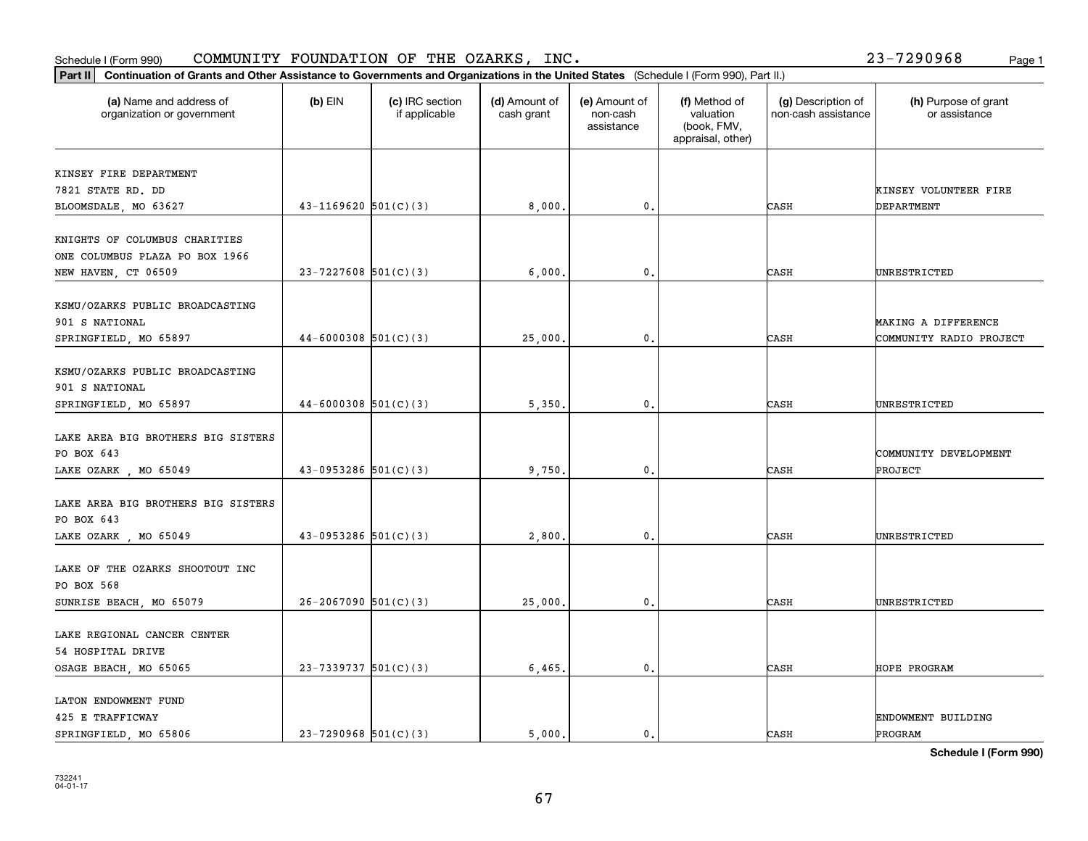LATON ENDOWMENT FUND

| 67090 501(C)(3) | 25,000. |  |
|-----------------|---------|--|
|                 |         |  |
|                 |         |  |
|                 |         |  |
| 39737 501(C)(3) | 6,465.  |  |
|                 |         |  |

425 E TRAFFICWAY ENDOWMENT BUILDING

SPRINGFIELD, MO 65806 23-7290968 501(C)(3) 5,000. 0. CASH CASH PROGRAM

7821 STATE RD. DD KINSEY VOLUNTEER FIRE

BLOOMSDALE, MO 63627 43-1169620 501(C)(3) 8,000. 0. CASH CASH DEPARTMENT

| Part II I | (Schedule I (Form 990). Part II.)<br><b>Continuation of Grants and Other Assistance to Governments and Organizations in the United States</b> |           |                                  |                             |                           |                            |                                               |     |  |  |
|-----------|-----------------------------------------------------------------------------------------------------------------------------------------------|-----------|----------------------------------|-----------------------------|---------------------------|----------------------------|-----------------------------------------------|-----|--|--|
|           | (a) Name and address of<br>organization or government                                                                                         | $(b)$ EIN | (c) IRC section<br>if applicable | (d) Amount of<br>cash grant | (e) Amount of<br>non-cash | (f) Method of<br>valuation | (a) Description of<br>I non-cash assistance I | (h) |  |  |

(h) Purpose of grant or assistance

**Schedule I (Form 990)**

| NEW HAVEN, CT 06509                                                        | $23 - 7227608$ 501(C)(3) | 6,000.  | 0. | CASH | UNRESTRICTED                                   |
|----------------------------------------------------------------------------|--------------------------|---------|----|------|------------------------------------------------|
| KSMU/OZARKS PUBLIC BROADCASTING<br>901 S NATIONAL<br>SPRINGFIELD, MO 65897 | $44-6000308$ 501(C)(3)   | 25,000. | 0. | CASH | MAKING A DIFFERENCE<br>COMMUNITY RADIO PROJECT |
| KSMU/OZARKS PUBLIC BROADCASTING<br>901 S NATIONAL<br>SPRINGFIELD, MO 65897 | $44-6000308$ 501(C)(3)   | 5,350.  | 0. | CASH | UNRESTRICTED                                   |
| LAKE AREA BIG BROTHERS BIG SISTERS<br>PO BOX 643<br>LAKE OZARK, MO 65049   | $43-0953286$ $501(C)(3)$ | 9,750.  | 0. | CASH | COMMUNITY DEVELOPMENT<br><b>PROJECT</b>        |
| LAKE AREA BIG BROTHERS BIG SISTERS<br>PO BOX 643<br>LAKE OZARK, MO 65049   | $43-0953286$ 501(C)(3)   | 2,800.  | 0. | CASH | UNRESTRICTED                                   |
| LAKE OF THE OZARKS SHOOTOUT INC<br>PO BOX 568<br>SUNRISE BEACH, MO 65079   | $26 - 2067090$ 501(C)(3) | 25,000. | 0. | CASH | UNRESTRICTED                                   |
| LAKE REGIONAL CANCER CENTER<br>54 HOSPITAL DRIVE<br>OSAGE BEACH, MO 65065  | $23 - 7339737$ 501(C)(3) | 6,465.  | 0. | CASH | HOPE PROGRAM                                   |

(e) Amount of non-cashassistance

(f) Method of valuation (book, FMV, appraisal, other)

Schedule I (Form 990)  ${\tt COMMUNITY}$  <code>FOUNDATION OF THE OZARKS, INC</code> .  $23-7290968$  Page 1

KINSEY FIRE DEPARTMENT

KNIGHTS OF COLUMBUS CHARITIES ONE COLUMBUS PLAZA PO BOX 1966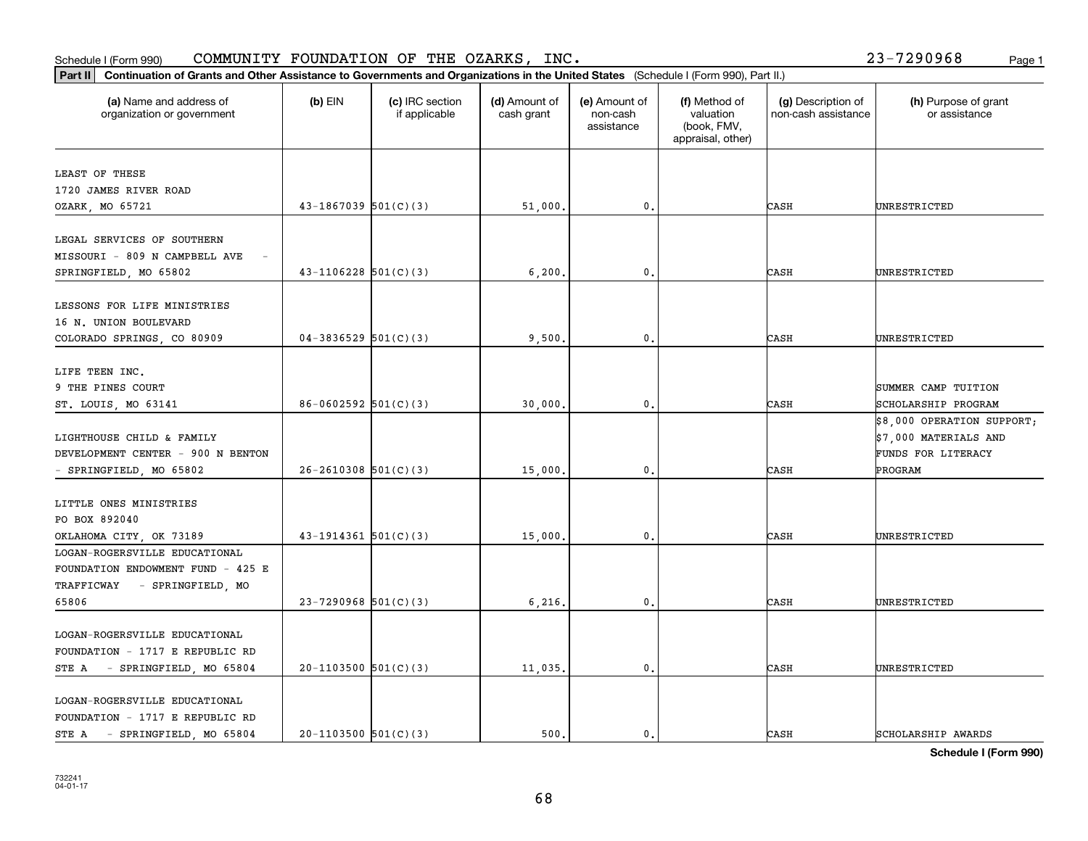#### Schedule I (Form 990) COMMUNITY FOUNDATION OF THE OZARKS, INC。 Page 1 COMMUNITY FOUNDATION OF THE OZARKS, INC. 23-7290968

| Part II   Continuation of Grants and Other Assistance to Governments and Organizations in the United States (Schedule I (Form 990), Part II.) |                            |                                  |                             |                                         |                                                                |                                           |                                                               |
|-----------------------------------------------------------------------------------------------------------------------------------------------|----------------------------|----------------------------------|-----------------------------|-----------------------------------------|----------------------------------------------------------------|-------------------------------------------|---------------------------------------------------------------|
| (a) Name and address of<br>organization or government                                                                                         | $(b)$ EIN                  | (c) IRC section<br>if applicable | (d) Amount of<br>cash grant | (e) Amount of<br>non-cash<br>assistance | (f) Method of<br>valuation<br>(book, FMV,<br>appraisal, other) | (g) Description of<br>non-cash assistance | (h) Purpose of grant<br>or assistance                         |
| LEAST OF THESE                                                                                                                                |                            |                                  |                             |                                         |                                                                |                                           |                                                               |
| 1720 JAMES RIVER ROAD                                                                                                                         |                            |                                  |                             |                                         |                                                                |                                           |                                                               |
| OZARK, MO 65721                                                                                                                               | $43-1867039$ $501(C)(3)$   |                                  | 51,000.                     | 0.                                      |                                                                | CASH                                      | UNRESTRICTED                                                  |
|                                                                                                                                               |                            |                                  |                             |                                         |                                                                |                                           |                                                               |
| LEGAL SERVICES OF SOUTHERN                                                                                                                    |                            |                                  |                             |                                         |                                                                |                                           |                                                               |
| MISSOURI - 809 N CAMPBELL AVE                                                                                                                 |                            |                                  |                             |                                         |                                                                |                                           |                                                               |
| SPRINGFIELD, MO 65802                                                                                                                         | $43 - 1106228$ $501(C)(3)$ |                                  | 6, 200                      | $\mathbf{0}$ .                          |                                                                | CASH                                      | UNRESTRICTED                                                  |
|                                                                                                                                               |                            |                                  |                             |                                         |                                                                |                                           |                                                               |
| LESSONS FOR LIFE MINISTRIES                                                                                                                   |                            |                                  |                             |                                         |                                                                |                                           |                                                               |
| 16 N. UNION BOULEVARD                                                                                                                         |                            |                                  |                             |                                         |                                                                |                                           |                                                               |
| COLORADO SPRINGS, CO 80909                                                                                                                    | $04-3836529$ 501(C)(3)     |                                  | 9,500.                      | $\mathbf{0}$ .                          |                                                                | CASH                                      | UNRESTRICTED                                                  |
|                                                                                                                                               |                            |                                  |                             |                                         |                                                                |                                           |                                                               |
| LIFE TEEN INC.                                                                                                                                |                            |                                  |                             |                                         |                                                                |                                           |                                                               |
| 9 THE PINES COURT                                                                                                                             |                            |                                  |                             |                                         |                                                                |                                           | SUMMER CAMP TUITION                                           |
| ST. LOUIS, MO 63141                                                                                                                           | $86 - 0602592$ 501(C)(3)   |                                  | 30,000.                     | $\mathbf{0}$ .                          |                                                                | CASH                                      | SCHOLARSHIP PROGRAM                                           |
|                                                                                                                                               |                            |                                  |                             |                                         |                                                                |                                           | $\,\beta\,$ 8,000 OPERATION SUPPORT;<br>\$7,000 MATERIALS AND |
| LIGHTHOUSE CHILD & FAMILY<br>DEVELOPMENT CENTER - 900 N BENTON                                                                                |                            |                                  |                             |                                         |                                                                |                                           | FUNDS FOR LITERACY                                            |
|                                                                                                                                               | $26 - 2610308$ 501(C)(3)   |                                  | 15,000.                     | 0.                                      |                                                                | CASH                                      | PROGRAM                                                       |
| - SPRINGFIELD, MO 65802                                                                                                                       |                            |                                  |                             |                                         |                                                                |                                           |                                                               |
| LITTLE ONES MINISTRIES                                                                                                                        |                            |                                  |                             |                                         |                                                                |                                           |                                                               |
| PO BOX 892040                                                                                                                                 |                            |                                  |                             |                                         |                                                                |                                           |                                                               |
| OKLAHOMA CITY, OK 73189                                                                                                                       | $43-1914361$ $501(C)(3)$   |                                  | 15,000.                     | $\mathbf{0}$ .                          |                                                                | CASH                                      | UNRESTRICTED                                                  |
| LOGAN-ROGERSVILLE EDUCATIONAL                                                                                                                 |                            |                                  |                             |                                         |                                                                |                                           |                                                               |
| FOUNDATION ENDOWMENT FUND - 425 E                                                                                                             |                            |                                  |                             |                                         |                                                                |                                           |                                                               |
| TRAFFICWAY - SPRINGFIELD, MO                                                                                                                  |                            |                                  |                             |                                         |                                                                |                                           |                                                               |
| 65806                                                                                                                                         | $23 - 7290968$ 501(C)(3)   |                                  | 6,216.                      | $\mathbf{0}$ .                          |                                                                | CASH                                      | UNRESTRICTED                                                  |
|                                                                                                                                               |                            |                                  |                             |                                         |                                                                |                                           |                                                               |
| LOGAN-ROGERSVILLE EDUCATIONAL                                                                                                                 |                            |                                  |                             |                                         |                                                                |                                           |                                                               |
| FOUNDATION - 1717 E REPUBLIC RD                                                                                                               |                            |                                  |                             |                                         |                                                                |                                           |                                                               |
| STE A - SPRINGFIELD, MO 65804                                                                                                                 | $20-1103500$ 501(C)(3)     |                                  | 11,035.                     | $\mathbf{0}$ .                          |                                                                | CASH                                      | UNRESTRICTED                                                  |
|                                                                                                                                               |                            |                                  |                             |                                         |                                                                |                                           |                                                               |
| LOGAN-ROGERSVILLE EDUCATIONAL                                                                                                                 |                            |                                  |                             |                                         |                                                                |                                           |                                                               |
| FOUNDATION - 1717 E REPUBLIC RD                                                                                                               |                            |                                  |                             |                                         |                                                                |                                           |                                                               |
| STE A - SPRINGFIELD, MO 65804                                                                                                                 | $20-1103500$ 501(C)(3)     |                                  | 500.                        | $\mathbf{0}$ .                          |                                                                | CASH                                      | SCHOLARSHIP AWARDS                                            |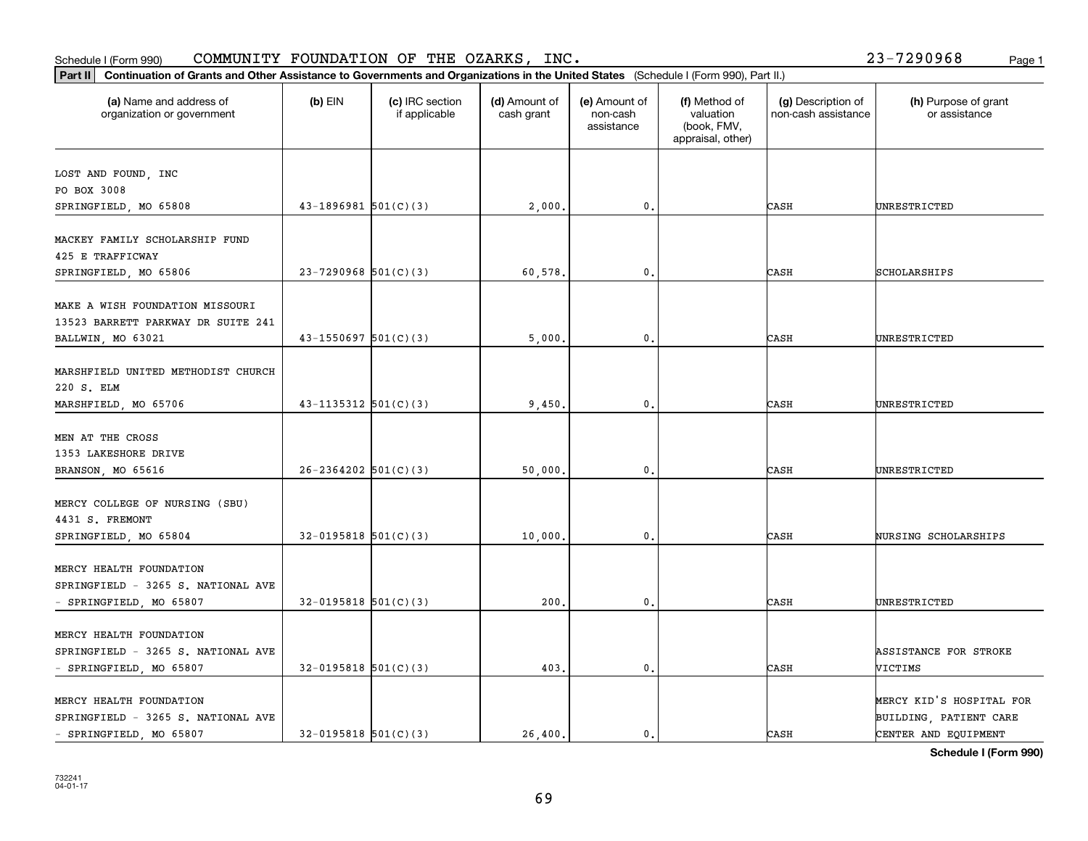## **Part II Continuation of Grants and Other Assistance to Governments and Organizations in the United States**

Schedule I (Form 990) COMMUNITY FOUNDATION OF THE OZARKS, INC。 Page 1 COMMUNITY FOUNDATION OF THE OZARKS, INC. 23-7290968

| (a) Name and address of<br>organization or government                                    | $(b)$ EIN                  | (c) IRC section<br>if applicable | (d) Amount of<br>cash grant | (e) Amount of<br>non-cash<br>assistance | (f) Method of<br>valuation<br>(book, FMV,<br>appraisal, other) | (g) Description of<br>non-cash assistance | (h) Purpose of grant<br>or assistance              |
|------------------------------------------------------------------------------------------|----------------------------|----------------------------------|-----------------------------|-----------------------------------------|----------------------------------------------------------------|-------------------------------------------|----------------------------------------------------|
| LOST AND FOUND, INC                                                                      |                            |                                  |                             |                                         |                                                                |                                           |                                                    |
| PO BOX 3008                                                                              |                            |                                  |                             |                                         |                                                                |                                           |                                                    |
| SPRINGFIELD, MO 65808                                                                    | $43-1896981$ 501(C)(3)     |                                  | 2,000.                      | 0.                                      |                                                                | CASH                                      | UNRESTRICTED                                       |
| MACKEY FAMILY SCHOLARSHIP FUND<br>425 E TRAFFICWAY                                       |                            |                                  |                             |                                         |                                                                |                                           |                                                    |
| SPRINGFIELD, MO 65806                                                                    | $23 - 7290968$ 501(C)(3)   |                                  | 60,578                      | $\mathfrak{o}$ .                        |                                                                | CASH                                      | SCHOLARSHIPS                                       |
| MAKE A WISH FOUNDATION MISSOURI<br>13523 BARRETT PARKWAY DR SUITE 241                    |                            |                                  |                             |                                         |                                                                |                                           |                                                    |
| BALLWIN, MO 63021                                                                        | $43 - 1550697$ 501(C)(3)   |                                  | 5,000                       | $\mathfrak{o}$ .                        |                                                                | CASH                                      | UNRESTRICTED                                       |
| MARSHFIELD UNITED METHODIST CHURCH<br>220 S. ELM<br>MARSHFIELD, MO 65706                 | $43 - 1135312$ $501(C)(3)$ |                                  | 9,450.                      | 0.                                      |                                                                | CASH                                      | UNRESTRICTED                                       |
| MEN AT THE CROSS<br>1353 LAKESHORE DRIVE                                                 |                            |                                  |                             |                                         |                                                                |                                           |                                                    |
| BRANSON, MO 65616                                                                        | $26 - 2364202$ 501(C)(3)   |                                  | 50,000                      | $\mathbf{0}$                            |                                                                | CASH                                      | UNRESTRICTED                                       |
| MERCY COLLEGE OF NURSING (SBU)<br>4431 S. FREMONT                                        | $32-0195818$ $501(C)(3)$   |                                  |                             | 0.                                      |                                                                |                                           |                                                    |
| SPRINGFIELD, MO 65804                                                                    |                            |                                  | 10,000                      |                                         |                                                                | CASH                                      | NURSING SCHOLARSHIPS                               |
| MERCY HEALTH FOUNDATION<br>SPRINGFIELD - 3265 S. NATIONAL AVE                            |                            |                                  |                             |                                         |                                                                |                                           |                                                    |
| - SPRINGFIELD, MO 65807                                                                  | $32-0195818$ $501(C)(3)$   |                                  | 200                         | $\mathfrak{o}$ .                        |                                                                | CASH                                      | UNRESTRICTED                                       |
| MERCY HEALTH FOUNDATION<br>SPRINGFIELD - 3265 S. NATIONAL AVE<br>- SPRINGFIELD, MO 65807 | $32-0195818$ $501(C)(3)$   |                                  | 403.                        | $\mathfrak{o}$ .                        |                                                                | CASH                                      | ASSISTANCE FOR STROKE<br>VICTIMS                   |
| MERCY HEALTH FOUNDATION<br>SPRINGFIELD - 3265 S. NATIONAL AVE                            |                            |                                  |                             |                                         |                                                                |                                           | MERCY KID'S HOSPITAL FOR<br>BUILDING, PATIENT CARE |
| - SPRINGFIELD, MO 65807                                                                  | $32-0195818$ $501(C)(3)$   |                                  | 26,400.                     | $\mathbf{0}$ .                          |                                                                | CASH                                      | CENTER AND EQUIPMENT                               |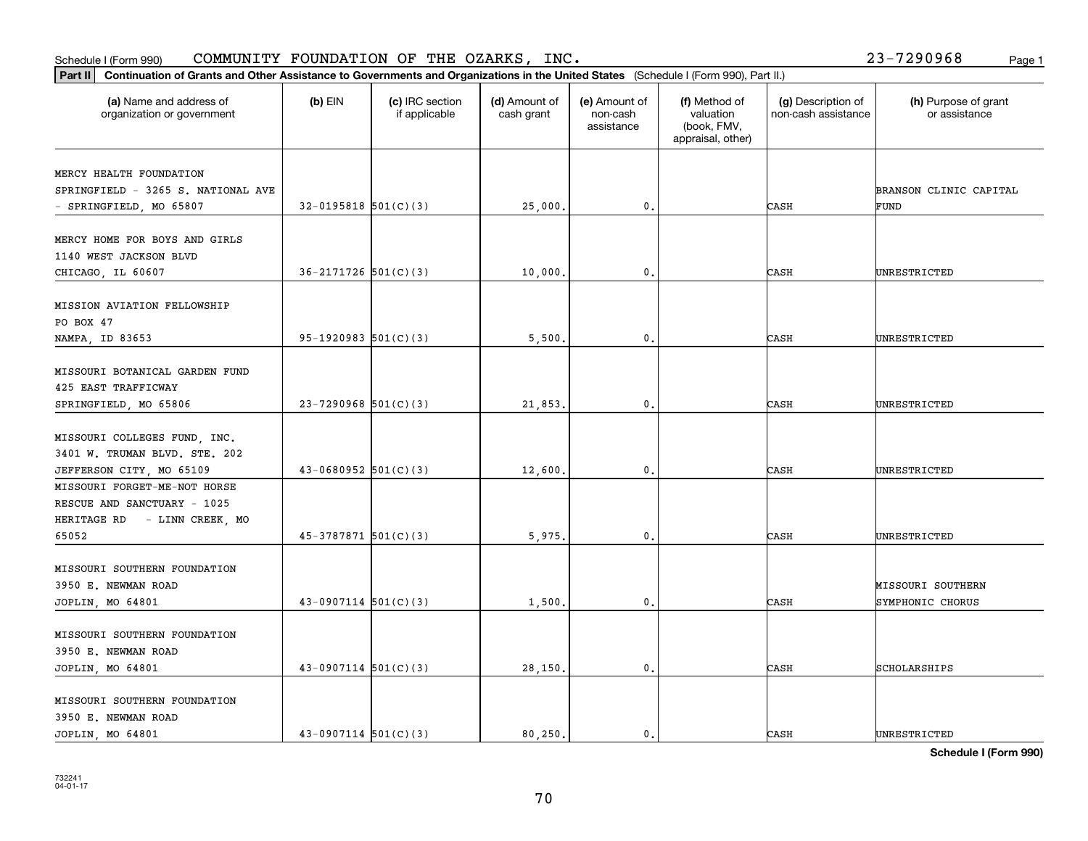#### **Part III Continuation of Grants and Other Assistance to Governments and Organization of Grants and Organization of Grants and Organizations of Organizations and Organization of Grants and Organizations of Departments an** Schedule I (Form 990)  ${\tt COMMUNITY}$  <code>FOUNDATION OF THE OZARKS, INC</code> .  $23-7290968$  Page 1

| Continuation of Grants and Other Assistance to Governments and Organizations in the United States (Schedule I (Form 990), Part II.)<br>Part II |                            |                                  |                             |                                         |                                                                |                                           |                                       |
|------------------------------------------------------------------------------------------------------------------------------------------------|----------------------------|----------------------------------|-----------------------------|-----------------------------------------|----------------------------------------------------------------|-------------------------------------------|---------------------------------------|
| (a) Name and address of<br>organization or government                                                                                          | $(b)$ EIN                  | (c) IRC section<br>if applicable | (d) Amount of<br>cash grant | (e) Amount of<br>non-cash<br>assistance | (f) Method of<br>valuation<br>(book, FMV,<br>appraisal, other) | (g) Description of<br>non-cash assistance | (h) Purpose of grant<br>or assistance |
| MERCY HEALTH FOUNDATION<br>SPRINGFIELD - 3265 S. NATIONAL AVE<br>- SPRINGFIELD, MO 65807                                                       | $32 - 0195818$ $501(C)(3)$ |                                  | 25,000                      | 0.                                      |                                                                | CASH                                      | BRANSON CLINIC CAPITAL<br>FUND        |
| MERCY HOME FOR BOYS AND GIRLS<br>1140 WEST JACKSON BLVD<br>CHICAGO, IL 60607                                                                   | $36 - 2171726$ 501(C)(3)   |                                  | 10,000                      | $\mathfrak{o}$ .                        |                                                                | CASH                                      | UNRESTRICTED                          |
| MISSION AVIATION FELLOWSHIP<br>PO BOX 47<br>NAMPA, ID 83653                                                                                    | $95-1920983$ $501(C)(3)$   |                                  | 5,500                       | 0.                                      |                                                                | CASH                                      | UNRESTRICTED                          |
| MISSOURI BOTANICAL GARDEN FUND<br>425 EAST TRAFFICWAY<br>SPRINGFIELD, MO 65806                                                                 | $23 - 7290968$ 501(C)(3)   |                                  | 21,853.                     | $^{\circ}$ .                            |                                                                | CASH                                      | UNRESTRICTED                          |
| MISSOURI COLLEGES FUND, INC.<br>3401 W. TRUMAN BLVD. STE. 202<br>JEFFERSON CITY, MO 65109                                                      | $43-0680952$ 501(C)(3)     |                                  | 12,600                      | $\mathfrak{o}$ .                        |                                                                | CASH                                      | UNRESTRICTED                          |
| MISSOURI FORGET-ME-NOT HORSE<br>RESCUE AND SANCTUARY - 1025<br>HERITAGE RD - LINN CREEK, MO<br>65052                                           | $45-3787871$ 501(C)(3)     |                                  | 5,975.                      | $\mathfrak{o}$ .                        |                                                                | CASH                                      | UNRESTRICTED                          |
| MISSOURI SOUTHERN FOUNDATION<br>3950 E. NEWMAN ROAD<br>JOPLIN, MO 64801                                                                        | $43-0907114$ 501(C)(3)     |                                  | 1,500                       | $^{\circ}$ .                            |                                                                | CASH                                      | MISSOURI SOUTHERN<br>SYMPHONIC CHORUS |
| MISSOURI SOUTHERN FOUNDATION<br>3950 E. NEWMAN ROAD<br>JOPLIN, MO 64801                                                                        | $43-0907114$ 501(C)(3)     |                                  | 28,150.                     | $\mathfrak o$ .                         |                                                                | CASH                                      | SCHOLARSHIPS                          |
| MISSOURI SOUTHERN FOUNDATION<br>3950 E. NEWMAN ROAD<br>JOPLIN, MO 64801                                                                        | $43-0907114$ $501(C)(3)$   |                                  | 80.250.                     | $\mathbf{0}$ .                          |                                                                | CASH                                      | <b>UNRESTRICTED</b>                   |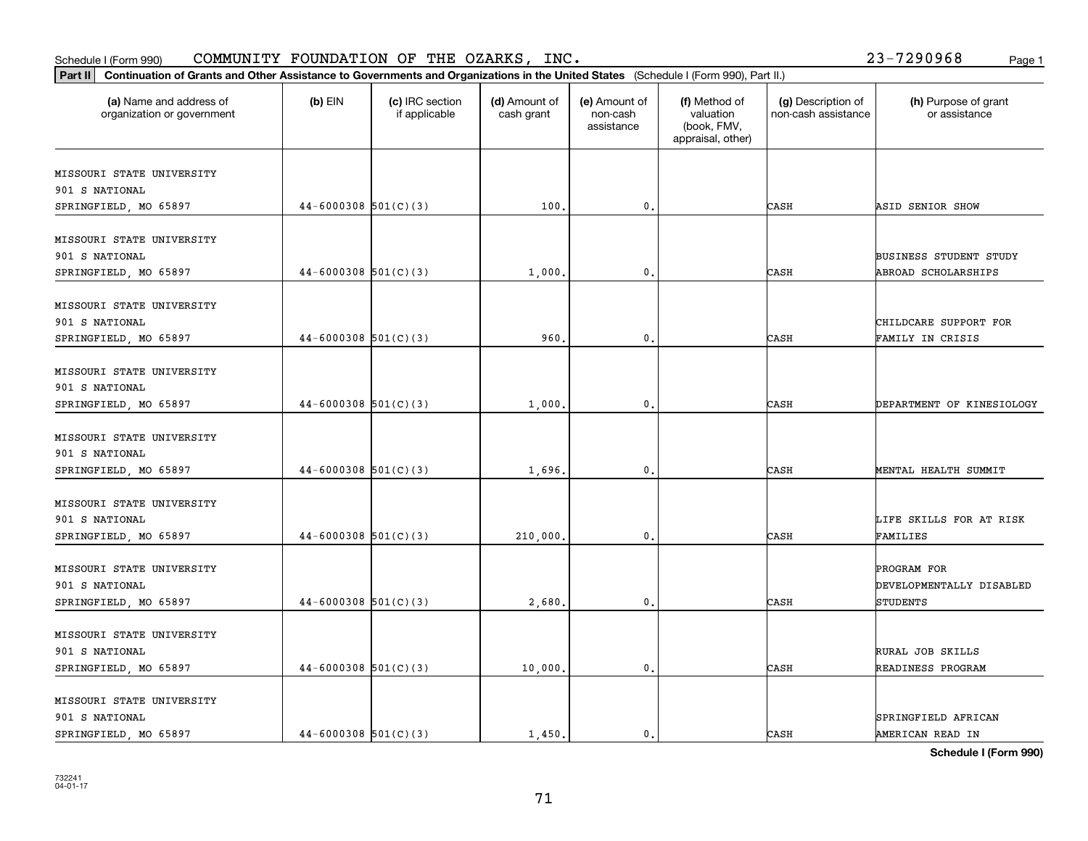| SPRINGFIELD, MO 65897     | $44-6000308$ $501(C)(3)$ | 100.     | $\mathbf{0}$ . | CASH | ASID SENIOR SHOW              |
|---------------------------|--------------------------|----------|----------------|------|-------------------------------|
|                           |                          |          |                |      |                               |
| MISSOURI STATE UNIVERSITY |                          |          |                |      |                               |
| 901 S NATIONAL            |                          |          |                |      | <b>BUSINESS STUDENT STUDY</b> |
| SPRINGFIELD, MO 65897     | $44-6000308$ 501(C)(3)   | 1,000.   | 0.             | CASH | ABROAD SCHOLARSHIPS           |
| MISSOURI STATE UNIVERSITY |                          |          |                |      |                               |
| 901 S NATIONAL            |                          |          |                |      |                               |
|                           |                          |          |                |      | CHILDCARE SUPPORT FOR         |
| SPRINGFIELD, MO 65897     | $44-6000308$ 501(C)(3)   | 960.     | 0.             | CASH | FAMILY IN CRISIS              |
| MISSOURI STATE UNIVERSITY |                          |          |                |      |                               |
| 901 S NATIONAL            |                          |          |                |      |                               |
| SPRINGFIELD, MO 65897     | $44-6000308$ 501(C)(3)   | 1,000.   | 0.             | CASH | DEPARTMENT OF KINESIOLOGY     |
|                           |                          |          |                |      |                               |
| MISSOURI STATE UNIVERSITY |                          |          |                |      |                               |
| 901 S NATIONAL            |                          |          |                |      |                               |
| SPRINGFIELD, MO 65897     | $44-6000308$ 501(C)(3)   | 1,696.   | 0.             | CASH | MENTAL HEALTH SUMMIT          |
|                           |                          |          |                |      |                               |
| MISSOURI STATE UNIVERSITY |                          |          |                |      |                               |
| 901 S NATIONAL            |                          |          |                |      | LIFE SKILLS FOR AT RISK       |
| SPRINGFIELD, MO 65897     | $44-6000308$ 501(C)(3)   | 210,000. | 0.             | CASH | FAMILIES                      |
|                           |                          |          |                |      |                               |
| MISSOURI STATE UNIVERSITY |                          |          |                |      | PROGRAM FOR                   |
| 901 S NATIONAL            |                          |          |                |      | DEVELOPMENTALLY DISABLED      |
| SPRINGFIELD, MO 65897     | $44-6000308$ 501(C)(3)   | 2,680.   | 0.             | CASH | STUDENTS                      |
|                           |                          |          |                |      |                               |
| MISSOURI STATE UNIVERSITY |                          |          |                |      |                               |
| 901 S NATIONAL            |                          |          |                |      | RURAL JOB SKILLS              |
| SPRINGFIELD, MO 65897     | $44-6000308$ 501(C)(3)   | 10,000.  | 0.             | CASH | READINESS PROGRAM             |
|                           |                          |          |                |      |                               |
| MISSOURI STATE UNIVERSITY |                          |          |                |      |                               |

### Schedule I (Form 990)  ${\tt COMMUNITY}$  <code>FOUNDATION OF THE OZARKS, INC</code> .  $23-7290968$  Page 1

organization or government

MISSOURI STATE UNIVERSITY

901 S NATIONAL

**Part II Continuation of Grants and Other Assistance to Governments and Organizations in the United States**  (Schedule I (Form 990), Part II.)

if applicable

 $(b)$  EIN  $(c)$  IRC section

**(a) (b) (c) (d) (e) (f) (g) (h)** Name and address of

(d) Amount of cash grant

(e) Amount of non-cashassistance

(f) Method of valuation (book, FMV, appraisal, other)

(g) Description of non-cash assistance

(h) Purpose of grant or assistance

**Schedule I (Form 990)**

901 S NATIONAL SPRINGFIELD AFRICAN SPRINGFIELD, MO 65897 44-6000308 501(C)(3)  $\begin{vmatrix} 4.450 \end{vmatrix}$  1,450. 0. CASH CASH AMERICAN READ IN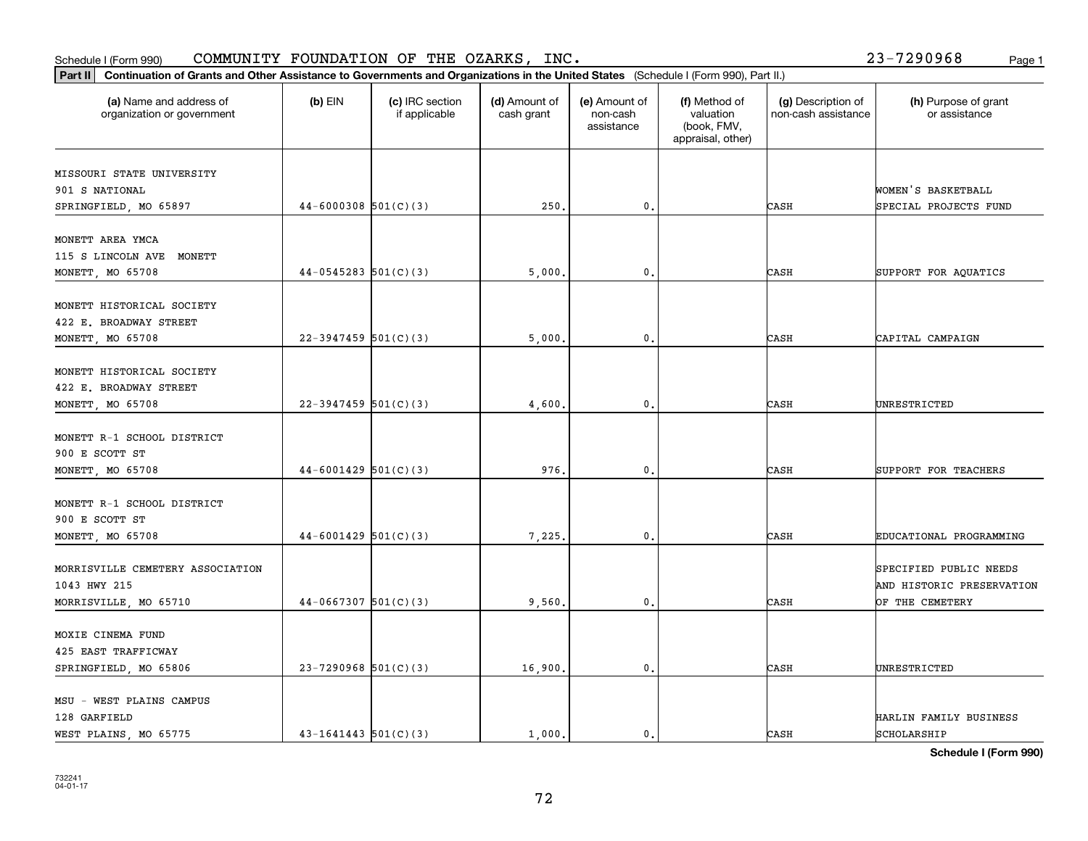**Schedule I (Form 990)**

| (a) Name and address of<br>organization or government | (b) EIN                  | (c) IRC section<br>if applicable | (d) Amount of<br>cash grant | (e) Amount of<br>non-cash<br>assistance | (f) Method of<br>valuation<br>(book, FMV,<br>appraisal, other) | (g) Description of<br>non-cash assistance | (h) Purpose of grant<br>or assistance               |
|-------------------------------------------------------|--------------------------|----------------------------------|-----------------------------|-----------------------------------------|----------------------------------------------------------------|-------------------------------------------|-----------------------------------------------------|
| MISSOURI STATE UNIVERSITY                             |                          |                                  |                             |                                         |                                                                |                                           |                                                     |
| 901 S NATIONAL                                        |                          |                                  |                             |                                         |                                                                |                                           | WOMEN'S BASKETBALL                                  |
| SPRINGFIELD, MO 65897                                 | $44-6000308$ 501(C)(3)   |                                  | 250.                        | $\mathbf{0}$ .                          |                                                                | CASH                                      | SPECIAL PROJECTS FUND                               |
| MONETT AREA YMCA                                      |                          |                                  |                             |                                         |                                                                |                                           |                                                     |
| 115 S LINCOLN AVE<br>MONETT                           |                          |                                  |                             |                                         |                                                                |                                           |                                                     |
| MONETT, MO 65708                                      | $44 - 0545283$ 501(C)(3) |                                  | 5,000,                      | $\mathfrak{o}$ .                        |                                                                | CASH                                      | SUPPORT FOR AQUATICS                                |
| MONETT HISTORICAL SOCIETY                             |                          |                                  |                             |                                         |                                                                |                                           |                                                     |
| 422 E. BROADWAY STREET                                |                          |                                  |                             |                                         |                                                                |                                           |                                                     |
| MONETT, MO 65708                                      | $22-3947459$ 501(C)(3)   |                                  | 5,000                       | $\mathbf{0}$                            |                                                                | CASH                                      | CAPITAL CAMPAIGN                                    |
| MONETT HISTORICAL SOCIETY                             |                          |                                  |                             |                                         |                                                                |                                           |                                                     |
| 422 E. BROADWAY STREET                                | $22 - 3947459$ 501(C)(3) |                                  | 4,600                       | $\mathbf{0}$ .                          |                                                                | CASH                                      | UNRESTRICTED                                        |
| MONETT, MO 65708                                      |                          |                                  |                             |                                         |                                                                |                                           |                                                     |
| MONETT R-1 SCHOOL DISTRICT                            |                          |                                  |                             |                                         |                                                                |                                           |                                                     |
| 900 E SCOTT ST                                        |                          |                                  |                             |                                         |                                                                |                                           |                                                     |
| MONETT, MO 65708                                      | $44-6001429$ 501(C)(3)   |                                  | 976.                        | $\mathfrak o$ .                         |                                                                | CASH                                      | SUPPORT FOR TEACHERS                                |
| MONETT R-1 SCHOOL DISTRICT<br>900 E SCOTT ST          |                          |                                  |                             |                                         |                                                                |                                           |                                                     |
| MONETT, MO 65708                                      | $44-6001429$ 501(C)(3)   |                                  | 7,225                       | 0.                                      |                                                                | CASH                                      | EDUCATIONAL PROGRAMMING                             |
| MORRISVILLE CEMETERY ASSOCIATION<br>1043 HWY 215      |                          |                                  |                             |                                         |                                                                |                                           | SPECIFIED PUBLIC NEEDS<br>AND HISTORIC PRESERVATION |
| MORRISVILLE, MO 65710                                 | $44-0667307$ 501(C)(3)   |                                  | 9,560.                      | $\mathbf{0}$ .                          |                                                                | CASH                                      | OF THE CEMETERY                                     |
| MOXIE CINEMA FUND                                     |                          |                                  |                             |                                         |                                                                |                                           |                                                     |
| 425 EAST TRAFFICWAY                                   |                          |                                  |                             |                                         |                                                                |                                           |                                                     |
| SPRINGFIELD, MO 65806                                 | $23 - 7290968$ 501(C)(3) |                                  | 16,900.                     | $\mathbf{0}$ .                          |                                                                | CASH                                      | UNRESTRICTED                                        |
| MSU - WEST PLAINS CAMPUS                              |                          |                                  |                             |                                         |                                                                |                                           |                                                     |
| 128 GARFIELD                                          |                          |                                  |                             |                                         |                                                                |                                           | HARLIN FAMILY BUSINESS                              |
| WEST PLAINS, MO 65775                                 | $43 - 1641443$ 501(C)(3) |                                  | 1,000.                      | $\mathbf{0}$ .                          |                                                                | CASH                                      | SCHOLARSHIP                                         |

72

#### Schedule I (Form 990)  ${\tt COMMUNITY}$  <code>FOUNDATION OF THE OZARKS, INC</code> .  $23-7290968$  Page 1

**Part II Continuation of Grants and Other Assistance to Governments and Organizations in the United States**  (Schedule I (Form 990), Part II.)

 $(b)$  EIN  $(c)$  IRC section

(e) Amount of

(f) Method of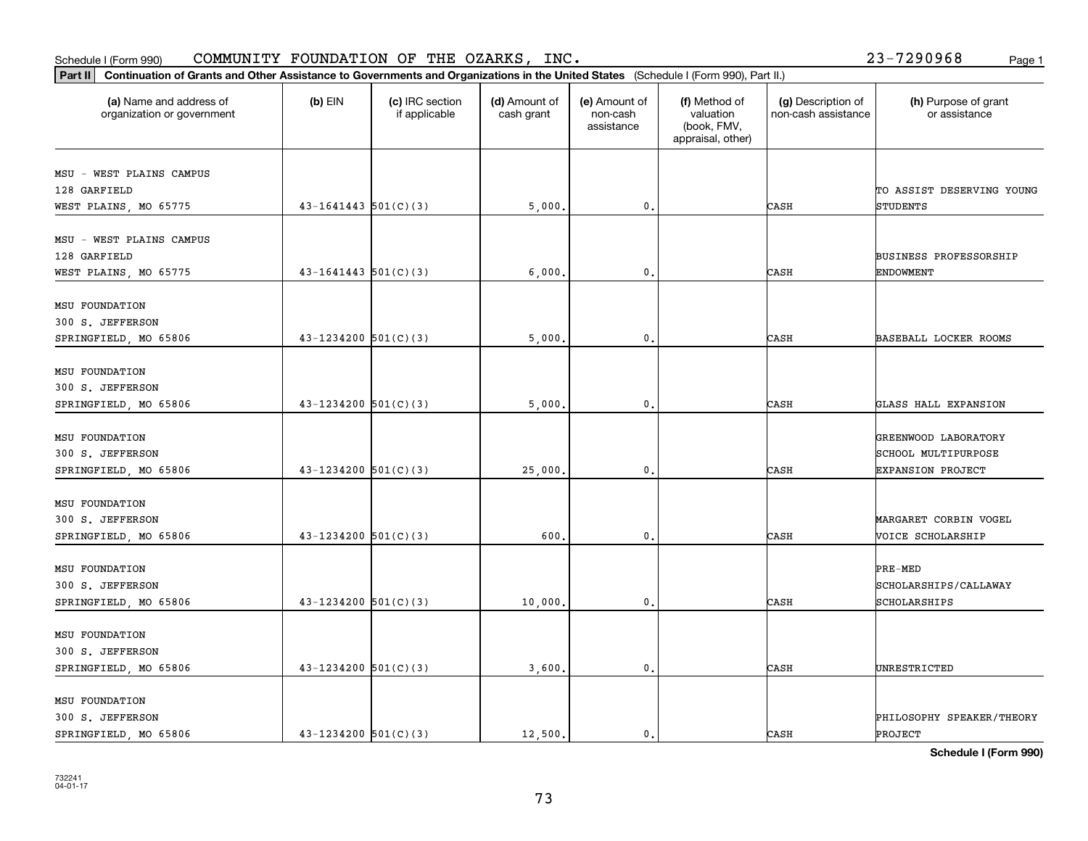| (Form 990), Part II.<br>/ Schedule I (F<br>Continuation of Grants and Other Assistance to Governments and Organizations in the United States | Schedule I | COMMUNITY<br>(Form 990) | FOUNDATION<br>THE<br>OF | OZARKS<br>INC. |  | " 96 ი<br>$\sim$ | Page 1 |
|----------------------------------------------------------------------------------------------------------------------------------------------|------------|-------------------------|-------------------------|----------------|--|------------------|--------|
|                                                                                                                                              | Part II    |                         |                         |                |  |                  |        |

| 3-7290968 | Page 1 |
|-----------|--------|
|-----------|--------|

| $ $ Part II                                                       | Continuation of Grants and Other Assistance to Governments and Organizations in the United States (Schedule I (Form 990), Part II.) |                                  |                             |                                         |                                                                |                                           |                                                                         |  |  |
|-------------------------------------------------------------------|-------------------------------------------------------------------------------------------------------------------------------------|----------------------------------|-----------------------------|-----------------------------------------|----------------------------------------------------------------|-------------------------------------------|-------------------------------------------------------------------------|--|--|
| (a) Name and address of<br>organization or government             | $(b)$ EIN                                                                                                                           | (c) IRC section<br>if applicable | (d) Amount of<br>cash grant | (e) Amount of<br>non-cash<br>assistance | (f) Method of<br>valuation<br>(book, FMV,<br>appraisal, other) | (g) Description of<br>non-cash assistance | (h) Purpose of grant<br>or assistance                                   |  |  |
| MSU - WEST PLAINS CAMPUS<br>128 GARFIELD<br>WEST PLAINS, MO 65775 | $43 - 1641443$ $501(C)(3)$                                                                                                          |                                  | 5,000.                      | $\mathfrak{o}$ .                        |                                                                | CASH                                      | TO ASSIST DESERVING YOUNG<br><b>STUDENTS</b>                            |  |  |
| MSU - WEST PLAINS CAMPUS<br>128 GARFIELD<br>WEST PLAINS, MO 65775 | $43 - 1641443$ 501(C)(3)                                                                                                            |                                  | 6,000                       | $\mathfrak o$ .                         |                                                                | CASH                                      | <b>BUSINESS PROFESSORSHIP</b><br><b>ENDOWMENT</b>                       |  |  |
| MSU FOUNDATION<br>300 S. JEFFERSON<br>SPRINGFIELD, MO 65806       | $43 - 1234200$ 501(C)(3)                                                                                                            |                                  | 5,000                       | $\mathbf{0}$                            |                                                                | CASH                                      | BASEBALL LOCKER ROOMS                                                   |  |  |
| MSU FOUNDATION<br>300 S. JEFFERSON<br>SPRINGFIELD, MO 65806       | $43 - 1234200$ $501(C)(3)$                                                                                                          |                                  | 5,000                       | $\mathbf{0}$ .                          |                                                                | CASH                                      | GLASS HALL EXPANSION                                                    |  |  |
| MSU FOUNDATION<br>300 S. JEFFERSON<br>SPRINGFIELD, MO 65806       | $43 - 1234200$ $501(C)(3)$                                                                                                          |                                  | 25,000                      | $\mathbf{0}$                            |                                                                | CASH                                      | GREENWOOD LABORATORY<br>SCHOOL MULTIPURPOSE<br><b>EXPANSION PROJECT</b> |  |  |
| MSU FOUNDATION<br>300 S. JEFFERSON<br>SPRINGFIELD, MO 65806       | $43 - 1234200$ $501(C)(3)$                                                                                                          |                                  | 600                         | $\mathbf{0}$                            |                                                                | CASH                                      | MARGARET CORBIN VOGEL<br><b><i>NOICE SCHOLARSHIP</i></b>                |  |  |
| MSU FOUNDATION<br>300 S. JEFFERSON<br>SPRINGFIELD, MO 65806       | $43 - 1234200$ $501(C)(3)$                                                                                                          |                                  | 10,000                      | $\mathbf{0}$ .                          |                                                                | CASH                                      | PRE-MED<br>SCHOLARSHIPS/CALLAWAY<br>SCHOLARSHIPS                        |  |  |
| MSU FOUNDATION<br>300 S. JEFFERSON<br>SPRINGFIELD, MO 65806       | $43 - 1234200$ 501(C)(3)                                                                                                            |                                  | 3,600                       | 0.                                      |                                                                | CASH                                      | <b>UNRESTRICTED</b>                                                     |  |  |
| MSU FOUNDATION<br>300 S. JEFFERSON<br>SPRINGFIELD, MO 65806       | $43 - 1234200$ 501(C)(3)                                                                                                            |                                  | 12,500.                     | $\mathbf{0}$ .                          |                                                                | CASH                                      | PHILOSOPHY SPEAKER/THEORY<br><b>PROJECT</b>                             |  |  |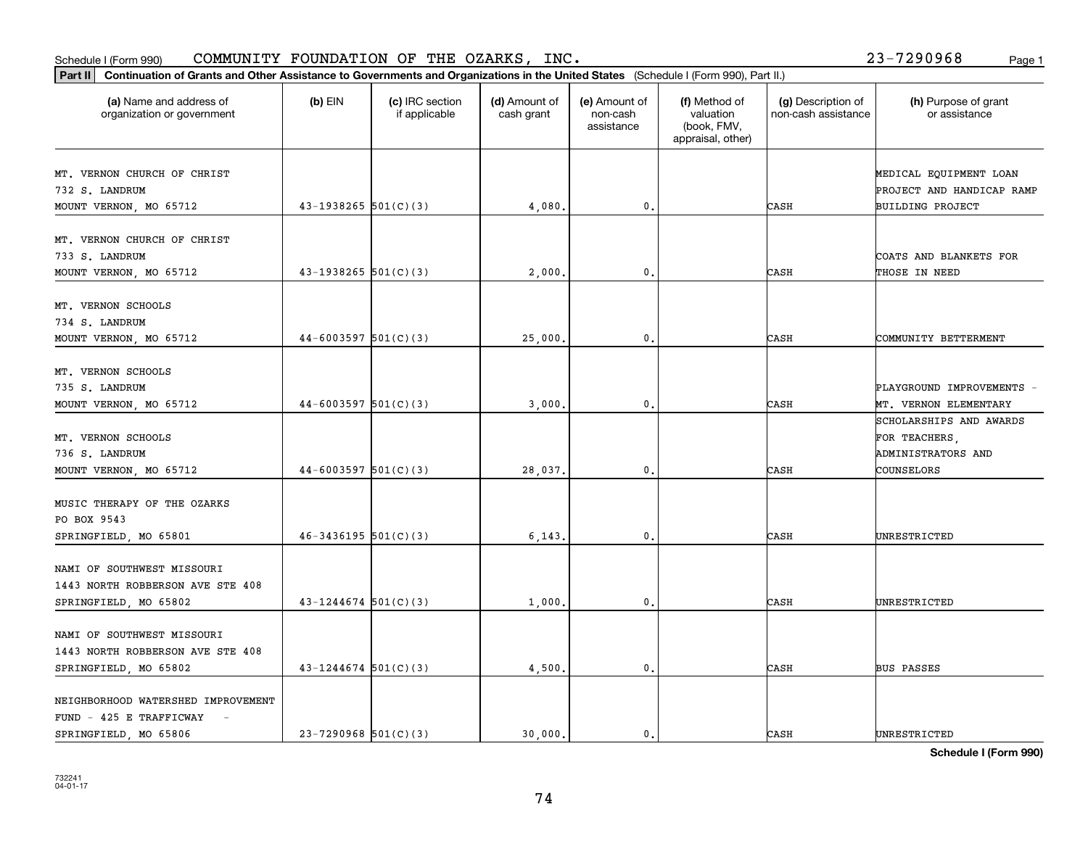| (a) Name and address of<br>organization or government                                                | $(b)$ EIN                | (c) IRC section<br>if applicable | (d) Amount of<br>cash grant | (e) Amount of<br>non-cash<br>assistance | (f) Method of<br>valuation<br>(book, FMV,<br>appraisal, other) | (g) Description of<br>non-cash assistance | (h) Purpose of grant<br>or assistance                          |
|------------------------------------------------------------------------------------------------------|--------------------------|----------------------------------|-----------------------------|-----------------------------------------|----------------------------------------------------------------|-------------------------------------------|----------------------------------------------------------------|
| MT. VERNON CHURCH OF CHRIST<br>732 S. LANDRUM                                                        | $43-1938265$ 501(C)(3)   |                                  |                             | 0.                                      |                                                                | CASH                                      | MEDICAL EQUIPMENT LOAN<br>PROJECT AND HANDICAP RAMP            |
| MOUNT VERNON, MO 65712                                                                               |                          |                                  | 4,080                       |                                         |                                                                |                                           | <b>BUILDING PROJECT</b>                                        |
| MT. VERNON CHURCH OF CHRIST<br>733 S. LANDRUM<br>MOUNT VERNON, MO 65712                              | $43 - 1938265$ 501(C)(3) |                                  | 2,000                       | 0.                                      |                                                                | CASH                                      | COATS AND BLANKETS FOR<br>THOSE IN NEED                        |
| MT. VERNON SCHOOLS<br>734 S. LANDRUM                                                                 | $44-6003597$ 501(C)(3)   |                                  |                             | $\mathfrak o$ .                         |                                                                | CASH                                      | COMMUNITY BETTERMENT                                           |
| MOUNT VERNON, MO 65712                                                                               |                          |                                  | 25,000.                     |                                         |                                                                |                                           |                                                                |
| MT. VERNON SCHOOLS<br>735 S. LANDRUM<br>MOUNT VERNON, MO 65712                                       | $44-6003597$ 501(C)(3)   |                                  | 3,000                       | 0.                                      |                                                                | CASH                                      | PLAYGROUND IMPROVEMENTS -<br>MT. VERNON ELEMENTARY             |
| MT. VERNON SCHOOLS<br>736 S. LANDRUM                                                                 |                          |                                  |                             |                                         |                                                                |                                           | SCHOLARSHIPS AND AWARDS<br>FOR TEACHERS,<br>ADMINISTRATORS AND |
| MOUNT VERNON, MO 65712                                                                               | $44-6003597$ 501(C)(3)   |                                  | 28,037                      | 0.                                      |                                                                | CASH                                      | COUNSELORS                                                     |
| MUSIC THERAPY OF THE OZARKS<br>PO BOX 9543<br>SPRINGFIELD, MO 65801                                  | $46 - 3436195$ 501(C)(3) |                                  | 6,143                       | 0.                                      |                                                                | CASH                                      | UNRESTRICTED                                                   |
| NAMI OF SOUTHWEST MISSOURI<br>1443 NORTH ROBBERSON AVE STE 408                                       |                          |                                  |                             |                                         |                                                                |                                           |                                                                |
| SPRINGFIELD, MO 65802                                                                                | $43 - 1244674$ 501(C)(3) |                                  | 1,000                       | $\mathfrak o$ .                         |                                                                | CASH                                      | UNRESTRICTED                                                   |
| NAMI OF SOUTHWEST MISSOURI<br>1443 NORTH ROBBERSON AVE STE 408<br>SPRINGFIELD, MO 65802              | $43 - 1244674$ 501(C)(3) |                                  | 4,500                       | $\mathfrak o$ .                         |                                                                | CASH                                      | <b>BUS PASSES</b>                                              |
| NEIGHBORHOOD WATERSHED IMPROVEMENT<br>FUND - 425 E TRAFFICWAY<br>$\sim$ $-$<br>SPRINGFIELD, MO 65806 | $23 - 7290968$ 501(C)(3) |                                  | 30,000.                     | 0.                                      |                                                                | CASH                                      | <b>UNRESTRICTED</b>                                            |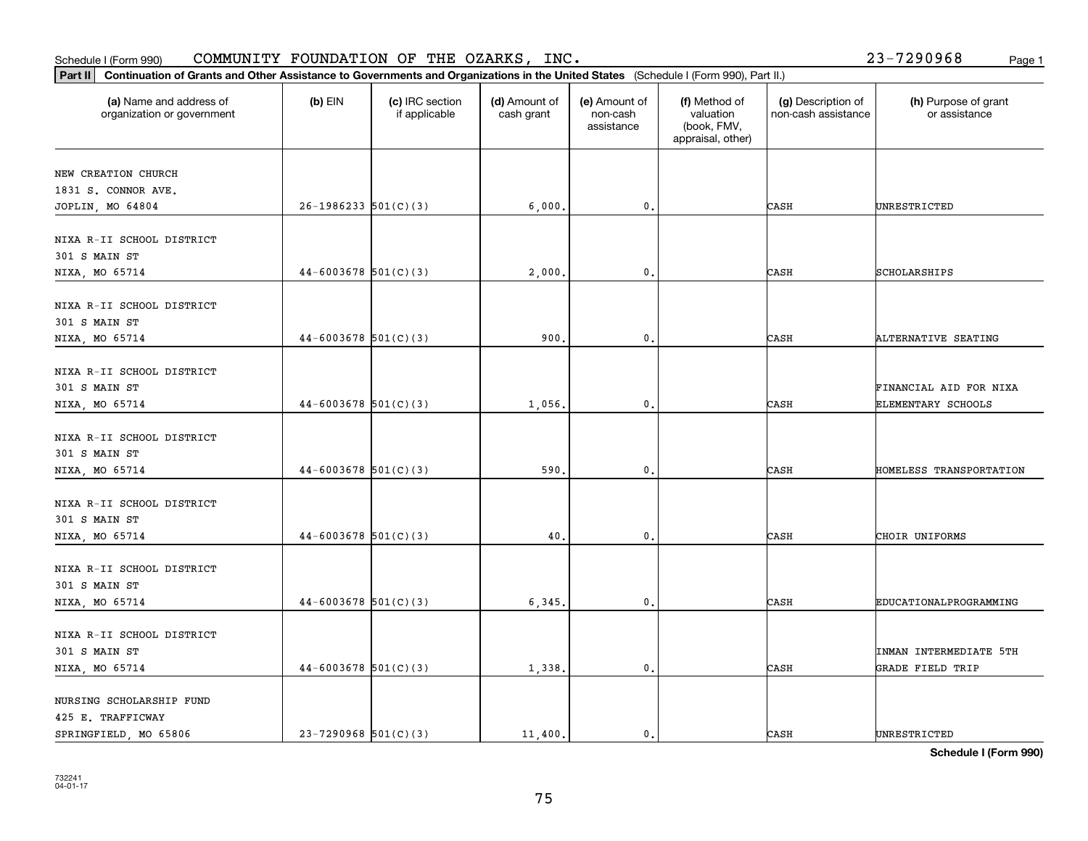### 73224104-01-17

| NIXA R-II SCHOOL DISTRICT       |                        |        |                |      |                               |
|---------------------------------|------------------------|--------|----------------|------|-------------------------------|
| 301 S MAIN ST                   |                        |        |                |      | FINANCIAL AID FOR NIXA        |
| NIXA, MO 65714                  | $44-6003678$ 501(C)(3) | 1,056. | $\mathbf{0}$ . | CASH | ELEMENTARY SCHOOLS            |
| NIXA R-II SCHOOL DISTRICT       |                        |        |                |      |                               |
| 301 S MAIN ST                   |                        |        |                |      |                               |
| NIXA, MO 65714                  | $44-6003678$ 501(C)(3) | 590.   | $\mathbf{0}$ . | CASH | HOMELESS TRANSPORTATION       |
| NIXA R-II SCHOOL DISTRICT       |                        |        |                |      |                               |
|                                 |                        |        |                |      |                               |
| 301 S MAIN ST<br>NIXA, MO 65714 | $44-6003678$ 501(C)(3) | 40.    | 0.             | CASH | CHOIR UNIFORMS                |
|                                 |                        |        |                |      |                               |
| NIXA R-II SCHOOL DISTRICT       |                        |        |                |      |                               |
| 301 S MAIN ST                   |                        |        |                |      |                               |
| NIXA, MO 65714                  | $44-6003678$ 501(C)(3) | 6,345. | $\mathbf{0}$ . | CASH | EDUCATIONALPROGRAMMING        |
| NIXA R-II SCHOOL DISTRICT       |                        |        |                |      |                               |
| 301 S MAIN ST                   |                        |        |                |      | <b>INMAN INTERMEDIATE 5TH</b> |
| NIXA, MO 65714                  | $44-6003678$ 501(C)(3) | 1,338. | $0$ .          | CASH | GRADE FIELD TRIP              |

**(a) (b) (c) (d) (e) (f) (g) (h)** Name and address of

JOPLIN, MO 64804 26-1986233 501(C)(3) 6,000. 0. CASH UNRESTRICTED

NIXA, MO 65714 44-6003678 501(C)(3) 2,000. 0. CASH SCHOLARSHIPS

NIXA, MO 65714 44-6003678 501(C)(3) 900. 0. CASH ALTERNATIVE SEATING

(d) Amount of cash grant

(e) Amount of non-cashassistance

(f) Method of valuation (book, FMV, appraisal, other)

(g) Description of non-cash assistance

**Part II Continuation of Grants and Other Assistance to Governments and Organizations in the United States**  (Schedule I (Form 990), Part II.) Schedule I (Form 990)  ${\tt COMMUNITY}$  <code>FOUNDATION OF THE OZARKS, INC</code> .  $23-7290968$  Page 1

 $(b)$  EIN  $(c)$  IRC section

if applicable

organization or government

NEW CREATION CHURCH 1831 S. CONNOR AVE.

301 S MAIN ST

301 S MAIN ST

NURSING SCHOLARSHIP FUND 425 E. TRAFFICWAY

NIXA R-II SCHOOL DISTRICT

NIXA R-II SCHOOL DISTRICT

(h) Purpose of grant or assistance

SPRINGFIELD, MO 65806 23-7290968 501(C)(3) | 11,400. 0. CASH CASH UNRESTRICTED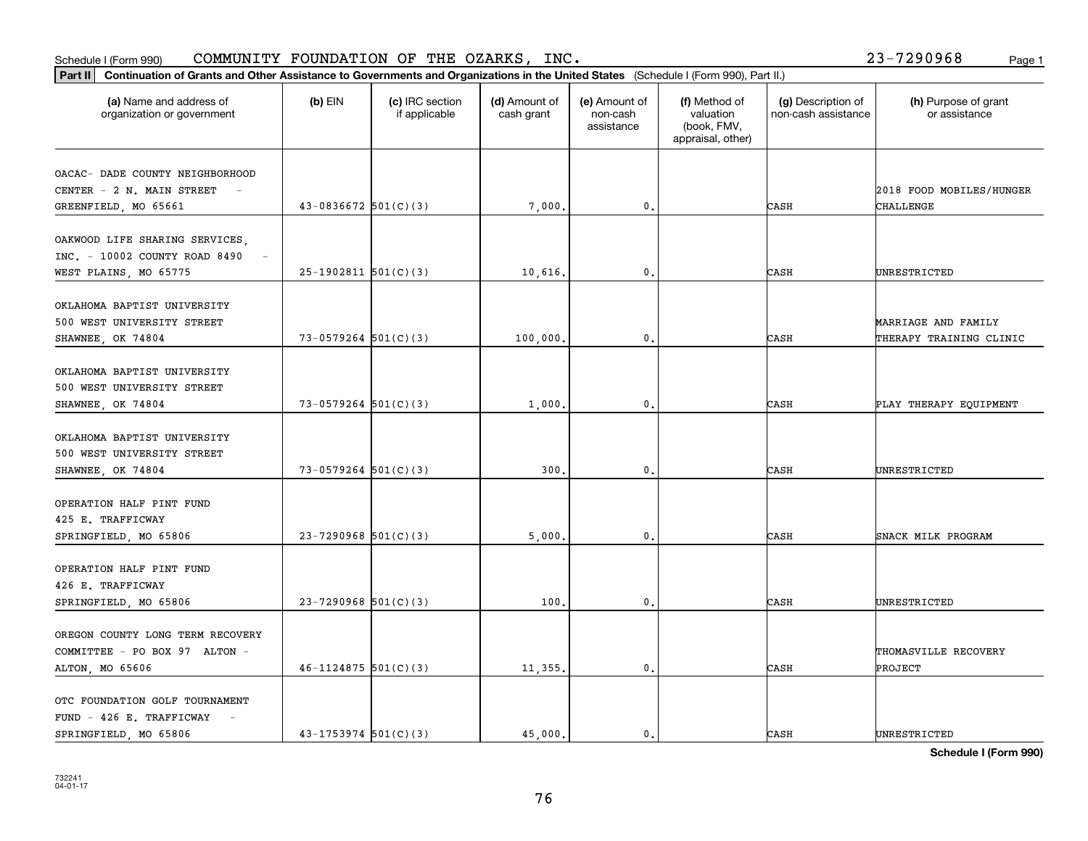### **Part III Continuation of Grants and Other Assistance to Governments and Organization of Grants and Organization of Grants and Organizations of Organizations and Organization of Grants and Organizations of Departments an** Schedule I (Form 990)  ${\tt COMMUNITY}$  <code>FOUNDATION OF THE OZARKS, INC</code> .  $23-7290968$  Page 1

| Continuation of Grants and Other Assistance to Governments and Organizations in the United States (Schedule I (Form 990), Part II.)<br>Part II |                          |                                  |                             |                                         |                                                                |                                           |                                                |  |
|------------------------------------------------------------------------------------------------------------------------------------------------|--------------------------|----------------------------------|-----------------------------|-----------------------------------------|----------------------------------------------------------------|-------------------------------------------|------------------------------------------------|--|
| (a) Name and address of<br>organization or government                                                                                          | $(b)$ EIN                | (c) IRC section<br>if applicable | (d) Amount of<br>cash grant | (e) Amount of<br>non-cash<br>assistance | (f) Method of<br>valuation<br>(book, FMV,<br>appraisal, other) | (g) Description of<br>non-cash assistance | (h) Purpose of grant<br>or assistance          |  |
| OACAC- DADE COUNTY NEIGHBORHOOD<br>CENTER - 2 N. MAIN STREET<br>$\sim$ $-$<br>GREENFIELD, MO 65661                                             | $43-0836672$ 501(C)(3)   |                                  | 7,000                       | 0.                                      |                                                                | CASH                                      | 2018 FOOD MOBILES/HUNGER<br><b>CHALLENGE</b>   |  |
| OAKWOOD LIFE SHARING SERVICES,<br>INC. - 10002 COUNTY ROAD 8490<br>WEST PLAINS, MO 65775                                                       | $25-1902811$ 501(C)(3)   |                                  | 10,616.                     | $\mathbf{0}$ .                          |                                                                | CASH                                      | UNRESTRICTED                                   |  |
| OKLAHOMA BAPTIST UNIVERSITY<br>500 WEST UNIVERSITY STREET<br>SHAWNEE, OK 74804                                                                 | $73-0579264$ 501(C)(3)   |                                  | 100,000                     | 0.                                      |                                                                | CASH                                      | MARRIAGE AND FAMILY<br>THERAPY TRAINING CLINIC |  |
| OKLAHOMA BAPTIST UNIVERSITY<br>500 WEST UNIVERSITY STREET<br>SHAWNEE, OK 74804                                                                 | $73-0579264$ 501(C)(3)   |                                  | 1,000                       | 0.                                      |                                                                | CASH                                      | PLAY THERAPY EQUIPMENT                         |  |
| OKLAHOMA BAPTIST UNIVERSITY<br>500 WEST UNIVERSITY STREET<br>SHAWNEE, OK 74804                                                                 | $73 - 0579264$ 501(C)(3) |                                  | 300.                        | $\mathbf{0}$ .                          |                                                                | CASH                                      | UNRESTRICTED                                   |  |
| OPERATION HALF PINT FUND<br>425 E. TRAFFICWAY<br>SPRINGFIELD, MO 65806                                                                         | $23 - 7290968$ 501(C)(3) |                                  | 5,000                       | 0.                                      |                                                                | CASH                                      | SNACK MILK PROGRAM                             |  |
| OPERATION HALF PINT FUND<br>426 E. TRAFFICWAY<br>SPRINGFIELD, MO 65806                                                                         | $23 - 7290968$ 501(C)(3) |                                  | 100                         | 0.                                      |                                                                | CASH                                      | UNRESTRICTED                                   |  |
| OREGON COUNTY LONG TERM RECOVERY<br>COMMITTEE - PO BOX 97 ALTON -<br>ALTON, MO 65606                                                           | $46 - 1124875$ 501(C)(3) |                                  | 11,355.                     | $\mathbf{0}$ .                          |                                                                | CASH                                      | THOMASVILLE RECOVERY<br>PROJECT                |  |
| OTC FOUNDATION GOLF TOURNAMENT<br>FUND - 426 E. TRAFFICWAY -<br>SPRINGFIELD, MO 65806                                                          | $43-1753974$ 501(C)(3)   |                                  | 45,000.                     | $\mathbf{0}$ .                          |                                                                | CASH                                      | UNRESTRICTED                                   |  |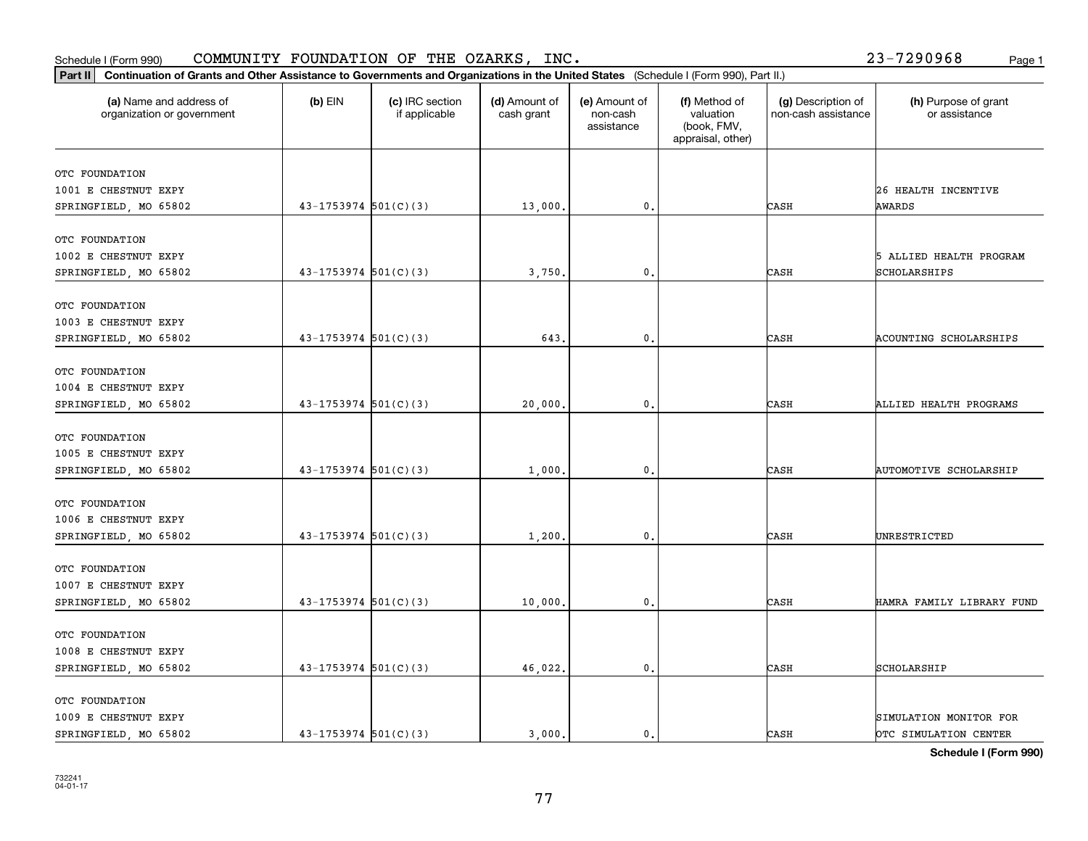### 73224104-01-17

OTC FOUNDATION

OTC FOUNDATION 1004 E CHESTNUT EXPY

OTC FOUNDATION 1005 E CHESTNUT EXPY

OTC FOUNDATION 1006 E CHESTNUT EXPY

OTC FOUNDATION

| OTC FOUNDATION        |                          |         |  |      |                           |
|-----------------------|--------------------------|---------|--|------|---------------------------|
| 1006 E CHESTNUT EXPY  |                          |         |  |      |                           |
| SPRINGFIELD MO 65802  | $43 - 1753974$ 501(C)(3) | 1.200.  |  | CASH | UNRESTRICTED              |
|                       |                          |         |  |      |                           |
| OTC FOUNDATION        |                          |         |  |      |                           |
| 1007 E CHESTNUT EXPY  |                          |         |  |      |                           |
| SPRINGFIELD, MO 65802 | $43 - 1753974$ 501(C)(3) | 10,000. |  | CASH | HAMRA FAMILY LIBRARY FUND |
|                       |                          |         |  |      |                           |
| OTC FOUNDATION        |                          |         |  |      |                           |
| 1008 E CHESTNUT EXPY  |                          |         |  |      |                           |

assistance

(book, FMV, appraisal, other)

SPRINGFIELD, MO 65802  $\begin{vmatrix} 43-1753974 & 501(C)(3) \end{vmatrix}$  20,000. 0. CASH CASH ALLIED HEALTH PROGRAMS SPRINGFIELD, MO 65802  $\begin{vmatrix} 43-1753974 & 501(C)(3) \end{vmatrix}$  1,000. 0. CASH CASH AUTOMOTIVE SCHOLARSHIP

SPRINGFIELD, MO 65802  $\begin{vmatrix} 43-1753974 & 501(C)(3) \end{vmatrix}$  46,022. 0. CASH SCHOLARSHIP

| OTC FOUNDATION        |                            |        |  |      |                         |
|-----------------------|----------------------------|--------|--|------|-------------------------|
| 1002 E CHESTNUT EXPY  |                            |        |  |      | 5 ALLIED HEALTH PROGRAM |
| SPRINGFIELD, MO 65802 | $43 - 1753974$ $501(C)(3)$ | 3.750. |  | CASH | SCHOLARSHIPS            |
|                       |                            |        |  |      |                         |
| OTC FOUNDATION        |                            |        |  |      |                         |
| 1003 E CHESTNUT EXPY  |                            |        |  |      |                         |

SPRINGFIELD, MO 65802 43-1753974 501(C)(3) (13,000. 0. 0. CASH AWARDS

1001 E CHESTNUT EXPY 26 HEALTH INCENTIVE

SPRINGFIELD, MO 65802  $\begin{vmatrix} 43-1753974 & 501(C)(3) \end{vmatrix}$  643. 0. CASH CASH ACOUNTING SCHOLARSHIPS

| Schedule I (Form 990)                                                                                                                          |  |           | COMMUNITY FOUNDATION OF THE      | INC.<br>OZARKS              |                                  |                            |                                               | 23-7290968                            | Page 1 |
|------------------------------------------------------------------------------------------------------------------------------------------------|--|-----------|----------------------------------|-----------------------------|----------------------------------|----------------------------|-----------------------------------------------|---------------------------------------|--------|
| Continuation of Grants and Other Assistance to Governments and Organizations in the United States (Schedule I (Form 990), Part II.)<br>Part II |  |           |                                  |                             |                                  |                            |                                               |                                       |        |
| (a) Name and address of<br>organization or government                                                                                          |  | $(b)$ EIN | (c) IRC section<br>if applicable | (d) Amount of<br>cash grant | <b>(e)</b> Amount of<br>non-cash | (f) Method of<br>valuation | (g) Description of<br>I non-cash assistance I | (h) Purpose of grant<br>or assistance |        |

**Schedule I (Form 990)**

1009 E CHESTNUT EXPY STRUMENT ROOM SIMULATION MONITOR FOR SPRINGFIELD, MO 65802  $\begin{vmatrix} 43-1753974 & 501(C)(3) \end{vmatrix}$  3,000. 0. CASH CASH OTC SIMULATION CENTER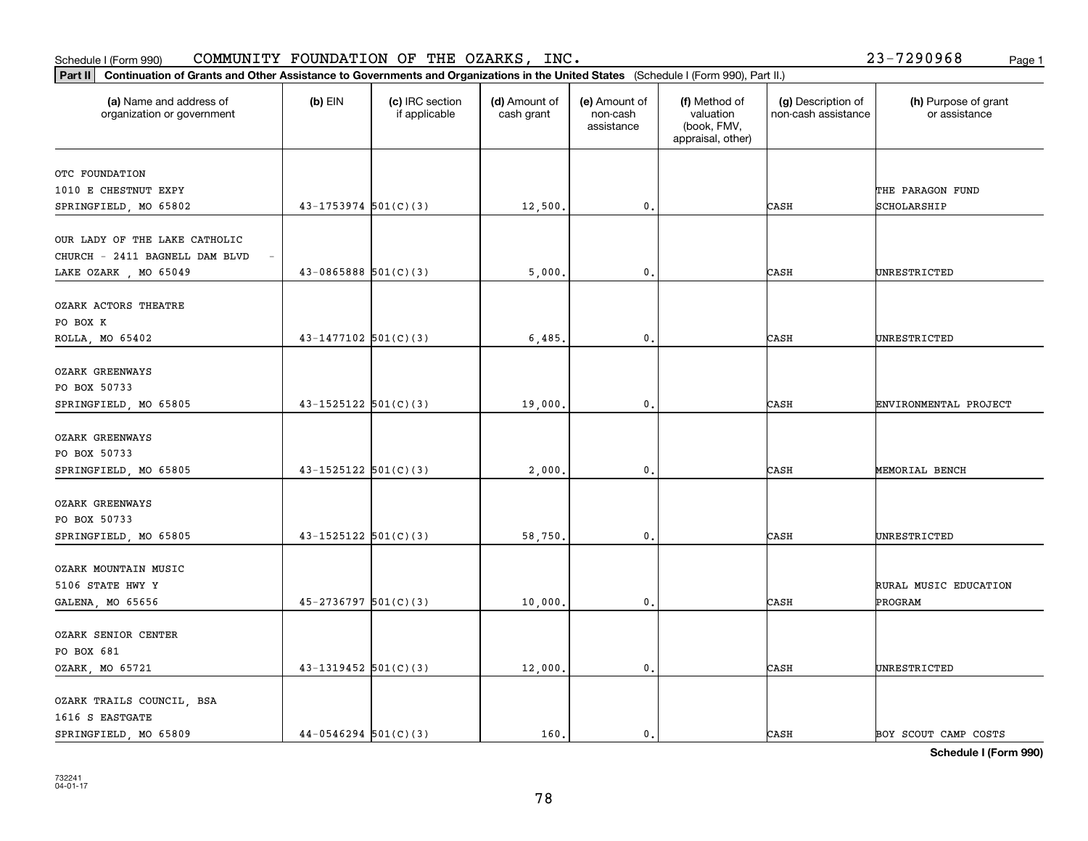# 732241 04-01-17

 $(b)$  EIN  $(c)$  IRC section

**Part II Continuation of Grants and Other Assistance to Governments and Organizations in the United States**  (Schedule I (Form 990), Part II.)

if applicable

|                                |                            |         |                  | appraisal, other) |                       |
|--------------------------------|----------------------------|---------|------------------|-------------------|-----------------------|
| OTC FOUNDATION                 |                            |         |                  |                   |                       |
| 1010 E CHESTNUT EXPY           |                            |         |                  |                   | THE PARAGON FUND      |
| SPRINGFIELD, MO 65802          | $43-1753974$ 501(C)(3)     | 12,500. | $\mathbf{0}$ .   | CASH              | SCHOLARSHIP           |
|                                |                            |         |                  |                   |                       |
| OUR LADY OF THE LAKE CATHOLIC  |                            |         |                  |                   |                       |
| CHURCH - 2411 BAGNELL DAM BLVD |                            |         |                  |                   |                       |
| LAKE OZARK, MO 65049           | $43-0865888$ $501(C)(3)$   | 5,000.  | $\mathbf{0}$ .   | CASH              | UNRESTRICTED          |
|                                |                            |         |                  |                   |                       |
| OZARK ACTORS THEATRE           |                            |         |                  |                   |                       |
| PO BOX K                       |                            |         |                  |                   |                       |
| ROLLA, MO 65402                | $43 - 1477102$ 501(C)(3)   | 6,485.  | $^{\circ}$ .     | CASH              | UNRESTRICTED          |
|                                |                            |         |                  |                   |                       |
| OZARK GREENWAYS                |                            |         |                  |                   |                       |
| PO BOX 50733                   |                            |         |                  |                   |                       |
| SPRINGFIELD, MO 65805          | $43 - 1525122$ $501(C)(3)$ | 19,000. | $\mathfrak o$ .  | CASH              | ENVIRONMENTAL PROJECT |
|                                |                            |         |                  |                   |                       |
| OZARK GREENWAYS                |                            |         |                  |                   |                       |
| PO BOX 50733                   |                            |         |                  |                   |                       |
| SPRINGFIELD, MO 65805          | $43 - 1525122$ $501(C)(3)$ | 2,000.  | $\mathbf{0}$ .   | CASH              | MEMORIAL BENCH        |
|                                |                            |         |                  |                   |                       |
| OZARK GREENWAYS                |                            |         |                  |                   |                       |
| PO BOX 50733                   |                            |         |                  |                   |                       |
| SPRINGFIELD, MO 65805          | $43 - 1525122$ $501(C)(3)$ | 58,750. | $\mathfrak{o}$ . | CASH              | UNRESTRICTED          |
|                                |                            |         |                  |                   |                       |
| OZARK MOUNTAIN MUSIC           |                            |         |                  |                   |                       |
| 5106 STATE HWY Y               |                            |         |                  |                   | RURAL MUSIC EDUCATION |
| GALENA, MO 65656               | $45 - 2736797$ 501(C)(3)   | 10,000. | $\mathbf{0}$ .   | CASH              | PROGRAM               |
|                                |                            |         |                  |                   |                       |
| OZARK SENIOR CENTER            |                            |         |                  |                   |                       |
| PO BOX 681                     |                            |         |                  |                   |                       |
| OZARK, MO 65721                | $43 - 1319452$ $501(C)(3)$ | 12,000. | $\mathbf{0}$ .   | CASH              | UNRESTRICTED          |
|                                |                            |         |                  |                   |                       |
| OZARK TRAILS COUNCIL, BSA      |                            |         |                  |                   |                       |
| 1616 S EASTGATE                |                            |         |                  |                   |                       |
| SPRINGFIELD, MO 65809          | $44-0546294$ 501(C)(3)     | 160.    | $\mathbf{0}$ .   | CASH              | BOY SCOUT CAMP COSTS  |

**(a) (b) (c) (d) (e) (f) (g) (h)** Name and address of

(d) Amount of cash grant

(e) Amount of non-cash

(f) Method of valuation (book, FMV,

(g) Description of non-cash assistance

Schedule I (Form 990)  ${\tt COMMUNITY}$  <code>FOUNDATION OF THE OZARKS, INC</code> .  $23-7290968$  Page 1

organization or government

(h) Purpose of grant or assistance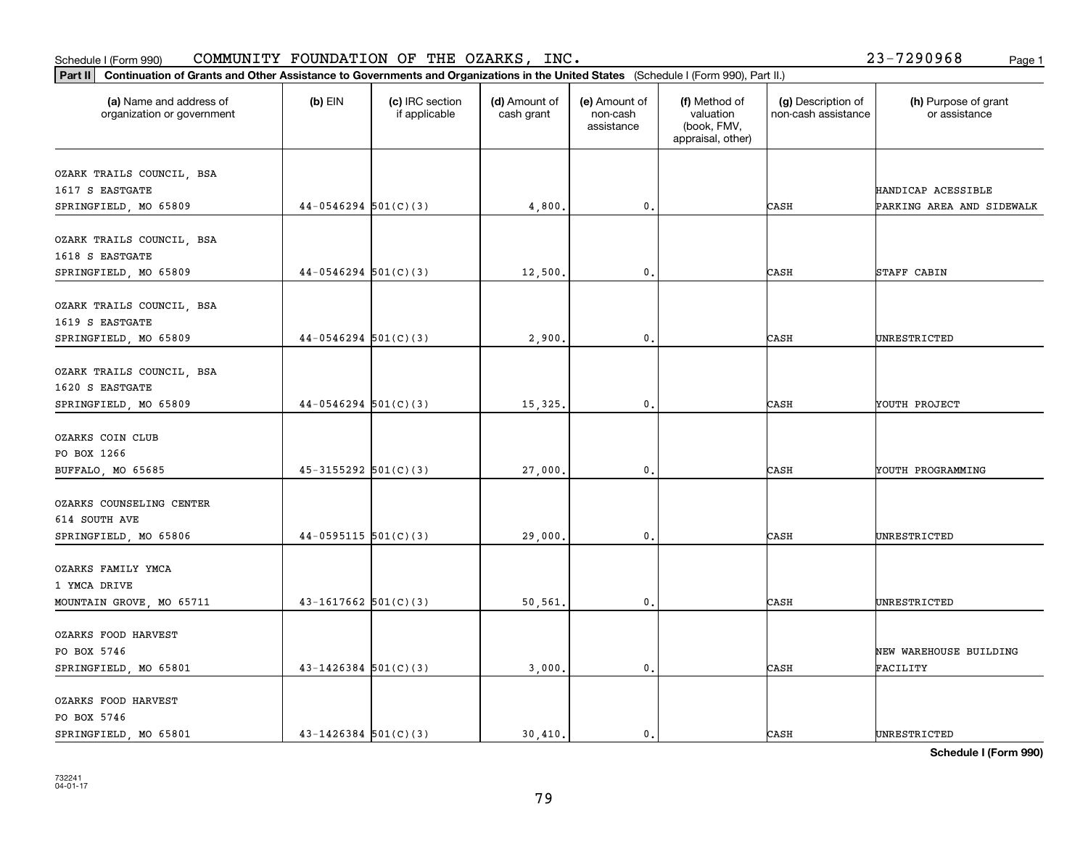| Part II   Continuation of Grants and Other Assistance to Governments and Organizations in the United States (Schedule I (Form 990), Part II.) |                            |                                  |                             |                                         |                                                                |                                           |                                       |
|-----------------------------------------------------------------------------------------------------------------------------------------------|----------------------------|----------------------------------|-----------------------------|-----------------------------------------|----------------------------------------------------------------|-------------------------------------------|---------------------------------------|
| (a) Name and address of<br>organization or government                                                                                         | $(b)$ EIN                  | (c) IRC section<br>if applicable | (d) Amount of<br>cash grant | (e) Amount of<br>non-cash<br>assistance | (f) Method of<br>valuation<br>(book, FMV,<br>appraisal, other) | (g) Description of<br>non-cash assistance | (h) Purpose of grant<br>or assistance |
|                                                                                                                                               |                            |                                  |                             |                                         |                                                                |                                           |                                       |
| OZARK TRAILS COUNCIL, BSA<br>1617 S EASTGATE                                                                                                  |                            |                                  |                             |                                         |                                                                |                                           | HANDICAP ACESSIBLE                    |
| SPRINGFIELD, MO 65809                                                                                                                         | $44-0546294$ 501(C)(3)     |                                  | 4,800.                      | $\mathbf 0$ .                           |                                                                | CASH                                      | PARKING AREA AND SIDEWALK             |
|                                                                                                                                               |                            |                                  |                             |                                         |                                                                |                                           |                                       |
| OZARK TRAILS COUNCIL, BSA                                                                                                                     |                            |                                  |                             |                                         |                                                                |                                           |                                       |
| 1618 S EASTGATE                                                                                                                               |                            |                                  |                             |                                         |                                                                |                                           |                                       |
| SPRINGFIELD, MO 65809                                                                                                                         | $44-0546294$ 501(C)(3)     |                                  | 12,500                      | 0.                                      |                                                                | CASH                                      | STAFF CABIN                           |
|                                                                                                                                               |                            |                                  |                             |                                         |                                                                |                                           |                                       |
| OZARK TRAILS COUNCIL, BSA                                                                                                                     |                            |                                  |                             |                                         |                                                                |                                           |                                       |
| 1619 S EASTGATE                                                                                                                               |                            |                                  |                             |                                         |                                                                |                                           |                                       |
| SPRINGFIELD, MO 65809                                                                                                                         | $44-0546294$ 501(C)(3)     |                                  | 2,900                       | $\mathfrak{o}$ .                        |                                                                | CASH                                      | UNRESTRICTED                          |
|                                                                                                                                               |                            |                                  |                             |                                         |                                                                |                                           |                                       |
| OZARK TRAILS COUNCIL, BSA                                                                                                                     |                            |                                  |                             |                                         |                                                                |                                           |                                       |
| 1620 S EASTGATE                                                                                                                               |                            |                                  |                             |                                         |                                                                |                                           |                                       |
| SPRINGFIELD, MO 65809                                                                                                                         | $44-0546294$ 501(C)(3)     |                                  | 15,325.                     | $\mathbf{0}$                            |                                                                | CASH                                      | YOUTH PROJECT                         |
|                                                                                                                                               |                            |                                  |                             |                                         |                                                                |                                           |                                       |
| OZARKS COIN CLUB                                                                                                                              |                            |                                  |                             |                                         |                                                                |                                           |                                       |
| PO BOX 1266                                                                                                                                   |                            |                                  |                             |                                         |                                                                |                                           |                                       |
| BUFFALO, MO 65685                                                                                                                             | $45 - 3155292$ $501(C)(3)$ |                                  | 27,000                      | $\mathbf{0}$                            |                                                                | CASH                                      | YOUTH PROGRAMMING                     |
|                                                                                                                                               |                            |                                  |                             |                                         |                                                                |                                           |                                       |
| OZARKS COUNSELING CENTER                                                                                                                      |                            |                                  |                             |                                         |                                                                |                                           |                                       |
| 614 SOUTH AVE                                                                                                                                 |                            |                                  |                             |                                         |                                                                |                                           |                                       |
| SPRINGFIELD, MO 65806                                                                                                                         | $44-0595115$ $501(C)(3)$   |                                  | 29,000.                     | 0.                                      |                                                                | CASH                                      | UNRESTRICTED                          |
|                                                                                                                                               |                            |                                  |                             |                                         |                                                                |                                           |                                       |
| OZARKS FAMILY YMCA                                                                                                                            |                            |                                  |                             |                                         |                                                                |                                           |                                       |
| 1 YMCA DRIVE                                                                                                                                  |                            |                                  |                             |                                         |                                                                |                                           |                                       |
| MOUNTAIN GROVE, MO 65711                                                                                                                      | $43-1617662$ 501(C)(3)     |                                  | 50,561                      | $\mathfrak{o}$ .                        |                                                                | CASH                                      | UNRESTRICTED                          |
| OZARKS FOOD HARVEST                                                                                                                           |                            |                                  |                             |                                         |                                                                |                                           |                                       |
| PO BOX 5746                                                                                                                                   |                            |                                  |                             |                                         |                                                                |                                           | NEW WAREHOUSE BUILDING                |
|                                                                                                                                               | $43 - 1426384$ 501(C)(3)   |                                  | 3,000,                      | $\mathfrak{o}$ .                        |                                                                | CASH                                      | FACILITY                              |
| SPRINGFIELD, MO 65801                                                                                                                         |                            |                                  |                             |                                         |                                                                |                                           |                                       |
| OZARKS FOOD HARVEST                                                                                                                           |                            |                                  |                             |                                         |                                                                |                                           |                                       |
| PO BOX 5746                                                                                                                                   |                            |                                  |                             |                                         |                                                                |                                           |                                       |
| SPRINGFIELD, MO 65801                                                                                                                         | $43 - 1426384$ 501(C)(3)   |                                  | 30,410.                     | $\mathbf{0}$ .                          |                                                                | CASH                                      | <b>UNRESTRICTED</b>                   |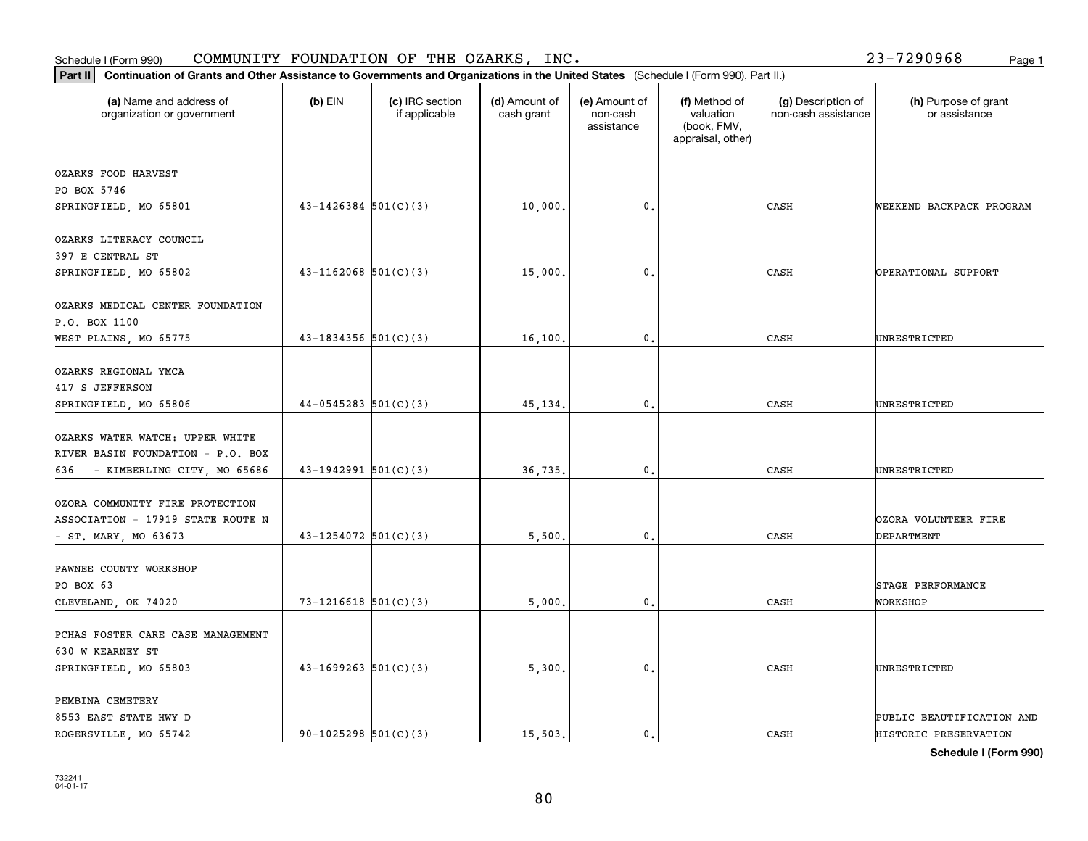| (a) Name and address of<br>organization or government                                                   | $(b)$ EIN                  | (c) IRC section<br>if applicable | (d) Amount of<br>cash grant | (e) Amount of<br>non-cash<br>assistance | (f) Method of<br>valuation<br>(book, FMV,<br>appraisal, other) | (g) Description of<br>non-cash assistance | (h) Purpose of grant<br>or assistance              |
|---------------------------------------------------------------------------------------------------------|----------------------------|----------------------------------|-----------------------------|-----------------------------------------|----------------------------------------------------------------|-------------------------------------------|----------------------------------------------------|
| OZARKS FOOD HARVEST                                                                                     |                            |                                  |                             |                                         |                                                                |                                           |                                                    |
| PO BOX 5746                                                                                             |                            |                                  |                             |                                         |                                                                |                                           |                                                    |
| SPRINGFIELD, MO 65801                                                                                   | $43 - 1426384$ 501(C)(3)   |                                  | 10,000                      | 0.                                      |                                                                | CASH                                      | WEEKEND BACKPACK PROGRAM                           |
| OZARKS LITERACY COUNCIL<br>397 E CENTRAL ST                                                             |                            |                                  |                             |                                         |                                                                |                                           |                                                    |
| SPRINGFIELD, MO 65802                                                                                   | $43 - 1162068$ $501(C)(3)$ |                                  | 15,000                      | 0.                                      |                                                                | CASH                                      | OPERATIONAL SUPPORT                                |
| OZARKS MEDICAL CENTER FOUNDATION<br>P.O. BOX 1100                                                       |                            |                                  |                             |                                         |                                                                |                                           |                                                    |
| WEST PLAINS, MO 65775                                                                                   | $43 - 1834356$ 501(C)(3)   |                                  | 16,100                      | $\mathbf{0}$ .                          |                                                                | CASH                                      | UNRESTRICTED                                       |
| OZARKS REGIONAL YMCA<br>417 S JEFFERSON<br>SPRINGFIELD, MO 65806                                        | $44-0545283$ 501(C)(3)     |                                  | 45, 134.                    | 0.                                      |                                                                | CASH                                      | UNRESTRICTED                                       |
| OZARKS WATER WATCH: UPPER WHITE<br>RIVER BASIN FOUNDATION - P.O. BOX<br>636 - KIMBERLING CITY, MO 65686 | $43 - 1942991$ 501(C)(3)   |                                  | 36,735                      | 0.                                      |                                                                | CASH                                      | UNRESTRICTED                                       |
| OZORA COMMUNITY FIRE PROTECTION<br>ASSOCIATION - 17919 STATE ROUTE N<br>- $ST.$ MARY, MO $63673$        | $43 - 1254072$ 501(C)(3)   |                                  | 5,500                       | 0.                                      |                                                                | CASH                                      | OZORA VOLUNTEER FIRE<br>DEPARTMENT                 |
| PAWNEE COUNTY WORKSHOP<br>PO BOX 63<br>CLEVELAND, OK 74020                                              | $73 - 1216618$ 501(C)(3)   |                                  | 5,000                       | $\mathfrak o$ .                         |                                                                | CASH                                      | STAGE PERFORMANCE<br>WORKSHOP                      |
| PCHAS FOSTER CARE CASE MANAGEMENT<br>630 W KEARNEY ST<br>SPRINGFIELD, MO 65803                          | $43 - 1699263$ $501(C)(3)$ |                                  | 5,300                       | $\mathfrak o$ .                         |                                                                | CASH                                      | UNRESTRICTED                                       |
| PEMBINA CEMETERY<br>8553 EAST STATE HWY D<br>ROGERSVILLE, MO 65742                                      | $90-1025298$ $501(C)(3)$   |                                  | 15.503.                     | 0.                                      |                                                                | CASH                                      | PUBLIC BEAUTIFICATION AND<br>HISTORIC PRESERVATION |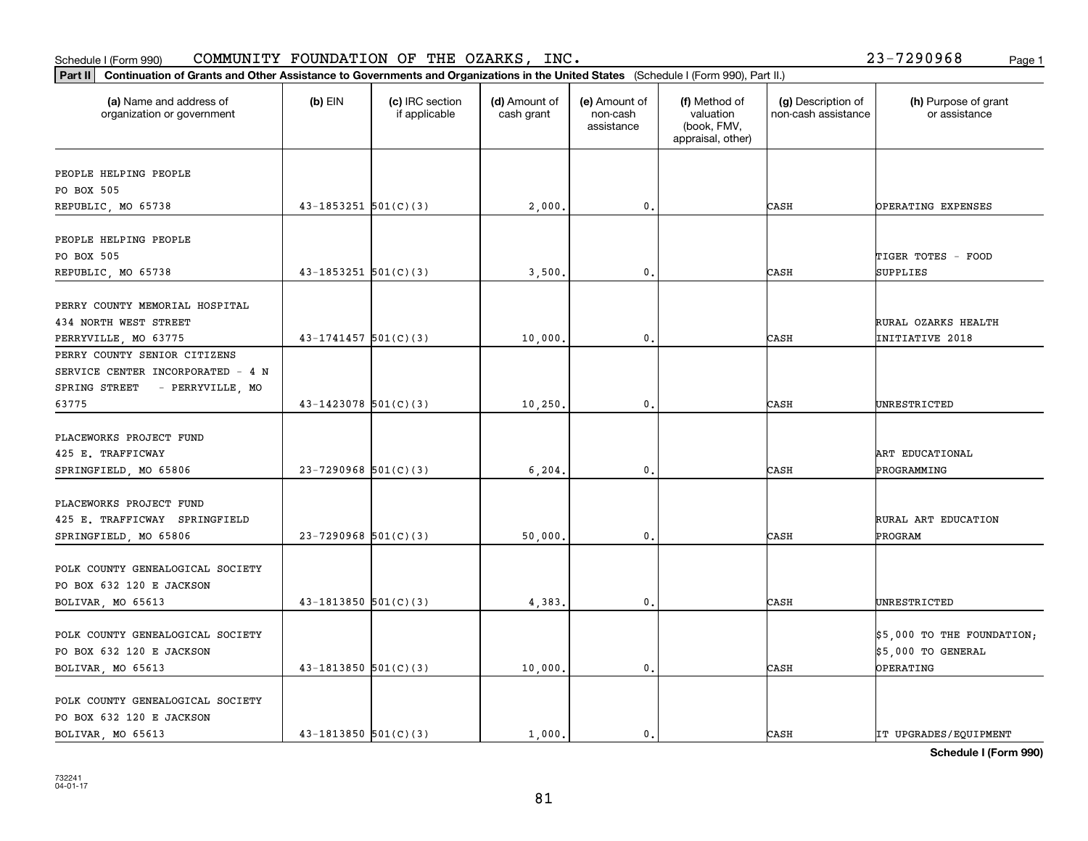| (a) Name and address of<br>organization or government | $(b)$ EIN                  | (c) IRC section<br>if applicable | (d) Amount of<br>cash grant | (e) Amount of<br>non-cash<br>assistance | (f) Method of<br>valuation<br>(book, FMV,<br>appraisal, other) | (g) Description of<br>non-cash assistance | (h) Purpose of grant<br>or assistance |
|-------------------------------------------------------|----------------------------|----------------------------------|-----------------------------|-----------------------------------------|----------------------------------------------------------------|-------------------------------------------|---------------------------------------|
| PEOPLE HELPING PEOPLE                                 |                            |                                  |                             |                                         |                                                                |                                           |                                       |
| PO BOX 505                                            |                            |                                  |                             |                                         |                                                                |                                           |                                       |
| REPUBLIC, MO 65738                                    | $43 - 1853251$ $501(C)(3)$ |                                  | 2,000                       | 0.                                      |                                                                | CASH                                      | OPERATING EXPENSES                    |
|                                                       |                            |                                  |                             |                                         |                                                                |                                           |                                       |
| PEOPLE HELPING PEOPLE                                 |                            |                                  |                             |                                         |                                                                |                                           |                                       |
| PO BOX 505                                            |                            |                                  |                             |                                         |                                                                |                                           | TIGER TOTES - FOOD                    |
| REPUBLIC, MO 65738                                    | $43 - 1853251$ $501(C)(3)$ |                                  | 3,500                       | $\mathbf{0}$                            |                                                                | CASH                                      | SUPPLIES                              |
| PERRY COUNTY MEMORIAL HOSPITAL                        |                            |                                  |                             |                                         |                                                                |                                           |                                       |
| 434 NORTH WEST STREET                                 |                            |                                  |                             |                                         |                                                                |                                           | RURAL OZARKS HEALTH                   |
| PERRYVILLE, MO 63775                                  | $43 - 1741457$ 501(C)(3)   |                                  | 10,000                      | $\mathbf{0}$ .                          |                                                                | CASH                                      | INITIATIVE 2018                       |
| PERRY COUNTY SENIOR CITIZENS                          |                            |                                  |                             |                                         |                                                                |                                           |                                       |
| SERVICE CENTER INCORPORATED - 4 N                     |                            |                                  |                             |                                         |                                                                |                                           |                                       |
| SPRING STREET<br>- PERRYVILLE, MO                     |                            |                                  |                             |                                         |                                                                |                                           |                                       |
| 63775                                                 | $43 - 1423078$ 501(C)(3)   |                                  | 10,250                      | 0.                                      |                                                                | CASH                                      | UNRESTRICTED                          |
|                                                       |                            |                                  |                             |                                         |                                                                |                                           |                                       |
| PLACEWORKS PROJECT FUND                               |                            |                                  |                             |                                         |                                                                |                                           |                                       |
| 425 E. TRAFFICWAY                                     |                            |                                  |                             |                                         |                                                                |                                           | ART EDUCATIONAL                       |
| SPRINGFIELD, MO 65806                                 | $23 - 7290968$ 501(C)(3)   |                                  | 6, 204                      | $\mathbf{0}$                            |                                                                | CASH                                      | PROGRAMMING                           |
| PLACEWORKS PROJECT FUND                               |                            |                                  |                             |                                         |                                                                |                                           |                                       |
| 425 E. TRAFFICWAY SPRINGFIELD                         |                            |                                  |                             |                                         |                                                                |                                           | RURAL ART EDUCATION                   |
| SPRINGFIELD, MO 65806                                 | $23 - 7290968$ 501(C)(3)   |                                  | 50,000                      | $\mathbf{0}$                            |                                                                | CASH                                      | PROGRAM                               |
| POLK COUNTY GENEALOGICAL SOCIETY                      |                            |                                  |                             |                                         |                                                                |                                           |                                       |
|                                                       |                            |                                  |                             |                                         |                                                                |                                           |                                       |
| PO BOX 632 120 E JACKSON                              |                            |                                  |                             |                                         |                                                                |                                           |                                       |
| BOLIVAR, MO 65613                                     | $43 - 1813850$ $501(C)(3)$ |                                  | 4,383                       | $\mathfrak o$ .                         |                                                                | CASH                                      | UNRESTRICTED                          |
| POLK COUNTY GENEALOGICAL SOCIETY                      |                            |                                  |                             |                                         |                                                                |                                           | $$5,000$ TO THE FOUNDATION;           |
| PO BOX 632 120 E JACKSON                              |                            |                                  |                             |                                         |                                                                |                                           | $$5,000$ TO GENERAL                   |
| BOLIVAR, MO 65613                                     | $43 - 1813850$ $501(C)(3)$ |                                  | 10,000                      | 0.                                      |                                                                | CASH                                      | OPERATING                             |
|                                                       |                            |                                  |                             |                                         |                                                                |                                           |                                       |
| POLK COUNTY GENEALOGICAL SOCIETY                      |                            |                                  |                             |                                         |                                                                |                                           |                                       |
| PO BOX 632 120 E JACKSON                              |                            |                                  |                             |                                         |                                                                |                                           |                                       |
| BOLIVAR, MO 65613                                     | $43 - 1813850$ $501(C)(3)$ |                                  | 1,000.                      | $\mathbf{0}$ .                          |                                                                | CASH                                      | IT UPGRADES/EQUIPMENT                 |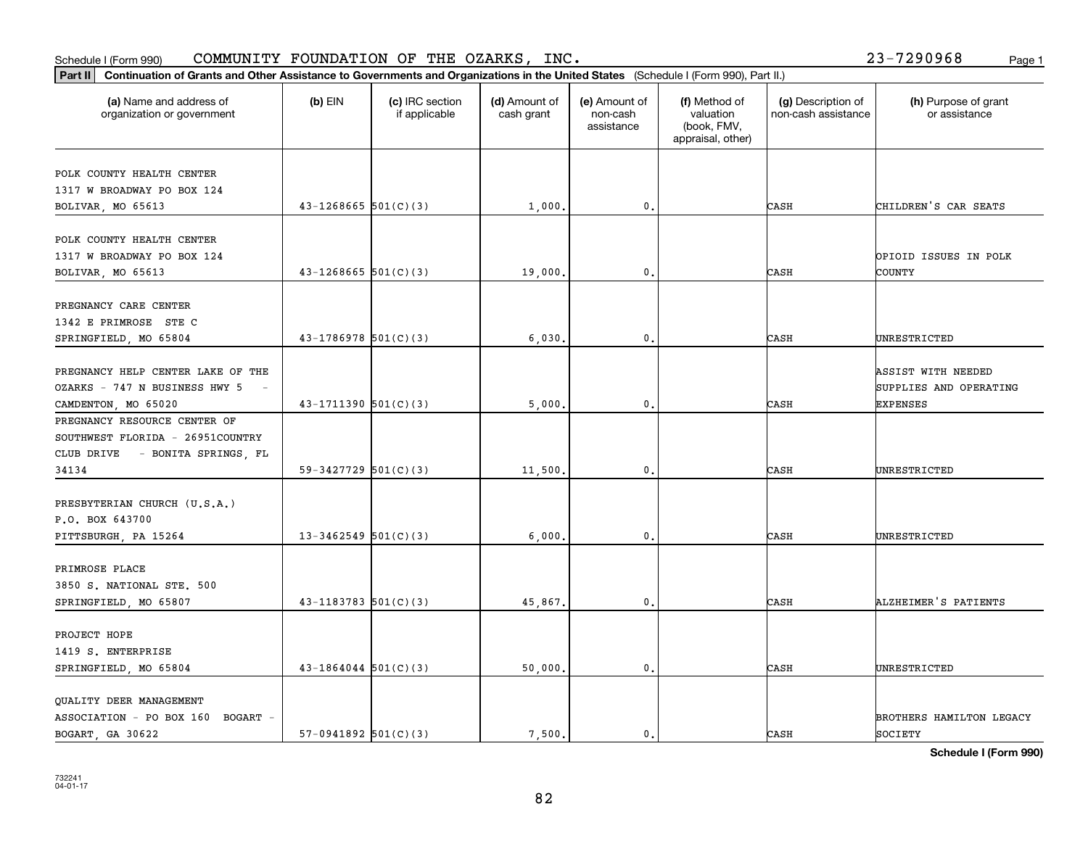### 73224104-01-17

QUALITY DEER MANAGEMENT

| 1317 W BROADWAY PO BOX 124              |                            |         |                  |      | OPIOID ISSUES IN POLK     |
|-----------------------------------------|----------------------------|---------|------------------|------|---------------------------|
| BOLIVAR, MO 65613                       | $43 - 1268665$ 501(C)(3)   | 19,000. | $\mathbf{0}$ .   | CASH | <b>COUNTY</b>             |
|                                         |                            |         |                  |      |                           |
| PREGNANCY CARE CENTER                   |                            |         |                  |      |                           |
| 1342 E PRIMROSE STE C                   |                            |         |                  |      |                           |
| SPRINGFIELD, MO 65804                   | $43 - 1786978$ 501(C)(3)   | 6,030.  | $\mathfrak{o}$ . | CASH | UNRESTRICTED              |
| PREGNANCY HELP CENTER LAKE OF THE       |                            |         |                  |      | <b>ASSIST WITH NEEDED</b> |
| OZARKS - 747 N BUSINESS HWY 5<br>$\sim$ |                            |         |                  |      | SUPPLIES AND OPERATING    |
| CAMDENTON, MO 65020                     | $43 - 1711390$ 501(C)(3)   | 5,000.  | $\mathbf{0}$ .   | CASH | <b>EXPENSES</b>           |
| PREGNANCY RESOURCE CENTER OF            |                            |         |                  |      |                           |
| SOUTHWEST FLORIDA - 26951COUNTRY        |                            |         |                  |      |                           |
| CLUB DRIVE - BONITA SPRINGS, FL         |                            |         |                  |      |                           |
| 34134                                   | $59-3427729$ $501(C)(3)$   | 11,500. | $\mathbf{0}$ .   | CASH | <b>UNRESTRICTED</b>       |
| PRESBYTERIAN CHURCH (U.S.A.)            |                            |         |                  |      |                           |
| P.O. BOX 643700                         |                            |         |                  |      |                           |
| PITTSBURGH, PA 15264                    | $13 - 3462549$ 501(C)(3)   | 6,000,  | $\mathbf{0}$ .   | CASH | UNRESTRICTED              |
|                                         |                            |         |                  |      |                           |
| PRIMROSE PLACE                          |                            |         |                  |      |                           |
| 3850 S. NATIONAL STE. 500               |                            |         |                  |      |                           |
| SPRINGFIELD, MO 65807                   | $43 - 1183783$ $501(C)(3)$ | 45,867. | 0.               | CASH | ALZHEIMER'S PATIENTS      |
| PROJECT HOPE                            |                            |         |                  |      |                           |
| 1419 S. ENTERPRISE                      |                            |         |                  |      |                           |
| SPRINGFIELD, MO 65804                   | $43 - 1864044$ 501(C)(3)   | 50,000. | $\mathbf{0}$ .   | CASH | <b>UNRESTRICTED</b>       |

### Schedule I (Form 990)  ${\tt COMMUNITY}$  <code>FOUNDATION OF THE OZARKS, INC</code> .  $23-7290968$  Page 1

organization or government

POLK COUNTY HEALTH CENTER 1317 W BROADWAY PO BOX 124

POLK COUNTY HEALTH CENTER

**Part II Continuation of Grants and Other Assistance to Governments and Organizations in the United States**  (Schedule I (Form 990), Part II.)

if applicable

 $(b)$  EIN  $(c)$  IRC section

**(a) (b) (c) (d) (e) (f) (g) (h)** Name and address of

(d) Amount of cash grant

BOLIVAR, MO 65613  $\begin{vmatrix} 43-1268665 & 501(C)(3) \end{vmatrix}$  1,000. 0. CASH CHILDREN'S CAR SEATS

(e) Amount of non-cashassistance

(f) Method of valuation (book, FMV, appraisal, other)

(g) Description of non-cash assistance

(h) Purpose of grant or assistance

ASSOCIATION - PO BOX 160 BOGART - BROTHERS HAMILTON LEGACY

BOGART, GA 30622 50000 | 57-0941892 501(C)(3) | 7,500. 0. CASH CASH SOCIETY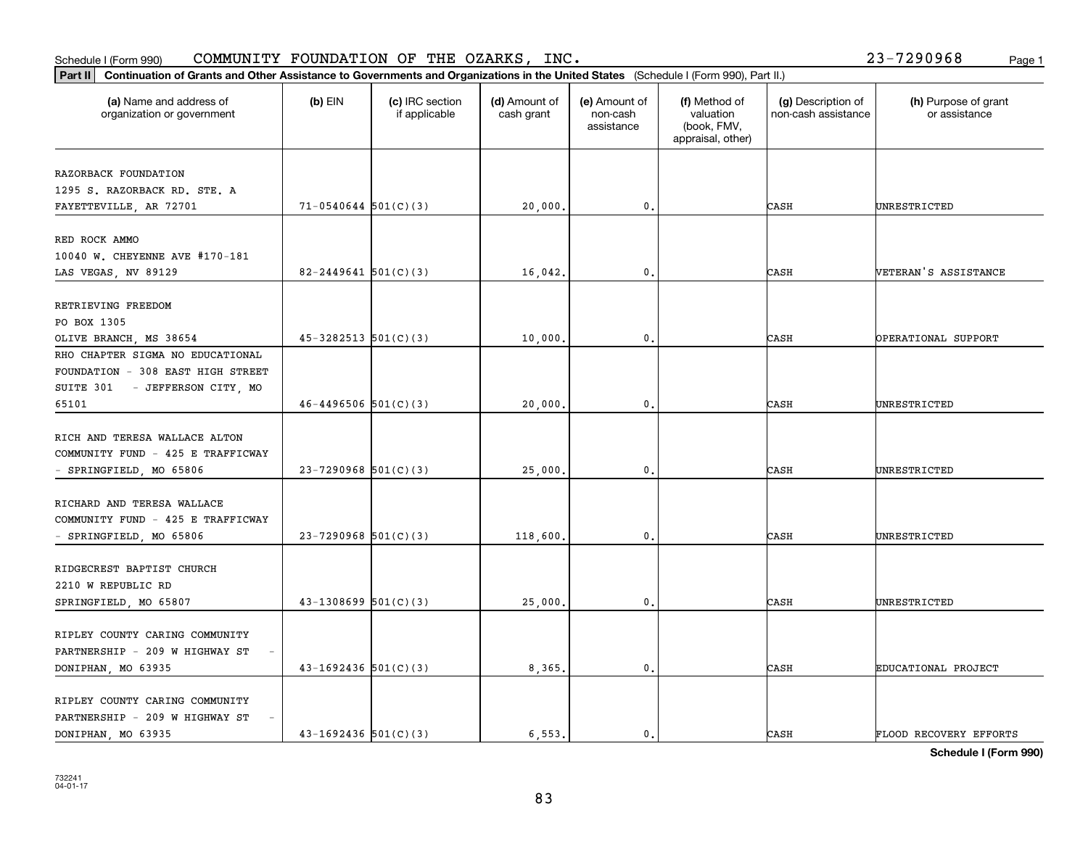# 732241 04-01-17

| Schedule I (Form 990) | COMMUNITY | FOUNDATION | OF<br>THE | OZARKS | INC. | 7290968<br>ົ<br>ر م | Page |
|-----------------------|-----------|------------|-----------|--------|------|---------------------|------|
|                       |           |            |           |        |      |                     |      |

**Part II Continuation of Grants and Other Assistance to Governments and Organizations in the United States** 

| (a) Name and address of<br>organization or government                                                            | $(b)$ EIN                  | (c) IRC section<br>if applicable | (d) Amount of<br>cash grant | (e) Amount of<br>non-cash<br>assistance | (f) Method of<br>valuation<br>(book, FMV,<br>appraisal, other) | (g) Description of<br>non-cash assistance | (h) Purpose of grant<br>or assistance |
|------------------------------------------------------------------------------------------------------------------|----------------------------|----------------------------------|-----------------------------|-----------------------------------------|----------------------------------------------------------------|-------------------------------------------|---------------------------------------|
| RAZORBACK FOUNDATION<br>1295 S. RAZORBACK RD. STE. A<br>FAYETTEVILLE, AR 72701                                   | $71-0540644$ $501(C)(3)$   |                                  | 20,000.                     | 0.                                      |                                                                | CASH                                      | UNRESTRICTED                          |
| RED ROCK AMMO<br>10040 W. CHEYENNE AVE #170-181<br>LAS VEGAS, NV 89129                                           | $82 - 2449641$ 501(C)(3)   |                                  | 16,042.                     | 0.                                      |                                                                | CASH                                      | VETERAN'S ASSISTANCE                  |
| RETRIEVING FREEDOM<br>PO BOX 1305<br>OLIVE BRANCH, MS 38654                                                      | $45 - 3282513$ $501(C)(3)$ |                                  | 10,000.                     | $\mathbf{0}$ .                          |                                                                | CASH                                      | OPERATIONAL SUPPORT                   |
| RHO CHAPTER SIGMA NO EDUCATIONAL<br>FOUNDATION - 308 EAST HIGH STREET<br>SUITE 301 - JEFFERSON CITY, MO<br>65101 | $46 - 4496506$ $501(C)(3)$ |                                  | 20,000                      | 0.                                      |                                                                | CASH                                      | UNRESTRICTED                          |
| RICH AND TERESA WALLACE ALTON<br>COMMUNITY FUND - 425 E TRAFFICWAY<br>- SPRINGFIELD, MO 65806                    | $23 - 7290968$ 501(C)(3)   |                                  | 25,000                      | 0.                                      |                                                                | CASH                                      | UNRESTRICTED                          |
| RICHARD AND TERESA WALLACE<br>COMMUNITY FUND - 425 E TRAFFICWAY<br>- SPRINGFIELD, MO 65806                       | $23 - 7290968$ 501(C)(3)   |                                  | 118,600                     | 0.                                      |                                                                | CASH                                      | UNRESTRICTED                          |
| RIDGECREST BAPTIST CHURCH<br>2210 W REPUBLIC RD<br>SPRINGFIELD, MO 65807                                         | $43 - 1308699$ $501(C)(3)$ |                                  | 25,000                      | 0.                                      |                                                                | CASH                                      | UNRESTRICTED                          |
| RIPLEY COUNTY CARING COMMUNITY<br>PARTNERSHIP - 209 W HIGHWAY ST<br>DONIPHAN, MO 63935                           | $43-1692436$ 501(C)(3)     |                                  | 8,365,                      | 0.                                      |                                                                | CASH                                      | <b>EDUCATIONAL PROJECT</b>            |
| RIPLEY COUNTY CARING COMMUNITY<br>PARTNERSHIP - 209 W HIGHWAY ST<br>$\sim$<br>DONIPHAN, MO 63935                 | $43 - 1692436$ 501(C)(3)   |                                  | 6.553.                      | 0.                                      |                                                                | CASH                                      | FLOOD RECOVERY EFFORTS                |

(Schedule I (Form 990), Part II.)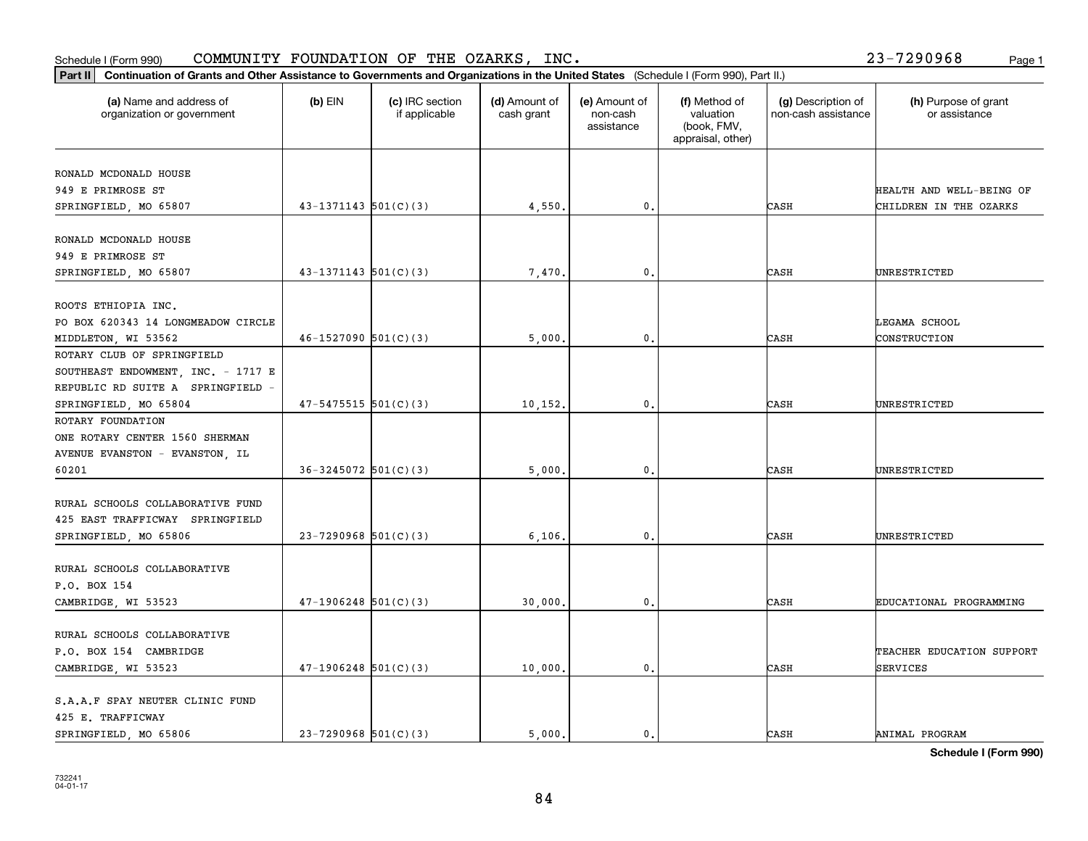### **Part III Continuation of Grants and Other Assistance to Governments and Organization of Grants and Organization of Grants and Organizations of Organizations and Organization of Grants and Organizations of Departments an** Schedule I (Form 990)  ${\tt COMMUNITY}$  <code>FOUNDATION OF THE OZARKS, INC</code> .  $23-7290968$  Page 1

| Part II<br>Continuation of Grants and Other Assistance to Governments and Organizations in the United States (Schedule I (Form 990), Part II.) |                            |                                  |                             |                                         |                                                                |                                           |                                       |  |  |
|------------------------------------------------------------------------------------------------------------------------------------------------|----------------------------|----------------------------------|-----------------------------|-----------------------------------------|----------------------------------------------------------------|-------------------------------------------|---------------------------------------|--|--|
| (a) Name and address of<br>organization or government                                                                                          | $(b)$ EIN                  | (c) IRC section<br>if applicable | (d) Amount of<br>cash grant | (e) Amount of<br>non-cash<br>assistance | (f) Method of<br>valuation<br>(book, FMV,<br>appraisal, other) | (g) Description of<br>non-cash assistance | (h) Purpose of grant<br>or assistance |  |  |
| RONALD MCDONALD HOUSE                                                                                                                          |                            |                                  |                             |                                         |                                                                |                                           |                                       |  |  |
| 949 E PRIMROSE ST                                                                                                                              |                            |                                  |                             |                                         |                                                                |                                           | HEALTH AND WELL-BEING OF              |  |  |
| SPRINGFIELD, MO 65807                                                                                                                          | $43-1371143$ $501(C)(3)$   |                                  | 4,550.                      | 0.                                      |                                                                | CASH                                      | CHILDREN IN THE OZARKS                |  |  |
| RONALD MCDONALD HOUSE                                                                                                                          |                            |                                  |                             |                                         |                                                                |                                           |                                       |  |  |
| 949 E PRIMROSE ST                                                                                                                              |                            |                                  |                             |                                         |                                                                |                                           |                                       |  |  |
| SPRINGFIELD, MO 65807                                                                                                                          | $43 - 1371143$ 501(C)(3)   |                                  | 7,470.                      | $\mathbf{0}$ .                          |                                                                | CASH                                      | UNRESTRICTED                          |  |  |
| ROOTS ETHIOPIA INC.                                                                                                                            |                            |                                  |                             |                                         |                                                                |                                           |                                       |  |  |
| PO BOX 620343 14 LONGMEADOW CIRCLE                                                                                                             |                            |                                  |                             |                                         |                                                                |                                           | LEGAMA SCHOOL                         |  |  |
| MIDDLETON, WI 53562                                                                                                                            | $46 - 1527090$ $501(C)(3)$ |                                  | 5,000                       | $\mathbf{0}$                            |                                                                | CASH                                      | CONSTRUCTION                          |  |  |
| ROTARY CLUB OF SPRINGFIELD                                                                                                                     |                            |                                  |                             |                                         |                                                                |                                           |                                       |  |  |
| SOUTHEAST ENDOWMENT, INC. - 1717 E                                                                                                             |                            |                                  |                             |                                         |                                                                |                                           |                                       |  |  |
| REPUBLIC RD SUITE A SPRINGFIELD -                                                                                                              |                            |                                  |                             |                                         |                                                                |                                           |                                       |  |  |
| SPRINGFIELD, MO 65804                                                                                                                          | $47 - 5475515$ $501(C)(3)$ |                                  | 10,152.                     | 0.                                      |                                                                | CASH                                      | UNRESTRICTED                          |  |  |
| ROTARY FOUNDATION                                                                                                                              |                            |                                  |                             |                                         |                                                                |                                           |                                       |  |  |
| ONE ROTARY CENTER 1560 SHERMAN                                                                                                                 |                            |                                  |                             |                                         |                                                                |                                           |                                       |  |  |
| AVENUE EVANSTON - EVANSTON, IL                                                                                                                 |                            |                                  |                             |                                         |                                                                |                                           |                                       |  |  |
| 60201                                                                                                                                          | $36 - 3245072$ 501(C)(3)   |                                  | 5,000                       | $\mathfrak{o}$ .                        |                                                                | CASH                                      | UNRESTRICTED                          |  |  |
| RURAL SCHOOLS COLLABORATIVE FUND                                                                                                               |                            |                                  |                             |                                         |                                                                |                                           |                                       |  |  |
| 425 EAST TRAFFICWAY SPRINGFIELD                                                                                                                |                            |                                  |                             |                                         |                                                                |                                           |                                       |  |  |
| SPRINGFIELD, MO 65806                                                                                                                          | $23 - 7290968$ 501(C)(3)   |                                  | 6, 106.                     | $\mathbf{0}$                            |                                                                | CASH                                      | UNRESTRICTED                          |  |  |
|                                                                                                                                                |                            |                                  |                             |                                         |                                                                |                                           |                                       |  |  |
| RURAL SCHOOLS COLLABORATIVE                                                                                                                    |                            |                                  |                             |                                         |                                                                |                                           |                                       |  |  |
| P.O. BOX 154                                                                                                                                   |                            |                                  |                             |                                         |                                                                |                                           |                                       |  |  |
| CAMBRIDGE, WI 53523                                                                                                                            | $47-1906248$ 501(C)(3)     |                                  | 30,000                      | 0.                                      |                                                                | CASH                                      | EDUCATIONAL PROGRAMMING               |  |  |
| RURAL SCHOOLS COLLABORATIVE                                                                                                                    |                            |                                  |                             |                                         |                                                                |                                           |                                       |  |  |
| P.O. BOX 154 CAMBRIDGE                                                                                                                         |                            |                                  |                             |                                         |                                                                |                                           | TEACHER EDUCATION SUPPORT             |  |  |
| CAMBRIDGE, WI 53523                                                                                                                            | $47-1906248$ 501(C)(3)     |                                  | 10,000.                     | $\mathbf{0}$ .                          |                                                                | CASH                                      | SERVICES                              |  |  |
| S.A.A.F SPAY NEUTER CLINIC FUND                                                                                                                |                            |                                  |                             |                                         |                                                                |                                           |                                       |  |  |
| 425 E. TRAFFICWAY                                                                                                                              |                            |                                  |                             |                                         |                                                                |                                           |                                       |  |  |
| SPRINGFIELD, MO 65806                                                                                                                          | $23 - 7290968$ 501(C)(3)   |                                  | 5.000.                      | 0.                                      |                                                                | CASH                                      | ANIMAL PROGRAM                        |  |  |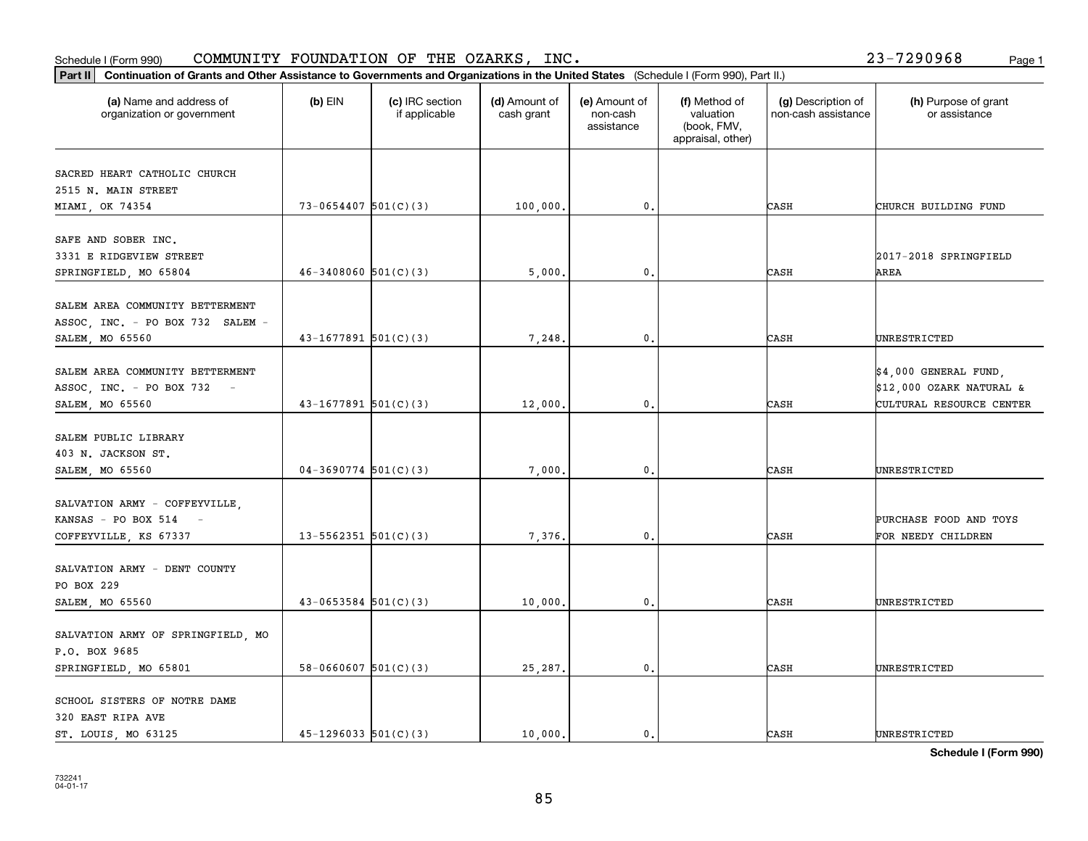| くソンム        |  |
|-------------|--|
| l−Ω1−1<br>н |  |

| . .<br>٠<br>×<br>۰.<br>×<br>۰.<br>$\overline{\phantom{a}}$<br>$\sim$ |
|----------------------------------------------------------------------|
|----------------------------------------------------------------------|

| (a) Name and address of<br>organization or government                                  | $(b)$ EIN                  | (c) IRC section<br>if applicable | (d) Amount of<br>cash grant | (e) Amount of<br>non-cash<br>assistance | (f) Method of<br>valuation<br>(book, FMV,<br>appraisal, other) | (g) Description of<br>non-cash assistance | (h) Purpose of grant<br>or assistance                                          |
|----------------------------------------------------------------------------------------|----------------------------|----------------------------------|-----------------------------|-----------------------------------------|----------------------------------------------------------------|-------------------------------------------|--------------------------------------------------------------------------------|
| SACRED HEART CATHOLIC CHURCH<br>2515 N. MAIN STREET<br>MIAMI, OK 74354                 | $73 - 0654407$ 501(C)(3)   |                                  | 100,000.                    | $\mathfrak{o}$ .                        |                                                                | CASH                                      | CHURCH BUILDING FUND                                                           |
| SAFE AND SOBER INC.<br>3331 E RIDGEVIEW STREET<br>SPRINGFIELD, MO 65804                | $46 - 3408060$ 501(C)(3)   |                                  | 5,000.                      | $\mathfrak o$ .                         |                                                                | CASH                                      | 2017-2018 SPRINGFIELD<br>AREA                                                  |
| SALEM AREA COMMUNITY BETTERMENT<br>ASSOC, INC. - PO BOX 732 SALEM -<br>SALEM, MO 65560 | $43 - 1677891$ 501(C)(3)   |                                  | 7,248.                      | $\mathfrak{o}$ .                        |                                                                | CASH                                      | UNRESTRICTED                                                                   |
| SALEM AREA COMMUNITY BETTERMENT<br>ASSOC, INC. - PO BOX 732 -<br>SALEM, MO 65560       | $43-1677891$ 501(C)(3)     |                                  | 12,000.                     | 0.                                      |                                                                | CASH                                      | \$4,000 GENERAL FUND,<br>$$12,000$ OZARK NATURAL &<br>CULTURAL RESOURCE CENTER |
| SALEM PUBLIC LIBRARY<br>403 N. JACKSON ST.<br>SALEM, MO 65560                          | $04-3690774$ 501(C)(3)     |                                  | 7,000                       | $\mathfrak{o}$ .                        |                                                                | CASH                                      | UNRESTRICTED                                                                   |
| SALVATION ARMY - COFFEYVILLE,<br>$KANSAS - PO BOX 514 -$<br>COFFEYVILLE, KS 67337      | $13 - 5562351$ $501(C)(3)$ |                                  | 7,376,                      | $\mathfrak o$ .                         |                                                                | CASH                                      | PURCHASE FOOD AND TOYS<br>FOR NEEDY CHILDREN                                   |
| SALVATION ARMY - DENT COUNTY<br>PO BOX 229<br>SALEM, MO 65560                          | $43 - 0653584$ 501(C)(3)   |                                  | 10,000.                     | $\mathfrak{o}$ .                        |                                                                | CASH                                      | UNRESTRICTED                                                                   |
| SALVATION ARMY OF SPRINGFIELD, MO<br>P.O. BOX 9685<br>SPRINGFIELD, MO 65801            | $58 - 0660607$ $501(C)(3)$ |                                  | 25,287.                     | $\mathbf{0}$ .                          |                                                                | CASH                                      | UNRESTRICTED                                                                   |
| SCHOOL SISTERS OF NOTRE DAME<br>320 EAST RIPA AVE<br>ST. LOUIS, MO 63125               | $45 - 1296033$ $501(C)(3)$ |                                  | 10,000.                     | $\mathbf{0}$ .                          |                                                                | CASH                                      | <b>UNRESTRICTED</b>                                                            |

**Part II Continuation of Grants and Other Assistance to Governments and Organizations in the United States**  (Schedule I (Form 990), Part II.)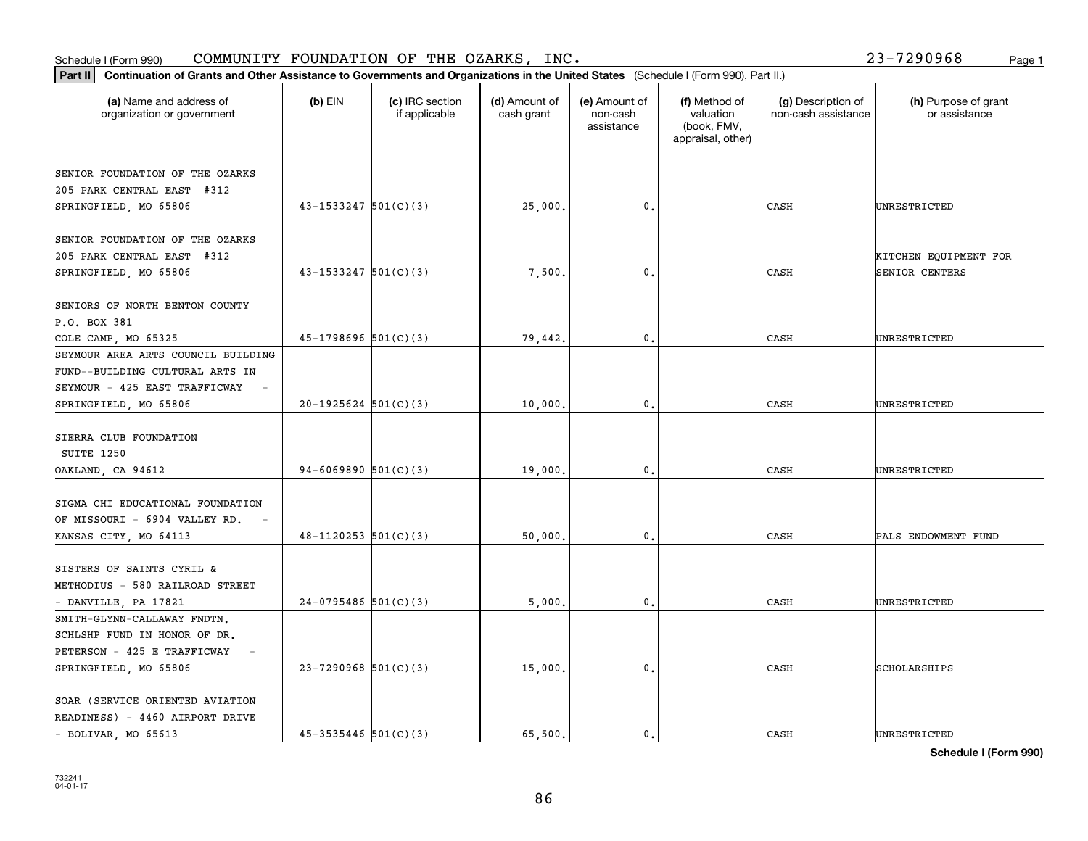### **Part II Continuation of Grants and Other Assistance to Governments and Organization of Grants and Organization of Grants and Organizations of United States and Organization of Grants and Organizations of United States <b>** Schedule I (Form 990)  ${\tt COMMUNITY}$  <code>FOUNDATION OF THE OZARKS, INC</code> .  $23-7290968$  Page 1

| Continuation of Grants and Other Assistance to Governments and Organizations in the United States (Schedule I (Form 990), Part II.)<br>Part II |                          |                                  |                             |                                         |                                                                |                                           |                                         |  |  |
|------------------------------------------------------------------------------------------------------------------------------------------------|--------------------------|----------------------------------|-----------------------------|-----------------------------------------|----------------------------------------------------------------|-------------------------------------------|-----------------------------------------|--|--|
| (a) Name and address of<br>organization or government                                                                                          | $(b)$ EIN                | (c) IRC section<br>if applicable | (d) Amount of<br>cash grant | (e) Amount of<br>non-cash<br>assistance | (f) Method of<br>valuation<br>(book, FMV,<br>appraisal, other) | (g) Description of<br>non-cash assistance | (h) Purpose of grant<br>or assistance   |  |  |
| SENIOR FOUNDATION OF THE OZARKS<br>205 PARK CENTRAL EAST #312                                                                                  |                          |                                  |                             |                                         |                                                                |                                           |                                         |  |  |
| SPRINGFIELD, MO 65806                                                                                                                          | $43 - 1533247$ 501(C)(3) |                                  | 25,000                      | $\mathbf{0}$ .                          |                                                                | CASH                                      | UNRESTRICTED                            |  |  |
| SENIOR FOUNDATION OF THE OZARKS<br>205 PARK CENTRAL EAST #312<br>SPRINGFIELD, MO 65806                                                         | $43 - 1533247$ 501(C)(3) |                                  | 7,500.                      | $\mathfrak{o}$ .                        |                                                                | CASH                                      | KITCHEN EQUIPMENT FOR<br>SENIOR CENTERS |  |  |
| SENIORS OF NORTH BENTON COUNTY<br>P.O. BOX 381<br>COLE CAMP, MO 65325                                                                          | $45-1798696$ $501(C)(3)$ |                                  | 79,442                      | $\mathbf{0}$                            |                                                                | CASH                                      | UNRESTRICTED                            |  |  |
| SEYMOUR AREA ARTS COUNCIL BUILDING<br>FUND--BUILDING CULTURAL ARTS IN<br>SEYMOUR - 425 EAST TRAFFICWAY<br>$\sim$ $-$<br>SPRINGFIELD, MO 65806  | $20-1925624$ 501(C)(3)   |                                  | 10,000                      | $\mathbf{0}$ .                          |                                                                | CASH                                      | UNRESTRICTED                            |  |  |
| SIERRA CLUB FOUNDATION<br>SUITE 1250<br>OAKLAND, CA 94612                                                                                      | $94-6069890$ 501(C)(3)   |                                  | 19,000                      | $\mathbf{0}$ .                          |                                                                | CASH                                      | UNRESTRICTED                            |  |  |
| SIGMA CHI EDUCATIONAL FOUNDATION<br>OF MISSOURI - 6904 VALLEY RD.<br>$\hspace{0.1mm}-\hspace{0.1mm}$<br>KANSAS CITY, MO 64113                  | $48-1120253$ $501(C)(3)$ |                                  | 50,000                      | $\mathbf{0}$ .                          |                                                                | CASH                                      | PALS ENDOWMENT FUND                     |  |  |
| SISTERS OF SAINTS CYRIL &<br>METHODIUS - 580 RAILROAD STREET<br>- DANVILLE, PA 17821                                                           | $24-0795486$ 501(C)(3)   |                                  | 5,000                       | $\mathbf{0}$ .                          |                                                                | CASH                                      | UNRESTRICTED                            |  |  |
| SMITH-GLYNN-CALLAWAY FNDTN.<br>SCHLSHP FUND IN HONOR OF DR.<br>PETERSON - 425 E TRAFFICWAY<br>SPRINGFIELD, MO 65806                            | $23 - 7290968$ 501(C)(3) |                                  | 15,000                      | 0.                                      |                                                                | CASH                                      | SCHOLARSHIPS                            |  |  |
| SOAR (SERVICE ORIENTED AVIATION<br>READINESS) - 4460 AIRPORT DRIVE<br>- BOLIVAR, MO 65613                                                      | $45-3535446$ $501(C)(3)$ |                                  | 65,500.                     | 0.                                      |                                                                | CASH                                      | <b>UNRESTRICTED</b>                     |  |  |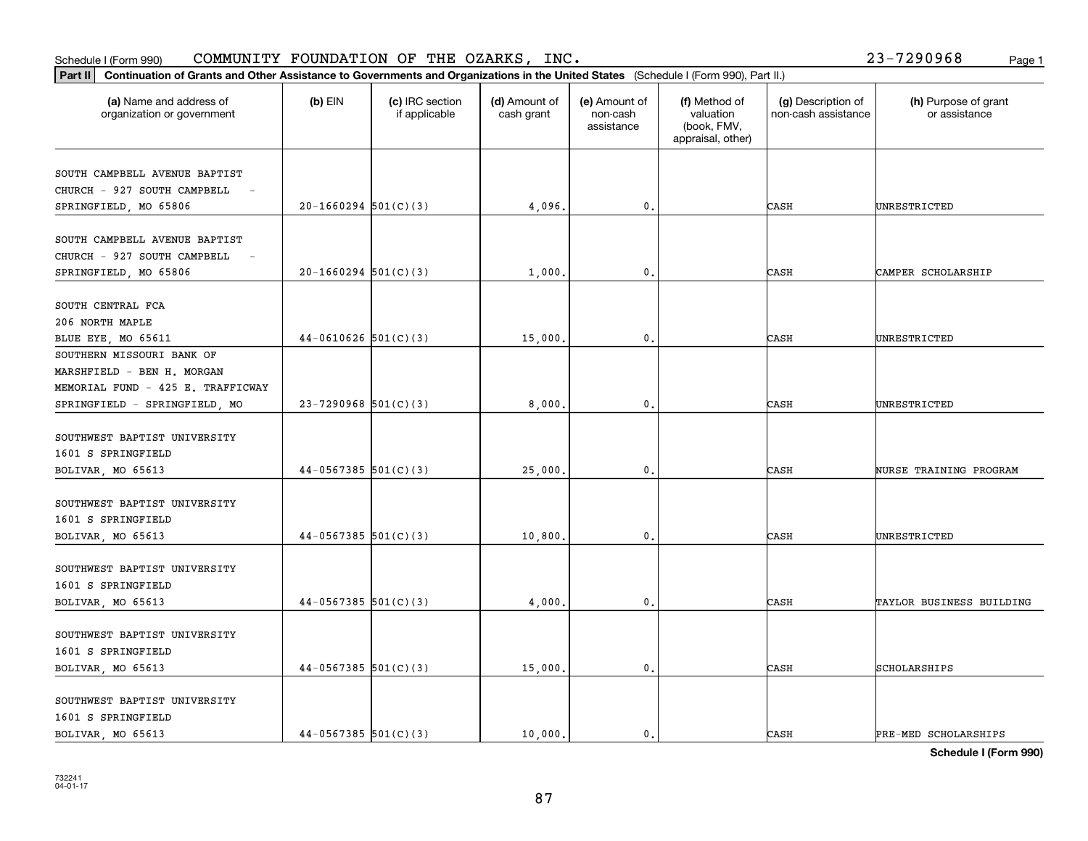| Part II   Continuation of Grants and Other Assistance to Governments and Organizations in the United States (Schedule I (Form 990), Part II.) |                          |                                  |                             |                                         |                                                                |                                           |                                       |
|-----------------------------------------------------------------------------------------------------------------------------------------------|--------------------------|----------------------------------|-----------------------------|-----------------------------------------|----------------------------------------------------------------|-------------------------------------------|---------------------------------------|
| (a) Name and address of<br>organization or government                                                                                         | $(b)$ EIN                | (c) IRC section<br>if applicable | (d) Amount of<br>cash grant | (e) Amount of<br>non-cash<br>assistance | (f) Method of<br>valuation<br>(book, FMV,<br>appraisal, other) | (g) Description of<br>non-cash assistance | (h) Purpose of grant<br>or assistance |
|                                                                                                                                               |                          |                                  |                             |                                         |                                                                |                                           |                                       |
| SOUTH CAMPBELL AVENUE BAPTIST                                                                                                                 |                          |                                  |                             |                                         |                                                                |                                           |                                       |
| CHURCH - 927 SOUTH CAMPBELL                                                                                                                   |                          |                                  |                             |                                         |                                                                |                                           |                                       |
| SPRINGFIELD, MO 65806                                                                                                                         | $20-1660294$ $501(C)(3)$ |                                  | 4,096.                      | 0.                                      |                                                                | CASH                                      | UNRESTRICTED                          |
| SOUTH CAMPBELL AVENUE BAPTIST                                                                                                                 |                          |                                  |                             |                                         |                                                                |                                           |                                       |
| CHURCH - 927 SOUTH CAMPBELL                                                                                                                   |                          |                                  |                             |                                         |                                                                |                                           |                                       |
| SPRINGFIELD, MO 65806                                                                                                                         | $20-1660294$ 501(C)(3)   |                                  | 1,000                       | 0.                                      |                                                                | CASH                                      | CAMPER SCHOLARSHIP                    |
|                                                                                                                                               |                          |                                  |                             |                                         |                                                                |                                           |                                       |
| SOUTH CENTRAL FCA                                                                                                                             |                          |                                  |                             |                                         |                                                                |                                           |                                       |
| 206 NORTH MAPLE                                                                                                                               |                          |                                  |                             |                                         |                                                                |                                           |                                       |
| BLUE EYE, MO 65611                                                                                                                            | $44-0610626$ 501(C)(3)   |                                  | 15,000                      | $\mathbf{0}$ .                          |                                                                | CASH                                      | UNRESTRICTED                          |
| SOUTHERN MISSOURI BANK OF                                                                                                                     |                          |                                  |                             |                                         |                                                                |                                           |                                       |
| MARSHFIELD - BEN H. MORGAN                                                                                                                    |                          |                                  |                             |                                         |                                                                |                                           |                                       |
| MEMORIAL FUND - 425 E. TRAFFICWAY                                                                                                             |                          |                                  |                             |                                         |                                                                |                                           |                                       |
| SPRINGFIELD - SPRINGFIELD, MO                                                                                                                 | $23 - 7290968$ 501(C)(3) |                                  | 8,000.                      | 0.                                      |                                                                | CASH                                      | UNRESTRICTED                          |
|                                                                                                                                               |                          |                                  |                             |                                         |                                                                |                                           |                                       |
| SOUTHWEST BAPTIST UNIVERSITY                                                                                                                  |                          |                                  |                             |                                         |                                                                |                                           |                                       |
| 1601 S SPRINGFIELD                                                                                                                            |                          |                                  |                             |                                         |                                                                |                                           |                                       |
| BOLIVAR, MO 65613                                                                                                                             | $44-0567385$ 501(C)(3)   |                                  | 25,000.                     | $\mathbf{0}$                            |                                                                | CASH                                      | NURSE TRAINING PROGRAM                |
|                                                                                                                                               |                          |                                  |                             |                                         |                                                                |                                           |                                       |
| SOUTHWEST BAPTIST UNIVERSITY                                                                                                                  |                          |                                  |                             |                                         |                                                                |                                           |                                       |
| 1601 S SPRINGFIELD                                                                                                                            |                          |                                  |                             |                                         |                                                                |                                           |                                       |
| BOLIVAR, MO 65613                                                                                                                             | $44-0567385$ 501(C)(3)   |                                  | 10,800.                     | 0.                                      |                                                                | CASH                                      | UNRESTRICTED                          |
|                                                                                                                                               |                          |                                  |                             |                                         |                                                                |                                           |                                       |
| SOUTHWEST BAPTIST UNIVERSITY                                                                                                                  |                          |                                  |                             |                                         |                                                                |                                           |                                       |
| 1601 S SPRINGFIELD                                                                                                                            |                          |                                  |                             |                                         |                                                                |                                           |                                       |
| BOLIVAR, MO 65613                                                                                                                             | $44-0567385$ 501(C)(3)   |                                  | 4,000.                      | $\mathbf{0}$ .                          |                                                                | CASH                                      | TAYLOR BUSINESS BUILDING              |
|                                                                                                                                               |                          |                                  |                             |                                         |                                                                |                                           |                                       |
| SOUTHWEST BAPTIST UNIVERSITY                                                                                                                  |                          |                                  |                             |                                         |                                                                |                                           |                                       |
| 1601 S SPRINGFIELD                                                                                                                            |                          |                                  |                             |                                         |                                                                |                                           |                                       |
| BOLIVAR, MO 65613                                                                                                                             | $44-0567385$ 501(C)(3)   |                                  | 15,000.                     | $\mathfrak o$ .                         |                                                                | CASH                                      | SCHOLARSHIPS                          |
|                                                                                                                                               |                          |                                  |                             |                                         |                                                                |                                           |                                       |
| SOUTHWEST BAPTIST UNIVERSITY                                                                                                                  |                          |                                  |                             |                                         |                                                                |                                           |                                       |
| 1601 S SPRINGFIELD                                                                                                                            |                          |                                  |                             |                                         |                                                                |                                           |                                       |
| BOLIVAR, MO 65613                                                                                                                             | $44-0567385$ 501(C)(3)   |                                  | 10,000.                     | $\mathbf{0}$ .                          |                                                                | CASH                                      | PRE-MED SCHOLARSHIPS                  |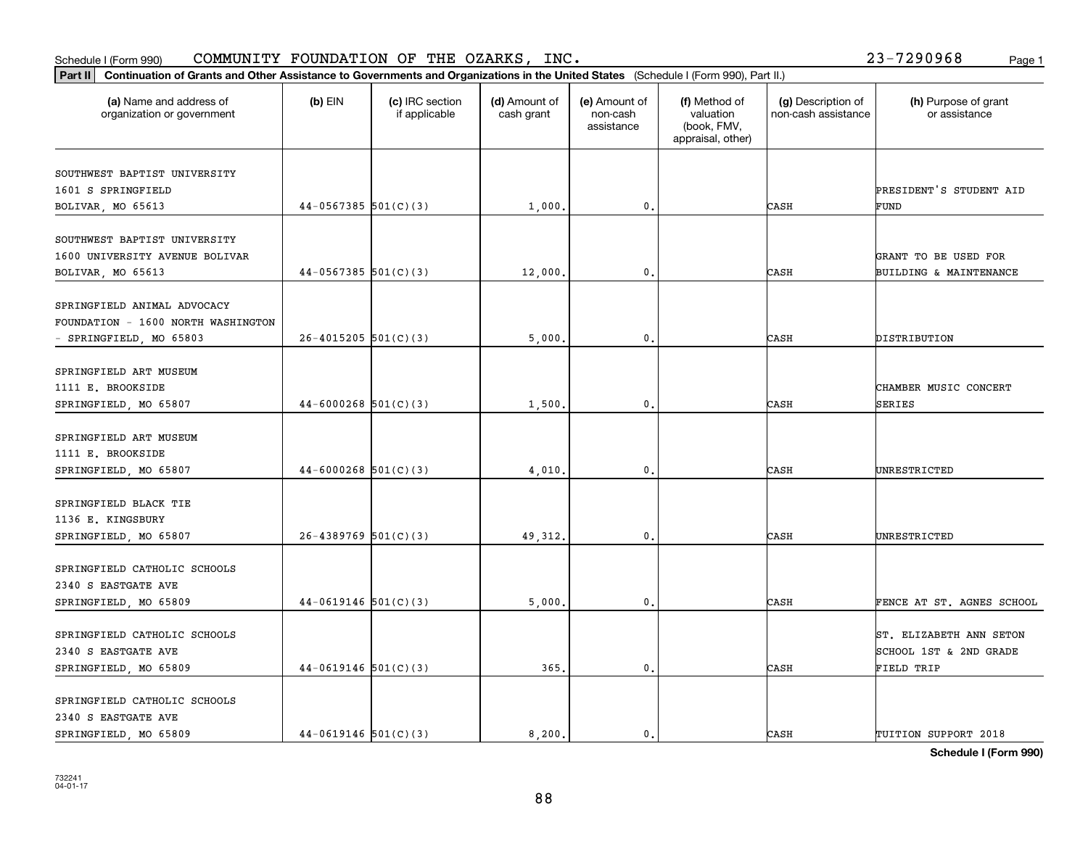| Part II   Continuation of Grants and Other Assistance to Governments and Organizations in the United States (Schedule I (Form 990), Part II.) |                          |                                  |                             |                                         |                                                                |                                           |                                       |
|-----------------------------------------------------------------------------------------------------------------------------------------------|--------------------------|----------------------------------|-----------------------------|-----------------------------------------|----------------------------------------------------------------|-------------------------------------------|---------------------------------------|
| (a) Name and address of<br>organization or government                                                                                         | $(b)$ EIN                | (c) IRC section<br>if applicable | (d) Amount of<br>cash grant | (e) Amount of<br>non-cash<br>assistance | (f) Method of<br>valuation<br>(book, FMV,<br>appraisal, other) | (g) Description of<br>non-cash assistance | (h) Purpose of grant<br>or assistance |
|                                                                                                                                               |                          |                                  |                             |                                         |                                                                |                                           |                                       |
| SOUTHWEST BAPTIST UNIVERSITY<br>1601 S SPRINGFIELD                                                                                            |                          |                                  |                             |                                         |                                                                |                                           | PRESIDENT'S STUDENT AID               |
| BOLIVAR, MO 65613                                                                                                                             | $44-0567385$ 501(C)(3)   |                                  | 1,000                       | 0.                                      |                                                                | CASH                                      | FUND                                  |
|                                                                                                                                               |                          |                                  |                             |                                         |                                                                |                                           |                                       |
| SOUTHWEST BAPTIST UNIVERSITY                                                                                                                  |                          |                                  |                             |                                         |                                                                |                                           |                                       |
| 1600 UNIVERSITY AVENUE BOLIVAR                                                                                                                |                          |                                  |                             |                                         |                                                                |                                           | GRANT TO BE USED FOR                  |
| BOLIVAR, MO 65613                                                                                                                             | $44-0567385$ 501(C)(3)   |                                  | 12,000                      | $\mathfrak{o}$ .                        |                                                                | CASH                                      | <b>BUILDING &amp; MAINTENANCE</b>     |
|                                                                                                                                               |                          |                                  |                             |                                         |                                                                |                                           |                                       |
| SPRINGFIELD ANIMAL ADVOCACY                                                                                                                   |                          |                                  |                             |                                         |                                                                |                                           |                                       |
| FOUNDATION - 1600 NORTH WASHINGTON                                                                                                            |                          |                                  |                             |                                         |                                                                |                                           |                                       |
| SPRINGFIELD, MO 65803                                                                                                                         | $26 - 4015205$ 501(C)(3) |                                  | 5,000                       | $\mathfrak{o}$ .                        |                                                                | CASH                                      | DISTRIBUTION                          |
| SPRINGFIELD ART MUSEUM                                                                                                                        |                          |                                  |                             |                                         |                                                                |                                           |                                       |
| 1111 E. BROOKSIDE                                                                                                                             |                          |                                  |                             |                                         |                                                                |                                           | CHAMBER MUSIC CONCERT                 |
| SPRINGFIELD, MO 65807                                                                                                                         | $44-6000268$ 501(C)(3)   |                                  | 1,500                       | 0.                                      |                                                                | CASH                                      | SERIES                                |
|                                                                                                                                               |                          |                                  |                             |                                         |                                                                |                                           |                                       |
| SPRINGFIELD ART MUSEUM                                                                                                                        |                          |                                  |                             |                                         |                                                                |                                           |                                       |
| 1111 E. BROOKSIDE                                                                                                                             |                          |                                  |                             |                                         |                                                                |                                           |                                       |
| SPRINGFIELD, MO 65807                                                                                                                         | $44-6000268$ 501(C)(3)   |                                  | 4,010                       | 0.                                      |                                                                | CASH                                      | UNRESTRICTED                          |
|                                                                                                                                               |                          |                                  |                             |                                         |                                                                |                                           |                                       |
| SPRINGFIELD BLACK TIE                                                                                                                         |                          |                                  |                             |                                         |                                                                |                                           |                                       |
| 1136 E. KINGSBURY                                                                                                                             |                          |                                  |                             |                                         |                                                                |                                           |                                       |
| SPRINGFIELD, MO 65807                                                                                                                         | $26 - 4389769$ 501(C)(3) |                                  | 49, 312.                    | 0.                                      |                                                                | CASH                                      | UNRESTRICTED                          |
| SPRINGFIELD CATHOLIC SCHOOLS                                                                                                                  |                          |                                  |                             |                                         |                                                                |                                           |                                       |
| 2340 S EASTGATE AVE                                                                                                                           |                          |                                  |                             |                                         |                                                                |                                           |                                       |
| SPRINGFIELD, MO 65809                                                                                                                         | $44-0619146$ 501(C)(3)   |                                  | 5,000                       | $\mathfrak{o}$ .                        |                                                                | CASH                                      | FENCE AT ST. AGNES SCHOOL             |
|                                                                                                                                               |                          |                                  |                             |                                         |                                                                |                                           |                                       |
| SPRINGFIELD CATHOLIC SCHOOLS                                                                                                                  |                          |                                  |                             |                                         |                                                                |                                           | ST. ELIZABETH ANN SETON               |
| 2340 S EASTGATE AVE                                                                                                                           |                          |                                  |                             |                                         |                                                                |                                           | SCHOOL 1ST & 2ND GRADE                |
| SPRINGFIELD, MO 65809                                                                                                                         | $44-0619146$ 501(C)(3)   |                                  | 365.                        | $\mathfrak{o}$ .                        |                                                                | CASH                                      | FIELD TRIP                            |
|                                                                                                                                               |                          |                                  |                             |                                         |                                                                |                                           |                                       |
| SPRINGFIELD CATHOLIC SCHOOLS                                                                                                                  |                          |                                  |                             |                                         |                                                                |                                           |                                       |
| 2340 S EASTGATE AVE                                                                                                                           |                          |                                  |                             |                                         |                                                                |                                           |                                       |
| SPRINGFIELD, MO 65809                                                                                                                         | $44-0619146$ 501(C)(3)   |                                  | 8.200.                      | $\mathbf{0}$ .                          |                                                                | CASH                                      | TUITION SUPPORT 2018                  |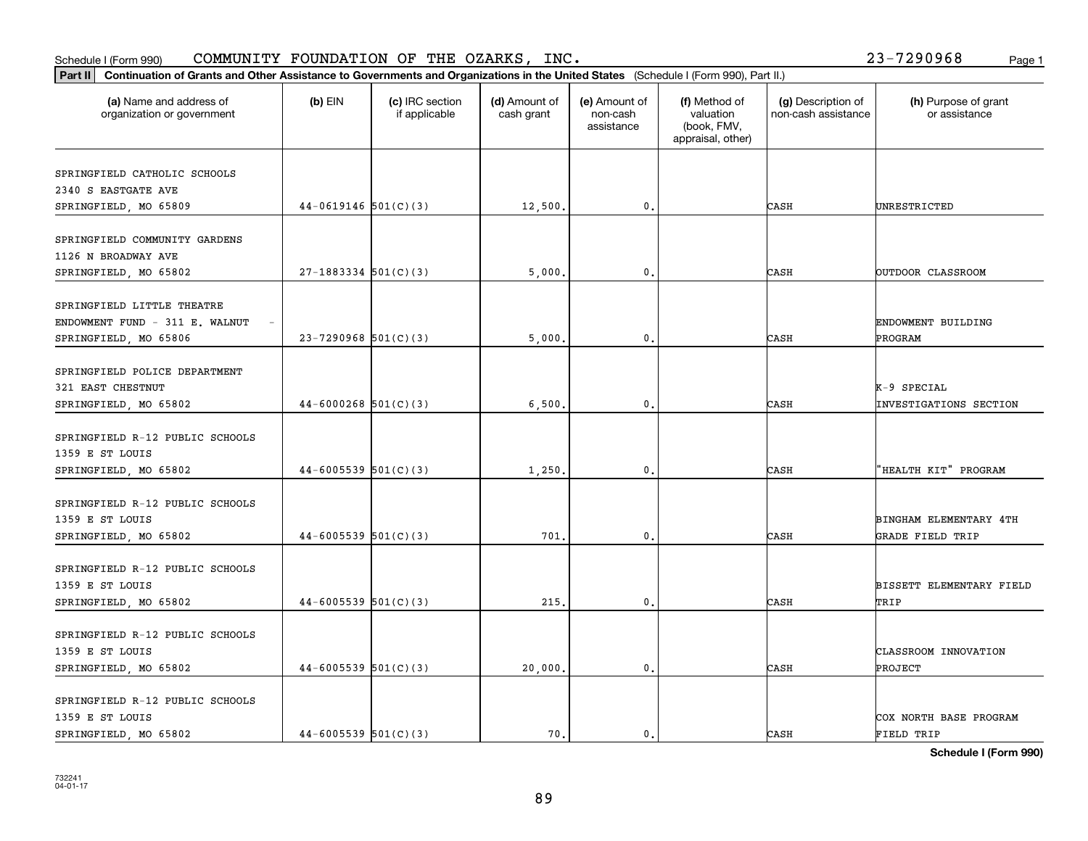## **Part II Continuation of Grants and Other Assistance to Governments and Organizations in the United States**

Schedule I (Form 990) COMMUNITY FOUNDATION OF THE OZARKS, INC。 Page 1 COMMUNITY FOUNDATION OF THE OZARKS, INC. 23-7290968

| (a) Name and address of<br>organization or government | $(b)$ EIN                | (c) IRC section<br>if applicable | (d) Amount of<br>cash grant | (e) Amount of<br>non-cash<br>assistance | (f) Method of<br>valuation<br>(book, FMV,<br>appraisal, other) | (g) Description of<br>non-cash assistance | (h) Purpose of grant<br>or assistance |
|-------------------------------------------------------|--------------------------|----------------------------------|-----------------------------|-----------------------------------------|----------------------------------------------------------------|-------------------------------------------|---------------------------------------|
| SPRINGFIELD CATHOLIC SCHOOLS                          |                          |                                  |                             |                                         |                                                                |                                           |                                       |
| 2340 S EASTGATE AVE                                   |                          |                                  |                             |                                         |                                                                |                                           |                                       |
| SPRINGFIELD, MO 65809                                 | $44-0619146$ 501(C)(3)   |                                  | 12,500.                     | 0.                                      |                                                                | CASH                                      | UNRESTRICTED                          |
|                                                       |                          |                                  |                             |                                         |                                                                |                                           |                                       |
| SPRINGFIELD COMMUNITY GARDENS                         |                          |                                  |                             |                                         |                                                                |                                           |                                       |
| 1126 N BROADWAY AVE                                   |                          |                                  |                             |                                         |                                                                |                                           |                                       |
| SPRINGFIELD, MO 65802                                 | $27-1883334$ 501(C)(3)   |                                  | 5,000                       | $\mathbf{0}$ .                          |                                                                | CASH                                      | OUTDOOR CLASSROOM                     |
|                                                       |                          |                                  |                             |                                         |                                                                |                                           |                                       |
| SPRINGFIELD LITTLE THEATRE                            |                          |                                  |                             |                                         |                                                                |                                           |                                       |
| ENDOWMENT FUND - 311 E. WALNUT                        |                          |                                  |                             |                                         |                                                                |                                           | ENDOWMENT BUILDING                    |
| SPRINGFIELD, MO 65806                                 | $23 - 7290968$ 501(C)(3) |                                  | 5,000                       | $\mathbf{0}$ .                          |                                                                | CASH                                      | PROGRAM                               |
|                                                       |                          |                                  |                             |                                         |                                                                |                                           |                                       |
| SPRINGFIELD POLICE DEPARTMENT                         |                          |                                  |                             |                                         |                                                                |                                           |                                       |
| 321 EAST CHESTNUT                                     |                          |                                  |                             |                                         |                                                                |                                           | K-9 SPECIAL                           |
| SPRINGFIELD, MO 65802                                 | $44-6000268$ 501(C)(3)   |                                  | 6,500.                      | 0.                                      |                                                                | CASH                                      | INVESTIGATIONS SECTION                |
| SPRINGFIELD R-12 PUBLIC SCHOOLS                       |                          |                                  |                             |                                         |                                                                |                                           |                                       |
| 1359 E ST LOUIS                                       |                          |                                  |                             |                                         |                                                                |                                           |                                       |
| SPRINGFIELD, MO 65802                                 | $44-6005539$ 501(C)(3)   |                                  | 1,250.                      | $\mathbf{0}$                            |                                                                | CASH                                      | "HEALTH KIT" PROGRAM                  |
|                                                       |                          |                                  |                             |                                         |                                                                |                                           |                                       |
| SPRINGFIELD R-12 PUBLIC SCHOOLS                       |                          |                                  |                             |                                         |                                                                |                                           |                                       |
| 1359 E ST LOUIS                                       |                          |                                  |                             |                                         |                                                                |                                           | BINGHAM ELEMENTARY 4TH                |
| SPRINGFIELD, MO 65802                                 | $44-6005539$ 501(C)(3)   |                                  | 701                         | 0.                                      |                                                                | CASH                                      | GRADE FIELD TRIP                      |
|                                                       |                          |                                  |                             |                                         |                                                                |                                           |                                       |
| SPRINGFIELD R-12 PUBLIC SCHOOLS                       |                          |                                  |                             |                                         |                                                                |                                           |                                       |
| 1359 E ST LOUIS                                       |                          |                                  |                             |                                         |                                                                |                                           | BISSETT ELEMENTARY FIELD              |
| SPRINGFIELD, MO 65802                                 | $44-6005539$ 501(C)(3)   |                                  | 215.                        | $\mathbf{0}$ .                          |                                                                | CASH                                      | TRIP                                  |
|                                                       |                          |                                  |                             |                                         |                                                                |                                           |                                       |
| SPRINGFIELD R-12 PUBLIC SCHOOLS                       |                          |                                  |                             |                                         |                                                                |                                           |                                       |
| 1359 E ST LOUIS                                       |                          |                                  |                             |                                         |                                                                |                                           | CLASSROOM INNOVATION                  |
| SPRINGFIELD, MO 65802                                 | $44-6005539$ 501(C)(3)   |                                  | 20,000.                     | $\mathbf{0}$ .                          |                                                                | CASH                                      | PROJECT                               |
|                                                       |                          |                                  |                             |                                         |                                                                |                                           |                                       |
| SPRINGFIELD R-12 PUBLIC SCHOOLS                       |                          |                                  |                             |                                         |                                                                |                                           |                                       |
| 1359 E ST LOUIS                                       |                          |                                  |                             |                                         |                                                                |                                           | COX NORTH BASE PROGRAM                |
| SPRINGFIELD, MO 65802                                 | $44-6005539$ 501(C)(3)   |                                  | 70.                         | $\mathbf{0}$                            |                                                                | CASH                                      | FIELD TRIP                            |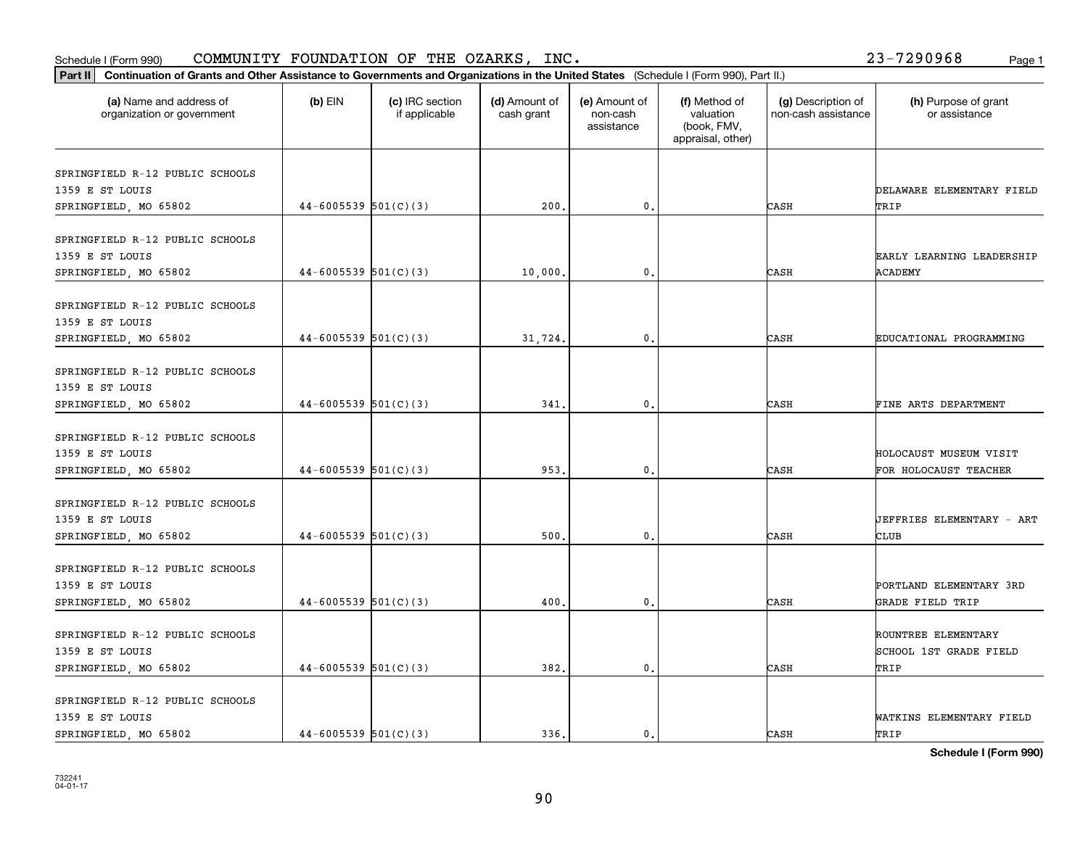## **Part II Continuation of Grants and Other Assistance to Governments and Organizations in the United States**  (Schedule I (Form 990), Part II.)

Schedule I (Form 990)  ${\tt COMMUNITY}$  <code>FOUNDATION OF THE OZARKS, INC</code> .  $23-7290968$  Page 1

| <b>Pontinuously of Grand Strict Accidents to Governments and Organizations in the Onited Otates</b> (Concealer (Form Coo), Farein, |                          |                                  |                             |                                         |                                                                |                                           |                                                       |
|------------------------------------------------------------------------------------------------------------------------------------|--------------------------|----------------------------------|-----------------------------|-----------------------------------------|----------------------------------------------------------------|-------------------------------------------|-------------------------------------------------------|
| (a) Name and address of<br>organization or government                                                                              | $(b)$ EIN                | (c) IRC section<br>if applicable | (d) Amount of<br>cash grant | (e) Amount of<br>non-cash<br>assistance | (f) Method of<br>valuation<br>(book, FMV,<br>appraisal, other) | (g) Description of<br>non-cash assistance | (h) Purpose of grant<br>or assistance                 |
| SPRINGFIELD R-12 PUBLIC SCHOOLS<br>1359 E ST LOUIS<br>SPRINGFIELD, MO 65802                                                        | $44-6005539$ $501(C)(3)$ |                                  | 200.                        | $\mathbf{0}$ .                          |                                                                | CASH                                      | DELAWARE ELEMENTARY FIELD<br>TRIP                     |
| SPRINGFIELD R-12 PUBLIC SCHOOLS<br>1359 E ST LOUIS<br>SPRINGFIELD, MO 65802                                                        | $44-6005539$ $501(C)(3)$ |                                  | 10,000,                     | $\mathfrak{o}$ .                        |                                                                | CASH                                      | EARLY LEARNING LEADERSHIP<br><b>ACADEMY</b>           |
| SPRINGFIELD R-12 PUBLIC SCHOOLS<br>1359 E ST LOUIS<br>SPRINGFIELD, MO 65802                                                        | $44-6005539$ $501(C)(3)$ |                                  | 31,724.                     | $\mathfrak{o}$ .                        |                                                                | CASH                                      | EDUCATIONAL PROGRAMMING                               |
| SPRINGFIELD R-12 PUBLIC SCHOOLS<br>1359 E ST LOUIS<br>SPRINGFIELD, MO 65802                                                        | $44-6005539$ 501(C)(3)   |                                  | 341                         | $^{\circ}$ .                            |                                                                | CASH                                      | FINE ARTS DEPARTMENT                                  |
| SPRINGFIELD R-12 PUBLIC SCHOOLS<br>1359 E ST LOUIS<br>SPRINGFIELD, MO 65802                                                        | $44-6005539$ $501(C)(3)$ |                                  | 953                         | $\mathfrak{o}$ .                        |                                                                | CASH                                      | HOLOCAUST MUSEUM VISIT<br>FOR HOLOCAUST TEACHER       |
| SPRINGFIELD R-12 PUBLIC SCHOOLS<br>1359 E ST LOUIS<br>SPRINGFIELD, MO 65802                                                        | $44-6005539$ 501(C)(3)   |                                  | 500                         | $\mathfrak{o}$ .                        |                                                                | CASH                                      | JEFFRIES ELEMENTARY - ART<br>CLUB                     |
| SPRINGFIELD R-12 PUBLIC SCHOOLS<br>1359 E ST LOUIS<br>SPRINGFIELD, MO 65802                                                        | $44-6005539$ $501(C)(3)$ |                                  | 400                         | 0.                                      |                                                                | CASH                                      | PORTLAND ELEMENTARY 3RD<br>GRADE FIELD TRIP           |
| SPRINGFIELD R-12 PUBLIC SCHOOLS<br>1359 E ST LOUIS<br>SPRINGFIELD, MO 65802                                                        | $44-6005539$ $501(C)(3)$ |                                  | 382.                        | $\mathbf{0}$ .                          |                                                                | CASH                                      | ROUNTREE ELEMENTARY<br>SCHOOL 1ST GRADE FIELD<br>TRIP |
| SPRINGFIELD R-12 PUBLIC SCHOOLS<br>1359 E ST LOUIS<br>SPRINGFIELD, MO 65802                                                        | $44-6005539$ $501(C)(3)$ |                                  | 336.                        | $\mathfrak{o}$ .                        |                                                                | CASH                                      | WATKINS ELEMENTARY FIELD<br>TRIP                      |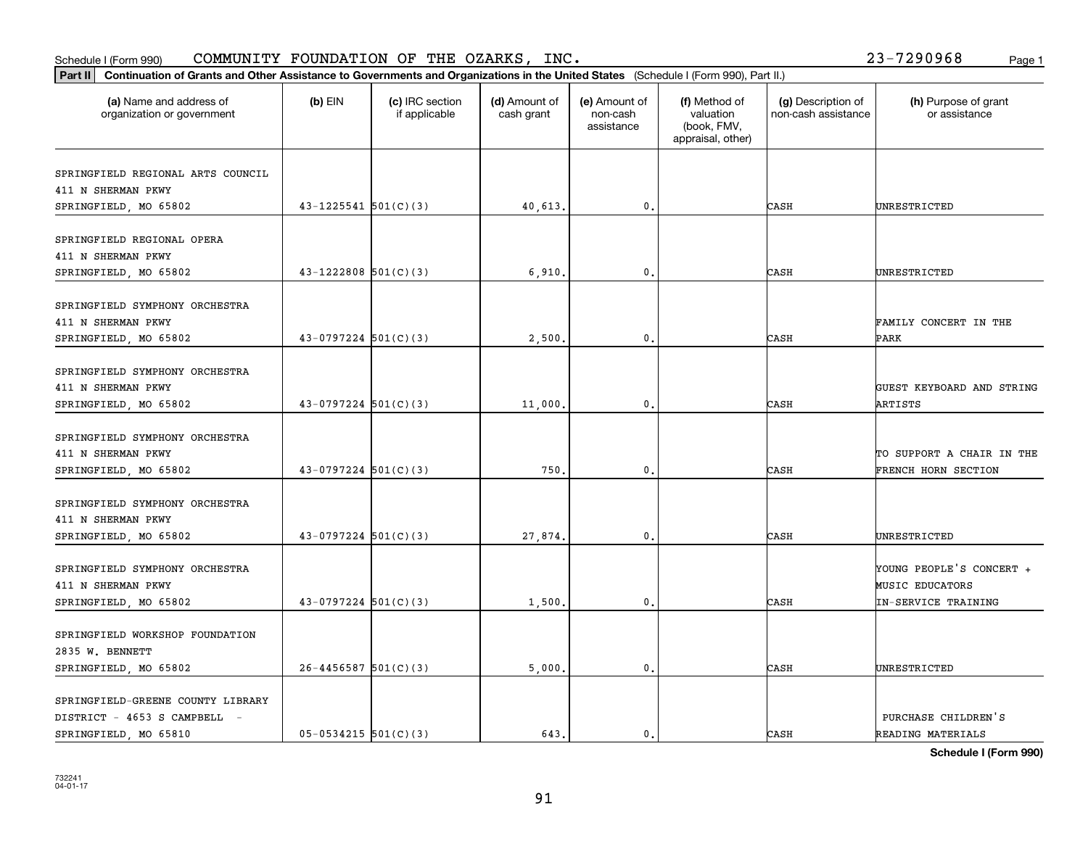| Part II   Continuation of Grants and Other Assistance to Governments and Organizations in the United States (Schedule I (Form 990), Part II.) |                            |                                  |                             |                                         |                                                                |                                           |                                       |
|-----------------------------------------------------------------------------------------------------------------------------------------------|----------------------------|----------------------------------|-----------------------------|-----------------------------------------|----------------------------------------------------------------|-------------------------------------------|---------------------------------------|
| (a) Name and address of<br>organization or government                                                                                         | $(b)$ EIN                  | (c) IRC section<br>if applicable | (d) Amount of<br>cash grant | (e) Amount of<br>non-cash<br>assistance | (f) Method of<br>valuation<br>(book, FMV,<br>appraisal, other) | (g) Description of<br>non-cash assistance | (h) Purpose of grant<br>or assistance |
|                                                                                                                                               |                            |                                  |                             |                                         |                                                                |                                           |                                       |
| SPRINGFIELD REGIONAL ARTS COUNCIL<br>411 N SHERMAN PKWY                                                                                       |                            |                                  |                             |                                         |                                                                |                                           |                                       |
| SPRINGFIELD, MO 65802                                                                                                                         | $43 - 1225541$ $501(C)(3)$ |                                  | 40,613.                     | $\mathfrak{o}$ .                        |                                                                | CASH                                      | UNRESTRICTED                          |
|                                                                                                                                               |                            |                                  |                             |                                         |                                                                |                                           |                                       |
| SPRINGFIELD REGIONAL OPERA                                                                                                                    |                            |                                  |                             |                                         |                                                                |                                           |                                       |
| 411 N SHERMAN PKWY                                                                                                                            |                            |                                  |                             |                                         |                                                                |                                           |                                       |
| SPRINGFIELD, MO 65802                                                                                                                         | $43 - 1222808$ 501(C)(3)   |                                  | 6,910                       | 0.                                      |                                                                | CASH                                      | UNRESTRICTED                          |
| SPRINGFIELD SYMPHONY ORCHESTRA                                                                                                                |                            |                                  |                             |                                         |                                                                |                                           |                                       |
| 411 N SHERMAN PKWY                                                                                                                            |                            |                                  |                             |                                         |                                                                |                                           | FAMILY CONCERT IN THE                 |
| SPRINGFIELD, MO 65802                                                                                                                         | $43-0797224$ 501(C)(3)     |                                  | 2,500                       | $\mathfrak{o}$ .                        |                                                                | CASH                                      | PARK                                  |
|                                                                                                                                               |                            |                                  |                             |                                         |                                                                |                                           |                                       |
| SPRINGFIELD SYMPHONY ORCHESTRA                                                                                                                |                            |                                  |                             |                                         |                                                                |                                           |                                       |
| 411 N SHERMAN PKWY                                                                                                                            |                            |                                  |                             |                                         |                                                                |                                           | GUEST KEYBOARD AND STRING             |
| SPRINGFIELD, MO 65802                                                                                                                         | $43-0797224$ 501(C)(3)     |                                  | 11,000.                     | 0.                                      |                                                                | CASH                                      | ARTISTS                               |
| SPRINGFIELD SYMPHONY ORCHESTRA                                                                                                                |                            |                                  |                             |                                         |                                                                |                                           |                                       |
| 411 N SHERMAN PKWY                                                                                                                            |                            |                                  |                             |                                         |                                                                |                                           | TO SUPPORT A CHAIR IN THE             |
| SPRINGFIELD, MO 65802                                                                                                                         | $43-0797224$ 501(C)(3)     |                                  | 750.                        | 0.                                      |                                                                | CASH                                      | FRENCH HORN SECTION                   |
|                                                                                                                                               |                            |                                  |                             |                                         |                                                                |                                           |                                       |
| SPRINGFIELD SYMPHONY ORCHESTRA                                                                                                                |                            |                                  |                             |                                         |                                                                |                                           |                                       |
| 411 N SHERMAN PKWY                                                                                                                            |                            |                                  |                             |                                         |                                                                |                                           |                                       |
| SPRINGFIELD, MO 65802                                                                                                                         | $43-0797224$ 501(C)(3)     |                                  | 27,874                      | 0.                                      |                                                                | CASH                                      | UNRESTRICTED                          |
|                                                                                                                                               |                            |                                  |                             |                                         |                                                                |                                           |                                       |
| SPRINGFIELD SYMPHONY ORCHESTRA                                                                                                                |                            |                                  |                             |                                         |                                                                |                                           | YOUNG PEOPLE'S CONCERT +              |
| 411 N SHERMAN PKWY                                                                                                                            |                            |                                  |                             |                                         |                                                                |                                           | <b>MUSIC EDUCATORS</b>                |
| SPRINGFIELD, MO 65802                                                                                                                         | $43-0797224$ 501(C)(3)     |                                  | 1,500                       | $^{\circ}$ .                            |                                                                | CASH                                      | IN-SERVICE TRAINING                   |
| SPRINGFIELD WORKSHOP FOUNDATION                                                                                                               |                            |                                  |                             |                                         |                                                                |                                           |                                       |
| 2835 W. BENNETT                                                                                                                               |                            |                                  |                             |                                         |                                                                |                                           |                                       |
| SPRINGFIELD, MO 65802                                                                                                                         | $26 - 4456587$ 501(C)(3)   |                                  | 5,000.                      | $\mathbf{0}$ .                          |                                                                | CASH                                      | UNRESTRICTED                          |
|                                                                                                                                               |                            |                                  |                             |                                         |                                                                |                                           |                                       |
| SPRINGFIELD-GREENE COUNTY LIBRARY                                                                                                             |                            |                                  |                             |                                         |                                                                |                                           |                                       |
| DISTRICT - 4653 S CAMPBELL -                                                                                                                  |                            |                                  |                             |                                         |                                                                |                                           | PURCHASE CHILDREN'S                   |
| SPRINGFIELD, MO 65810                                                                                                                         | $05-0534215$ $501(C)(3)$   |                                  | 643.                        | $\mathbf{0}$ .                          |                                                                | CASH                                      | READING MATERIALS                     |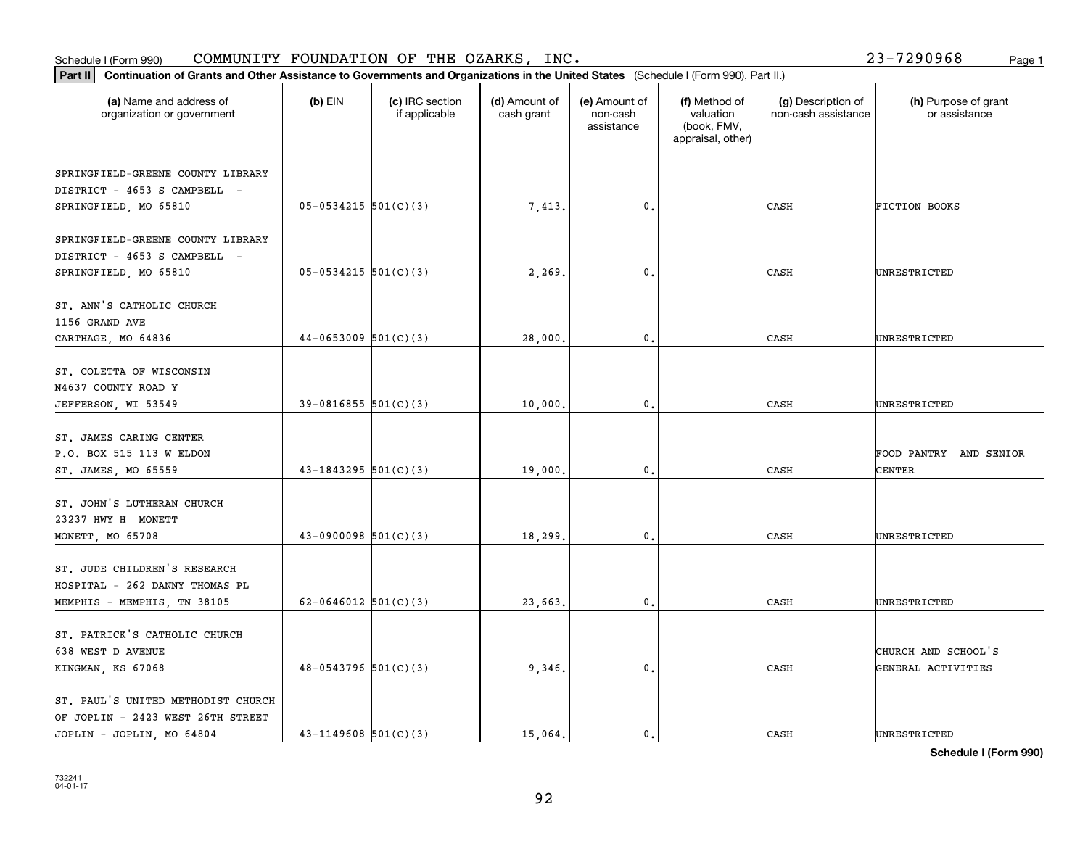| Part II   Continuation of Grants and Other Assistance to Governments and Organizations in the United States (Schedule I (Form 990), Part II.) |                            |                                  |                             |                                         |                                                                |                                           |                                       |
|-----------------------------------------------------------------------------------------------------------------------------------------------|----------------------------|----------------------------------|-----------------------------|-----------------------------------------|----------------------------------------------------------------|-------------------------------------------|---------------------------------------|
| (a) Name and address of<br>organization or government                                                                                         | $(b)$ EIN                  | (c) IRC section<br>if applicable | (d) Amount of<br>cash grant | (e) Amount of<br>non-cash<br>assistance | (f) Method of<br>valuation<br>(book, FMV,<br>appraisal, other) | (g) Description of<br>non-cash assistance | (h) Purpose of grant<br>or assistance |
|                                                                                                                                               |                            |                                  |                             |                                         |                                                                |                                           |                                       |
| SPRINGFIELD-GREENE COUNTY LIBRARY<br>DISTRICT - 4653 S CAMPBELL -                                                                             |                            |                                  |                             |                                         |                                                                |                                           |                                       |
| SPRINGFIELD, MO 65810                                                                                                                         | $05 - 0534215$ $501(C)(3)$ |                                  | 7,413.                      | $\mathbf{0}$ .                          |                                                                | CASH                                      | <b>FICTION BOOKS</b>                  |
|                                                                                                                                               |                            |                                  |                             |                                         |                                                                |                                           |                                       |
| SPRINGFIELD-GREENE COUNTY LIBRARY                                                                                                             |                            |                                  |                             |                                         |                                                                |                                           |                                       |
| DISTRICT - 4653 S CAMPBELL -                                                                                                                  |                            |                                  |                             |                                         |                                                                |                                           |                                       |
| SPRINGFIELD, MO 65810                                                                                                                         | $05 - 0534215$ $501(C)(3)$ |                                  | 2,269                       | 0.                                      |                                                                | CASH                                      | UNRESTRICTED                          |
|                                                                                                                                               |                            |                                  |                             |                                         |                                                                |                                           |                                       |
| ST. ANN'S CATHOLIC CHURCH                                                                                                                     |                            |                                  |                             |                                         |                                                                |                                           |                                       |
| 1156 GRAND AVE                                                                                                                                |                            |                                  |                             |                                         |                                                                |                                           |                                       |
| CARTHAGE, MO 64836                                                                                                                            | $44-0653009$ $501(C)(3)$   |                                  | 28,000.                     | $\mathfrak{o}$ .                        |                                                                | CASH                                      | UNRESTRICTED                          |
|                                                                                                                                               |                            |                                  |                             |                                         |                                                                |                                           |                                       |
| ST. COLETTA OF WISCONSIN                                                                                                                      |                            |                                  |                             |                                         |                                                                |                                           |                                       |
| N4637 COUNTY ROAD Y                                                                                                                           |                            |                                  |                             |                                         |                                                                |                                           |                                       |
| JEFFERSON, WI 53549                                                                                                                           | $39-0816855$ 501(C)(3)     |                                  | 10,000                      | 0.                                      |                                                                | CASH                                      | UNRESTRICTED                          |
| ST. JAMES CARING CENTER                                                                                                                       |                            |                                  |                             |                                         |                                                                |                                           |                                       |
| P.O. BOX 515 113 W ELDON                                                                                                                      |                            |                                  |                             |                                         |                                                                |                                           | FOOD PANTRY AND SENIOR                |
| ST. JAMES, MO 65559                                                                                                                           | $43 - 1843295$ 501(C)(3)   |                                  | 19,000                      | 0.                                      |                                                                | CASH                                      | <b>CENTER</b>                         |
|                                                                                                                                               |                            |                                  |                             |                                         |                                                                |                                           |                                       |
| ST. JOHN'S LUTHERAN CHURCH                                                                                                                    |                            |                                  |                             |                                         |                                                                |                                           |                                       |
| 23237 HWY H MONETT                                                                                                                            |                            |                                  |                             |                                         |                                                                |                                           |                                       |
| MONETT, MO 65708                                                                                                                              | $43-0900098$ 501(C)(3)     |                                  | 18,299.                     | 0.                                      |                                                                | CASH                                      | UNRESTRICTED                          |
|                                                                                                                                               |                            |                                  |                             |                                         |                                                                |                                           |                                       |
| ST. JUDE CHILDREN'S RESEARCH                                                                                                                  |                            |                                  |                             |                                         |                                                                |                                           |                                       |
| HOSPITAL - 262 DANNY THOMAS PL                                                                                                                |                            |                                  |                             |                                         |                                                                |                                           |                                       |
| MEMPHIS - MEMPHIS, TN 38105                                                                                                                   | 62-0646012 $501(C)(3)$     |                                  | 23,663.                     | $\mathfrak{o}$ .                        |                                                                | CASH                                      | UNRESTRICTED                          |
|                                                                                                                                               |                            |                                  |                             |                                         |                                                                |                                           |                                       |
| ST. PATRICK'S CATHOLIC CHURCH                                                                                                                 |                            |                                  |                             |                                         |                                                                |                                           |                                       |
| 638 WEST D AVENUE                                                                                                                             |                            |                                  |                             |                                         |                                                                |                                           | CHURCH AND SCHOOL'S                   |
| KINGMAN, KS 67068                                                                                                                             | $48-0543796$ 501(C)(3)     |                                  | 9,346.                      | $\mathfrak{o}$ .                        |                                                                | CASH                                      | GENERAL ACTIVITIES                    |
|                                                                                                                                               |                            |                                  |                             |                                         |                                                                |                                           |                                       |
| ST. PAUL'S UNITED METHODIST CHURCH                                                                                                            |                            |                                  |                             |                                         |                                                                |                                           |                                       |
| OF JOPLIN - 2423 WEST 26TH STREET                                                                                                             |                            |                                  |                             |                                         |                                                                |                                           |                                       |
| JOPLIN - JOPLIN, MO 64804                                                                                                                     | $43 - 1149608$ $501(C)(3)$ |                                  | 15.064.                     | $\mathbf{0}$ .                          |                                                                | CASH                                      | <b>UNRESTRICTED</b>                   |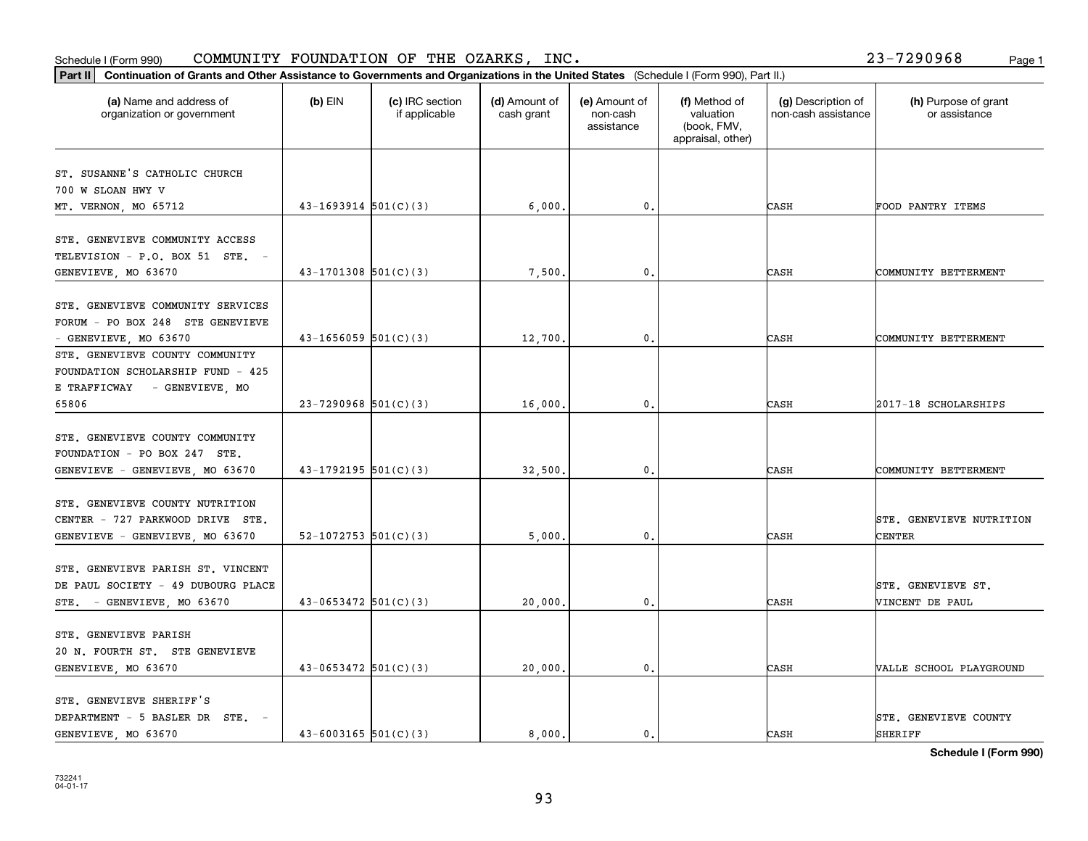| Part II   Continuation of Grants and Other Assistance to Governments and Organizations in the United States (Schedule I (Form 990), Part II.) |                          |                                  |                             |                                         |                                                                |                                           |                                       |
|-----------------------------------------------------------------------------------------------------------------------------------------------|--------------------------|----------------------------------|-----------------------------|-----------------------------------------|----------------------------------------------------------------|-------------------------------------------|---------------------------------------|
| (a) Name and address of<br>organization or government                                                                                         | $(b)$ EIN                | (c) IRC section<br>if applicable | (d) Amount of<br>cash grant | (e) Amount of<br>non-cash<br>assistance | (f) Method of<br>valuation<br>(book, FMV,<br>appraisal, other) | (g) Description of<br>non-cash assistance | (h) Purpose of grant<br>or assistance |
|                                                                                                                                               |                          |                                  |                             |                                         |                                                                |                                           |                                       |
| ST. SUSANNE'S CATHOLIC CHURCH<br>700 W SLOAN HWY V                                                                                            |                          |                                  |                             |                                         |                                                                |                                           |                                       |
| MT. VERNON, MO 65712                                                                                                                          | $43 - 1693914$ 501(C)(3) |                                  | 6,000,                      | 0.                                      |                                                                | CASH                                      | FOOD PANTRY ITEMS                     |
|                                                                                                                                               |                          |                                  |                             |                                         |                                                                |                                           |                                       |
| STE. GENEVIEVE COMMUNITY ACCESS                                                                                                               |                          |                                  |                             |                                         |                                                                |                                           |                                       |
| TELEVISION - P.O. BOX 51 STE. -                                                                                                               |                          |                                  |                             |                                         |                                                                |                                           |                                       |
| GENEVIEVE, MO 63670                                                                                                                           | $43-1701308$ 501(C)(3)   |                                  | 7,500                       | 0.                                      |                                                                | CASH                                      | COMMUNITY BETTERMENT                  |
|                                                                                                                                               |                          |                                  |                             |                                         |                                                                |                                           |                                       |
| STE. GENEVIEVE COMMUNITY SERVICES                                                                                                             |                          |                                  |                             |                                         |                                                                |                                           |                                       |
| FORUM - PO BOX 248 STE GENEVIEVE                                                                                                              |                          |                                  |                             |                                         |                                                                |                                           |                                       |
| - GENEVIEVE, MO 63670                                                                                                                         | $43 - 1656059$ 501(C)(3) |                                  | 12,700                      | $\mathbf{0}$ .                          |                                                                | CASH                                      | COMMUNITY BETTERMENT                  |
| STE. GENEVIEVE COUNTY COMMUNITY                                                                                                               |                          |                                  |                             |                                         |                                                                |                                           |                                       |
| FOUNDATION SCHOLARSHIP FUND - 425                                                                                                             |                          |                                  |                             |                                         |                                                                |                                           |                                       |
| E TRAFFICWAY - GENEVIEVE, MO                                                                                                                  |                          |                                  |                             |                                         |                                                                |                                           |                                       |
| 65806                                                                                                                                         | $23 - 7290968$ 501(C)(3) |                                  | 16,000                      | 0.                                      |                                                                | CASH                                      | 2017-18 SCHOLARSHIPS                  |
|                                                                                                                                               |                          |                                  |                             |                                         |                                                                |                                           |                                       |
| STE. GENEVIEVE COUNTY COMMUNITY                                                                                                               |                          |                                  |                             |                                         |                                                                |                                           |                                       |
| FOUNDATION - PO BOX 247 STE.                                                                                                                  |                          |                                  |                             |                                         |                                                                |                                           |                                       |
| GENEVIEVE - GENEVIEVE, MO 63670                                                                                                               | $43-1792195$ 501(C)(3)   |                                  | 32,500                      | 0.                                      |                                                                | CASH                                      | COMMUNITY BETTERMENT                  |
|                                                                                                                                               |                          |                                  |                             |                                         |                                                                |                                           |                                       |
| STE. GENEVIEVE COUNTY NUTRITION                                                                                                               |                          |                                  |                             |                                         |                                                                |                                           |                                       |
| CENTER - 727 PARKWOOD DRIVE STE.                                                                                                              |                          |                                  |                             |                                         |                                                                |                                           | STE. GENEVIEVE NUTRITION              |
| GENEVIEVE - GENEVIEVE, MO 63670                                                                                                               | 52-1072753 $501(C)(3)$   |                                  | 5,000                       | 0.                                      |                                                                | CASH                                      | <b>CENTER</b>                         |
|                                                                                                                                               |                          |                                  |                             |                                         |                                                                |                                           |                                       |
| STE. GENEVIEVE PARISH ST. VINCENT                                                                                                             |                          |                                  |                             |                                         |                                                                |                                           |                                       |
| DE PAUL SOCIETY - 49 DUBOURG PLACE                                                                                                            |                          |                                  |                             |                                         |                                                                |                                           | STE. GENEVIEVE ST.                    |
| STE. - GENEVIEVE, MO 63670                                                                                                                    | $43 - 0653472$ 501(C)(3) |                                  | 20,000                      | $\mathbf{0}$ .                          |                                                                | CASH                                      | VINCENT DE PAUL                       |
|                                                                                                                                               |                          |                                  |                             |                                         |                                                                |                                           |                                       |
| STE. GENEVIEVE PARISH                                                                                                                         |                          |                                  |                             |                                         |                                                                |                                           |                                       |
| 20 N. FOURTH ST. STE GENEVIEVE                                                                                                                |                          |                                  |                             |                                         |                                                                |                                           |                                       |
| GENEVIEVE, MO 63670                                                                                                                           | $43 - 0653472$ 501(C)(3) |                                  | 20,000                      | $\mathfrak o$ .                         |                                                                | CASH                                      | VALLE SCHOOL PLAYGROUND               |
|                                                                                                                                               |                          |                                  |                             |                                         |                                                                |                                           |                                       |
| STE. GENEVIEVE SHERIFF'S                                                                                                                      |                          |                                  |                             |                                         |                                                                |                                           |                                       |
| DEPARTMENT - 5 BASLER DR STE. -                                                                                                               |                          |                                  |                             |                                         |                                                                |                                           | STE. GENEVIEVE COUNTY                 |
| GENEVIEVE, MO 63670                                                                                                                           | $43 - 6003165$ 501(C)(3) |                                  | 8.000.                      | 0.                                      |                                                                | CASH                                      | <b>SHERIFF</b>                        |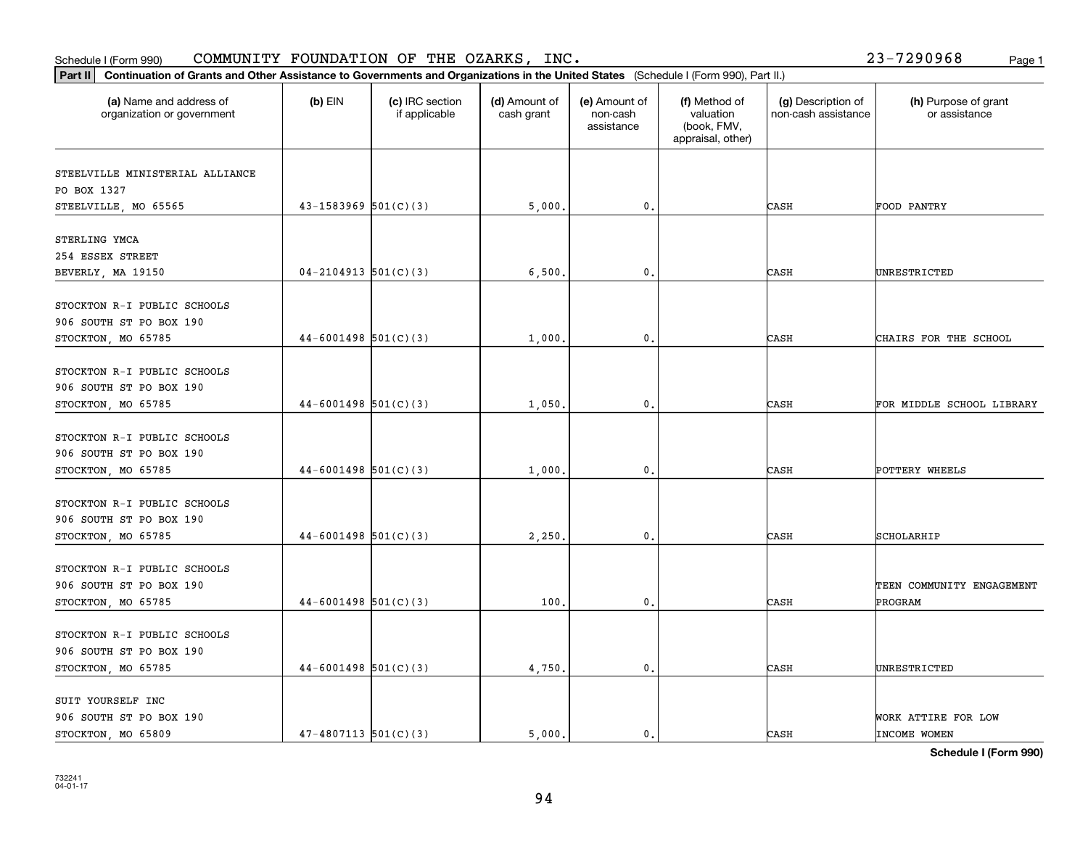| Part II   Continuation of Grants and Other Assistance to Governments and Organizations in the United States (Schedule I (Form 990), Part II.) |                            |                                  |                             |                                         |                                                                |                                           |                                       |
|-----------------------------------------------------------------------------------------------------------------------------------------------|----------------------------|----------------------------------|-----------------------------|-----------------------------------------|----------------------------------------------------------------|-------------------------------------------|---------------------------------------|
| (a) Name and address of<br>organization or government                                                                                         | $(b)$ EIN                  | (c) IRC section<br>if applicable | (d) Amount of<br>cash grant | (e) Amount of<br>non-cash<br>assistance | (f) Method of<br>valuation<br>(book, FMV,<br>appraisal, other) | (g) Description of<br>non-cash assistance | (h) Purpose of grant<br>or assistance |
|                                                                                                                                               |                            |                                  |                             |                                         |                                                                |                                           |                                       |
| STEELVILLE MINISTERIAL ALLIANCE<br>PO BOX 1327                                                                                                |                            |                                  |                             |                                         |                                                                |                                           |                                       |
| STEELVILLE, MO 65565                                                                                                                          | $43 - 1583969$ $501(C)(3)$ |                                  | 5,000                       | 0.                                      |                                                                | CASH                                      | FOOD PANTRY                           |
|                                                                                                                                               |                            |                                  |                             |                                         |                                                                |                                           |                                       |
| STERLING YMCA                                                                                                                                 |                            |                                  |                             |                                         |                                                                |                                           |                                       |
| 254 ESSEX STREET                                                                                                                              |                            |                                  |                             |                                         |                                                                |                                           |                                       |
| BEVERLY, MA 19150                                                                                                                             | $04 - 2104913$ 501(C)(3)   |                                  | 6,500                       | 0.                                      |                                                                | CASH                                      | UNRESTRICTED                          |
|                                                                                                                                               |                            |                                  |                             |                                         |                                                                |                                           |                                       |
| STOCKTON R-I PUBLIC SCHOOLS                                                                                                                   |                            |                                  |                             |                                         |                                                                |                                           |                                       |
| 906 SOUTH ST PO BOX 190                                                                                                                       |                            |                                  |                             |                                         |                                                                |                                           |                                       |
| STOCKTON, MO 65785                                                                                                                            | $44-6001498$ 501(C)(3)     |                                  | 1,000                       | 0.                                      |                                                                | CASH                                      | CHAIRS FOR THE SCHOOL                 |
|                                                                                                                                               |                            |                                  |                             |                                         |                                                                |                                           |                                       |
| STOCKTON R-I PUBLIC SCHOOLS                                                                                                                   |                            |                                  |                             |                                         |                                                                |                                           |                                       |
| 906 SOUTH ST PO BOX 190                                                                                                                       |                            |                                  |                             |                                         |                                                                |                                           |                                       |
| STOCKTON, MO 65785                                                                                                                            | $44-6001498$ 501(C)(3)     |                                  | 1,050                       | 0.                                      |                                                                | CASH                                      | FOR MIDDLE SCHOOL LIBRARY             |
|                                                                                                                                               |                            |                                  |                             |                                         |                                                                |                                           |                                       |
| STOCKTON R-I PUBLIC SCHOOLS                                                                                                                   |                            |                                  |                             |                                         |                                                                |                                           |                                       |
| 906 SOUTH ST PO BOX 190                                                                                                                       |                            |                                  |                             |                                         |                                                                |                                           |                                       |
| STOCKTON, MO 65785                                                                                                                            | $44-6001498$ 501(C)(3)     |                                  | 1,000                       | 0.                                      |                                                                | CASH                                      | POTTERY WHEELS                        |
|                                                                                                                                               |                            |                                  |                             |                                         |                                                                |                                           |                                       |
| STOCKTON R-I PUBLIC SCHOOLS                                                                                                                   |                            |                                  |                             |                                         |                                                                |                                           |                                       |
| 906 SOUTH ST PO BOX 190                                                                                                                       |                            |                                  |                             |                                         |                                                                |                                           |                                       |
| STOCKTON, MO 65785                                                                                                                            | $44-6001498$ 501(C)(3)     |                                  | 2,250                       | $\mathbf{0}$ .                          |                                                                | CASH                                      | SCHOLARHIP                            |
|                                                                                                                                               |                            |                                  |                             |                                         |                                                                |                                           |                                       |
| STOCKTON R-I PUBLIC SCHOOLS                                                                                                                   |                            |                                  |                             |                                         |                                                                |                                           |                                       |
| 906 SOUTH ST PO BOX 190                                                                                                                       |                            |                                  |                             |                                         |                                                                |                                           | TEEN COMMUNITY ENGAGEMENT             |
| STOCKTON, MO 65785                                                                                                                            | $44-6001498$ 501(C)(3)     |                                  | 100                         | $\mathbf{0}$ .                          |                                                                | CASH                                      | PROGRAM                               |
|                                                                                                                                               |                            |                                  |                             |                                         |                                                                |                                           |                                       |
| STOCKTON R-I PUBLIC SCHOOLS                                                                                                                   |                            |                                  |                             |                                         |                                                                |                                           |                                       |
| 906 SOUTH ST PO BOX 190                                                                                                                       |                            |                                  |                             |                                         |                                                                |                                           |                                       |
| STOCKTON, MO 65785                                                                                                                            | $44-6001498$ 501(C)(3)     |                                  | 4,750                       | 0.                                      |                                                                | CASH                                      | UNRESTRICTED                          |
| SUIT YOURSELF INC                                                                                                                             |                            |                                  |                             |                                         |                                                                |                                           |                                       |
| 906 SOUTH ST PO BOX 190                                                                                                                       |                            |                                  |                             |                                         |                                                                |                                           | WORK ATTIRE FOR LOW                   |
| STOCKTON, MO 65809                                                                                                                            | $47 - 4807113$ $501(C)(3)$ |                                  | 5.000.                      | 0.                                      |                                                                | CASH                                      | <b>INCOME WOMEN</b>                   |
|                                                                                                                                               |                            |                                  |                             |                                         |                                                                |                                           |                                       |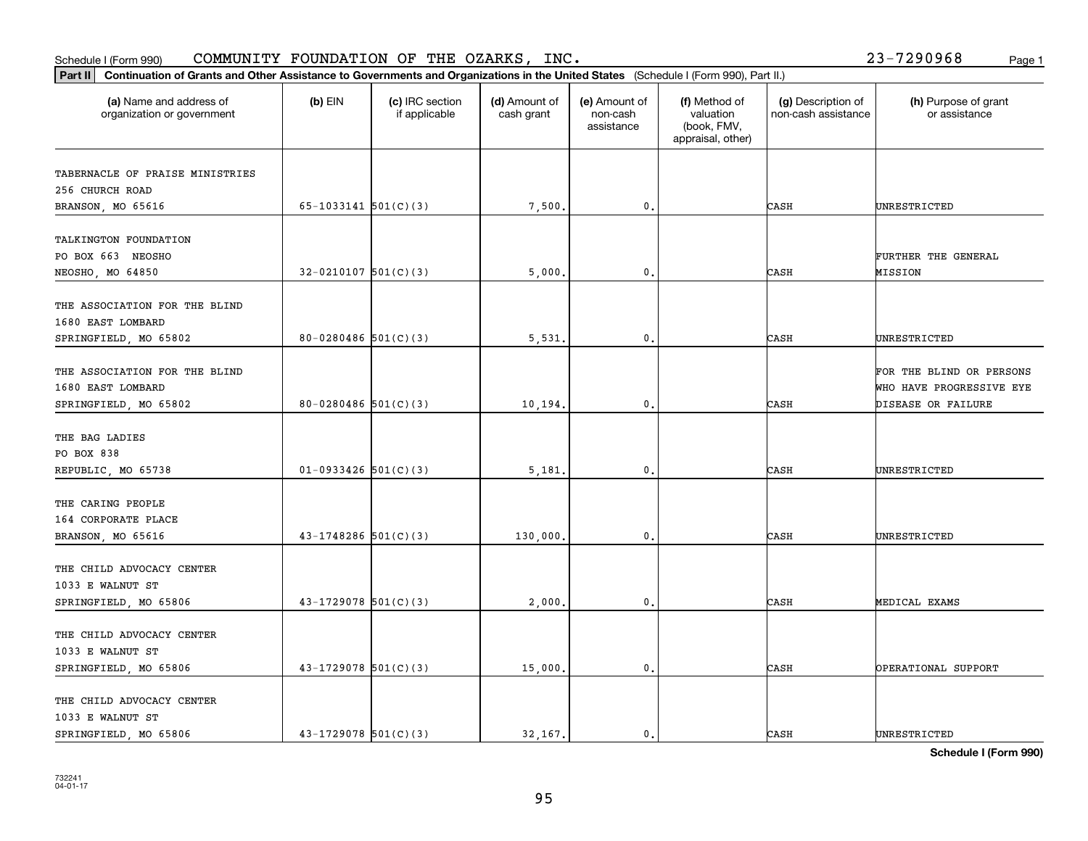| Part II   Continuation of Grants and Other Assistance to Governments and Organizations in the United States (Schedule I (Form 990), Part II.) |                          |                                  |                             |                                         |                                                                |                                           |                                       |
|-----------------------------------------------------------------------------------------------------------------------------------------------|--------------------------|----------------------------------|-----------------------------|-----------------------------------------|----------------------------------------------------------------|-------------------------------------------|---------------------------------------|
| (a) Name and address of<br>organization or government                                                                                         | $(b)$ EIN                | (c) IRC section<br>if applicable | (d) Amount of<br>cash grant | (e) Amount of<br>non-cash<br>assistance | (f) Method of<br>valuation<br>(book, FMV,<br>appraisal, other) | (g) Description of<br>non-cash assistance | (h) Purpose of grant<br>or assistance |
|                                                                                                                                               |                          |                                  |                             |                                         |                                                                |                                           |                                       |
| TABERNACLE OF PRAISE MINISTRIES                                                                                                               |                          |                                  |                             |                                         |                                                                |                                           |                                       |
| 256 CHURCH ROAD                                                                                                                               | 65-1033141 $501(C)(3)$   |                                  |                             | $\mathbf{0}$ .                          |                                                                | CASH                                      | UNRESTRICTED                          |
| BRANSON, MO 65616                                                                                                                             |                          |                                  | 7,500.                      |                                         |                                                                |                                           |                                       |
| TALKINGTON FOUNDATION                                                                                                                         |                          |                                  |                             |                                         |                                                                |                                           |                                       |
| PO BOX 663 NEOSHO                                                                                                                             |                          |                                  |                             |                                         |                                                                |                                           | FURTHER THE GENERAL                   |
| NEOSHO, MO 64850                                                                                                                              | $32 - 0210107$ 501(C)(3) |                                  | 5,000                       | 0.                                      |                                                                | CASH                                      | MISSION                               |
|                                                                                                                                               |                          |                                  |                             |                                         |                                                                |                                           |                                       |
| THE ASSOCIATION FOR THE BLIND                                                                                                                 |                          |                                  |                             |                                         |                                                                |                                           |                                       |
| 1680 EAST LOMBARD                                                                                                                             |                          |                                  |                             |                                         |                                                                |                                           |                                       |
| SPRINGFIELD, MO 65802                                                                                                                         | $80 - 0280486$ 501(C)(3) |                                  | 5,531.                      | $\mathbf{0}$ .                          |                                                                | CASH                                      | UNRESTRICTED                          |
|                                                                                                                                               |                          |                                  |                             |                                         |                                                                |                                           |                                       |
| THE ASSOCIATION FOR THE BLIND                                                                                                                 |                          |                                  |                             |                                         |                                                                |                                           | FOR THE BLIND OR PERSONS              |
| 1680 EAST LOMBARD                                                                                                                             |                          |                                  |                             |                                         |                                                                |                                           | WHO HAVE PROGRESSIVE EYE              |
| SPRINGFIELD, MO 65802                                                                                                                         | 80-0280486 $501(C)(3)$   |                                  | 10,194.                     | $\mathfrak{o}$ .                        |                                                                | CASH                                      | DISEASE OR FAILURE                    |
|                                                                                                                                               |                          |                                  |                             |                                         |                                                                |                                           |                                       |
| THE BAG LADIES                                                                                                                                |                          |                                  |                             |                                         |                                                                |                                           |                                       |
| PO BOX 838                                                                                                                                    |                          |                                  |                             |                                         |                                                                |                                           |                                       |
| REPUBLIC, MO 65738                                                                                                                            | $01-0933426$ 501(C)(3)   |                                  | 5,181                       | 0.                                      |                                                                | CASH                                      | UNRESTRICTED                          |
|                                                                                                                                               |                          |                                  |                             |                                         |                                                                |                                           |                                       |
| THE CARING PEOPLE                                                                                                                             |                          |                                  |                             |                                         |                                                                |                                           |                                       |
| 164 CORPORATE PLACE                                                                                                                           |                          |                                  |                             |                                         |                                                                |                                           |                                       |
| BRANSON, MO 65616                                                                                                                             | $43-1748286$ 501(C)(3)   |                                  | 130,000                     | $\mathfrak{o}$ .                        |                                                                | CASH                                      | UNRESTRICTED                          |
|                                                                                                                                               |                          |                                  |                             |                                         |                                                                |                                           |                                       |
| THE CHILD ADVOCACY CENTER                                                                                                                     |                          |                                  |                             |                                         |                                                                |                                           |                                       |
| 1033 E WALNUT ST                                                                                                                              |                          |                                  |                             |                                         |                                                                |                                           |                                       |
| SPRINGFIELD, MO 65806                                                                                                                         | $43-1729078$ 501(C)(3)   |                                  | 2,000                       | $\mathbf{0}$ .                          |                                                                | CASH                                      | MEDICAL EXAMS                         |
|                                                                                                                                               |                          |                                  |                             |                                         |                                                                |                                           |                                       |
| THE CHILD ADVOCACY CENTER                                                                                                                     |                          |                                  |                             |                                         |                                                                |                                           |                                       |
| 1033 E WALNUT ST                                                                                                                              |                          |                                  |                             |                                         |                                                                |                                           |                                       |
| SPRINGFIELD, MO 65806                                                                                                                         | $43-1729078$ 501(C)(3)   |                                  | 15,000.                     | $\mathbf{0}$ .                          |                                                                | CASH                                      | OPERATIONAL SUPPORT                   |
|                                                                                                                                               |                          |                                  |                             |                                         |                                                                |                                           |                                       |
| THE CHILD ADVOCACY CENTER                                                                                                                     |                          |                                  |                             |                                         |                                                                |                                           |                                       |
| 1033 E WALNUT ST                                                                                                                              |                          |                                  |                             |                                         |                                                                |                                           |                                       |
| SPRINGFIELD, MO 65806                                                                                                                         | $43-1729078$ 501(C)(3)   |                                  | 32.167.                     | $\mathbf{0}$ .                          |                                                                | CASH                                      | <b>UNRESTRICTED</b>                   |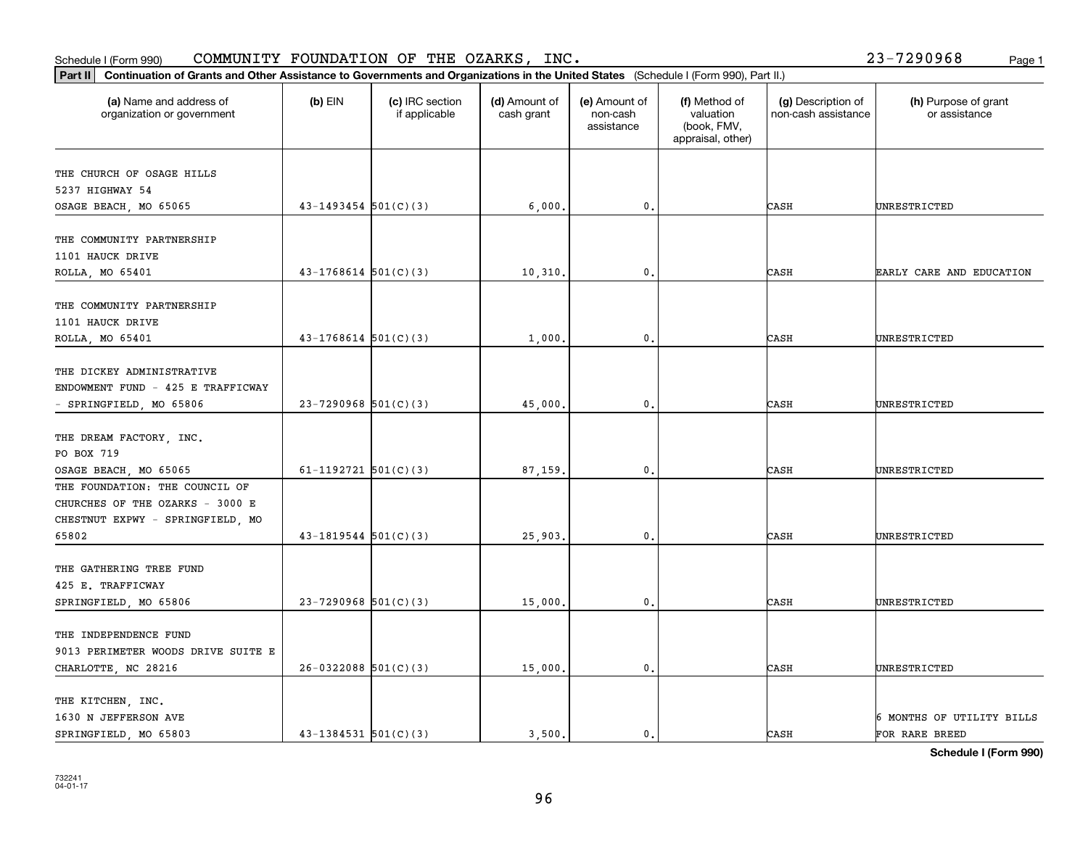|                                                       | Part II   Continuation of Grants and Other Assistance to Governments and Organizations in the United States (Schedule I (Form 990), Part II.) |                                  |                             |                                         |                                                                |                                           |                                       |  |  |  |  |
|-------------------------------------------------------|-----------------------------------------------------------------------------------------------------------------------------------------------|----------------------------------|-----------------------------|-----------------------------------------|----------------------------------------------------------------|-------------------------------------------|---------------------------------------|--|--|--|--|
| (a) Name and address of<br>organization or government | $(b)$ EIN                                                                                                                                     | (c) IRC section<br>if applicable | (d) Amount of<br>cash grant | (e) Amount of<br>non-cash<br>assistance | (f) Method of<br>valuation<br>(book, FMV,<br>appraisal, other) | (g) Description of<br>non-cash assistance | (h) Purpose of grant<br>or assistance |  |  |  |  |
|                                                       |                                                                                                                                               |                                  |                             |                                         |                                                                |                                           |                                       |  |  |  |  |
| THE CHURCH OF OSAGE HILLS<br>5237 HIGHWAY 54          |                                                                                                                                               |                                  |                             |                                         |                                                                |                                           |                                       |  |  |  |  |
| OSAGE BEACH, MO 65065                                 | $43 - 1493454$ $501(C)(3)$                                                                                                                    |                                  | 6,000.                      | $\mathfrak{o}$ .                        |                                                                | CASH                                      | UNRESTRICTED                          |  |  |  |  |
|                                                       |                                                                                                                                               |                                  |                             |                                         |                                                                |                                           |                                       |  |  |  |  |
| THE COMMUNITY PARTNERSHIP                             |                                                                                                                                               |                                  |                             |                                         |                                                                |                                           |                                       |  |  |  |  |
| 1101 HAUCK DRIVE                                      |                                                                                                                                               |                                  |                             |                                         |                                                                |                                           |                                       |  |  |  |  |
| ROLLA, MO 65401                                       | $43-1768614$ 501(C)(3)                                                                                                                        |                                  | 10, 310.                    | 0.                                      |                                                                | CASH                                      | EARLY CARE AND EDUCATION              |  |  |  |  |
| THE COMMUNITY PARTNERSHIP                             |                                                                                                                                               |                                  |                             |                                         |                                                                |                                           |                                       |  |  |  |  |
| 1101 HAUCK DRIVE                                      |                                                                                                                                               |                                  |                             |                                         |                                                                |                                           |                                       |  |  |  |  |
| ROLLA, MO 65401                                       | $43-1768614$ 501(C)(3)                                                                                                                        |                                  | 1,000                       | $\mathbf{0}$ .                          |                                                                | CASH                                      | UNRESTRICTED                          |  |  |  |  |
|                                                       |                                                                                                                                               |                                  |                             |                                         |                                                                |                                           |                                       |  |  |  |  |
| THE DICKEY ADMINISTRATIVE                             |                                                                                                                                               |                                  |                             |                                         |                                                                |                                           |                                       |  |  |  |  |
| ENDOWMENT FUND - 425 E TRAFFICWAY                     |                                                                                                                                               |                                  |                             |                                         |                                                                |                                           |                                       |  |  |  |  |
| - SPRINGFIELD, MO 65806                               | $23 - 7290968$ 501(C)(3)                                                                                                                      |                                  | 45,000.                     | $\mathfrak{o}$ .                        |                                                                | CASH                                      | UNRESTRICTED                          |  |  |  |  |
|                                                       |                                                                                                                                               |                                  |                             |                                         |                                                                |                                           |                                       |  |  |  |  |
| THE DREAM FACTORY, INC.                               |                                                                                                                                               |                                  |                             |                                         |                                                                |                                           |                                       |  |  |  |  |
| PO BOX 719                                            |                                                                                                                                               |                                  |                             |                                         |                                                                |                                           |                                       |  |  |  |  |
| OSAGE BEACH, MO 65065                                 | 61-1192721 $ 501(C)(3) $                                                                                                                      |                                  | 87,159                      | 0.                                      |                                                                | CASH                                      | UNRESTRICTED                          |  |  |  |  |
| THE FOUNDATION: THE COUNCIL OF                        |                                                                                                                                               |                                  |                             |                                         |                                                                |                                           |                                       |  |  |  |  |
| CHURCHES OF THE OZARKS - 3000 E                       |                                                                                                                                               |                                  |                             |                                         |                                                                |                                           |                                       |  |  |  |  |
| CHESTNUT EXPWY - SPRINGFIELD, MO                      |                                                                                                                                               |                                  |                             |                                         |                                                                |                                           |                                       |  |  |  |  |
| 65802                                                 | $43 - 1819544$ $501(C)(3)$                                                                                                                    |                                  | 25,903                      | $\mathfrak{o}$ .                        |                                                                | CASH                                      | UNRESTRICTED                          |  |  |  |  |
|                                                       |                                                                                                                                               |                                  |                             |                                         |                                                                |                                           |                                       |  |  |  |  |
| THE GATHERING TREE FUND                               |                                                                                                                                               |                                  |                             |                                         |                                                                |                                           |                                       |  |  |  |  |
| 425 E. TRAFFICWAY                                     |                                                                                                                                               |                                  |                             |                                         |                                                                |                                           |                                       |  |  |  |  |
| SPRINGFIELD, MO 65806                                 | $23 - 7290968$ 501(C)(3)                                                                                                                      |                                  | 15,000                      | $\mathbf{0}$ .                          |                                                                | CASH                                      | UNRESTRICTED                          |  |  |  |  |
|                                                       |                                                                                                                                               |                                  |                             |                                         |                                                                |                                           |                                       |  |  |  |  |
| THE INDEPENDENCE FUND                                 |                                                                                                                                               |                                  |                             |                                         |                                                                |                                           |                                       |  |  |  |  |
| 9013 PERIMETER WOODS DRIVE SUITE E                    |                                                                                                                                               |                                  |                             |                                         |                                                                |                                           |                                       |  |  |  |  |
| CHARLOTTE, NC 28216                                   | $26-0322088$ 501(C)(3)                                                                                                                        |                                  | 15,000.                     | $\mathbf{0}$ .                          |                                                                | CASH                                      | UNRESTRICTED                          |  |  |  |  |
| THE KITCHEN, INC.                                     |                                                                                                                                               |                                  |                             |                                         |                                                                |                                           |                                       |  |  |  |  |
| 1630 N JEFFERSON AVE                                  |                                                                                                                                               |                                  |                             |                                         |                                                                |                                           | 6 MONTHS OF UTILITY BILLS             |  |  |  |  |
| SPRINGFIELD, MO 65803                                 | $43-1384531$ $501(C)(3)$                                                                                                                      |                                  | 3.500.                      | $\mathbf{0}$ .                          |                                                                | CASH                                      | FOR RARE BREED                        |  |  |  |  |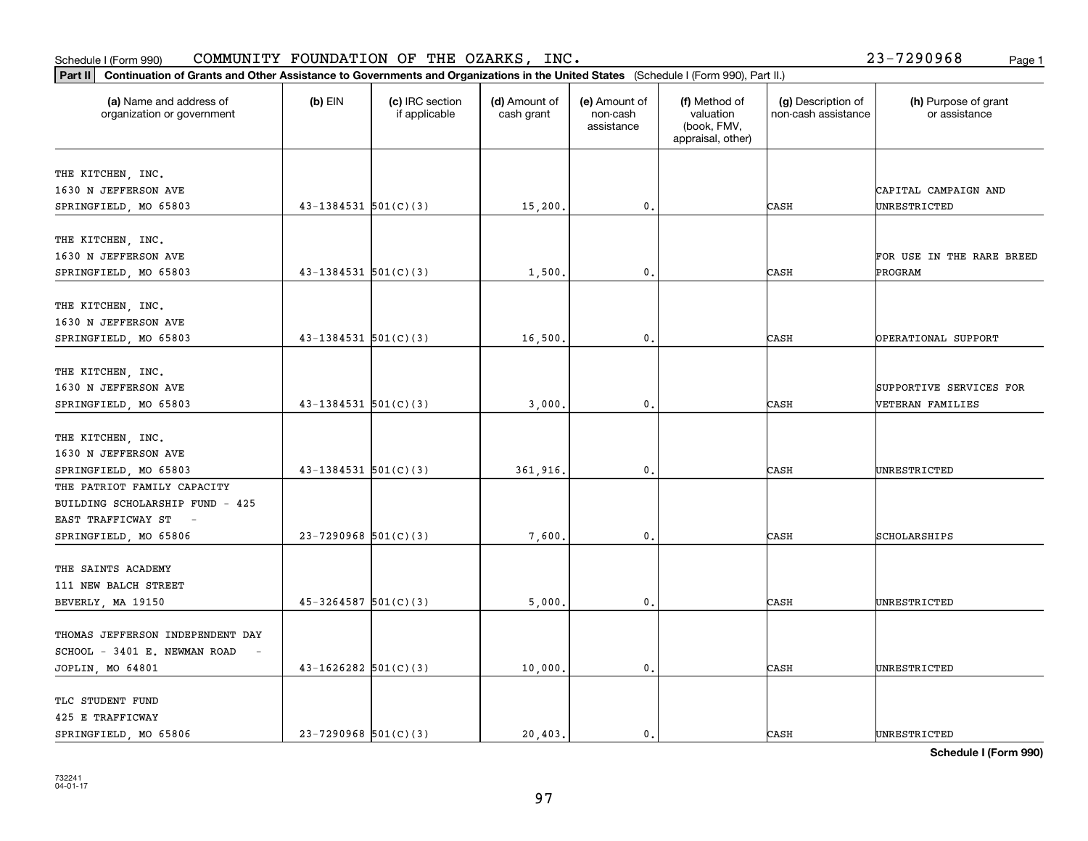## 732241 04-01-17

TLC STUDENT FUND 425 E TRAFFICWAY

| THE KITCHEN, INC.                                               |                            |          |              |      |                           |
|-----------------------------------------------------------------|----------------------------|----------|--------------|------|---------------------------|
| 1630 N JEFFERSON AVE                                            |                            |          |              |      | FOR USE IN THE RARE BREED |
| SPRINGFIELD, MO 65803                                           | $43 - 1384531$ $501(C)(3)$ | 1,500.   | 0.           | CASH | PROGRAM                   |
|                                                                 |                            |          |              |      |                           |
| THE KITCHEN, INC.                                               |                            |          |              |      |                           |
| 1630 N JEFFERSON AVE                                            |                            |          |              |      |                           |
| SPRINGFIELD, MO 65803                                           | $43 - 1384531$ $501(C)(3)$ | 16,500.  | 0.           | CASH | OPERATIONAL SUPPORT       |
| THE KITCHEN, INC.                                               |                            |          |              |      |                           |
| 1630 N JEFFERSON AVE                                            |                            |          |              |      | SUPPORTIVE SERVICES FOR   |
| SPRINGFIELD, MO 65803                                           | $43 - 1384531$ $501(C)(3)$ | 3,000.   | $\mathbf{0}$ | CASH | VETERAN FAMILIES          |
|                                                                 |                            |          |              |      |                           |
| THE KITCHEN, INC.                                               |                            |          |              |      |                           |
| 1630 N JEFFERSON AVE                                            |                            |          |              |      |                           |
| SPRINGFIELD, MO 65803                                           | $43-1384531$ $501(C)(3)$   | 361,916. | 0.           | CASH | UNRESTRICTED              |
| THE PATRIOT FAMILY CAPACITY                                     |                            |          |              |      |                           |
| BUILDING SCHOLARSHIP FUND - 425                                 |                            |          |              |      |                           |
| EAST TRAFFICWAY ST<br>$\sim$ $-$                                |                            |          |              |      |                           |
| SPRINGFIELD, MO 65806                                           | $23 - 7290968$ 501(C)(3)   | 7,600.   | 0.           | CASH | SCHOLARSHIPS              |
| THE SAINTS ACADEMY                                              |                            |          |              |      |                           |
| 111 NEW BALCH STREET                                            |                            |          |              |      |                           |
| BEVERLY, MA 19150                                               | $45 - 3264587$ 501(C)(3)   | 5,000.   | 0.           | CASH | UNRESTRICTED              |
|                                                                 |                            |          |              |      |                           |
| THOMAS JEFFERSON INDEPENDENT DAY                                |                            |          |              |      |                           |
| SCHOOL - 3401 E. NEWMAN ROAD<br>$\hspace{0.1mm}-\hspace{0.1mm}$ |                            |          |              |      |                           |
| JOPLIN, MO 64801                                                | $43 - 1626282$ 501(C)(3)   | 10,000.  | 0.           | CASH | UNRESTRICTED              |

### Schedule I (Form 990)  ${\tt COMMUNITY}$  <code>FOUNDATION OF THE OZARKS, INC</code> .  $23-7290968$  Page 1

organization or government

THE KITCHEN, INC.

**Part II Continuation of Grants and Other Assistance to Governments and Organizations in the United States**  (Schedule I (Form 990), Part II.)

if applicable

 $(b)$  EIN  $(c)$  IRC section

**(a) (b) (c) (d) (e) (f) (g) (h)** Name and address of

(d) Amount of cash grant

1630 N JEFFERSON AVE CAPITAL CAMPAIGN AND

SPRINGFIELD, MO 65803  $\begin{vmatrix} 43-1384531 & 501(C)(3) \end{vmatrix}$  15,200. 0.  $\begin{vmatrix} 1 & 0 \end{vmatrix}$  CASH UNRESTRICTED

(e) Amount of non-cashassistance

(f) Method of valuation (book, FMV, appraisal, other)

(g) Description of non-cash assistance

(h) Purpose of grant or assistance

SPRINGFIELD, MO 65806 23-7290968 501(C)(3) 20,403. 0. CASH CASH UNRESTRICTED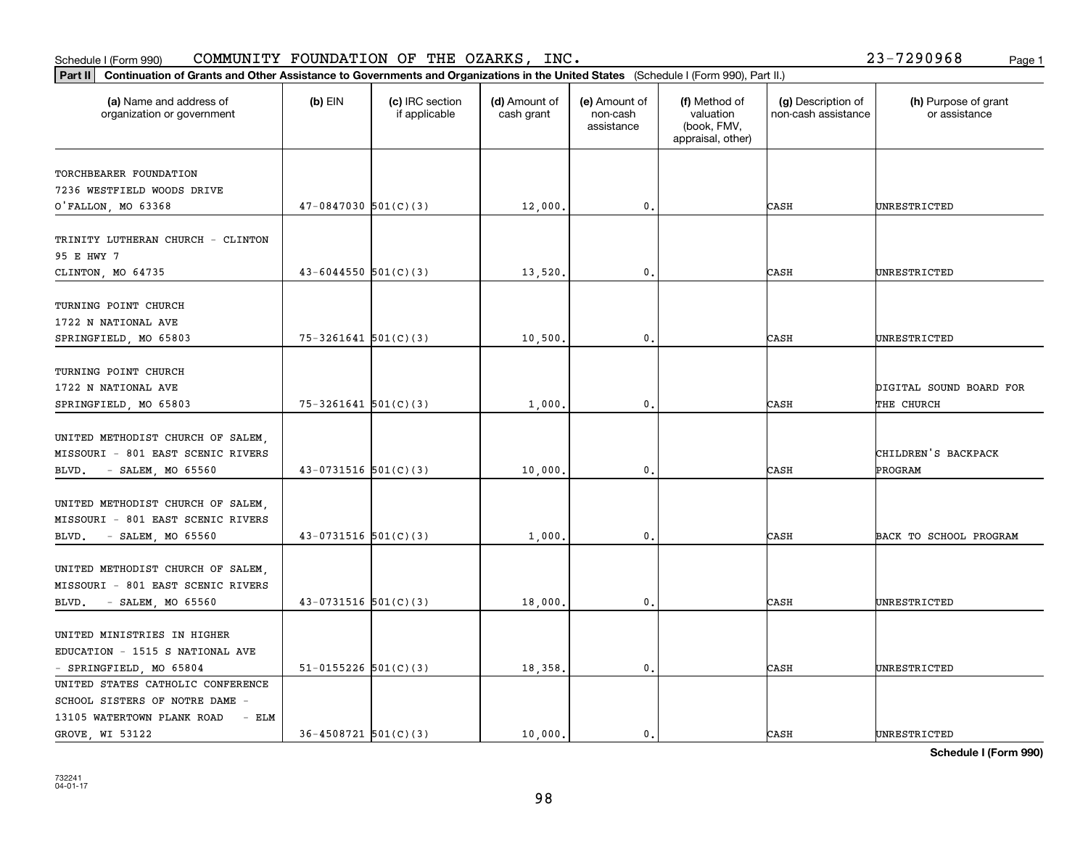### **Part III Continuation of Grants and Other Assistance to Governments and Organization of Grants and Other Assistance to Governments and Organization of Grants and Other Assistance to Governments and Organization** Schedule I (Form 990)  ${\tt COMMUNITY}$  <code>FOUNDATION OF THE OZARKS, INC</code> .  $23-7290968$  Page 1

| Continuation of Grants and Other Assistance to Governments and Organizations in the United States (Schedule I (Form 990), Part II.)<br>Part II |                            |                                  |                             |                                         |                                                                |                                           |                                       |  |  |  |
|------------------------------------------------------------------------------------------------------------------------------------------------|----------------------------|----------------------------------|-----------------------------|-----------------------------------------|----------------------------------------------------------------|-------------------------------------------|---------------------------------------|--|--|--|
| (a) Name and address of<br>organization or government                                                                                          | $(b)$ EIN                  | (c) IRC section<br>if applicable | (d) Amount of<br>cash grant | (e) Amount of<br>non-cash<br>assistance | (f) Method of<br>valuation<br>(book, FMV,<br>appraisal, other) | (g) Description of<br>non-cash assistance | (h) Purpose of grant<br>or assistance |  |  |  |
| TORCHBEARER FOUNDATION<br>7236 WESTFIELD WOODS DRIVE<br>O'FALLON, MO 63368                                                                     | $47-0847030$ 501(C)(3)     |                                  | 12,000.                     | 0.                                      |                                                                | CASH                                      | UNRESTRICTED                          |  |  |  |
| TRINITY LUTHERAN CHURCH - CLINTON<br>95 E HWY 7<br>CLINTON, MO 64735                                                                           | $43 - 6044550$ 501(C)(3)   |                                  | 13,520.                     | $\mathfrak{o}$ .                        |                                                                | CASH                                      | UNRESTRICTED                          |  |  |  |
| TURNING POINT CHURCH<br>1722 N NATIONAL AVE<br>SPRINGFIELD, MO 65803                                                                           | $75 - 3261641$ $501(C)(3)$ |                                  | 10,500                      | $\mathbf{0}$                            |                                                                | CASH                                      | UNRESTRICTED                          |  |  |  |
| TURNING POINT CHURCH<br>1722 N NATIONAL AVE<br>SPRINGFIELD, MO 65803                                                                           | $75 - 3261641$ 501(C)(3)   |                                  | 1,000.                      | 0.                                      |                                                                | CASH                                      | DIGITAL SOUND BOARD FOR<br>THE CHURCH |  |  |  |
| UNITED METHODIST CHURCH OF SALEM,<br>MISSOURI - 801 EAST SCENIC RIVERS<br>- SALEM, MO 65560<br>BLVD.                                           | $43-0731516$ 501(C)(3)     |                                  | 10,000.                     | $\mathfrak{o}$ .                        |                                                                | CASH                                      | CHILDREN'S BACKPACK<br>PROGRAM        |  |  |  |
| UNITED METHODIST CHURCH OF SALEM.<br>MISSOURI - 801 EAST SCENIC RIVERS<br>$-$ SALEM, MO $65560$<br>BLVD.                                       | $43-0731516$ $501(C)(3)$   |                                  | 1,000                       | 0.                                      |                                                                | CASH                                      | BACK TO SCHOOL PROGRAM                |  |  |  |
| UNITED METHODIST CHURCH OF SALEM,<br>MISSOURI - 801 EAST SCENIC RIVERS<br>- SALEM, MO 65560<br>BLVD.                                           | $43-0731516$ $501(C)(3)$   |                                  | 18,000                      | 0.                                      |                                                                | CASH                                      | UNRESTRICTED                          |  |  |  |
| UNITED MINISTRIES IN HIGHER<br>EDUCATION - 1515 S NATIONAL AVE<br>- SPRINGFIELD, MO 65804                                                      | $51-0155226$ $501(C)(3)$   |                                  | 18,358.                     | $\mathbf{0}$ .                          |                                                                | CASH                                      | UNRESTRICTED                          |  |  |  |
| UNITED STATES CATHOLIC CONFERENCE<br>SCHOOL SISTERS OF NOTRE DAME -<br>13105 WATERTOWN PLANK ROAD<br>- ELM<br>GROVE, WI 53122                  | $36 - 4508721$ $501(C)(3)$ |                                  | 10,000.                     | $\mathbf{0}$ .                          |                                                                | CASH                                      | <b>UNRESTRICTED</b>                   |  |  |  |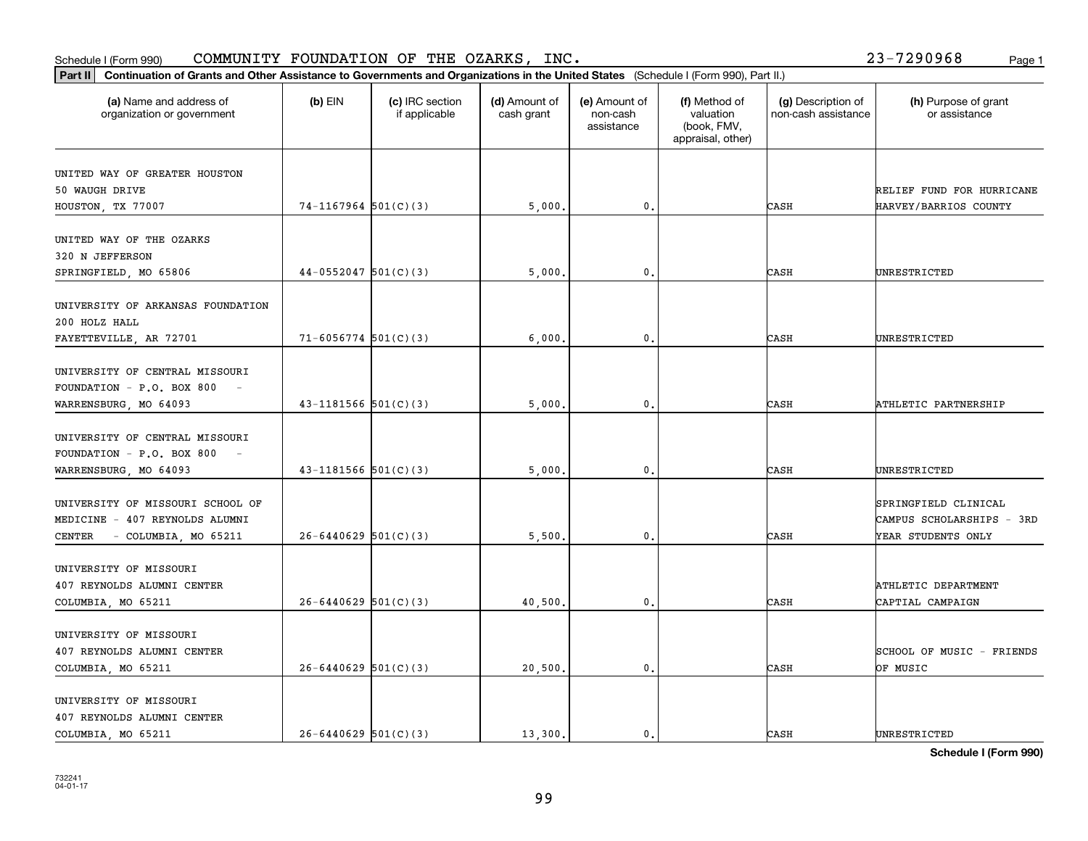### **Part III Continuation of Grants and Other Assistance to Governments and Organization of Grants and Other Assistance to Governments and Organization of Grants and Other Assistance to Governments and Organization** Schedule I (Form 990)  ${\tt COMMUNITY}$  <code>FOUNDATION OF THE OZARKS, INC</code> .  $23-7290968$  Page 1

| Part II                                                                                                     | Continuation of Grants and Other Assistance to Governments and Organizations in the United States (Schedule I (Form 990), Part II.) |                                  |                             |                                         |                                                                |                                           |                                                                         |  |  |  |
|-------------------------------------------------------------------------------------------------------------|-------------------------------------------------------------------------------------------------------------------------------------|----------------------------------|-----------------------------|-----------------------------------------|----------------------------------------------------------------|-------------------------------------------|-------------------------------------------------------------------------|--|--|--|
| (a) Name and address of<br>organization or government                                                       | $(b)$ EIN                                                                                                                           | (c) IRC section<br>if applicable | (d) Amount of<br>cash grant | (e) Amount of<br>non-cash<br>assistance | (f) Method of<br>valuation<br>(book, FMV,<br>appraisal, other) | (g) Description of<br>non-cash assistance | (h) Purpose of grant<br>or assistance                                   |  |  |  |
| UNITED WAY OF GREATER HOUSTON<br>50 WAUGH DRIVE<br>HOUSTON, TX 77007                                        | $74-1167964$ 501(C)(3)                                                                                                              |                                  | 5,000                       | 0.                                      |                                                                | CASH                                      | RELIEF FUND FOR HURRICANE<br>HARVEY/BARRIOS COUNTY                      |  |  |  |
| UNITED WAY OF THE OZARKS<br>320 N JEFFERSON<br>SPRINGFIELD, MO 65806                                        | $44-0552047$ 501(C)(3)                                                                                                              |                                  | 5,000                       | $\mathbf{0}$ .                          |                                                                | CASH                                      | UNRESTRICTED                                                            |  |  |  |
| UNIVERSITY OF ARKANSAS FOUNDATION<br>200 HOLZ HALL<br>FAYETTEVILLE, AR 72701                                | $71-6056774$ 501(C)(3)                                                                                                              |                                  | 6,000                       | $\mathbf{0}$                            |                                                                | CASH                                      | UNRESTRICTED                                                            |  |  |  |
| UNIVERSITY OF CENTRAL MISSOURI<br>FOUNDATION - P.O. BOX 800<br>$\sim$ $-$<br>WARRENSBURG, MO 64093          | $43 - 1181566$ $501(C)(3)$                                                                                                          |                                  | 5,000                       | 0.                                      |                                                                | CASH                                      | ATHLETIC PARTNERSHIP                                                    |  |  |  |
| UNIVERSITY OF CENTRAL MISSOURI<br>FOUNDATION - P.O. BOX 800<br>$\sim$ $-$<br>WARRENSBURG, MO 64093          | $43 - 1181566$ $501(C)(3)$                                                                                                          |                                  | 5,000                       | $\mathbf{0}$ .                          |                                                                | CASH                                      | UNRESTRICTED                                                            |  |  |  |
| UNIVERSITY OF MISSOURI SCHOOL OF<br>MEDICINE - 407 REYNOLDS ALUMNI<br><b>CENTER</b><br>- COLUMBIA, MO 65211 | $26-6440629$ 501(C)(3)                                                                                                              |                                  | 5,500                       | $\mathbf{0}$                            |                                                                | CASH                                      | SPRINGFIELD CLINICAL<br>CAMPUS SCHOLARSHIPS - 3RD<br>YEAR STUDENTS ONLY |  |  |  |
| UNIVERSITY OF MISSOURI<br>407 REYNOLDS ALUMNI CENTER<br>COLUMBIA, MO 65211                                  | $26-6440629$ 501(C)(3)                                                                                                              |                                  | 40,500                      | 0.                                      |                                                                | CASH                                      | ATHLETIC DEPARTMENT<br>CAPTIAL CAMPAIGN                                 |  |  |  |
| UNIVERSITY OF MISSOURI<br>407 REYNOLDS ALUMNI CENTER<br>COLUMBIA, MO 65211                                  | $26 - 6440629$ 501(C)(3)                                                                                                            |                                  | 20,500.                     | $\mathsf{o}\,$ .                        |                                                                | CASH                                      | SCHOOL OF MUSIC - FRIENDS<br>OF MUSIC                                   |  |  |  |
| UNIVERSITY OF MISSOURI<br>407 REYNOLDS ALUMNI CENTER<br>COLUMBIA, MO 65211                                  | $26 - 6440629$ 501(C)(3)                                                                                                            |                                  | 13,300.                     | $\mathbf{0}$ .                          |                                                                | CASH                                      | <b>UNRESTRICTED</b>                                                     |  |  |  |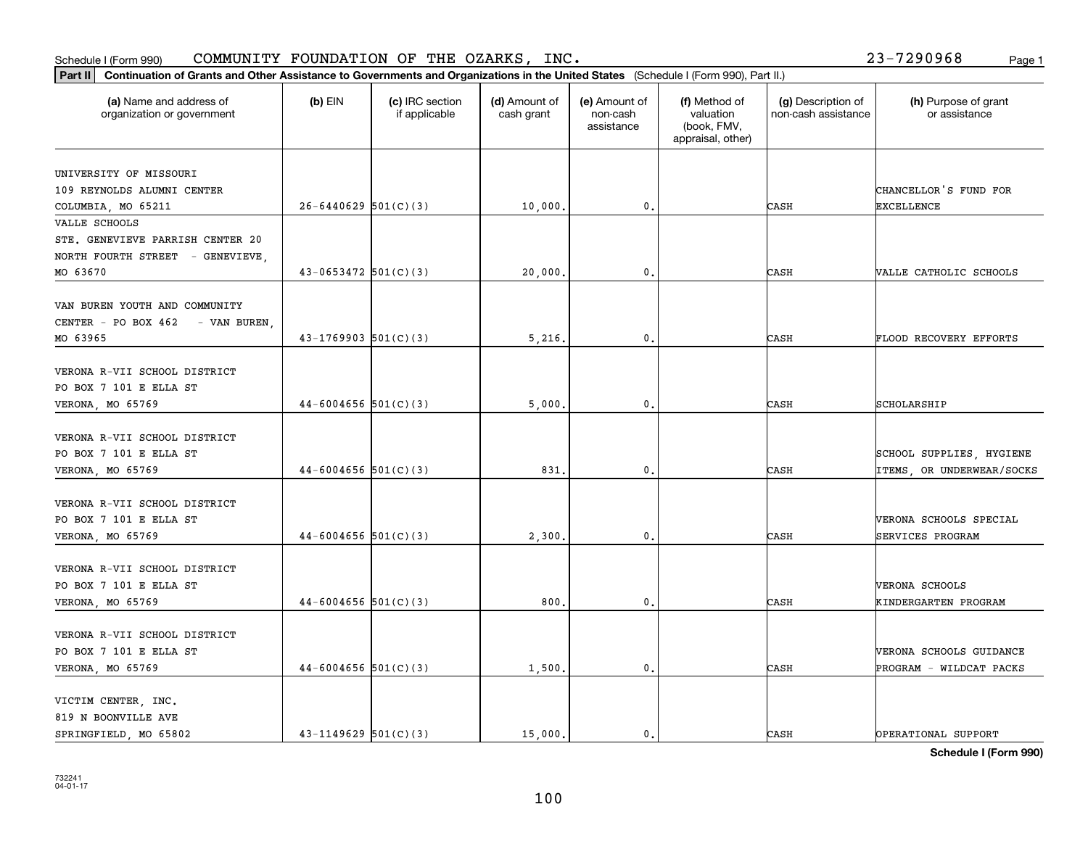### **Part III Continuation of Grants and Other Assistance to Governments and Organization of Grants and Other Assistance to Governments and Organization of Grants and Other Assistance to Governments and Organization** Schedule I (Form 990)  ${\tt COMMUNITY}$  <code>FOUNDATION OF THE OZARKS, INC</code> .  $23-7290968$  Page 1

| Continuation of Grants and Other Assistance to Governments and Organizations in the United States (Schedule I (Form 990), Part II.)<br>Part II |                            |                                  |                             |                                         |                                                                |                                           |                                                       |
|------------------------------------------------------------------------------------------------------------------------------------------------|----------------------------|----------------------------------|-----------------------------|-----------------------------------------|----------------------------------------------------------------|-------------------------------------------|-------------------------------------------------------|
| (a) Name and address of<br>organization or government                                                                                          | $(b)$ EIN                  | (c) IRC section<br>if applicable | (d) Amount of<br>cash grant | (e) Amount of<br>non-cash<br>assistance | (f) Method of<br>valuation<br>(book, FMV,<br>appraisal, other) | (g) Description of<br>non-cash assistance | (h) Purpose of grant<br>or assistance                 |
| UNIVERSITY OF MISSOURI<br>109 REYNOLDS ALUMNI CENTER<br>COLUMBIA, MO 65211                                                                     | $26-6440629$ 501(C)(3)     |                                  | 10,000.                     | $^{\circ}$ .                            |                                                                | CASH                                      | CHANCELLOR'S FUND FOR<br>EXCELLENCE                   |
| VALLE SCHOOLS<br>STE. GENEVIEVE PARRISH CENTER 20<br>NORTH FOURTH STREET - GENEVIEVE,<br>MO 63670                                              | $43-0653472$ 501(C)(3)     |                                  | 20,000.                     | 0.                                      |                                                                | CASH                                      | VALLE CATHOLIC SCHOOLS                                |
| VAN BUREN YOUTH AND COMMUNITY<br>CENTER - PO BOX 462 - VAN BUREN,<br>MO 63965                                                                  | $43 - 1769903$ $501(C)(3)$ |                                  | 5,216                       | $\mathbf{0}$                            |                                                                | CASH                                      | FLOOD RECOVERY EFFORTS                                |
| VERONA R-VII SCHOOL DISTRICT<br>PO BOX 7 101 E ELLA ST<br>VERONA, MO 65769                                                                     | $44-6004656$ 501(C)(3)     |                                  | 5,000                       | 0.                                      |                                                                | CASH                                      | SCHOLARSHIP                                           |
| VERONA R-VII SCHOOL DISTRICT<br>PO BOX 7 101 E ELLA ST<br>VERONA, MO 65769                                                                     | $44-6004656$ 501(C)(3)     |                                  | 831                         | 0.                                      |                                                                | CASH                                      | SCHOOL SUPPLIES, HYGIENE<br>ITEMS, OR UNDERWEAR/SOCKS |
| VERONA R-VII SCHOOL DISTRICT<br>PO BOX 7 101 E ELLA ST<br>VERONA, MO 65769                                                                     | $44-6004656$ 501(C)(3)     |                                  | 2,300                       | $\mathbf{0}$                            |                                                                | CASH                                      | VERONA SCHOOLS SPECIAL<br>SERVICES PROGRAM            |
| VERONA R-VII SCHOOL DISTRICT<br>PO BOX 7 101 E ELLA ST<br>VERONA, MO 65769                                                                     | $44 - 6004656$ 501(C)(3)   |                                  | 800                         | 0.                                      |                                                                | CASH                                      | VERONA SCHOOLS<br>KINDERGARTEN PROGRAM                |
| VERONA R-VII SCHOOL DISTRICT<br>PO BOX 7 101 E ELLA ST<br>VERONA, MO 65769                                                                     | $44-6004656$ 501(C)(3)     |                                  | 1,500.                      | 0.                                      |                                                                | CASH                                      | VERONA SCHOOLS GUIDANCE<br>PROGRAM - WILDCAT PACKS    |
| VICTIM CENTER, INC.<br>819 N BOONVILLE AVE<br>SPRINGFIELD, MO 65802                                                                            | $43 - 1149629$ 501(C)(3)   |                                  | 15,000.                     | $\mathbf{0}$ .                          |                                                                | CASH                                      | OPERATIONAL SUPPORT                                   |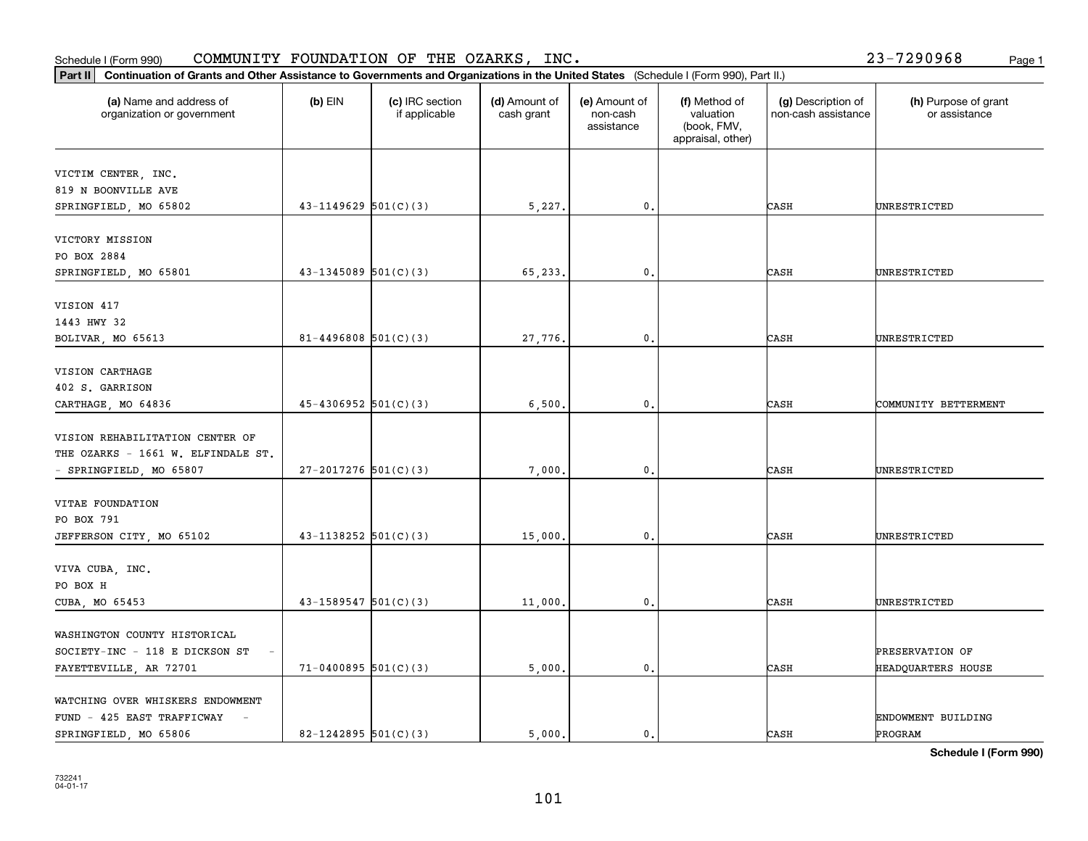| Part II   Continuation of Grants and Other Assistance to Governments and Organizations in the United States (Schedule I (Form 990), Part II.) |                            |                                  |                             |                                         |                                                                |                                           |                                       |  |
|-----------------------------------------------------------------------------------------------------------------------------------------------|----------------------------|----------------------------------|-----------------------------|-----------------------------------------|----------------------------------------------------------------|-------------------------------------------|---------------------------------------|--|
| (a) Name and address of<br>organization or government                                                                                         | $(b)$ EIN                  | (c) IRC section<br>if applicable | (d) Amount of<br>cash grant | (e) Amount of<br>non-cash<br>assistance | (f) Method of<br>valuation<br>(book, FMV,<br>appraisal, other) | (g) Description of<br>non-cash assistance | (h) Purpose of grant<br>or assistance |  |
|                                                                                                                                               |                            |                                  |                             |                                         |                                                                |                                           |                                       |  |
| VICTIM CENTER, INC.<br>819 N BOONVILLE AVE                                                                                                    |                            |                                  |                             |                                         |                                                                |                                           |                                       |  |
| SPRINGFIELD, MO 65802                                                                                                                         | $43 - 1149629$ 501(C)(3)   |                                  | 5,227.                      | 0.                                      |                                                                | CASH                                      | UNRESTRICTED                          |  |
|                                                                                                                                               |                            |                                  |                             |                                         |                                                                |                                           |                                       |  |
| VICTORY MISSION                                                                                                                               |                            |                                  |                             |                                         |                                                                |                                           |                                       |  |
| PO BOX 2884                                                                                                                                   |                            |                                  |                             |                                         |                                                                |                                           |                                       |  |
| SPRINGFIELD, MO 65801                                                                                                                         | $43 - 1345089$ 501(C)(3)   |                                  | 65,233.                     | $\mathfrak{o}$ .                        |                                                                | CASH                                      | UNRESTRICTED                          |  |
|                                                                                                                                               |                            |                                  |                             |                                         |                                                                |                                           |                                       |  |
| VISION 417                                                                                                                                    |                            |                                  |                             |                                         |                                                                |                                           |                                       |  |
| 1443 HWY 32                                                                                                                                   |                            |                                  |                             |                                         |                                                                |                                           |                                       |  |
| BOLIVAR, MO 65613                                                                                                                             | $81 - 4496808$ 501(C)(3)   |                                  | 27,776.                     | $\mathbf{0}$ .                          |                                                                | CASH                                      | UNRESTRICTED                          |  |
|                                                                                                                                               |                            |                                  |                             |                                         |                                                                |                                           |                                       |  |
| VISION CARTHAGE                                                                                                                               |                            |                                  |                             |                                         |                                                                |                                           |                                       |  |
| 402 S. GARRISON                                                                                                                               |                            |                                  |                             |                                         |                                                                |                                           |                                       |  |
| CARTHAGE, MO 64836                                                                                                                            | $45 - 4306952$ 501(C)(3)   |                                  | 6,500                       | 0.                                      |                                                                | CASH                                      | COMMUNITY BETTERMENT                  |  |
|                                                                                                                                               |                            |                                  |                             |                                         |                                                                |                                           |                                       |  |
| VISION REHABILITATION CENTER OF                                                                                                               |                            |                                  |                             |                                         |                                                                |                                           |                                       |  |
| THE OZARKS - 1661 W. ELFINDALE ST.                                                                                                            |                            |                                  |                             |                                         |                                                                |                                           |                                       |  |
| - SPRINGFIELD, MO 65807                                                                                                                       | $27 - 2017276$ 501(C)(3)   |                                  | 7,000                       | 0.                                      |                                                                | CASH                                      | UNRESTRICTED                          |  |
| VITAE FOUNDATION                                                                                                                              |                            |                                  |                             |                                         |                                                                |                                           |                                       |  |
| PO BOX 791                                                                                                                                    |                            |                                  |                             |                                         |                                                                |                                           |                                       |  |
| JEFFERSON CITY, MO 65102                                                                                                                      | $43 - 1138252$ $501(C)(3)$ |                                  | 15,000                      | 0.                                      |                                                                | CASH                                      | UNRESTRICTED                          |  |
|                                                                                                                                               |                            |                                  |                             |                                         |                                                                |                                           |                                       |  |
| VIVA CUBA, INC.                                                                                                                               |                            |                                  |                             |                                         |                                                                |                                           |                                       |  |
| PO BOX H                                                                                                                                      |                            |                                  |                             |                                         |                                                                |                                           |                                       |  |
| CUBA, MO 65453                                                                                                                                | $43 - 1589547$ 501(C)(3)   |                                  | 11,000                      | $\mathfrak{o}$ .                        |                                                                | CASH                                      | UNRESTRICTED                          |  |
|                                                                                                                                               |                            |                                  |                             |                                         |                                                                |                                           |                                       |  |
| WASHINGTON COUNTY HISTORICAL                                                                                                                  |                            |                                  |                             |                                         |                                                                |                                           |                                       |  |
| SOCIETY-INC - 118 E DICKSON ST                                                                                                                |                            |                                  |                             |                                         |                                                                |                                           | PRESERVATION OF                       |  |
| FAYETTEVILLE, AR 72701                                                                                                                        | $71 - 0400895$ 501(C)(3)   |                                  | 5,000.                      | $\mathfrak o$ .                         |                                                                | CASH                                      | HEADQUARTERS HOUSE                    |  |
|                                                                                                                                               |                            |                                  |                             |                                         |                                                                |                                           |                                       |  |
| WATCHING OVER WHISKERS ENDOWMENT                                                                                                              |                            |                                  |                             |                                         |                                                                |                                           |                                       |  |
| FUND - 425 EAST TRAFFICWAY<br>$\sim$ $-$                                                                                                      |                            |                                  |                             |                                         |                                                                |                                           | ENDOWMENT BUILDING                    |  |
| SPRINGFIELD, MO 65806                                                                                                                         | 82-1242895 $501(C)(3)$     |                                  | 5.000.                      | 0.                                      |                                                                | CASH                                      | PROGRAM                               |  |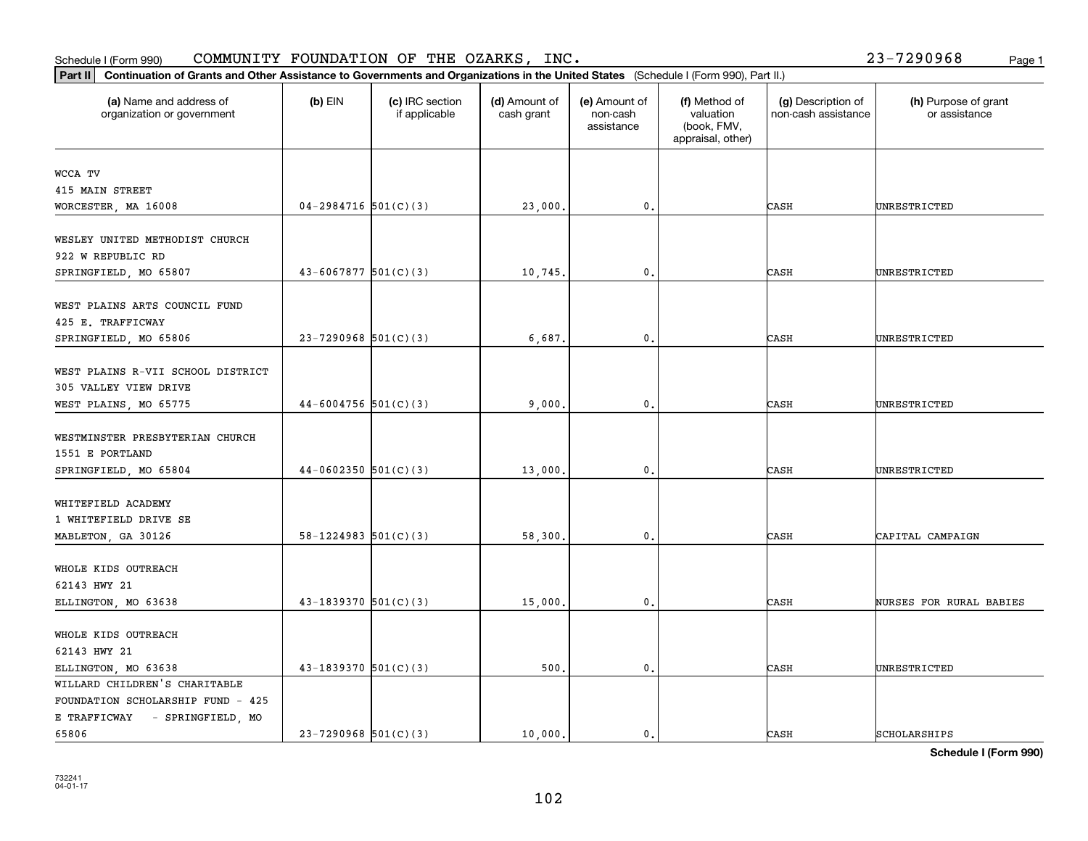| Part II   Continuation of Grants and Other Assistance to Governments and Organizations in the United States (Schedule I (Form 990), Part II.) |                            |                                  |                             |                                         |                                                                |                                           |                                       |
|-----------------------------------------------------------------------------------------------------------------------------------------------|----------------------------|----------------------------------|-----------------------------|-----------------------------------------|----------------------------------------------------------------|-------------------------------------------|---------------------------------------|
| (a) Name and address of<br>organization or government                                                                                         | $(b)$ EIN                  | (c) IRC section<br>if applicable | (d) Amount of<br>cash grant | (e) Amount of<br>non-cash<br>assistance | (f) Method of<br>valuation<br>(book, FMV,<br>appraisal, other) | (g) Description of<br>non-cash assistance | (h) Purpose of grant<br>or assistance |
| WCCA TV                                                                                                                                       |                            |                                  |                             |                                         |                                                                |                                           |                                       |
| 415 MAIN STREET                                                                                                                               |                            |                                  |                             |                                         |                                                                |                                           |                                       |
| WORCESTER, MA 16008                                                                                                                           | $04-2984716$ 501(C)(3)     |                                  | 23,000.                     | 0.                                      |                                                                | CASH                                      | UNRESTRICTED                          |
|                                                                                                                                               |                            |                                  |                             |                                         |                                                                |                                           |                                       |
| WESLEY UNITED METHODIST CHURCH<br>922 W REPUBLIC RD                                                                                           |                            |                                  |                             |                                         |                                                                |                                           |                                       |
| SPRINGFIELD, MO 65807                                                                                                                         | $43 - 6067877$ 501(C)(3)   |                                  | 10,745.                     | 0.                                      |                                                                | CASH                                      | UNRESTRICTED                          |
| WEST PLAINS ARTS COUNCIL FUND<br>425 E. TRAFFICWAY                                                                                            |                            |                                  |                             |                                         |                                                                |                                           |                                       |
| SPRINGFIELD, MO 65806                                                                                                                         | $23 - 7290968$ 501(C)(3)   |                                  | 6,687.                      | $\mathbf{0}$ .                          |                                                                | CASH                                      | UNRESTRICTED                          |
| WEST PLAINS R-VII SCHOOL DISTRICT<br>305 VALLEY VIEW DRIVE<br>WEST PLAINS, MO 65775                                                           | $44-6004756$ 501(C)(3)     |                                  | 9,000                       | 0.                                      |                                                                | CASH                                      | UNRESTRICTED                          |
| WESTMINSTER PRESBYTERIAN CHURCH<br>1551 E PORTLAND                                                                                            |                            |                                  |                             |                                         |                                                                |                                           |                                       |
| SPRINGFIELD, MO 65804                                                                                                                         | $44-0602350$ $501(C)(3)$   |                                  | 13,000                      | 0.                                      |                                                                | CASH                                      | UNRESTRICTED                          |
| WHITEFIELD ACADEMY<br>1 WHITEFIELD DRIVE SE<br>MABLETON, GA 30126                                                                             | $58 - 1224983$ $501(C)(3)$ |                                  | 58,300                      | 0.                                      |                                                                | CASH                                      | CAPITAL CAMPAIGN                      |
| WHOLE KIDS OUTREACH<br>62143 HWY 21                                                                                                           |                            |                                  |                             |                                         |                                                                |                                           |                                       |
| ELLINGTON, MO 63638                                                                                                                           | $43 - 1839370$ 501(C)(3)   |                                  | 15,000                      | $\mathfrak{o}$ .                        |                                                                | CASH                                      | NURSES FOR RURAL BABIES               |
| WHOLE KIDS OUTREACH<br>62143 HWY 21<br>ELLINGTON, MO 63638                                                                                    | $43 - 1839370$ 501(C)(3)   |                                  | 500.                        | $\mathbf{0}$ .                          |                                                                | CASH                                      | UNRESTRICTED                          |
| WILLARD CHILDREN'S CHARITABLE                                                                                                                 |                            |                                  |                             |                                         |                                                                |                                           |                                       |
| <b>FOUNDATION SCHOLARSHIP FUND - 425</b><br>E TRAFFICWAY - SPRINGFIELD, MO                                                                    |                            |                                  |                             |                                         |                                                                |                                           |                                       |
| 65806                                                                                                                                         | $23 - 7290968$ 501(C)(3)   |                                  | 10,000.                     | 0.                                      |                                                                | CASH                                      | SCHOLARSHIPS                          |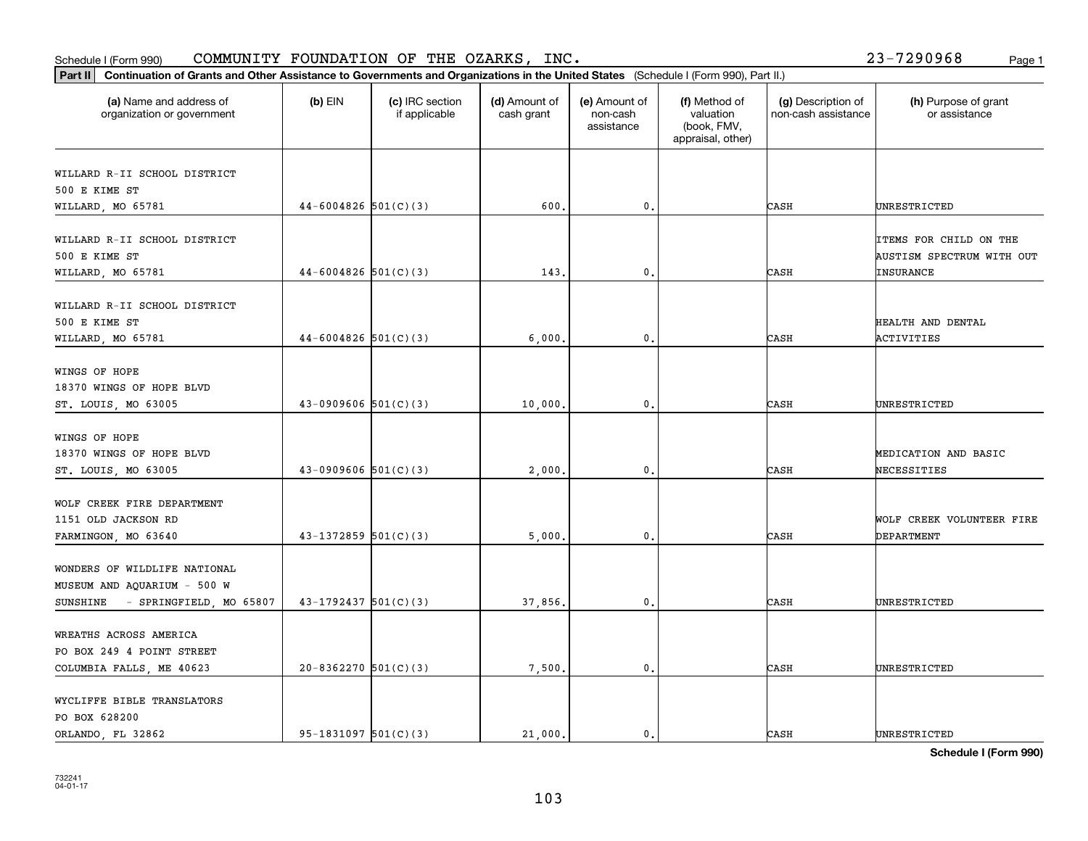| 732241  |  |
|---------|--|
| 04-01-1 |  |

| (a) Name and address of<br>organization or government                                              | $(b)$ EIN                | (c) IRC section<br>if applicable | (d) Amount of<br>cash grant | (e) Amount of<br>non-cash<br>assistance | (f) Method of<br>valuation<br>(book, FMV,<br>appraisal, other) | (g) Description of<br>non-cash assistance | (h) Purpose of grant<br>or assistance                                          |
|----------------------------------------------------------------------------------------------------|--------------------------|----------------------------------|-----------------------------|-----------------------------------------|----------------------------------------------------------------|-------------------------------------------|--------------------------------------------------------------------------------|
| WILLARD R-II SCHOOL DISTRICT<br>500 E KIME ST<br>WILLARD, MO 65781                                 | $44-6004826$ 501(C)(3)   |                                  | 600                         | 0.                                      |                                                                | CASH                                      | UNRESTRICTED                                                                   |
| WILLARD R-II SCHOOL DISTRICT<br>500 E KIME ST<br>WILLARD, MO 65781                                 | $44-6004826$ 501(C)(3)   |                                  | 143                         | 0.                                      |                                                                | CASH                                      | <b>ITEMS FOR CHILD ON THE</b><br>AUSTISM SPECTRUM WITH OUT<br><b>INSURANCE</b> |
| WILLARD R-II SCHOOL DISTRICT<br>500 E KIME ST<br>WILLARD, MO 65781                                 | $44-6004826$ 501(C)(3)   |                                  | 6,000                       | 0.                                      |                                                                | CASH                                      | HEALTH AND DENTAL<br>ACTIVITIES                                                |
| WINGS OF HOPE<br>18370 WINGS OF HOPE BLVD<br>ST. LOUIS, MO 63005                                   | $43-0909606$ 501(C)(3)   |                                  | 10,000                      | 0.                                      |                                                                | CASH                                      | <b>UNRESTRICTED</b>                                                            |
| WINGS OF HOPE<br>18370 WINGS OF HOPE BLVD<br>ST. LOUIS, MO 63005                                   | $43-0909606$ $501(C)(3)$ |                                  | 2,000                       | $\mathbf{0}$ .                          |                                                                | CASH                                      | MEDICATION AND BASIC<br>NECESSITIES                                            |
| WOLF CREEK FIRE DEPARTMENT<br>1151 OLD JACKSON RD<br>FARMINGON, MO 63640                           | $43-1372859$ 501(C)(3)   |                                  | 5,000                       | $\mathbf{0}$ .                          |                                                                | CASH                                      | WOLF CREEK VOLUNTEER FIRE<br>DEPARTMENT                                        |
| WONDERS OF WILDLIFE NATIONAL<br>MUSEUM AND AQUARIUM - 500 W<br>- SPRINGFIELD, MO 65807<br>SUNSHINE | 43-1792437 501(C)(3)     |                                  | 37,856.                     | $\mathbf{0}$ .                          |                                                                | CASH                                      | UNRESTRICTED                                                                   |
| WREATHS ACROSS AMERICA<br>PO BOX 249 4 POINT STREET<br>COLUMBIA FALLS, ME 40623                    | $20 - 8362270$ 501(C)(3) |                                  | 7,500                       | $\mathbf{0}$ .                          |                                                                | CASH                                      | UNRESTRICTED                                                                   |
| WYCLIFFE BIBLE TRANSLATORS<br>PO BOX 628200<br>ORLANDO, FL 32862                                   | $95-1831097$ $501(C)(3)$ |                                  | 21,000.                     | $\mathbf{0}$ .                          |                                                                | CASH                                      | UNRESTRICTED                                                                   |

**Part II Continuation of Grants and Other Assistance to Governments and Organizations in the United States**  (Schedule I (Form 990), Part II.)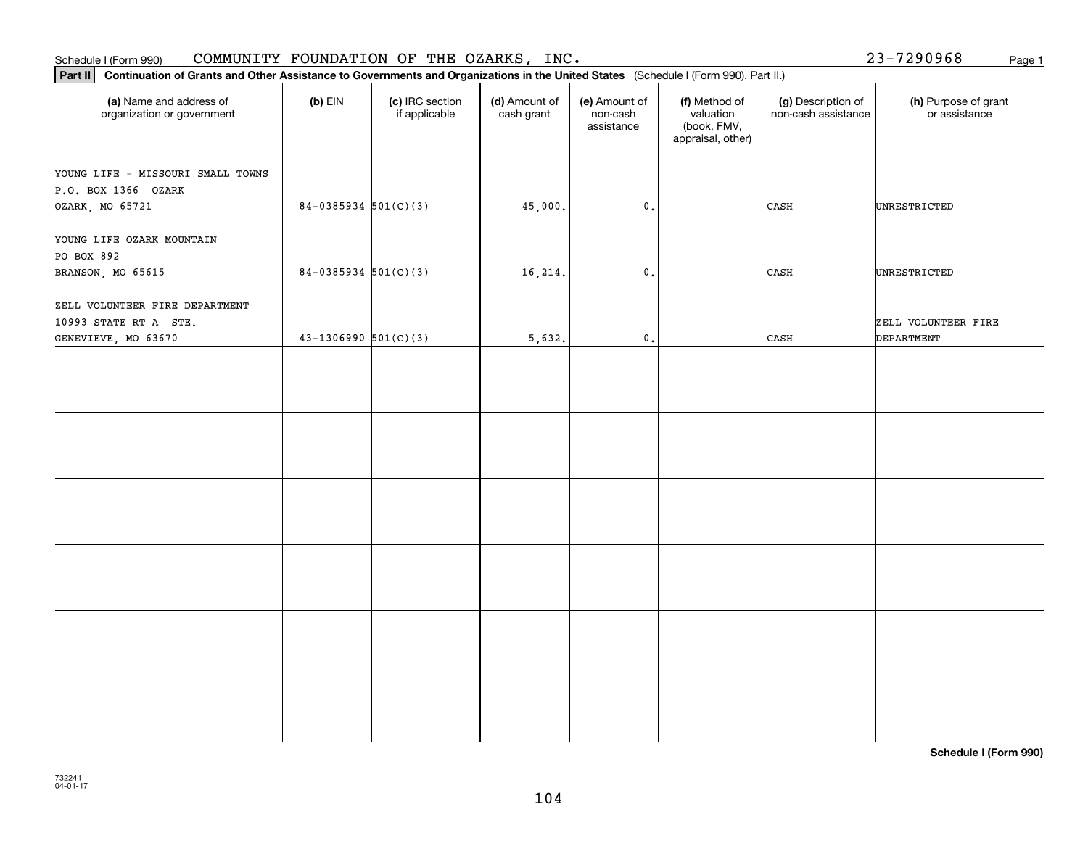### Schedule I (Form 990)  ${\tt COMMUNITY}$   ${\tt FOUNDATION}$   ${\tt OF}$   ${\tt THE}$   ${\tt OZARKS}$  ,  ${\tt INC}$  , which is the contract of the contract of  $23$  –  $7290968$  . Page 1

23-7290968

| Part II   Continuation of Grants and Other Assistance to Governments and Organizations in the United States (Schedule I (Form 990), Part II.) |                            |                                  |                             |                                         |                                                                |                                           |                                       |  |  |
|-----------------------------------------------------------------------------------------------------------------------------------------------|----------------------------|----------------------------------|-----------------------------|-----------------------------------------|----------------------------------------------------------------|-------------------------------------------|---------------------------------------|--|--|
| (a) Name and address of<br>organization or government                                                                                         | $(b)$ EIN                  | (c) IRC section<br>if applicable | (d) Amount of<br>cash grant | (e) Amount of<br>non-cash<br>assistance | (f) Method of<br>valuation<br>(book, FMV,<br>appraisal, other) | (g) Description of<br>non-cash assistance | (h) Purpose of grant<br>or assistance |  |  |
| YOUNG LIFE - MISSOURI SMALL TOWNS                                                                                                             |                            |                                  |                             |                                         |                                                                |                                           |                                       |  |  |
| P.O. BOX 1366 OZARK                                                                                                                           |                            |                                  |                             |                                         |                                                                |                                           |                                       |  |  |
| OZARK, MO 65721                                                                                                                               | $84-0385934$ 501(C)(3)     |                                  | 45,000.                     | $\mathbf 0$ .                           |                                                                | CASH                                      | UNRESTRICTED                          |  |  |
| YOUNG LIFE OZARK MOUNTAIN<br>PO BOX 892                                                                                                       |                            |                                  |                             |                                         |                                                                |                                           |                                       |  |  |
| BRANSON, MO 65615                                                                                                                             | $84-0385934$ 501(C)(3)     |                                  | 16,214.                     | $\mathfrak o$ .                         |                                                                | CASH                                      | UNRESTRICTED                          |  |  |
| ZELL VOLUNTEER FIRE DEPARTMENT<br>10993 STATE RT A STE.                                                                                       |                            |                                  |                             |                                         |                                                                |                                           | ZELL VOLUNTEER FIRE                   |  |  |
| GENEVIEVE, MO 63670                                                                                                                           | $43 - 1306990$ $501(C)(3)$ |                                  | 5,632.                      | $\mathbf 0$ .                           |                                                                | CASH                                      | DEPARTMENT                            |  |  |
|                                                                                                                                               |                            |                                  |                             |                                         |                                                                |                                           |                                       |  |  |
|                                                                                                                                               |                            |                                  |                             |                                         |                                                                |                                           |                                       |  |  |
|                                                                                                                                               |                            |                                  |                             |                                         |                                                                |                                           |                                       |  |  |
|                                                                                                                                               |                            |                                  |                             |                                         |                                                                |                                           |                                       |  |  |
|                                                                                                                                               |                            |                                  |                             |                                         |                                                                |                                           |                                       |  |  |
|                                                                                                                                               |                            |                                  |                             |                                         |                                                                |                                           |                                       |  |  |
|                                                                                                                                               |                            |                                  |                             |                                         |                                                                |                                           |                                       |  |  |
|                                                                                                                                               |                            |                                  |                             |                                         |                                                                |                                           |                                       |  |  |
|                                                                                                                                               |                            |                                  |                             |                                         |                                                                |                                           |                                       |  |  |
|                                                                                                                                               |                            |                                  |                             |                                         |                                                                |                                           |                                       |  |  |
|                                                                                                                                               |                            |                                  |                             |                                         |                                                                |                                           |                                       |  |  |
|                                                                                                                                               |                            |                                  |                             |                                         |                                                                |                                           |                                       |  |  |
|                                                                                                                                               |                            |                                  |                             |                                         |                                                                |                                           |                                       |  |  |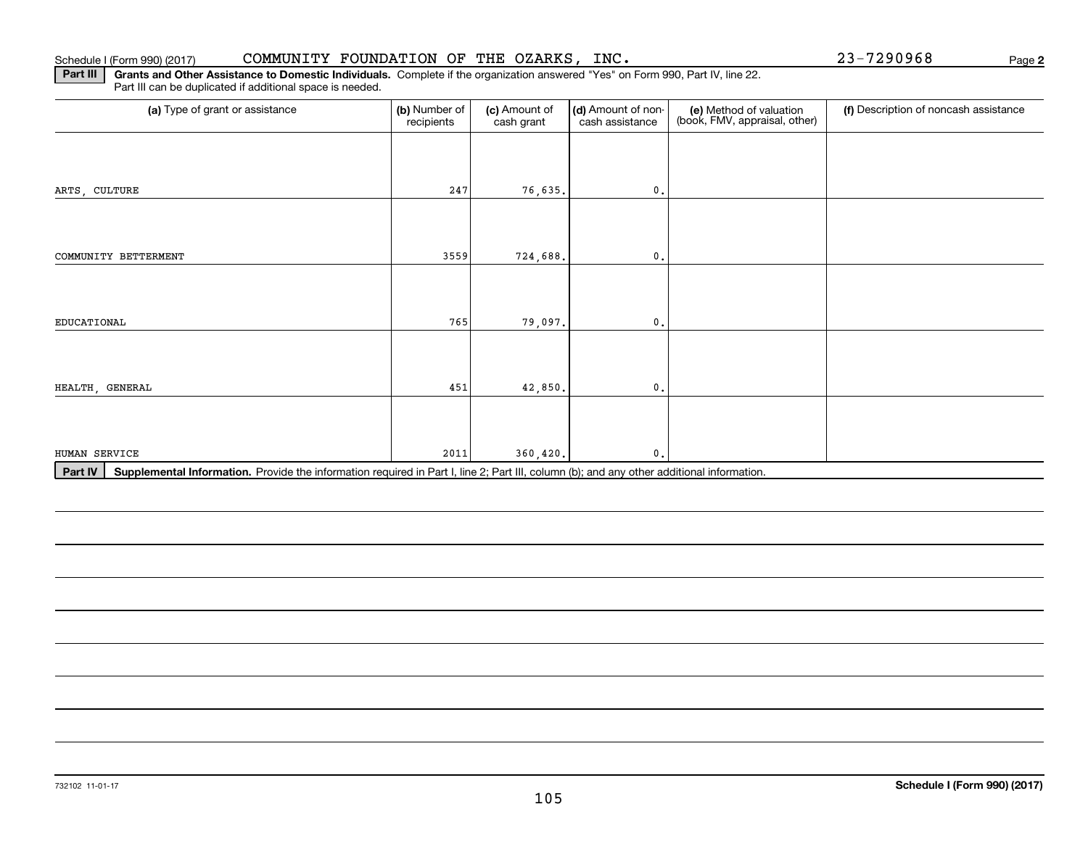### Schedule I (Form 990) (2017) CO**MMUNITY FOUNDATION OF THE OZARKS, INC.** 23-7290968 Page

**2**

**Part III** | Grants and Other Assistance to Domestic Individuals. Complete if the organization answered "Yes" on Form 990, Part IV, line 22. Part III can be duplicated if additional space is needed.

| (a) Type of grant or assistance                                                                                                                                     | (b) Number of<br>recipients | (c) Amount of<br>cash grant | (d) Amount of non-<br>cash assistance | (e) Method of valuation<br>(book, FMV, appraisal, other) | (f) Description of noncash assistance |
|---------------------------------------------------------------------------------------------------------------------------------------------------------------------|-----------------------------|-----------------------------|---------------------------------------|----------------------------------------------------------|---------------------------------------|
|                                                                                                                                                                     |                             |                             |                                       |                                                          |                                       |
| ARTS, CULTURE                                                                                                                                                       | 247                         | 76,635.                     | $\mathfrak{o}$ .                      |                                                          |                                       |
|                                                                                                                                                                     |                             |                             |                                       |                                                          |                                       |
| COMMUNITY BETTERMENT                                                                                                                                                | 3559                        | 724,688.                    | 0.                                    |                                                          |                                       |
|                                                                                                                                                                     |                             |                             |                                       |                                                          |                                       |
| EDUCATIONAL                                                                                                                                                         | 765                         | 79,097.                     | $\mathbf{0}$ .                        |                                                          |                                       |
|                                                                                                                                                                     |                             |                             |                                       |                                                          |                                       |
| HEALTH, GENERAL                                                                                                                                                     | 451                         | 42,850.                     | $\mathbf{0}$ .                        |                                                          |                                       |
|                                                                                                                                                                     |                             |                             |                                       |                                                          |                                       |
| HUMAN SERVICE<br><b>Death Inc.</b> Our also see the first provided to information as wind in Death line O. Death and we also can accept the calificated information | 2011                        | 360, 420.                   | $\mathbf{0}$ .                        |                                                          |                                       |

Part IV | Supplemental Information. Provide the information required in Part I, line 2; Part III, column (b); and any other additional information.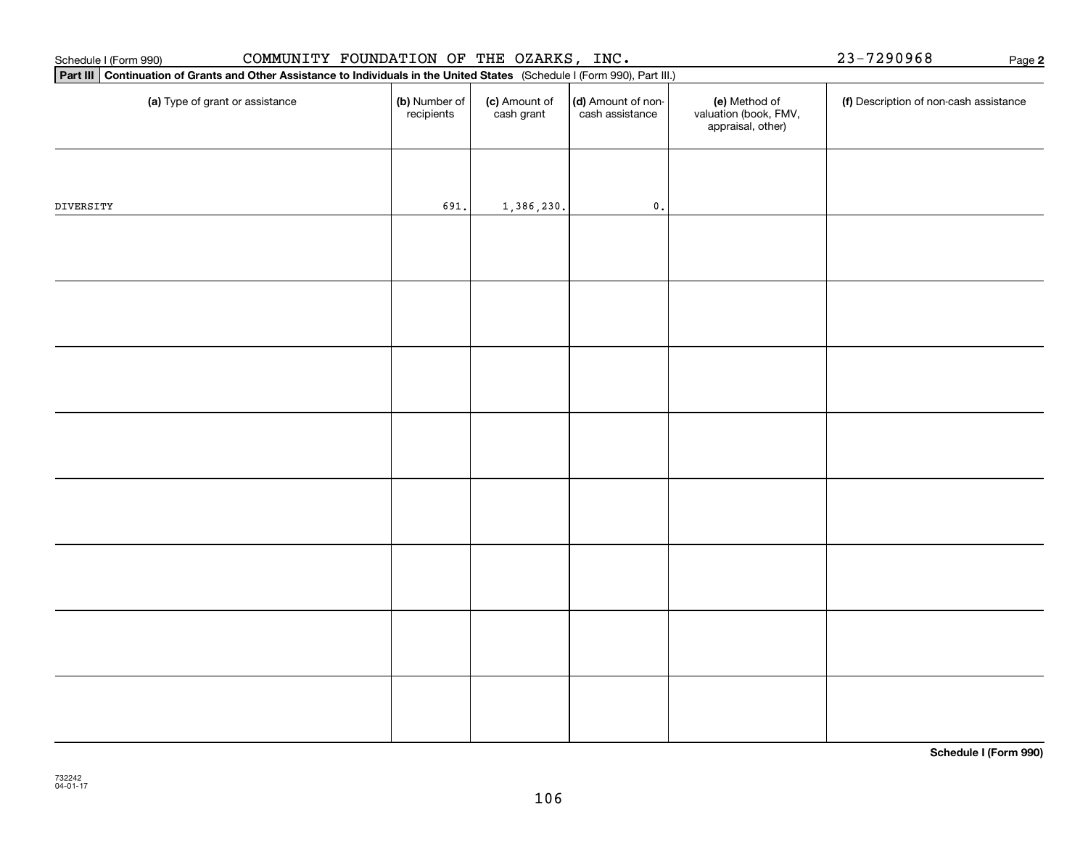| COMMUNITY FOUNDATION OF THE OZARKS, INC.<br>Schedule I (Form 990)                                                           | 23-7290968<br>Page 2        |                             |                                       |                                                             |                                        |  |
|-----------------------------------------------------------------------------------------------------------------------------|-----------------------------|-----------------------------|---------------------------------------|-------------------------------------------------------------|----------------------------------------|--|
| Part III Continuation of Grants and Other Assistance to Individuals in the United States (Schedule I (Form 990), Part III.) |                             |                             |                                       |                                                             |                                        |  |
| (a) Type of grant or assistance                                                                                             | (b) Number of<br>recipients | (c) Amount of<br>cash grant | (d) Amount of non-<br>cash assistance | (e) Method of<br>valuation (book, FMV,<br>appraisal, other) | (f) Description of non-cash assistance |  |
| DIVERSITY                                                                                                                   | 691.                        | 1,386,230.                  | $\mathfrak o$ .                       |                                                             |                                        |  |
|                                                                                                                             |                             |                             |                                       |                                                             |                                        |  |
|                                                                                                                             |                             |                             |                                       |                                                             |                                        |  |
|                                                                                                                             |                             |                             |                                       |                                                             |                                        |  |
|                                                                                                                             |                             |                             |                                       |                                                             |                                        |  |
|                                                                                                                             |                             |                             |                                       |                                                             |                                        |  |
|                                                                                                                             |                             |                             |                                       |                                                             |                                        |  |
|                                                                                                                             |                             |                             |                                       |                                                             |                                        |  |
|                                                                                                                             |                             |                             |                                       |                                                             |                                        |  |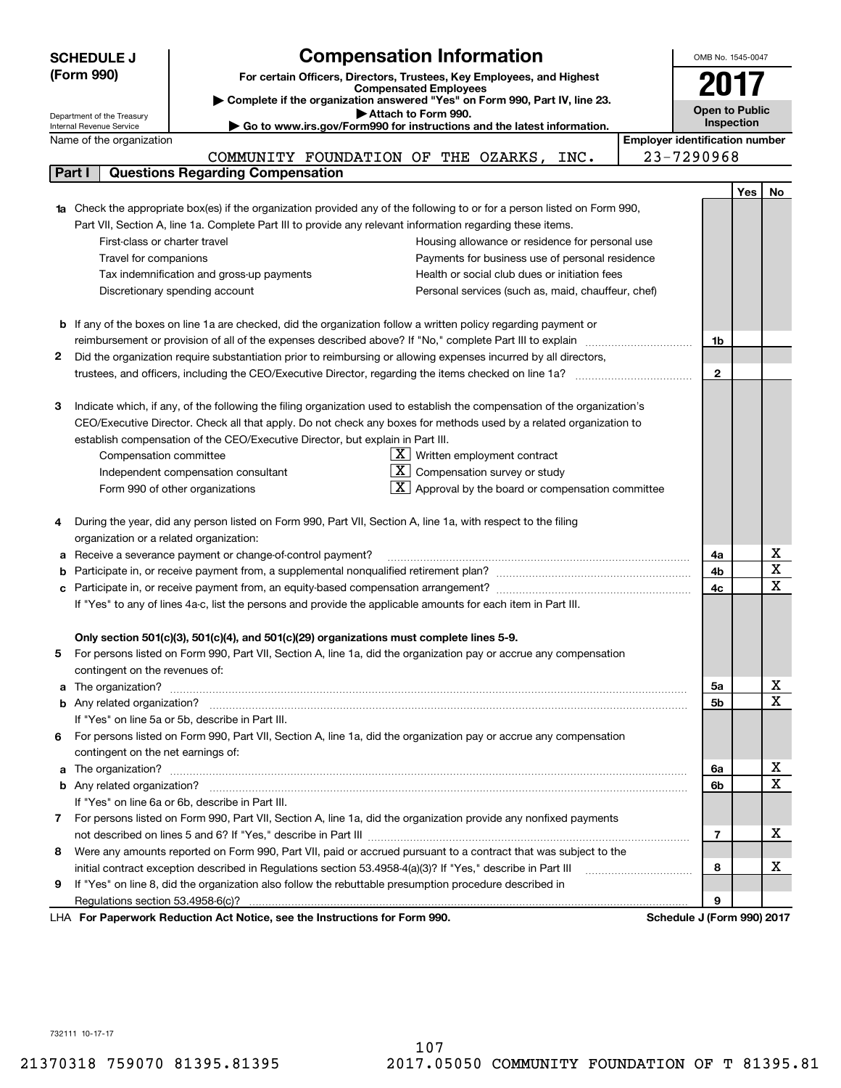|                                                                                                               | <b>SCHEDULE J</b>                                           |                                                                                                                                        | OMB No. 1545-0047                     |                            |     |             |  |
|---------------------------------------------------------------------------------------------------------------|-------------------------------------------------------------|----------------------------------------------------------------------------------------------------------------------------------------|---------------------------------------|----------------------------|-----|-------------|--|
|                                                                                                               | (Form 990)                                                  |                                                                                                                                        |                                       |                            |     |             |  |
|                                                                                                               |                                                             |                                                                                                                                        | 2017                                  |                            |     |             |  |
|                                                                                                               | Department of the Treasury                                  | Complete if the organization answered "Yes" on Form 990, Part IV, line 23.<br>Attach to Form 990.                                      |                                       | <b>Open to Public</b>      |     |             |  |
|                                                                                                               | Internal Revenue Service                                    | Go to www.irs.gov/Form990 for instructions and the latest information.                                                                 | <b>Employer identification number</b> | Inspection                 |     |             |  |
|                                                                                                               | Name of the organization                                    | COMMUNITY FOUNDATION OF THE OZARKS,<br>INC.                                                                                            |                                       | 23-7290968                 |     |             |  |
|                                                                                                               | Part I                                                      | <b>Questions Regarding Compensation</b>                                                                                                |                                       |                            |     |             |  |
|                                                                                                               |                                                             |                                                                                                                                        |                                       |                            | Yes | No          |  |
|                                                                                                               |                                                             | <b>1a</b> Check the appropriate box(es) if the organization provided any of the following to or for a person listed on Form 990,       |                                       |                            |     |             |  |
|                                                                                                               |                                                             | Part VII, Section A, line 1a. Complete Part III to provide any relevant information regarding these items.                             |                                       |                            |     |             |  |
|                                                                                                               | First-class or charter travel                               | Housing allowance or residence for personal use                                                                                        |                                       |                            |     |             |  |
|                                                                                                               | Travel for companions                                       | Payments for business use of personal residence                                                                                        |                                       |                            |     |             |  |
|                                                                                                               |                                                             | Tax indemnification and gross-up payments<br>Health or social club dues or initiation fees                                             |                                       |                            |     |             |  |
|                                                                                                               |                                                             | Personal services (such as, maid, chauffeur, chef)<br>Discretionary spending account                                                   |                                       |                            |     |             |  |
|                                                                                                               |                                                             |                                                                                                                                        |                                       |                            |     |             |  |
|                                                                                                               |                                                             | <b>b</b> If any of the boxes on line 1a are checked, did the organization follow a written policy regarding payment or                 |                                       |                            |     |             |  |
|                                                                                                               |                                                             |                                                                                                                                        |                                       | 1b                         |     |             |  |
| 2                                                                                                             |                                                             | Did the organization require substantiation prior to reimbursing or allowing expenses incurred by all directors,                       |                                       |                            |     |             |  |
|                                                                                                               |                                                             |                                                                                                                                        |                                       | $\mathbf{2}$               |     |             |  |
|                                                                                                               |                                                             |                                                                                                                                        |                                       |                            |     |             |  |
| з                                                                                                             |                                                             | Indicate which, if any, of the following the filing organization used to establish the compensation of the organization's              |                                       |                            |     |             |  |
|                                                                                                               |                                                             | CEO/Executive Director. Check all that apply. Do not check any boxes for methods used by a related organization to                     |                                       |                            |     |             |  |
|                                                                                                               |                                                             | establish compensation of the CEO/Executive Director, but explain in Part III.                                                         |                                       |                            |     |             |  |
|                                                                                                               | Compensation committee                                      | $\underline{X}$ Written employment contract<br>$X$ Compensation survey or study                                                        |                                       |                            |     |             |  |
|                                                                                                               |                                                             | Independent compensation consultant<br>$\mathbf{X}$ Approval by the board or compensation committee<br>Form 990 of other organizations |                                       |                            |     |             |  |
|                                                                                                               |                                                             |                                                                                                                                        |                                       |                            |     |             |  |
| 4                                                                                                             |                                                             | During the year, did any person listed on Form 990, Part VII, Section A, line 1a, with respect to the filing                           |                                       |                            |     |             |  |
|                                                                                                               | organization or a related organization:                     |                                                                                                                                        |                                       |                            |     |             |  |
|                                                                                                               | a Receive a severance payment or change-of-control payment? |                                                                                                                                        |                                       |                            |     |             |  |
| b                                                                                                             |                                                             |                                                                                                                                        |                                       |                            |     |             |  |
| с                                                                                                             |                                                             |                                                                                                                                        |                                       | 4c                         |     | $\mathbf X$ |  |
| If "Yes" to any of lines 4a-c, list the persons and provide the applicable amounts for each item in Part III. |                                                             |                                                                                                                                        |                                       |                            |     |             |  |
|                                                                                                               |                                                             |                                                                                                                                        |                                       |                            |     |             |  |
|                                                                                                               |                                                             | Only section 501(c)(3), 501(c)(4), and 501(c)(29) organizations must complete lines 5-9.                                               |                                       |                            |     |             |  |
|                                                                                                               |                                                             | For persons listed on Form 990, Part VII, Section A, line 1a, did the organization pay or accrue any compensation                      |                                       |                            |     |             |  |
|                                                                                                               | contingent on the revenues of:                              |                                                                                                                                        |                                       |                            |     |             |  |
| a                                                                                                             |                                                             |                                                                                                                                        |                                       | 5a                         |     | х           |  |
|                                                                                                               |                                                             |                                                                                                                                        |                                       | 5b                         |     | x           |  |
|                                                                                                               |                                                             | If "Yes" on line 5a or 5b, describe in Part III.                                                                                       |                                       |                            |     |             |  |
| 6                                                                                                             |                                                             | For persons listed on Form 990, Part VII, Section A, line 1a, did the organization pay or accrue any compensation                      |                                       |                            |     |             |  |
|                                                                                                               | contingent on the net earnings of:                          |                                                                                                                                        |                                       | 6a                         |     | х           |  |
|                                                                                                               | a                                                           |                                                                                                                                        |                                       |                            |     |             |  |
|                                                                                                               |                                                             | If "Yes" on line 6a or 6b, describe in Part III.                                                                                       |                                       | 6b                         |     | х           |  |
|                                                                                                               |                                                             | 7 For persons listed on Form 990, Part VII, Section A, line 1a, did the organization provide any nonfixed payments                     |                                       |                            |     |             |  |
|                                                                                                               |                                                             |                                                                                                                                        |                                       | 7                          |     | х           |  |
| 8                                                                                                             |                                                             | Were any amounts reported on Form 990, Part VII, paid or accrued pursuant to a contract that was subject to the                        |                                       |                            |     |             |  |
|                                                                                                               |                                                             | initial contract exception described in Regulations section 53.4958-4(a)(3)? If "Yes," describe in Part III                            |                                       | 8                          |     | х           |  |
| 9                                                                                                             |                                                             | If "Yes" on line 8, did the organization also follow the rebuttable presumption procedure described in                                 |                                       |                            |     |             |  |
|                                                                                                               | Regulations section 53.4958-6(c)?                           |                                                                                                                                        |                                       | 9                          |     |             |  |
|                                                                                                               |                                                             | LHA For Paperwork Reduction Act Notice, see the Instructions for Form 990.                                                             |                                       | Schedule J (Form 990) 2017 |     |             |  |

732111 10-17-17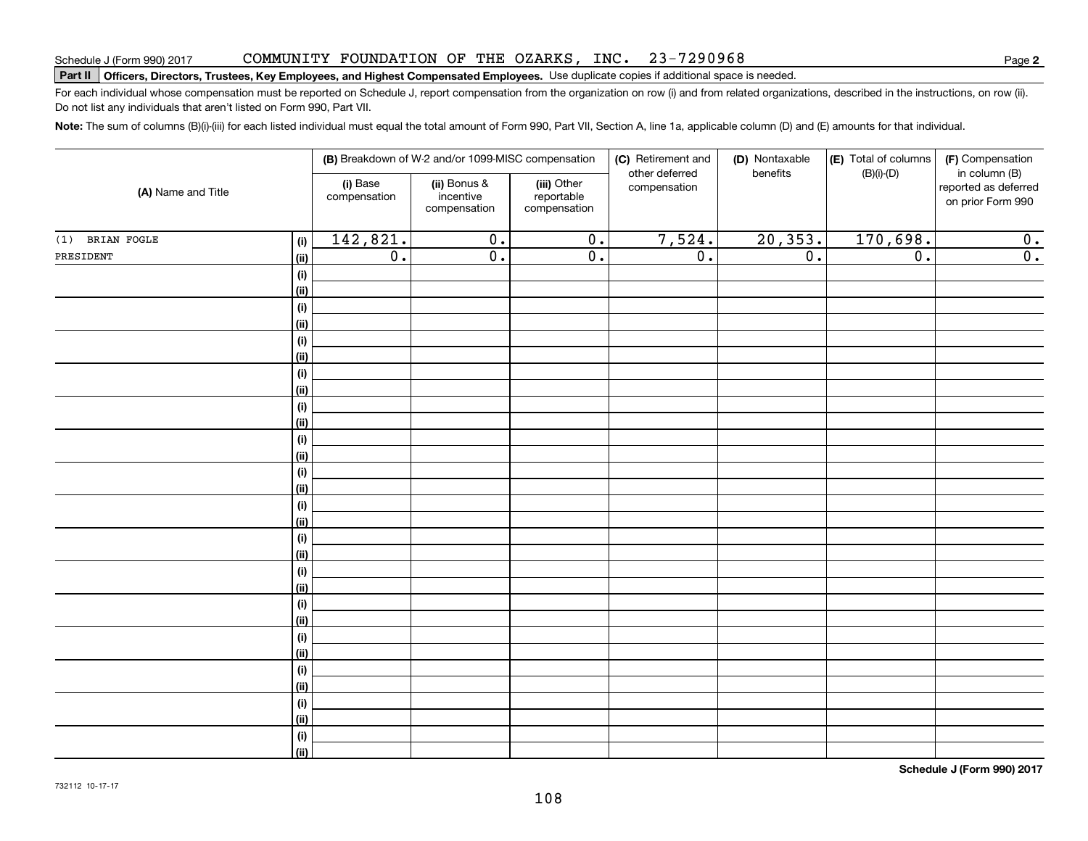### COMMUNITY FOUNDATION OF THE OZARKS, INC. 23-7290968

# Schedule J (Form 990) 2017 COMMUN L'LY F'OUNDA'L' LON OF 'L'HE OZARKS, LNC. *Z 3-T Z* Y U Y 6 8 Page<br>Part II │Officers, Directors, Trustees, Key Employees, and Highest Compensated Employees. Use dupli

For each individual whose compensation must be reported on Schedule J, report compensation from the organization on row (i) and from related organizations, described in the instructions, on row (ii). Do not list any individuals that aren't listed on Form 990, Part VII.

**Note:**  The sum of columns (B)(i)-(iii) for each listed individual must equal the total amount of Form 990, Part VII, Section A, line 1a, applicable column (D) and (E) amounts for that individual.

|                           |                |                          | (B) Breakdown of W-2 and/or 1099-MISC compensation |                                           | (C) Retirement and             | (D) Nontaxable   | (E) Total of columns | (F) Compensation                                           |
|---------------------------|----------------|--------------------------|----------------------------------------------------|-------------------------------------------|--------------------------------|------------------|----------------------|------------------------------------------------------------|
| (A) Name and Title        |                | (i) Base<br>compensation | (ii) Bonus &<br>incentive<br>compensation          | (iii) Other<br>reportable<br>compensation | other deferred<br>compensation | benefits         | $(B)(i)-(D)$         | in column (B)<br>reported as deferred<br>on prior Form 990 |
| <b>BRIAN FOGLE</b><br>(1) | (i)            | 142,821.                 | $\overline{0}$ .                                   | $\overline{0}$ .                          | 7,524.                         | 20, 353.         | 170,698.             | $\overline{0}$ .                                           |
| PRESIDENT                 | (ii)           | $\overline{0}$ .         | $\overline{0}$ .                                   | $\overline{0}$ .                          | $\overline{0}$ .               | $\overline{0}$ . | $\overline{0}$ .     | $\overline{0}$ .                                           |
|                           | (i)            |                          |                                                    |                                           |                                |                  |                      |                                                            |
|                           | <u>(ii)</u>    |                          |                                                    |                                           |                                |                  |                      |                                                            |
|                           | (i)            |                          |                                                    |                                           |                                |                  |                      |                                                            |
|                           | <u>(ii)</u>    |                          |                                                    |                                           |                                |                  |                      |                                                            |
|                           | (i)            |                          |                                                    |                                           |                                |                  |                      |                                                            |
|                           | <u>(ii)</u>    |                          |                                                    |                                           |                                |                  |                      |                                                            |
|                           | (i)            |                          |                                                    |                                           |                                |                  |                      |                                                            |
|                           | <u>(ii)</u>    |                          |                                                    |                                           |                                |                  |                      |                                                            |
|                           | (i)            |                          |                                                    |                                           |                                |                  |                      |                                                            |
|                           | <u>(ii)</u>    |                          |                                                    |                                           |                                |                  |                      |                                                            |
|                           | (i)            |                          |                                                    |                                           |                                |                  |                      |                                                            |
|                           | (ii)<br>(i)    |                          |                                                    |                                           |                                |                  |                      |                                                            |
|                           | (ii)           |                          |                                                    |                                           |                                |                  |                      |                                                            |
|                           | (i)            |                          |                                                    |                                           |                                |                  |                      |                                                            |
|                           | (ii)           |                          |                                                    |                                           |                                |                  |                      |                                                            |
|                           | (i)            |                          |                                                    |                                           |                                |                  |                      |                                                            |
|                           | (ii)           |                          |                                                    |                                           |                                |                  |                      |                                                            |
|                           | (i)            |                          |                                                    |                                           |                                |                  |                      |                                                            |
|                           | (ii)           |                          |                                                    |                                           |                                |                  |                      |                                                            |
|                           | (i)            |                          |                                                    |                                           |                                |                  |                      |                                                            |
|                           | <u>(ii)</u>    |                          |                                                    |                                           |                                |                  |                      |                                                            |
|                           | (i)            |                          |                                                    |                                           |                                |                  |                      |                                                            |
|                           | <u>(ii)</u>    |                          |                                                    |                                           |                                |                  |                      |                                                            |
|                           | (i)            |                          |                                                    |                                           |                                |                  |                      |                                                            |
|                           | <u>(ii)</u>    |                          |                                                    |                                           |                                |                  |                      |                                                            |
|                           | (i)            |                          |                                                    |                                           |                                |                  |                      |                                                            |
|                           | <u>(ii)</u>    |                          |                                                    |                                           |                                |                  |                      |                                                            |
|                           | (i)            |                          |                                                    |                                           |                                |                  |                      |                                                            |
|                           | $\overline{}}$ |                          |                                                    |                                           |                                |                  |                      |                                                            |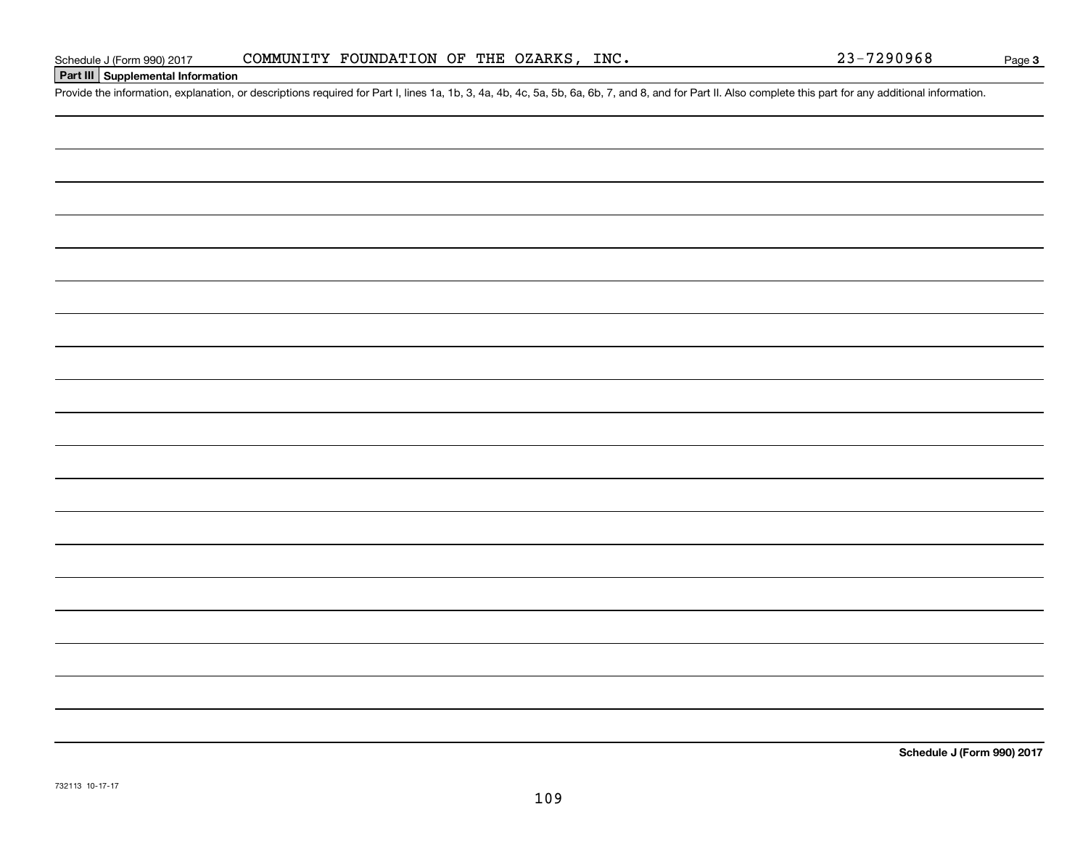**Part III Supplemental Information**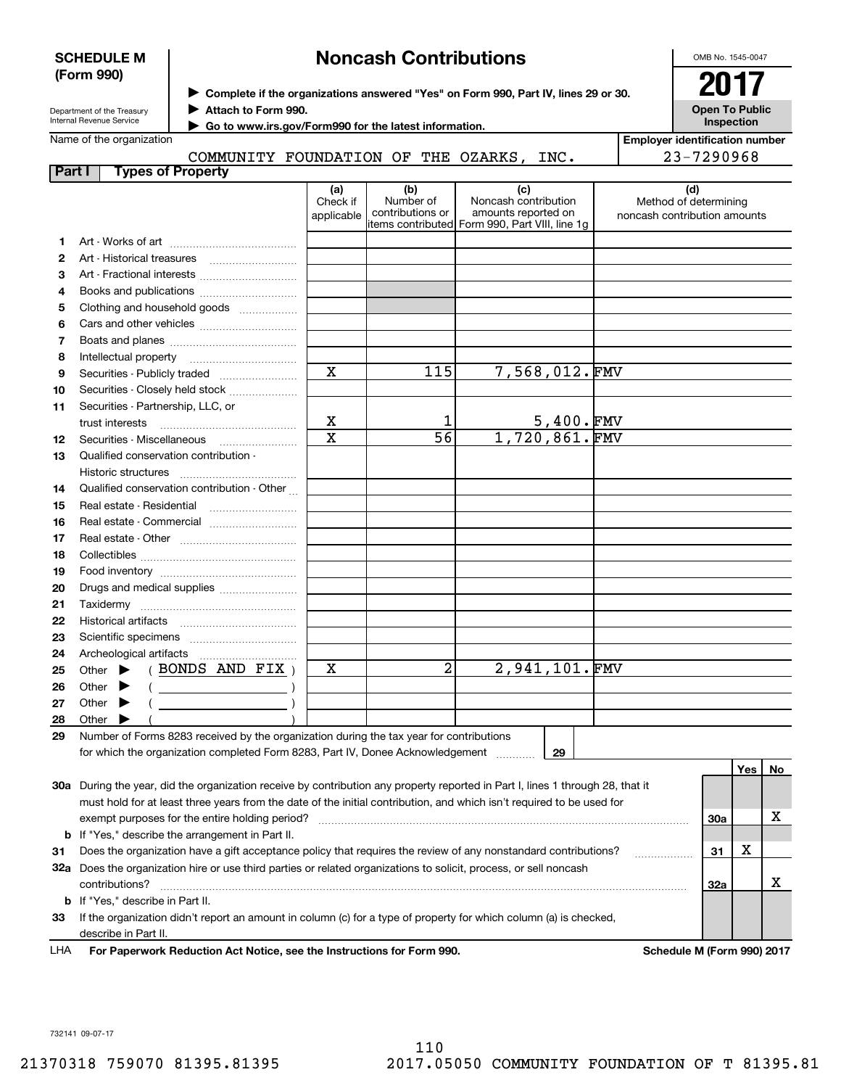|        | <b>SCHEDULE M</b>                                                    |                                                                                                                 |                               | <b>Noncash Contributions</b>                          |                                                                                                       |  |                                                              |  |  |  |  |  |
|--------|----------------------------------------------------------------------|-----------------------------------------------------------------------------------------------------------------|-------------------------------|-------------------------------------------------------|-------------------------------------------------------------------------------------------------------|--|--------------------------------------------------------------|--|--|--|--|--|
|        | (Form 990)<br>Department of the Treasury<br>Internal Revenue Service | Attach to Form 990.                                                                                             |                               | Go to www.irs.gov/Form990 for the latest information. | Complete if the organizations answered "Yes" on Form 990, Part IV, lines 29 or 30.                    |  | 2017<br><b>Open To Public</b><br>Inspection                  |  |  |  |  |  |
|        | Name of the organization                                             |                                                                                                                 |                               |                                                       |                                                                                                       |  | <b>Employer identification number</b>                        |  |  |  |  |  |
|        |                                                                      |                                                                                                                 |                               |                                                       | COMMUNITY FOUNDATION OF THE OZARKS, INC.                                                              |  | 23-7290968                                                   |  |  |  |  |  |
| Part I |                                                                      | <b>Types of Property</b>                                                                                        |                               |                                                       |                                                                                                       |  |                                                              |  |  |  |  |  |
|        |                                                                      |                                                                                                                 | (a)<br>Check if<br>applicable | (b)<br>Number of<br>contributions or                  | (c)<br>Noncash contribution<br>amounts reported on<br>litems contributed Form 990, Part VIII, line 1g |  | (d)<br>Method of determining<br>noncash contribution amounts |  |  |  |  |  |
|        |                                                                      |                                                                                                                 |                               |                                                       |                                                                                                       |  |                                                              |  |  |  |  |  |
| 2      |                                                                      |                                                                                                                 |                               |                                                       |                                                                                                       |  |                                                              |  |  |  |  |  |
| 3      |                                                                      |                                                                                                                 |                               |                                                       |                                                                                                       |  |                                                              |  |  |  |  |  |
| 4      |                                                                      |                                                                                                                 |                               |                                                       |                                                                                                       |  |                                                              |  |  |  |  |  |
| 5      |                                                                      | Clothing and household goods                                                                                    |                               |                                                       |                                                                                                       |  |                                                              |  |  |  |  |  |
| 6      |                                                                      |                                                                                                                 |                               |                                                       |                                                                                                       |  |                                                              |  |  |  |  |  |
| 7      |                                                                      |                                                                                                                 |                               |                                                       |                                                                                                       |  |                                                              |  |  |  |  |  |
| 8      |                                                                      |                                                                                                                 |                               |                                                       |                                                                                                       |  |                                                              |  |  |  |  |  |
| 9      |                                                                      |                                                                                                                 | $\overline{\mathbf{x}}$       | 115                                                   | 7,568,012.FMV                                                                                         |  |                                                              |  |  |  |  |  |
| 10     |                                                                      | Securities - Closely held stock                                                                                 |                               |                                                       |                                                                                                       |  |                                                              |  |  |  |  |  |
| 11     | Securities - Partnership, LLC, or                                    |                                                                                                                 |                               |                                                       |                                                                                                       |  |                                                              |  |  |  |  |  |
|        | trust interests                                                      |                                                                                                                 | X                             |                                                       | $5,400$ . FMV                                                                                         |  |                                                              |  |  |  |  |  |
| 12     |                                                                      |                                                                                                                 | $\mathbf x$                   | $\overline{56}$                                       | 1,720,861.FMV                                                                                         |  |                                                              |  |  |  |  |  |
|        |                                                                      | the contract of the contract of the contract of the contract of the contract of the contract of the contract of |                               |                                                       |                                                                                                       |  |                                                              |  |  |  |  |  |

|    | trust interests                                                                         | 41 | ٠. | J , <b>IV V &amp; L LIV</b> |  |
|----|-----------------------------------------------------------------------------------------|----|----|-----------------------------|--|
| 12 |                                                                                         | X  | 56 | 1,720,861.FMV               |  |
| 13 | Qualified conservation contribution -                                                   |    |    |                             |  |
|    | Historic structures                                                                     |    |    |                             |  |
| 14 | Qualified conservation contribution - Other                                             |    |    |                             |  |
| 15 | Real estate - Residential                                                               |    |    |                             |  |
| 16 |                                                                                         |    |    |                             |  |
| 17 |                                                                                         |    |    |                             |  |
| 18 |                                                                                         |    |    |                             |  |
| 19 |                                                                                         |    |    |                             |  |
| 20 | Drugs and medical supplies                                                              |    |    |                             |  |
| 21 | Taxidermy                                                                               |    |    |                             |  |
| 22 |                                                                                         |    |    |                             |  |
| 23 |                                                                                         |    |    |                             |  |
| 24 |                                                                                         |    |    |                             |  |
|    | 25 Other $\blacktriangleright$ (BONDS AND FIX)                                          | х  |    | 2,941,101.FMV               |  |
| 26 | Other $\blacktriangleright$                                                             |    |    |                             |  |
| 27 | Other $\blacktriangleright$                                                             |    |    |                             |  |
| 28 | Other $\blacktriangleright$                                                             |    |    |                             |  |
| 29 | Number of Forms 8283 received by the organization during the tax year for contributions |    |    |                             |  |

for which the organization completed Form 8283, Part IV, Donee Acknowledgement .............

**Yes No 30 a** During the year, did the organization receive by contribution any property reported in Part I, lines 1 through 28, that it **3132a** Does the organization hire or use third parties or related organizations to solicit, process, or sell noncash **33**If the organization didn't report an amount in column (c) for a type of property for which column (a) is checked, **b** If "Yes," describe the arrangement in Part II. **30a3132ab**If "Yes," describe in Part II. must hold for at least three years from the date of the initial contribution, and which isn't required to be used for exempt purposes for the entire holding period? ~~~~~~~~~~~~~~~~~~~~~~~~~~~~~~~~~~~~~~ Does the organization have a gift acceptance policy that requires the review of any nonstandard contributions? ~~~~~~contributions? ~~~~~~~~~~~~~~~~~~~~~~~~~~~~~~~~~~~~~~~~~~~~~~~~~~~~~~ describe in Part II. X X X

**For Paperwork Reduction Act Notice, see the Instructions for Form 990. Schedule M (Form 990) 2017** LHA

732141 09-07-17

**29**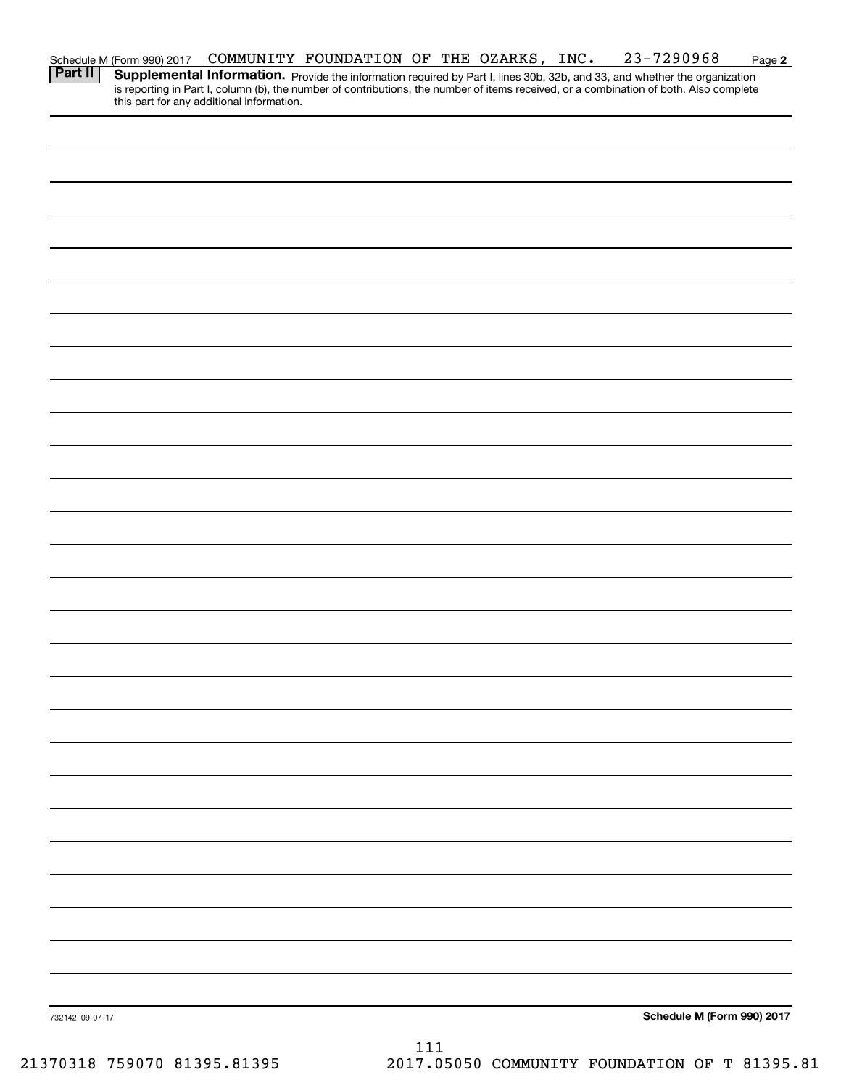|                 | Schedule M (Form 990) 2017  |                                           | COMMUNITY FOUNDATION OF THE OZARKS, INC. |     |  | 23-7290968                                                                                                                                                                                                                          | Page 2 |
|-----------------|-----------------------------|-------------------------------------------|------------------------------------------|-----|--|-------------------------------------------------------------------------------------------------------------------------------------------------------------------------------------------------------------------------------------|--------|
| Part II         |                             | this part for any additional information. |                                          |     |  | <b>Supplemental Information.</b> Provide the information required by Part I, lines 30b, 32b, and 33, and whether the organization is reporting in Part I, column (b), the number of contributions, the number of items received, or |        |
|                 |                             |                                           |                                          |     |  |                                                                                                                                                                                                                                     |        |
|                 |                             |                                           |                                          |     |  |                                                                                                                                                                                                                                     |        |
|                 |                             |                                           |                                          |     |  |                                                                                                                                                                                                                                     |        |
|                 |                             |                                           |                                          |     |  |                                                                                                                                                                                                                                     |        |
|                 |                             |                                           |                                          |     |  |                                                                                                                                                                                                                                     |        |
|                 |                             |                                           |                                          |     |  |                                                                                                                                                                                                                                     |        |
|                 |                             |                                           |                                          |     |  |                                                                                                                                                                                                                                     |        |
|                 |                             |                                           |                                          |     |  |                                                                                                                                                                                                                                     |        |
|                 |                             |                                           |                                          |     |  |                                                                                                                                                                                                                                     |        |
|                 |                             |                                           |                                          |     |  |                                                                                                                                                                                                                                     |        |
|                 |                             |                                           |                                          |     |  |                                                                                                                                                                                                                                     |        |
|                 |                             |                                           |                                          |     |  |                                                                                                                                                                                                                                     |        |
|                 |                             |                                           |                                          |     |  |                                                                                                                                                                                                                                     |        |
|                 |                             |                                           |                                          |     |  |                                                                                                                                                                                                                                     |        |
|                 |                             |                                           |                                          |     |  |                                                                                                                                                                                                                                     |        |
|                 |                             |                                           |                                          |     |  |                                                                                                                                                                                                                                     |        |
|                 |                             |                                           |                                          |     |  |                                                                                                                                                                                                                                     |        |
|                 |                             |                                           |                                          |     |  |                                                                                                                                                                                                                                     |        |
|                 |                             |                                           |                                          |     |  |                                                                                                                                                                                                                                     |        |
|                 |                             |                                           |                                          |     |  |                                                                                                                                                                                                                                     |        |
|                 |                             |                                           |                                          |     |  |                                                                                                                                                                                                                                     |        |
|                 |                             |                                           |                                          |     |  |                                                                                                                                                                                                                                     |        |
|                 |                             |                                           |                                          |     |  |                                                                                                                                                                                                                                     |        |
|                 |                             |                                           |                                          |     |  |                                                                                                                                                                                                                                     |        |
|                 |                             |                                           |                                          |     |  |                                                                                                                                                                                                                                     |        |
|                 |                             |                                           |                                          |     |  |                                                                                                                                                                                                                                     |        |
|                 |                             |                                           |                                          |     |  |                                                                                                                                                                                                                                     |        |
|                 |                             |                                           |                                          |     |  |                                                                                                                                                                                                                                     |        |
|                 |                             |                                           |                                          |     |  |                                                                                                                                                                                                                                     |        |
|                 |                             |                                           |                                          |     |  |                                                                                                                                                                                                                                     |        |
|                 |                             |                                           |                                          |     |  |                                                                                                                                                                                                                                     |        |
|                 |                             |                                           |                                          |     |  |                                                                                                                                                                                                                                     |        |
|                 |                             |                                           |                                          |     |  |                                                                                                                                                                                                                                     |        |
|                 |                             |                                           |                                          |     |  |                                                                                                                                                                                                                                     |        |
|                 |                             |                                           |                                          |     |  |                                                                                                                                                                                                                                     |        |
|                 |                             |                                           |                                          |     |  |                                                                                                                                                                                                                                     |        |
|                 |                             |                                           |                                          |     |  |                                                                                                                                                                                                                                     |        |
|                 |                             |                                           |                                          |     |  |                                                                                                                                                                                                                                     |        |
|                 |                             |                                           |                                          |     |  |                                                                                                                                                                                                                                     |        |
|                 |                             |                                           |                                          |     |  |                                                                                                                                                                                                                                     |        |
| 732142 09-07-17 |                             |                                           |                                          |     |  | Schedule M (Form 990) 2017                                                                                                                                                                                                          |        |
|                 |                             |                                           |                                          | 111 |  |                                                                                                                                                                                                                                     |        |
|                 | 21370318 759070 81395.81395 |                                           |                                          |     |  | 2017.05050 COMMUNITY FOUNDATION OF T 81395.81                                                                                                                                                                                       |        |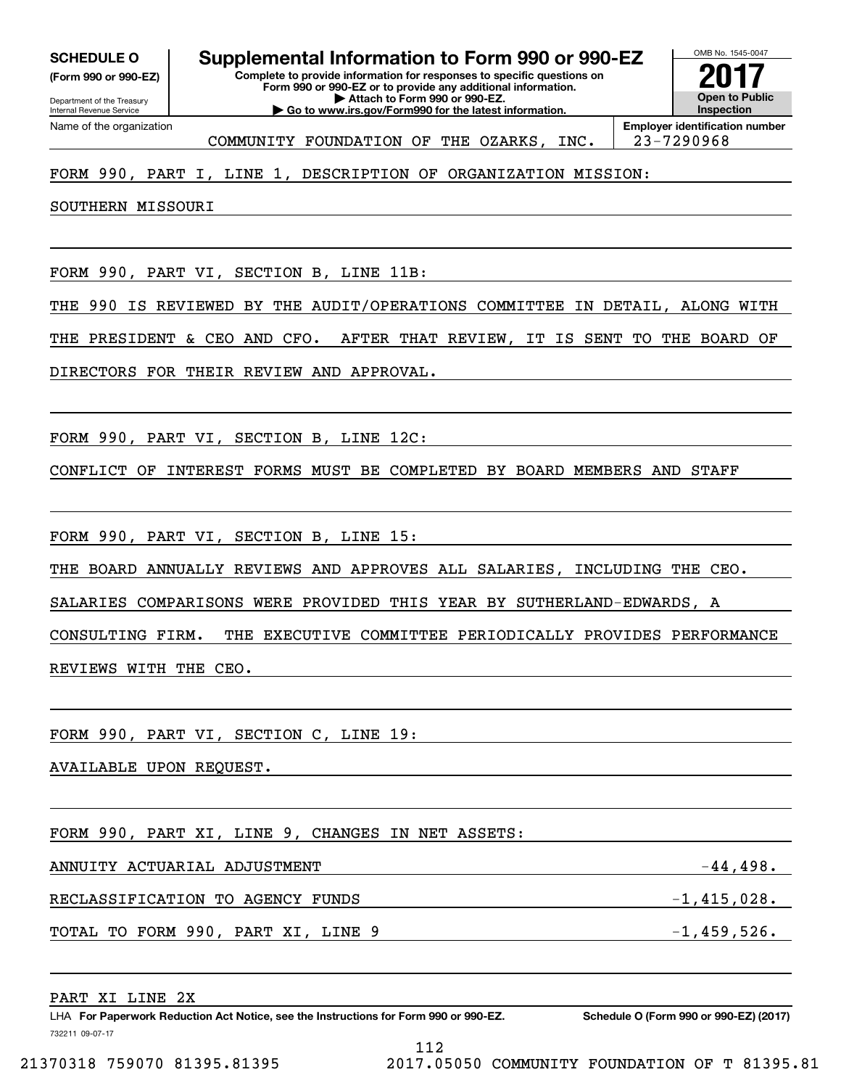**(Form 990 or 990-EZ)**

Department of the Treasury Internal Revenue Service Name of the organization

**Complete to provide information for responses to specific questions on Form 990 or 990-EZ or to provide any additional information. | Attach to Form 990 or 990-EZ. | Go to www.irs.gov/Form990 for the latest information. SCHEDULE O Supplemental Information to Form 990 or 990-EZ**



COMMUNITY FOUNDATION OF THE OZARKS, INC. 23-7290968

### FORM 990, PART I, LINE 1, DESCRIPTION OF ORGANIZATION MISSION:

SOUTHERN MISSOURI

FORM 990, PART VI, SECTION B, LINE 11B:

THE 990 IS REVIEWED BY THE AUDIT/OPERATIONS COMMITTEE IN DETAIL, ALONG WITH

THE PRESIDENT & CEO AND CFO. AFTER THAT REVIEW, IT IS SENT TO THE BOARD OF

DIRECTORS FOR THEIR REVIEW AND APPROVAL.

FORM 990, PART VI, SECTION B, LINE 12C:

CONFLICT OF INTEREST FORMS MUST BE COMPLETED BY BOARD MEMBERS AND STAFF

FORM 990, PART VI, SECTION B, LINE 15:

THE BOARD ANNUALLY REVIEWS AND APPROVES ALL SALARIES, INCLUDING THE CEO.

SALARIES COMPARISONS WERE PROVIDED THIS YEAR BY SUTHERLAND-EDWARDS, A

CONSULTING FIRM. THE EXECUTIVE COMMITTEE PERIODICALLY PROVIDES PERFORMANCE REVIEWS WITH THE CEO.

FORM 990, PART VI, SECTION C, LINE 19:

AVAILABLE UPON REQUEST.

FORM 990, PART XI, LINE 9, CHANGES IN NET ASSETS:

ANNUITY ACTUARIAL ADJUSTMENT -44,498.

RECLASSIFICATION TO AGENCY FUNDS  $-1,415,028$ .

TOTAL TO FORM 990, PART XI, LINE 9  $-1,459,526$ .

PART XI LINE 2X

732211 09-07-17 LHA For Paperwork Reduction Act Notice, see the Instructions for Form 990 or 990-EZ. Schedule O (Form 990 or 990-EZ) (2017) 112

21370318 759070 81395.81395 2017.05050 COMMUNITY FOUNDATION OF T 81395.81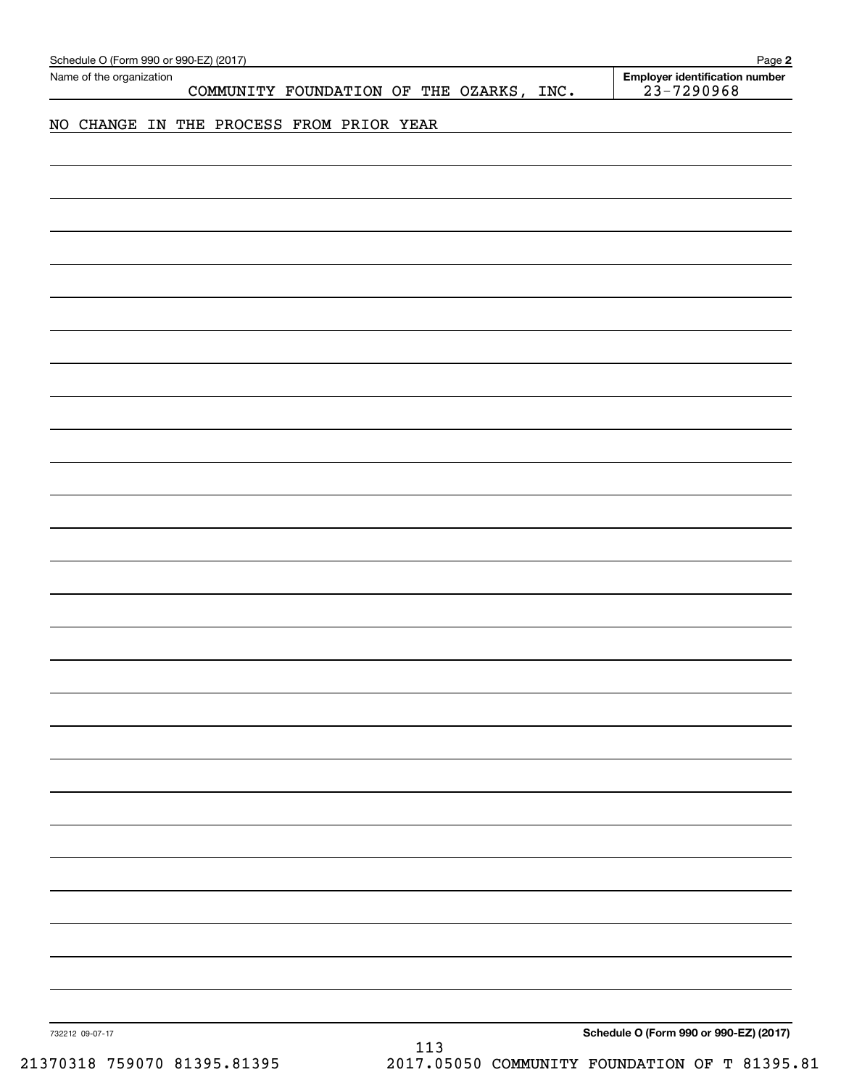| Name of the organization | COMMUNITY FOUNDATION OF THE OZARKS, INC. |  |  |  | <b>Employer identification number</b><br>$23 - 7290968$ |
|--------------------------|------------------------------------------|--|--|--|---------------------------------------------------------|
|                          | NO CHANGE IN THE PROCESS FROM PRIOR YEAR |  |  |  |                                                         |
|                          |                                          |  |  |  |                                                         |
|                          |                                          |  |  |  |                                                         |
|                          |                                          |  |  |  |                                                         |
|                          |                                          |  |  |  |                                                         |
|                          |                                          |  |  |  |                                                         |
|                          |                                          |  |  |  |                                                         |
|                          |                                          |  |  |  |                                                         |
|                          |                                          |  |  |  |                                                         |
|                          |                                          |  |  |  |                                                         |
|                          |                                          |  |  |  |                                                         |
|                          |                                          |  |  |  |                                                         |
|                          |                                          |  |  |  |                                                         |
|                          |                                          |  |  |  |                                                         |
|                          |                                          |  |  |  |                                                         |
|                          |                                          |  |  |  |                                                         |
|                          |                                          |  |  |  |                                                         |
|                          |                                          |  |  |  |                                                         |
|                          |                                          |  |  |  |                                                         |
|                          |                                          |  |  |  |                                                         |
|                          |                                          |  |  |  |                                                         |
|                          |                                          |  |  |  |                                                         |
|                          |                                          |  |  |  |                                                         |
|                          |                                          |  |  |  |                                                         |
|                          |                                          |  |  |  |                                                         |
|                          |                                          |  |  |  |                                                         |
|                          |                                          |  |  |  |                                                         |
|                          |                                          |  |  |  |                                                         |
|                          |                                          |  |  |  |                                                         |
|                          |                                          |  |  |  |                                                         |
|                          |                                          |  |  |  |                                                         |
|                          |                                          |  |  |  |                                                         |
|                          |                                          |  |  |  |                                                         |

21370318 759070 81395.81395 2017.05050 COMMUNITY FOUNDATION OF T 81395.81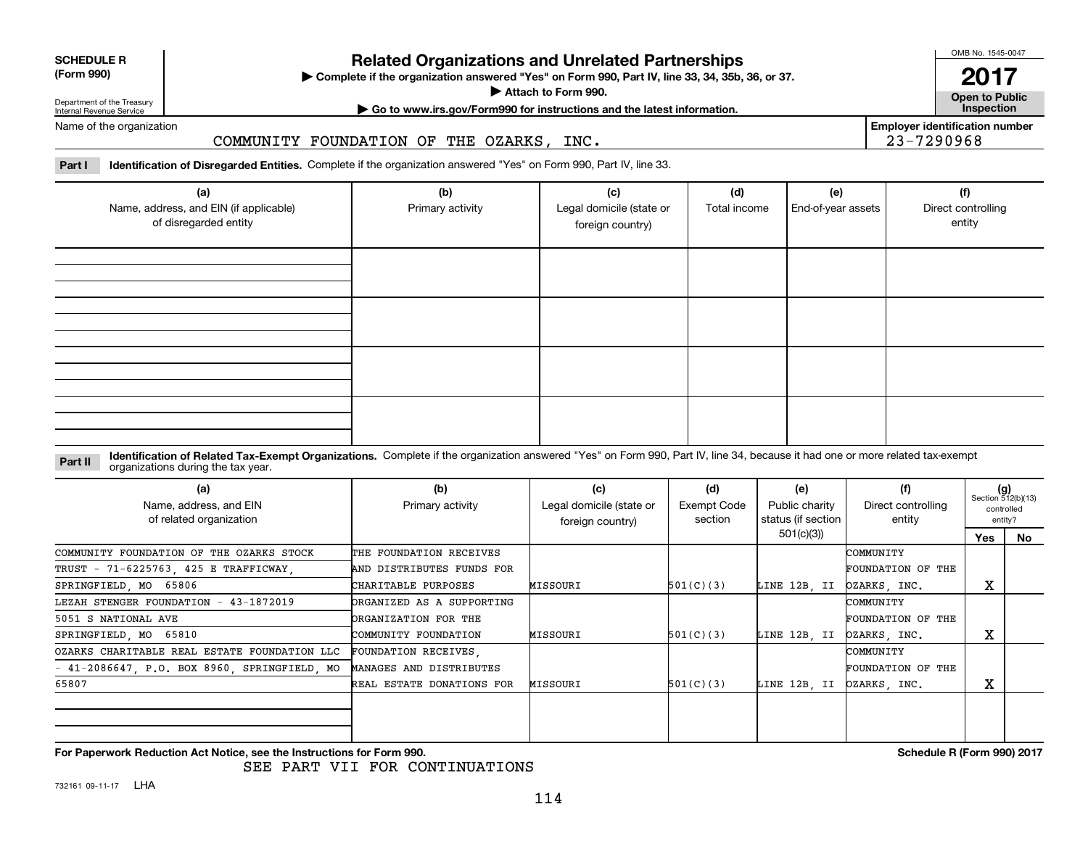| <b>SCHEDULE R</b>                          |  |
|--------------------------------------------|--|
| $\mathbf{r}$ , $\mathbf{r}$ , $\mathbf{r}$ |  |

#### **(Form 990)**

## **Related Organizations and Unrelated Partnerships**

**Complete if the organization answered "Yes" on Form 990, Part IV, line 33, 34, 35b, 36, or 37.** |

**Attach to Form 990.**  |

OMB No. 1545-0047

**Open to Public 2017**

**Employer identification number**

23-7290968

Department of the Treasury Internal Revenue Service

# **| Go to www.irs.gov/Form990 for instructions and the latest information. Inspection**

Name of the organization

#### COMMUNITY FOUNDATION OF THE OZARKS, INC.

**Part I Identification of Disregarded Entities.**  Complete if the organization answered "Yes" on Form 990, Part IV, line 33.

| (a)<br>Name, address, and EIN (if applicable)<br>of disregarded entity | (b)<br>Primary activity | (c)<br>Legal domicile (state or<br>foreign country) | (d)<br>Total income | (e)<br>End-of-year assets | (f)<br>Direct controlling<br>entity |
|------------------------------------------------------------------------|-------------------------|-----------------------------------------------------|---------------------|---------------------------|-------------------------------------|
|                                                                        |                         |                                                     |                     |                           |                                     |
|                                                                        |                         |                                                     |                     |                           |                                     |
|                                                                        |                         |                                                     |                     |                           |                                     |
|                                                                        |                         |                                                     |                     |                           |                                     |

#### **Identification of Related Tax-Exempt Organizations.** Complete if the organization answered "Yes" on Form 990, Part IV, line 34, because it had one or more related tax-exempt **Part II** organizations during the tax year.

| (a)<br>Name, address, and EIN<br>of related organization | (b)<br>Primary activity   | (c)<br>Legal domicile (state or<br>foreign country) | (d)<br>Exempt Code<br>section | (e)<br>Public charity<br>status (if section | (f)<br>Direct controlling<br>entitv | $(g)$<br>Section 512(b)(13) | controlled<br>entity? |
|----------------------------------------------------------|---------------------------|-----------------------------------------------------|-------------------------------|---------------------------------------------|-------------------------------------|-----------------------------|-----------------------|
|                                                          |                           |                                                     |                               | 501(c)(3))                                  |                                     | Yes                         | No                    |
| COMMUNITY FOUNDATION OF THE OZARKS STOCK                 | THE FOUNDATION RECEIVES   |                                                     |                               |                                             | COMMUNITY                           |                             |                       |
| TRUST - 71-6225763, 425 E TRAFFICWAY,                    | AND DISTRIBUTES FUNDS FOR |                                                     |                               |                                             | FOUNDATION OF THE                   |                             |                       |
| SPRINGFIELD, MO 65806                                    | CHARITABLE PURPOSES       | MISSOURI                                            | 501(C)(3)                     | LINE 12B, II                                | DZARKS, INC.                        | х                           |                       |
| LEZAH STENGER FOUNDATION - 43-1872019                    | ORGANIZED AS A SUPPORTING |                                                     |                               |                                             | COMMUNITY                           |                             |                       |
| 5051 S NATIONAL AVE                                      | ORGANIZATION FOR THE      |                                                     |                               |                                             | FOUNDATION OF THE                   |                             |                       |
| SPRINGFIELD, MO 65810                                    | COMMUNITY FOUNDATION      | MISSOURI                                            | 501(C)(3)                     | LINE 12B. II                                | OZARKS, INC.                        | х                           |                       |
| OZARKS CHARITABLE REAL ESTATE FOUNDATION LLC             | FOUNDATION RECEIVES       |                                                     |                               |                                             | COMMUNITY                           |                             |                       |
| $-41-2086647$ , P.O. BOX 8960, SPRINGFIELD, MO           | MANAGES AND DISTRIBUTES   |                                                     |                               |                                             | FOUNDATION OF THE                   |                             |                       |
| 65807                                                    | REAL ESTATE DONATIONS FOR | MISSOURI                                            | 501(C)(3)                     | LINE 12B. II                                | OZARKS, INC.                        | х                           |                       |
|                                                          |                           |                                                     |                               |                                             |                                     |                             |                       |
|                                                          |                           |                                                     |                               |                                             |                                     |                             |                       |

**For Paperwork Reduction Act Notice, see the Instructions for Form 990. Schedule R (Form 990) 2017**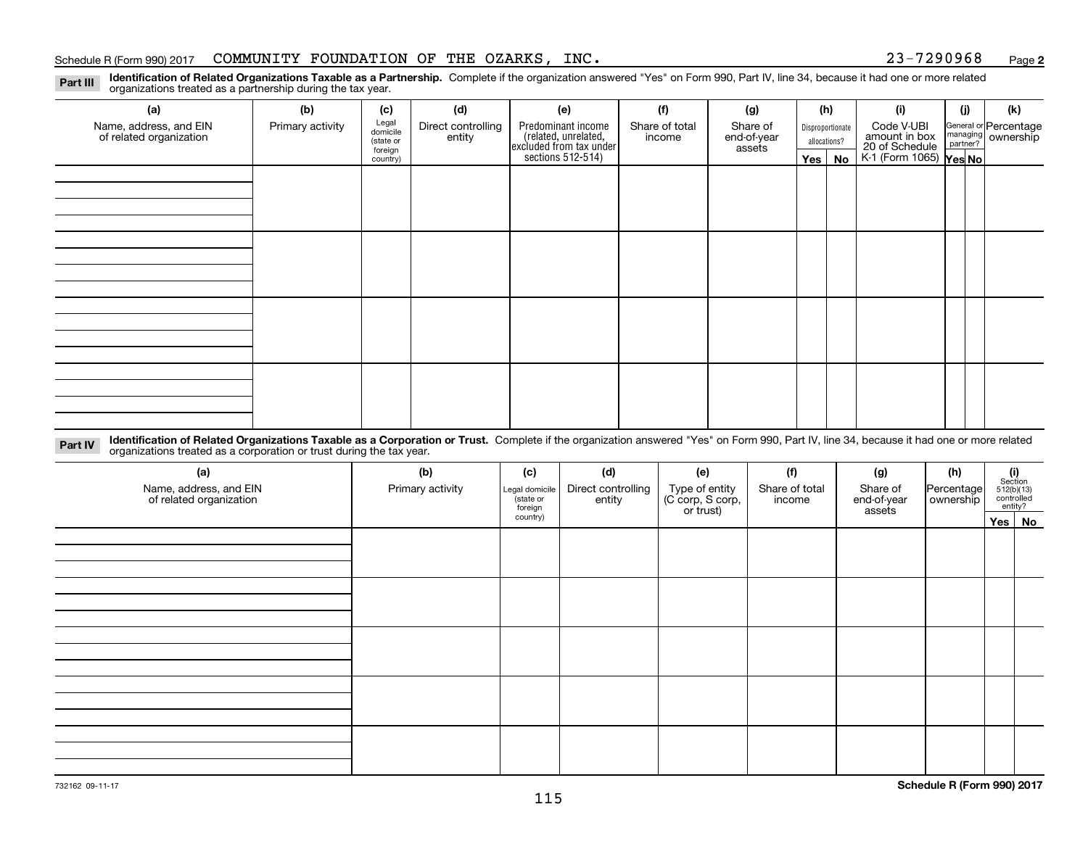#### Schedule R (Form 990) 2017 Page COMMUNITY FOUNDATION OF THE OZARKS, INC. 23-7290968

**2**

**Identification of Related Organizations Taxable as a Partnership.** Complete if the organization answered "Yes" on Form 990, Part IV, line 34, because it had one or more related **Part III** organizations treated as a partnership during the tax year.

| (a)                                               | (b)              | (c)                  | (d)                          | (e)                                                                 | (f)                      | (g)                     |         | (h)              | (i)                                      | (j) | (k)                                                     |
|---------------------------------------------------|------------------|----------------------|------------------------------|---------------------------------------------------------------------|--------------------------|-------------------------|---------|------------------|------------------------------------------|-----|---------------------------------------------------------|
| Name, address, and EIN<br>of related organization | Primary activity | Legal<br>domicile    | Direct controlling<br>entity | Predominant income                                                  | Share of total<br>income | Share of<br>end-of-year |         | Disproportionate | Code V-UBI<br>amount in box              |     | General or Percentage<br>managing ownership<br>partner? |
|                                                   |                  | (state or<br>foreign |                              | related, unrelated,<br>excluded from tax under<br>sections 512-514) |                          | assets                  |         | allocations?     | 20 of Schedule<br>K-1 (Form 1065) Yes No |     |                                                         |
|                                                   |                  | country)             |                              |                                                                     |                          |                         | Yes $ $ | No               |                                          |     |                                                         |
|                                                   |                  |                      |                              |                                                                     |                          |                         |         |                  |                                          |     |                                                         |
|                                                   |                  |                      |                              |                                                                     |                          |                         |         |                  |                                          |     |                                                         |
|                                                   |                  |                      |                              |                                                                     |                          |                         |         |                  |                                          |     |                                                         |
|                                                   |                  |                      |                              |                                                                     |                          |                         |         |                  |                                          |     |                                                         |
|                                                   |                  |                      |                              |                                                                     |                          |                         |         |                  |                                          |     |                                                         |
|                                                   |                  |                      |                              |                                                                     |                          |                         |         |                  |                                          |     |                                                         |
|                                                   |                  |                      |                              |                                                                     |                          |                         |         |                  |                                          |     |                                                         |
|                                                   |                  |                      |                              |                                                                     |                          |                         |         |                  |                                          |     |                                                         |
|                                                   |                  |                      |                              |                                                                     |                          |                         |         |                  |                                          |     |                                                         |
|                                                   |                  |                      |                              |                                                                     |                          |                         |         |                  |                                          |     |                                                         |
|                                                   |                  |                      |                              |                                                                     |                          |                         |         |                  |                                          |     |                                                         |
|                                                   |                  |                      |                              |                                                                     |                          |                         |         |                  |                                          |     |                                                         |
|                                                   |                  |                      |                              |                                                                     |                          |                         |         |                  |                                          |     |                                                         |
|                                                   |                  |                      |                              |                                                                     |                          |                         |         |                  |                                          |     |                                                         |
|                                                   |                  |                      |                              |                                                                     |                          |                         |         |                  |                                          |     |                                                         |
|                                                   |                  |                      |                              |                                                                     |                          |                         |         |                  |                                          |     |                                                         |
|                                                   |                  |                      |                              |                                                                     |                          |                         |         |                  |                                          |     |                                                         |

**Identification of Related Organizations Taxable as a Corporation or Trust.** Complete if the organization answered "Yes" on Form 990, Part IV, line 34, because it had one or more related **Part IV** organizations treated as a corporation or trust during the tax year.

| (a)<br>Name, address, and EIN<br>of related organization | (b)<br>Primary activity | (c)<br>Legal domicile<br>state or<br>foreign | (d)<br>Direct controlling<br>entity | (e)<br>Type of entity<br>(C corp, S corp,<br>or trust) | (f)<br>Share of total<br>income | (g)<br>Share of<br>end-of-year<br>assets | (h)<br>Percentage<br>ownership | $(i)$ Section<br>512(b)(13)<br>controlled<br>entity? |  |
|----------------------------------------------------------|-------------------------|----------------------------------------------|-------------------------------------|--------------------------------------------------------|---------------------------------|------------------------------------------|--------------------------------|------------------------------------------------------|--|
|                                                          |                         | country)                                     |                                     |                                                        |                                 |                                          |                                | Yes No                                               |  |
|                                                          |                         |                                              |                                     |                                                        |                                 |                                          |                                |                                                      |  |
|                                                          |                         |                                              |                                     |                                                        |                                 |                                          |                                |                                                      |  |
|                                                          |                         |                                              |                                     |                                                        |                                 |                                          |                                |                                                      |  |
|                                                          |                         |                                              |                                     |                                                        |                                 |                                          |                                |                                                      |  |
|                                                          |                         |                                              |                                     |                                                        |                                 |                                          |                                |                                                      |  |
|                                                          |                         |                                              |                                     |                                                        |                                 |                                          |                                |                                                      |  |
|                                                          |                         |                                              |                                     |                                                        |                                 |                                          |                                |                                                      |  |
|                                                          |                         |                                              |                                     |                                                        |                                 |                                          |                                |                                                      |  |
|                                                          |                         |                                              |                                     |                                                        |                                 |                                          |                                |                                                      |  |
|                                                          |                         |                                              |                                     |                                                        |                                 |                                          |                                |                                                      |  |
|                                                          |                         |                                              |                                     |                                                        |                                 |                                          |                                |                                                      |  |
|                                                          |                         |                                              |                                     |                                                        |                                 |                                          |                                |                                                      |  |
|                                                          |                         |                                              |                                     |                                                        |                                 |                                          |                                |                                                      |  |
|                                                          |                         |                                              |                                     |                                                        |                                 |                                          |                                |                                                      |  |
|                                                          |                         |                                              |                                     |                                                        |                                 |                                          |                                |                                                      |  |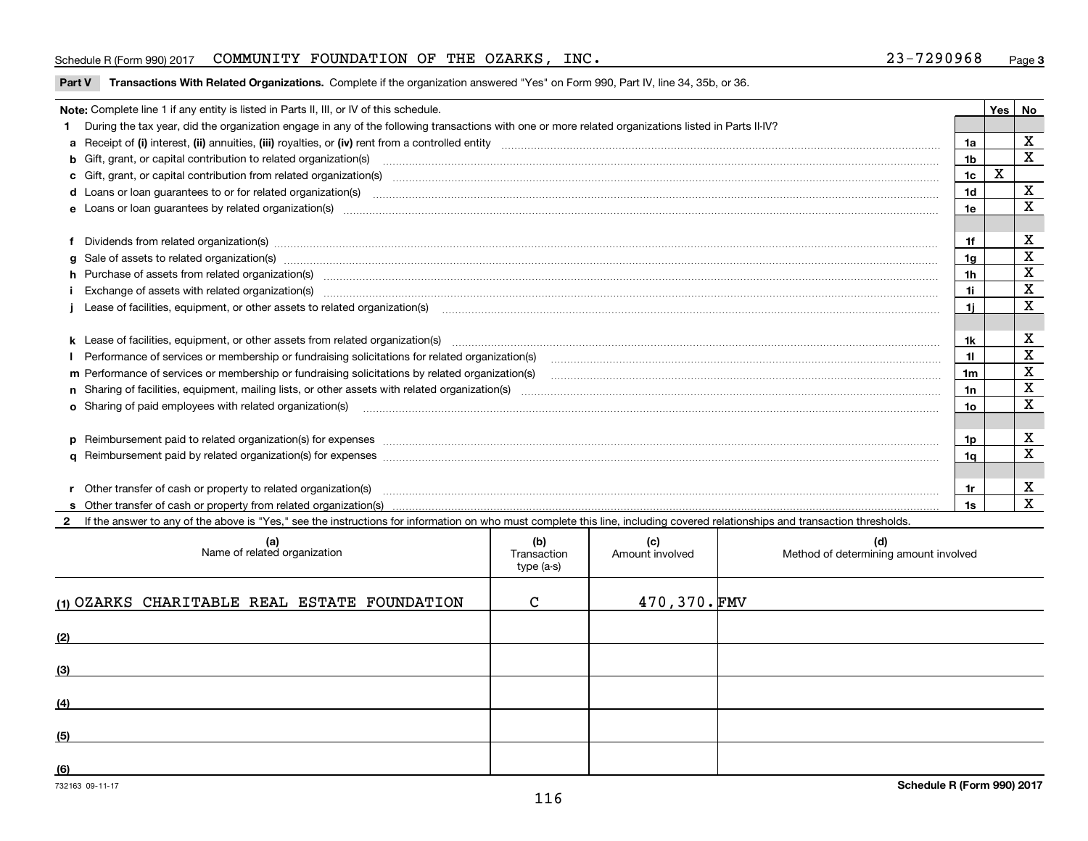#### Schedule R (Form 990) 2017 Page COMMUNITY FOUNDATION OF THE OZARKS, INC. 23-7290968

**Part V** T**ransactions With Related Organizations.** Complete if the organization answered "Yes" on Form 990, Part IV, line 34, 35b, or 36.

| Note: Complete line 1 if any entity is listed in Parts II, III, or IV of this schedule.                                                                                                                                        |                | <b>Yes</b> | No          |
|--------------------------------------------------------------------------------------------------------------------------------------------------------------------------------------------------------------------------------|----------------|------------|-------------|
| During the tax year, did the organization engage in any of the following transactions with one or more related organizations listed in Parts II-IV?                                                                            |                |            |             |
|                                                                                                                                                                                                                                | 1a             |            | X           |
| b Gift, grant, or capital contribution to related organization(s) manufactured content and contribution to related organization(s) manufactured content and content and contribution to related organization(s) manufactured c | 1 <sub>b</sub> |            | X           |
|                                                                                                                                                                                                                                | 1c             | X          |             |
|                                                                                                                                                                                                                                | 1d             |            | х           |
| e Loans or loan quarantees by related organization(s)                                                                                                                                                                          | 1e             |            | x           |
|                                                                                                                                                                                                                                |                |            |             |
| f Dividends from related organization(s) manufactured and contract and contract of the contract of the contract of the contract of the contract of the contract of the contract of the contract of the contract of the contrac | 1f             |            | X           |
|                                                                                                                                                                                                                                | 1g             |            | $\mathbf X$ |
| h Purchase of assets from related organization(s) manufactured and content and content and content and content and content and content and content and content and content and content and content and content and content and | 1h             |            | $\mathbf X$ |
| Exchange of assets with related organization(s) material content and content and content and content and content and content and content and content and content and content and content and content and content and content a | 1i             |            | х           |
|                                                                                                                                                                                                                                | 1i.            |            | X           |
|                                                                                                                                                                                                                                |                |            |             |
|                                                                                                                                                                                                                                | 1k.            |            | х           |
| Performance of services or membership or fundraising solicitations for related organization(s)                                                                                                                                 | 11.            |            | $\mathbf X$ |
| m Performance of services or membership or fundraising solicitations by related organization(s)                                                                                                                                | 1m             |            | $\mathbf X$ |
|                                                                                                                                                                                                                                | 1n             |            | X           |
| <b>o</b> Sharing of paid employees with related organization(s)                                                                                                                                                                | 1o             |            | X           |
|                                                                                                                                                                                                                                |                |            |             |
| p Reimbursement paid to related organization(s) for expenses [111] production in the content of the content of the content of the content of the content of the content of the content of the content of the content of the co | 1p.            |            | X           |
|                                                                                                                                                                                                                                | 1a             |            | x           |
|                                                                                                                                                                                                                                |                |            |             |
|                                                                                                                                                                                                                                | 1r             |            | х           |
|                                                                                                                                                                                                                                | 1s             |            | X           |

**2**If the answer to any of the above is "Yes," see the instructions for information on who must complete this line, including covered relationships and transaction thresholds.

| (a)<br>Name of related organization          | (b)<br>Transaction<br>type (a-s) | (c)<br>Amount involved | (d)<br>Method of determining amount involved |
|----------------------------------------------|----------------------------------|------------------------|----------------------------------------------|
| (1) OZARKS CHARITABLE REAL ESTATE FOUNDATION | C                                | 470,370.FMV            |                                              |
| (2)                                          |                                  |                        |                                              |
| (3)                                          |                                  |                        |                                              |
| (4)                                          |                                  |                        |                                              |
| (5)                                          |                                  |                        |                                              |
| (6)                                          |                                  |                        |                                              |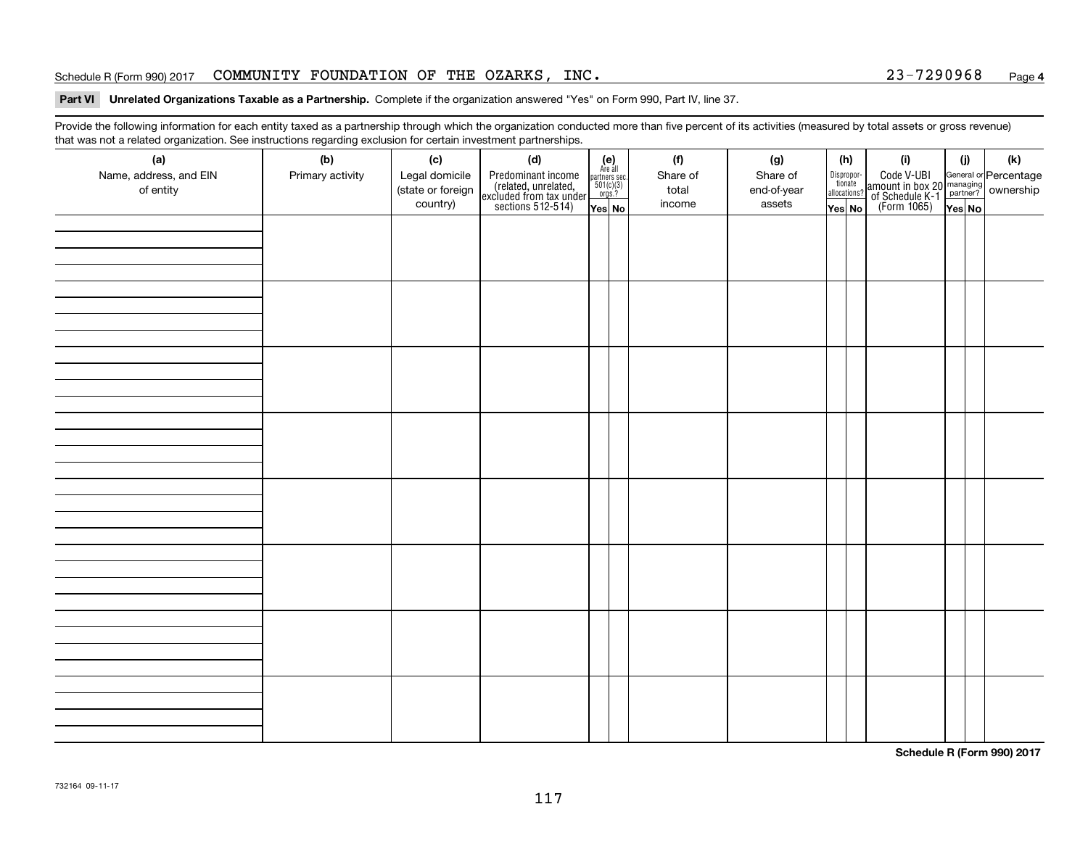#### Schedule R (Form 990) 2017 Page COMMUNITY FOUNDATION OF THE OZARKS, INC. 23-7290968

#### **4**

#### **Part VI Unrelated Organizations Taxable as a Partnership. Complete if the organization answered "Yes" on Form 990, Part IV, line 37.**

Provide the following information for each entity taxed as a partnership through which the organization conducted more than five percent of its activities (measured by total assets or gross revenue) that was not a related organization. See instructions regarding exclusion for certain investment partnerships.

| ັ<br>(a)<br>Name, address, and EIN<br>of entity | ັ<br>ັ<br>(b)<br>Primary activity | (c)<br>Legal domicile<br>(state or foreign<br>country) | (d)<br>Predominant income<br>(related, unrelated,<br>excluded from tax under<br>sections 512-514) | (e)<br>Are all<br>$\begin{array}{c}\n\text{partners} \text{ sec.} \\ 501(c)(3) \\ \text{orgs.?}\n\end{array}$<br>Yes No | (f)<br>Share of<br>total<br>income | (g)<br>Share of<br>end-of-year<br>assets | (h)<br>Dispropor-<br>tionate<br>allocations?<br>Yes No | (i)<br>Code V-UBI<br>amount in box 20 managing<br>of Schedule K-1<br>(Form 1065)<br>$\overline{Yes}$ No | (i)<br>Yes No | (k) |
|-------------------------------------------------|-----------------------------------|--------------------------------------------------------|---------------------------------------------------------------------------------------------------|-------------------------------------------------------------------------------------------------------------------------|------------------------------------|------------------------------------------|--------------------------------------------------------|---------------------------------------------------------------------------------------------------------|---------------|-----|
|                                                 |                                   |                                                        |                                                                                                   |                                                                                                                         |                                    |                                          |                                                        |                                                                                                         |               |     |
|                                                 |                                   |                                                        |                                                                                                   |                                                                                                                         |                                    |                                          |                                                        |                                                                                                         |               |     |
|                                                 |                                   |                                                        |                                                                                                   |                                                                                                                         |                                    |                                          |                                                        |                                                                                                         |               |     |
|                                                 |                                   |                                                        |                                                                                                   |                                                                                                                         |                                    |                                          |                                                        |                                                                                                         |               |     |
|                                                 |                                   |                                                        |                                                                                                   |                                                                                                                         |                                    |                                          |                                                        |                                                                                                         |               |     |
|                                                 |                                   |                                                        |                                                                                                   |                                                                                                                         |                                    |                                          |                                                        |                                                                                                         |               |     |
|                                                 |                                   |                                                        |                                                                                                   |                                                                                                                         |                                    |                                          |                                                        |                                                                                                         |               |     |
|                                                 |                                   |                                                        |                                                                                                   |                                                                                                                         |                                    |                                          |                                                        |                                                                                                         |               |     |

**Schedule R (Form 990) 2017**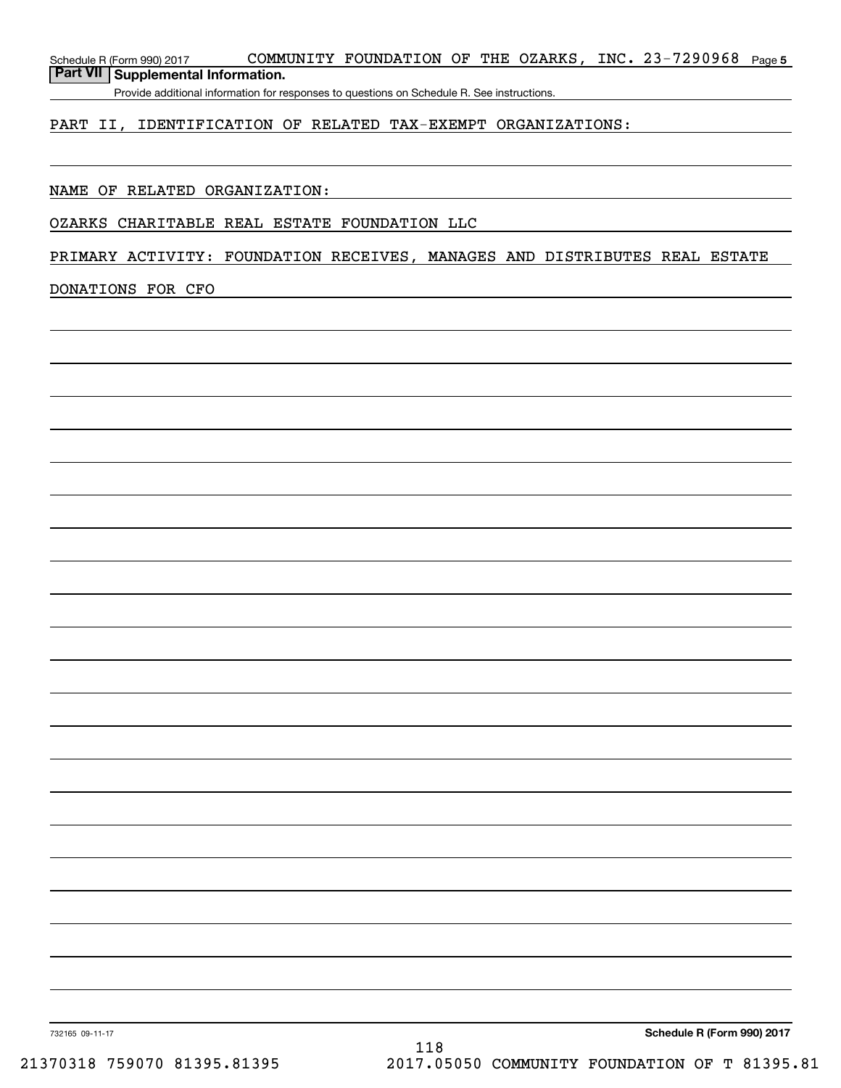Schedule R (Form 990) 2017 COMMUNITY FOUNDATION OF THE OZARKS, INC. 23-7290968 <sub>Page 5</sub><br>Part VILLS upplomental Information **Part VII Supplemental Information.**

Provide additional information for responses to questions on Schedule R. See instructions.

#### PART II, IDENTIFICATION OF RELATED TAX-EXEMPT ORGANIZATIONS:

#### NAME OF RELATED ORGANIZATION:

#### OZARKS CHARITABLE REAL ESTATE FOUNDATION LLC

#### PRIMARY ACTIVITY: FOUNDATION RECEIVES, MANAGES AND DISTRIBUTES REAL ESTATE

#### DONATIONS FOR CFO

**Schedule R (Form 990) 2017**